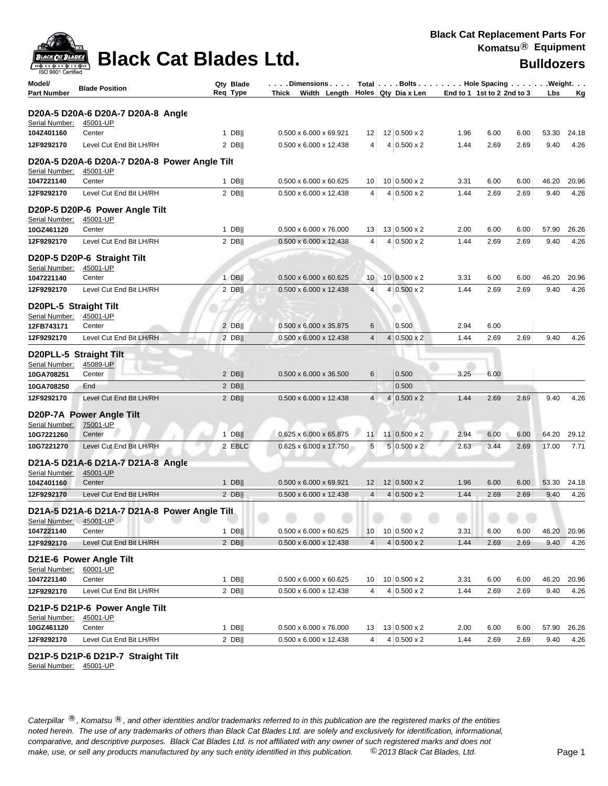

| <b>ISO 9001 Certified</b>               |                                                          |                       |                                                      |                |                                  |                            |      |      |            |       |
|-----------------------------------------|----------------------------------------------------------|-----------------------|------------------------------------------------------|----------------|----------------------------------|----------------------------|------|------|------------|-------|
| Model/<br><b>Part Number</b>            | <b>Blade Position</b>                                    | Qty Blade<br>Req Type | Dimensions<br>Thick Width Length Holes Qty Dia x Len |                | Total Bolts Hole Spacing Weight. | End to 1 1st to 2 2nd to 3 |      |      | <b>Lbs</b> | Kg    |
|                                         |                                                          |                       |                                                      |                |                                  |                            |      |      |            |       |
| Serial Number:                          | D20A-5 D20A-6 D20A-7 D20A-8 Angle<br>45001-UP            |                       |                                                      |                |                                  |                            |      |      |            |       |
| 104Z401160                              | Center                                                   | $1$ DB                | 0.500 x 6.000 x 69.921                               | 12             | 12 0.500 x 2                     | 1.96                       | 6.00 | 6.00 | 53.30      | 24.18 |
| 12F9292170                              | Level Cut End Bit LH/RH                                  | 2 DB                  | $0.500 \times 6.000 \times 12.438$                   | 4              | $4 0.500 \times 2$               | 1.44                       | 2.69 | 2.69 | 9.40       | 4.26  |
|                                         | D20A-5 D20A-6 D20A-7 D20A-8 Power Angle Tilt             |                       |                                                      |                |                                  |                            |      |      |            |       |
| Serial Number:                          | 45001-UP                                                 |                       |                                                      |                |                                  |                            |      |      |            |       |
| 1047221140                              | Center                                                   | $1$ DB                | $0.500 \times 6.000 \times 60.625$                   | 10             | 10 0.500 x 2                     | 3.31                       | 6.00 | 6.00 | 46.20      | 20.96 |
| 12F9292170                              | Level Cut End Bit LH/RH                                  | $2$ DB                | 0.500 x 6.000 x 12.438                               | 4              | $4 0.500 \times 2$               | 1.44                       | 2.69 | 2.69 | 9.40       | 4.26  |
| Serial Number:                          | D20P-5 D20P-6 Power Angle Tilt<br>45001-UP               |                       |                                                      |                |                                  |                            |      |      |            |       |
| 10GZ461120                              | Center                                                   | $1$ DB                | 0.500 x 6.000 x 76.000                               | 13             | 13 0.500 x 2                     | 2.00                       | 6.00 | 6.00 | 57.90      | 26.26 |
| 12F9292170                              | Level Cut End Bit LH/RH                                  | $2$ DB                | $0.500 \times 6.000 \times 12.438$                   | 4              | $4 0.500 \times 2$               | 1.44                       | 2.69 | 2.69 | 9.40       | 4.26  |
|                                         | D20P-5 D20P-6 Straight Tilt                              |                       |                                                      |                |                                  |                            |      |      |            |       |
| Serial Number:<br>1047221140            | 45001-UP<br>Center                                       | $1$ DB                | $0.500 \times 6.000 \times 60.625$                   | 10             | $10 0.500 \times 2$              | 3.31                       | 6.00 | 6.00 | 46.20      | 20.96 |
| 12F9292170                              | Level Cut End Bit LH/RH                                  | $2$ DB                | $0.500 \times 6.000 \times 12.438$                   | $\overline{4}$ | $4 0.500 \times 2$               | 1.44                       | 2.69 | 2.69 | 9.40       | 4.26  |
|                                         |                                                          |                       |                                                      |                |                                  |                            |      |      |            |       |
| D20PL-5 Straight Tilt<br>Serial Number: | 45001-UP                                                 |                       |                                                      |                |                                  |                            |      |      |            |       |
| 12FB743171                              | Center                                                   | $2$ DB                | 0.500 x 6.000 x 35.875                               | 6              | 0.500                            | 2.94                       | 6.00 |      |            |       |
| 12F9292170                              | Level Cut End Bit LH/RH                                  | $2$ DB                | 0.500 x 6.000 x 12.438                               | $\overline{4}$ | $4 0.500 \times 2$               | 1.44                       | 2.69 | 2.69 | 9.40       | 4.26  |
| D20PLL-5 Straight Tilt                  |                                                          |                       |                                                      |                |                                  |                            |      |      |            |       |
| Serial Number:                          | 45089-UP                                                 |                       |                                                      |                |                                  |                            |      |      |            |       |
| 10GA708251                              | Center                                                   | 2 DB                  | $0.500 \times 6.000 \times 36.500$                   | 6              | 0.500                            | 3.25                       | 6.00 |      |            |       |
| 10GA708250                              | End                                                      | $2$ DB                |                                                      |                | 0.500                            |                            |      |      |            |       |
| 12F9292170                              | Level Cut End Bit LH/RH                                  | $2$ DB                | 0.500 x 6.000 x 12.438                               | $\overline{4}$ | $4 0.500 \times 2$               | 1.44                       | 2.69 | 2.69 | 9.40       | 4.26  |
|                                         | D20P-7A Power Angle Tilt                                 |                       |                                                      |                |                                  |                            |      |      |            |       |
| Serial Number:<br>10G7221260            | 75001-UP<br>Center                                       | $1$ DB                | $0.625 \times 6.000 \times 65.875$                   | 11             | $11 0.500 \times 2$              | 2.94                       | 6.00 | 6.00 | 64.20      | 29.12 |
| 10G7221270                              | Level Cut End Bit LH/RH                                  | 2 EBLC                | 0.625 x 6.000 x 17.750                               | $\sqrt{5}$     | $5 0.500 \times 2$               | 2.63                       | 3.44 | 2.69 | 17.00      | 7.71  |
|                                         | D21A-5 D21A-6 D21A-7 D21A-8 Angle                        |                       |                                                      |                |                                  |                            |      |      |            |       |
| Serial Number:                          | 45001-UP                                                 |                       |                                                      |                |                                  |                            |      |      |            |       |
| 104Z401160                              | Center                                                   | $1$ DB                | 0.500 x 6.000 x 69.921                               | 12             | $12 0.500 \times 2$              | 1.96                       | 6.00 | 6.00 | 53.30      | 24.18 |
| 12F9292170                              | Level Cut End Bit LH/RH                                  | $2$ DB                | $0.500 \times 6.000 \times 12.438$                   | 4 <sup>1</sup> | $4 0.500 \times 2$               | 1.44                       | 2.69 | 2.69 | 9.40       | 4.26  |
| Serial Number:                          | D21A-5 D21A-6 D21A-7 D21A-8 Power Angle Tilt<br>45001-UP |                       |                                                      |                |                                  |                            |      |      |            |       |
| 1047221140                              | Center                                                   | 1 DB                  | 0.500 x 6.000 x 60.625                               | 10             | 10 0.500 x 2                     | 3.31                       | 6.00 | 6.00 | 46.20      | 20.96 |
| 12F9292170                              | Level Cut End Bit LH/RH                                  | $2$ DB                | $0.500 \times 6.000 \times 12.438$                   | 4              | $4 0.500 \times 2$               | 1.44                       | 2.69 | 2.69 | 9.40       | 4.26  |
| Serial Number:                          | D21E-6 Power Angle Tilt<br>60001-UP                      |                       |                                                      |                |                                  |                            |      |      |            |       |
| 1047221140                              | Center                                                   | $1$ DB                | $0.500 \times 6.000 \times 60.625$                   | 10             | 10 0.500 x 2                     | 3.31                       | 6.00 | 6.00 | 46.20      | 20.96 |
| 12F9292170                              | Level Cut End Bit LH/RH                                  | $2$ DB                | 0.500 x 6.000 x 12.438                               | 4              | $4 0.500 \times 2$               | 1.44                       | 2.69 | 2.69 | 9.40       | 4.26  |
| Serial Number:                          | D21P-5 D21P-6 Power Angle Tilt<br>45001-UP               |                       |                                                      |                |                                  |                            |      |      |            |       |
| 10GZ461120                              | Center                                                   | 1 DB                  | $0.500 \times 6.000 \times 76.000$                   | 13             | 13 0.500 x 2                     | 2.00                       | 6.00 | 6.00 | 57.90      | 26.26 |
| 12F9292170                              | Level Cut End Bit LH/RH                                  | $2$ DB                | 0.500 x 6.000 x 12.438                               | 4              | $4 0.500 \times 2$               | 1.44                       | 2.69 | 2.69 | 9.40       | 4.26  |

### **D21P-5 D21P-6 D21P-7 Straight Tilt**

Serial Number: 45001-UP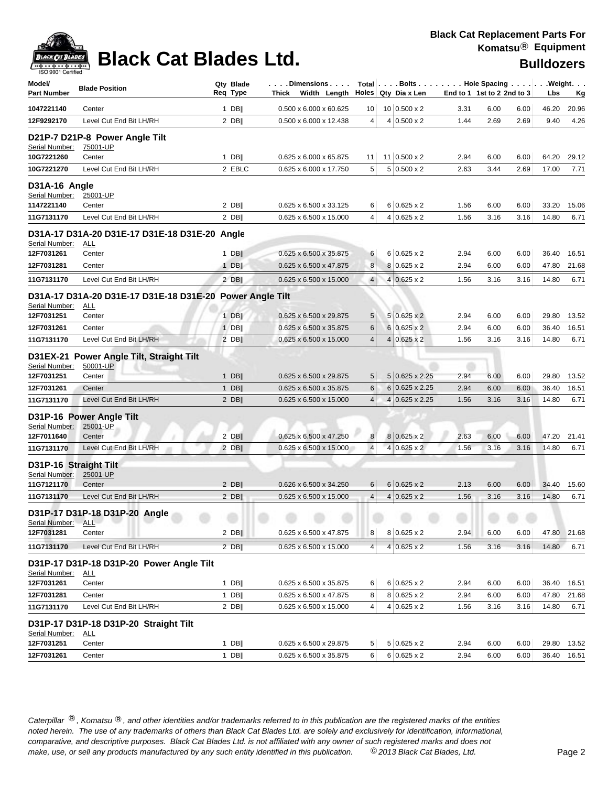

| <b>ISO 9001 Certified</b><br>Model/<br><b>Part Number</b> | <b>Blade Position</b>                                                  | Qty Blade<br>Req Type | . Dimensions<br>Thick Width Length |                | Total Bolts Hole Spacing Weight.<br>Holes Qty Dia x Len | End to 1 1st to 2 2nd to 3 |      |      | Lbs   | <u>Kg</u>   |
|-----------------------------------------------------------|------------------------------------------------------------------------|-----------------------|------------------------------------|----------------|---------------------------------------------------------|----------------------------|------|------|-------|-------------|
| 1047221140                                                | Center                                                                 | $1$ DB                | 0.500 x 6.000 x 60.625             | 10             | 10 0.500 x 2                                            | 3.31                       | 6.00 | 6.00 | 46.20 | 20.96       |
| 12F9292170                                                | Level Cut End Bit LH/RH                                                | 2 DBII                | 0.500 x 6.000 x 12.438             | $\overline{4}$ | $4 0.500 \times 2$                                      | 1.44                       | 2.69 | 2.69 | 9.40  | 4.26        |
| Serial Number:                                            | D21P-7 D21P-8 Power Angle Tilt<br>75001-UP<br>Center                   | $1$ DB                | 0.625 x 6.000 x 65.875             | 11             | $11$ 0.500 x 2                                          | 2.94                       | 6.00 | 6.00 | 64.20 | 29.12       |
| 10G7221260<br>10G7221270                                  | Level Cut End Bit LH/RH                                                | 2 EBLC                | 0.625 x 6.000 x 17.750             | 5              | $5 0.500 \times 2$                                      | 2.63                       | 3.44 | 2.69 | 17.00 | 7.71        |
|                                                           |                                                                        |                       |                                    |                |                                                         |                            |      |      |       |             |
| D31A-16 Angle<br>Serial Number:<br>1147221140             | 25001-UP<br>Center                                                     | $2$ DB                | 0.625 x 6.500 x 33.125             | 6              | $6 0.625 \times 2$                                      | 1.56                       | 6.00 | 6.00 | 33.20 | 15.06       |
| 11G7131170                                                | Level Cut End Bit LH/RH                                                | 2 DBII                | 0.625 x 6.500 x 15.000             | $\overline{4}$ | $4 0.625 \times 2$                                      | 1.56                       | 3.16 | 3.16 | 14.80 | 6.71        |
| Serial Number:                                            | D31A-17 D31A-20 D31E-17 D31E-18 D31E-20 Angle<br><u>ALL</u>            |                       |                                    |                |                                                         |                            |      |      |       |             |
| 12F7031261                                                | Center                                                                 | $1$ DB                | 0.625 x 6.500 x 35.875             | 6              | $6 0.625 \times 2$                                      | 2.94                       | 6.00 | 6.00 | 36.40 | 16.51       |
| 12F7031281                                                | Center                                                                 | $1$ DB                | 0.625 x 6.500 x 47.875             | 8              | $8 0.625 \times 2$                                      | 2.94                       | 6.00 | 6.00 | 47.80 | 21.68       |
| 11G7131170                                                | Level Cut End Bit LH/RH                                                | $2$ DB                | 0.625 x 6.500 x 15.000             | $\overline{4}$ | $4 0.625 \times 2$                                      | 1.56                       | 3.16 | 3.16 | 14.80 | 6.71        |
| Serial Number:                                            | D31A-17 D31A-20 D31E-17 D31E-18 D31E-20 Power Angle Tilt<br><u>ALL</u> |                       |                                    |                |                                                         |                            |      |      |       |             |
| 12F7031251                                                | Center                                                                 | $1$ DB                | 0.625 x 6.500 x 29.875             | 5              | $5 0.625 \times 2$                                      | 2.94                       | 6.00 | 6.00 | 29.80 | 13.52       |
| 12F7031261                                                | Center                                                                 | $1$ DB                | 0.625 x 6.500 x 35.875             | 6              | $6 0.625 \times 2$                                      | 2.94                       | 6.00 | 6.00 | 36.40 | 16.51       |
| 11G7131170                                                | Level Cut End Bit LH/RH                                                | $2$ DB                | 0.625 x 6.500 x 15.000             | $\overline{4}$ | $4 0.625 \times 2$                                      | 1.56                       | 3.16 | 3.16 | 14.80 | 6.71        |
| <b>D31EX-21</b><br>Serial Number:                         | <b>Power Angle Tilt, Straight Tilt</b><br>50001-UP                     |                       |                                    |                |                                                         |                            |      |      |       |             |
| 12F7031251                                                | Center                                                                 | $1$ DB                | 0.625 x 6.500 x 29.875             | 5              | 5 0.625 x 2.25                                          | 2.94                       | 6.00 | 6.00 | 29.80 | 13.52       |
| 12F7031261                                                | Center                                                                 | $1$ DB                | 0.625 x 6.500 x 35.875             | 6              | $6 0.625 \times 2.25$                                   | 2.94                       | 6.00 | 6.00 | 36.40 | 16.51       |
| 11G7131170                                                | Level Cut End Bit LH/RH                                                | $2$ DB                | 0.625 x 6.500 x 15.000             | $\overline{4}$ | 4 0.625 x 2.25                                          | 1.56                       | 3.16 | 3.16 | 14.80 | 6.71        |
| Serial Number:<br>12F7011640                              | D31P-16 Power Angle Tilt<br>25001-UP<br>Center                         | 2 DBII                | 0.625 x 6.500 x 47.250             | 8              | $8 0.625 \times 2$                                      | 2.63                       | 6.00 | 6.00 | 47.20 | 21.41       |
| 11G7131170                                                | Level Cut End Bit LH/RH                                                | $2$ DB                | $0.625 \times 6.500 \times 15.000$ | $\overline{4}$ | $4 0.625 \times 2 $                                     | 1.56                       | 3.16 | 3.16 | 14.80 | 6.71        |
| D31P-16 Straight Tilt<br>Serial Number:                   | 25001-UP                                                               |                       |                                    |                |                                                         |                            |      |      |       |             |
| 11G7121170                                                | Center                                                                 | $2$ DB                | 0.626 x 6.500 x 34.250             | 6              | $6 0.625 \times 2$                                      | 2.13                       | 6.00 | 6.00 | 34.40 | 15.60       |
| 11G7131170                                                | Level Cut End Bit LH/RH                                                | 2 DB                  | $0.625 \times 6.500 \times 15.000$ | $\overline{4}$ | $4 0.625 \times 2$                                      | 1.56                       | 3.16 | 3.16 | 14.80 | 6.71        |
| Serial Number:                                            | D31P-17 D31P-18 D31P-20 Angle<br><b>ALL</b>                            |                       | ۰                                  |                |                                                         |                            |      |      |       |             |
| 12F7031281                                                | Center                                                                 | $2$ DB                | 0.625 x 6.500 x 47.875             | 8              | $8 0.625 \times 2$                                      | 2.94                       | 6.00 | 6.00 |       | 47.80 21.68 |
| 11G7131170                                                | Level Cut End Bit LH/RH                                                | $2$ DB                | 0.625 x 6.500 x 15.000             | $\overline{4}$ | $4 0.625 \times 2$                                      | 1.56                       | 3.16 | 3.16 | 14.80 | 6.71        |
| Serial Number:                                            | D31P-17 D31P-18 D31P-20 Power Angle Tilt<br><u>ALL</u>                 |                       |                                    |                |                                                         |                            |      |      |       |             |
| 12F7031261                                                | Center                                                                 | $1$ DB                | 0.625 x 6.500 x 35.875             | 6              | $6 0.625 \times 2$                                      | 2.94                       | 6.00 | 6.00 | 36.40 | 16.51       |
| 12F7031281                                                | Center                                                                 | 1 DB                  | 0.625 x 6.500 x 47.875             | 8              | $8 0.625 \times 2$                                      | 2.94                       | 6.00 | 6.00 | 47.80 | 21.68       |
| 11G7131170                                                | Level Cut End Bit LH/RH                                                | $2$ DB                | 0.625 x 6.500 x 15.000             | $\overline{4}$ | $4 0.625 \times 2$                                      | 1.56                       | 3.16 | 3.16 | 14.80 | 6.71        |
| Serial Number:                                            | D31P-17 D31P-18 D31P-20 Straight Tilt<br><u>ALL</u>                    |                       |                                    |                |                                                         |                            |      |      |       |             |
| 12F7031251                                                | Center                                                                 | $1$ DB                | $0.625 \times 6.500 \times 29.875$ | 5              | $5 0.625 \times 2$                                      | 2.94                       | 6.00 | 6.00 |       | 29.80 13.52 |
| 12F7031261                                                | Center                                                                 | $1$ DB                | $0.625 \times 6.500 \times 35.875$ | 6              | $6 0.625 \times 2$                                      | 2.94                       | 6.00 | 6.00 |       | 36.40 16.51 |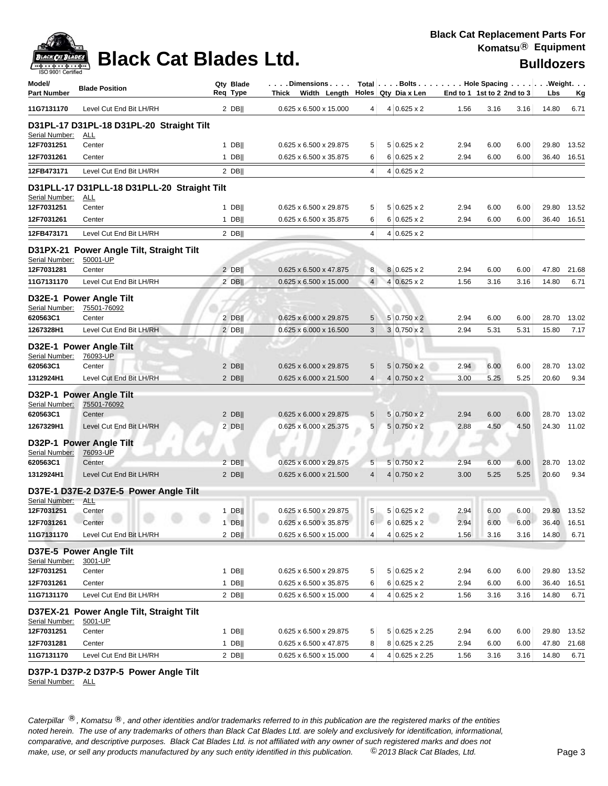

| Model/<br><b>Part Number</b> | <b>Blade Position</b>                               | Qty Blade<br>Reg Type | .Dimensions  <br>Thick Width Length |                | Total $\vert \ldots$ Bolts $\ldots \vert \ldots$ Hole Spacing $\ldots \vert \ldots$ Weight. $\ldots$<br>Holes $Qty$ Dia x Len |              | End to 1 1st to 2 2nd to 3 | Lbs            | <u>Kg</u>   |
|------------------------------|-----------------------------------------------------|-----------------------|-------------------------------------|----------------|-------------------------------------------------------------------------------------------------------------------------------|--------------|----------------------------|----------------|-------------|
| 11G7131170                   | Level Cut End Bit LH/RH                             | $2$ DB                | 0.625 x 6.500 x 15.000              | 4              | $4 0.625 \times 2$                                                                                                            | 1.56         | 3.16<br>3.16               | 14.80          | 6.71        |
|                              | D31PL-17 D31PL-18 D31PL-20 Straight Tilt            |                       |                                     |                |                                                                                                                               |              |                            |                |             |
| Serial Number:               | <u>ALL</u><br>Center                                |                       | 0.625 x 6.500 x 29.875              | 5              | $5 0.625 \times 2$                                                                                                            |              | 6.00                       |                | 13.52       |
| 12F7031251<br>12F7031261     | Center                                              | $1$ DB  <br>$1$ DB    | 0.625 x 6.500 x 35.875              | 6              | $6 0.625 \times 2$                                                                                                            | 2.94<br>2.94 | 6.00<br>6.00<br>6.00       | 29.80<br>36.40 | 16.51       |
| 12FB473171                   | Level Cut End Bit LH/RH                             | $2$ DB                |                                     | 4              | $4 0.625 \times 2$                                                                                                            |              |                            |                |             |
|                              | D31PLL-17 D31PLL-18 D31PLL-20 Straight Tilt         |                       |                                     |                |                                                                                                                               |              |                            |                |             |
| Serial Number:               | <u>ALL</u>                                          |                       |                                     |                |                                                                                                                               |              |                            |                |             |
| 12F7031251                   | Center                                              | $1$ DB                | 0.625 x 6.500 x 29.875              | 5              | $5 0.625 \times 2$                                                                                                            | 2.94         | 6.00<br>6.00               | 29.80          | 13.52       |
| 12F7031261                   | Center                                              | $1$ DB                | 0.625 x 6.500 x 35.875              | 6              | $6 0.625 \times 2$                                                                                                            | 2.94         | 6.00<br>6.00               |                | 36.40 16.51 |
| 12FB473171                   | Level Cut End Bit LH/RH                             | $2$ DB                |                                     | 4              | $4 0.625 \times 2$                                                                                                            |              |                            |                |             |
|                              | D31PX-21 Power Angle Tilt, Straight Tilt            |                       |                                     |                |                                                                                                                               |              |                            |                |             |
| Serial Number:<br>12F7031281 | 50001-UP<br>Center                                  | $2$ DB                | 0.625 x 6.500 x 47.875              | 8              | 8 0.625 x 2                                                                                                                   | 2.94         | 6.00<br>6.00               | 47.80          | 21.68       |
| 11G7131170                   | Level Cut End Bit LH/RH                             | $2$ DB                | $0.625 \times 6.500 \times 15.000$  | $\overline{4}$ | $4 0.625 \times 2$                                                                                                            | 1.56         | 3.16<br>3.16               | 14.80          | 6.71        |
| Serial Number:               | D32E-1 Power Angle Tilt<br>75501-76092              |                       |                                     |                |                                                                                                                               |              |                            |                |             |
| 620563C1                     | Center                                              | $2$ DB                | 0.625 x 6.000 x 29.875              | 5              | $5 0.750 \times 2$                                                                                                            | 2.94         | 6.00<br>6.00               | 28.70          | 13.02       |
| 1267328H1                    | Level Cut End Bit LH/RH                             | $2$ DB                | 0.625 x 6.000 x 16.500              | 3              | $3 0.750 \times 2$                                                                                                            | 2.94         | 5.31<br>5.31               | 15.80          | 7.17        |
| Serial Number:               | D32E-1 Power Angle Tilt<br>76093-UP                 |                       |                                     |                |                                                                                                                               |              |                            |                |             |
| 620563C1                     | Center                                              | 2 DB                  | 0.625 x 6.000 x 29.875              | 5              | $5 0.750 \times 2$                                                                                                            | 2.94         | 6.00<br>6.00               | 28.70          | 13.02       |
| 1312924H1                    | Level Cut End Bit LH/RH                             | $2$ DB                | 0.625 x 6.000 x 21.500              | $\overline{4}$ | $4 0.750 \times 2$                                                                                                            | 3.00         | 5.25<br>5.25               | 20.60          | 9.34        |
|                              | D32P-1 Power Angle Tilt                             |                       |                                     |                |                                                                                                                               |              |                            |                |             |
| Serial Number:<br>620563C1   | 75501-76092<br>Center                               | $2$ DB                | 0.625 x 6.000 x 29.875              | 5              | $5 0.750 \times 2$                                                                                                            | 2.94         | 6.00<br>6.00               | 28.70          | 13.02       |
| 1267329H1                    | Level Cut End Bit LH/RH                             | $2$ DB                | 0.625 x 6.000 x 25.375              | 5              | $5 0.750 \times 2$                                                                                                            | 2.88         | 4.50<br>4.50               | 24.30          | 11.02       |
|                              | D32P-1 Power Angle Tilt                             |                       |                                     |                |                                                                                                                               |              |                            |                |             |
| Serial Number:               | 76093-UP                                            |                       |                                     |                |                                                                                                                               |              |                            |                |             |
| 620563C1                     | Center                                              | 2 DB                  | 0.625 x 6.000 x 29.875              | 5              | $5 0.750 \times 2$                                                                                                            | 2.94         | 6.00<br>6.00               | 28.70          | 13.02       |
| 1312924H1                    | Level Cut End Bit LH/RH                             | $2$ DB                | 0.625 x 6.000 x 21.500              | $\overline{4}$ | $4 0.750 \times 2$                                                                                                            | 3.00         | 5.25<br>5.25               | 20.60          | 9.34        |
|                              | D37E-1 D37E-2 D37E-5 Power Angle Tilt               |                       |                                     |                |                                                                                                                               |              |                            |                |             |
| Serial Number:<br>12F7031251 | <u>ALL</u><br>Center                                | $1$ DB                | 0.625 x 6.500 x 29.875              | 5              | $5 0.625 \times 2$                                                                                                            | 2.94         | 6.00<br>6.00               |                | 29.80 13.52 |
| 12F7031261                   | Center                                              | $1$ DB                | 0.625 x 6.500 x 35.875              | 6              | $6 0.625 \times 2$                                                                                                            | 2.94         | 6.00<br>6.00               | 36.40          | 16.51       |
| 11G7131170                   | Level Cut End Bit LH/RH                             | $2$ DB                | 0.625 x 6.500 x 15.000              | 4              | $4 0.625 \times 2$                                                                                                            | 1.56         | 3.16<br>3.16               | 14.80          | 6.71        |
| Serial Number:               | D37E-5 Power Angle Tilt<br>3001-UP                  |                       |                                     |                |                                                                                                                               |              |                            |                |             |
| 12F7031251                   | Center                                              | $1$ DB                | 0.625 x 6.500 x 29.875              | 5              | $5 0.625 \times 2$                                                                                                            | 2.94         | 6.00<br>6.00               | 29.80          | 13.52       |
| 12F7031261                   | Center                                              | $1$ DB                | 0.625 x 6.500 x 35.875              | 6              | $6 0.625 \times 2$                                                                                                            | 2.94         | 6.00<br>6.00               | 36.40          | 16.51       |
| 11G7131170                   | Level Cut End Bit LH/RH                             | $2$ DB                | 0.625 x 6.500 x 15.000              | 4              | $4 0.625 \times 2$                                                                                                            | 1.56         | 3.16<br>3.16               | 14.80          | 6.71        |
| Serial Number:               | D37EX-21 Power Angle Tilt, Straight Tilt<br>5001-UP |                       |                                     |                |                                                                                                                               |              |                            |                |             |
| 12F7031251                   | Center                                              | $1$ DB                | 0.625 x 6.500 x 29.875              | 5              | 5 0.625 x 2.25                                                                                                                | 2.94         | 6.00<br>6.00               | 29.80          | 13.52       |
| 12F7031281                   | Center                                              | $1$ DB                | 0.625 x 6.500 x 47.875              | 8              | 8 0.625 x 2.25                                                                                                                | 2.94         | 6.00<br>6.00               | 47.80          | 21.68       |
| 11G7131170                   | Level Cut End Bit LH/RH                             | $2$ DB                | 0.625 x 6.500 x 15.000              | 4              | 4 0.625 x 2.25                                                                                                                | 1.56         | 3.16<br>3.16               | 14.80          | 6.71        |

### **D37P-1 D37P-2 D37P-5 Power Angle Tilt**

Serial Number: ALL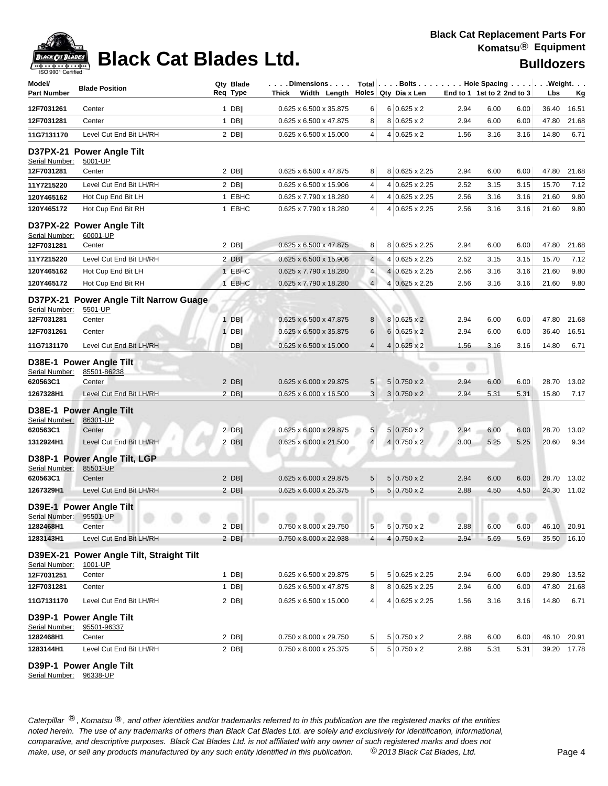# **Black Cat Blades Ltd. Black Cat Blades Ltd. Black Cat Blades Ltd. Bulldozers**

| Model/<br><b>Part Number</b> | <b>Blade Position</b>                  | Qty Blade<br>Req Type | . Dimensions.<br>Thick<br>Width Length |                |   | Total Bolts Hole Spacing Weight.<br>Holes   Qty Dia x Len |      | End to 1 1st to 2 2nd to 3 |      | Lbs   | Кg          |
|------------------------------|----------------------------------------|-----------------------|----------------------------------------|----------------|---|-----------------------------------------------------------|------|----------------------------|------|-------|-------------|
|                              |                                        |                       |                                        |                |   |                                                           |      |                            |      |       |             |
| 12F7031261                   | Center                                 | 1 DB                  | 0.625 x 6.500 x 35.875                 | 6              |   | $6 0.625 \times 2$                                        | 2.94 | 6.00                       | 6.00 | 36.40 | 16.51       |
| 12F7031281                   | Center                                 | $1$ DB                | 0.625 x 6.500 x 47.875                 | 8              |   | $8 0.625 \times 2$                                        | 2.94 | 6.00                       | 6.00 | 47.80 | 21.68       |
| 11G7131170                   | Level Cut End Bit LH/RH                | $2$ DB                | 0.625 x 6.500 x 15.000                 | $\overline{4}$ |   | $4 0.625 \times 2$                                        | 1.56 | 3.16                       | 3.16 | 14.80 | 6.71        |
| D37PX-21                     | <b>Power Angle Tilt</b>                |                       |                                        |                |   |                                                           |      |                            |      |       |             |
| Serial Number:               | 5001-UP                                |                       |                                        |                |   |                                                           |      |                            |      |       |             |
| 12F7031281                   | Center                                 | $2$ DB                | 0.625 x 6.500 x 47.875                 | 8              |   | 8 0.625 x 2.25                                            | 2.94 | 6.00                       | 6.00 | 47.80 | 21.68       |
| 11Y7215220                   | Level Cut End Bit LH/RH                | $2$ DB                | 0.625 x 6.500 x 15.906                 | 4              |   | 4 0.625 x 2.25                                            | 2.52 | 3.15                       | 3.15 | 15.70 | 7.12        |
| 120Y465162                   | Hot Cup End Bit LH                     | 1 EBHC                | 0.625 x 7.790 x 18.280                 | 4              | 4 | $0.625 \times 2.25$                                       | 2.56 | 3.16                       | 3.16 | 21.60 | 9.80        |
| 120Y465172                   | Hot Cup End Bit RH                     | 1 EBHC                | 0.625 x 7.790 x 18.280                 | $\overline{4}$ |   | 4 0.625 x 2.25                                            | 2.56 | 3.16                       | 3.16 | 21.60 | 9.80        |
|                              | D37PX-22 Power Angle Tilt              |                       |                                        |                |   |                                                           |      |                            |      |       |             |
| Serial Number:               | 60001-UP                               |                       |                                        |                |   |                                                           |      |                            |      |       |             |
| 12F7031281                   | Center                                 | $2$ DB                | 0.625 x 6.500 x 47.875                 | 8              |   | 8 0.625 x 2.25                                            | 2.94 | 6.00                       | 6.00 | 47.80 | 21.68       |
| 11Y7215220                   | Level Cut End Bit LH/RH                | $2$ DB                | 0.625 x 6.500 x 15.906                 | $\overline{4}$ |   | 4 0.625 x 2.25                                            | 2.52 | 3.15                       | 3.15 | 15.70 | 7.12        |
| 120Y465162                   | Hot Cup End Bit LH                     | 1 EBHC                | 0.625 x 7.790 x 18.280                 | 4              |   | 4 0.625 x 2.25                                            | 2.56 | 3.16                       | 3.16 | 21.60 | 9.80        |
| 120Y465172                   | Hot Cup End Bit RH                     | 1 EBHC                | 0.625 x 7.790 x 18.280                 | $\overline{4}$ | 4 | $0.625 \times 2.25$                                       | 2.56 | 3.16                       | 3.16 | 21.60 | 9.80        |
|                              | D37PX-21 Power Angle Tilt Narrow Guage |                       |                                        |                |   |                                                           |      |                            |      |       |             |
| <b>Serial Number:</b>        | 5501-UP                                |                       |                                        |                |   |                                                           |      |                            |      |       |             |
| 12F7031281                   | Center                                 | $1$ DB                | 0.625 x 6.500 x 47.875                 | 8              |   | $8 0.625 \times 2$                                        | 2.94 | 6.00                       | 6.00 | 47.80 | 21.68       |
| 12F7031261                   | Center                                 | $1$ DB                | 0.625 x 6.500 x 35.875                 | 6              |   | $6 0.625 \times 2$                                        | 2.94 | 6.00                       | 6.00 | 36.40 | 16.51       |
| 11G7131170                   | Level Cut End Bit LH/RH                | DB <sub>II</sub>      | 0.625 x 6.500 x 15.000                 | $\overline{4}$ |   | $4 0.625 \times 2$                                        | 1.56 | 3.16                       | 3.16 | 14.80 | 6.71        |
|                              | D38E-1 Power Angle Tilt                |                       |                                        |                |   |                                                           |      |                            |      |       |             |
| Serial Number:               | 85501-86238                            |                       |                                        |                |   |                                                           |      |                            |      |       |             |
| 620563C1                     | Center                                 | $2$ DB                | 0.625 x 6.000 x 29.875                 | 5              |   | $5 0.750 \times 2$                                        | 2.94 | 6.00                       | 6.00 | 28.70 | 13.02       |
| 1267328H1                    | Level Cut End Bit LH/RH                | 2 DB                  | $0.625 \times 6.000 \times 16.500$     | 3              |   | $3 0.750 \times 2$                                        | 2.94 | 5.31                       | 5.31 | 15.80 | 7.17        |
|                              | D38E-1 Power Angle Tilt                |                       |                                        |                |   |                                                           |      |                            |      |       |             |
| Serial Number:               | 86301-UP                               |                       |                                        |                |   |                                                           |      |                            |      |       |             |
| 620563C1                     | Center                                 | $2$ DB                | 0.625 x 6.000 x 29.875                 | 5              |   | $5 0.750 \times 2$                                        | 2.94 | 6.00                       | 6.00 | 28.70 | 13.02       |
| 1312924H1                    | Level Cut End Bit LH/RH                | $2$ DB                | 0.625 x 6.000 x 21.500                 | $\overline{4}$ |   | $4 0.750 \times 2$                                        | 3.00 | 5.25                       | 5.25 | 20.60 | 9.34        |
|                              | D38P-1 Power Angle Tilt, LGP           |                       |                                        |                |   |                                                           |      |                            |      |       |             |
| Serial Number:               | 85501-UP                               |                       |                                        |                |   |                                                           |      |                            |      |       |             |
| 620563C1                     | Center                                 | $2$ DB                | 0.625 x 6.000 x 29.875                 | 5              |   | $5 0.750 \times 2$                                        | 2.94 | 6.00                       | 6.00 | 28.70 | 13.02       |
| 1267329H1                    | Level Cut End Bit LH/RH                | $2$ DB                | 0.625 x 6.000 x 25.375                 | $\overline{5}$ |   | $5 0.750 \times 2$                                        | 2.88 | 4.50                       | 4.50 | 24.30 | 11.02       |
|                              | D39E-1 Power Angle Tilt                |                       |                                        |                |   |                                                           |      |                            |      |       |             |
| Serial Number: 95501-UP      |                                        |                       |                                        |                |   |                                                           |      |                            |      |       |             |
| 1282468H1                    | Center                                 | $2$ DB                | 0.750 x 8.000 x 29.750                 | 5              | 5 | $0.750 \times 2$                                          | 2.88 | 6.00                       | 6.00 |       | 46.10 20.91 |
| 1283143H1                    | Level Cut End Bit LH/RH                | $2$ DB                | 0.750 x 8.000 x 22.938                 | $\overline{4}$ | 4 | $0.750 \times 2$                                          | 2.94 | 5.69                       | 5.69 | 35.50 | 16.10       |
| <b>D39EX-21</b>              | <b>Power Angle Tilt, Straight Tilt</b> |                       |                                        |                |   |                                                           |      |                            |      |       |             |
| Serial Number:               | 1001-UP                                |                       |                                        |                |   |                                                           |      |                            |      |       |             |
| 12F7031251                   | Center                                 | $1$ DB                | 0.625 x 6.500 x 29.875                 | 5              |   | 5 0.625 x 2.25                                            | 2.94 | 6.00                       | 6.00 | 29.80 | 13.52       |
| 12F7031281                   | Center                                 | 1 DB                  | 0.625 x 6.500 x 47.875                 | 8              |   | 8 0.625 x 2.25                                            | 2.94 | 6.00                       | 6.00 | 47.80 | 21.68       |
| 11G7131170                   | Level Cut End Bit LH/RH                | $2$ DB                | 0.625 x 6.500 x 15.000                 | $\overline{4}$ |   | 4 0.625 x 2.25                                            | 1.56 | 3.16                       | 3.16 | 14.80 | 6.71        |
|                              | D39P-1 Power Angle Tilt                |                       |                                        |                |   |                                                           |      |                            |      |       |             |
| Serial Number:               | 95501-96337                            |                       |                                        |                |   |                                                           |      |                            |      |       |             |
| 1282468H1                    | Center                                 | $2$ DB                | 0.750 x 8.000 x 29.750                 | 5              |   | $5 0.750 \times 2$                                        | 2.88 | 6.00                       | 6.00 |       | 46.10 20.91 |
| 1283144H1                    | Level Cut End Bit LH/RH                | $2$ DB                | 0.750 x 8.000 x 25.375                 | 5              |   | $5 0.750 \times 2$                                        | 2.88 | 5.31                       | 5.31 |       | 39.20 17.78 |

**D39P-1 Power Angle Tilt**

Serial Number: 96338-UP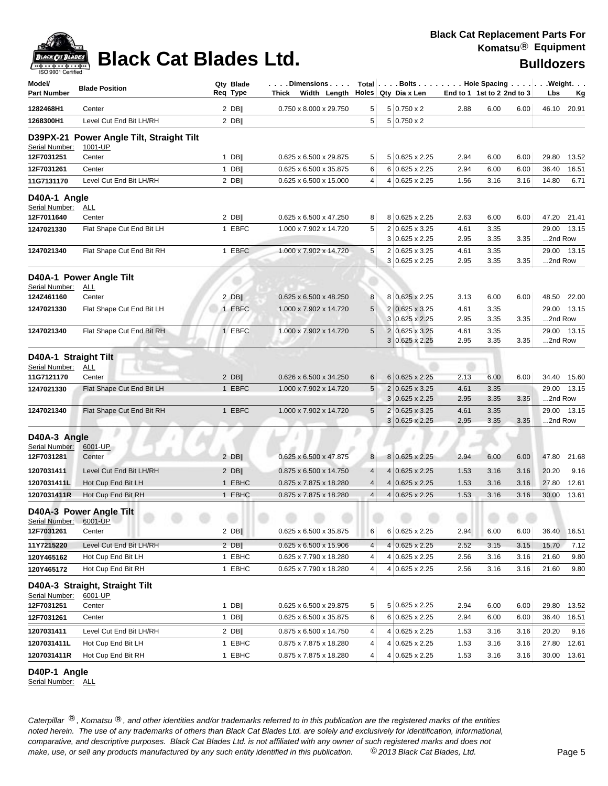

# **Black Cat Blades Ltd. Black Cat Blades Ltd. Black Cat Blades Ltd. Bulldozers**

| Model/<br><b>Part Number</b>           | <b>Blade Position</b>                               | Qty Blade<br>Req Type | .Dimensions<br>Thick Width Length |                |   | Total $\vert \ldots$ Bolts $\ldots \vert \ldots$ Hole Spacing $\ldots \vert \ldots$ Weight. $\ldots$<br>Holes Qty Dia x Len |              | End to 1 1st to 2 2nd to 3 |      | Lbs     | Kg          |
|----------------------------------------|-----------------------------------------------------|-----------------------|-----------------------------------|----------------|---|-----------------------------------------------------------------------------------------------------------------------------|--------------|----------------------------|------|---------|-------------|
| 1282468H1                              | Center                                              | $2$ DB                | 0.750 x 8.000 x 29.750            | 5              |   | $5 0.750 \times 2$                                                                                                          | 2.88         | 6.00                       | 6.00 |         | 46.10 20.91 |
| 1268300H1                              | Level Cut End Bit LH/RH                             | $2$ DB                |                                   | 5              |   | $5 0.750 \times 2$                                                                                                          |              |                            |      |         |             |
| Serial Number:                         | D39PX-21 Power Angle Tilt, Straight Tilt<br>1001-UP |                       |                                   |                |   |                                                                                                                             |              |                            |      |         |             |
| 12F7031251                             | Center                                              | 1 DB                  | 0.625 x 6.500 x 29.875            | 5              |   | 5 0.625 x 2.25                                                                                                              | 2.94         | 6.00                       | 6.00 | 29.80   | 13.52       |
| 12F7031261                             | Center                                              | $1$ DB                | 0.625 x 6.500 x 35.875            | 6              |   | 6 0.625 x 2.25                                                                                                              | 2.94         | 6.00                       | 6.00 | 36.40   | 16.51       |
| 11G7131170                             | Level Cut End Bit LH/RH                             | $2$ DB                | 0.625 x 6.500 x 15.000            | 4              |   | 4 0.625 x 2.25                                                                                                              | 1.56         | 3.16                       | 3.16 | 14.80   | 6.71        |
| D40A-1 Angle<br>Serial Number:         | <u>ALL</u>                                          |                       |                                   |                |   |                                                                                                                             |              |                            |      |         |             |
| 12F7011640                             | Center                                              | $2$ DB                | 0.625 x 6.500 x 47.250            | 8              |   | 8 0.625 x 2.25                                                                                                              | 2.63         | 6.00                       | 6.00 |         | 47.20 21.41 |
| 1247021330                             | Flat Shape Cut End Bit LH                           | 1 EBFC                | 1.000 x 7.902 x 14.720            | 5              |   | 2 0.625 x 3.25<br>$3 0.625 \times 2.25$                                                                                     | 4.61<br>2.95 | 3.35<br>3.35               | 3.35 | 2nd Row | 29.00 13.15 |
| 1247021340                             | Flat Shape Cut End Bit RH                           | 1 EBFC                | 1.000 x 7.902 x 14.720            | 5              |   | 2 0.625 x 3.25                                                                                                              | 4.61         | 3.35                       |      |         | 29.00 13.15 |
|                                        |                                                     |                       |                                   |                |   | $3 0.625 \times 2.25$                                                                                                       | 2.95         | 3.35                       | 3.35 | 2nd Row |             |
| Serial Number:                         | D40A-1 Power Angle Tilt<br>ALL                      |                       |                                   |                |   |                                                                                                                             |              |                            |      |         |             |
| 124Z461160                             | Center                                              | $2$ DB                | 0.625 x 6.500 x 48.250            | 8              |   | 8 0.625 x 2.25                                                                                                              | 3.13         | 6.00                       | 6.00 |         | 48.50 22.00 |
| 1247021330                             | Flat Shape Cut End Bit LH                           | 1 EBFC                | 1.000 x 7.902 x 14.720            | 5              |   | 2 0.625 x 3.25<br>$3 0.625 \times 2.25$                                                                                     | 4.61<br>2.95 | 3.35<br>3.35               | 3.35 | 2nd Row | 29.00 13.15 |
| 1247021340                             | Flat Shape Cut End Bit RH                           | 1 EBFC                | 1.000 x 7.902 x 14.720            | 5              |   | 2 0.625 x 3.25                                                                                                              | 4.61         | 3.35                       |      |         | 29.00 13.15 |
|                                        |                                                     |                       |                                   |                |   | $3 0.625 \times 2.25$                                                                                                       | 2.95         | 3.35                       | 3.35 | 2nd Row |             |
| D40A-1 Straight Tilt<br>Serial Number: | <b>ALL</b>                                          |                       |                                   |                |   |                                                                                                                             |              |                            |      |         |             |
| 11G7121170                             | Center                                              | $2$ DB                | 0.626 x 6.500 x 34.250            | 6              |   | $6 0.625 \times 2.25$                                                                                                       | 2.13         | 6.00                       | 6.00 |         | 34.40 15.60 |
| 1247021330                             | Flat Shape Cut End Bit LH                           | 1 EBFC                | 1.000 x 7.902 x 14.720            | 5              |   | 2 0.625 x 3.25                                                                                                              | 4.61         | 3.35                       |      | 29.00   | 13.15       |
|                                        |                                                     |                       |                                   |                |   | $3 0.625 \times 2.25$                                                                                                       | 2.95         | 3.35                       | 3.35 | 2nd Row |             |
| 1247021340                             | Flat Shape Cut End Bit RH                           | 1 EBFC                | 1.000 x 7.902 x 14.720            | 5              |   | 2 0.625 x 3.25<br>$3 0.625 \times 2.25$                                                                                     | 4.61<br>2.95 | 3.35<br>3.35               | 3.35 | 2nd Row | 29.00 13.15 |
| D40A-3 Angle<br>Serial Number:         | 6001-UP                                             |                       |                                   |                |   |                                                                                                                             |              |                            |      |         |             |
| 12F7031281                             | Center                                              | $2$ DB                | 0.625 x 6.500 x 47.875            | 8              |   | 8 0.625 x 2.25                                                                                                              | 2.94         | 6.00                       | 6.00 | 47.80   | 21.68       |
| 1207031411                             | Level Cut End Bit LH/RH                             | $2$ DB                | 0.875 x 6.500 x 14.750            | 4              | 4 | $0.625 \times 2.25$                                                                                                         | 1.53         | 3.16                       | 3.16 | 20.20   | 9.16        |
| 1207031411L                            | Hot Cup End Bit LH                                  | 1 EBHC                | 0.875 x 7.875 x 18.280            | 4              | 4 | $0.625 \times 2.25$                                                                                                         | 1.53         | 3.16                       | 3.16 | 27.80   | 12.61       |
| 1207031411R                            | Hot Cup End Bit RH                                  | 1 EBHC                | 0.875 x 7.875 x 18.280            | $\overline{4}$ |   | $4 0.625 \times 2.25$                                                                                                       | 1.53         | 3.16                       | 3.16 | 30.00   | 13.61       |
| Serial Number: 6001-UP                 | D40A-3 Power Angle Tilt                             |                       |                                   |                |   |                                                                                                                             |              |                            |      |         |             |
| 12F7031261                             | Center                                              | $2$ DB                | 0.625 x 6.500 x 35.875            | 6              |   | 6 0.625 x 2.25                                                                                                              | 2.94         | 6.00                       | 6.00 | 36.40   | 16.51       |
| 11Y7215220                             | Level Cut End Bit LH/RH                             | $2$ DB                | 0.625 x 6.500 x 15.906            | 4              |   | $4 0.625 \times 2.25$                                                                                                       | 2.52         | 3.15                       | 3.15 | 15.70   | 7.12        |
| 120Y465162                             | Hot Cup End Bit LH                                  | 1 EBHC                | 0.625 x 7.790 x 18.280            | 4              |   | 4 0.625 x 2.25                                                                                                              | 2.56         | 3.16                       | 3.16 | 21.60   | 9.80        |
| 120Y465172                             | Hot Cup End Bit RH                                  | 1 EBHC                | 0.625 x 7.790 x 18.280            | 4              |   | 4 0.625 x 2.25                                                                                                              | 2.56         | 3.16                       | 3.16 | 21.60   | 9.80        |
| Serial Number:                         | D40A-3 Straight, Straight Tilt<br>6001-UP           |                       |                                   |                |   |                                                                                                                             |              |                            |      |         |             |
| 12F7031251                             | Center                                              | 1 DB $  $             | 0.625 x 6.500 x 29.875            | 5              |   | 5 0.625 x 2.25                                                                                                              | 2.94         | 6.00                       | 6.00 | 29.80   | 13.52       |
| 12F7031261                             | Center                                              | 1 DB                  | 0.625 x 6.500 x 35.875            | 6              |   | 6 0.625 x 2.25                                                                                                              | 2.94         | 6.00                       | 6.00 | 36.40   | 16.51       |
| 1207031411                             | Level Cut End Bit LH/RH                             | 2 DB                  | 0.875 x 6.500 x 14.750            | 4              |   | $4 0.625 \times 2.25$                                                                                                       | 1.53         | 3.16                       | 3.16 | 20.20   | 9.16        |
| 1207031411L                            | Hot Cup End Bit LH                                  | 1 EBHC                | 0.875 x 7.875 x 18.280            | 4              | 4 | $0.625 \times 2.25$                                                                                                         | 1.53         | 3.16                       | 3.16 | 27.80   | 12.61       |
| 1207031411R                            | Hot Cup End Bit RH                                  | 1 EBHC                | 0.875 x 7.875 x 18.280            | 4              |   | 4 0.625 x 2.25                                                                                                              | 1.53         | 3.16                       | 3.16 | 30.00   | 13.61       |

### **D40P-1 Angle**

Serial Number: ALL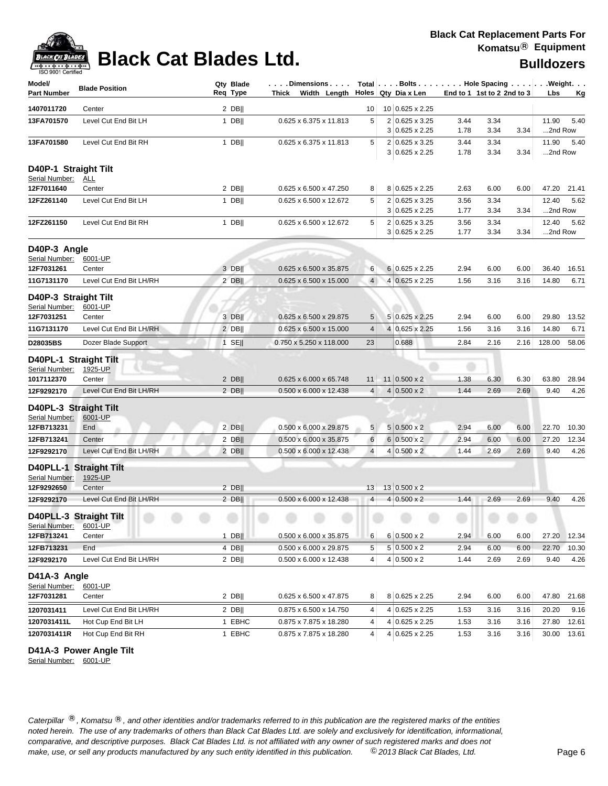

# **Black Cat Blades Ltd. Black Cat Blades Ltd. Bulldozers**

| 10 0.625 x 2.25<br>Center<br>$2$ DB  <br>1407011720<br>10<br>5<br>5.40<br>13FA701570<br>Level Cut End Bit LH<br>$1$ DB  <br>0.625 x 6.375 x 11.813<br>2 0.625 x 3.25<br>3.44<br>3.34<br>11.90<br>2nd Row<br>$3 0.625 \times 2.25$<br>1.78<br>3.34<br>3.34<br>$1$ DB  <br>5<br>2 0.625 x 3.25<br>3.34<br>11.90<br>Level Cut End Bit RH<br>0.625 x 6.375 x 11.813<br>3.44<br>5.40<br>13FA701580<br>3.34<br>2nd Row<br>$3 0.625 \times 2.25$<br>1.78<br>3.34<br>D40P-1 Straight Tilt<br>Serial Number:<br><u>ALL</u><br>$2$ DB  <br>0.625 x 6.500 x 47.250<br>8 0.625 x 2.25<br>Center<br>8<br>2.63<br>6.00<br>6.00<br>47.20<br>21.41<br>12F7011640<br>5<br>2 0.625 x 3.25<br>5.62<br>12FZ261140<br>Level Cut End Bit LH<br>$1$ DB  <br>0.625 x 6.500 x 12.672<br>3.56<br>3.34<br>12.40<br>2nd Row<br>$3 0.625 \times 2.25$<br>1.77<br>3.34<br>3.34<br>5<br>12FZ261150<br>$1$ DB  <br>2 0.625 x 3.25<br>12.40<br>5.62<br>Level Cut End Bit RH<br>0.625 x 6.500 x 12.672<br>3.56<br>3.34<br>$3 0.625 \times 2.25$<br>1.77<br>3.34<br>3.34<br>2nd Row<br>D40P-3 Angle<br>Serial Number:<br>6001-UP<br>6 0.625 x 2.25<br>12F7031261<br>3 DB  <br>0.625 x 6.500 x 35.875<br>6<br>2.94<br>6.00<br>6.00<br>36.40<br>16.51<br>Center<br>4<br>4 0.625 x 2.25<br>11G7131170<br>Level Cut End Bit LH/RH<br>$2$ DB  <br>0.625 x 6.500 x 15.000<br>1.56<br>3.16<br>3.16<br>14.80<br>6.71<br>D40P-3 Straight Tilt<br>Serial Number:<br>6001-UP<br>12F7031251<br>3 DB  <br>0.625 x 6.500 x 29.875<br>5<br>5 0.625 x 2.25<br>2.94<br>6.00<br>6.00<br>29.80<br>13.52<br>Center<br>11G7131170<br>Level Cut End Bit LH/RH<br>$2$ DB  <br>0.625 x 6.500 x 15.000<br>$\overline{4}$<br>4 0.625 x 2.25<br>1.56<br>3.16<br>3.16<br>14.80<br>6.71<br>D28035BS<br>Dozer Blade Support<br>$1$ SE<br>0.750 x 5.250 x 118.000<br>23<br>0.688<br>2.84<br>2.16<br>128.00<br>58.06<br>2.16<br>D40PL-1 Straight Tilt<br>e<br>1925-UP<br>Serial Number:<br>$2$ DB  <br>0.625 x 6.000 x 65.748<br>$11 0.500 \times 2$<br>6.30<br>6.30<br>28.94<br>11<br>1.38<br>63.80<br>1017112370<br>Center<br>$4 0.500 \times 2$<br>Level Cut End Bit LH/RH<br>2 DBII<br>$0.500 \times 6.000 \times 12.438$<br>$\overline{4}$<br>1.44<br>2.69<br>2.69<br>9.40<br>4.26<br>12F9292170<br>D40PL-3 Straight Tilt<br>Serial Number:<br>6001-UP<br>5<br>$2$ DB  <br>$5 0.500 \times 2$<br>12FB713231<br>End<br>0.500 x 6.000 x 29.875<br>2.94<br>6.00<br>6.00<br>22.70<br>10.30<br>$0.500 \times 6.000 \times 35.875$<br>6<br>$6 0.500 \times 2$<br>2.94<br>12.34<br>12FB713241<br>Center<br>$2$ DB  <br>6.00<br>6.00<br>27.20<br>$\overline{4}$<br>$4 0.500 \times 2$<br>4.26<br>12F9292170<br>Level Cut End Bit LH/RH<br>$2$ DB  <br>0.500 x 6.000 x 12.438<br>1.44<br>2.69<br>2.69<br>9.40<br>D40PLL-1 Straight Tilt<br>1925-UP<br>Serial Number:<br>$2$ DB  <br>13<br>13   0.500 x 2<br>12F9292650<br>Center<br>Level Cut End Bit LH/RH<br>$0.500 \times 6.000 \times 12.438$<br>$4 0.500 \times 2$<br>4.26<br>12F9292170<br>$2$ DB  <br>4<br>2.69<br>2.69<br>9.40<br>1.44<br>D40PLL-3 Straight Tilt<br>Serial Number:<br>6001-UP<br>$6 0.500 \times 2$<br>$1$ DB  <br>27.20 12.34<br>12FB713241<br>Center<br>$0.500 \times 6.000 \times 35.875$<br>6<br>2.94<br>6.00<br>6.00<br>$5 0.500 \times 2$<br>4 DB  <br>5<br>End<br>$0.500 \times 6.000 \times 29.875$<br>2.94<br>6.00<br>6.00<br>22.70<br>10.30<br>12FB713231<br>12F9292170<br>Level Cut End Bit LH/RH<br>$2$ DB  <br>0.500 x 6.000 x 12.438<br>4<br>$4 0.500 \times 2$<br>1.44<br>2.69<br>2.69<br>9.40<br>4.26<br>D41A-3 Angle<br>Serial Number:<br>6001-UP<br>$2$ DB  <br>8 0.625 x 2.25<br>12F7031281<br>0.625 x 6.500 x 47.875<br>8<br>2.94<br>6.00<br>6.00<br>47.80<br>21.68<br>Center<br>1207031411<br>Level Cut End Bit LH/RH<br>$2$ DB  <br>0.875 x 6.500 x 14.750<br>4<br>4 0.625 x 2.25<br>20.20<br>9.16<br>1.53<br>3.16<br>3.16<br>1207031411L<br>1 EBHC<br>Hot Cup End Bit LH<br>0.875 x 7.875 x 18.280<br>4<br>4 0.625 x 2.25<br>3.16<br>27.80<br>12.61<br>1.53<br>3.16<br>1207031411R<br>1 EBHC<br>4<br>Hot Cup End Bit RH<br>0.875 x 7.875 x 18.280<br>4 0.625 x 2.25<br>1.53<br>3.16<br>30.00<br>13.61<br>3.16 | Model/<br><b>Part Number</b> | <b>Blade Position</b> | Qty Blade<br>Req Type | Dimensions<br>Thick Width Length $\vert$ Holes Qty Dia x Len | Total   Bolts   Hole Spacing   Weight. | End to 1 1st to 2 2nd to 3 | Lbs<br><u>Kg</u> |
|---------------------------------------------------------------------------------------------------------------------------------------------------------------------------------------------------------------------------------------------------------------------------------------------------------------------------------------------------------------------------------------------------------------------------------------------------------------------------------------------------------------------------------------------------------------------------------------------------------------------------------------------------------------------------------------------------------------------------------------------------------------------------------------------------------------------------------------------------------------------------------------------------------------------------------------------------------------------------------------------------------------------------------------------------------------------------------------------------------------------------------------------------------------------------------------------------------------------------------------------------------------------------------------------------------------------------------------------------------------------------------------------------------------------------------------------------------------------------------------------------------------------------------------------------------------------------------------------------------------------------------------------------------------------------------------------------------------------------------------------------------------------------------------------------------------------------------------------------------------------------------------------------------------------------------------------------------------------------------------------------------------------------------------------------------------------------------------------------------------------------------------------------------------------------------------------------------------------------------------------------------------------------------------------------------------------------------------------------------------------------------------------------------------------------------------------------------------------------------------------------------------------------------------------------------------------------------------------------------------------------------------------------------------------------------------------------------------------------------------------------------------------------------------------------------------------------------------------------------------------------------------------------------------------------------------------------------------------------------------------------------------------------------------------------------------------------------------------------------------------------------------------------------------------------------------------------------------------------------------------------------------------------------------------------------------------------------------------------------------------------------------------------------------------------------------------------------------------------------------------------------------------------------------------------------------------------------------------------------------------------------------------------------------------------------------------------------------------------------------------------------------------------------------------------------------------------------------------------------------------------------------------------------------------------------------------------------------------------------------------------------------------------------------------------------------------------------------------------------------------------------------|------------------------------|-----------------------|-----------------------|--------------------------------------------------------------|----------------------------------------|----------------------------|------------------|
|                                                                                                                                                                                                                                                                                                                                                                                                                                                                                                                                                                                                                                                                                                                                                                                                                                                                                                                                                                                                                                                                                                                                                                                                                                                                                                                                                                                                                                                                                                                                                                                                                                                                                                                                                                                                                                                                                                                                                                                                                                                                                                                                                                                                                                                                                                                                                                                                                                                                                                                                                                                                                                                                                                                                                                                                                                                                                                                                                                                                                                                                                                                                                                                                                                                                                                                                                                                                                                                                                                                                                                                                                                                                                                                                                                                                                                                                                                                                                                                                                                                                                                                                       |                              |                       |                       |                                                              |                                        |                            |                  |
|                                                                                                                                                                                                                                                                                                                                                                                                                                                                                                                                                                                                                                                                                                                                                                                                                                                                                                                                                                                                                                                                                                                                                                                                                                                                                                                                                                                                                                                                                                                                                                                                                                                                                                                                                                                                                                                                                                                                                                                                                                                                                                                                                                                                                                                                                                                                                                                                                                                                                                                                                                                                                                                                                                                                                                                                                                                                                                                                                                                                                                                                                                                                                                                                                                                                                                                                                                                                                                                                                                                                                                                                                                                                                                                                                                                                                                                                                                                                                                                                                                                                                                                                       |                              |                       |                       |                                                              |                                        |                            |                  |
|                                                                                                                                                                                                                                                                                                                                                                                                                                                                                                                                                                                                                                                                                                                                                                                                                                                                                                                                                                                                                                                                                                                                                                                                                                                                                                                                                                                                                                                                                                                                                                                                                                                                                                                                                                                                                                                                                                                                                                                                                                                                                                                                                                                                                                                                                                                                                                                                                                                                                                                                                                                                                                                                                                                                                                                                                                                                                                                                                                                                                                                                                                                                                                                                                                                                                                                                                                                                                                                                                                                                                                                                                                                                                                                                                                                                                                                                                                                                                                                                                                                                                                                                       |                              |                       |                       |                                                              |                                        |                            |                  |
|                                                                                                                                                                                                                                                                                                                                                                                                                                                                                                                                                                                                                                                                                                                                                                                                                                                                                                                                                                                                                                                                                                                                                                                                                                                                                                                                                                                                                                                                                                                                                                                                                                                                                                                                                                                                                                                                                                                                                                                                                                                                                                                                                                                                                                                                                                                                                                                                                                                                                                                                                                                                                                                                                                                                                                                                                                                                                                                                                                                                                                                                                                                                                                                                                                                                                                                                                                                                                                                                                                                                                                                                                                                                                                                                                                                                                                                                                                                                                                                                                                                                                                                                       |                              |                       |                       |                                                              |                                        |                            |                  |
|                                                                                                                                                                                                                                                                                                                                                                                                                                                                                                                                                                                                                                                                                                                                                                                                                                                                                                                                                                                                                                                                                                                                                                                                                                                                                                                                                                                                                                                                                                                                                                                                                                                                                                                                                                                                                                                                                                                                                                                                                                                                                                                                                                                                                                                                                                                                                                                                                                                                                                                                                                                                                                                                                                                                                                                                                                                                                                                                                                                                                                                                                                                                                                                                                                                                                                                                                                                                                                                                                                                                                                                                                                                                                                                                                                                                                                                                                                                                                                                                                                                                                                                                       |                              |                       |                       |                                                              |                                        |                            |                  |
|                                                                                                                                                                                                                                                                                                                                                                                                                                                                                                                                                                                                                                                                                                                                                                                                                                                                                                                                                                                                                                                                                                                                                                                                                                                                                                                                                                                                                                                                                                                                                                                                                                                                                                                                                                                                                                                                                                                                                                                                                                                                                                                                                                                                                                                                                                                                                                                                                                                                                                                                                                                                                                                                                                                                                                                                                                                                                                                                                                                                                                                                                                                                                                                                                                                                                                                                                                                                                                                                                                                                                                                                                                                                                                                                                                                                                                                                                                                                                                                                                                                                                                                                       |                              |                       |                       |                                                              |                                        |                            |                  |
|                                                                                                                                                                                                                                                                                                                                                                                                                                                                                                                                                                                                                                                                                                                                                                                                                                                                                                                                                                                                                                                                                                                                                                                                                                                                                                                                                                                                                                                                                                                                                                                                                                                                                                                                                                                                                                                                                                                                                                                                                                                                                                                                                                                                                                                                                                                                                                                                                                                                                                                                                                                                                                                                                                                                                                                                                                                                                                                                                                                                                                                                                                                                                                                                                                                                                                                                                                                                                                                                                                                                                                                                                                                                                                                                                                                                                                                                                                                                                                                                                                                                                                                                       |                              |                       |                       |                                                              |                                        |                            |                  |
|                                                                                                                                                                                                                                                                                                                                                                                                                                                                                                                                                                                                                                                                                                                                                                                                                                                                                                                                                                                                                                                                                                                                                                                                                                                                                                                                                                                                                                                                                                                                                                                                                                                                                                                                                                                                                                                                                                                                                                                                                                                                                                                                                                                                                                                                                                                                                                                                                                                                                                                                                                                                                                                                                                                                                                                                                                                                                                                                                                                                                                                                                                                                                                                                                                                                                                                                                                                                                                                                                                                                                                                                                                                                                                                                                                                                                                                                                                                                                                                                                                                                                                                                       |                              |                       |                       |                                                              |                                        |                            |                  |
|                                                                                                                                                                                                                                                                                                                                                                                                                                                                                                                                                                                                                                                                                                                                                                                                                                                                                                                                                                                                                                                                                                                                                                                                                                                                                                                                                                                                                                                                                                                                                                                                                                                                                                                                                                                                                                                                                                                                                                                                                                                                                                                                                                                                                                                                                                                                                                                                                                                                                                                                                                                                                                                                                                                                                                                                                                                                                                                                                                                                                                                                                                                                                                                                                                                                                                                                                                                                                                                                                                                                                                                                                                                                                                                                                                                                                                                                                                                                                                                                                                                                                                                                       |                              |                       |                       |                                                              |                                        |                            |                  |
|                                                                                                                                                                                                                                                                                                                                                                                                                                                                                                                                                                                                                                                                                                                                                                                                                                                                                                                                                                                                                                                                                                                                                                                                                                                                                                                                                                                                                                                                                                                                                                                                                                                                                                                                                                                                                                                                                                                                                                                                                                                                                                                                                                                                                                                                                                                                                                                                                                                                                                                                                                                                                                                                                                                                                                                                                                                                                                                                                                                                                                                                                                                                                                                                                                                                                                                                                                                                                                                                                                                                                                                                                                                                                                                                                                                                                                                                                                                                                                                                                                                                                                                                       |                              |                       |                       |                                                              |                                        |                            |                  |
|                                                                                                                                                                                                                                                                                                                                                                                                                                                                                                                                                                                                                                                                                                                                                                                                                                                                                                                                                                                                                                                                                                                                                                                                                                                                                                                                                                                                                                                                                                                                                                                                                                                                                                                                                                                                                                                                                                                                                                                                                                                                                                                                                                                                                                                                                                                                                                                                                                                                                                                                                                                                                                                                                                                                                                                                                                                                                                                                                                                                                                                                                                                                                                                                                                                                                                                                                                                                                                                                                                                                                                                                                                                                                                                                                                                                                                                                                                                                                                                                                                                                                                                                       |                              |                       |                       |                                                              |                                        |                            |                  |
|                                                                                                                                                                                                                                                                                                                                                                                                                                                                                                                                                                                                                                                                                                                                                                                                                                                                                                                                                                                                                                                                                                                                                                                                                                                                                                                                                                                                                                                                                                                                                                                                                                                                                                                                                                                                                                                                                                                                                                                                                                                                                                                                                                                                                                                                                                                                                                                                                                                                                                                                                                                                                                                                                                                                                                                                                                                                                                                                                                                                                                                                                                                                                                                                                                                                                                                                                                                                                                                                                                                                                                                                                                                                                                                                                                                                                                                                                                                                                                                                                                                                                                                                       |                              |                       |                       |                                                              |                                        |                            |                  |
|                                                                                                                                                                                                                                                                                                                                                                                                                                                                                                                                                                                                                                                                                                                                                                                                                                                                                                                                                                                                                                                                                                                                                                                                                                                                                                                                                                                                                                                                                                                                                                                                                                                                                                                                                                                                                                                                                                                                                                                                                                                                                                                                                                                                                                                                                                                                                                                                                                                                                                                                                                                                                                                                                                                                                                                                                                                                                                                                                                                                                                                                                                                                                                                                                                                                                                                                                                                                                                                                                                                                                                                                                                                                                                                                                                                                                                                                                                                                                                                                                                                                                                                                       |                              |                       |                       |                                                              |                                        |                            |                  |
|                                                                                                                                                                                                                                                                                                                                                                                                                                                                                                                                                                                                                                                                                                                                                                                                                                                                                                                                                                                                                                                                                                                                                                                                                                                                                                                                                                                                                                                                                                                                                                                                                                                                                                                                                                                                                                                                                                                                                                                                                                                                                                                                                                                                                                                                                                                                                                                                                                                                                                                                                                                                                                                                                                                                                                                                                                                                                                                                                                                                                                                                                                                                                                                                                                                                                                                                                                                                                                                                                                                                                                                                                                                                                                                                                                                                                                                                                                                                                                                                                                                                                                                                       |                              |                       |                       |                                                              |                                        |                            |                  |
|                                                                                                                                                                                                                                                                                                                                                                                                                                                                                                                                                                                                                                                                                                                                                                                                                                                                                                                                                                                                                                                                                                                                                                                                                                                                                                                                                                                                                                                                                                                                                                                                                                                                                                                                                                                                                                                                                                                                                                                                                                                                                                                                                                                                                                                                                                                                                                                                                                                                                                                                                                                                                                                                                                                                                                                                                                                                                                                                                                                                                                                                                                                                                                                                                                                                                                                                                                                                                                                                                                                                                                                                                                                                                                                                                                                                                                                                                                                                                                                                                                                                                                                                       |                              |                       |                       |                                                              |                                        |                            |                  |
|                                                                                                                                                                                                                                                                                                                                                                                                                                                                                                                                                                                                                                                                                                                                                                                                                                                                                                                                                                                                                                                                                                                                                                                                                                                                                                                                                                                                                                                                                                                                                                                                                                                                                                                                                                                                                                                                                                                                                                                                                                                                                                                                                                                                                                                                                                                                                                                                                                                                                                                                                                                                                                                                                                                                                                                                                                                                                                                                                                                                                                                                                                                                                                                                                                                                                                                                                                                                                                                                                                                                                                                                                                                                                                                                                                                                                                                                                                                                                                                                                                                                                                                                       |                              |                       |                       |                                                              |                                        |                            |                  |
|                                                                                                                                                                                                                                                                                                                                                                                                                                                                                                                                                                                                                                                                                                                                                                                                                                                                                                                                                                                                                                                                                                                                                                                                                                                                                                                                                                                                                                                                                                                                                                                                                                                                                                                                                                                                                                                                                                                                                                                                                                                                                                                                                                                                                                                                                                                                                                                                                                                                                                                                                                                                                                                                                                                                                                                                                                                                                                                                                                                                                                                                                                                                                                                                                                                                                                                                                                                                                                                                                                                                                                                                                                                                                                                                                                                                                                                                                                                                                                                                                                                                                                                                       |                              |                       |                       |                                                              |                                        |                            |                  |
|                                                                                                                                                                                                                                                                                                                                                                                                                                                                                                                                                                                                                                                                                                                                                                                                                                                                                                                                                                                                                                                                                                                                                                                                                                                                                                                                                                                                                                                                                                                                                                                                                                                                                                                                                                                                                                                                                                                                                                                                                                                                                                                                                                                                                                                                                                                                                                                                                                                                                                                                                                                                                                                                                                                                                                                                                                                                                                                                                                                                                                                                                                                                                                                                                                                                                                                                                                                                                                                                                                                                                                                                                                                                                                                                                                                                                                                                                                                                                                                                                                                                                                                                       |                              |                       |                       |                                                              |                                        |                            |                  |
|                                                                                                                                                                                                                                                                                                                                                                                                                                                                                                                                                                                                                                                                                                                                                                                                                                                                                                                                                                                                                                                                                                                                                                                                                                                                                                                                                                                                                                                                                                                                                                                                                                                                                                                                                                                                                                                                                                                                                                                                                                                                                                                                                                                                                                                                                                                                                                                                                                                                                                                                                                                                                                                                                                                                                                                                                                                                                                                                                                                                                                                                                                                                                                                                                                                                                                                                                                                                                                                                                                                                                                                                                                                                                                                                                                                                                                                                                                                                                                                                                                                                                                                                       |                              |                       |                       |                                                              |                                        |                            |                  |
|                                                                                                                                                                                                                                                                                                                                                                                                                                                                                                                                                                                                                                                                                                                                                                                                                                                                                                                                                                                                                                                                                                                                                                                                                                                                                                                                                                                                                                                                                                                                                                                                                                                                                                                                                                                                                                                                                                                                                                                                                                                                                                                                                                                                                                                                                                                                                                                                                                                                                                                                                                                                                                                                                                                                                                                                                                                                                                                                                                                                                                                                                                                                                                                                                                                                                                                                                                                                                                                                                                                                                                                                                                                                                                                                                                                                                                                                                                                                                                                                                                                                                                                                       |                              |                       |                       |                                                              |                                        |                            |                  |
|                                                                                                                                                                                                                                                                                                                                                                                                                                                                                                                                                                                                                                                                                                                                                                                                                                                                                                                                                                                                                                                                                                                                                                                                                                                                                                                                                                                                                                                                                                                                                                                                                                                                                                                                                                                                                                                                                                                                                                                                                                                                                                                                                                                                                                                                                                                                                                                                                                                                                                                                                                                                                                                                                                                                                                                                                                                                                                                                                                                                                                                                                                                                                                                                                                                                                                                                                                                                                                                                                                                                                                                                                                                                                                                                                                                                                                                                                                                                                                                                                                                                                                                                       |                              |                       |                       |                                                              |                                        |                            |                  |
|                                                                                                                                                                                                                                                                                                                                                                                                                                                                                                                                                                                                                                                                                                                                                                                                                                                                                                                                                                                                                                                                                                                                                                                                                                                                                                                                                                                                                                                                                                                                                                                                                                                                                                                                                                                                                                                                                                                                                                                                                                                                                                                                                                                                                                                                                                                                                                                                                                                                                                                                                                                                                                                                                                                                                                                                                                                                                                                                                                                                                                                                                                                                                                                                                                                                                                                                                                                                                                                                                                                                                                                                                                                                                                                                                                                                                                                                                                                                                                                                                                                                                                                                       |                              |                       |                       |                                                              |                                        |                            |                  |
|                                                                                                                                                                                                                                                                                                                                                                                                                                                                                                                                                                                                                                                                                                                                                                                                                                                                                                                                                                                                                                                                                                                                                                                                                                                                                                                                                                                                                                                                                                                                                                                                                                                                                                                                                                                                                                                                                                                                                                                                                                                                                                                                                                                                                                                                                                                                                                                                                                                                                                                                                                                                                                                                                                                                                                                                                                                                                                                                                                                                                                                                                                                                                                                                                                                                                                                                                                                                                                                                                                                                                                                                                                                                                                                                                                                                                                                                                                                                                                                                                                                                                                                                       |                              |                       |                       |                                                              |                                        |                            |                  |
|                                                                                                                                                                                                                                                                                                                                                                                                                                                                                                                                                                                                                                                                                                                                                                                                                                                                                                                                                                                                                                                                                                                                                                                                                                                                                                                                                                                                                                                                                                                                                                                                                                                                                                                                                                                                                                                                                                                                                                                                                                                                                                                                                                                                                                                                                                                                                                                                                                                                                                                                                                                                                                                                                                                                                                                                                                                                                                                                                                                                                                                                                                                                                                                                                                                                                                                                                                                                                                                                                                                                                                                                                                                                                                                                                                                                                                                                                                                                                                                                                                                                                                                                       |                              |                       |                       |                                                              |                                        |                            |                  |
|                                                                                                                                                                                                                                                                                                                                                                                                                                                                                                                                                                                                                                                                                                                                                                                                                                                                                                                                                                                                                                                                                                                                                                                                                                                                                                                                                                                                                                                                                                                                                                                                                                                                                                                                                                                                                                                                                                                                                                                                                                                                                                                                                                                                                                                                                                                                                                                                                                                                                                                                                                                                                                                                                                                                                                                                                                                                                                                                                                                                                                                                                                                                                                                                                                                                                                                                                                                                                                                                                                                                                                                                                                                                                                                                                                                                                                                                                                                                                                                                                                                                                                                                       |                              |                       |                       |                                                              |                                        |                            |                  |
|                                                                                                                                                                                                                                                                                                                                                                                                                                                                                                                                                                                                                                                                                                                                                                                                                                                                                                                                                                                                                                                                                                                                                                                                                                                                                                                                                                                                                                                                                                                                                                                                                                                                                                                                                                                                                                                                                                                                                                                                                                                                                                                                                                                                                                                                                                                                                                                                                                                                                                                                                                                                                                                                                                                                                                                                                                                                                                                                                                                                                                                                                                                                                                                                                                                                                                                                                                                                                                                                                                                                                                                                                                                                                                                                                                                                                                                                                                                                                                                                                                                                                                                                       |                              |                       |                       |                                                              |                                        |                            |                  |
|                                                                                                                                                                                                                                                                                                                                                                                                                                                                                                                                                                                                                                                                                                                                                                                                                                                                                                                                                                                                                                                                                                                                                                                                                                                                                                                                                                                                                                                                                                                                                                                                                                                                                                                                                                                                                                                                                                                                                                                                                                                                                                                                                                                                                                                                                                                                                                                                                                                                                                                                                                                                                                                                                                                                                                                                                                                                                                                                                                                                                                                                                                                                                                                                                                                                                                                                                                                                                                                                                                                                                                                                                                                                                                                                                                                                                                                                                                                                                                                                                                                                                                                                       |                              |                       |                       |                                                              |                                        |                            |                  |
|                                                                                                                                                                                                                                                                                                                                                                                                                                                                                                                                                                                                                                                                                                                                                                                                                                                                                                                                                                                                                                                                                                                                                                                                                                                                                                                                                                                                                                                                                                                                                                                                                                                                                                                                                                                                                                                                                                                                                                                                                                                                                                                                                                                                                                                                                                                                                                                                                                                                                                                                                                                                                                                                                                                                                                                                                                                                                                                                                                                                                                                                                                                                                                                                                                                                                                                                                                                                                                                                                                                                                                                                                                                                                                                                                                                                                                                                                                                                                                                                                                                                                                                                       |                              |                       |                       |                                                              |                                        |                            |                  |
|                                                                                                                                                                                                                                                                                                                                                                                                                                                                                                                                                                                                                                                                                                                                                                                                                                                                                                                                                                                                                                                                                                                                                                                                                                                                                                                                                                                                                                                                                                                                                                                                                                                                                                                                                                                                                                                                                                                                                                                                                                                                                                                                                                                                                                                                                                                                                                                                                                                                                                                                                                                                                                                                                                                                                                                                                                                                                                                                                                                                                                                                                                                                                                                                                                                                                                                                                                                                                                                                                                                                                                                                                                                                                                                                                                                                                                                                                                                                                                                                                                                                                                                                       |                              |                       |                       |                                                              |                                        |                            |                  |
|                                                                                                                                                                                                                                                                                                                                                                                                                                                                                                                                                                                                                                                                                                                                                                                                                                                                                                                                                                                                                                                                                                                                                                                                                                                                                                                                                                                                                                                                                                                                                                                                                                                                                                                                                                                                                                                                                                                                                                                                                                                                                                                                                                                                                                                                                                                                                                                                                                                                                                                                                                                                                                                                                                                                                                                                                                                                                                                                                                                                                                                                                                                                                                                                                                                                                                                                                                                                                                                                                                                                                                                                                                                                                                                                                                                                                                                                                                                                                                                                                                                                                                                                       |                              |                       |                       |                                                              |                                        |                            |                  |
|                                                                                                                                                                                                                                                                                                                                                                                                                                                                                                                                                                                                                                                                                                                                                                                                                                                                                                                                                                                                                                                                                                                                                                                                                                                                                                                                                                                                                                                                                                                                                                                                                                                                                                                                                                                                                                                                                                                                                                                                                                                                                                                                                                                                                                                                                                                                                                                                                                                                                                                                                                                                                                                                                                                                                                                                                                                                                                                                                                                                                                                                                                                                                                                                                                                                                                                                                                                                                                                                                                                                                                                                                                                                                                                                                                                                                                                                                                                                                                                                                                                                                                                                       |                              |                       |                       |                                                              |                                        |                            |                  |
|                                                                                                                                                                                                                                                                                                                                                                                                                                                                                                                                                                                                                                                                                                                                                                                                                                                                                                                                                                                                                                                                                                                                                                                                                                                                                                                                                                                                                                                                                                                                                                                                                                                                                                                                                                                                                                                                                                                                                                                                                                                                                                                                                                                                                                                                                                                                                                                                                                                                                                                                                                                                                                                                                                                                                                                                                                                                                                                                                                                                                                                                                                                                                                                                                                                                                                                                                                                                                                                                                                                                                                                                                                                                                                                                                                                                                                                                                                                                                                                                                                                                                                                                       |                              |                       |                       |                                                              |                                        |                            |                  |
|                                                                                                                                                                                                                                                                                                                                                                                                                                                                                                                                                                                                                                                                                                                                                                                                                                                                                                                                                                                                                                                                                                                                                                                                                                                                                                                                                                                                                                                                                                                                                                                                                                                                                                                                                                                                                                                                                                                                                                                                                                                                                                                                                                                                                                                                                                                                                                                                                                                                                                                                                                                                                                                                                                                                                                                                                                                                                                                                                                                                                                                                                                                                                                                                                                                                                                                                                                                                                                                                                                                                                                                                                                                                                                                                                                                                                                                                                                                                                                                                                                                                                                                                       |                              |                       |                       |                                                              |                                        |                            |                  |
|                                                                                                                                                                                                                                                                                                                                                                                                                                                                                                                                                                                                                                                                                                                                                                                                                                                                                                                                                                                                                                                                                                                                                                                                                                                                                                                                                                                                                                                                                                                                                                                                                                                                                                                                                                                                                                                                                                                                                                                                                                                                                                                                                                                                                                                                                                                                                                                                                                                                                                                                                                                                                                                                                                                                                                                                                                                                                                                                                                                                                                                                                                                                                                                                                                                                                                                                                                                                                                                                                                                                                                                                                                                                                                                                                                                                                                                                                                                                                                                                                                                                                                                                       |                              |                       |                       |                                                              |                                        |                            |                  |
|                                                                                                                                                                                                                                                                                                                                                                                                                                                                                                                                                                                                                                                                                                                                                                                                                                                                                                                                                                                                                                                                                                                                                                                                                                                                                                                                                                                                                                                                                                                                                                                                                                                                                                                                                                                                                                                                                                                                                                                                                                                                                                                                                                                                                                                                                                                                                                                                                                                                                                                                                                                                                                                                                                                                                                                                                                                                                                                                                                                                                                                                                                                                                                                                                                                                                                                                                                                                                                                                                                                                                                                                                                                                                                                                                                                                                                                                                                                                                                                                                                                                                                                                       |                              |                       |                       |                                                              |                                        |                            |                  |
|                                                                                                                                                                                                                                                                                                                                                                                                                                                                                                                                                                                                                                                                                                                                                                                                                                                                                                                                                                                                                                                                                                                                                                                                                                                                                                                                                                                                                                                                                                                                                                                                                                                                                                                                                                                                                                                                                                                                                                                                                                                                                                                                                                                                                                                                                                                                                                                                                                                                                                                                                                                                                                                                                                                                                                                                                                                                                                                                                                                                                                                                                                                                                                                                                                                                                                                                                                                                                                                                                                                                                                                                                                                                                                                                                                                                                                                                                                                                                                                                                                                                                                                                       |                              |                       |                       |                                                              |                                        |                            |                  |
|                                                                                                                                                                                                                                                                                                                                                                                                                                                                                                                                                                                                                                                                                                                                                                                                                                                                                                                                                                                                                                                                                                                                                                                                                                                                                                                                                                                                                                                                                                                                                                                                                                                                                                                                                                                                                                                                                                                                                                                                                                                                                                                                                                                                                                                                                                                                                                                                                                                                                                                                                                                                                                                                                                                                                                                                                                                                                                                                                                                                                                                                                                                                                                                                                                                                                                                                                                                                                                                                                                                                                                                                                                                                                                                                                                                                                                                                                                                                                                                                                                                                                                                                       |                              |                       |                       |                                                              |                                        |                            |                  |
|                                                                                                                                                                                                                                                                                                                                                                                                                                                                                                                                                                                                                                                                                                                                                                                                                                                                                                                                                                                                                                                                                                                                                                                                                                                                                                                                                                                                                                                                                                                                                                                                                                                                                                                                                                                                                                                                                                                                                                                                                                                                                                                                                                                                                                                                                                                                                                                                                                                                                                                                                                                                                                                                                                                                                                                                                                                                                                                                                                                                                                                                                                                                                                                                                                                                                                                                                                                                                                                                                                                                                                                                                                                                                                                                                                                                                                                                                                                                                                                                                                                                                                                                       |                              |                       |                       |                                                              |                                        |                            |                  |
|                                                                                                                                                                                                                                                                                                                                                                                                                                                                                                                                                                                                                                                                                                                                                                                                                                                                                                                                                                                                                                                                                                                                                                                                                                                                                                                                                                                                                                                                                                                                                                                                                                                                                                                                                                                                                                                                                                                                                                                                                                                                                                                                                                                                                                                                                                                                                                                                                                                                                                                                                                                                                                                                                                                                                                                                                                                                                                                                                                                                                                                                                                                                                                                                                                                                                                                                                                                                                                                                                                                                                                                                                                                                                                                                                                                                                                                                                                                                                                                                                                                                                                                                       |                              |                       |                       |                                                              |                                        |                            |                  |

### **D41A-3 Power Angle Tilt**

Serial Number: 6001-UP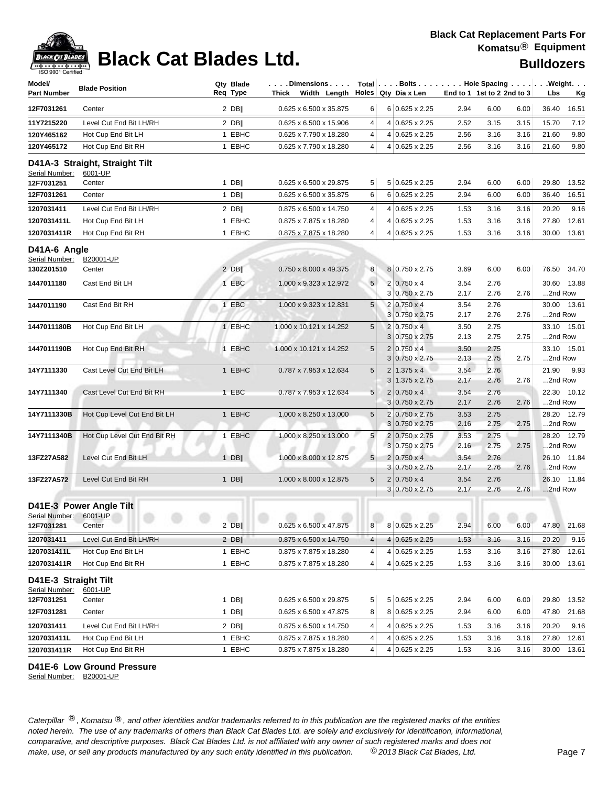| Model/<br>Part Number                  | <b>Blade Position</b>                     | Qty Blade<br>Req Type | $\left  \ldots \right.$ Dimensions $\ldots$   Total $\left  \ldots \right.$ Bolts $\ldots$ Hole Spacing $\ldots$ Weight.<br>Thick Width Length Holes Qty Dia x Len |                 |   |                                             |              | End to 1 1st to 2 2nd to 3 |      | Lbs     | <u>Kg</u>   |
|----------------------------------------|-------------------------------------------|-----------------------|--------------------------------------------------------------------------------------------------------------------------------------------------------------------|-----------------|---|---------------------------------------------|--------------|----------------------------|------|---------|-------------|
| 12F7031261                             | Center                                    | $2$ DB                | 0.625 x 6.500 x 35.875                                                                                                                                             | 6               |   | $6 0.625 \times 2.25$                       | 2.94         | 6.00                       | 6.00 | 36.40   | 16.51       |
| 11Y7215220                             | Level Cut End Bit LH/RH                   | $2$ DB                | 0.625 x 6.500 x 15.906                                                                                                                                             | 4               |   | 4 0.625 x 2.25                              | 2.52         | 3.15                       | 3.15 | 15.70   | 7.12        |
| 120Y465162                             | Hot Cup End Bit LH                        | 1 EBHC                | 0.625 x 7.790 x 18.280                                                                                                                                             | 4               |   | 4 0.625 x 2.25                              | 2.56         | 3.16                       | 3.16 | 21.60   | 9.80        |
| 120Y465172                             | Hot Cup End Bit RH                        | 1 EBHC                | 0.625 x 7.790 x 18.280                                                                                                                                             | 4               |   | 4 0.625 x 2.25                              | 2.56         | 3.16                       | 3.16 | 21.60   | 9.80        |
| Serial Number:                         | D41A-3 Straight, Straight Tilt<br>6001-UP |                       |                                                                                                                                                                    |                 |   |                                             |              |                            |      |         |             |
| 12F7031251                             | Center                                    | $1$ DB                | 0.625 x 6.500 x 29.875                                                                                                                                             | 5               |   | 5 0.625 x 2.25                              | 2.94         | 6.00                       | 6.00 | 29.80   | 13.52       |
| 12F7031261                             | Center                                    | $1$ DB                | 0.625 x 6.500 x 35.875                                                                                                                                             | 6               |   | 6 0.625 x 2.25                              | 2.94         | 6.00                       | 6.00 | 36.40   | 16.51       |
| 1207031411                             | Level Cut End Bit LH/RH                   | $2$ DB                | 0.875 x 6.500 x 14.750                                                                                                                                             | 4               |   | 4 0.625 x 2.25                              | 1.53         | 3.16                       | 3.16 | 20.20   | 9.16        |
| 1207031411L                            | Hot Cup End Bit LH                        | 1 EBHC                | 0.875 x 7.875 x 18.280                                                                                                                                             | 4               |   | 4 0.625 x 2.25                              | 1.53         | 3.16                       | 3.16 | 27.80   | 12.61       |
| 1207031411R                            | Hot Cup End Bit RH                        | 1 EBHC                | 0.875 x 7.875 x 18.280                                                                                                                                             | 4               |   | 4 0.625 x 2.25                              | 1.53         | 3.16                       | 3.16 |         | 30.00 13.61 |
| D41A-6 Angle<br>Serial Number:         | B20001-UP                                 |                       |                                                                                                                                                                    |                 |   |                                             |              |                            |      |         |             |
| 130Z201510                             | Center                                    | $2$ DB                | 0.750 x 8.000 x 49.375                                                                                                                                             | 8               |   | 8 0.750 x 2.75                              | 3.69         | 6.00                       | 6.00 |         | 76.50 34.70 |
| 1447011180                             | Cast End Bit LH                           | 1 EBC                 | 1.000 x 9.323 x 12.972                                                                                                                                             | 5 <sup>1</sup>  |   | $2 0.750 \times 4$<br>3 0.750 x 2.75        | 3.54<br>2.17 | 2.76<br>2.76               | 2.76 | 2nd Row | 30.60 13.88 |
| 1447011190                             | Cast End Bit RH                           | 1 EBC                 | 1.000 x 9.323 x 12.831                                                                                                                                             | $5\overline{)}$ |   | $2 0.750 \times 4$                          | 3.54         | 2.76                       |      |         | 30.00 13.61 |
|                                        |                                           |                       |                                                                                                                                                                    |                 |   | 3 0.750 x 2.75                              | 2.17         | 2.76                       | 2.76 | 2nd Row |             |
| 1447011180B                            | Hot Cup End Bit LH                        | 1 EBHC                | 1.000 x 10.121 x 14.252                                                                                                                                            | 5               |   | $2 0.750 \times 4$                          | 3.50         | 2.75                       |      |         | 33.10 15.01 |
|                                        |                                           |                       |                                                                                                                                                                    |                 |   | $3 0.750 \times 2.75$                       | 2.13         | 2.75                       | 2.75 | 2nd Row |             |
| 1447011190B                            | Hot Cup End Bit RH                        | 1 EBHC                | 1.000 x 10.121 x 14.252                                                                                                                                            | 5               |   | $2 0.750 \times 4$<br>$3 0.750 \times 2.75$ | 3.50<br>2.13 | 2.75<br>2.75               | 2.75 | 2nd Row | 33.10 15.01 |
| 14Y7111330                             | Cast Level Cut End Bit LH                 | 1 EBHC                | 0.787 x 7.953 x 12.634                                                                                                                                             | 5               |   | $2 1.375 \times 4 $                         | 3.54         | 2.76                       |      | 21.90   | 9.93        |
|                                        |                                           |                       |                                                                                                                                                                    |                 |   | $3 1.375 \times 2.75$                       | 2.17         | 2.76                       | 2.76 | 2nd Row |             |
| 14Y7111340                             | Cast Level Cut End Bit RH                 | 1 EBC                 | 0.787 x 7.953 x 12.634                                                                                                                                             | 5               |   | $2 0.750 \times 4$                          | 3.54         | 2.76                       |      |         | 22.30 10.12 |
|                                        |                                           |                       |                                                                                                                                                                    |                 |   | $3 0.750 \times 2.75$                       | 2.17         | 2.76                       | 2.76 | 2nd Row |             |
| 14Y7111330B                            | Hot Cup Level Cut End Bit LH              | 1 EBHC                | 1.000 x 8.250 x 13.000                                                                                                                                             | $5\phantom{.0}$ |   | 2 0.750 x 2.75                              | 3.53         | 2.75                       |      |         | 28.20 12.79 |
|                                        |                                           |                       |                                                                                                                                                                    |                 |   | $3 0.750 \times 2.75$                       | 2.16         | 2.75                       | 2.75 | 2nd Row |             |
| 14Y7111340B                            | Hot Cup Level Cut End Bit RH              | 1 EBHC                | 1.000 x 8.250 x 13.000                                                                                                                                             | 5               |   | 2 0.750 x 2.75<br>$3 0.750 \times 2.75$     | 3.53<br>2.16 | 2.75<br>2.75               | 2.75 | 2nd Row | 28.20 12.79 |
| 13FZ27A582                             | Level Cut End Bit LH                      | $1$ DB                | 1.000 x 8.000 x 12.875                                                                                                                                             | 5 <sub>1</sub>  |   | $2 0.750 \times 4$                          | 3.54         | 2.76                       |      |         | 26.10 11.84 |
|                                        |                                           |                       |                                                                                                                                                                    |                 |   | $3 0.750 \times 2.75$                       | 2.17         | 2.76                       | 2.76 | 2nd Row |             |
| 13FZ27A572                             | Level Cut End Bit RH                      | 1 $DB$                | 1.000 x 8.000 x 12.875                                                                                                                                             | $\sqrt{5}$      |   | $2 0.750 \times 4$<br>$3 0.750 \times 2.75$ | 3.54<br>2.17 | 2.76<br>2.76               | 2.76 | 2nd Row | 26.10 11.84 |
| Serial Number: 6001-UP                 | D41E-3 Power Angle Tilt                   |                       |                                                                                                                                                                    |                 |   |                                             |              |                            |      |         |             |
| 12F7031281                             | Center                                    | $2$ DB                | 0.625 x 6.500 x 47.875                                                                                                                                             | 8               |   | 8 0.625 x 2.25                              | 2.94         | 6.00                       | 6.00 |         | 47.80 21.68 |
| 1207031411                             | Level Cut End Bit LH/RH                   | $2$ DB                | 0.875 x 6.500 x 14.750                                                                                                                                             | $\overline{4}$  |   | $4 0.625 \times 2.25$                       | 1.53         | 3.16                       | 3.16 | 20.20   | 9.16        |
| 1207031411L                            | Hot Cup End Bit LH                        | 1 EBHC                | 0.875 x 7.875 x 18.280                                                                                                                                             | 4               |   | $4 0.625 \times 2.25$                       | 1.53         | 3.16                       | 3.16 | 27.80   | 12.61       |
| 1207031411R                            | Hot Cup End Bit RH                        | 1 EBHC                | 0.875 x 7.875 x 18.280                                                                                                                                             | 4               |   | 4 0.625 x 2.25                              | 1.53         | 3.16                       | 3.16 | 30.00   | 13.61       |
| D41E-3 Straight Tilt<br>Serial Number: | 6001-UP                                   |                       |                                                                                                                                                                    |                 |   |                                             |              |                            |      |         |             |
| 12F7031251                             | Center                                    | $1$ DB                | $0.625 \times 6.500 \times 29.875$                                                                                                                                 | 5               |   | $5 0.625 \times 2.25 $                      | 2.94         | 6.00                       | 6.00 | 29.80   | 13.52       |
| 12F7031281                             | Center                                    | $1$ DB                | 0.625 x 6.500 x 47.875                                                                                                                                             | 8               |   | 8 0.625 x 2.25                              | 2.94         | 6.00                       | 6.00 | 47.80   | 21.68       |
| 1207031411                             | Level Cut End Bit LH/RH                   | $2$ DB                | 0.875 x 6.500 x 14.750                                                                                                                                             | 4               |   | 4 0.625 x 2.25                              | 1.53         | 3.16                       | 3.16 | 20.20   | 9.16        |
| 1207031411L                            | Hot Cup End Bit LH                        | 1 EBHC                | 0.875 x 7.875 x 18.280                                                                                                                                             | 4               | 4 | $0.625 \times 2.25$                         | 1.53         | 3.16                       | 3.16 | 27.80   | 12.61       |
| 1207031411R                            | Hot Cup End Bit RH                        | 1 EBHC                | 0.875 x 7.875 x 18.280                                                                                                                                             | 4               |   | 4 0.625 x 2.25                              | 1.53         | 3.16                       | 3.16 |         | 30.00 13.61 |
|                                        |                                           |                       |                                                                                                                                                                    |                 |   |                                             |              |                            |      |         |             |

**D41E-6 Low Ground Pressure**

Serial Number: B20001-UP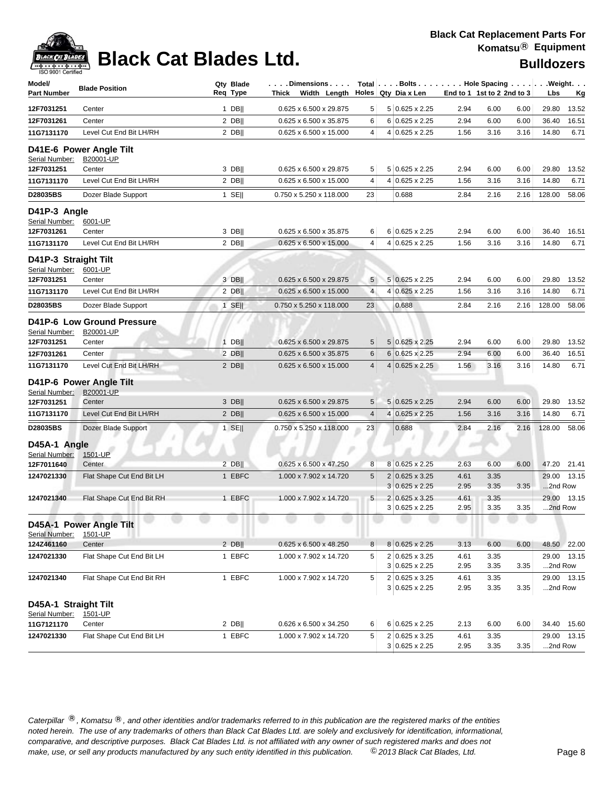| Model/<br>Part Number                  | <b>Blade Position</b>                                    | Qty Blade<br>Req Type | Thick | Dimensions<br>Width Length $\vert$ Holes $\vert$ Qty Dia x Len |                | Total Bolts Hole Spacing                       |              | End to 1 1st to 2 2nd to 3 |      | Lbs              | .Weight.<br><u>Kg</u> |
|----------------------------------------|----------------------------------------------------------|-----------------------|-------|----------------------------------------------------------------|----------------|------------------------------------------------|--------------|----------------------------|------|------------------|-----------------------|
| 12F7031251                             | Center                                                   | $1$ DB                |       | 0.625 x 6.500 x 29.875                                         | 5              | 5 0.625 x 2.25                                 | 2.94         | 6.00                       | 6.00 | 29.80            | 13.52                 |
| 12F7031261                             | Center                                                   | $2$ DB                |       | 0.625 x 6.500 x 35.875                                         | 6              | 6 0.625 x 2.25                                 | 2.94         | 6.00                       | 6.00 | 36.40            | 16.51                 |
| 11G7131170                             | Level Cut End Bit LH/RH                                  | $2$ DB                |       | 0.625 x 6.500 x 15.000                                         | $\overline{4}$ | 4 0.625 x 2.25                                 | 1.56         | 3.16                       | 3.16 | 14.80            | 6.71                  |
| Serial Number:                         | D41E-6 Power Angle Tilt<br>B20001-UP                     |                       |       |                                                                |                |                                                |              |                            |      |                  |                       |
| 12F7031251                             | Center                                                   | 3 DB                  |       | 0.625 x 6.500 x 29.875                                         | 5              | 5 0.625 x 2.25                                 | 2.94         | 6.00                       | 6.00 | 29.80            | 13.52                 |
| 11G7131170                             | Level Cut End Bit LH/RH                                  | $2$ DB                |       | 0.625 x 6.500 x 15.000                                         | 4              | 4 0.625 x 2.25                                 | 1.56         | 3.16                       | 3.16 | 14.80            | 6.71                  |
| D28035BS                               | Dozer Blade Support                                      | $1$ SE                |       | 0.750 x 5.250 x 118.000                                        | 23             | 0.688                                          | 2.84         | 2.16                       | 2.16 | 128.00           | 58.06                 |
| D41P-3 Angle<br>Serial Number:         | 6001-UP                                                  |                       |       |                                                                |                |                                                |              |                            |      |                  |                       |
| 12F7031261                             | Center                                                   | 3 DB                  |       | 0.625 x 6.500 x 35.875                                         | 6              | 6 0.625 x 2.25                                 | 2.94         | 6.00                       | 6.00 | 36.40            | 16.51                 |
| 11G7131170                             | Level Cut End Bit LH/RH                                  | 2 DB                  |       | 0.625 x 6.500 x 15.000                                         | $\overline{4}$ | 4 0.625 x 2.25                                 | 1.56         | 3.16                       | 3.16 | 14.80            | 6.71                  |
| D41P-3 Straight Tilt<br>Serial Number: | 6001-UP                                                  |                       |       |                                                                |                |                                                |              |                            |      |                  |                       |
| 12F7031251                             | Center                                                   | 3 DB                  |       | 0.625 x 6.500 x 29.875                                         | 5              | $5 0.625 \times 2.25$                          | 2.94         | 6.00                       | 6.00 | 29.80            | 13.52                 |
| 11G7131170                             | Level Cut End Bit LH/RH                                  | $2$ DB                |       | 0.625 x 6.500 x 15.000                                         | $\overline{4}$ | 4 0.625 x 2.25                                 | 1.56         | 3.16                       | 3.16 | 14.80            | 6.71                  |
| D28035BS                               | Dozer Blade Support                                      | $1$ SE                |       | 0.750 x 5.250 x 118.000                                        | 23             | 0.688                                          | 2.84         | 2.16                       | 2.16 | 128.00           | 58.06                 |
| Serial Number:<br>12F7031251           | <b>D41P-6 Low Ground Pressure</b><br>B20001-UP<br>Center | $1$ DB                |       |                                                                |                | 5 0.625 x 2.25                                 | 2.94         | 6.00                       | 6.00 | 29.80            |                       |
| 12F7031261                             | Center                                                   | $2$ DB                |       | 0.625 x 6.500 x 29.875<br>0.625 x 6.500 x 35.875               | 5<br>$\,6$     | 6 0.625 x 2.25                                 | 2.94         | 6.00                       | 6.00 | 36.40            | 13.52<br>16.51        |
| 11G7131170                             | Level Cut End Bit LH/RH                                  | $2$ DB                |       | 0.625 x 6.500 x 15.000                                         | $\overline{4}$ | 4 0.625 x 2.25                                 | 1.56         | 3.16                       | 3.16 | 14.80            | 6.71                  |
| Serial Number:                         | D41P-6 Power Angle Tilt<br>B20001-UP                     |                       |       |                                                                |                |                                                |              |                            |      |                  |                       |
| 12F7031251                             | Center                                                   | 3 DB                  |       | 0.625 x 6.500 x 29.875                                         | 5              | $5 0.625 \times 2.25$                          | 2.94         | 6.00                       | 6.00 | 29.80            | 13.52                 |
| 11G7131170                             | Level Cut End Bit LH/RH                                  | $2$ DB                |       | 0.625 x 6.500 x 15.000                                         | $\overline{4}$ | 4 0.625 x 2.25                                 | 1.56         | 3.16                       | 3.16 | 14.80            | 6.71                  |
| D28035BS                               | Dozer Blade Support                                      | $1$ SE                |       | 0.750 x 5.250 x 118.000                                        | 23             | 0.688                                          | 2.84         | 2.16                       | 2.16 | 128.00           | 58.06                 |
| D45A-1 Angle<br>Serial Number:         | 1501-UP                                                  |                       |       |                                                                |                |                                                |              |                            |      |                  |                       |
| 12F7011640                             | Center                                                   | $2$ DB                |       | 0.625 x 6.500 x 47.250                                         | 8              | 8 0.625 x 2.25                                 | 2.63         | 6.00                       | 6.00 |                  | 47.20 21.41           |
| 1247021330                             | Flat Shape Cut End Bit LH                                | 1 EBFC                |       | 1.000 x 7.902 x 14.720                                         | 5              | $2 0.625 \times 3.25$<br>$3 0.625 \times 2.25$ | 4.61<br>2.95 | 3.35<br>3.35               | 3.35 | 29.00<br>2nd Row | 13.15                 |
| 1247021340                             | Flat Shape Cut End Bit RH                                | 1 EBFC                |       | 1.000 x 7.902 x 14.720                                         | 5              | $2 0.625 \times 3.25$                          | 4.61         | 3.35                       |      | 29.00            | 13.15                 |
|                                        |                                                          |                       |       |                                                                |                | $3 0.625 \times 2.25$                          | 2.95         | 3.35                       | 3.35 | 2nd Row          |                       |
| Serial Number:                         | D45A-1 Power Angle Tilt<br>1501-UP                       |                       |       |                                                                |                |                                                |              |                            |      |                  |                       |
| 124Z461160                             | Center                                                   | $2$ DB                |       | $0.625 \times 6.500 \times 48.250$                             | 8 <sup>1</sup> | 8 0.625 x 2.25                                 | 3.13         | 6.00                       | 6.00 |                  | 48.50 22.00           |
| 1247021330                             | Flat Shape Cut End Bit LH                                | 1 EBFC                |       | 1.000 x 7.902 x 14.720                                         | 5              | 2 0.625 x 3.25                                 | 4.61         | 3.35                       |      |                  | 29.00 13.15           |
|                                        |                                                          |                       |       |                                                                |                | 3 0.625 x 2.25                                 | 2.95         | 3.35                       | 3.35 | 2nd Row          |                       |
| 1247021340                             | Flat Shape Cut End Bit RH                                | 1 EBFC                |       | 1.000 x 7.902 x 14.720                                         | 5              | 2 0.625 x 3.25<br>$3 0.625 \times 2.25$        | 4.61<br>2.95 | 3.35<br>3.35               | 3.35 | 2nd Row          | 29.00 13.15           |
| D45A-1 Straight Tilt<br>Serial Number: | 1501-UP                                                  |                       |       |                                                                |                |                                                |              |                            |      |                  |                       |
| 11G7121170                             | Center                                                   | $2$ DB                |       | $0.626 \times 6.500 \times 34.250$                             | 6              | 6 0.625 x 2.25                                 | 2.13         | 6.00                       | 6.00 |                  | 34.40 15.60           |
| 1247021330                             | Flat Shape Cut End Bit LH                                | 1 EBFC                |       | 1.000 x 7.902 x 14.720                                         | 5              | 2 0.625 x 3.25<br>3 0.625 x 2.25               | 4.61<br>2.95 | 3.35<br>3.35               | 3.35 | 2nd Row          | 29.00 13.15           |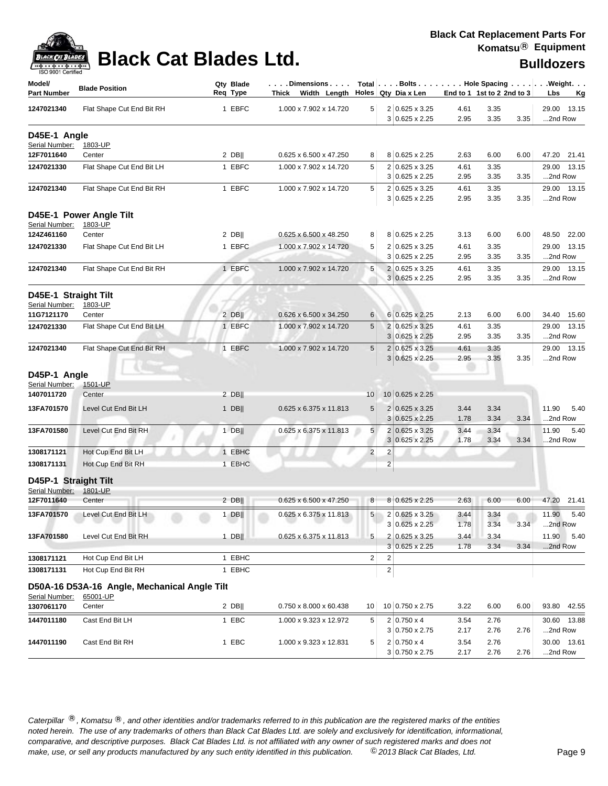| ack Cat |
|---------|
|         |

## **Black Cat Blades Ltd. Black Cat Blades Ltd. Black Cat Blades Ltd. Bulldozers**

| Model/                                 | <b>Blade Position</b>                        | Qty Blade | $\ldots$ Dimensions $\ldots$           |                 | Total Bolts Hole Spacing Weight.      |              |                            |                           |
|----------------------------------------|----------------------------------------------|-----------|----------------------------------------|-----------------|---------------------------------------|--------------|----------------------------|---------------------------|
| Part Number                            |                                              | Req Type  | Thick Width Length Holes Qty Dia x Len |                 |                                       |              | End to 1 1st to 2 2nd to 3 | Lbs<br>Kg                 |
| 1247021340                             | Flat Shape Cut End Bit RH                    | 1 EBFC    | 1.000 x 7.902 x 14.720                 | 5               | $2 0.625 \times 3.25$                 | 4.61         | 3.35                       | 29.00<br>13.15            |
|                                        |                                              |           |                                        |                 | 3 0.625 x 2.25                        | 2.95         | 3.35<br>3.35               | 2nd Row                   |
| D45E-1 Angle                           |                                              |           |                                        |                 |                                       |              |                            |                           |
| Serial Number:                         | 1803-UP                                      |           |                                        |                 |                                       |              |                            |                           |
| 12F7011640                             | Center                                       | $2$ DB    | 0.625 x 6.500 x 47.250                 | 8               | 8 0.625 x 2.25                        | 2.63         | 6.00<br>6.00               | 47.20 21.41               |
| 1247021330                             | Flat Shape Cut End Bit LH                    | 1 EBFC    | 1.000 x 7.902 x 14.720                 | 5               | 2 0.625 x 3.25                        | 4.61         | 3.35                       | 29.00 13.15               |
|                                        |                                              |           |                                        |                 | $3 0.625 \times 2.25$                 | 2.95         | 3.35<br>3.35               | 2nd Row                   |
| 1247021340                             | Flat Shape Cut End Bit RH                    | 1 EBFC    | 1.000 x 7.902 x 14.720                 | 5               | 2 0.625 x 3.25                        | 4.61         | 3.35                       | 29.00 13.15               |
|                                        |                                              |           |                                        |                 | 3 0.625 x 2.25                        | 2.95         | 3.35<br>3.35               | 2nd Row                   |
| Serial Number:                         | D45E-1 Power Angle Tilt<br>1803-UP           |           |                                        |                 |                                       |              |                            |                           |
| 124Z461160                             | Center                                       | $2$ DB    | 0.625 x 6.500 x 48.250                 | 8               | 8 0.625 x 2.25                        | 3.13         | 6.00<br>6.00               | 48.50 22.00               |
| 1247021330                             | Flat Shape Cut End Bit LH                    | 1 EBFC    | 1.000 x 7.902 x 14.720                 | 5               | 2 0.625 x 3.25                        | 4.61         | 3.35                       | 13.15<br>29.00            |
|                                        |                                              |           |                                        |                 | $3 0.625 \times 2.25$                 | 2.95         | 3.35<br>3.35               | 2nd Row                   |
| 1247021340                             | Flat Shape Cut End Bit RH                    | 1 EBFC    | 1.000 x 7.902 x 14.720                 | 5               | 2 0.625 x 3.25                        | 4.61         | 3.35                       | 29.00<br>13.15            |
|                                        |                                              |           |                                        |                 | $3 0.625 \times 2.25$                 | 2.95         | 3.35<br>3.35               | 2nd Row                   |
|                                        |                                              |           |                                        |                 |                                       |              |                            |                           |
| D45E-1 Straight Tilt                   |                                              |           |                                        |                 |                                       |              |                            |                           |
| Serial Number:<br>11G7121170           | 1803-UP<br>Center                            | $2$ DB    | 0.626 x 6.500 x 34.250                 | 6               | $6 0.625 \times 2.25$                 | 2.13         | 6.00<br>6.00               | 34.40 15.60               |
|                                        |                                              |           | 1.000 x 7.902 x 14.720                 |                 | 2 0.625 x 3.25                        |              |                            |                           |
| 1247021330                             | Flat Shape Cut End Bit LH                    | 1 EBFC    |                                        | 5               | 3 0.625 x 2.25                        | 4.61<br>2.95 | 3.35<br>3.35<br>3.35       | 29.00<br>13.15<br>2nd Row |
|                                        | Flat Shape Cut End Bit RH                    | 1 EBFC    | 1.000 x 7.902 x 14.720                 | 5               | 2 0.625 x 3.25                        |              |                            | 29.00 13.15               |
| 1247021340                             |                                              |           |                                        |                 | 3 0.625 x 2.25                        | 4.61<br>2.95 | 3.35<br>3.35<br>3.35       | 2nd Row                   |
|                                        |                                              |           |                                        |                 |                                       |              |                            |                           |
| D45P-1 Angle                           |                                              |           |                                        |                 |                                       |              |                            |                           |
| Serial Number:                         | 1501-UP                                      |           |                                        |                 |                                       |              |                            |                           |
| 1407011720                             | Center                                       | $2$ DB    |                                        | 10 <sup>1</sup> | 10 0.625 x 2.25                       |              |                            |                           |
| 13FA701570                             | Level Cut End Bit LH                         | $1$ DB    | 0.625 x 6.375 x 11.813                 | 5               | 2 0.625 x 3.25                        | 3.44         | 3.34                       | 11.90<br>5.40             |
|                                        |                                              |           |                                        |                 | $3 0.625 \times 2.25$                 | 1.78         | 3.34<br>3.34               | 2nd Row                   |
| 13FA701580                             | Level Cut End Bit RH                         | $1$ DB    | 0.625 x 6.375 x 11.813                 | 5               | $0.625 \times 3.25$<br>$\overline{2}$ | 3.44         | 3.34                       | 11.90<br>5.40             |
|                                        |                                              |           |                                        |                 | $3 0.625 \times 2.25$                 | 1.78         | 3.34<br>3.34               | 2nd Row                   |
| 1308171121                             | Hot Cup End Bit LH                           | 1 EBHC    |                                        | $\overline{2}$  | $\overline{\mathbf{c}}$               |              |                            |                           |
| 1308171131                             | Hot Cup End Bit RH                           | 1 EBHC    |                                        |                 | $\overline{c}$                        |              |                            |                           |
| D45P-1 Straight Tilt<br>Serial Number: | 1801-UP                                      |           |                                        |                 |                                       |              |                            |                           |
| 12F7011640                             | Center                                       | $2$ DB    | 0.625 x 6.500 x 47.250                 | 8               | 8 0.625 x 2.25                        | 2.63         | 6.00<br>6.00               | 47.20<br>21.41            |
| 13FA701570                             | Level Cut End Bit LH                         |           |                                        | 5               | 2 0.625 x 3.25                        | 3.44         | 3.34                       | 11.90<br>5.40             |
|                                        |                                              | $1$ DB    | 0.625 x 6.375 x 11.813                 |                 | 3 0.625 x 2.25                        | 1.78         | 3.34<br>3.34               | 2nd Row                   |
| 13FA701580                             | Level Cut End Bit RH                         | $1$ DB    | 0.625 x 6.375 x 11.813                 | 5               | 2 0.625 x 3.25                        | 3.44         | 3.34                       | 11.90<br>5.40             |
|                                        |                                              |           |                                        |                 | $3 0.625 \times 2.25$                 | 1.78         | 3.34<br>3.34               | 2nd Row                   |
| 1308171121                             | Hot Cup End Bit LH                           | 1 EBHC    |                                        | 2               | 2                                     |              |                            |                           |
|                                        | Hot Cup End Bit RH                           |           |                                        |                 | 2                                     |              |                            |                           |
| 1308171131                             |                                              | 1 EBHC    |                                        |                 |                                       |              |                            |                           |
|                                        | D50A-16 D53A-16 Angle, Mechanical Angle Tilt |           |                                        |                 |                                       |              |                            |                           |
| Serial Number:                         | 65001-UP                                     |           |                                        |                 |                                       |              |                            |                           |
| 1307061170                             | Center                                       | $2$ DB    | 0.750 x 8.000 x 60.438                 | 10              | 10 0.750 x 2.75                       | 3.22         | 6.00<br>6.00               | 93.80 42.55               |
| 1447011180                             | Cast End Bit LH                              | 1 EBC     | 1.000 x 9.323 x 12.972                 | 5               | $2 0.750 \times 4$                    | 3.54         | 2.76                       | 30.60 13.88               |
|                                        |                                              |           |                                        |                 | $3 0.750 \times 2.75$                 | 2.17         | 2.76<br>2.76               | 2nd Row                   |
| 1447011190                             | Cast End Bit RH                              | 1 EBC     | 1.000 x 9.323 x 12.831                 | 5               | $2 0.750 \times 4$                    | 3.54         | 2.76                       | 30.00 13.61               |
|                                        |                                              |           |                                        |                 | 3 0.750 x 2.75                        | 2.17         | 2.76<br>2.76               | 2nd Row                   |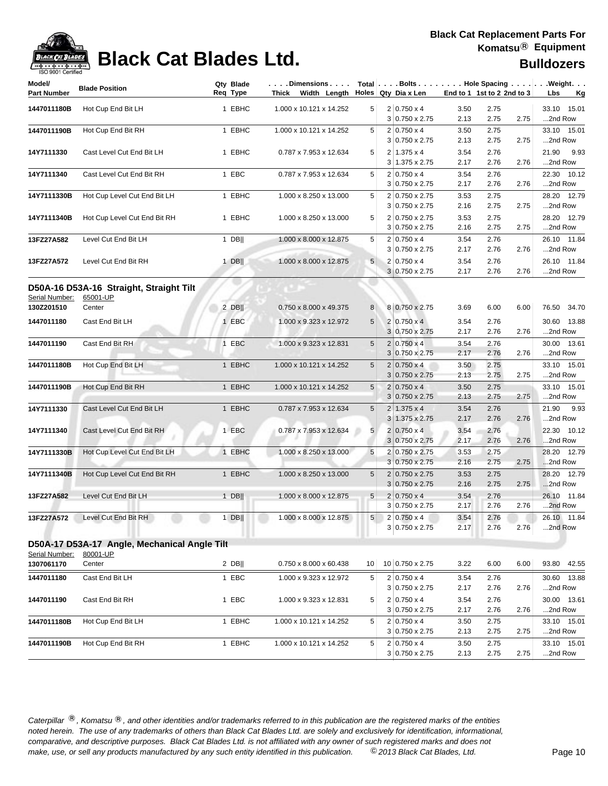

## **Black Cat Blades Ltd. Black Cat Blades Ltd. Bulldozers**

| Model/<br><b>Part Number</b> | <b>Blade Position</b>                                    | Qty Blade<br>Reg Type | $\ldots$ . Dimensions $\ldots$ .<br>Thick Width Length |                | Total $\vert \ldots$ Bolts $\ldots \vert \ldots$ Hole Spacing $\ldots \vert \ldots$ Weight. $\ldots$<br>Holes Qtv Dia x Len |              | End to 1 1st to 2 2nd to 3 | Lbs<br><u>Kg</u>         |
|------------------------------|----------------------------------------------------------|-----------------------|--------------------------------------------------------|----------------|-----------------------------------------------------------------------------------------------------------------------------|--------------|----------------------------|--------------------------|
| 1447011180B                  | Hot Cup End Bit LH                                       | 1 EBHC                | 1.000 x 10.121 x 14.252                                | 5              | $2 0.750 \times 4$<br>3 0.750 x 2.75                                                                                        | 3.50<br>2.13 | 2.75<br>2.75<br>2.75       | 33.10 15.01<br>2nd Row   |
| 1447011190B                  | Hot Cup End Bit RH                                       | 1 EBHC                | 1.000 x 10.121 x 14.252                                | 5              | $2 0.750 \times 4$<br>$3 0.750 \times 2.75$                                                                                 | 3.50<br>2.13 | 2.75<br>2.75<br>2.75       | 33.10 15.01<br>2nd Row   |
| 14Y7111330                   | Cast Level Cut End Bit LH                                | 1 EBHC                | 0.787 x 7.953 x 12.634                                 | 5              | $2 1.375 \times 4$<br>3 1.375 x 2.75                                                                                        | 3.54<br>2.17 | 2.76<br>2.76<br>2.76       | 21.90<br>9.93<br>2nd Row |
| 14Y7111340                   | Cast Level Cut End Bit RH                                | 1 EBC                 | 0.787 x 7.953 x 12.634                                 | 5              | $2 0.750 \times 4$<br>$3 0.750 \times 2.75$                                                                                 | 3.54<br>2.17 | 2.76<br>2.76<br>2.76       | 22.30 10.12<br>2nd Row   |
| 14Y7111330B                  | Hot Cup Level Cut End Bit LH                             | 1 EBHC                | 1.000 x 8.250 x 13.000                                 | 5              | 2 0.750 x 2.75<br>$3 0.750 \times 2.75$                                                                                     | 3.53<br>2.16 | 2.75<br>2.75<br>2.75       | 28.20 12.79<br>2nd Row   |
| 14Y7111340B                  | Hot Cup Level Cut End Bit RH                             | 1 EBHC                | 1.000 x 8.250 x 13.000                                 | 5              | 2 0.750 x 2.75<br>$3 0.750 \times 2.75$                                                                                     | 3.53<br>2.16 | 2.75<br>2.75<br>2.75       | 28.20 12.79<br>2nd Row   |
| 13FZ27A582                   | Level Cut End Bit LH                                     | $1$ DB                | 1.000 x 8.000 x 12.875                                 | 5              | $2 0.750 \times 4$<br>$3 0.750 \times 2.75$                                                                                 | 3.54<br>2.17 | 2.76<br>2.76<br>2.76       | 26.10 11.84<br>2nd Row   |
| 13FZ27A572                   | Level Cut End Bit RH                                     | $1$ DB                | 1.000 x 8.000 x 12.875                                 | 5              | $2 0.750 \times 4$<br>$3 0.750 \times 2.75$                                                                                 | 3.54<br>2.17 | 2.76<br>2.76<br>2.76       | 26.10 11.84<br>2nd Row   |
| Serial Number:               | D50A-16 D53A-16 Straight, Straight Tilt<br>65001-UP      |                       |                                                        |                |                                                                                                                             |              |                            |                          |
| 130Z201510                   | Center                                                   | $2$ DB                | 0.750 x 8.000 x 49.375                                 | 8              | 8 0.750 x 2.75                                                                                                              | 3.69         | 6.00<br>6.00               | 76.50 34.70              |
| 1447011180                   | Cast End Bit LH                                          | 1 EBC                 | 1.000 x 9.323 x 12.972                                 | 5              | $2 0.750 \times 4 $<br>3 0.750 x 2.75                                                                                       | 3.54<br>2.17 | 2.76<br>2.76<br>2.76       | 30.60 13.88<br>2nd Row   |
| 1447011190                   | Cast End Bit RH                                          | 1 EBC                 | 1.000 x 9.323 x 12.831                                 | 5              | $2 0.750 \times 4$<br>3 0.750 x 2.75                                                                                        | 3.54<br>2.17 | 2.76<br>2.76<br>2.76       | 30.00 13.61<br>2nd Row   |
| 1447011180B                  | Hot Cup End Bit LH                                       | 1 EBHC                | 1.000 x 10.121 x 14.252                                | 5              | $2 0.750 \times 4$<br>$3 0.750 \times 2.75$                                                                                 | 3.50<br>2.13 | 2.75<br>2.75<br>2.75       | 33.10 15.01<br>2nd Row   |
| 1447011190B                  | Hot Cup End Bit RH                                       | 1 EBHC                | 1.000 x 10.121 x 14.252                                | $\sqrt{5}$     | $2 0.750 \times 4$<br>$3 0.750 \times 2.75$                                                                                 | 3.50<br>2.13 | 2.75<br>2.75<br>2.75       | 33.10 15.01<br>2nd Row   |
| 14Y7111330                   | Cast Level Cut End Bit LH                                | 1 EBHC                | 0.787 x 7.953 x 12.634                                 | 5              | $2 1.375 \times 4$<br>3 1.375 x 2.75                                                                                        | 3.54<br>2.17 | 2.76<br>2.76<br>2.76       | 9.93<br>21.90<br>2nd Row |
| 14Y7111340                   | Cast Level Cut End Bit RH                                | 1 EBC                 | 0.787 x 7.953 x 12.634                                 | 5              | $2 0.750 \times 4$<br>$3 0.750 \times 2.75$                                                                                 | 3.54<br>2.17 | 2.76<br>2.76<br>2.76       | 22.30 10.12<br>2nd Row   |
| 14Y7111330B                  | Hot Cup Level Cut End Bit LH                             | 1 EBHC                | 1.000 x 8.250 x 13.000                                 | 5              | 2 0.750 x 2.75<br>$3 0.750 \times 2.75$                                                                                     | 3.53<br>2.16 | 2.75<br>2.75<br>2.75       | 28.20 12.79<br>2nd Row   |
| 14Y7111340B                  | Hot Cup Level Cut End Bit RH                             | 1 EBHC                | 1.000 x 8.250 x 13.000                                 | 5              | $2 0.750 \times 2.75$<br>$3 0.750 \times 2.75$                                                                              | 3.53<br>2.16 | 2.75<br>2.75<br>2.75       | 28.20 12.79<br>2nd Row   |
| 13FZ27A582                   | Level Cut End Bit LH                                     | $1$ DB                | 1.000 x 8.000 x 12.875                                 | 5 <sup>5</sup> | $2 0.750 \times 4$<br>3 0.750 x 2.75                                                                                        | 3.54<br>2.17 | 2.76<br>2.76<br>2.76       | 26.10 11.84<br>2nd Row   |
| 13FZ27A572                   | Level Cut End Bit RH                                     | $1$ DB                | 1.000 x 8.000 x 12.875                                 | 5 <sup>1</sup> | $2 0.750 \times 4$<br>3 0.750 x 2.75                                                                                        | 3.54<br>2.17 | 2.76<br>2.76<br>2.76       | 26.10 11.84<br>2nd Row   |
| Serial Number:               | D50A-17 D53A-17 Angle, Mechanical Angle Tilt<br>80001-UP |                       |                                                        |                |                                                                                                                             |              |                            |                          |
| 1307061170                   | Center                                                   | $2$ DB                | $0.750 \times 8.000 \times 60.438$                     | 10             | 10 0.750 x 2.75                                                                                                             | 3.22         | 6.00<br>6.00               | 93.80<br>42.55           |
| 1447011180                   | Cast End Bit LH                                          | 1 EBC                 | 1.000 x 9.323 x 12.972                                 | 5              | $2 0.750 \times 4$<br>$3 0.750 \times 2.75$                                                                                 | 3.54<br>2.17 | 2.76<br>2.76<br>2.76       | 30.60 13.88<br>2nd Row   |
| 1447011190                   | Cast End Bit RH                                          | 1 EBC                 | 1.000 x 9.323 x 12.831                                 | 5              | $2 0.750 \times 4$<br>$3 0.750 \times 2.75$                                                                                 | 3.54<br>2.17 | 2.76<br>2.76<br>2.76       | 30.00 13.61<br>2nd Row   |
| 1447011180B                  | Hot Cup End Bit LH                                       | 1 EBHC                | 1.000 x 10.121 x 14.252                                | 5              | $2 0.750 \times 4$<br>$3 0.750 \times 2.75$                                                                                 | 3.50<br>2.13 | 2.75<br>2.75<br>2.75       | 33.10 15.01<br>2nd Row   |
| 1447011190B                  | Hot Cup End Bit RH                                       | 1 EBHC                | 1.000 x 10.121 x 14.252                                | 5              | $2 0.750 \times 4$<br>$3 0.750 \times 2.75$                                                                                 | 3.50<br>2.13 | 2.75<br>2.75<br>2.75       | 33.10 15.01<br>2nd Row   |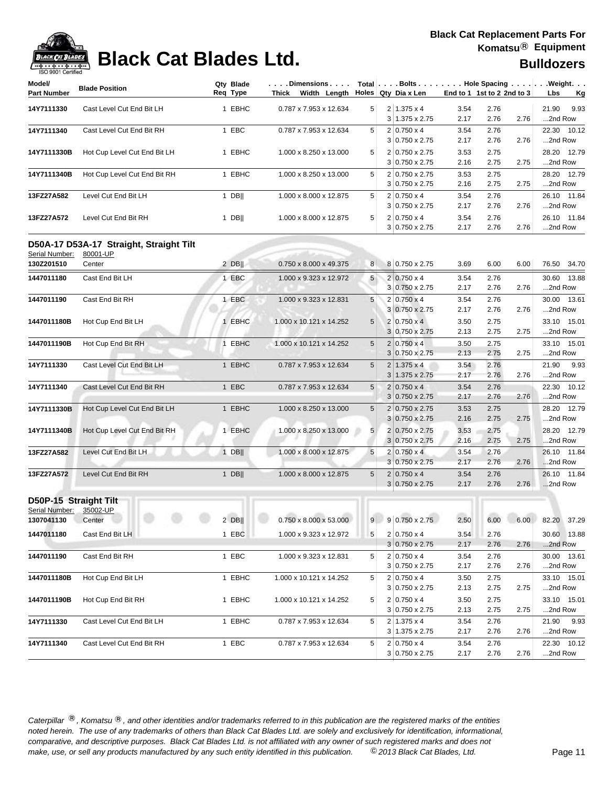| Model/<br><b>Part Number</b>            | <b>Blade Position</b>                   | Qty Blade<br>Req Type | $\ldots$ . Dimensions $\ldots$ . $\vdots$<br>Thick Width Length                                                                                                                                 |                |   | Holes Qty Dia x Len                         | End to 1 1st to 2 2nd to 3 |              |      | Total   Bolts   Hole Spacing   Weight.<br>Lbs |
|-----------------------------------------|-----------------------------------------|-----------------------|-------------------------------------------------------------------------------------------------------------------------------------------------------------------------------------------------|----------------|---|---------------------------------------------|----------------------------|--------------|------|-----------------------------------------------|
|                                         |                                         |                       |                                                                                                                                                                                                 |                |   |                                             |                            |              |      | <u>Kg</u>                                     |
| 14Y7111330                              | Cast Level Cut End Bit LH               | 1 EBHC                | 0.787 x 7.953 x 12.634                                                                                                                                                                          | 5              |   | $2 1.375 \times 4$<br>3 1.375 x 2.75        | 3.54<br>2.17               | 2.76         | 2.76 | 9.93<br>21.90<br>2nd Row                      |
|                                         |                                         |                       |                                                                                                                                                                                                 |                |   |                                             |                            | 2.76         |      |                                               |
| 14Y7111340                              | Cast Level Cut End Bit RH               | 1 EBC                 | 0.787 x 7.953 x 12.634                                                                                                                                                                          | 5              |   | $2 0.750 \times 4$<br>$3 0.750 \times 2.75$ | 3.54<br>2.17               | 2.76<br>2.76 | 2.76 | 22.30 10.12<br>2nd Row                        |
| 14Y7111330B                             | Hot Cup Level Cut End Bit LH            | 1 EBHC                | 1.000 x 8.250 x 13.000                                                                                                                                                                          | 5              |   | 2 0.750 x 2.75                              | 3.53                       | 2.75         |      | 28.20 12.79                                   |
|                                         |                                         |                       |                                                                                                                                                                                                 |                |   | $3 0.750 \times 2.75$                       | 2.16                       | 2.75         | 2.75 | 2nd Row                                       |
| 14Y7111340B                             | Hot Cup Level Cut End Bit RH            | 1 EBHC                | 1.000 x 8.250 x 13.000                                                                                                                                                                          | 5              |   | 2 0.750 x 2.75                              | 3.53                       | 2.75         |      | 28.20 12.79                                   |
|                                         |                                         |                       |                                                                                                                                                                                                 |                |   | $3 0.750 \times 2.75$                       | 2.16                       | 2.75         | 2.75 | 2nd Row                                       |
| 13FZ27A582                              | Level Cut End Bit LH                    | $1$ DB                | 1.000 x 8.000 x 12.875                                                                                                                                                                          | 5              |   | $2 0.750 \times 4$                          | 3.54                       | 2.76         |      | 26.10 11.84                                   |
|                                         |                                         |                       |                                                                                                                                                                                                 |                |   | $3 0.750 \times 2.75$                       | 2.17                       | 2.76         | 2.76 | 2nd Row                                       |
| 13FZ27A572                              | Level Cut End Bit RH                    | 1 DB                  | 1.000 x 8.000 x 12.875                                                                                                                                                                          | 5              |   | $2 0.750 \times 4$<br>$3 0.750 \times 2.75$ | 3.54<br>2.17               | 2.76<br>2.76 | 2.76 | 26.10 11.84<br>2nd Row                        |
|                                         | D50A-17 D53A-17 Straight, Straight Tilt |                       |                                                                                                                                                                                                 |                |   |                                             |                            |              |      |                                               |
| Serial Number:<br>130Z201510            | 80001-UP<br>Center                      | $2$ DB                | 0.750 x 8.000 x 49.375                                                                                                                                                                          | 8 <sup>1</sup> |   | 8 0.750 x 2.75                              | 3.69                       | 6.00         | 6.00 | 76.50 34.70                                   |
|                                         |                                         |                       |                                                                                                                                                                                                 |                |   |                                             |                            |              |      |                                               |
| 1447011180                              | Cast End Bit LH                         | 1 EBC                 | 1.000 x 9.323 x 12.972                                                                                                                                                                          | 5              |   | $2 0.750 \times 4$<br>3 0.750 x 2.75        | 3.54<br>2.17               | 2.76<br>2.76 | 2.76 | 30.60 13.88<br>2nd Row                        |
| 1447011190                              | Cast End Bit RH                         | 1 EBC                 | 1.000 x 9.323 x 12.831                                                                                                                                                                          | 5              |   | $2 0.750 \times 4$                          | 3.54                       | 2.76         |      | 30.00 13.61                                   |
|                                         |                                         |                       |                                                                                                                                                                                                 |                |   | $3 0.750 \times 2.75$                       | 2.17                       | 2.76         | 2.76 | 2nd Row                                       |
| 1447011180B                             | Hot Cup End Bit LH                      | 1 EBHC                | 1.000 x 10.121 x 14.252                                                                                                                                                                         | 5              |   | $2 0.750 \times 4 $                         | 3.50                       | 2.75         |      | 33.10 15.01                                   |
|                                         |                                         |                       |                                                                                                                                                                                                 |                |   | 3 0.750 x 2.75                              | 2.13                       | 2.75         | 2.75 | 2nd Row                                       |
| 1447011190B                             | Hot Cup End Bit RH                      | 1 EBHC                | 1.000 x 10.121 x 14.252                                                                                                                                                                         | 5              |   | $2 0.750 \times 4$                          | 3.50                       | 2.75         |      | 33.10 15.01                                   |
|                                         |                                         |                       |                                                                                                                                                                                                 |                |   | $3 0.750 \times 2.75$                       | 2.13                       | 2.75         | 2.75 | 2nd Row                                       |
| 14Y7111330                              | Cast Level Cut End Bit LH               | 1 EBHC                | 0.787 x 7.953 x 12.634                                                                                                                                                                          | 5              |   | $2 1.375 \times 4$                          | 3.54                       | 2.76         |      | 21.90<br>9.93                                 |
|                                         |                                         |                       |                                                                                                                                                                                                 |                | 3 | 1.375 x 2.75                                | 2.17                       | 2.76         | 2.76 | 2nd Row                                       |
| 14Y7111340                              | Cast Level Cut End Bit RH               | 1 EBC                 | 0.787 x 7.953 x 12.634                                                                                                                                                                          | $\sqrt{5}$     |   | $2 0.750 \times 4$                          | 3.54                       | 2.76         |      | 22.30 10.12                                   |
|                                         |                                         |                       |                                                                                                                                                                                                 |                |   | $3 0.750 \times 2.75$                       | 2.17                       | 2.76         | 2.76 | 2nd Row                                       |
| 14Y7111330B                             | Hot Cup Level Cut End Bit LH            | 1 EBHC                | 1.000 x 8.250 x 13.000                                                                                                                                                                          | 5              |   | $2 0.750 \times 2.75$                       | 3.53                       | 2.75         |      | 28.20 12.79                                   |
|                                         |                                         |                       |                                                                                                                                                                                                 |                |   | $3 0.750 \times 2.75$                       | 2.16                       | 2.75         | 2.75 | 2nd Row                                       |
| 14Y7111340B                             | Hot Cup Level Cut End Bit RH            | 1 EBHC                | 1.000 x 8.250 x 13.000                                                                                                                                                                          | 5              |   | 2 0.750 x 2.75                              | 3.53                       | 2.75         |      | 28.20 12.79                                   |
|                                         |                                         |                       |                                                                                                                                                                                                 |                |   | $3 0.750 \times 2.75$                       | 2.16                       | 2.75         | 2.75 | 2nd Row                                       |
| 13FZ27A582                              | Level Cut End Bit LH                    | $1$ DB                | 1.000 x 8.000 x 12.875                                                                                                                                                                          | 5              |   | $2 0.750 \times 4 $                         | 3.54                       | 2.76         |      | 26.10 11.84                                   |
|                                         |                                         |                       |                                                                                                                                                                                                 |                |   | $3 0.750 \times 2.75$                       | 2.17                       | 2.76         | 2.76 | 2nd Row                                       |
| 13FZ27A572                              | Level Cut End Bit RH                    | $1$ DB                | 1.000 x 8.000 x 12.875                                                                                                                                                                          | 5              |   | $2 0.750 \times 4$<br>$3 0.750 \times 2.75$ | 3.54<br>2.17               | 2.76<br>2.76 | 2.76 | 26.10 11.84<br>2nd Row                        |
|                                         |                                         |                       |                                                                                                                                                                                                 |                |   |                                             |                            |              |      |                                               |
| D50P-15 Straight Tilt<br>Serial Number: |                                         |                       |                                                                                                                                                                                                 |                |   |                                             |                            |              |      |                                               |
| 1307041130                              | 35002-UP<br>Center                      |                       | 2 DB   $\begin{array}{ c c c c c c c c c } \hline \rule{0.2cm}{0.2cm} & 0.750 \times 8.000 \times 53.000 & 9 & 9 & 0.750 \times 2.75 & 2.50 & 6.00 & 6.00 & 82.20 & 37.29 \ \hline \end{array}$ |                |   |                                             |                            |              |      |                                               |
|                                         |                                         | 1 EBC                 |                                                                                                                                                                                                 |                |   |                                             |                            |              |      | 30.60 13.88                                   |
| 1447011180                              | Cast End Bit LH                         |                       | 1.000 x 9.323 x 12.972                                                                                                                                                                          | 5              |   | $2 0.750 \times 4$<br>$3 0.750 \times 2.75$ | 3.54<br>2.17               | 2.76<br>2.76 | 2.76 | 2nd Row                                       |
| 1447011190                              | Cast End Bit RH                         | 1 EBC                 | 1.000 x 9.323 x 12.831                                                                                                                                                                          | 5              |   | $2 0.750 \times 4$                          | 3.54                       | 2.76         |      | 30.00 13.61                                   |
|                                         |                                         |                       |                                                                                                                                                                                                 |                |   | $3 0.750 \times 2.75$                       | 2.17                       | 2.76         | 2.76 | 2nd Row                                       |
| 1447011180B                             | Hot Cup End Bit LH                      | 1 EBHC                | 1.000 x 10.121 x 14.252                                                                                                                                                                         | 5              |   | $2 0.750 \times 4$                          | 3.50                       | 2.75         |      | 33.10 15.01                                   |
|                                         |                                         |                       |                                                                                                                                                                                                 |                |   | $3 0.750 \times 2.75$                       | 2.13                       | 2.75         | 2.75 | 2nd Row                                       |
| 1447011190B                             | Hot Cup End Bit RH                      | 1 EBHC                | 1.000 x 10.121 x 14.252                                                                                                                                                                         | 5              |   | $2 0.750 \times 4$                          | 3.50                       | 2.75         |      | 33.10 15.01                                   |
|                                         |                                         |                       |                                                                                                                                                                                                 |                |   | $3 0.750 \times 2.75$                       | 2.13                       | 2.75         | 2.75 | 2nd Row                                       |
| 14Y7111330                              | Cast Level Cut End Bit LH               | 1 EBHC                | 0.787 x 7.953 x 12.634                                                                                                                                                                          | 5              |   | $2 1.375 \times 4$                          | 3.54                       | 2.76         |      | 21.90 9.93                                    |
|                                         |                                         |                       |                                                                                                                                                                                                 |                |   | $3 1.375 \times 2.75$                       | 2.17                       | 2.76         | 2.76 | 2nd Row                                       |
| 14Y7111340                              | Cast Level Cut End Bit RH               | 1 EBC                 | 0.787 x 7.953 x 12.634                                                                                                                                                                          | 5 <sup>5</sup> |   | $2 0.750 \times 4$                          | 3.54                       | 2.76         |      | 22.30 10.12                                   |
|                                         |                                         |                       |                                                                                                                                                                                                 |                |   | $3 0.750 \times 2.75$                       | 2.17                       | 2.76         | 2.76 | 2nd Row                                       |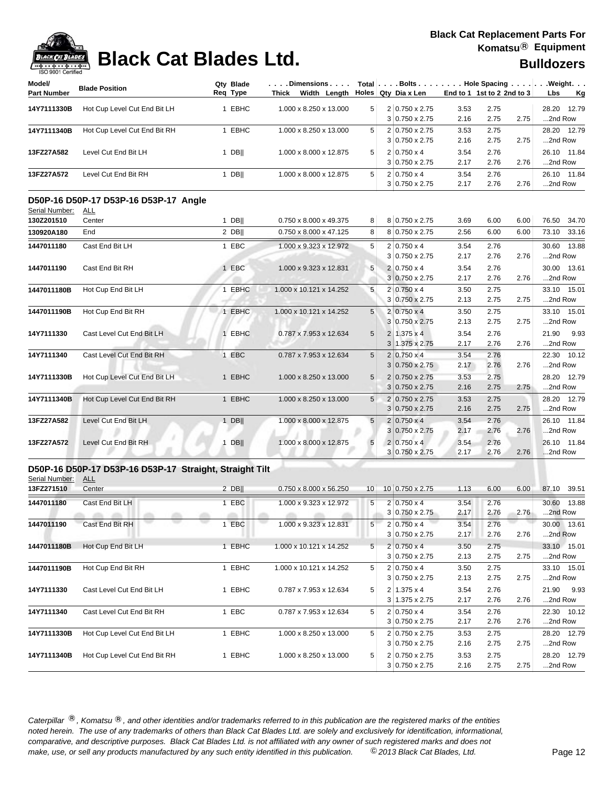

| ISO 9001 Certified<br>Model/ |                                                         | Qty Blade | . Dimensions            |                 |                       |                            |              |      | Total   Bolts   Hole Spacing   Weight. |
|------------------------------|---------------------------------------------------------|-----------|-------------------------|-----------------|-----------------------|----------------------------|--------------|------|----------------------------------------|
| <b>Part Number</b>           | <b>Blade Position</b>                                   | Req Type  | Thick Width Length      |                 | Holes Qty Dia x Len   | End to 1 1st to 2 2nd to 3 |              |      | Lbs<br><u>Kg</u>                       |
|                              |                                                         |           |                         | 5               | 2 0.750 x 2.75        |                            |              |      |                                        |
| 14Y7111330B                  | Hot Cup Level Cut End Bit LH                            | 1 EBHC    | 1.000 x 8.250 x 13.000  |                 | $3 0.750 \times 2.75$ | 3.53<br>2.16               | 2.75<br>2.75 | 2.75 | 28.20 12.79<br>2nd Row                 |
| 14Y7111340B                  | Hot Cup Level Cut End Bit RH                            | 1 EBHC    | 1.000 x 8.250 x 13.000  | 5               | 2 0.750 x 2.75        | 3.53                       | 2.75         |      | 28.20 12.79                            |
|                              |                                                         |           |                         |                 | $3 0.750 \times 2.75$ | 2.16                       | 2.75         | 2.75 | 2nd Row                                |
| 13FZ27A582                   | Level Cut End Bit LH                                    | $1$ DB    | 1.000 x 8.000 x 12.875  | 5               | $2 0.750 \times 4$    | 3.54                       | 2.76         |      | 26.10 11.84                            |
|                              |                                                         |           |                         |                 | $3 0.750 \times 2.75$ | 2.17                       | 2.76         | 2.76 | 2nd Row                                |
| 13FZ27A572                   | Level Cut End Bit RH                                    | $1$ DB    | 1.000 x 8.000 x 12.875  | 5               | $2 0.750 \times 4$    | 3.54                       | 2.76         |      | 26.10 11.84                            |
|                              |                                                         |           |                         |                 | $3 0.750 \times 2.75$ | 2.17                       | 2.76         | 2.76 | 2nd Row                                |
|                              | D50P-16 D50P-17 D53P-16 D53P-17 Angle                   |           |                         |                 |                       |                            |              |      |                                        |
| Serial Number:               | <u>ALL</u>                                              |           |                         |                 |                       |                            |              |      |                                        |
| 130Z201510                   | Center                                                  | $1$ DB    | 0.750 x 8.000 x 49.375  | 8               | 8 0.750 x 2.75        | 3.69                       | 6.00         | 6.00 | 76.50<br>34.70                         |
| 130920A180                   | End                                                     | $2$ DB    | 0.750 x 8.000 x 47.125  | 8               | 8 0.750 x 2.75        | 2.56                       | 6.00         | 6.00 | 73.10<br>33.16                         |
| 1447011180                   | Cast End Bit LH                                         | 1 EBC     | 1.000 x 9.323 x 12.972  | 5               | $2 0.750 \times 4$    | 3.54                       | 2.76         |      | 30.60 13.88                            |
|                              |                                                         |           |                         |                 | $3 0.750 \times 2.75$ | 2.17                       | 2.76         | 2.76 | 2nd Row                                |
| 1447011190                   | Cast End Bit RH                                         | 1 EBC     | 1.000 x 9.323 x 12.831  | 5               | $2 0.750 \times 4$    | 3.54                       | 2.76         |      | 30.00 13.61                            |
|                              |                                                         |           |                         |                 | $3 0.750 \times 2.75$ | 2.17                       | 2.76         | 2.76 | 2nd Row                                |
| 1447011180B                  | Hot Cup End Bit LH                                      | 1 EBHC    | 1.000 x 10.121 x 14.252 | 5               | $2 0.750 \times 4$    | 3.50                       | 2.75         |      | 33.10 15.01                            |
|                              |                                                         |           |                         |                 | $3 0.750 \times 2.75$ | 2.13                       | 2.75         | 2.75 | 2nd Row                                |
| 1447011190B                  | Hot Cup End Bit RH                                      | 1 EBHC    | 1.000 x 10.121 x 14.252 | 5               | $2 0.750 \times 4$    | 3.50                       | 2.75         |      | 33.10 15.01                            |
|                              |                                                         |           |                         |                 | 3 0.750 x 2.75        | 2.13                       | 2.75         | 2.75 | 2nd Row                                |
| 14Y7111330                   | Cast Level Cut End Bit LH                               | 1 EBHC    | 0.787 x 7.953 x 12.634  | 5               | $2 1.375 \times 4$    | 3.54                       | 2.76         |      | 21.90<br>9.93                          |
|                              |                                                         |           |                         |                 | $3 1.375 \times 2.75$ | 2.17                       | 2.76         | 2.76 | 2nd Row                                |
| 14Y7111340                   | Cast Level Cut End Bit RH                               | 1 EBC     | 0.787 x 7.953 x 12.634  | 5               | $2 0.750 \times 4$    | 3.54                       | 2.76         |      | 22.30 10.12                            |
|                              |                                                         |           |                         |                 | $3 0.750 \times 2.75$ | 2.17                       | 2.76         | 2.76 | 2nd Row                                |
| 14Y7111330B                  | Hot Cup Level Cut End Bit LH                            | 1 EBHC    | 1.000 x 8.250 x 13.000  | 5               | 2 0.750 x 2.75        | 3.53                       | 2.75         |      | 28.20 12.79                            |
|                              |                                                         |           |                         |                 | $3 0.750 \times 2.75$ | 2.16                       | 2.75         | 2.75 | 2nd Row                                |
| 14Y7111340B                  | Hot Cup Level Cut End Bit RH                            | 1 EBHC    | 1.000 x 8.250 x 13.000  | 5               | 2 0.750 x 2.75        | 3.53                       | 2.75         |      | 28.20 12.79                            |
|                              |                                                         |           |                         |                 | $3 0.750 \times 2.75$ | 2.16                       | 2.75         | 2.75 | 2nd Row                                |
| 13FZ27A582                   | Level Cut End Bit LH                                    | $1$ DB    | 1.000 x 8.000 x 12.875  | $5\phantom{.0}$ | $2 0.750 \times 4$    | 3.54                       | 2.76         |      | 26.10 11.84                            |
|                              |                                                         |           |                         |                 | $3 0.750 \times 2.75$ | 2.17                       | 2.76         | 2.76 | 2nd Row                                |
| 13FZ27A572                   | Level Cut End Bit RH                                    | $1$ DB    | 1.000 x 8.000 x 12.875  | 5               | $2 0.750 \times 4$    | 3.54                       | 2.76         |      | 26.10 11.84                            |
|                              |                                                         |           |                         |                 | $3 0.750 \times 2.75$ | 2.17                       | 2.76         | 2.76 | 2nd Row                                |
|                              | D50P-16 D50P-17 D53P-16 D53P-17 Straight, Straight Tilt |           |                         |                 |                       |                            |              |      |                                        |
| Serial Number:               | <u>ALL</u>                                              |           |                         |                 |                       |                            |              |      |                                        |
| 13FZ271510                   | Center                                                  | $2$ DB    | 0.750 x 8.000 x 56.250  | 10 <sup>1</sup> | 10 0.750 x 2.75       | 1.13                       | 6.00         | 6.00 | 87.10 39.51                            |
| 1447011180                   | Cast End Bit LH                                         | 1 EBC     | 1.000 x 9.323 x 12.972  | 5               | $2 0.750 \times 4$    | 3.54                       | 2.76         |      | 30.60 13.88                            |
|                              | and the control of the control of                       |           |                         |                 | $3 0.750 \times 2.75$ | 2.17                       | 2.76         | 2.76 | .2nd Row                               |
| 1447011190                   | Cast End Bit RH                                         | 1 EBC     | 1.000 x 9.323 x 12.831  | 5               | $2 0.750 \times 4$    | 3.54                       | 2.76         |      | 30.00 13.61                            |
|                              |                                                         |           |                         |                 | $3 0.750 \times 2.75$ | 2.17                       | 2.76         | 2.76 | 2nd Row                                |
| 1447011180B                  | Hot Cup End Bit LH                                      | 1 EBHC    | 1.000 x 10.121 x 14.252 | 5               | $2 0.750 \times 4$    | 3.50                       | 2.75         |      | 33.10 15.01                            |
|                              |                                                         |           |                         |                 | $3 0.750 \times 2.75$ | 2.13                       | 2.75         | 2.75 | 2nd Row                                |
| 1447011190B                  | Hot Cup End Bit RH                                      | 1 EBHC    | 1.000 x 10.121 x 14.252 | 5               | $2 0.750 \times 4$    | 3.50                       | 2.75         |      | 33.10 15.01                            |
|                              |                                                         |           |                         |                 | $3 0.750 \times 2.75$ | 2.13                       | 2.75         | 2.75 | 2nd Row                                |
| 14Y7111330                   | Cast Level Cut End Bit LH                               | 1 EBHC    | 0.787 x 7.953 x 12.634  | 5               | $2 1.375 \times 4$    | 3.54                       | 2.76         |      | 21.90 9.93                             |
|                              |                                                         |           |                         |                 | $3 1.375 \times 2.75$ | 2.17                       | 2.76         | 2.76 | 2nd Row                                |
| 14Y7111340                   | Cast Level Cut End Bit RH                               | 1 EBC     | 0.787 x 7.953 x 12.634  | 5               | $2 0.750 \times 4$    | 3.54                       | 2.76         |      | 22.30 10.12                            |
|                              |                                                         |           |                         |                 | $3 0.750 \times 2.75$ | 2.17                       | 2.76         | 2.76 | 2nd Row                                |
| 14Y7111330B                  | Hot Cup Level Cut End Bit LH                            | 1 EBHC    | 1.000 x 8.250 x 13.000  | 5               | 2 0.750 x 2.75        | 3.53                       | 2.75         |      | 28.20 12.79                            |
|                              |                                                         |           |                         |                 | $3 0.750 \times 2.75$ | 2.16                       | 2.75         | 2.75 | 2nd Row                                |
| 14Y7111340B                  | Hot Cup Level Cut End Bit RH                            | 1 EBHC    | 1.000 x 8.250 x 13.000  | 5               | 2 0.750 x 2.75        | 3.53                       | 2.75         |      | 28.20 12.79                            |
|                              |                                                         |           |                         |                 | $3 0.750 \times 2.75$ | 2.16                       | 2.75         | 2.75 | 2nd Row                                |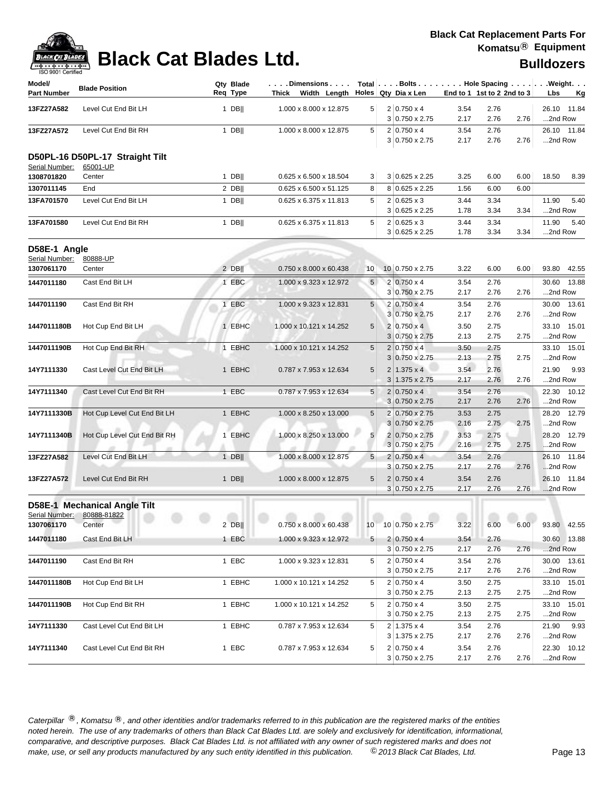| Model/<br><b>Part Number</b>   | <b>Blade Position</b>           | Qty Blade<br>Req Type | $\ldots$ Dimensions $\ldots$<br>Thick Width Length |                 | Total   Bolts   Hole Spacing   Weight.<br>Holes Qty Dia x Len |              | End to 1 1st to 2 2nd to 3 | <u>Kg</u><br>Lbs       |
|--------------------------------|---------------------------------|-----------------------|----------------------------------------------------|-----------------|---------------------------------------------------------------|--------------|----------------------------|------------------------|
|                                |                                 |                       |                                                    |                 |                                                               |              |                            |                        |
| 13FZ27A582                     | Level Cut End Bit LH            | $1$ DB                | 1.000 x 8.000 x 12.875                             | 5               | $2 0.750 \times 4$<br>$3 0.750 \times 2.75$                   | 3.54<br>2.17 | 2.76<br>2.76<br>2.76       | 26.10 11.84<br>2nd Row |
|                                | Level Cut End Bit RH            | $1$ DB                | 1.000 x 8.000 x 12.875                             | 5               | $2 0.750 \times 4$                                            | 3.54         | 2.76                       | 26.10 11.84            |
| 13FZ27A572                     |                                 |                       |                                                    |                 | $3 0.750 \times 2.75$                                         | 2.17         | 2.76<br>2.76               | 2nd Row                |
|                                | D50PL-16 D50PL-17 Straight Tilt |                       |                                                    |                 |                                                               |              |                            |                        |
| Serial Number:<br>1308701820   | 65001-UP<br>Center              | $1$ DB                | 0.625 x 6.500 x 18.504                             | 3               | 3 0.625 x 2.25                                                | 3.25         | 6.00<br>6.00               | 18.50<br>8.39          |
| 1307011145                     | End                             | $2$ DB                | 0.625 x 6.500 x 51.125                             | 8               | 8 0.625 x 2.25                                                | 1.56         | 6.00<br>6.00               |                        |
| 13FA701570                     | Level Cut End Bit LH            | $1$ DB                | 0.625 x 6.375 x 11.813                             | 5               | $2 0.625 \times 3$                                            | 3.44         | 3.34                       | 5.40<br>11.90          |
|                                |                                 |                       |                                                    |                 | 3 0.625 x 2.25                                                | 1.78         | 3.34<br>3.34               | 2nd Row                |
| 13FA701580                     | Level Cut End Bit RH            | $1$ DB                | 0.625 x 6.375 x 11.813                             | 5               | $2 0.625 \times 3$                                            | 3.44         | 3.34                       | 11.90<br>5.40          |
|                                |                                 |                       |                                                    |                 | $3 0.625 \times 2.25$                                         | 1.78         | 3.34<br>3.34               | 2nd Row                |
| D58E-1 Angle<br>Serial Number: | 80888-UP                        |                       |                                                    |                 |                                                               |              |                            |                        |
| 1307061170                     | Center                          | $2$ DB                | 0.750 x 8.000 x 60.438                             | 10              | 10 0.750 x 2.75                                               | 3.22         | 6.00<br>6.00               | 93.80 42.55            |
| 1447011180                     | Cast End Bit LH                 | 1 EBC                 | 1.000 x 9.323 x 12.972                             | 5               | $2 0.750 \times 4$                                            | 3.54         | 2.76                       | 30.60 13.88            |
|                                |                                 |                       |                                                    |                 | 3 0.750 x 2.75                                                | 2.17         | 2.76<br>2.76               | 2nd Row                |
| 1447011190                     | Cast End Bit RH                 | 1 EBC                 | 1.000 x 9.323 x 12.831                             | 5               | $2 0.750 \times 4$                                            | 3.54         | 2.76                       | 30.00 13.61            |
|                                |                                 |                       |                                                    |                 | $3 0.750 \times 2.75$                                         | 2.17         | 2.76<br>2.76               | 2nd Row                |
| 1447011180B                    | Hot Cup End Bit LH              | 1 EBHC                | 1.000 x 10.121 x 14.252                            | 5               | 2 0.750 x 4                                                   | 3.50         | 2.75                       | 33.10 15.01            |
|                                |                                 |                       |                                                    |                 | $3 0.750 \times 2.75$                                         | 2.13         | 2.75<br>2.75               | 2nd Row                |
| 1447011190B                    | Hot Cup End Bit RH              | 1 EBHC                | 1.000 x 10.121 x 14.252                            | 5               | $2 0.750 \times 4$                                            | 3.50         | 2.75                       | 33.10 15.01            |
|                                |                                 |                       |                                                    |                 | $3 0.750 \times 2.75$                                         | 2.13         | 2.75<br>2.75               | 2nd Row                |
| 14Y7111330                     | Cast Level Cut End Bit LH       | 1 EBHC                | 0.787 x 7.953 x 12.634                             | $5\phantom{.0}$ | $1.375 \times 4$<br>$\overline{2}$                            | 3.54         | 2.76                       | 21.90<br>9.93          |
|                                |                                 |                       |                                                    |                 | $3 1.375 \times 2.75$                                         | 2.17         | 2.76<br>2.76               | 2nd Row                |
| 14Y7111340                     | Cast Level Cut End Bit RH       | 1 EBC                 | 0.787 x 7.953 x 12.634                             | 5               | $2 0.750 \times 4$                                            | 3.54         | 2.76                       | 22.30 10.12            |
|                                |                                 |                       |                                                    |                 | $3 0.750 \times 2.75$                                         | 2.17         | 2.76<br>2.76               | 2nd Row                |
| 14Y7111330B                    | Hot Cup Level Cut End Bit LH    | 1 EBHC                | 1.000 x 8.250 x 13.000                             | $5\phantom{.0}$ | 2 0.750 x 2.75                                                | 3.53         | 2.75                       | 28.20 12.79            |
|                                |                                 |                       |                                                    |                 | $3 0.750 \times 2.75$                                         | 2.16         | 2.75<br>2.75               | 2nd Row                |
| 14Y7111340B                    | Hot Cup Level Cut End Bit RH    | 1 EBHC                | 1.000 x 8.250 x 13.000                             | 5               | 0.750 x 2.75<br>$\overline{2}$                                | 3.53         | 2.75                       | 28.20 12.79            |
|                                |                                 |                       |                                                    |                 | $3 0.750 \times 2.75$                                         | 2.16         | 2.75<br>2.75               | 2nd Row                |
| 13FZ27A582                     | Level Cut End Bit LH            | $1$ DB                | 1.000 x 8.000 x 12.875                             | 5 <sub>5</sub>  | $2 0.750 \times 4$                                            | 3.54         | 2.76                       | 26.10 11.84            |
|                                |                                 |                       |                                                    |                 | $3 0.750 \times 2.75$                                         | 2.17         | 2.76<br>2.76               | 2nd Row                |
| 13FZ27A572                     | Level Cut End Bit RH            | 1 $DB$                | 1.000 x 8.000 x 12.875                             | $\sqrt{5}$      | $2 0.750 \times 4$                                            | 3.54         | 2.76                       | 26.10 11.84            |
|                                |                                 |                       |                                                    |                 | $3 0.750 \times 2.75$                                         | 2.17         | 2.76<br>2.76               | 2nd Row                |
|                                | D58E-1 Mechanical Angle Tilt    |                       |                                                    |                 |                                                               |              |                            |                        |
|                                | Serial Number: 80888-81822      |                       |                                                    |                 |                                                               |              |                            |                        |
| 1307061170                     | Center                          | $2$ DB                | $0.750 \times 8.000 \times 60.438$                 | 10              | 10 0.750 x 2.75                                               | 3.22         | 6.00<br>6.00               | 93.80 42.55            |
| 1447011180                     | Cast End Bit LH                 | 1 EBC                 | 1.000 x 9.323 x 12.972                             | 5 <sub>1</sub>  | $2 0.750 \times 4$                                            | 3.54         | 2.76                       | 30.60 13.88            |
|                                |                                 |                       |                                                    |                 | 3 0.750 x 2.75                                                | 2.17         | 2.76<br>2.76               | 2nd Row                |
| 1447011190                     | Cast End Bit RH                 | 1 EBC                 | 1.000 x 9.323 x 12.831                             | 5 <sup>5</sup>  | $2 0.750 \times 4$                                            | 3.54         | 2.76                       | 30.00 13.61            |
|                                |                                 |                       |                                                    |                 | $3 0.750 \times 2.75$                                         | 2.17         | 2.76<br>2.76               | 2nd Row                |
| 1447011180B                    | Hot Cup End Bit LH              | 1 EBHC                | 1.000 x 10.121 x 14.252                            | 5               | $2 0.750 \times 4$                                            | 3.50         | 2.75                       | 33.10 15.01            |
|                                |                                 |                       |                                                    |                 | 3 0.750 x 2.75                                                | 2.13         | 2.75<br>2.75               | 2nd Row                |
| 1447011190B                    | Hot Cup End Bit RH              | 1 EBHC                | 1.000 x 10.121 x 14.252                            | 5               | $2 0.750 \times 4$                                            | 3.50         | 2.75                       | 33.10 15.01            |
|                                |                                 |                       |                                                    |                 | 3 0.750 x 2.75                                                | 2.13         | 2.75<br>2.75               | 2nd Row                |
| 14Y7111330                     | Cast Level Cut End Bit LH       | 1 EBHC                | 0.787 x 7.953 x 12.634                             | 5 <sup>5</sup>  | $2 1.375 \times 4$                                            | 3.54         | 2.76                       | 21.90 9.93             |
|                                |                                 |                       |                                                    |                 | $3 1.375 \times 2.75$                                         | 2.17         | 2.76<br>2.76               | 2nd Row                |
| 14Y7111340                     | Cast Level Cut End Bit RH       | 1 EBC                 | 0.787 x 7.953 x 12.634                             | 5               | $2 0.750 \times 4$                                            | 3.54         | 2.76                       | 22.30 10.12            |
|                                |                                 |                       |                                                    |                 | 3 0.750 x 2.75                                                | 2.17         | 2.76<br>2.76               | 2nd Row                |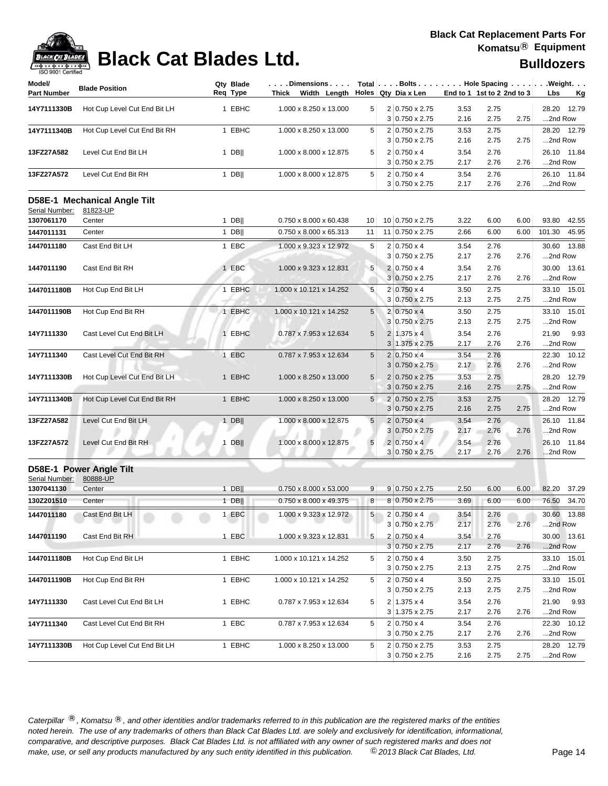

| Model/<br><b>Part Number</b> | <b>Blade Position</b>        | Qty Blade<br>Req Type | .Dimensions<br>Thick<br>Width Length |                 | Total $\ldots$ Bolts $\ldots$ $\ldots$ . Hole Spacing $\ldots$ $\ldots$ . Weight. $\ldots$<br>Holes Qty Dia x Len |              | End to 1 1st to 2 2nd to 3 | Lbs<br><u>Kg</u>          |
|------------------------------|------------------------------|-----------------------|--------------------------------------|-----------------|-------------------------------------------------------------------------------------------------------------------|--------------|----------------------------|---------------------------|
| 14Y7111330B                  | Hot Cup Level Cut End Bit LH | 1 EBHC                | 1.000 x 8.250 x 13.000               | 5               | 2 0.750 x 2.75                                                                                                    | 3.53         | 2.75                       | 28.20<br>12.79            |
|                              |                              |                       |                                      |                 | 3 0.750 x 2.75                                                                                                    | 2.16         | 2.75<br>2.75               | 2nd Row                   |
| 14Y7111340B                  | Hot Cup Level Cut End Bit RH | 1 EBHC                | 1.000 x 8.250 x 13.000               | 5               | 2 0.750 x 2.75                                                                                                    | 3.53         | 2.75                       | 28.20 12.79               |
|                              |                              |                       |                                      |                 | $3 0.750 \times 2.75$                                                                                             | 2.16         | 2.75<br>2.75               | 2nd Row                   |
| 13FZ27A582                   | Level Cut End Bit LH         | $1$ DB                | 1.000 x 8.000 x 12.875               | 5               | $2 0.750 \times 4$                                                                                                | 3.54         | 2.76                       | 26.10 11.84               |
|                              |                              |                       |                                      |                 | $3 0.750 \times 2.75$                                                                                             | 2.17         | 2.76<br>2.76               | 2nd Row                   |
| 13FZ27A572                   | Level Cut End Bit RH         | 1 DB                  | 1.000 x 8.000 x 12.875               | 5               | $2 0.750 \times 4$<br>$3 0.750 \times 2.75$                                                                       | 3.54<br>2.17 | 2.76<br>2.76<br>2.76       | 26.10 11.84<br>2nd Row    |
|                              |                              |                       |                                      |                 |                                                                                                                   |              |                            |                           |
| Serial Number:               | D58E-1 Mechanical Angle Tilt |                       |                                      |                 |                                                                                                                   |              |                            |                           |
| 1307061170                   | 81823-UP<br>Center           | $1$ DB                | 0.750 x 8.000 x 60.438               | 10              | 10 0.750 x 2.75                                                                                                   | 3.22         | 6.00<br>6.00               | 93.80<br>42.55            |
| 1447011131                   | Center                       | $1$ DB                | 0.750 x 8.000 x 65.313               | 11              | 11 0.750 x 2.75                                                                                                   | 2.66         | 6.00<br>6.00               | 45.95<br>101.30           |
|                              |                              |                       |                                      |                 |                                                                                                                   |              |                            |                           |
| 1447011180                   | Cast End Bit LH              | 1 EBC                 | 1.000 x 9.323 x 12.972               | 5               | $2 0.750 \times 4$                                                                                                | 3.54         | 2.76                       | 30.60<br>13.88            |
|                              |                              |                       |                                      |                 | $3 0.750 \times 2.75$                                                                                             | 2.17         | 2.76<br>2.76               | 2nd Row                   |
| 1447011190                   | Cast End Bit RH              | 1 EBC                 | 1.000 x 9.323 x 12.831               | 5               | $2 0.750 \times 4$                                                                                                | 3.54         | 2.76                       | 30.00 13.61               |
|                              |                              |                       |                                      |                 | $3 0.750 \times 2.75$                                                                                             | 2.17         | 2.76<br>2.76               | 2nd Row                   |
| 1447011180B                  | Hot Cup End Bit LH           | 1 EBHC                | 1.000 x 10.121 x 14.252              | 5               | $2 0.750 \times 4$                                                                                                | 3.50<br>2.13 | 2.75<br>2.75               | 15.01<br>33.10<br>2nd Row |
|                              |                              |                       |                                      |                 | 3 0.750 x 2.75                                                                                                    |              | 2.75                       |                           |
| 1447011190B                  | Hot Cup End Bit RH           | 1 EBHC                | 1.000 x 10.121 x 14.252              | $5\overline{)}$ | $2 0.750 \times 4$<br>3 0.750 x 2.75                                                                              | 3.50<br>2.13 | 2.75<br>2.75<br>2.75       | 33.10 15.01<br>2nd Row    |
|                              |                              |                       |                                      |                 |                                                                                                                   |              |                            |                           |
| 14Y7111330                   | Cast Level Cut End Bit LH    | 1 EBHC                | 0.787 x 7.953 x 12.634               | 5               | $2 1.375 \times 4$<br>$3 1.375 \times 2.75$                                                                       | 3.54<br>2.17 | 2.76<br>2.76<br>2.76       | 21.90<br>9.93<br>2nd Row  |
|                              | Cast Level Cut End Bit RH    | 1 EBC                 | 0.787 x 7.953 x 12.634               | 5               | $2 0.750 \times 4$                                                                                                | 3.54         | 2.76                       | 22.30 10.12               |
| 14Y7111340                   |                              |                       |                                      |                 | 3 0.750 x 2.75                                                                                                    | 2.17         | 2.76<br>2.76               | 2nd Row                   |
| 14Y7111330B                  | Hot Cup Level Cut End Bit LH | 1 EBHC                | 1.000 x 8.250 x 13.000               | $5\phantom{.0}$ | 2 0.750 x 2.75                                                                                                    | 3.53         | 2.75                       | 28.20<br>12.79            |
|                              |                              |                       |                                      |                 | $3 0.750 \times 2.75$                                                                                             | 2.16         | 2.75<br>2.75               | 2nd Row                   |
| 14Y7111340B                  | Hot Cup Level Cut End Bit RH | 1 EBHC                | 1.000 x 8.250 x 13.000               | 5               | 2 0.750 x 2.75                                                                                                    | 3.53         | 2.75                       | 28.20 12.79               |
|                              |                              |                       |                                      |                 | $3 0.750 \times 2.75$                                                                                             | 2.16         | 2.75<br>2.75               | 2nd Row                   |
| 13FZ27A582                   | Level Cut End Bit LH         | $1$ DB                | 1.000 x 8.000 x 12.875               | 5               | $2 0.750 \times 4$                                                                                                | 3.54         | 2.76                       | 26.10 11.84               |
|                              |                              |                       |                                      |                 | $3 0.750 \times 2.75$                                                                                             | 2.17         | 2.76<br>2.76               | 2nd Row                   |
| 13FZ27A572                   | Level Cut End Bit RH         | $1$ DB                | 1.000 x 8.000 x 12.875               | 5               | $2 0.750 \times 4$                                                                                                | 3.54         | 2.76                       | 26.10 11.84               |
|                              |                              |                       |                                      |                 | $3 0.750 \times 2.75$                                                                                             | 2.17         | 2.76<br>2.76               | 2nd Row                   |
|                              | D58E-1 Power Angle Tilt      |                       |                                      |                 |                                                                                                                   |              |                            |                           |
| Serial Number:               | 80888-UP                     |                       |                                      |                 |                                                                                                                   |              |                            |                           |
| 1307041130                   | Center                       | $1$ DB                | 0.750 x 8.000 x 53.000               | 9               | $9 0.750 \times 2.75$                                                                                             | 2.50         | 6.00<br>6.00               | 82.20<br>37.29            |
| 130Z201510                   | Center                       | $1$ DB                | 0.750 x 8.000 x 49.375               | 8               | 8 0.750 x 2.75                                                                                                    | 3.69         | 6.00<br>6.00               | 76.50<br>34.70            |
| 1447011180                   | Cast End Bit LH              | 1 EBC                 | 1.000 x 9.323 x 12.972               | 5               | 2 0.750 x 4                                                                                                       | 3.54         | 2.76                       | 30.60 13.88               |
|                              | --                           |                       |                                      |                 | 3 0.750 x 2.75                                                                                                    | 2.17         | 2.76<br>2.76               | 2nd Row                   |
| 1447011190                   | Cast End Bit RH              | 1 EBC                 | 1.000 x 9.323 x 12.831               | 5               | $2 0.750 \times 4$                                                                                                | 3.54         | 2.76                       | 30.00 13.61               |
|                              |                              |                       |                                      |                 | $3 0.750 \times 2.75$                                                                                             | 2.17         | 2.76<br>2.76               | 2nd Row                   |
| 1447011180B                  | Hot Cup End Bit LH           | 1 EBHC                | 1.000 x 10.121 x 14.252              | 5               | $2 0.750 \times 4$                                                                                                | 3.50         | 2.75                       | 33.10 15.01               |
|                              |                              |                       |                                      |                 | $3 0.750 \times 2.75$                                                                                             | 2.13         | 2.75<br>2.75               | 2nd Row                   |
| 1447011190B                  | Hot Cup End Bit RH           | 1 EBHC                | 1.000 x 10.121 x 14.252              | 5               | $2 0.750 \times 4$                                                                                                | 3.50         | 2.75                       | 33.10 15.01               |
|                              |                              |                       |                                      |                 | $3 0.750 \times 2.75$                                                                                             | 2.13         | 2.75<br>2.75               | 2nd Row                   |
| 14Y7111330                   | Cast Level Cut End Bit LH    | 1 EBHC                | 0.787 x 7.953 x 12.634               | 5               | $2 1.375 \times 4$                                                                                                | 3.54         | 2.76                       | 21.90 9.93                |
|                              |                              |                       |                                      |                 | $3 1.375 \times 2.75$                                                                                             | 2.17         | 2.76<br>2.76               | 2nd Row                   |
| 14Y7111340                   | Cast Level Cut End Bit RH    | 1 EBC                 | 0.787 x 7.953 x 12.634               | 5               | $2 0.750 \times 4$                                                                                                | 3.54         | 2.76                       | 22.30 10.12               |
|                              |                              |                       |                                      |                 | $3 0.750 \times 2.75$                                                                                             | 2.17         | 2.76<br>2.76               | 2nd Row                   |
| 14Y7111330B                  | Hot Cup Level Cut End Bit LH | 1 EBHC                | 1.000 x 8.250 x 13.000               | 5               | 2 0.750 x 2.75                                                                                                    | 3.53         | 2.75                       | 28.20 12.79               |
|                              |                              |                       |                                      |                 | $3 0.750 \times 2.75$                                                                                             | 2.16         | 2.75<br>2.75               | 2nd Row                   |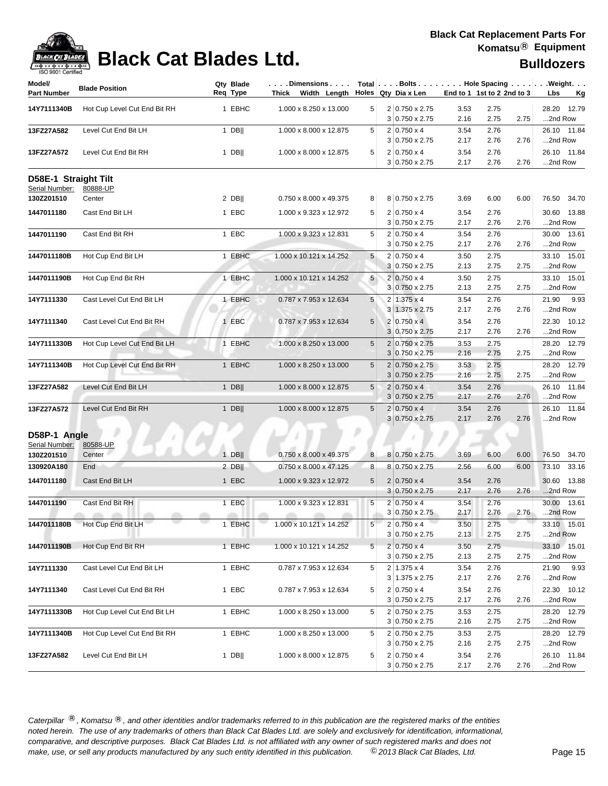

| <b>IOO SUUT CERTIFIED</b>    |                              |                       |                                                                                   |                 |                                                |              |                            |      |                                                            |
|------------------------------|------------------------------|-----------------------|-----------------------------------------------------------------------------------|-----------------|------------------------------------------------|--------------|----------------------------|------|------------------------------------------------------------|
| Model/<br><b>Part Number</b> | <b>Blade Position</b>        | Qty Blade<br>Req Type | $\ldots$ . Dimensions. $\ldots$<br>Thick Width Length $\vert$ Holes Qty Dia x Len |                 |                                                |              | End to 1 1st to 2 2nd to 3 |      | Total   Bolts   Hole Spacing   Weight.<br>Lbs<br><u>Kg</u> |
| 14Y7111340B                  | Hot Cup Level Cut End Bit RH | 1 EBHC                | 1.000 x 8.250 x 13.000                                                            | 5               | 2 0.750 x 2.75                                 | 3.53         | 2.75                       |      | 28.20 12.79                                                |
|                              |                              |                       |                                                                                   |                 | $3 0.750 \times 2.75$                          | 2.16         | 2.75                       | 2.75 | 2nd Row                                                    |
| 13FZ27A582                   | Level Cut End Bit LH         | $1$ DB                | 1.000 x 8.000 x 12.875                                                            | 5               | $2 0.750 \times 4$                             | 3.54         | 2.76                       |      | 26.10 11.84                                                |
|                              |                              |                       |                                                                                   |                 | $3 0.750 \times 2.75$                          | 2.17         | 2.76                       | 2.76 | 2nd Row                                                    |
| 13FZ27A572                   | Level Cut End Bit RH         | $1$ DB                | 1.000 x 8.000 x 12.875                                                            | 5               | $2 0.750 \times 4$                             | 3.54         | 2.76                       |      | 26.10 11.84                                                |
|                              |                              |                       |                                                                                   |                 | $3 0.750 \times 2.75$                          | 2.17         | 2.76                       | 2.76 | 2nd Row                                                    |
| D58E-1 Straight Tilt         |                              |                       |                                                                                   |                 |                                                |              |                            |      |                                                            |
| Serial Number:               | 80888-UP                     |                       |                                                                                   |                 |                                                |              |                            |      |                                                            |
| 130Z201510                   | Center                       | $2$ DB                | 0.750 x 8.000 x 49.375                                                            | 8               | 8 0.750 x 2.75                                 | 3.69         | 6.00                       | 6.00 | 76.50 34.70                                                |
| 1447011180                   | Cast End Bit LH              | 1 EBC                 | 1.000 x 9.323 x 12.972                                                            | 5               | $2 0.750 \times 4$<br>$3 0.750 \times 2.75$    | 3.54<br>2.17 | 2.76<br>2.76               | 2.76 | 30.60 13.88<br>2nd Row                                     |
| 1447011190                   | Cast End Bit RH              | 1 EBC                 | 1.000 x 9.323 x 12.831                                                            | 5               | $2 0.750 \times 4$                             | 3.54         | 2.76                       |      | 30.00 13.61                                                |
|                              |                              |                       |                                                                                   |                 | $3 0.750 \times 2.75$                          | 2.17         | 2.76                       | 2.76 | 2nd Row                                                    |
| 1447011180B                  | Hot Cup End Bit LH           | 1 EBHC                | 1.000 x 10.121 x 14.252                                                           | 5               | $2 0.750 \times 4$                             | 3.50         | 2.75                       |      | 33.10 15.01                                                |
|                              |                              |                       |                                                                                   |                 | 3 0.750 x 2.75                                 | 2.13         | 2.75                       | 2.75 | 2nd Row                                                    |
| 1447011190B                  | Hot Cup End Bit RH           | 1 EBHC                | 1.000 x 10.121 x 14.252                                                           | $5\phantom{.0}$ | $2 0.750 \times 4$                             | 3.50         | 2.75                       |      | 33.10 15.01                                                |
|                              |                              |                       |                                                                                   |                 | 3 0.750 x 2.75                                 | 2.13         | 2.75                       | 2.75 | 2nd Row                                                    |
| 14Y7111330                   | Cast Level Cut End Bit LH    | 1 EBHC                | 0.787 x 7.953 x 12.634                                                            | 5               | $2 \mid 1.375 \times 4$                        | 3.54         | 2.76                       |      | 21.90<br>9.93                                              |
|                              |                              |                       |                                                                                   |                 | $3 1.375 \times 2.75$                          | 2.17         | 2.76                       | 2.76 | 2nd Row                                                    |
| 14Y7111340                   | Cast Level Cut End Bit RH    | 1 EBC                 | 0.787 x 7.953 x 12.634                                                            | $5\phantom{.0}$ | $2 0.750 \times 4 $                            | 3.54         | 2.76                       |      | 22.30 10.12                                                |
|                              |                              |                       |                                                                                   |                 | 3 0.750 x 2.75                                 | 2.17         | 2.76                       | 2.76 | 2nd Row                                                    |
| 14Y7111330B                  | Hot Cup Level Cut End Bit LH | 1 EBHC                | 1.000 x 8.250 x 13.000                                                            | 5               | 2 0.750 x 2.75                                 | 3.53         | 2.75                       |      | 28.20 12.79                                                |
|                              |                              |                       |                                                                                   |                 | 3 0.750 x 2.75                                 | 2.16         | 2.75                       | 2.75 | 2nd Row                                                    |
| 14Y7111340B                  | Hot Cup Level Cut End Bit RH | 1 EBHC                | 1.000 x 8.250 x 13.000                                                            | 5               | $2 0.750 \times 2.75$<br>$3 0.750 \times 2.75$ | 3.53<br>2.16 | 2.75<br>2.75               | 2.75 | 28.20 12.79<br>2nd Row                                     |
| 13FZ27A582                   | Level Cut End Bit LH         | $1$ DB                | 1.000 x 8.000 x 12.875                                                            | $\sqrt{5}$      | $2 0.750 \times 4$                             | 3.54         | 2.76                       |      | 26.10 11.84                                                |
|                              |                              |                       |                                                                                   |                 | $3 0.750 \times 2.75$                          | 2.17         | 2.76                       | 2.76 | 2nd Row                                                    |
| 13FZ27A572                   | Level Cut End Bit RH         | $1$ DB                | 1.000 x 8.000 x 12.875                                                            | 5               | $2 0.750 \times 4$                             | 3.54         | 2.76                       |      | 26.10 11.84                                                |
|                              |                              |                       |                                                                                   |                 | $3 0.750 \times 2.75$                          | 2.17         | 2.76                       | 2.76 | 2nd Row                                                    |
| D58P-1 Angle                 |                              |                       |                                                                                   |                 |                                                |              |                            |      |                                                            |
| Serial Number:               | 80588-UP                     |                       |                                                                                   |                 |                                                |              |                            |      |                                                            |
| 130Z201510                   | Center                       | $1$ DB                | 0.750 x 8.000 x 49.375                                                            | 8               | 8 0.750 x 2.75                                 | 3.69         | 6.00                       | 6.00 | 76.50<br>34.70                                             |
| 130920A180                   | End                          | 2 DB $\parallel$      | 0.750 x 8.000 x 47.125                                                            | 8               | 8 0.750 x 2.75                                 | 2.56         | 6.00                       | 6.00 | 73.10 33.16                                                |
| 1447011180                   | Cast End Bit LH              | 1 EBC                 | 1.000 x 9.323 x 12.972                                                            | $5\phantom{.0}$ | $2 0.750 \times 4$                             | 3.54         | 2.76                       |      | 30.60 13.88                                                |
|                              |                              |                       |                                                                                   |                 | $3 0.750 \times 2.75$                          | 2.17         | 2.76                       | 2.76 | 2nd Row                                                    |
| 1447011190                   | Cast End Bit RH              | 1 EBC                 | 1.000 x 9.323 x 12.831                                                            | 5               | $2 0.750 \times 4$                             | 3.54         | 2.76                       |      | 30.00 13.61                                                |
|                              |                              |                       |                                                                                   |                 | $3 0.750 \times 2.75$                          | 2.17         | 2.76                       | 2.76 | 2nd Row                                                    |
| 1447011180B                  | Hot Cup End Bit LH           | 1 EBHC                | 1.000 x 10.121 x 14.252                                                           | 5 <sup>5</sup>  | $2 0.750 \times 4$                             | 3.50         | 2.75                       |      | 33.10 15.01                                                |
|                              |                              |                       |                                                                                   |                 | $3 0.750 \times 2.75$                          | 2.13         | 2.75                       | 2.75 | 2nd Row                                                    |
| 1447011190B                  | Hot Cup End Bit RH           | 1 EBHC                | 1.000 x 10.121 x 14.252                                                           | $5\phantom{.0}$ | $2 0.750 \times 4$                             | 3.50         | 2.75                       |      | 33.10 15.01                                                |
|                              |                              |                       |                                                                                   |                 | $3 0.750 \times 2.75$                          | 2.13         | 2.75                       | 2.75 | 2nd Row                                                    |
| 14Y7111330                   | Cast Level Cut End Bit LH    | 1 EBHC                | 0.787 x 7.953 x 12.634                                                            | 5               | $2 1.375 \times 4$                             | 3.54         | 2.76                       |      | 21.90 9.93                                                 |
|                              |                              |                       |                                                                                   |                 | $3 1.375 \times 2.75$                          | 2.17         | 2.76                       | 2.76 | 2nd Row                                                    |
| 14Y7111340                   | Cast Level Cut End Bit RH    | 1 EBC                 | 0.787 x 7.953 x 12.634                                                            | 5               | $2 0.750 \times 4$<br>$3 0.750 \times 2.75$    | 3.54<br>2.17 | 2.76<br>2.76               | 2.76 | 22.30 10.12<br>2nd Row                                     |
|                              | Hot Cup Level Cut End Bit LH | 1 EBHC                | 1.000 x 8.250 x 13.000                                                            | 5               | 2 0.750 x 2.75                                 | 3.53         | 2.75                       |      | 28.20 12.79                                                |
| 14Y7111330B                  |                              |                       |                                                                                   |                 | $3 0.750 \times 2.75$                          | 2.16         | 2.75                       | 2.75 | 2nd Row                                                    |
| 14Y7111340B                  | Hot Cup Level Cut End Bit RH | 1 EBHC                | 1.000 x 8.250 x 13.000                                                            | 5               | 2 0.750 x 2.75                                 | 3.53         | 2.75                       |      | 28.20 12.79                                                |
|                              |                              |                       |                                                                                   |                 | $3 0.750 \times 2.75$                          | 2.16         | 2.75                       | 2.75 | 2nd Row                                                    |
| 13FZ27A582                   | Level Cut End Bit LH         | 1 DB                  | 1.000 x 8.000 x 12.875                                                            | 5               | $2 0.750 \times 4$                             | 3.54         | 2.76                       |      | 26.10 11.84                                                |
|                              |                              |                       |                                                                                   |                 | 3 0.750 x 2.75                                 | 2.17         | 2.76                       | 2.76 | 2nd Row                                                    |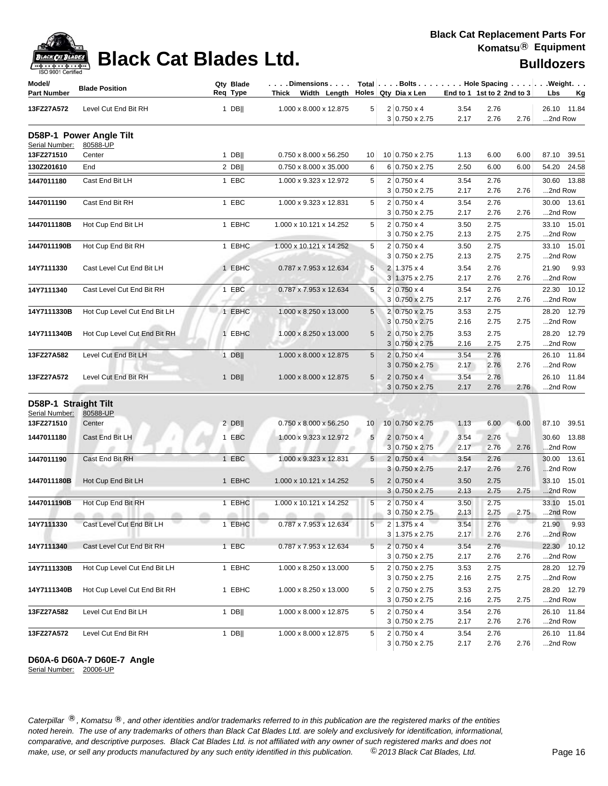| ack Cat I      |
|----------------|
| 9001 Certified |

| Model/<br><b>Part Number</b>           | <b>Blade Position</b>               |        | Qty Blade<br>Req Type | Dimensions   Total   Bolts    Hole Spacing    Weight<br>Thick Width Length $\vert$ Holes Qty Dia x Len |                 |                                             | End to 1 1st to 2 2nd to 3 |              |      | Lbs<br><u>Kg</u>       |
|----------------------------------------|-------------------------------------|--------|-----------------------|--------------------------------------------------------------------------------------------------------|-----------------|---------------------------------------------|----------------------------|--------------|------|------------------------|
| 13FZ27A572                             | Level Cut End Bit RH                |        | $1$ DB                | 1.000 x 8.000 x 12.875                                                                                 | 5 <sup>1</sup>  | $2 0.750 \times 4$<br>3 0.750 x 2.75        | 3.54<br>2.17               | 2.76<br>2.76 | 2.76 | 26.10 11.84<br>2nd Row |
| Serial Number:                         | D58P-1 Power Angle Tilt<br>80588-UP |        |                       |                                                                                                        |                 |                                             |                            |              |      |                        |
| 13FZ271510                             | Center                              |        | $1$ DB                | 0.750 x 8.000 x 56.250                                                                                 | 10              | 10 0.750 x 2.75                             | 1.13                       | 6.00         | 6.00 | 87.10 39.51            |
| 130Z201610                             | End                                 |        | $2$ DB                | 0.750 x 8.000 x 35.000                                                                                 | 6               | 6 0.750 x 2.75                              | 2.50                       | 6.00         | 6.00 | 54.20 24.58            |
| 1447011180                             | Cast End Bit LH                     |        | 1 EBC                 | 1.000 x 9.323 x 12.972                                                                                 | 5               | $2 0.750 \times 4$                          | 3.54                       | 2.76         |      | 30.60 13.88            |
|                                        |                                     |        |                       |                                                                                                        |                 | $3 0.750 \times 2.75$                       | 2.17                       | 2.76         | 2.76 | 2nd Row                |
| 1447011190                             | Cast End Bit RH                     |        | 1 EBC                 | 1.000 x 9.323 x 12.831                                                                                 | 5               | $2 0.750 \times 4$                          | 3.54                       | 2.76         |      | 30.00 13.61            |
|                                        |                                     |        |                       |                                                                                                        |                 | $3 0.750 \times 2.75$                       | 2.17                       | 2.76         | 2.76 | 2nd Row                |
| 1447011180B                            | Hot Cup End Bit LH                  |        | 1 EBHC                | 1.000 x 10.121 x 14.252                                                                                | 5               | $2 0.750 \times 4$                          | 3.50                       | 2.75         |      | 33.10 15.01            |
|                                        |                                     |        |                       |                                                                                                        |                 | $3 0.750 \times 2.75$                       | 2.13                       | 2.75         | 2.75 | 2nd Row                |
| 1447011190B                            | Hot Cup End Bit RH                  |        | 1 EBHC                | 1.000 x 10.121 x 14.252                                                                                | 5               | $2 0.750 \times 4$                          | 3.50                       | 2.75         |      | 33.10 15.01            |
|                                        |                                     |        |                       |                                                                                                        |                 | $3 0.750 \times 2.75$                       | 2.13                       | 2.75         | 2.75 | 2nd Row                |
| 14Y7111330                             | Cast Level Cut End Bit LH           |        | 1 EBHC                | 0.787 x 7.953 x 12.634                                                                                 | $\sqrt{5}$      | 2 1.375 x 4                                 | 3.54                       | 2.76         |      | 21.90<br>9.93          |
|                                        |                                     |        |                       |                                                                                                        |                 | 3 1.375 x 2.75                              | 2.17                       | 2.76         | 2.76 | 2nd Row                |
| 14Y7111340                             | Cast Level Cut End Bit RH           |        | 1 EBC                 | 0.787 x 7.953 x 12.634                                                                                 | 5               | $2 0.750 \times 4$                          | 3.54                       | 2.76         |      | 22.30 10.12            |
|                                        |                                     |        |                       |                                                                                                        |                 | 3 0.750 x 2.75                              | 2.17                       | 2.76         | 2.76 | 2nd Row                |
| 14Y7111330B                            | Hot Cup Level Cut End Bit LH        |        | 1 EBHC                | 1.000 x 8.250 x 13.000                                                                                 | 5               | 2 0.750 x 2.75                              | 3.53                       | 2.75         |      | 28.20 12.79            |
|                                        |                                     |        |                       |                                                                                                        |                 | 3 0.750 x 2.75                              | 2.16                       | 2.75         | 2.75 | 2nd Row                |
| 14Y7111340B                            | Hot Cup Level Cut End Bit RH        |        | 1 EBHC                | 1.000 x 8.250 x 13.000                                                                                 | $5\phantom{.0}$ | 2 0.750 x 2.75<br>3 0.750 x 2.75            | 3.53<br>2.16               | 2.75<br>2.75 | 2.75 | 28.20 12.79<br>2nd Row |
|                                        |                                     |        |                       |                                                                                                        |                 |                                             |                            |              |      |                        |
| 13FZ27A582                             | Level Cut End Bit LH                |        | $1$ DB                | 1.000 x 8.000 x 12.875                                                                                 | 5               | $2 0.750 \times 4$<br>$3 0.750 \times 2.75$ | 3.54<br>2.17               | 2.76<br>2.76 | 2.76 | 26.10 11.84<br>2nd Row |
| 13FZ27A572                             | Level Cut End Bit RH                |        | $1$ DB                | 1.000 x 8.000 x 12.875                                                                                 | $5\phantom{.0}$ | $2 0.750 \times 4$                          | 3.54                       | 2.76         |      | 26.10 11.84            |
|                                        |                                     |        |                       |                                                                                                        |                 | $3 0.750 \times 2.75$                       | 2.17                       | 2.76         | 2.76 | 2nd Row                |
|                                        |                                     |        |                       |                                                                                                        |                 |                                             |                            |              |      |                        |
| D58P-1 Straight Tilt<br>Serial Number: | 80588-UP                            |        |                       |                                                                                                        |                 |                                             |                            |              |      |                        |
| 13FZ271510                             | Center                              |        | $2$ DB                | $0.750 \times 8.000 \times 56.250$                                                                     | 10 <sub>1</sub> | 10 0.750 x 2.75                             | 1.13                       | 6.00         | 6.00 | 87.10 39.51            |
|                                        |                                     |        |                       |                                                                                                        |                 |                                             |                            |              |      |                        |
| 1447011180                             | Cast End Bit LH                     |        | 1 EBC                 | 1.000 x 9.323 x 12.972                                                                                 | 5               | $2 0.750 \times 4$<br>$3 0.750 \times 2.75$ | 3.54<br>2.17               | 2.76<br>2.76 | 2.76 | 30.60 13.88<br>2nd Row |
| 1447011190                             | Cast End Bit RH                     |        | 1 EBC                 | 1.000 x 9.323 x 12.831                                                                                 | 5 <sup>5</sup>  | $2 0.750 \times 4$                          | 3.54                       | 2.76         |      | 30.00 13.61            |
|                                        |                                     |        |                       |                                                                                                        |                 | $3 0.750 \times 2.75$                       | 2.17                       | 2.76         | 2.76 | 2nd Row                |
| 1447011180B                            | Hot Cup End Bit LH                  |        | 1 EBHC                | 1.000 x 10.121 x 14.252                                                                                | 5               | $2 0.750 \times 4$                          | 3.50                       | 2.75         |      | 33.10 15.01            |
|                                        |                                     |        |                       |                                                                                                        |                 | $3 0.750 \times 2.75$                       | 2.13                       | 2.75         | 2.75 | 2nd Row                |
| 1447011190B                            | Hot Cup End Bit RH                  |        | 1 EBHC                | 1.000 x 10.121 x 14.252                                                                                | 5               | $2 0.750 \times 4$                          | 3.50                       | 2.75         |      | 33.10 15.01            |
|                                        | all the same<br><b>ATTN:</b>        | all by | and the Co            | m<br>all life.                                                                                         |                 | $3 0.750 \times 2.75$                       | 2.13                       | 2.75         | 2.75 | 2nd Row                |
| 14Y7111330                             | Cast Level Cut End Bit LH           |        | 1 EBHC                | $0.787 \times 7.953 \times 12.634$                                                                     | 5               | $2 1.375 \times 4$                          | 3.54                       | 2.76         |      | 21.90 9.93             |
|                                        |                                     |        |                       |                                                                                                        |                 | $3 1.375 \times 2.75$                       | 2.17                       | 2.76         | 2.76 | 2nd Row                |
| 14Y7111340                             | Cast Level Cut End Bit RH           |        | 1 EBC                 | 0.787 x 7.953 x 12.634                                                                                 | 5               | $2 0.750 \times 4$                          | 3.54                       | 2.76         |      | 22.30 10.12            |
|                                        |                                     |        |                       |                                                                                                        |                 | $3 0.750 \times 2.75$                       | 2.17                       | 2.76         | 2.76 | 2nd Row                |
| 14Y7111330B                            | Hot Cup Level Cut End Bit LH        |        | 1 EBHC                | 1.000 x 8.250 x 13.000                                                                                 | 5               | 2 0.750 x 2.75                              | 3.53                       | 2.75         |      | 28.20 12.79            |
|                                        |                                     |        |                       |                                                                                                        |                 | 3 0.750 x 2.75                              | 2.16                       | 2.75         | 2.75 | 2nd Row                |
| 14Y7111340B                            | Hot Cup Level Cut End Bit RH        |        | 1 EBHC                | 1.000 x 8.250 x 13.000                                                                                 | 5               | 2 0.750 x 2.75                              | 3.53                       | 2.75         |      | 28.20 12.79            |
|                                        |                                     |        |                       |                                                                                                        |                 | $3 0.750 \times 2.75$                       | 2.16                       | 2.75         | 2.75 | 2nd Row                |
| 13FZ27A582                             | Level Cut End Bit LH                |        | $1$ DB                | 1.000 x 8.000 x 12.875                                                                                 | 5               | $2 0.750 \times 4$                          | 3.54                       | 2.76         |      | 26.10 11.84            |
|                                        |                                     |        |                       |                                                                                                        |                 | $3 0.750 \times 2.75$                       | 2.17                       | 2.76         | 2.76 | 2nd Row                |
| 13FZ27A572                             | Level Cut End Bit RH                |        | $1$ DB                | 1.000 x 8.000 x 12.875                                                                                 | 5               | $2 0.750 \times 4$                          | 3.54                       | 2.76         |      | 26.10 11.84            |
|                                        |                                     |        |                       |                                                                                                        |                 | $3 0.750 \times 2.75$                       | 2.17                       | 2.76         | 2.76 | 2nd Row                |

### **D60A-6 D60A-7 D60E-7 Angle**

Serial Number: 20006-UP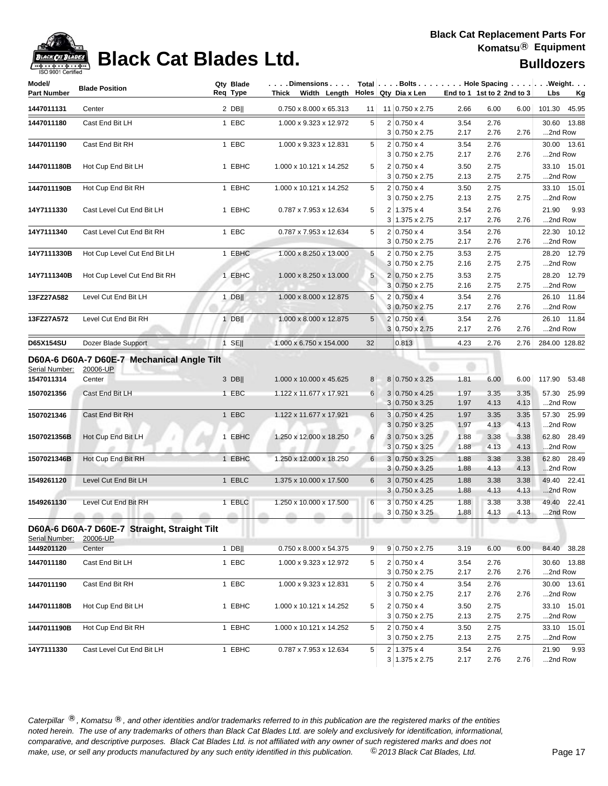

## **Black Cat Blades Ltd. Black Cat Blades Ltd. Black Cat Blades Ltd. Bulldozers**

| Model/<br><b>Part Number</b> | <b>Blade Position</b>                                            |         | Qty Blade<br>Req Type |   | $\ldots$ . Dimensions $\ldots$ .<br>Thick Width Length Holes Qty Dia x Len |    |                                                |              | End to 1 1st to 2 2nd to 3 |              | Total   Bolts   Hole Spacing   Weight.<br>Lbs<br><u>Kg</u> |
|------------------------------|------------------------------------------------------------------|---------|-----------------------|---|----------------------------------------------------------------------------|----|------------------------------------------------|--------------|----------------------------|--------------|------------------------------------------------------------|
| 1447011131                   | Center                                                           |         | $2$ DB                |   | 0.750 x 8.000 x 65.313                                                     | 11 | 11 0.750 x 2.75                                | 2.66         | 6.00                       | 6.00         | 101.30 45.95                                               |
| 1447011180                   | Cast End Bit LH                                                  |         | 1 EBC                 |   | 1.000 x 9.323 x 12.972                                                     | 5  | $2 0.750 \times 4$<br>$3 0.750 \times 2.75$    | 3.54<br>2.17 | 2.76<br>2.76               | 2.76         | 30.60 13.88<br>2nd Row                                     |
| 1447011190                   | Cast End Bit RH                                                  |         | 1 EBC                 |   | 1.000 x 9.323 x 12.831                                                     | 5  | $2 0.750 \times 4$<br>$3 0.750 \times 2.75$    | 3.54<br>2.17 | 2.76<br>2.76               | 2.76         | 30.00 13.61<br>2nd Row                                     |
| 1447011180B                  | Hot Cup End Bit LH                                               |         | 1 EBHC                |   | 1.000 x 10.121 x 14.252                                                    | 5  | $2 0.750 \times 4$<br>3 0.750 x 2.75           | 3.50<br>2.13 | 2.75<br>2.75               | 2.75         | 33.10 15.01<br>2nd Row                                     |
| 1447011190B                  | Hot Cup End Bit RH                                               |         | 1 EBHC                |   | 1.000 x 10.121 x 14.252                                                    | 5  | $2 0.750 \times 4$<br>$3 0.750 \times 2.75$    | 3.50<br>2.13 | 2.75<br>2.75               | 2.75         | 33.10 15.01<br>2nd Row                                     |
| 14Y7111330                   | Cast Level Cut End Bit LH                                        |         | 1 EBHC                |   | 0.787 x 7.953 x 12.634                                                     | 5  | $2 1.375 \times 4$<br>3 1.375 x 2.75           | 3.54<br>2.17 | 2.76<br>2.76               | 2.76         | 21.90<br>9.93<br>2nd Row                                   |
| 14Y7111340                   | Cast Level Cut End Bit RH                                        |         | 1 EBC                 |   | 0.787 x 7.953 x 12.634                                                     | 5  | $2 0.750 \times 4$<br>$3 0.750 \times 2.75$    | 3.54<br>2.17 | 2.76<br>2.76               | 2.76         | 22.30 10.12<br>2nd Row                                     |
| 14Y7111330B                  | Hot Cup Level Cut End Bit LH                                     |         | 1 EBHC                |   | 1.000 x 8.250 x 13.000                                                     | 5  | 2 0.750 x 2.75<br>3 0.750 x 2.75               | 3.53<br>2.16 | 2.75<br>2.75               | 2.75         | 28.20 12.79<br>2nd Row                                     |
| 14Y7111340B                  | Hot Cup Level Cut End Bit RH                                     |         | 1 EBHC                |   | 1.000 x 8.250 x 13.000                                                     | 5  | 2 0.750 x 2.75<br>3 0.750 x 2.75               | 3.53<br>2.16 | 2.75<br>2.75               | 2.75         | 28.20 12.79<br>2nd Row                                     |
| 13FZ27A582                   | Level Cut End Bit LH                                             |         | $1$ DB                |   | 1.000 x 8.000 x 12.875                                                     | 5  | $2 0.750 \times 4$<br>3 0.750 x 2.75           | 3.54<br>2.17 | 2.76<br>2.76               | 2.76         | 26.10 11.84<br>2nd Row                                     |
| 13FZ27A572                   | Level Cut End Bit RH                                             |         | $1$ DB                |   | 1.000 x 8.000 x 12.875                                                     | 5  | $2 0.750 \times 4 $<br>3 0.750 x 2.75          | 3.54<br>2.17 | 2.76<br>2.76               | 2.76         | 26.10 11.84<br>2nd Row                                     |
| D65X154SU                    | Dozer Blade Support                                              |         | $1$ SE                |   | 1.000 x 6.750 x 154.000                                                    | 32 | 0.813                                          | 4.23         | 2.76                       | 2.76         | 284.00 128.82                                              |
| Serial Number:<br>1547011314 | D60A-6 D60A-7 D60E-7 Mechanical Angle Tilt<br>20006-UP<br>Center |         | $3$ DB                |   | 1.000 x 10.000 x 45.625                                                    | 8  | 8 0.750 x 3.25                                 | 1.81         | 6.00                       | 6.00         | 117.90 53.48                                               |
| 1507021356                   | Cast End Bit LH                                                  |         | 1 EBC                 |   | 1.122 x 11.677 x 17.921                                                    | 6  | $3 0.750 \times 4.25$                          | 1.97         | 3.35                       | 3.35         | 57.30 25.99                                                |
|                              |                                                                  |         |                       |   |                                                                            |    | $3 0.750 \times 3.25$                          | 1.97         | 4.13                       | 4.13         | 2nd Row                                                    |
| 1507021346                   | Cast End Bit RH                                                  |         | 1 EBC                 |   | 1.122 x 11.677 x 17.921                                                    | 6  | 3 0.750 x 4.25<br>$3 0.750 \times 3.25$        | 1.97<br>1.97 | 3.35<br>4.13               | 3.35<br>4.13 | 57.30 25.99<br>2nd Row                                     |
| 1507021356B                  | Hot Cup End Bit LH                                               |         | 1 EBHC                |   | 1.250 x 12.000 x 18.250                                                    | 6  | $3 0.750 \times 3.25$<br>$3 0.750 \times 3.25$ | 1.88<br>1.88 | 3.38<br>4.13               | 3.38<br>4.13 | 62.80 28.49<br>2nd Row                                     |
| 1507021346B                  | Hot Cup End Bit RH                                               |         | 1 EBHC                |   | 1.250 x 12.000 x 18.250                                                    | 6  | 3 0.750 x 3.25<br>$3 0.750 \times 3.25$        | 1.88<br>1.88 | 3.38<br>4.13               | 3.38<br>4.13 | 62.80 28.49<br>2nd Row                                     |
| 1549261120                   | Level Cut End Bit LH                                             |         | 1 EBLC                |   | 1.375 x 10.000 x 17.500                                                    | 6  | $3 0.750 \times 4.25$<br>$3 0.750 \times 3.25$ | 1.88<br>1.88 | 3.38<br>4.13               | 3.38<br>4.13 | 49.40 22.41<br>2nd Row                                     |
| 1549261130                   | Level Cut End Bit RH<br><b>Alla</b><br>27.37<br>other.           | attitu. | 1 EBLC<br>allow.      | m | 1.250 x 10.000 x 17.500<br>m                                               | 6  | $3 0.750 \times 4.25$<br>$3 0.750 \times 3.25$ | 1.88<br>1.88 | 3.38<br>4.13               | 3.38<br>4.13 | 49.40 22.41<br>2nd Row                                     |
| Serial Number:               | D60A-6 D60A-7 D60E-7 Straight, Straight Tilt<br>20006-UP         |         |                       |   |                                                                            |    |                                                |              |                            |              |                                                            |
| 1449201120                   | Center                                                           |         | $1$ DB                |   | 0.750 x 8.000 x 54.375                                                     | 9  | 9 0.750 x 2.75                                 | 3.19         | 6.00                       | 6.00         | 84.40 38.28                                                |
| 1447011180                   | Cast End Bit LH                                                  |         | 1 EBC                 |   | 1.000 x 9.323 x 12.972                                                     | 5  | $2 0.750 \times 4$<br>3 0.750 x 2.75           | 3.54<br>2.17 | 2.76<br>2.76               | 2.76         | 30.60 13.88<br>2nd Row                                     |
| 1447011190                   | Cast End Bit RH                                                  |         | 1 EBC                 |   | 1.000 x 9.323 x 12.831                                                     | 5  | $2 0.750 \times 4$<br>$3 0.750 \times 2.75$    | 3.54<br>2.17 | 2.76<br>2.76               | 2.76         | 30.00 13.61<br>2nd Row                                     |
| 1447011180B                  | Hot Cup End Bit LH                                               |         | 1 EBHC                |   | 1.000 x 10.121 x 14.252                                                    | 5  | $2 0.750 \times 4$<br>$3 0.750 \times 2.75$    | 3.50<br>2.13 | 2.75<br>2.75               | 2.75         | 33.10 15.01<br>2nd Row                                     |
| 1447011190B                  | Hot Cup End Bit RH                                               |         | 1 EBHC                |   | 1.000 x 10.121 x 14.252                                                    | 5  | $2 0.750 \times 4$<br>$3 0.750 \times 2.75$    | 3.50<br>2.13 | 2.75<br>2.75               | 2.75         | 33.10 15.01<br>2nd Row                                     |
| 14Y7111330                   | Cast Level Cut End Bit LH                                        |         | 1 EBHC                |   | 0.787 x 7.953 x 12.634                                                     | 5  | $2 1.375 \times 4$<br>$3 1.375 \times 2.75$    | 3.54<br>2.17 | 2.76<br>2.76               | 2.76         | 21.90 9.93<br>2nd Row                                      |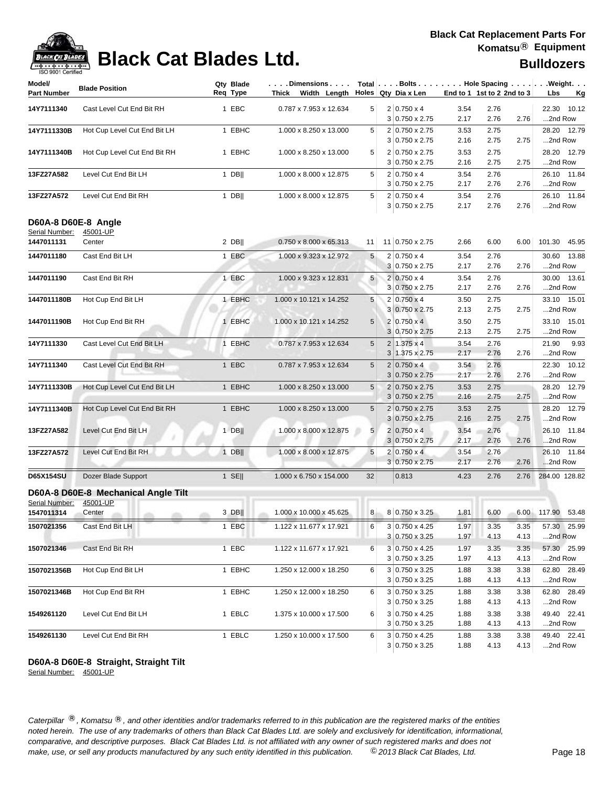| Model/<br><b>Part Number</b> | <b>Blade Position</b>               | Qty Blade<br>Reg Type | .Dimensions<br>Thick Width Length |                | Total $\vert \ldots$ Bolts $\ldots \vert \ldots$ Hole Spacing $\ldots \vert \ldots$ Weight. $\ldots$<br>Holes Qty Dia x Len | End to 1 1st to 2 2nd to 3 |      |      | Lbs<br>Kg      |
|------------------------------|-------------------------------------|-----------------------|-----------------------------------|----------------|-----------------------------------------------------------------------------------------------------------------------------|----------------------------|------|------|----------------|
| 14Y7111340                   | Cast Level Cut End Bit RH           | 1 EBC                 | 0.787 x 7.953 x 12.634            | 5              | $2 0.750 \times 4$                                                                                                          | 3.54                       | 2.76 |      | 22.30<br>10.12 |
|                              |                                     |                       |                                   |                | $3 0.750 \times 2.75$                                                                                                       | 2.17                       | 2.76 | 2.76 | 2nd Row        |
| 14Y7111330B                  | Hot Cup Level Cut End Bit LH        | 1 EBHC                | 1.000 x 8.250 x 13.000            | 5              | 2 0.750 x 2.75                                                                                                              | 3.53                       | 2.75 |      | 28.20 12.79    |
|                              |                                     |                       |                                   |                | $3 0.750 \times 2.75$                                                                                                       | 2.16                       | 2.75 | 2.75 | 2nd Row        |
| 14Y7111340B                  | Hot Cup Level Cut End Bit RH        | 1 EBHC                | 1.000 x 8.250 x 13.000            | 5              | 2 0.750 x 2.75                                                                                                              | 3.53                       | 2.75 |      | 28.20 12.79    |
|                              |                                     |                       |                                   |                | $3 0.750 \times 2.75$                                                                                                       | 2.16                       | 2.75 | 2.75 | 2nd Row        |
| 13FZ27A582                   | Level Cut End Bit LH                | $1$ DB                | 1.000 x 8.000 x 12.875            | 5              | $2 0.750 \times 4$                                                                                                          | 3.54                       | 2.76 |      | 26.10 11.84    |
|                              |                                     |                       |                                   |                | $3 0.750 \times 2.75$                                                                                                       | 2.17                       | 2.76 | 2.76 | 2nd Row        |
| 13FZ27A572                   | Level Cut End Bit RH                | 1 DB                  | 1.000 x 8.000 x 12.875            | 5              | $2 0.750 \times 4$                                                                                                          | 3.54                       | 2.76 |      | 26.10 11.84    |
|                              |                                     |                       |                                   |                | 3 0.750 x 2.75                                                                                                              | 2.17                       | 2.76 | 2.76 | 2nd Row        |
|                              | D60A-8 D60E-8 Angle                 |                       |                                   |                |                                                                                                                             |                            |      |      |                |
| Serial Number:               | 45001-UP                            |                       |                                   |                |                                                                                                                             |                            |      |      |                |
| 1447011131                   | Center                              | $2$ DB                | 0.750 x 8.000 x 65.313            | 11             | 11 0.750 x 2.75                                                                                                             | 2.66                       | 6.00 | 6.00 | 101.30 45.95   |
| 1447011180                   | Cast End Bit LH                     | 1 EBC                 | 1.000 x 9.323 x 12.972            | 5              | $2 0.750 \times 4$                                                                                                          | 3.54                       | 2.76 |      | 30.60 13.88    |
|                              |                                     |                       |                                   |                | 3 0.750 x 2.75                                                                                                              | 2.17                       | 2.76 | 2.76 | 2nd Row        |
| 1447011190                   | Cast End Bit RH                     | 1 EBC                 | 1.000 x 9.323 x 12.831            | 5              | $2 0.750 \times 4$                                                                                                          | 3.54                       | 2.76 |      | 30.00 13.61    |
|                              |                                     |                       |                                   |                | 3 0.750 x 2.75                                                                                                              | 2.17                       | 2.76 | 2.76 | 2nd Row        |
| 1447011180B                  | Hot Cup End Bit LH                  | 1 EBHC                | 1.000 x 10.121 x 14.252           | 5              | $2 0.750 \times 4$                                                                                                          | 3.50                       | 2.75 |      | 33.10 15.01    |
|                              |                                     |                       |                                   |                | $3 0.750 \times 2.75$                                                                                                       | 2.13                       | 2.75 | 2.75 | 2nd Row        |
| 1447011190B                  | Hot Cup End Bit RH                  | 1 EBHC                | 1.000 x 10.121 x 14.252           | 5              | $2 0.750 \times 4 $                                                                                                         | 3.50                       | 2.75 |      | 33.10 15.01    |
|                              |                                     |                       |                                   |                | 3 0.750 x 2.75                                                                                                              | 2.13                       | 2.75 | 2.75 | 2nd Row        |
| 14Y7111330                   | Cast Level Cut End Bit LH           | 1 EBHC                | 0.787 x 7.953 x 12.634            | 5              | $2 1.375 \times 4$                                                                                                          | 3.54                       | 2.76 |      | 21.90<br>9.93  |
|                              |                                     |                       |                                   |                | $3 1.375 \times 2.75$                                                                                                       | 2.17                       | 2.76 | 2.76 | 2nd Row        |
| 14Y7111340                   | Cast Level Cut End Bit RH           | 1 EBC                 | 0.787 x 7.953 x 12.634            | 5              | $2 0.750 \times 4$                                                                                                          | 3.54                       | 2.76 |      | 22.30 10.12    |
|                              |                                     |                       |                                   |                | $3 0.750 \times 2.75$                                                                                                       | 2.17                       | 2.76 | 2.76 | 2nd Row        |
| 14Y7111330B                  | Hot Cup Level Cut End Bit LH        | 1 EBHC                | 1.000 x 8.250 x 13.000            | 5              | 2 0.750 x 2.75                                                                                                              | 3.53                       | 2.75 |      | 28.20 12.79    |
|                              |                                     |                       |                                   |                | $3 0.750 \times 2.75$                                                                                                       | 2.16                       | 2.75 | 2.75 | 2nd Row        |
| 14Y7111340B                  | Hot Cup Level Cut End Bit RH        | 1 EBHC                | 1.000 x 8.250 x 13.000            | 5              | $2 0.750 \times 2.75$                                                                                                       | 3.53                       | 2.75 |      | 28.20 12.79    |
|                              |                                     |                       |                                   |                | $3 0.750 \times 2.75$                                                                                                       | 2.16                       | 2.75 | 2.75 | 2nd Row        |
| 13FZ27A582                   | Level Cut End Bit LH                | $1$ DB                | 1.000 x 8.000 x 12.875            | 5              | $2 0.750 \times 4$                                                                                                          | 3.54                       | 2.76 |      | 26.10 11.84    |
|                              |                                     |                       |                                   |                | $3 0.750 \times 2.75$                                                                                                       | 2.17                       | 2.76 | 2.76 | 2nd Row        |
| 13FZ27A572                   | Level Cut End Bit RH                | $1$ DB                | 1.000 x 8.000 x 12.875            | 5              | $2 0.750 \times 4 $                                                                                                         | 3.54                       | 2.76 |      | 26.10 11.84    |
|                              |                                     |                       |                                   |                | $3 0.750 \times 2.75$                                                                                                       | 2.17                       | 2.76 | 2.76 | 2nd Row        |
| D65X154SU                    | Dozer Blade Support                 | $1$ SE                | 1.000 x 6.750 x 154.000           | 32             | 0.813                                                                                                                       | 4.23                       | 2.76 | 2.76 | 284.00 128.82  |
|                              | D60A-8 D60E-8 Mechanical Angle Tilt |                       |                                   |                |                                                                                                                             |                            |      |      |                |
| Serial Number:               | 45001-UP                            |                       |                                   |                |                                                                                                                             |                            |      |      |                |
| 1547011314                   | Center<br>other.<br>m               | $3$ DB                | 1.000 x 10.000 x 45.625           | 8 <sup>1</sup> | 8 0.750 x 3.25                                                                                                              | 1.81                       | 6.00 | 6.00 | 117.90 53.48   |
| 1507021356                   | Cast End Bit LH                     | 1 EBC                 | 1.122 x 11.677 x 17.921           | 6              | 3 0.750 x 4.25                                                                                                              | 1.97                       | 3.35 | 3.35 | 57.30 25.99    |
|                              |                                     |                       |                                   |                | $3 0.750 \times 3.25$                                                                                                       | 1.97                       | 4.13 | 4.13 | 2nd Row        |
| 1507021346                   | Cast End Bit RH                     | 1 EBC                 | 1.122 x 11.677 x 17.921           | 6              | 3 0.750 x 4.25                                                                                                              | 1.97                       | 3.35 | 3.35 | 57.30 25.99    |
|                              |                                     |                       |                                   |                | 3 0.750 x 3.25                                                                                                              | 1.97                       | 4.13 | 4.13 | 2nd Row        |
| 1507021356B                  | Hot Cup End Bit LH                  | 1 EBHC                | 1.250 x 12.000 x 18.250           | 6              | $3 0.750 \times 3.25$                                                                                                       | 1.88                       | 3.38 | 3.38 | 62.80 28.49    |
|                              |                                     |                       |                                   |                | $3 0.750 \times 3.25$                                                                                                       | 1.88                       | 4.13 | 4.13 | 2nd Row        |
| 1507021346B                  | Hot Cup End Bit RH                  | 1 EBHC                | 1.250 x 12.000 x 18.250           | 6              | $3 0.750 \times 3.25$                                                                                                       | 1.88                       | 3.38 | 3.38 | 62.80 28.49    |
|                              |                                     |                       |                                   |                | $3 0.750 \times 3.25$                                                                                                       | 1.88                       | 4.13 | 4.13 | 2nd Row        |
| 1549261120                   | Level Cut End Bit LH                | 1 EBLC                | 1.375 x 10.000 x 17.500           | 6              | 3 0.750 x 4.25                                                                                                              | 1.88                       | 3.38 | 3.38 | 49.40 22.41    |
|                              |                                     |                       |                                   |                | $3 0.750 \times 3.25$                                                                                                       | 1.88                       | 4.13 | 4.13 | 2nd Row        |
| 1549261130                   | Level Cut End Bit RH                | 1 EBLC                | 1.250 x 10.000 x 17.500           | 6              | $3 0.750 \times 4.25$                                                                                                       | 1.88                       | 3.38 | 3.38 | 49.40 22.41    |
|                              |                                     |                       |                                   |                | $3 0.750 \times 3.25$                                                                                                       | 1.88                       | 4.13 | 4.13 | 2nd Row        |

### **D60A-8 D60E-8 Straight, Straight Tilt**

Serial Number: 45001-UP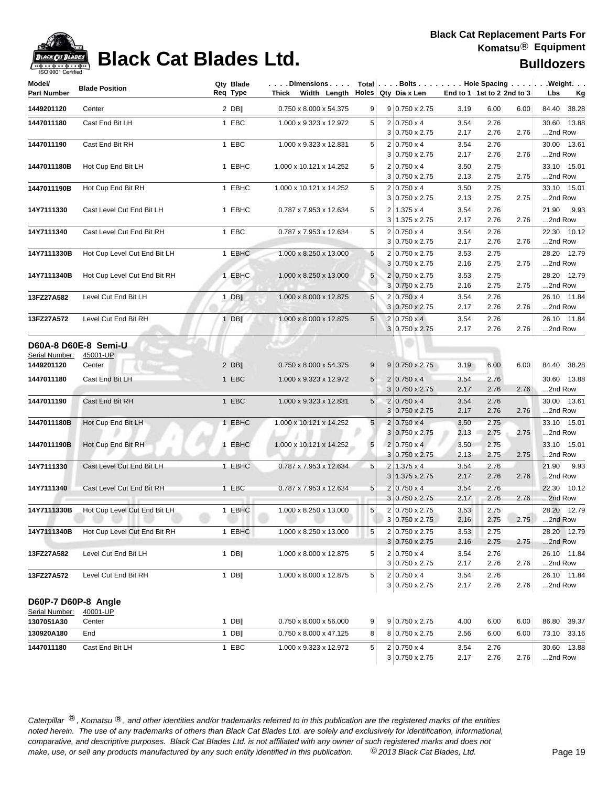

## **Black Cat Blades Ltd. Black Cat Blades Ltd. Bulldozers**

| Model/<br><b>Part Number</b> | <b>Blade Position</b>                      | Qty Blade<br>Reg Type | . Dimensions   Total   Bolts Hole Spacing   Weight.<br>Thick Width Length |                 | Holes Qty Dia x Len                         |              | End to 1 1st to 2 2nd to 3 |      | Lbs<br><u>Kg</u>         |
|------------------------------|--------------------------------------------|-----------------------|---------------------------------------------------------------------------|-----------------|---------------------------------------------|--------------|----------------------------|------|--------------------------|
| 1449201120                   | Center                                     | $2$ DB                | 0.750 x 8.000 x 54.375                                                    | 9               | $9 0.750 \times 2.75$                       | 3.19         | 6.00                       | 6.00 | 84.40 38.28              |
| 1447011180                   | Cast End Bit LH                            | 1 EBC                 | 1.000 x 9.323 x 12.972                                                    | 5               | $2 0.750 \times 4$                          | 3.54         | 2.76                       |      | 30.60 13.88              |
|                              |                                            |                       |                                                                           |                 | $3 0.750 \times 2.75$                       | 2.17         | 2.76                       | 2.76 | 2nd Row                  |
| 1447011190                   | Cast End Bit RH                            | 1 EBC                 | 1.000 x 9.323 x 12.831                                                    | 5               | $2 0.750 \times 4$                          | 3.54         | 2.76                       |      | 30.00 13.61              |
|                              |                                            |                       |                                                                           |                 | $3 0.750 \times 2.75$                       | 2.17         | 2.76                       | 2.76 | 2nd Row                  |
| 1447011180B                  | Hot Cup End Bit LH                         | 1 EBHC                | 1.000 x 10.121 x 14.252                                                   | 5               | $2 0.750 \times 4$                          | 3.50         | 2.75                       |      | 33.10 15.01              |
|                              |                                            |                       |                                                                           |                 | $3 0.750 \times 2.75$                       | 2.13         | 2.75                       | 2.75 | 2nd Row                  |
| 1447011190B                  | Hot Cup End Bit RH                         | 1 EBHC                | 1.000 x 10.121 x 14.252                                                   | 5               | $2 0.750 \times 4$                          | 3.50         | 2.75                       |      | 33.10 15.01              |
|                              |                                            |                       |                                                                           |                 | $3 0.750 \times 2.75$                       | 2.13         | 2.75                       | 2.75 | 2nd Row                  |
| 14Y7111330                   | Cast Level Cut End Bit LH                  | 1 EBHC                | 0.787 x 7.953 x 12.634                                                    | 5               | $2 1.375 \times 4$<br>$3 1.375 \times 2.75$ | 3.54<br>2.17 | 2.76<br>2.76               | 2.76 | 21.90<br>9.93<br>2nd Row |
|                              | Cast Level Cut End Bit RH                  | 1 EBC                 | 0.787 x 7.953 x 12.634                                                    | 5               | $2 0.750 \times 4$                          | 3.54         | 2.76                       |      | 22.30 10.12              |
| 14Y7111340                   |                                            |                       |                                                                           |                 | $3 0.750 \times 2.75$                       | 2.17         | 2.76                       | 2.76 | 2nd Row                  |
| 14Y7111330B                  | Hot Cup Level Cut End Bit LH               | 1 EBHC                | 1.000 x 8.250 x 13.000                                                    | 5               | 2 0.750 x 2.75                              | 3.53         | 2.75                       |      | 28.20 12.79              |
|                              |                                            |                       |                                                                           |                 | 3 0.750 x 2.75                              | 2.16         | 2.75                       | 2.75 | 2nd Row                  |
| 14Y7111340B                  | Hot Cup Level Cut End Bit RH               | 1 EBHC                | 1.000 x 8.250 x 13.000                                                    | 5               | 2 0.750 x 2.75                              | 3.53         | 2.75                       |      | 28.20 12.79              |
|                              |                                            |                       |                                                                           |                 | 3 0.750 x 2.75                              | 2.16         | 2.75                       | 2.75 | 2nd Row                  |
| 13FZ27A582                   | Level Cut End Bit LH                       | $1$ DB                | 1.000 x 8.000 x 12.875                                                    | 5               | $2 0.750 \times 4$                          | 3.54         | 2.76                       |      | 26.10 11.84              |
|                              |                                            |                       |                                                                           |                 | 3 0.750 x 2.75                              | 2.17         | 2.76                       | 2.76 | 2nd Row                  |
| 13FZ27A572                   | Level Cut End Bit RH                       | $1$ DB                | 1.000 x 8.000 x 12.875                                                    | 5 <sup>1</sup>  | $2 0.750 \times 4 $                         | 3.54         | 2.76                       |      | 26.10 11.84              |
|                              |                                            |                       |                                                                           |                 | 3 0.750 x 2.75                              | 2.17         | 2.76                       | 2.76 | 2nd Row                  |
| Serial Number:<br>1449201120 | D60A-8 D60E-8 Semi-U<br>45001-UP<br>Center | $2$ DB                | 0.750 x 8.000 x 54.375                                                    | 9               | $9 0.750 \times 2.75$                       | 3.19         | 6.00                       | 6.00 | 84.40 38.28              |
| 1447011180                   | Cast End Bit LH                            | 1 EBC                 | 1.000 x 9.323 x 12.972                                                    | $5\overline{)}$ | $2 0.750 \times 4$                          | 3.54         | 2.76                       |      | 30.60 13.88              |
|                              |                                            |                       |                                                                           |                 | $3 0.750 \times 2.75$                       | 2.17         | 2.76                       | 2.76 | 2nd Row                  |
| 1447011190                   | Cast End Bit RH                            | 1 EBC                 | 1.000 x 9.323 x 12.831                                                    | $5\overline{)}$ | $2 0.750 \times 4$                          | 3.54         | 2.76                       |      | 30.00 13.61              |
|                              |                                            |                       |                                                                           |                 | $3 0.750 \times 2.75$                       | 2.17         | 2.76                       | 2.76 | 2nd Row                  |
| 1447011180B                  | Hot Cup End Bit LH                         | 1 EBHC                | 1.000 x 10.121 x 14.252                                                   | 5               | $2 0.750 \times 4$                          | 3.50         | 2.75                       |      | 33.10 15.01              |
|                              |                                            |                       |                                                                           |                 | $3 0.750 \times 2.75$                       | 2.13         | 2.75                       | 2.75 | 2nd Row                  |
| 1447011190B                  | Hot Cup End Bit RH                         | 1 EBHC                | 1.000 x 10.121 x 14.252                                                   | 5               | $2 0.750 \times 4$                          | 3.50         | 2.75                       |      | 33.10 15.01              |
|                              |                                            |                       |                                                                           |                 | $3 0.750 \times 2.75$                       | 2.13         | 2.75                       | 2.75 | 2nd Row                  |
| 14Y7111330                   | Cast Level Cut End Bit LH                  | 1 EBHC                | 0.787 x 7.953 x 12.634                                                    | 5               | $2 1.375 \times 4$                          | 3.54         | 2.76                       |      | 21.90<br>9.93            |
|                              |                                            |                       |                                                                           |                 | $3 1.375 \times 2.75$                       | 2.17         | 2.76                       | 2.76 | 2nd Row                  |
| 14Y7111340                   | Cast Level Cut End Bit RH                  | 1 EBC                 | 0.787 x 7.953 x 12.634                                                    | $\overline{5}$  | $\overline{c}$<br>$0.750 \times 4$          | 3.54         | 2.76                       |      | 22.30 10.12              |
|                              |                                            |                       |                                                                           |                 | $3 0.750 \times 2.75$                       | 2.17         | 2.76                       | 2.76 | 2nd Row                  |
| 14Y7111330B                  | Hot Cup Level Cut End Bit LH               | 1 EBHC                | 1.000 x 8.250 x 13.000                                                    | 5               | 2 0.750 x 2.75                              | 3.53         | 2.75                       |      | 28.20 12.79              |
|                              |                                            |                       |                                                                           |                 | $3 0.750 \times 2.75$                       | 2.16         | 2.75                       | 2.75 | 2nd Row                  |
|                              | 14Y7111340B Hot Cup Level Cut End Bit RH   | 1 EBHC                | 1.000 x 8.250 x 13.000                                                    | 5               | 2 0.750 x 2.75<br>$3 0.750 \times 2.75$     | 3.53<br>2.16 | 2.75<br>2.75               | 2.75 | 28.20 12.79<br>2nd Row   |
|                              | Level Cut End Bit LH                       | $1$ DB                | 1.000 x 8.000 x 12.875                                                    | 5               | $2 0.750 \times 4$                          | 3.54         | 2.76                       |      | 26.10 11.84              |
| 13FZ27A582                   |                                            |                       |                                                                           |                 | $3 0.750 \times 2.75$                       | 2.17         | 2.76                       | 2.76 | 2nd Row                  |
| 13FZ27A572                   | Level Cut End Bit RH                       | $1$ DB                | 1.000 x 8.000 x 12.875                                                    | 5               | $2 0.750 \times 4$                          | 3.54         | 2.76                       |      | 26.10 11.84              |
|                              |                                            |                       |                                                                           |                 | $3 0.750 \times 2.75$                       | 2.17         | 2.76                       | 2.76 | 2nd Row                  |
|                              |                                            |                       |                                                                           |                 |                                             |              |                            |      |                          |
| D60P-7 D60P-8 Angle          |                                            |                       |                                                                           |                 |                                             |              |                            |      |                          |
| Serial Number:<br>1307051A30 | 40001-UP<br>Center                         | $1$ DB                | $0.750 \times 8.000 \times 56.000$                                        | 9               | $9 0.750 \times 2.75$                       | 4.00         | 6.00                       | 6.00 | 86.80 39.37              |
| 130920A180                   | End                                        | $1$ DB                | 0.750 x 8.000 x 47.125                                                    | 8               | 8 0.750 x 2.75                              | 2.56         | 6.00                       | 6.00 | 73.10 33.16              |
|                              |                                            |                       |                                                                           |                 |                                             |              |                            |      |                          |
| 1447011180                   | Cast End Bit LH                            | 1 EBC                 | 1.000 x 9.323 x 12.972                                                    | 5               | $2 0.750 \times 4$                          | 3.54         | 2.76                       |      | 30.60 13.88              |
|                              |                                            |                       |                                                                           |                 | $3 0.750 \times 2.75$                       | 2.17         | 2.76                       | 2.76 | 2nd Row                  |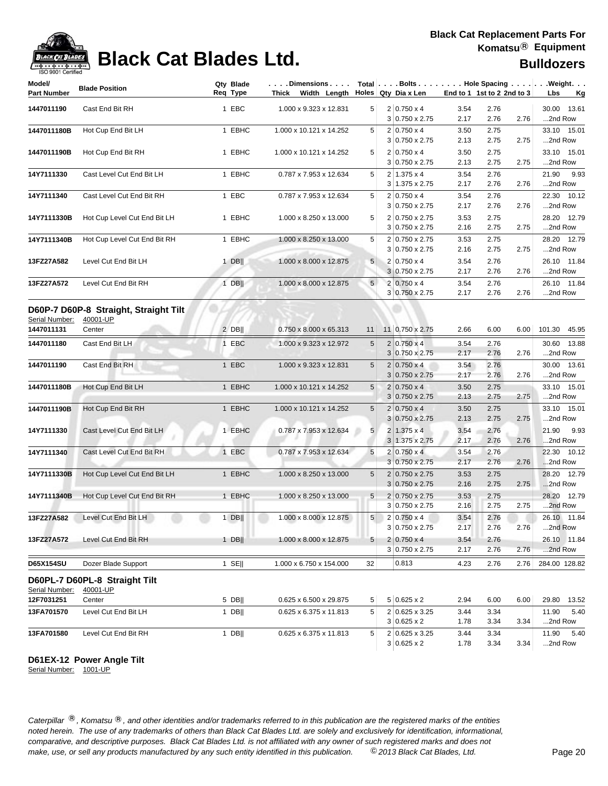

## **Black Cat Blades Ltd. Black Cat Blades Ltd. Bulldozers**

| Model/<br><b>Part Number</b> | <b>Blade Position</b>                             | Qty Blade<br>Req Type | . Dimensions   Total  . Bolts Hole Spacing  . Weight.<br>Thick Width Length Holes Qty Diax Len |                 |                                                |              | End to 1 1st to 2 2nd to 3 |      | Lbs<br><u>Kg</u>         |
|------------------------------|---------------------------------------------------|-----------------------|------------------------------------------------------------------------------------------------|-----------------|------------------------------------------------|--------------|----------------------------|------|--------------------------|
| 1447011190                   | Cast End Bit RH                                   | 1 EBC                 | 1.000 x 9.323 x 12.831                                                                         | 5               | $2 0.750 \times 4$<br>$3 0.750 \times 2.75$    | 3.54<br>2.17 | 2.76<br>2.76               | 2.76 | 30.00 13.61<br>2nd Row   |
| 1447011180B                  | Hot Cup End Bit LH                                | 1 EBHC                | 1.000 x 10.121 x 14.252                                                                        | 5               | $2 0.750 \times 4$<br>$3 0.750 \times 2.75$    | 3.50<br>2.13 | 2.75<br>2.75               | 2.75 | 33.10 15.01<br>2nd Row   |
| 1447011190B                  | Hot Cup End Bit RH                                | 1 EBHC                | 1.000 x 10.121 x 14.252                                                                        | 5               | $2 0.750 \times 4$<br>$3 0.750 \times 2.75$    | 3.50<br>2.13 | 2.75<br>2.75               | 2.75 | 33.10 15.01<br>2nd Row   |
| 14Y7111330                   | Cast Level Cut End Bit LH                         | 1 EBHC                | 0.787 x 7.953 x 12.634                                                                         | 5               | $2 1.375 \times 4$<br>$3 1.375 \times 2.75$    | 3.54<br>2.17 | 2.76<br>2.76               | 2.76 | 21.90<br>9.93<br>2nd Row |
| 14Y7111340                   | Cast Level Cut End Bit RH                         | 1 EBC                 | 0.787 x 7.953 x 12.634                                                                         | 5               | $2 0.750 \times 4$<br>$3 0.750 \times 2.75$    | 3.54<br>2.17 | 2.76<br>2.76               | 2.76 | 22.30 10.12<br>2nd Row   |
| 14Y7111330B                  | Hot Cup Level Cut End Bit LH                      | 1 EBHC                | 1.000 x 8.250 x 13.000                                                                         | 5               | 2 0.750 x 2.75<br>$3 0.750 \times 2.75$        | 3.53<br>2.16 | 2.75<br>2.75               | 2.75 | 28.20 12.79<br>2nd Row   |
| 14Y7111340B                  | Hot Cup Level Cut End Bit RH                      | 1 EBHC                | 1.000 x 8.250 x 13.000                                                                         | 5               | 2 0.750 x 2.75<br>$3 0.750 \times 2.75$        | 3.53<br>2.16 | 2.75<br>2.75               | 2.75 | 28.20 12.79<br>2nd Row   |
| 13FZ27A582                   | Level Cut End Bit LH                              | $1$ DB                | 1.000 x 8.000 x 12.875                                                                         | 5               | $2 0.750 \times 4$<br>$3 0.750 \times 2.75$    | 3.54<br>2.17 | 2.76<br>2.76               | 2.76 | 26.10 11.84<br>2nd Row   |
| 13FZ27A572                   | Level Cut End Bit RH                              | $1$ DB                | 1.000 x 8.000 x 12.875                                                                         | $5\overline{)}$ | 2 0.750 x 4<br>3 0.750 x 2.75                  | 3.54<br>2.17 | 2.76<br>2.76               | 2.76 | 26.10 11.84<br>2nd Row   |
| Serial Number:               | D60P-7 D60P-8 Straight, Straight Tilt<br>40001-UP |                       |                                                                                                |                 |                                                |              |                            |      |                          |
| 1447011131                   | Center                                            | $2$ DB                | 0.750 x 8.000 x 65.313                                                                         | 11              | 11 0.750 x 2.75                                | 2.66         | 6.00                       | 6.00 | 101.30 45.95             |
| 1447011180                   | Cast End Bit LH                                   | 1 EBC                 | 1.000 x 9.323 x 12.972                                                                         | $5\phantom{.0}$ | $2 0.750 \times 4$<br>$3 0.750 \times 2.75$    | 3.54<br>2.17 | 2.76<br>2.76               | 2.76 | 30.60 13.88<br>2nd Row   |
| 1447011190                   | Cast End Bit RH                                   | 1 EBC                 | 1.000 x 9.323 x 12.831                                                                         | 5               | $2 0.750 \times 4$<br>$3 0.750 \times 2.75$    | 3.54<br>2.17 | 2.76<br>2.76               | 2.76 | 30.00 13.61<br>2nd Row   |
| 1447011180B                  | Hot Cup End Bit LH                                | 1 EBHC                | 1.000 x 10.121 x 14.252                                                                        | 5               | $2 0.750 \times 4$<br>$3 0.750 \times 2.75$    | 3.50<br>2.13 | 2.75<br>2.75               | 2.75 | 33.10 15.01<br>2nd Row   |
| 1447011190B                  | Hot Cup End Bit RH                                | 1 EBHC                | 1.000 x 10.121 x 14.252                                                                        | 5               | $2 0.750 \times 4$<br>$3 0.750 \times 2.75$    | 3.50<br>2.13 | 2.75<br>2.75               | 2.75 | 33.10 15.01<br>2nd Row   |
| 14Y7111330                   | Cast Level Cut End Bit LH                         | 1 EBHC                | 0.787 x 7.953 x 12.634                                                                         | 5               | $2 1.375 \times 4$<br>$3 1.375 \times 2.75$    | 3.54<br>2.17 | 2.76<br>2.76               | 2.76 | 21.90<br>9.93<br>2nd Row |
| 14Y7111340                   | Cast Level Cut End Bit RH                         | 1 EBC                 | 0.787 x 7.953 x 12.634                                                                         | 5               | $2 0.750 \times 4 $<br>$3 0.750 \times 2.75$   | 3.54<br>2.17 | 2.76<br>2.76               | 2.76 | 22.30 10.12<br>2nd Row   |
| 14Y7111330B                  | Hot Cup Level Cut End Bit LH                      | 1 EBHC                | 1.000 x 8.250 x 13.000                                                                         | 5               | $2 0.750 \times 2.75$<br>$3 0.750 \times 2.75$ | 3.53<br>2.16 | 2.75<br>2.75               | 2.75 | 28.20 12.79<br>2nd Row   |
| 14Y7111340B                  | Hot Cup Level Cut End Bit RH                      | 1 EBHC                | 1.000 x 8.250 x 13.000                                                                         | 5               | $2 0.750 \times 2.75$<br>$3 0.750 \times 2.75$ | 3.53<br>2.16 | 2.75<br>2.75               | 2.75 | 28.20 12.79<br>2nd Row   |
| 13FZ27A582                   | Level Cut End Bit LH                              | $1$ DB                | 1.000 x 8.000 x 12.875                                                                         | 5               | $2 0.750 \times 4$<br>$3 0.750 \times 2.75$    | 3.54<br>2.17 | 2.76<br>2.76               | 2.76 | 26.10 11.84<br>2nd Row   |
| 13FZ27A572                   | Level Cut End Bit RH                              | $1$ DB                | 1.000 x 8.000 x 12.875                                                                         | 5               | $2 0.750 \times 4$<br>$3 0.750 \times 2.75$    | 3.54<br>2.17 | 2.76<br>2.76               | 2.76 | 26.10 11.84<br>2nd Row   |
| D65X154SU                    | Dozer Blade Support                               | 1 SE $\parallel$      | 1.000 x 6.750 x 154.000                                                                        | 32              | 0.813                                          | 4.23         | 2.76                       | 2.76 | 284.00 128.82            |
| Serial Number:               | D60PL-7 D60PL-8 Straight Tilt<br>40001-UP         |                       |                                                                                                |                 |                                                |              |                            |      |                          |
| 12F7031251                   | Center                                            | 5 DB                  | 0.625 x 6.500 x 29.875                                                                         | 5               | $5 0.625 \times 2$                             | 2.94         | 6.00                       | 6.00 | 29.80<br>13.52           |
| 13FA701570                   | Level Cut End Bit LH                              | $1$ DB                | 0.625 x 6.375 x 11.813                                                                         | 5               | 2 0.625 x 3.25<br>$3 0.625 \times 2$           | 3.44<br>1.78 | 3.34<br>3.34               | 3.34 | 11.90<br>5.40<br>2nd Row |
| 13FA701580                   | Level Cut End Bit RH                              | 1 DB $  $             | 0.625 x 6.375 x 11.813                                                                         | 5               | 2 0.625 x 3.25<br>$3 0.625 \times 2$           | 3.44<br>1.78 | 3.34<br>3.34               | 3.34 | 11.90<br>5.40<br>2nd Row |
|                              |                                                   |                       |                                                                                                |                 |                                                |              |                            |      |                          |

**D61EX-12 Power Angle Tilt**

Serial Number: 1001-UP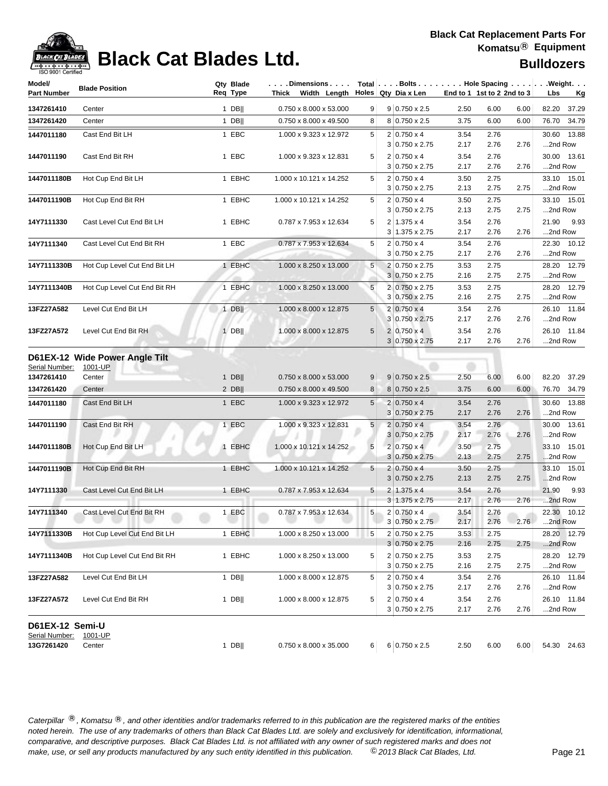

## **Black Cat Blades Ltd. Black Cat Blades Ltd. Bulldozers**

| Model/                       | <b>Blade Position</b>                               | Qty Blade<br>Req Type | $\ldots$ Dimensions $\ldots$<br>Thick Width Length $\vert$ Holes Qty Dia x Len |                 | Total Bolts Hole Spacing Weight.            |              |                            |      |                          |
|------------------------------|-----------------------------------------------------|-----------------------|--------------------------------------------------------------------------------|-----------------|---------------------------------------------|--------------|----------------------------|------|--------------------------|
| <b>Part Number</b>           |                                                     |                       |                                                                                |                 |                                             |              | End to 1 1st to 2 2nd to 3 |      | Lbs<br><u>Kg</u>         |
| 1347261410                   | Center                                              | 1 DB                  | 0.750 x 8.000 x 53.000                                                         | 9               | $9 0.750 \times 2.5$                        | 2.50         | 6.00                       | 6.00 | 82.20 37.29              |
| 1347261420                   | Center                                              | $1$ DB                | 0.750 x 8.000 x 49.500                                                         | 8               | 8 0.750 x 2.5                               | 3.75         | 6.00                       | 6.00 | 76.70 34.79              |
| 1447011180                   | Cast End Bit LH                                     | 1 EBC                 | 1.000 x 9.323 x 12.972                                                         | 5               | $2 0.750 \times 4$                          | 3.54         | 2.76                       |      | 30.60 13.88              |
|                              |                                                     |                       |                                                                                |                 | $3 0.750 \times 2.75$                       | 2.17         | 2.76                       | 2.76 | 2nd Row                  |
| 1447011190                   | Cast End Bit RH                                     | 1 EBC                 | 1.000 x 9.323 x 12.831                                                         | 5               | $2 0.750 \times 4$                          | 3.54         | 2.76                       |      | 30.00 13.61              |
|                              |                                                     |                       |                                                                                |                 | $3 0.750 \times 2.75$                       | 2.17         | 2.76                       | 2.76 | 2nd Row                  |
| 1447011180B                  | Hot Cup End Bit LH                                  | 1 EBHC                | 1.000 x 10.121 x 14.252                                                        | 5               | $2 0.750 \times 4$                          | 3.50         | 2.75                       |      | 33.10 15.01              |
|                              |                                                     |                       |                                                                                |                 | $3 0.750 \times 2.75$                       | 2.13         | 2.75                       | 2.75 | 2nd Row                  |
| 1447011190B                  | Hot Cup End Bit RH                                  | 1 EBHC                | 1.000 x 10.121 x 14.252                                                        | 5               | $2 0.750 \times 4$                          | 3.50         | 2.75                       |      | 33.10 15.01              |
|                              |                                                     |                       |                                                                                |                 | $3 0.750 \times 2.75$                       | 2.13         | 2.75                       | 2.75 | 2nd Row                  |
| 14Y7111330                   | Cast Level Cut End Bit LH                           | 1 EBHC                | 0.787 x 7.953 x 12.634                                                         | 5               | $2 1.375 \times 4$<br>$3 1.375 \times 2.75$ | 3.54<br>2.17 | 2.76<br>2.76               | 2.76 | 21.90<br>9.93<br>2nd Row |
|                              |                                                     |                       |                                                                                | 5               |                                             |              |                            |      |                          |
| 14Y7111340                   | Cast Level Cut End Bit RH                           | 1 EBC                 | 0.787 x 7.953 x 12.634                                                         |                 | $2 0.750 \times 4$<br>$3 0.750 \times 2.75$ | 3.54<br>2.17 | 2.76<br>2.76               | 2.76 | 22.30 10.12<br>2nd Row   |
| 14Y7111330B                  | Hot Cup Level Cut End Bit LH                        | 1 EBHC                | 1.000 x 8.250 x 13.000                                                         | 5 <sup>1</sup>  | 2 0.750 x 2.75                              | 3.53         | 2.75                       |      | 28.20 12.79              |
|                              |                                                     |                       |                                                                                |                 | $3 0.750 \times 2.75$                       | 2.16         | 2.75                       | 2.75 | 2nd Row                  |
| 14Y7111340B                  | Hot Cup Level Cut End Bit RH                        | 1 EBHC                | 1.000 x 8.250 x 13.000                                                         | 5               | 2 0.750 x 2.75                              | 3.53         | 2.75                       |      | 28.20 12.79              |
|                              |                                                     |                       |                                                                                |                 | 3 0.750 x 2.75                              | 2.16         | 2.75                       | 2.75 | 2nd Row                  |
| 13FZ27A582                   | Level Cut End Bit LH                                | $1$ DB                | 1.000 x 8.000 x 12.875                                                         | $5\overline{)}$ | $2 0.750 \times 4$                          | 3.54         | 2.76                       |      | 26.10 11.84              |
|                              |                                                     |                       |                                                                                |                 | 3 0.750 x 2.75                              | 2.17         | 2.76                       | 2.76 | 2nd Row                  |
| 13FZ27A572                   | Level Cut End Bit RH                                | $1$ DB                | 1.000 x 8.000 x 12.875                                                         | 5 <sup>1</sup>  | $2 0.750 \times 4 $                         | 3.54         | 2.76                       |      | 26.10 11.84              |
|                              |                                                     |                       |                                                                                |                 | $3 0.750 \times 2.75$                       | 2.17         | 2.76                       | 2.76 | 2nd Row                  |
| Serial Number:<br>1347261410 | D61EX-12 Wide Power Angle Tilt<br>1001-UP<br>Center | $1$ DB                | 0.750 x 8.000 x 53.000                                                         | 9               | $9 0.750 \times 2.5$                        | 2.50         | 6.00                       | 6.00 | 82.20 37.29              |
| 1347261420                   | Center                                              | $2$ DB                | 0.750 x 8.000 x 49.500                                                         | 8               | 8 0.750 x 2.5                               | 3.75         | 6.00                       | 6.00 | 76.70 34.79              |
| 1447011180                   | Cast End Bit LH                                     | 1 EBC                 | 1.000 x 9.323 x 12.972                                                         | 5 <sup>1</sup>  | $2 0.750 \times 4$                          | 3.54         | 2.76                       |      | 30.60 13.88              |
|                              |                                                     |                       |                                                                                |                 | $3 0.750 \times 2.75$                       | 2.17         | 2.76                       | 2.76 | 2nd Row                  |
| 1447011190                   | Cast End Bit RH                                     | 1 EBC                 | 1.000 x 9.323 x 12.831                                                         | 5 <sup>1</sup>  | $2 0.750 \times 4$                          | 3.54         | 2.76                       |      | 30.00 13.61              |
|                              |                                                     |                       |                                                                                |                 | $3 0.750 \times 2.75$                       | 2.17         | 2.76                       | 2.76 | 2nd Row                  |
| 1447011180B                  | Hot Cup End Bit LH                                  | 1 EBHC                | 1.000 x 10.121 x 14.252                                                        | 5               | $2 0.750 \times 4 $                         | 3.50         | 2.75                       |      | 33.10 15.01              |
|                              |                                                     |                       |                                                                                |                 | $3 0.750 \times 2.75$                       | 2.13         | 2.75                       | 2.75 | 2nd Row                  |
| 1447011190B                  | Hot Cup End Bit RH                                  | 1 EBHC                | 1.000 x 10.121 x 14.252                                                        | 5 <sub>1</sub>  | $2 0.750 \times 4$                          | 3.50         | 2.75                       |      | 33.10 15.01              |
|                              |                                                     |                       |                                                                                |                 | $3 0.750 \times 2.75$                       | 2.13         | 2.75                       | 2.75 | 2nd Row                  |
| 14Y7111330                   | Cast Level Cut End Bit LH                           | 1 EBHC                | 0.787 x 7.953 x 12.634                                                         | 5               | $2 1.375 \times 4$                          | 3.54         | 2.76                       |      | 21.90<br>9.93            |
|                              |                                                     |                       |                                                                                |                 | $3 1.375 \times 2.75$                       | 2.17         | 2.76                       | 2.76 | 2nd Row                  |
| 14Y7111340                   | Cast Level Cut End Bit RH                           | 1 EBC                 | 0.787 x 7.953 x 12.634                                                         | 5               | $2 0.750 \times 4$                          | 3.54         | 2.76                       |      | 22.30 10.12              |
|                              |                                                     |                       |                                                                                |                 | 3 0.750 x 2.75                              | 2.17         | 2.76                       | 2.76 | 2nd Row                  |
| 14Y7111330B                  | Hot Cup Level Cut End Bit LH                        | 1 EBHC                | 1.000 x 8.250 x 13.000                                                         | 5               | 2 0.750 x 2.75                              | 3.53         | 2.75                       |      | 28.20 12.79              |
|                              |                                                     |                       |                                                                                |                 | $3 0.750 \times 2.75$                       | 2.16         | 2.75                       | 2.75 | 2nd Row                  |
| 14Y7111340B                  | Hot Cup Level Cut End Bit RH                        | 1 EBHC                | 1.000 x 8.250 x 13.000                                                         | 5               | 2 0.750 x 2.75                              | 3.53         | 2.75                       |      | 28.20 12.79              |
|                              |                                                     |                       |                                                                                |                 | $3 0.750 \times 2.75$                       | 2.16         | 2.75                       | 2.75 | 2nd Row                  |
| 13FZ27A582                   | Level Cut End Bit LH                                | 1 DB $  $             | 1.000 x 8.000 x 12.875                                                         | 5               | $2 0.750 \times 4$                          | 3.54         | 2.76<br>2.76               |      | 26.10 11.84              |
|                              |                                                     |                       |                                                                                |                 | $3 0.750 \times 2.75$                       | 2.17         |                            | 2.76 | 2nd Row                  |
| 13FZ27A572                   | Level Cut End Bit RH                                | 1 DB $  $             | 1.000 x 8.000 x 12.875                                                         | 5               | $2 0.750 \times 4$<br>3 0.750 x 2.75        | 3.54<br>2.17 | 2.76<br>2.76               | 2.76 | 26.10 11.84<br>2nd Row   |
|                              |                                                     |                       |                                                                                |                 |                                             |              |                            |      |                          |
| D61EX-12 Semi-U              |                                                     |                       |                                                                                |                 |                                             |              |                            |      |                          |
| Serial Number:               | 1001-UP                                             |                       |                                                                                |                 |                                             |              |                            |      |                          |
| 13G7261420                   | Center                                              | $1$ DB                | $0.750 \times 8.000 \times 35.000$                                             |                 | $6 \ 6 \ 0.750 \times 2.5$                  | 2.50         | 6.00                       | 6.00 | 54.30 24.63              |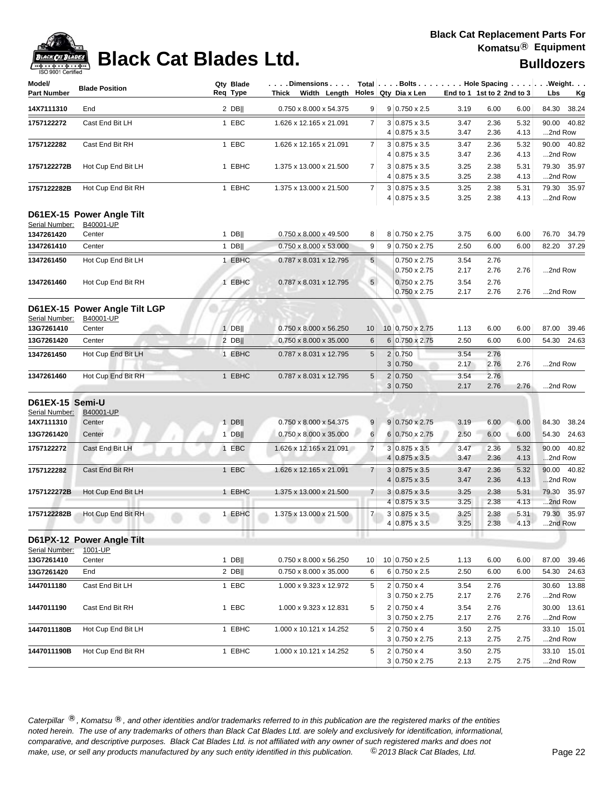

# **Black Cat Blades Ltd. Black Cat Blades Ltd. Bulldozers**

| 130 JUU LUBRIIBU                  |                                                  |                       |                                                                                    |                 |                                               |                            |              |              |                                                        |
|-----------------------------------|--------------------------------------------------|-----------------------|------------------------------------------------------------------------------------|-----------------|-----------------------------------------------|----------------------------|--------------|--------------|--------------------------------------------------------|
| Model/<br><b>Part Number</b>      | <b>Blade Position</b>                            | Qty Blade<br>Req Type | $\ldots$ . Dimensions $\ldots$ .<br>Thick Width Length $\vert$ Holes Qty Dia x Len |                 |                                               | End to 1 1st to 2 2nd to 3 |              |              | Total   Bolts Hole Spacing Weight.<br>Lbs<br><u>Kg</u> |
| 14X7111310                        | End                                              | $2$ DB                | 0.750 x 8.000 x 54.375                                                             | 9 <sup>°</sup>  | $9 0.750 \times 2.5$                          | 3.19                       | 6.00         | 6.00         | 84.30<br>38.24                                         |
| 1757122272                        | Cast End Bit LH                                  | 1 EBC                 | 1.626 x 12.165 x 21.091                                                            | $\overline{7}$  | $3 0.875 \times 3.5$<br>4 0.875 x 3.5         | 3.47<br>3.47               | 2.36<br>2.36 | 5.32<br>4.13 | 90.00<br>40.82<br>2nd Row                              |
| 1757122282                        | Cast End Bit RH                                  | 1 EBC                 | 1.626 x 12.165 x 21.091                                                            | $\overline{7}$  | 3 0.875 x 3.5<br>4 0.875 x 3.5                | 3.47<br>3.47               | 2.36<br>2.36 | 5.32<br>4.13 | 90.00<br>40.82<br>2nd Row                              |
| 1757122272B                       | Hot Cup End Bit LH                               | 1 EBHC                | 1.375 x 13.000 x 21.500                                                            | $\overline{7}$  | $3 0.875 \times 3.5$<br>4 0.875 x 3.5         | 3.25<br>3.25               | 2.38<br>2.38 | 5.31<br>4.13 | 79.30 35.97<br>2nd Row                                 |
| 1757122282B                       | Hot Cup End Bit RH                               | 1 EBHC                | 1.375 x 13.000 x 21.500                                                            | $\overline{7}$  | $3 0.875 \times 3.5$<br>4 0.875 x 3.5         | 3.25<br>3.25               | 2.38<br>2.38 | 5.31<br>4.13 | 79.30 35.97<br>2nd Row                                 |
| Serial Number:<br>1347261420      | D61EX-15 Power Angle Tilt<br>B40001-UP<br>Center | 1 DB                  | 0.750 x 8.000 x 49.500                                                             | 8               | 8 0.750 x 2.75                                | 3.75                       | 6.00         | 6.00         | 76.70 34.79                                            |
| 1347261410                        | Center                                           | $1$ DB                | $0.750 \times 8.000 \times 53.000$                                                 | 9               | $9 0.750 \times 2.75$                         | 2.50                       | 6.00         | 6.00         | 82.20 37.29                                            |
| 1347261450                        | Hot Cup End Bit LH                               | 1 EBHC                | 0.787 x 8.031 x 12.795                                                             | 5 <sup>5</sup>  | 0.750 x 2.75<br>$0.750 \times 2.75$           | 3.54<br>2.17               | 2.76<br>2.76 | 2.76         | 2nd Row                                                |
| 1347261460                        | Hot Cup End Bit RH                               | 1 EBHC                | 0.787 x 8.031 x 12.795                                                             | 5 <sup>1</sup>  | $0.750 \times 2.75$<br>$0.750 \times 2.75$    | 3.54<br>2.17               | 2.76<br>2.76 | 2.76         | 2nd Row                                                |
| Serial Number:                    | D61EX-15 Power Angle Tilt LGP<br>B40001-UP       |                       |                                                                                    |                 |                                               |                            |              |              |                                                        |
| 13G7261410                        | Center                                           | $1$ DB                | 0.750 x 8.000 x 56.250                                                             | 10 <sup>°</sup> | 10 0.750 x 2.75                               | 1.13                       | 6.00         | 6.00         | 87.00 39.46                                            |
| 13G7261420                        | Center                                           | $2$ DB                | 0.750 x 8.000 x 35.000                                                             | 6               | 6 0.750 x 2.75                                | 2.50                       | 6.00         | 6.00         | 54.30 24.63                                            |
| 1347261450                        | Hot Cup End Bit LH                               | 1 EBHC                | 0.787 x 8.031 x 12.795                                                             | 5               | 2 0.750<br>3 0.750                            | 3.54<br>2.17               | 2.76<br>2.76 | 2.76         | 2nd Row                                                |
| 1347261460                        | Hot Cup End Bit RH                               | 1 EBHC                | 0.787 x 8.031 x 12.795                                                             | 5               | 2 0.750<br>3 0.750                            | 3.54<br>2.17               | 2.76<br>2.76 | 2.76         | 2nd Row                                                |
| D61EX-15 Semi-U<br>Serial Number: | B40001-UP                                        |                       |                                                                                    |                 |                                               |                            |              |              |                                                        |
| 14X7111310                        | Center                                           | $1$ DB                | 0.750 x 8.000 x 54.375                                                             | 9               | $9 0.750 \times 2.75$                         | 3.19                       | 6.00         | 6.00         | 84.30 38.24                                            |
| 13G7261420                        | Center                                           | $1$ DB                | 0.750 x 8.000 x 35.000                                                             | $6 \mid$        | $6 0.750 \times 2.75$                         | 2.50                       | 6.00         | 6.00         | 54.30 24.63                                            |
| 1757122272                        | Cast End Bit LH                                  | 1 EBC                 | 1.626 x 12.165 x 21.091                                                            | $\overline{7}$  | $3 0.875 \times 3.5$<br>$4 0.875 \times 3.5 $ | 3.47<br>3.47               | 2.36<br>2.36 | 5.32<br>4.13 | 90.00<br>40.82<br>2nd Row                              |
| 1757122282                        | Cast End Bit RH                                  | 1 EBC                 | 1.626 x 12.165 x 21.091                                                            | $\overline{7}$  | $3 0.875 \times 3.5$<br>$4 0.875 \times 3.5$  | 3.47<br>3.47               | 2.36<br>2.36 | 5.32<br>4.13 | 90.00 40.82<br>2nd Row                                 |
| 1757122272B                       | Hot Cup End Bit LH                               | 1 EBHC                | 1.375 x 13.000 x 21.500                                                            | $\overline{7}$  | $3 0.875 \times 3.5$<br>$4 0.875 \times 3.5$  | 3.25<br>3.25               | 2.38<br>2.38 | 5.31<br>4.13 | 79.30 35.97<br>2nd Row                                 |
| 1757122282B                       | Hot Cup End Bit RH                               | 1 EBHC                | 1.375 x 13.000 x 21.500                                                            | 7 <sup>1</sup>  | $3 0.875 \times 3.5$<br>4 0.875 x 3.5         | 3.25<br>3.25               | 2.38<br>2.38 | 5.31<br>4.13 | 79.30 35.97<br>2nd Row                                 |
| Serial Number:                    | D61PX-12 Power Angle Tilt<br>1001-UP             | <b>HIL</b>            |                                                                                    |                 |                                               |                            |              |              |                                                        |
| 13G7261410                        | Center                                           | $1$ DB                | 0.750 x 8.000 x 56.250                                                             | 10 <sup>1</sup> | $10$ 0.750 x 2.5                              | 1.13                       | 6.00         | 6.00         | 87.00<br>39.46                                         |
| 13G7261420                        | End                                              | $2$ DB                | 0.750 x 8.000 x 35.000                                                             | 6               | $6 0.750 \times 2.5$                          | 2.50                       | 6.00         | 6.00         | 54.30 24.63                                            |
| 1447011180                        | Cast End Bit LH                                  | 1 EBC                 | 1.000 x 9.323 x 12.972                                                             | 5               | $2 0.750 \times 4$<br>3 0.750 x 2.75          | 3.54<br>2.17               | 2.76<br>2.76 | 2.76         | 30.60 13.88<br>2nd Row                                 |
| 1447011190                        | Cast End Bit RH                                  | 1 EBC                 | 1.000 x 9.323 x 12.831                                                             | 5               | $2 0.750 \times 4$<br>$3 0.750 \times 2.75$   | 3.54<br>2.17               | 2.76<br>2.76 | 2.76         | 30.00 13.61<br>2nd Row                                 |
| 1447011180B                       | Hot Cup End Bit LH                               | 1 EBHC                | 1.000 x 10.121 x 14.252                                                            | 5               | $2 0.750 \times 4$<br>3 0.750 x 2.75          | 3.50<br>2.13               | 2.75<br>2.75 | 2.75         | 33.10 15.01<br>2nd Row                                 |
| 1447011190B                       | Hot Cup End Bit RH                               | 1 EBHC                | 1.000 x 10.121 x 14.252                                                            | 5               | $2 0.750 \times 4$<br>3 0.750 x 2.75          | 3.50<br>2.13               | 2.75<br>2.75 | 2.75         | 33.10 15.01<br>2nd Row                                 |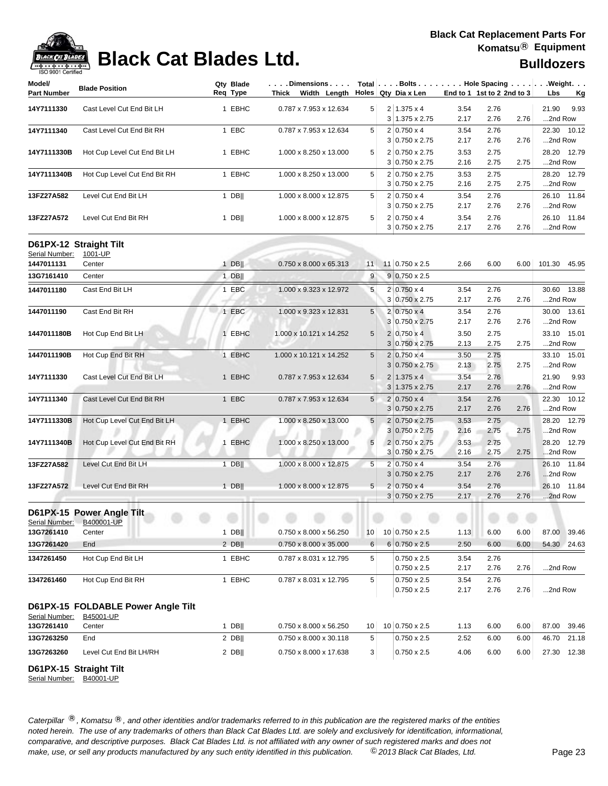| <b>ISO A00.I Celfilled</b><br>Model/     |                                    | Qty Blade | Dimensions                             |                 |   |                                             |                            |              |      | Total   Bolts   Hole Spacing   Weight. |
|------------------------------------------|------------------------------------|-----------|----------------------------------------|-----------------|---|---------------------------------------------|----------------------------|--------------|------|----------------------------------------|
| <b>Part Number</b>                       | <b>Blade Position</b>              | Reg Type  | Thick Width Length Holes Qty Dia x Len |                 |   |                                             | End to 1 1st to 2 2nd to 3 |              |      | Lbs<br><u>Kg</u>                       |
| 14Y7111330                               | Cast Level Cut End Bit LH          | 1 EBHC    | 0.787 x 7.953 x 12.634                 | 5               |   | $2 1.375 \times 4$                          | 3.54                       | 2.76         |      | 21.90<br>9.93                          |
|                                          |                                    |           |                                        |                 |   | $3 1.375 \times 2.75$                       | 2.17                       | 2.76         | 2.76 | 2nd Row                                |
| 14Y7111340                               | Cast Level Cut End Bit RH          | 1 EBC     | 0.787 x 7.953 x 12.634                 | 5               |   | $2 0.750 \times 4$                          | 3.54                       | 2.76         |      | 22.30 10.12                            |
|                                          |                                    |           |                                        |                 |   | $3 0.750 \times 2.75$                       | 2.17                       | 2.76         | 2.76 | 2nd Row                                |
| 14Y7111330B                              | Hot Cup Level Cut End Bit LH       | 1 EBHC    | 1.000 x 8.250 x 13.000                 | 5               |   | 2 0.750 x 2.75                              | 3.53                       | 2.75         |      | 28.20 12.79                            |
|                                          |                                    |           |                                        |                 |   | 3 0.750 x 2.75                              | 2.16                       | 2.75         | 2.75 | 2nd Row                                |
| 14Y7111340B                              | Hot Cup Level Cut End Bit RH       | 1 EBHC    | 1.000 x 8.250 x 13.000                 | 5               |   | 2 0.750 x 2.75                              | 3.53                       | 2.75         |      | 28.20 12.79                            |
|                                          |                                    |           |                                        |                 |   | $3 0.750 \times 2.75$                       | 2.16                       | 2.75         | 2.75 | 2nd Row                                |
| 13FZ27A582                               | Level Cut End Bit LH               | $1$ DB    | 1.000 x 8.000 x 12.875                 | 5               |   | $2 0.750 \times 4$                          | 3.54                       | 2.76         |      | 26.10 11.84                            |
|                                          |                                    |           |                                        |                 |   | $3 0.750 \times 2.75$                       | 2.17                       | 2.76         | 2.76 | 2nd Row                                |
| 13FZ27A572                               | Level Cut End Bit RH               | $1$ DB    | 1.000 x 8.000 x 12.875                 | 5               |   | $2 0.750 \times 4$<br>$3 0.750 \times 2.75$ | 3.54<br>2.17               | 2.76<br>2.76 | 2.76 | 26.10 11.84<br>2nd Row                 |
| D61PX-12 Straight Tilt<br>Serial Number: | 1001-UP                            |           |                                        |                 |   |                                             |                            |              |      |                                        |
| 1447011131                               | Center                             | $1$ DB    | 0.750 x 8.000 x 65.313                 | 11              |   | 11 0.750 x 2.5                              | 2.66                       | 6.00         | 6.00 | 101.30 45.95                           |
| 13G7161410                               | Center                             | $1$ DB    |                                        | 9               |   | $9 0.750 \times 2.5$                        |                            |              |      |                                        |
| 1447011180                               | Cast End Bit LH                    | 1 EBC     | 1.000 x 9.323 x 12.972                 | 5               |   | $2 0.750 \times 4$                          | 3.54                       | 2.76         |      | 30.60 13.88                            |
|                                          |                                    |           |                                        |                 |   | $3 0.750 \times 2.75$                       | 2.17                       | 2.76         | 2.76 | 2nd Row                                |
| 1447011190                               | Cast End Bit RH                    | 1 EBC     | 1.000 x 9.323 x 12.831                 | 5               |   | $2 0.750 \times 4$                          | 3.54                       | 2.76         |      | 30.00 13.61                            |
|                                          |                                    |           |                                        |                 |   | 3 0.750 x 2.75                              | 2.17                       | 2.76         | 2.76 | 2nd Row                                |
| 1447011180B                              | Hot Cup End Bit LH                 | 1 EBHC    | 1.000 x 10.121 x 14.252                | 5               |   | $2 0.750 \times 4$                          | 3.50                       | 2.75         |      | 33.10 15.01                            |
|                                          |                                    |           |                                        |                 |   | 3 0.750 x 2.75                              | 2.13                       | 2.75         | 2.75 | 2nd Row                                |
| 1447011190B                              | Hot Cup End Bit RH                 | 1 EBHC    | 1.000 x 10.121 x 14.252                | 5               |   | $2 0.750 \times 4$                          | 3.50                       | 2.75         |      | 33.10 15.01                            |
|                                          |                                    |           |                                        |                 |   | $3 0.750 \times 2.75$                       | 2.13                       | 2.75         | 2.75 | 2nd Row                                |
| 14Y7111330                               | Cast Level Cut End Bit LH          | 1 EBHC    | 0.787 x 7.953 x 12.634                 | 5               |   | $2 1.375 \times 4$                          | 3.54                       | 2.76         |      | 21.90<br>9.93                          |
|                                          |                                    |           |                                        |                 |   | $3 1.375 \times 2.75$                       | 2.17                       | 2.76         | 2.76 | 2nd Row                                |
| 14Y7111340                               | Cast Level Cut End Bit RH          | 1 EBC     | 0.787 x 7.953 x 12.634                 | 5               |   | $2 0.750 \times 4$                          | 3.54                       | 2.76         |      | 22.30 10.12                            |
|                                          |                                    |           |                                        |                 |   | $3 0.750 \times 2.75$                       | 2.17                       | 2.76         | 2.76 | 2nd Row                                |
| 14Y7111330B                              | Hot Cup Level Cut End Bit LH       | 1 EBHC    | 1.000 x 8.250 x 13.000                 | $\sqrt{5}$      |   | 2 0.750 x 2.75                              | 3.53                       | 2.75         |      | 28.20 12.79                            |
|                                          |                                    |           |                                        |                 | 3 | $0.750 \times 2.75$                         | 2.16                       | 2.75         | 2.75 | 2nd Row                                |
| 14Y7111340B                              | Hot Cup Level Cut End Bit RH       | 1 EBHC    | 1.000 x 8.250 x 13.000                 | 5               |   | 2 0.750 x 2.75                              | 3.53                       | 2.75         |      | 28.20 12.79                            |
|                                          |                                    |           |                                        |                 |   | $3 0.750 \times 2.75$                       | 2.16                       | 2.75         | 2.75 | 2nd Row                                |
| 13FZ27A582                               | Level Cut End Bit LH               | $1$ DB    | 1.000 x 8.000 x 12.875                 | 5               |   | $2 0.750 \times 4$                          | 3.54                       | 2.76         |      | 26.10 11.84                            |
|                                          |                                    |           |                                        |                 |   | $3 0.750 \times 2.75$                       | 2.17                       | 2.76         | 2.76 | 2nd Row                                |
| 13FZ27A572                               | Level Cut End Bit RH               | $1$ DB    | 1.000 x 8.000 x 12.875                 | 5               |   | $2 0.750 \times 4$                          | 3.54                       | 2.76         |      | 26.10 11.84                            |
|                                          |                                    |           |                                        |                 |   | $3 0.750 \times 2.75$                       | 2.17                       | 2.76         | 2.76 | 2nd Row                                |
|                                          | D61PX-15 Power Angle Tilt          |           |                                        |                 |   |                                             |                            |              |      |                                        |
| Serial Number:                           | B400001-UP                         |           |                                        |                 |   |                                             |                            |              |      |                                        |
| 13G7261410                               | Center                             | $1$ DB    | 0.750 x 8.000 x 56.250                 | 10 <sup>1</sup> |   | 10 0.750 x 2.5                              | 1.13                       | 6.00         | 6.00 | 87.00 39.46                            |
| 13G7261420                               | End                                | $2$ DB    | 0.750 x 8.000 x 35.000                 | 6               |   | $6 0.750 \times 2.5$                        | 2.50                       | 6.00         | 6.00 | 54.30 24.63                            |
| 1347261450                               | Hot Cup End Bit LH                 | 1 EBHC    | 0.787 x 8.031 x 12.795                 | 5               |   | $0.750 \times 2.5$                          | 3.54                       | 2.76         |      |                                        |
|                                          |                                    |           |                                        |                 |   | 0.750 x 2.5                                 | 2.17                       | 2.76         | 2.76 | 2nd Row                                |
| 1347261460                               | Hot Cup End Bit RH                 | 1 EBHC    | 0.787 x 8.031 x 12.795                 | 5               |   | $0.750 \times 2.5$<br>0.750 x 2.5           | 3.54<br>2.17               | 2.76<br>2.76 | 2.76 | 2nd Row                                |
|                                          |                                    |           |                                        |                 |   |                                             |                            |              |      |                                        |
|                                          | D61PX-15 FOLDABLE Power Angle Tilt |           |                                        |                 |   |                                             |                            |              |      |                                        |
| Serial Number:<br>13G7261410             | B45001-UP<br>Center                | $1$ DB    | 0.750 x 8.000 x 56.250                 | 10              |   | 10 0.750 x 2.5                              | 1.13                       | 6.00         | 6.00 | 87.00<br>39.46                         |
| 13G7263250                               | End                                | $2$ DB    | 0.750 x 8.000 x 30.118                 | 5               |   | 0.750 x 2.5                                 | 2.52                       | 6.00         | 6.00 | 46.70<br>21.18                         |
|                                          |                                    |           |                                        |                 |   |                                             |                            |              |      |                                        |
| 13G7263260                               | Level Cut End Bit LH/RH            | $2$ DB    | 0.750 x 8.000 x 17.638                 | 3 <sup>2</sup>  |   | 0.750 x 2.5                                 | 4.06                       | 6.00         | 6.00 | 27.30 12.38                            |

**D61PX-15 Straight Tilt**

Serial Number: B40001-UP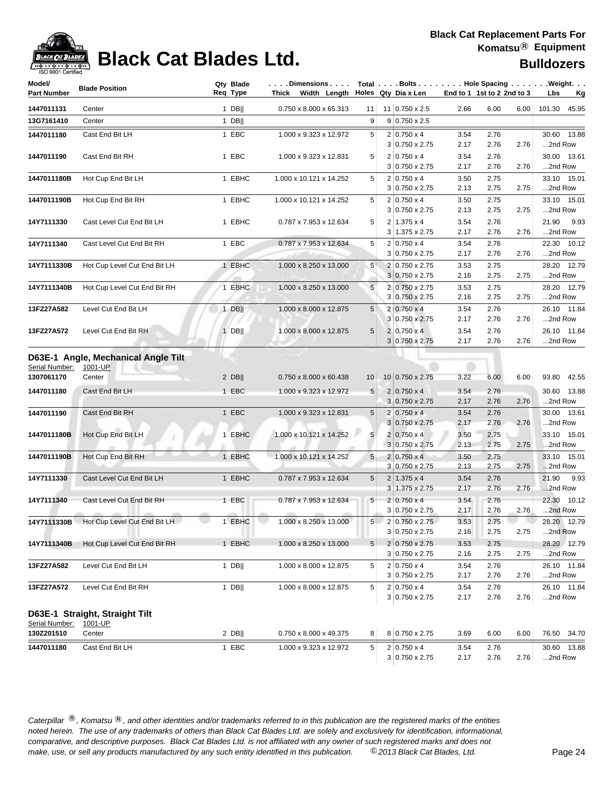

## **Black Cat Blades Ltd. Black Cat Blades Ltd. Bulldozers**

| Model/<br><b>Part Number</b> | <b>Blade Position</b>                                    | Req Type | Qty Blade | .Dimensions<br>Thick Width Length |                 | Holes Qty Dia x Len                         |              | End to 1 1st to 2 2nd to 3 |      | Total $\vert \ldots$ Bolts $\ldots \vert \ldots$ Hole Spacing $\ldots \vert \ldots$ Weight. $\ldots$<br>Lbs<br><u>Kg</u> |
|------------------------------|----------------------------------------------------------|----------|-----------|-----------------------------------|-----------------|---------------------------------------------|--------------|----------------------------|------|--------------------------------------------------------------------------------------------------------------------------|
|                              |                                                          |          |           |                                   |                 |                                             |              |                            |      |                                                                                                                          |
| 1447011131                   | Center                                                   |          | $1$ DB    | 0.750 x 8.000 x 65.313            | 11              | 11 0.750 x 2.5                              | 2.66         | 6.00                       | 6.00 | 101.30 45.95                                                                                                             |
| 13G7161410                   | Center                                                   |          | $1$ DB    |                                   | 9               | $9 0.750 \times 2.5$                        |              |                            |      |                                                                                                                          |
| 1447011180                   | Cast End Bit LH                                          |          | 1 EBC     | 1.000 x 9.323 x 12.972            | 5               | $2 0.750 \times 4$                          | 3.54         | 2.76                       |      | 30.60 13.88                                                                                                              |
|                              |                                                          |          |           |                                   |                 | 3 0.750 x 2.75                              | 2.17         | 2.76                       | 2.76 | 2nd Row                                                                                                                  |
| 1447011190                   | Cast End Bit RH                                          |          | 1 EBC     | 1.000 x 9.323 x 12.831            | 5               | $2 0.750 \times 4$                          | 3.54         | 2.76                       |      | 30.00 13.61                                                                                                              |
|                              |                                                          |          |           |                                   |                 | $3 0.750 \times 2.75$                       | 2.17         | 2.76                       | 2.76 | 2nd Row                                                                                                                  |
| 1447011180B                  | Hot Cup End Bit LH                                       |          | 1 EBHC    | 1.000 x 10.121 x 14.252           | 5               | $2 0.750 \times 4$<br>$3 0.750 \times 2.75$ | 3.50<br>2.13 | 2.75<br>2.75               | 2.75 | 33.10 15.01<br>2nd Row                                                                                                   |
| 1447011190B                  | Hot Cup End Bit RH                                       |          | 1 EBHC    | 1.000 x 10.121 x 14.252           | 5               | $2 0.750 \times 4$                          | 3.50         | 2.75                       |      | 33.10 15.01                                                                                                              |
|                              |                                                          |          |           |                                   |                 | 3 0.750 x 2.75                              | 2.13         | 2.75                       | 2.75 | 2nd Row                                                                                                                  |
| 14Y7111330                   | Cast Level Cut End Bit LH                                |          | 1 EBHC    | 0.787 x 7.953 x 12.634            | 5               | $2 1.375 \times 4$                          | 3.54         | 2.76                       |      | 21.90<br>9.93                                                                                                            |
|                              |                                                          |          |           |                                   |                 | $3 1.375 \times 2.75$                       | 2.17         | 2.76                       | 2.76 | 2nd Row                                                                                                                  |
| 14Y7111340                   | Cast Level Cut End Bit RH                                |          | 1 EBC     | 0.787 x 7.953 x 12.634            | 5               | $2 0.750 \times 4$                          | 3.54         | 2.76                       |      | 22.30 10.12                                                                                                              |
|                              |                                                          |          |           |                                   |                 | 3 0.750 x 2.75                              | 2.17         | 2.76                       | 2.76 | 2nd Row                                                                                                                  |
| 14Y7111330B                  | Hot Cup Level Cut End Bit LH                             |          | 1 EBHC    | 1.000 x 8.250 x 13.000            | 5               | 2 0.750 x 2.75                              | 3.53         | 2.75                       |      | 28.20 12.79                                                                                                              |
|                              |                                                          |          |           |                                   |                 | $3 0.750 \times 2.75$                       | 2.16         | 2.75                       | 2.75 | 2nd Row                                                                                                                  |
| 14Y7111340B                  | Hot Cup Level Cut End Bit RH                             |          | 1 EBHC    | 1.000 x 8.250 x 13.000            | 5               | 2 0.750 x 2.75                              | 3.53         | 2.75                       |      | 28.20 12.79                                                                                                              |
|                              |                                                          |          |           |                                   |                 | 3 0.750 x 2.75                              | 2.16         | 2.75                       | 2.75 | 2nd Row                                                                                                                  |
| 13FZ27A582                   | Level Cut End Bit LH                                     |          | $1$ DB    | 1.000 x 8.000 x 12.875            | 5               | $2 0.750 \times 4$                          | 3.54         | 2.76                       |      | 26.10 11.84                                                                                                              |
|                              |                                                          |          |           |                                   |                 | $3 0.750 \times 2.75$                       | 2.17         | 2.76                       | 2.76 | 2nd Row                                                                                                                  |
| 13FZ27A572                   | Level Cut End Bit RH                                     |          | $1$ DB    | 1.000 x 8.000 x 12.875            | 5               | 2 0.750 x 4                                 | 3.54         | 2.76                       |      | 26.10 11.84                                                                                                              |
|                              |                                                          |          |           |                                   |                 | $3 0.750 \times 2.75$                       | 2.17         | 2.76                       | 2.76 | 2nd Row                                                                                                                  |
| Serial Number:<br>1307061170 | D63E-1 Angle, Mechanical Angle Tilt<br>1001-UP<br>Center |          |           | 0.750 x 8.000 x 60.438            |                 |                                             |              | 6.00                       | 6.00 | 93.80 42.55                                                                                                              |
|                              |                                                          |          | $2$ DB    |                                   | 10 <sup>°</sup> | 10 0.750 x 2.75                             | 3.22         |                            |      |                                                                                                                          |
| 1447011180                   | Cast End Bit LH                                          |          | 1 EBC     | 1.000 x 9.323 x 12.972            | 5               | $2 0.750 \times 4$                          | 3.54         | 2.76                       |      | 30.60 13.88                                                                                                              |
|                              |                                                          |          |           |                                   |                 | $3 0.750 \times 2.75$                       | 2.17         | 2.76                       | 2.76 | 2nd Row                                                                                                                  |
| 1447011190                   | Cast End Bit RH                                          |          | 1 EBC     | 1.000 x 9.323 x 12.831            | 5               | $2 0.750 \times 4$<br>$3 0.750 \times 2.75$ | 3.54<br>2.17 | 2.76<br>2.76               | 2.76 | 30.00 13.61<br>2nd Row                                                                                                   |
| 1447011180B                  | Hot Cup End Bit LH                                       |          | 1 EBHC    | 1.000 x 10.121 x 14.252           | 5               | $2 0.750 \times 4$                          | 3.50         | 2.75                       |      | 33.10 15.01                                                                                                              |
|                              |                                                          |          |           |                                   |                 | $3 0.750 \times 2.75$                       | 2.13         | 2.75                       | 2.75 | 2nd Row                                                                                                                  |
| 1447011190B                  | Hot Cup End Bit RH                                       |          | 1 EBHC    | 1.000 x 10.121 x 14.252           | 5               | $2 0.750 \times 4$                          | 3.50         | 2.75                       |      | 33.10 15.01                                                                                                              |
|                              |                                                          |          |           |                                   |                 | $3 0.750 \times 2.75$                       | 2.13         | 2.75                       | 2.75 | 2nd Row                                                                                                                  |
| 14Y7111330                   | Cast Level Cut End Bit LH                                |          | 1 EBHC    | 0.787 x 7.953 x 12.634            | 5               | $2 1.375 \times 4$                          | 3.54         | 2.76                       |      | 21.90<br>9.93                                                                                                            |
|                              |                                                          |          |           |                                   |                 | $3 1.375 \times 2.75$                       | 2.17         | 2.76                       | 2.76 | 2nd Row                                                                                                                  |
| 14Y7111340                   | Cast Level Cut End Bit RH                                |          | 1 EBC     | 0.787 x 7.953 x 12.634            | 5               | $2 0.750 \times 4$                          | 3.54         | 2.76                       |      | 22.30 10.12                                                                                                              |
|                              |                                                          |          |           |                                   |                 | 3 0.750 x 2.75                              | 2.17         | 2.76                       | 2.76 | 2nd Row                                                                                                                  |
|                              | 14Y7111330B Hot Cup Level Cut End Bit LH                 |          | 1 EBHC    | 1.000 x 8.250 x 13.000            |                 | $5 \ 2 \ 0.750 \times 2.75$                 | 3.53         | 2.75                       |      | 28.20 12.79                                                                                                              |
|                              |                                                          |          |           |                                   |                 | $3 0.750 \times 2.75$                       | 2.16         | 2.75                       | 2.75 | 2nd Row                                                                                                                  |
| 14Y7111340B                  | Hot Cup Level Cut End Bit RH                             |          | 1 EBHC    | 1.000 x 8.250 x 13.000            | 5               | $2 0.750 \times 2.75$                       | 3.53         | 2.75                       |      | 28.20 12.79                                                                                                              |
|                              |                                                          |          |           |                                   |                 | $3 0.750 \times 2.75$                       | 2.16         | 2.75                       | 2.75 | 2nd Row                                                                                                                  |
| 13FZ27A582                   | Level Cut End Bit LH                                     |          | $1$ DB    | 1.000 x 8.000 x 12.875            | 5               | $2 0.750 \times 4$                          | 3.54         | 2.76                       |      | 26.10 11.84                                                                                                              |
|                              |                                                          |          |           |                                   |                 | $3 0.750 \times 2.75$                       | 2.17         | 2.76                       | 2.76 | 2nd Row                                                                                                                  |
| 13FZ27A572                   | Level Cut End Bit RH                                     |          | 1 DB      | 1.000 x 8.000 x 12.875            | 5               | $2 0.750 \times 4$                          | 3.54         | 2.76                       |      | 26.10 11.84                                                                                                              |
|                              |                                                          |          |           |                                   |                 | $3 0.750 \times 2.75$                       | 2.17         | 2.76                       | 2.76 | 2nd Row                                                                                                                  |
| Serial Number:               | D63E-1 Straight, Straight Tilt<br>1001-UP                |          |           |                                   |                 |                                             |              |                            |      |                                                                                                                          |
| 130Z201510                   | Center                                                   |          | $2$ DB    | 0.750 x 8.000 x 49.375            | 8               | 8 0.750 x 2.75                              | 3.69         | 6.00                       | 6.00 | 76.50 34.70                                                                                                              |
| 1447011180                   | Cast End Bit LH                                          |          | 1 EBC     | 1.000 x 9.323 x 12.972            | 5               | $2 0.750 \times 4$                          | 3.54         | 2.76                       |      | 30.60 13.88                                                                                                              |
|                              |                                                          |          |           |                                   |                 | $3 0.750 \times 2.75$                       | 2.17         | 2.76                       | 2.76 | 2nd Row                                                                                                                  |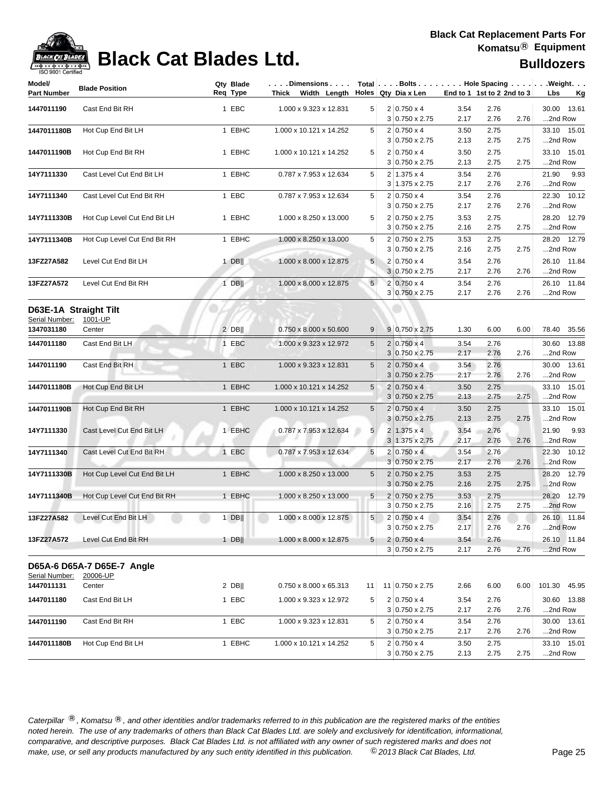

## **Black Cat Blades Ltd. Black Cat Blades Ltd. Bulldozers**

| Model/<br>Part Number | <b>Blade Position</b>        | Qty Blade<br>Req Type | $\ldots$ . Dimensions $\ldots$ .<br>Thick Width Length Holes Qty Diax Len |                 |                                                |              | End to 1 1st to 2 2nd to 3 |      | $Total   \ldots$ Bolts $\ldots   \ldots$ . Hole Spacing $\ldots   \ldots$ . Weight. $\ldots$<br>Lbs<br><u>Kg</u> |
|-----------------------|------------------------------|-----------------------|---------------------------------------------------------------------------|-----------------|------------------------------------------------|--------------|----------------------------|------|------------------------------------------------------------------------------------------------------------------|
|                       |                              |                       |                                                                           |                 |                                                |              |                            |      |                                                                                                                  |
| 1447011190            | Cast End Bit RH              | 1 EBC                 | 1.000 x 9.323 x 12.831                                                    | 5 <sup>5</sup>  | $2 0.750 \times 4$<br>3 0.750 x 2.75           | 3.54<br>2.17 | 2.76<br>2.76               | 2.76 | 30.00 13.61<br>2nd Row                                                                                           |
| 1447011180B           | Hot Cup End Bit LH           | 1 EBHC                | 1.000 x 10.121 x 14.252                                                   | 5               | $2 0.750 \times 4$                             | 3.50         | 2.75                       |      | 33.10 15.01                                                                                                      |
|                       |                              |                       |                                                                           |                 | $3 0.750 \times 2.75$                          | 2.13         | 2.75                       | 2.75 | 2nd Row                                                                                                          |
| 1447011190B           | Hot Cup End Bit RH           | 1 EBHC                | 1.000 x 10.121 x 14.252                                                   | 5               | $2 0.750 \times 4$                             | 3.50         | 2.75                       |      | 33.10 15.01                                                                                                      |
|                       |                              |                       |                                                                           |                 | $3 0.750 \times 2.75$                          | 2.13         | 2.75                       | 2.75 | 2nd Row                                                                                                          |
| 14Y7111330            | Cast Level Cut End Bit LH    | 1 EBHC                | 0.787 x 7.953 x 12.634                                                    | 5               | $2 1.375 \times 4$<br>$3 1.375 \times 2.75$    | 3.54<br>2.17 | 2.76<br>2.76               | 2.76 | 9.93<br>21.90<br>2nd Row                                                                                         |
| 14Y7111340            | Cast Level Cut End Bit RH    | 1 EBC                 | 0.787 x 7.953 x 12.634                                                    | 5               | $2 0.750 \times 4$                             | 3.54         | 2.76                       |      | 22.30 10.12                                                                                                      |
|                       |                              |                       |                                                                           |                 | $3 0.750 \times 2.75$                          | 2.17         | 2.76                       | 2.76 | 2nd Row                                                                                                          |
| 14Y7111330B           | Hot Cup Level Cut End Bit LH | 1 EBHC                | 1.000 x 8.250 x 13.000                                                    | 5               | 2 0.750 x 2.75                                 | 3.53         | 2.75                       |      | 28.20 12.79                                                                                                      |
|                       |                              |                       |                                                                           |                 | $3 0.750 \times 2.75$                          | 2.16         | 2.75                       | 2.75 | 2nd Row                                                                                                          |
| 14Y7111340B           | Hot Cup Level Cut End Bit RH | 1 EBHC                | 1.000 x 8.250 x 13.000                                                    | 5               | 2 0.750 x 2.75<br>$3 0.750 \times 2.75$        | 3.53<br>2.16 | 2.75<br>2.75               | 2.75 | 28.20 12.79<br>2nd Row                                                                                           |
|                       |                              |                       |                                                                           |                 | $2 0.750 \times 4$                             |              |                            |      | 26.10 11.84                                                                                                      |
| 13FZ27A582            | Level Cut End Bit LH         | 1 DB $\parallel$      | 1.000 x 8.000 x 12.875                                                    | 5               | $3 0.750 \times 2.75$                          | 3.54<br>2.17 | 2.76<br>2.76               | 2.76 | 2nd Row                                                                                                          |
| 13FZ27A572            | Level Cut End Bit RH         | $1$ DB                | 1.000 x 8.000 x 12.875                                                    | 5 <sup>1</sup>  | $2 0.750 \times 4$                             | 3.54         | 2.76                       |      | 26.10 11.84                                                                                                      |
|                       |                              |                       |                                                                           |                 | 3 0.750 x 2.75                                 | 2.17         | 2.76                       | 2.76 | 2nd Row                                                                                                          |
| D63E-1A Straight Tilt |                              |                       |                                                                           |                 |                                                |              |                            |      |                                                                                                                  |
| Serial Number:        | 1001-UP                      |                       |                                                                           |                 |                                                |              |                            |      |                                                                                                                  |
| 1347031180            | Center                       | $2$ DB                | 0.750 x 8.000 x 50.600                                                    | 9               | $9 0.750 \times 2.75$                          | 1.30         | 6.00                       | 6.00 | 78.40 35.56                                                                                                      |
| 1447011180            | Cast End Bit LH              | 1 EBC                 | 1.000 x 9.323 x 12.972                                                    | 5               | $2 0.750 \times 4$                             | 3.54         | 2.76                       |      | 30.60 13.88                                                                                                      |
|                       |                              |                       |                                                                           |                 | $3 0.750 \times 2.75$                          | 2.17         | 2.76                       | 2.76 | 2nd Row                                                                                                          |
| 1447011190            | Cast End Bit RH              | 1 EBC                 | 1.000 x 9.323 x 12.831                                                    | 5               | $2 0.750 \times 4$                             | 3.54         | 2.76                       |      | 30.00 13.61                                                                                                      |
|                       |                              |                       |                                                                           |                 | $3 0.750 \times 2.75$                          | 2.17         | 2.76                       | 2.76 | 2nd Row                                                                                                          |
| 1447011180B           | Hot Cup End Bit LH           | 1 EBHC                | 1.000 x 10.121 x 14.252                                                   | 5               | $2 0.750 \times 4$<br>$3 0.750 \times 2.75$    | 3.50<br>2.13 | 2.75<br>2.75               | 2.75 | 33.10 15.01<br>2nd Row                                                                                           |
|                       |                              |                       |                                                                           |                 |                                                |              |                            |      |                                                                                                                  |
| 1447011190B           | Hot Cup End Bit RH           | 1 EBHC                | 1.000 x 10.121 x 14.252                                                   | 5               | $2 0.750 \times 4$<br>$3 0.750 \times 2.75$    | 3.50<br>2.13 | 2.75<br>2.75               | 2.75 | 33.10 15.01<br>2nd Row                                                                                           |
| 14Y7111330            | Cast Level Cut End Bit LH    | 1 EBHC                | 0.787 x 7.953 x 12.634                                                    | 5               | $2 1.375 \times 4$                             | 3.54         | 2.76                       |      | 21.90<br>9.93                                                                                                    |
|                       |                              |                       |                                                                           |                 | $3 1.375 \times 2.75$                          | 2.17         | 2.76                       | 2.76 | 2nd Row                                                                                                          |
| 14Y7111340            | Cast Level Cut End Bit RH    | 1 EBC                 | 0.787 x 7.953 x 12.634                                                    | 5               | $2 0.750 \times 4$                             | 3.54         | 2.76                       |      | 22.30 10.12                                                                                                      |
|                       |                              |                       |                                                                           |                 | $3 0.750 \times 2.75$                          | 2.17         | 2.76                       | 2.76 | 2nd Row                                                                                                          |
| 14Y7111330B           | Hot Cup Level Cut End Bit LH | 1 EBHC                | 1.000 x 8.250 x 13.000                                                    | 5               | $2 0.750 \times 2.75$<br>$3 0.750 \times 2.75$ | 3.53<br>2.16 | 2.75<br>2.75               | 2.75 | 28.20 12.79<br>2nd Row                                                                                           |
| 14Y7111340B           | Hot Cup Level Cut End Bit RH | 1 EBHC                | 1.000 x 8.250 x 13.000                                                    | $5\phantom{.0}$ | $2 0.750 \times 2.75$                          | 3.53         | 2.75                       |      | 28.20 12.79                                                                                                      |
|                       |                              |                       |                                                                           |                 | $3 0.750 \times 2.75$                          | 2.16         | 2.75                       | 2.75 | 2nd Row                                                                                                          |
| 13FZ27A582            | Level Cut End Bit LH         | $1$ DB                | 1.000 x 8.000 x 12.875                                                    | 5 <sup>1</sup>  | $2 0.750 \times 4$                             | 3.54         | 2.76                       |      | 26.10 11.84                                                                                                      |
|                       |                              |                       |                                                                           |                 | $3 0.750 \times 2.75$                          | 2.17         | 2.76                       | 2.76 | 2nd Row                                                                                                          |
| 13FZ27A572            | Level Cut End Bit RH         | $1$ DB                | 1.000 x 8.000 x 12.875                                                    | 5               | $2 0.750 \times 4$                             | 3.54         | 2.76                       |      | 26.10 11.84                                                                                                      |
|                       |                              |                       |                                                                           |                 | $3 0.750 \times 2.75$                          | 2.17         | 2.76                       | 2.76 | 2nd Row                                                                                                          |
|                       | D65A-6 D65A-7 D65E-7 Angle   |                       |                                                                           |                 |                                                |              |                            |      |                                                                                                                  |
| Serial Number:        | 20006-UP                     |                       |                                                                           |                 |                                                |              |                            |      |                                                                                                                  |
| 1447011131            | Center                       | $2$ DB                | 0.750 x 8.000 x 65.313                                                    | 11              | 11 0.750 x 2.75                                | 2.66         | 6.00                       | 6.00 | 101.30 45.95                                                                                                     |
| 1447011180            | Cast End Bit LH              | 1 EBC                 | 1.000 x 9.323 x 12.972                                                    | 5               | $2 0.750 \times 4$                             | 3.54         | 2.76                       |      | 30.60 13.88                                                                                                      |
|                       |                              |                       |                                                                           |                 | $3 0.750 \times 2.75$                          | 2.17         | 2.76                       | 2.76 | 2nd Row                                                                                                          |
| 1447011190            | Cast End Bit RH              | 1 EBC                 | 1.000 x 9.323 x 12.831                                                    | 5               | $2 0.750 \times 4$                             | 3.54         | 2.76                       |      | 30.00 13.61                                                                                                      |
|                       |                              |                       |                                                                           |                 | $3 0.750 \times 2.75$                          | 2.17         | 2.76                       | 2.76 | 2nd Row                                                                                                          |
| 1447011180B           | Hot Cup End Bit LH           | 1 EBHC                | 1.000 x 10.121 x 14.252                                                   | 5               | $2 0.750 \times 4$<br>$3 0.750 \times 2.75$    | 3.50<br>2.13 | 2.75<br>2.75               | 2.75 | 33.10 15.01<br>2nd Row                                                                                           |
|                       |                              |                       |                                                                           |                 |                                                |              |                            |      |                                                                                                                  |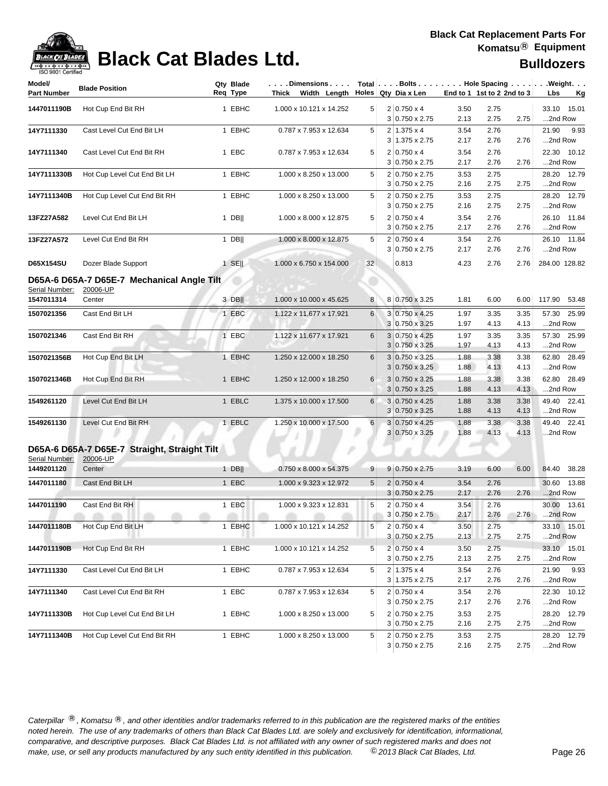

## **Black Cat Blades Ltd. Black Cat Blades Ltd. Bulldozers**

| Model/<br><b>Part Number</b> | <b>Blade Position</b>                        | Qty Blade<br>Req Type | .Dimensions<br>Thick Width Length |                 | Total $\vert \ldots$ Bolts $\ldots \vert \ldots$ Hole Spacing $\ldots \vert \ldots$ Weight. $\ldots$<br>Holes Qty Dia x Len |              | End to 1 1st to 2 2nd to 3 |              | Lbs<br><u>Kg</u>          |
|------------------------------|----------------------------------------------|-----------------------|-----------------------------------|-----------------|-----------------------------------------------------------------------------------------------------------------------------|--------------|----------------------------|--------------|---------------------------|
| 1447011190B                  | Hot Cup End Bit RH                           | 1 EBHC                | 1.000 x 10.121 x 14.252           | 5               | $2 0.750 \times 4$                                                                                                          | 3.50         | 2.75                       |              | 33.10<br>15.01            |
|                              |                                              |                       |                                   |                 | 3 0.750 x 2.75                                                                                                              | 2.13         | 2.75                       | 2.75         | 2nd Row                   |
| 14Y7111330                   | Cast Level Cut End Bit LH                    | 1 EBHC                | 0.787 x 7.953 x 12.634            | 5               | $2 1.375 \times 4$                                                                                                          | 3.54         | 2.76                       |              | 21.90<br>9.93             |
|                              |                                              |                       |                                   |                 | $3 1.375 \times 2.75$                                                                                                       | 2.17         | 2.76                       | 2.76         | 2nd Row                   |
| 14Y7111340                   | Cast Level Cut End Bit RH                    | 1 EBC                 | 0.787 x 7.953 x 12.634            | 5               | $2 0.750 \times 4$<br>3 0.750 x 2.75                                                                                        | 3.54<br>2.17 | 2.76<br>2.76               | 2.76         | 22.30 10.12<br>2nd Row    |
|                              |                                              |                       |                                   | 5               | 2 0.750 x 2.75                                                                                                              |              |                            |              |                           |
| 14Y7111330B                  | Hot Cup Level Cut End Bit LH                 | 1 EBHC                | 1.000 x 8.250 x 13.000            |                 | 3 0.750 x 2.75                                                                                                              | 3.53<br>2.16 | 2.75<br>2.75               | 2.75         | 12.79<br>28.20<br>2nd Row |
| 14Y7111340B                  | Hot Cup Level Cut End Bit RH                 | 1 EBHC                | 1.000 x 8.250 x 13.000            | 5               | 2 0.750 x 2.75                                                                                                              | 3.53         | 2.75                       |              | 28.20 12.79               |
|                              |                                              |                       |                                   |                 | $3 0.750 \times 2.75$                                                                                                       | 2.16         | 2.75                       | 2.75         | 2nd Row                   |
| 13FZ27A582                   | Level Cut End Bit LH                         | $1$ DB                | 1.000 x 8.000 x 12.875            | 5               | $2 0.750 \times 4$                                                                                                          | 3.54         | 2.76                       |              | 26.10 11.84               |
|                              |                                              |                       |                                   |                 | $3 0.750 \times 2.75$                                                                                                       | 2.17         | 2.76                       | 2.76         | 2nd Row                   |
| 13FZ27A572                   | Level Cut End Bit RH                         | $1$ DB                | 1.000 x 8.000 x 12.875            | 5               | $2 0.750 \times 4$                                                                                                          | 3.54         | 2.76                       |              | 26.10 11.84               |
|                              |                                              |                       |                                   |                 | $3 0.750 \times 2.75$                                                                                                       | 2.17         | 2.76                       | 2.76         | 2nd Row                   |
| D65X154SU                    | Dozer Blade Support                          | $1$ SE                | 1.000 x 6.750 x 154.000           | 32              | 0.813                                                                                                                       | 4.23         | 2.76                       | 2.76         | 284.00 128.82             |
|                              | D65A-6 D65A-7 D65E-7 Mechanical Angle Tilt   |                       |                                   |                 |                                                                                                                             |              |                            |              |                           |
| Serial Number:               | 20006-UP                                     |                       |                                   |                 |                                                                                                                             |              |                            |              |                           |
| 1547011314                   | Center                                       | $3$ DB                | 1.000 x 10.000 x 45.625           | 8               | 8 0.750 x 3.25                                                                                                              | 1.81         | 6.00                       | 6.00         | 117.90 53.48              |
| 1507021356                   | Cast End Bit LH                              | 1 EBC                 | 1.122 x 11.677 x 17.921           | 6               | 3 0.750 x 4.25                                                                                                              | 1.97         | 3.35                       | 3.35         | 57.30<br>25.99            |
|                              |                                              |                       |                                   |                 | 3 0.750 x 3.25                                                                                                              | 1.97         | 4.13                       | 4.13         | 2nd Row                   |
| 1507021346                   | Cast End Bit RH                              | 1 EBC                 | 1.122 x 11.677 x 17.921           | 6               | 3 0.750 x 4.25                                                                                                              | 1.97         | 3.35                       | 3.35         | 57.30 25.99               |
|                              |                                              |                       |                                   |                 | $3 0.750 \times 3.25$                                                                                                       | 1.97         | 4.13                       | 4.13         | 2nd Row                   |
| 1507021356B                  | Hot Cup End Bit LH                           | 1 EBHC                | 1.250 x 12.000 x 18.250           | 6               | 3 0.750 x 3.25                                                                                                              | 1.88         | 3.38                       | 3.38         | 62.80 28.49               |
|                              |                                              |                       |                                   |                 | 3<br>$0.750 \times 3.25$                                                                                                    | 1.88         | 4.13                       | 4.13         | 2nd Row                   |
| 1507021346B                  | Hot Cup End Bit RH                           | 1 EBHC                | 1.250 x 12.000 x 18.250           | 6               | $3 0.750 \times 3.25$<br>$3 0.750 \times 3.25$                                                                              | 1.88<br>1.88 | 3.38<br>4.13               | 3.38<br>4.13 | 62.80 28.49<br>2nd Row    |
| 1549261120                   | Level Cut End Bit LH                         | 1 EBLC                | 1.375 x 10.000 x 17.500           | 6               | 3 0.750 x 4.25                                                                                                              | 1.88         | 3.38                       | 3.38         | 49.40 22.41               |
|                              |                                              |                       |                                   |                 | $3 0.750 \times 3.25$                                                                                                       | 1.88         | 4.13                       | 4.13         | 2nd Row                   |
| 1549261130                   | Level Cut End Bit RH                         | 1 EBLC                | 1.250 x 10.000 x 17.500           | $6\phantom{1}$  | 3<br>$0.750 \times 4.25$                                                                                                    | 1.88         | 3.38                       | 3.38         | 49.40 22.41               |
|                              |                                              |                       |                                   |                 | $3 0.750 \times 3.25$                                                                                                       | 1.88         | 4.13                       | 4.13         | 2nd Row                   |
|                              | D65A-6 D65A-7 D65E-7 Straight, Straight Tilt |                       |                                   | P               |                                                                                                                             |              |                            |              |                           |
| Serial Number:               | 20006-UP                                     |                       |                                   |                 |                                                                                                                             |              |                            |              |                           |
| 1449201120                   | Center                                       | 1 DB                  | 0.750 x 8.000 x 54.375            | 9               | $9 0.750 \times 2.75$                                                                                                       | 3.19         | 6.00                       | 6.00         | 84.40 38.28               |
| 1447011180                   | Cast End Bit LH                              | 1 EBC                 | 1.000 x 9.323 x 12.972            | $5\phantom{.0}$ | $2 0.750 \times 4$                                                                                                          | 3.54         | 2.76                       |              | 30.60 13.88               |
|                              |                                              |                       |                                   |                 | $3 0.750 \times 2.75$                                                                                                       | 2.17         | 2.76                       | 2.76         | 2nd Row                   |
| 1447011190                   | Cast End Bit RH                              | 1 EBC                 | 1.000 x 9.323 x 12.831            | 5               | $2 0.750 \times 4$                                                                                                          | 3.54         | 2.76                       |              | 30.00 13.61               |
|                              |                                              |                       |                                   |                 | 3 0.750 x 2.75                                                                                                              | 2.17         | 2.76                       | 2.76         | 2nd Row                   |
| 1447011180B                  | Hot Cup End Bit LH                           | 1 EBHC                | 1.000 x 10.121 x 14.252           | 5               | $2 0.750 \times 4$                                                                                                          | 3.50         | 2.75                       |              | 33.10 15.01               |
|                              |                                              |                       |                                   |                 | $3 0.750 \times 2.75$                                                                                                       | 2.13         | 2.75                       | 2.75         | 2nd Row                   |
| 1447011190B                  | Hot Cup End Bit RH                           | 1 EBHC                | 1.000 x 10.121 x 14.252           | 5               | $2 0.750 \times 4$                                                                                                          | 3.50         | 2.75                       |              | 33.10 15.01               |
|                              |                                              |                       |                                   |                 | $3 0.750 \times 2.75$                                                                                                       | 2.13         | 2.75                       | 2.75         | 2nd Row                   |
| 14Y7111330                   | Cast Level Cut End Bit LH                    | 1 EBHC                | 0.787 x 7.953 x 12.634            | 5               | $2 1.375 \times 4$                                                                                                          | 3.54         | 2.76<br>2.76               |              | 21.90 9.93                |
|                              |                                              |                       |                                   |                 | $3 1.375 \times 2.75$                                                                                                       | 2.17         |                            | 2.76         | 2nd Row                   |
| 14Y7111340                   | Cast Level Cut End Bit RH                    | 1 EBC                 | 0.787 x 7.953 x 12.634            | 5               | $2 0.750 \times 4$<br>3 0.750 x 2.75                                                                                        | 3.54<br>2.17 | 2.76<br>2.76               | 2.76         | 22.30 10.12<br>2nd Row    |
| 14Y7111330B                  |                                              |                       |                                   |                 |                                                                                                                             |              |                            |              |                           |
|                              | Hot Cup Level Cut End Bit LH                 | 1 EBHC                | 1.000 x 8.250 x 13.000            | 5               | 2 0.750 x 2.75<br>3 0.750 x 2.75                                                                                            | 3.53<br>2.16 | 2.75<br>2.75               | 2.75         | 28.20 12.79<br>2nd Row    |
| 14Y7111340B                  | Hot Cup Level Cut End Bit RH                 | 1 EBHC                | 1.000 x 8.250 x 13.000            | 5               | 2 0.750 x 2.75                                                                                                              | 3.53         | 2.75                       |              | 28.20 12.79               |
|                              |                                              |                       |                                   |                 | $3 0.750 \times 2.75$                                                                                                       | 2.16         | 2.75                       | 2.75         | 2nd Row                   |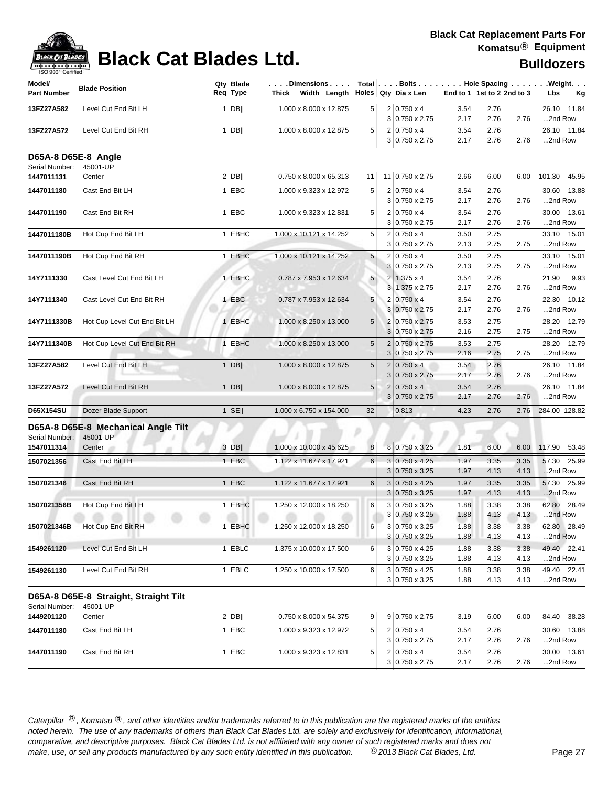| ack Cat |
|---------|
|         |

| Model/<br><b>Part Number</b> | <b>Blade Position</b>                             | Qty Blade<br>Req Type | $\ldots$ Dimensions $\ldots$<br>Thick Width Length |            |                | Holes Qty Dia x Len                         | End to 1 1st to 2 2nd to 3 |              |      | Total   Bolts   Hole Spacing   Weight.<br>Lbs<br>Кg |
|------------------------------|---------------------------------------------------|-----------------------|----------------------------------------------------|------------|----------------|---------------------------------------------|----------------------------|--------------|------|-----------------------------------------------------|
| 13FZ27A582                   | Level Cut End Bit LH                              | $1$ DB                | 1.000 x 8.000 x 12.875                             | 5          |                | $2 0.750 \times 4$<br>3 0.750 x 2.75        | 3.54<br>2.17               | 2.76<br>2.76 | 2.76 | 26.10 11.84<br>2nd Row                              |
| 13FZ27A572                   | Level Cut End Bit RH                              | $1$ DB                | 1.000 x 8.000 x 12.875                             | 5          |                | $2 0.750 \times 4$<br>$3 0.750 \times 2.75$ | 3.54<br>2.17               | 2.76<br>2.76 | 2.76 | 26.10 11.84<br>2nd Row                              |
| Serial Number:               | D65A-8 D65E-8 Angle<br>45001-UP                   |                       |                                                    |            |                |                                             |                            |              |      |                                                     |
| 1447011131                   | Center                                            | $2$ DB                | 0.750 x 8.000 x 65.313                             | 11         |                | 11 0.750 x 2.75                             | 2.66                       | 6.00         | 6.00 | 101.30 45.95                                        |
| 1447011180                   | Cast End Bit LH                                   | 1 EBC                 | 1.000 x 9.323 x 12.972                             | 5          |                | $2 0.750 \times 4$                          | 3.54                       | 2.76         |      | 30.60<br>13.88                                      |
|                              |                                                   |                       |                                                    |            |                | $3 0.750 \times 2.75$                       | 2.17                       | 2.76         | 2.76 | 2nd Row                                             |
| 1447011190                   | Cast End Bit RH                                   | 1 EBC                 | 1.000 x 9.323 x 12.831                             | 5          |                | $2 0.750 \times 4$<br>$3 0.750 \times 2.75$ | 3.54<br>2.17               | 2.76<br>2.76 | 2.76 | 30.00 13.61<br>2nd Row                              |
| 1447011180B                  | Hot Cup End Bit LH                                | 1 EBHC                | 1.000 x 10.121 x 14.252                            | 5          |                | $2 0.750 \times 4$                          | 3.50                       | 2.75         |      | 33.10 15.01                                         |
|                              |                                                   |                       |                                                    |            |                | $3 0.750 \times 2.75$                       | 2.13                       | 2.75         | 2.75 | 2nd Row                                             |
| 1447011190B                  | Hot Cup End Bit RH                                | 1 EBHC                | 1.000 x 10.121 x 14.252                            | 5          |                | $2 0.750 \times 4$                          | 3.50                       | 2.75         |      | 33.10<br>15.01                                      |
|                              |                                                   |                       |                                                    |            |                | $3 0.750 \times 2.75$                       | 2.13                       | 2.75         | 2.75 | 2nd Row                                             |
| 14Y7111330                   | Cast Level Cut End Bit LH                         | 1 EBHC                | 0.787 x 7.953 x 12.634                             | 5          |                | $2 1.375 \times 4$                          | 3.54                       | 2.76         |      | 21.90<br>9.93                                       |
|                              |                                                   |                       |                                                    |            |                | 3 1.375 x 2.75                              | 2.17                       | 2.76         | 2.76 | 2nd Row                                             |
| 14Y7111340                   | Cast Level Cut End Bit RH                         | 1 EBC                 | 0.787 x 7.953 x 12.634                             | 5          |                | $2 0.750 \times 4$                          | 3.54                       | 2.76         |      | 10.12<br>22.30                                      |
|                              |                                                   |                       |                                                    |            |                | $3 0.750 \times 2.75$                       | 2.17                       | 2.76         | 2.76 | 2nd Row                                             |
| 14Y7111330B                  | Hot Cup Level Cut End Bit LH                      | 1 EBHC                | 1.000 x 8.250 x 13.000                             | 5          |                | 2 0.750 x 2.75                              | 3.53                       | 2.75         |      | 28.20 12.79                                         |
|                              |                                                   |                       |                                                    |            |                | 3 0.750 x 2.75                              | 2.16                       | 2.75         | 2.75 | 2nd Row                                             |
| 14Y7111340B                  | Hot Cup Level Cut End Bit RH                      | 1 EBHC                | 1.000 x 8.250 x 13.000                             | 5          |                | 2 0.750 x 2.75                              | 3.53                       | 2.75         |      | 28.20 12.79                                         |
|                              |                                                   |                       |                                                    |            |                | $3 0.750 \times 2.75$                       | 2.16                       | 2.75         | 2.75 | 2nd Row                                             |
| 13FZ27A582                   | Level Cut End Bit LH                              | $1$ DB                | 1.000 x 8.000 x 12.875                             | 5          | $\overline{2}$ | $0.750 \times 4$                            | 3.54                       | 2.76         |      | 26.10 11.84                                         |
|                              |                                                   |                       |                                                    |            | 3              | $0.750 \times 2.75$                         | 2.17                       | 2.76         | 2.76 | 2nd Row                                             |
| 13FZ27A572                   | Level Cut End Bit RH                              | $1$ DB                | 1.000 x 8.000 x 12.875                             | $\sqrt{5}$ |                | $2 0.750 \times 4$                          | 3.54                       | 2.76         |      | 26.10 11.84                                         |
|                              |                                                   |                       |                                                    |            |                | $3 0.750 \times 2.75$                       | 2.17                       | 2.76         | 2.76 | 2nd Row                                             |
| D65X154SU                    | Dozer Blade Support                               | $1$ SE                | 1.000 x 6.750 x 154.000                            | 32         |                | 0.813                                       | 4.23                       | 2.76         | 2.76 | 284.00 128.82                                       |
| Serial Number:               | D65A-8 D65E-8 Mechanical Angle Tilt<br>45001-UP   |                       |                                                    |            |                |                                             |                            |              |      |                                                     |
| 1547011314                   | Center                                            | 3 DB                  | 1.000 x 10.000 x 45.625                            | 8          |                | 8 0.750 x 3.25                              | 1.81                       | 6.00         | 6.00 | 117.90<br>53.48                                     |
| 1507021356                   | Cast End Bit LH                                   | 1 EBC                 | 1.122 x 11.677 x 17.921                            | 6          |                | $3 0.750 \times 4.25$                       | 1.97                       | 3.35         | 3.35 | 57.30<br>25.99                                      |
|                              |                                                   |                       |                                                    |            |                | $3 0.750 \times 3.25$                       | 1.97                       | 4.13         | 4.13 | 2nd Row                                             |
| 1507021346                   | Cast End Bit RH                                   | 1 EBC                 | 1.122 x 11.677 x 17.921                            | 6          |                | $3 0.750 \times 4.25$                       | 1.97                       | 3.35         | 3.35 | 57.30 25.99                                         |
|                              |                                                   |                       |                                                    |            |                | $3 0.750 \times 3.25$                       | 1.97                       | 4.13         | 4.13 | 2nd Row                                             |
| 1507021356B                  | Hot Cup End Bit LH                                | 1 EBHC                | 1.250 x 12.000 x 18.250                            | 6          |                | 3 0.750 x 3.25                              | 1.88                       | 3.38         | 3.38 | 62.80 28.49                                         |
|                              | $-0.01 - 0.01$                                    |                       |                                                    |            |                | 3 0.750 x 3.25                              | 1.88                       | 4.13         | 4.13 | 2nd Row                                             |
| 1507021346B                  | Hot Cup End Bit RH                                | 1 EBHC                | 1.250 x 12.000 x 18.250                            | 6          |                | 3 0.750 x 3.25                              | 1.88                       | 3.38         | 3.38 | 62.80 28.49                                         |
|                              |                                                   |                       |                                                    |            |                | $3 0.750 \times 3.25$                       | 1.88                       | 4.13         | 4.13 | 2nd Row                                             |
| 1549261120                   | Level Cut End Bit LH                              | 1 EBLC                | 1.375 x 10.000 x 17.500                            | 6          |                | 3 0.750 x 4.25                              | 1.88                       | 3.38         | 3.38 | 49.40 22.41                                         |
|                              |                                                   |                       |                                                    |            |                | $3 0.750 \times 3.25$                       | 1.88                       | 4.13         | 4.13 | 2nd Row                                             |
| 1549261130                   | Level Cut End Bit RH                              | 1 EBLC                | 1.250 x 10.000 x 17.500                            | 6          |                | $3 0.750 \times 4.25$                       | 1.88                       | 3.38         | 3.38 | 49.40 22.41                                         |
|                              |                                                   |                       |                                                    |            |                | $3 0.750 \times 3.25$                       | 1.88                       | 4.13         | 4.13 | 2nd Row                                             |
| Serial Number:               | D65A-8 D65E-8 Straight, Straight Tilt<br>45001-UP |                       |                                                    |            |                |                                             |                            |              |      |                                                     |
| 1449201120                   | Center                                            | $2$ DB                | 0.750 x 8.000 x 54.375                             | 9          |                | 9 0.750 x 2.75                              | 3.19                       | 6.00         | 6.00 | 84.40 38.28                                         |
|                              |                                                   |                       |                                                    |            |                |                                             |                            |              |      |                                                     |
| 1447011180                   | Cast End Bit LH                                   | 1 EBC                 | 1.000 x 9.323 x 12.972                             | 5          |                | $2 0.750 \times 4$                          | 3.54                       | 2.76         |      | 30.60 13.88                                         |
|                              |                                                   |                       |                                                    |            |                | $3 0.750 \times 2.75$                       | 2.17                       | 2.76         | 2.76 | 2nd Row                                             |
| 1447011190                   | Cast End Bit RH                                   | 1 EBC                 | 1.000 x 9.323 x 12.831                             | 5          |                | $2 0.750 \times 4$                          | 3.54                       | 2.76         |      | 30.00 13.61                                         |
|                              |                                                   |                       |                                                    |            |                | $3 0.750 \times 2.75$                       | 2.17                       | 2.76         | 2.76 | 2nd Row                                             |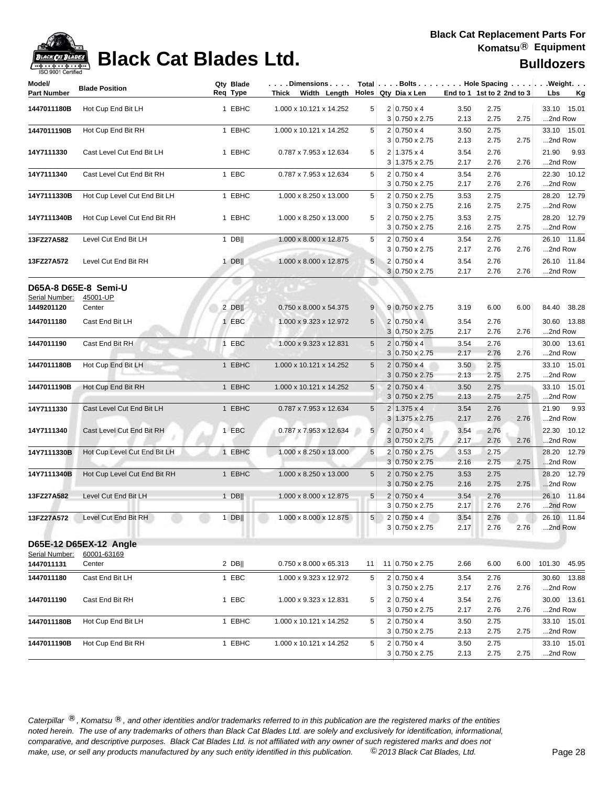

## **Black Cat Blades Ltd. Black Cat Blades Ltd. Bulldozers**

| Model/                       | <b>Blade Position</b>        | Qty Blade<br>Req Type | $\ldots$ . Dimensions. $\ldots$<br>Thick Width Length Holes Qty Dia x Len |                |                                                | End to 1 1st to 2 2nd to 3 |              |      | Total Bolts Hole Spacing Weight. |
|------------------------------|------------------------------|-----------------------|---------------------------------------------------------------------------|----------------|------------------------------------------------|----------------------------|--------------|------|----------------------------------|
| <b>Part Number</b>           |                              |                       |                                                                           |                |                                                |                            |              |      | Lbs<br><u>Kg</u>                 |
| 1447011180B                  | Hot Cup End Bit LH           | 1 EBHC                | 1.000 x 10.121 x 14.252                                                   | 5 <sup>1</sup> | $2 0.750 \times 4 $<br>$3 0.750 \times 2.75$   | 3.50<br>2.13               | 2.75<br>2.75 | 2.75 | 33.10 15.01<br>2nd Row           |
| 1447011190B                  | Hot Cup End Bit RH           | 1 EBHC                | 1.000 x 10.121 x 14.252                                                   | 5              | $2 0.750 \times 4$<br>$3 0.750 \times 2.75$    | 3.50<br>2.13               | 2.75<br>2.75 | 2.75 | 33.10 15.01<br>2nd Row           |
| 14Y7111330                   | Cast Level Cut End Bit LH    | 1 EBHC                | 0.787 x 7.953 x 12.634                                                    | 5              | $2 1.375 \times 4$<br>3 1.375 x 2.75           | 3.54<br>2.17               | 2.76<br>2.76 | 2.76 | 21.90<br>9.93<br>2nd Row         |
| 14Y7111340                   | Cast Level Cut End Bit RH    | 1 EBC                 | 0.787 x 7.953 x 12.634                                                    | 5              | $2 0.750 \times 4$<br>$3 0.750 \times 2.75$    | 3.54<br>2.17               | 2.76<br>2.76 | 2.76 | 22.30 10.12<br>2nd Row           |
| 14Y7111330B                  | Hot Cup Level Cut End Bit LH | 1 EBHC                | 1.000 x 8.250 x 13.000                                                    | 5              | 2 0.750 x 2.75<br>$3 0.750 \times 2.75$        | 3.53<br>2.16               | 2.75<br>2.75 | 2.75 | 28.20 12.79<br>2nd Row           |
| 14Y7111340B                  | Hot Cup Level Cut End Bit RH | 1 EBHC                | 1.000 x 8.250 x 13.000                                                    | 5              | 2 0.750 x 2.75<br>$3 0.750 \times 2.75$        | 3.53<br>2.16               | 2.75<br>2.75 | 2.75 | 28.20 12.79<br>2nd Row           |
| 13FZ27A582                   | Level Cut End Bit LH         | $1$ DB                | 1.000 x 8.000 x 12.875                                                    | 5              | $2 0.750 \times 4$<br>$3 0.750 \times 2.75$    | 3.54<br>2.17               | 2.76<br>2.76 | 2.76 | 26.10 11.84<br>2nd Row           |
| 13FZ27A572                   | Level Cut End Bit RH         | $1$ DB                | 1.000 x 8.000 x 12.875                                                    | 5              | $2 0.750 \times 4$<br>$3 0.750 \times 2.75$    | 3.54<br>2.17               | 2.76<br>2.76 | 2.76 | 26.10 11.84<br>2nd Row           |
|                              | D65A-8 D65E-8 Semi-U         |                       |                                                                           |                |                                                |                            |              |      |                                  |
| Serial Number:<br>1449201120 | 45001-UP<br>Center           | $2$ DB                | 0.750 x 8.000 x 54.375                                                    | 9              | $9 0.750 \times 2.75$                          | 3.19                       | 6.00         | 6.00 | 84.40 38.28                      |
| 1447011180                   | Cast End Bit LH              | 1 EBC                 | 1.000 x 9.323 x 12.972                                                    | 5 <sup>5</sup> | $2 0.750 \times 4 $<br>$3 0.750 \times 2.75$   | 3.54<br>2.17               | 2.76<br>2.76 | 2.76 | 30.60 13.88<br>2nd Row           |
| 1447011190                   | Cast End Bit RH              | 1 EBC                 | 1.000 x 9.323 x 12.831                                                    | 5              | $2 0.750 \times 4$<br>3 0.750 x 2.75           | 3.54<br>2.17               | 2.76<br>2.76 | 2.76 | 30.00 13.61<br>2nd Row           |
| 1447011180B                  | Hot Cup End Bit LH           | 1 EBHC                | 1.000 x 10.121 x 14.252                                                   | 5              | $2 0.750 \times 4$<br>$3 0.750 \times 2.75$    | 3.50<br>2.13               | 2.75<br>2.75 | 2.75 | 33.10 15.01<br>2nd Row           |
| 1447011190B                  | Hot Cup End Bit RH           | 1 EBHC                | 1.000 x 10.121 x 14.252                                                   | $\sqrt{5}$     | $2 0.750 \times 4$<br>$3 0.750 \times 2.75$    | 3.50<br>2.13               | 2.75<br>2.75 | 2.75 | 33.10 15.01<br>2nd Row           |
| 14Y7111330                   | Cast Level Cut End Bit LH    | 1 EBHC                | 0.787 x 7.953 x 12.634                                                    | 5              | $2 1.375 \times 4$<br>$3 1.375 \times 2.75$    | 3.54<br>2.17               | 2.76<br>2.76 | 2.76 | 21.90<br>9.93<br>2nd Row         |
| 14Y7111340                   | Cast Level Cut End Bit RH    | 1 EBC                 | 0.787 x 7.953 x 12.634                                                    | 5              | $2 0.750 \times 4$<br>$3 0.750 \times 2.75$    | 3.54<br>2.17               | 2.76<br>2.76 | 2.76 | 22.30 10.12<br>2nd Row           |
| 14Y7111330B                  | Hot Cup Level Cut End Bit LH | 1 EBHC                | 1.000 x 8.250 x 13.000                                                    | 5              | 2 0.750 x 2.75<br>$3 0.750 \times 2.75$        | 3.53<br>2.16               | 2.75<br>2.75 | 2.75 | 28.20 12.79<br>2nd Row           |
| 14Y7111340B                  | Hot Cup Level Cut End Bit RH | 1 EBHC                | 1.000 x 8.250 x 13.000                                                    | 5              | $2 0.750 \times 2.75$<br>$3 0.750 \times 2.75$ | 3.53<br>2.16               | 2.75<br>2.75 | 2.75 | 28.20 12.79<br>2nd Row           |
| 13FZ27A582                   | Level Cut End Bit LH         | $1$ DB                | 1.000 x 8.000 x 12.875                                                    | 5 <sup>5</sup> | $2 0.750 \times 4$<br>$3 0.750 \times 2.75$    | 3.54<br>2.17               | 2.76<br>2.76 | 2.76 | 26.10 11.84<br>2nd Row           |
| 13FZ27A572                   | Level Cut End Bit RH         | $1$ DB                | 1.000 x 8.000 x 12.875                                                    | 5 <sup>1</sup> | $2 0.750 \times 4$<br>3 0.750 x 2.75           | 3.54<br>2.17               | 2.76<br>2.76 | 2.76 | 26.10 11.84<br>2nd Row           |
|                              |                              |                       |                                                                           |                |                                                |                            |              |      |                                  |
|                              | D65E-12 D65EX-12 Angle       |                       |                                                                           |                |                                                |                            |              |      |                                  |
| Serial Number:<br>1447011131 | 60001-63169<br>Center        | $2$ DB                | 0.750 x 8.000 x 65.313                                                    | 11             | 11 0.750 x 2.75                                | 2.66                       | 6.00         | 6.00 | 101.30 45.95                     |
| 1447011180                   | Cast End Bit LH              | 1 EBC                 | 1.000 x 9.323 x 12.972                                                    | 5              | $2 0.750 \times 4$<br>$3 0.750 \times 2.75$    | 3.54<br>2.17               | 2.76<br>2.76 | 2.76 | 30.60 13.88<br>2nd Row           |
| 1447011190                   | Cast End Bit RH              | 1 EBC                 | 1.000 x 9.323 x 12.831                                                    | 5              | $2 0.750 \times 4$<br>3 0.750 x 2.75           | 3.54<br>2.17               | 2.76<br>2.76 | 2.76 | 30.00 13.61<br>2nd Row           |
| 1447011180B                  | Hot Cup End Bit LH           | 1 EBHC                | 1.000 x 10.121 x 14.252                                                   | 5              | $2 0.750 \times 4$<br>3 0.750 x 2.75           | 3.50<br>2.13               | 2.75<br>2.75 | 2.75 | 33.10 15.01<br>2nd Row           |
| 1447011190B                  | Hot Cup End Bit RH           | 1 EBHC                | 1.000 x 10.121 x 14.252                                                   | 5              | $2 0.750 \times 4$<br>$3 0.750 \times 2.75$    | 3.50<br>2.13               | 2.75<br>2.75 | 2.75 | 33.10 15.01<br>2nd Row           |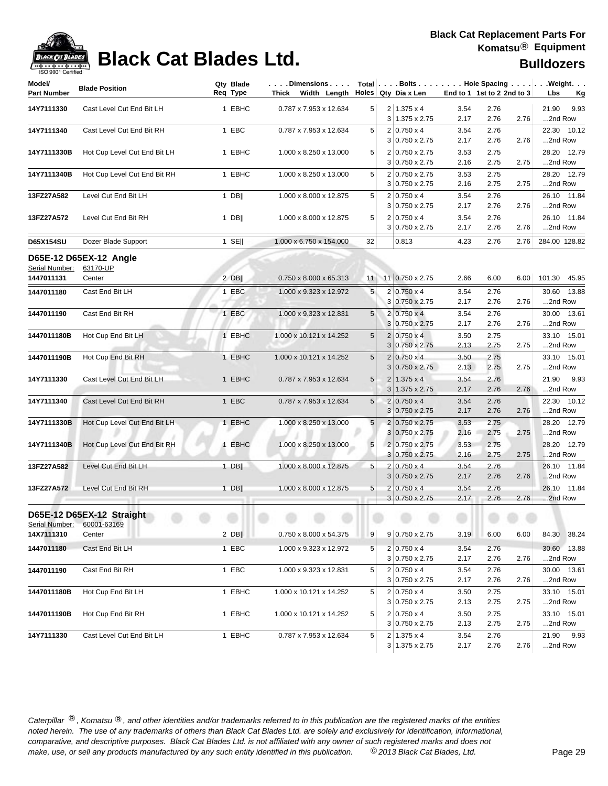| 190 SON LOGITING<br>Model/ |                              | Qty Blade | Dimensions              |                |                           |                            |      |      | Total   Bolts   Hole Spacing   Weight. |
|----------------------------|------------------------------|-----------|-------------------------|----------------|---------------------------|----------------------------|------|------|----------------------------------------|
| <b>Part Number</b>         | <b>Blade Position</b>        | Req Type  | Thick Width Length      |                | Holes Qty Dia x Len       | End to 1 1st to 2 2nd to 3 |      |      | Lbs<br><u>Kg</u>                       |
| 14Y7111330                 | Cast Level Cut End Bit LH    | 1 EBHC    | 0.787 x 7.953 x 12.634  | 5 <sup>1</sup> | $2 1.375 \times 4$        | 3.54                       | 2.76 |      | 9.93<br>21.90                          |
|                            |                              |           |                         |                | $3 1.375 \times 2.75$     | 2.17                       | 2.76 | 2.76 | 2nd Row                                |
| 14Y7111340                 | Cast Level Cut End Bit RH    | 1 EBC     | 0.787 x 7.953 x 12.634  | 5 <sup>1</sup> | $2 0.750 \times 4$        | 3.54                       | 2.76 |      | 22.30 10.12                            |
|                            |                              |           |                         |                | $3 0.750 \times 2.75$     | 2.17                       | 2.76 | 2.76 | 2nd Row                                |
| 14Y7111330B                | Hot Cup Level Cut End Bit LH | 1 EBHC    | 1.000 x 8.250 x 13.000  | 5              | 2 0.750 x 2.75            | 3.53                       | 2.75 |      | 28.20 12.79                            |
|                            |                              |           |                         |                | $3 0.750 \times 2.75$     | 2.16                       | 2.75 | 2.75 | 2nd Row                                |
| 14Y7111340B                | Hot Cup Level Cut End Bit RH | 1 EBHC    | 1.000 x 8.250 x 13.000  | 5              | 2 0.750 x 2.75            | 3.53                       | 2.75 |      | 28.20 12.79                            |
|                            |                              |           |                         |                | 3 0.750 x 2.75            | 2.16                       | 2.75 | 2.75 | 2nd Row                                |
| 13FZ27A582                 | Level Cut End Bit LH         | 1 DBII    | 1.000 x 8.000 x 12.875  | 5              | $2 0.750 \times 4$        | 3.54                       | 2.76 |      | 26.10 11.84                            |
|                            |                              |           |                         |                | $3 0.750 \times 2.75$     | 2.17                       | 2.76 | 2.76 | 2nd Row                                |
| 13FZ27A572                 | Level Cut End Bit RH         | $1$ DB    | 1.000 x 8.000 x 12.875  | 5              | $2 0.750 \times 4$        | 3.54                       | 2.76 |      | 26.10 11.84                            |
|                            |                              |           |                         |                | $3 0.750 \times 2.75$     | 2.17                       | 2.76 | 2.76 | 2nd Row                                |
| <b>D65X154SU</b>           | Dozer Blade Support          | $1$ SE    | 1.000 x 6.750 x 154.000 | 32             | 0.813                     | 4.23                       | 2.76 | 2.76 | 284.00 128.82                          |
|                            | D65E-12 D65EX-12 Angle       |           |                         |                |                           |                            |      |      |                                        |
| Serial Number:             | 63170-UP                     |           |                         |                |                           |                            |      |      |                                        |
| 1447011131                 | Center                       | $2$ DB    | 0.750 x 8.000 x 65.313  | 11             | 11 0.750 x 2.75           | 2.66                       | 6.00 | 6.00 | 101.30 45.95                           |
| 1447011180                 | Cast End Bit LH              | 1 EBC     | 1.000 x 9.323 x 12.972  | 5              | $2 0.750 \times 4$        | 3.54                       | 2.76 |      | 13.88<br>30.60                         |
|                            |                              |           |                         |                | 3 0.750 x 2.75            | 2.17                       | 2.76 | 2.76 | 2nd Row                                |
| 1447011190                 | Cast End Bit RH              | 1 EBC     | 1.000 x 9.323 x 12.831  | 5              | $2 0.750 \times 4$        | 3.54                       | 2.76 |      | 30.00 13.61                            |
|                            |                              |           |                         |                | 3 0.750 x 2.75            | 2.17                       | 2.76 | 2.76 | 2nd Row                                |
| 1447011180B                | Hot Cup End Bit LH           | 1 EBHC    | 1.000 x 10.121 x 14.252 | 5              | $2 0.750 \times 4$        | 3.50                       | 2.75 |      | 33.10 15.01                            |
|                            |                              |           |                         |                | $3 0.750 \times 2.75$     | 2.13                       | 2.75 | 2.75 | 2nd Row                                |
| 1447011190B                | Hot Cup End Bit RH           | 1 EBHC    | 1.000 x 10.121 x 14.252 | 5              | $2 0.750 \times 4$        | 3.50                       | 2.75 |      | 33.10 15.01                            |
|                            |                              |           |                         |                | $3 0.750 \times 2.75$     | 2.13                       | 2.75 | 2.75 | 2nd Row                                |
| 14Y7111330                 | Cast Level Cut End Bit LH    | 1 EBHC    | 0.787 x 7.953 x 12.634  | 5              | $2 1.375 \times 4$        | 3.54                       | 2.76 |      | 21.90<br>9.93                          |
|                            |                              |           |                         |                | $3 1.375 \times 2.75$     | 2.17                       | 2.76 | 2.76 | 2nd Row                                |
| 14Y7111340                 | Cast Level Cut End Bit RH    | 1 EBC     | 0.787 x 7.953 x 12.634  | 5              | $2 0.750 \times 4$        | 3.54                       | 2.76 |      | 22.30 10.12                            |
|                            |                              |           |                         |                | $3 0.750 \times 2.75$     | 2.17                       | 2.76 | 2.76 | 2nd Row                                |
| 14Y7111330B                | Hot Cup Level Cut End Bit LH | 1 EBHC    | 1.000 x 8.250 x 13.000  | 5              | 2 0.750 x 2.75            | 3.53                       | 2.75 |      | 28.20 12.79                            |
|                            |                              |           |                         |                | $3 0.750 \times 2.75$     | 2.16                       | 2.75 | 2.75 | 2nd Row                                |
| 14Y7111340B                | Hot Cup Level Cut End Bit RH | 1 EBHC    | 1.000 x 8.250 x 13.000  | 5              | 2 0.750 x 2.75            | 3.53                       | 2.75 |      | 28.20 12.79                            |
|                            |                              |           |                         |                | $3 0.750 \times 2.75$     | 2.16                       | 2.75 | 2.75 | 2nd Row                                |
| 13FZ27A582                 | Level Cut End Bit LH         | 1 DB      | 1.000 x 8.000 x 12.875  | 5              | $2 0.750 \times 4$        | 3.54                       | 2.76 |      | 26.10 11.84                            |
|                            |                              |           |                         |                | $3 0.750 \times 2.75$     | 2.17                       | 2.76 | 2.76 | 2nd Row                                |
| 13FZ27A572                 | Level Cut End Bit RH         | $1$ DB    | 1.000 x 8.000 x 12.875  | 5              | $2 0.750 \times 4$        | 3.54                       | 2.76 |      | 26.10 11.84                            |
|                            |                              |           |                         |                | $3 0.750 \times 2.75$     | 2.17                       | 2.76 | 2.76 | 2nd Row                                |
|                            | D65E-12 D65EX-12 Straight    |           |                         |                | <b><i>CONTRACTORY</i></b> | ۰                          | ۰    |      |                                        |
| Serial Number:             | 60001-63169                  |           |                         |                |                           |                            |      |      |                                        |
| 14X7111310                 | Center                       | $2$ DB    | 0.750 x 8.000 x 54.375  | 9              | $9 0.750 \times 2.75$     | 3.19                       | 6.00 | 6.00 | 84.30 38.24                            |
| 1447011180                 | Cast End Bit LH              | 1 EBC     | 1.000 x 9.323 x 12.972  | 5              | $2 0.750 \times 4$        | 3.54                       | 2.76 |      | 30.60 13.88                            |
|                            |                              |           |                         |                | $3 0.750 \times 2.75$     | 2.17                       | 2.76 | 2.76 | 2nd Row                                |
| 1447011190                 | Cast End Bit RH              | 1 EBC     | 1.000 x 9.323 x 12.831  | 5              | $2 0.750 \times 4$        | 3.54                       | 2.76 |      | 30.00 13.61                            |
|                            |                              |           |                         |                | $3 0.750 \times 2.75$     | 2.17                       | 2.76 | 2.76 | 2nd Row                                |
| 1447011180B                | Hot Cup End Bit LH           | 1 EBHC    | 1.000 x 10.121 x 14.252 | 5              | $2 0.750 \times 4$        | 3.50                       | 2.75 |      | 33.10 15.01                            |
|                            |                              |           |                         |                | $3 0.750 \times 2.75$     | 2.13                       | 2.75 | 2.75 | 2nd Row                                |
| 1447011190B                | Hot Cup End Bit RH           | 1 EBHC    | 1.000 x 10.121 x 14.252 | 5              | $2 0.750 \times 4$        | 3.50                       | 2.75 |      | 33.10 15.01                            |
|                            |                              |           |                         |                | 3 0.750 x 2.75            | 2.13                       | 2.75 | 2.75 | 2nd Row                                |
| 14Y7111330                 | Cast Level Cut End Bit LH    | 1 EBHC    | 0.787 x 7.953 x 12.634  | 5              | $2 1.375 \times 4$        | 3.54                       | 2.76 |      | 21.90 9.93                             |
|                            |                              |           |                         |                | $3 1.375 \times 2.75$     | 2.17                       | 2.76 | 2.76 | 2nd Row                                |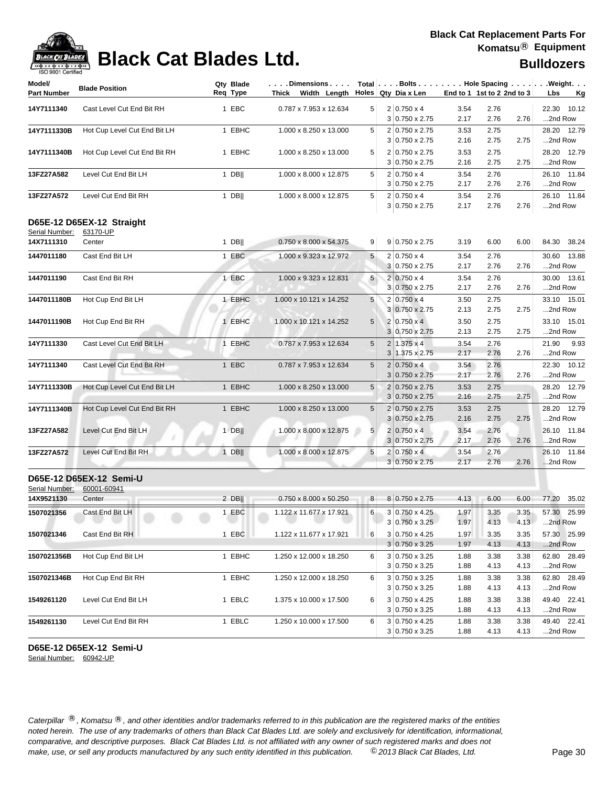## **Black Cat Blades Ltd. Black Cat Blades Ltd. Black Cat Blades Ltd. Bulldozers**

| 190 ann i Ceimige<br>Model/ | <b>Blade Position</b>        | Qty Blade | $\ldots$ . Dimensions. $\ldots$        |            |                                         |                            |              |              | Total   Bolts   Hole Spacing   Weight. |
|-----------------------------|------------------------------|-----------|----------------------------------------|------------|-----------------------------------------|----------------------------|--------------|--------------|----------------------------------------|
| <b>Part Number</b>          |                              | Req Type  | Thick Width Length Holes Qty Dia x Len |            |                                         | End to 1 1st to 2 2nd to 3 |              |              | <u>Kg</u><br>Lbs                       |
| 14Y7111340                  | Cast Level Cut End Bit RH    | 1 EBC     | 0.787 x 7.953 x 12.634                 | 5          | $2 0.750 \times 4$                      | 3.54                       | 2.76         |              | 22.30 10.12                            |
|                             |                              |           |                                        |            | $3 0.750 \times 2.75$                   | 2.17                       | 2.76         | 2.76         | 2nd Row                                |
| 14Y7111330B                 | Hot Cup Level Cut End Bit LH | 1 EBHC    | 1.000 x 8.250 x 13.000                 | 5          | 2 0.750 x 2.75                          | 3.53                       | 2.75         |              | 28.20 12.79                            |
|                             |                              |           |                                        |            | $3 0.750 \times 2.75$                   | 2.16                       | 2.75         | 2.75         | 2nd Row                                |
| 14Y7111340B                 | Hot Cup Level Cut End Bit RH | 1 EBHC    | 1.000 x 8.250 x 13.000                 | 5          | 2 0.750 x 2.75                          | 3.53                       | 2.75         |              | 28.20 12.79                            |
|                             |                              |           |                                        |            | $3 0.750 \times 2.75$                   | 2.16                       | 2.75         | 2.75         | 2nd Row                                |
| 13FZ27A582                  | Level Cut End Bit LH         | 1 DB      | 1.000 x 8.000 x 12.875                 | 5          | $2 0.750 \times 4$                      | 3.54                       | 2.76         |              | 26.10 11.84                            |
|                             |                              |           |                                        |            | 3 0.750 x 2.75                          | 2.17                       | 2.76         | 2.76         | 2nd Row                                |
| 13FZ27A572                  | Level Cut End Bit RH         | $1$ DB    | 1.000 x 8.000 x 12.875                 | 5          | $2 0.750 \times 4$                      | 3.54                       | 2.76         |              | 26.10 11.84                            |
|                             |                              |           |                                        |            | $3 0.750 \times 2.75$                   | 2.17                       | 2.76         | 2.76         | 2nd Row                                |
|                             |                              |           |                                        |            |                                         |                            |              |              |                                        |
| Serial Number:              | D65E-12 D65EX-12 Straight    |           |                                        |            |                                         |                            |              |              |                                        |
| 14X7111310                  | 63170-UP<br>Center           | $1$ DB    | 0.750 x 8.000 x 54.375                 | 9          | $9 0.750 \times 2.75$                   | 3.19                       | 6.00         | 6.00         | 84.30 38.24                            |
|                             |                              |           |                                        |            |                                         |                            |              |              |                                        |
| 1447011180                  | Cast End Bit LH              | 1 EBC     | 1.000 x 9.323 x 12.972                 | 5          | $2 0.750 \times 4$                      | 3.54                       | 2.76         |              | 30.60 13.88                            |
|                             |                              |           |                                        |            | 3 0.750 x 2.75                          | 2.17                       | 2.76         | 2.76         | 2nd Row                                |
| 1447011190                  | Cast End Bit RH              | 1 EBC     | 1.000 x 9.323 x 12.831                 | 5          | $2 0.750 \times 4$                      | 3.54                       | 2.76         |              | 30.00 13.61                            |
|                             |                              |           |                                        |            | 3 0.750 x 2.75                          | 2.17                       | 2.76         | 2.76         | 2nd Row                                |
| 1447011180B                 | Hot Cup End Bit LH           | 1 EBHC    | 1.000 x 10.121 x 14.252                | 5          | 2 0.750 x 4                             | 3.50                       | 2.75         |              | 33.10 15.01                            |
|                             |                              |           |                                        |            | 3 0.750 x 2.75                          | 2.13                       | 2.75         | 2.75         | 2nd Row                                |
| 1447011190B                 | Hot Cup End Bit RH           | 1 EBHC    | 1.000 x 10.121 x 14.252                | 5          | $2 0.750 \times 4 $                     | 3.50                       | 2.75         |              | 33.10 15.01                            |
|                             |                              |           |                                        |            | 3 0.750 x 2.75                          | 2.13                       | 2.75         | 2.75         | 2nd Row                                |
| 14Y7111330                  | Cast Level Cut End Bit LH    | 1 EBHC    | 0.787 x 7.953 x 12.634                 | 5          | $2 1.375 \times 4$                      | 3.54                       | 2.76         |              | 21.90<br>9.93                          |
|                             |                              |           |                                        |            | 3 1.375 x 2.75                          | 2.17                       | 2.76         | 2.76         | 2nd Row                                |
| 14Y7111340                  | Cast Level Cut End Bit RH    | 1 EBC     | 0.787 x 7.953 x 12.634                 | 5          | $2 0.750 \times 4$                      | 3.54                       | 2.76         |              | 22.30 10.12                            |
|                             |                              |           |                                        |            | $3 0.750 \times 2.75$                   | 2.17                       | 2.76         | 2.76         | 2nd Row                                |
| 14Y7111330B                 | Hot Cup Level Cut End Bit LH | 1 EBHC    | 1.000 x 8.250 x 13.000                 | $\sqrt{5}$ | 2 0.750 x 2.75                          | 3.53                       | 2.75         |              | 28.20 12.79                            |
|                             |                              |           |                                        |            | $3 0.750 \times 2.75$                   | 2.16                       | 2.75         | 2.75         | 2nd Row                                |
| 14Y7111340B                 | Hot Cup Level Cut End Bit RH | 1 EBHC    | 1.000 x 8.250 x 13.000                 | 5          | 2 0.750 x 2.75                          | 3.53                       | 2.75         |              | 28.20 12.79                            |
|                             |                              |           |                                        |            | $3 0.750 \times 2.75$                   | 2.16                       | 2.75         | 2.75         | 2nd Row                                |
| 13FZ27A582                  | Level Cut End Bit LH         | $1$ DB    | 1.000 x 8.000 x 12.875                 | 5          | $2 0.750 \times 4$                      | 3.54                       | 2.76         |              | 26.10 11.84                            |
|                             |                              |           |                                        |            | $3 0.750 \times 2.75$                   | 2.17                       | 2.76         | 2.76         | 2nd Row                                |
| 13FZ27A572                  | Level Cut End Bit RH         | $1$ DB    | 1.000 x 8.000 x 12.875                 | 5          | $2 0.750 \times 4 $                     | 3.54                       | 2.76         |              | 26.10 11.84                            |
|                             |                              |           |                                        |            | $3 0.750 \times 2.75$                   | 2.17                       | 2.76         | 2.76         | 2nd Row                                |
|                             | D65E-12 D65EX-12 Semi-U      |           |                                        |            |                                         |                            |              |              |                                        |
| Serial Number:              | 60001-60941                  |           |                                        |            |                                         |                            |              |              |                                        |
| 14X9521130                  | Center                       | $2$ DB    | 0.750 x 8.000 x 50.250                 | 8          | 8 0.750 x 2.75                          | 4.13                       | 6.00         | 6.00         | 77.20<br>35.02                         |
| 1507021356                  |                              |           |                                        |            |                                         | 1.97                       |              |              |                                        |
|                             | Cast End Bit LH              | 1 EBC     | 1.122 x 11.677 x 17.921                | 6          | 3 0.750 x 4.25<br>$3 0.750 \times 3.25$ | 1.97                       | 3.35<br>4.13 | 3.35<br>4.13 | 57.30 25.99<br>2nd Row                 |
|                             |                              |           |                                        |            |                                         |                            |              |              |                                        |
| 1507021346                  | Cast End Bit RH              | 1 EBC     | 1.122 x 11.677 x 17.921                | 6          | 3 0.750 x 4.25<br>$3 0.750 \times 3.25$ | 1.97<br>1.97               | 3.35<br>4.13 | 3.35<br>4.13 | 57.30 25.99<br>2nd Row                 |
|                             |                              |           |                                        |            |                                         |                            |              |              |                                        |
| 1507021356B                 | Hot Cup End Bit LH           | 1 EBHC    | 1.250 x 12.000 x 18.250                | 6          | 3 0.750 x 3.25                          | 1.88                       | 3.38         | 3.38         | 62.80 28.49<br>2nd Row                 |
|                             |                              |           |                                        |            | $3 0.750 \times 3.25$                   | 1.88                       | 4.13         | 4.13         |                                        |
| 1507021346B                 | Hot Cup End Bit RH           | 1 EBHC    | 1.250 x 12.000 x 18.250                | 6          | 3 0.750 x 3.25                          | 1.88                       | 3.38         | 3.38         | 62.80 28.49                            |
|                             |                              |           |                                        |            | $3 0.750 \times 3.25$                   | 1.88                       | 4.13         | 4.13         | 2nd Row                                |
| 1549261120                  | Level Cut End Bit LH         | 1 EBLC    | 1.375 x 10.000 x 17.500                | 6          | $3 0.750 \times 4.25$                   | 1.88                       | 3.38         | 3.38         | 49.40 22.41                            |
|                             |                              |           |                                        |            | $3 0.750 \times 3.25$                   | 1.88                       | 4.13         | 4.13         | 2nd Row                                |
| 1549261130                  | Level Cut End Bit RH         | 1 EBLC    | 1.250 x 10.000 x 17.500                | 6          | 3 0.750 x 4.25                          | 1.88                       | 3.38         | 3.38         | 49.40 22.41                            |
|                             |                              |           |                                        |            | $3 0.750 \times 3.25$                   | 1.88                       | 4.13         | 4.13         | 2nd Row                                |

### **D65E-12 D65EX-12 Semi-U**

Serial Number: 60942-UP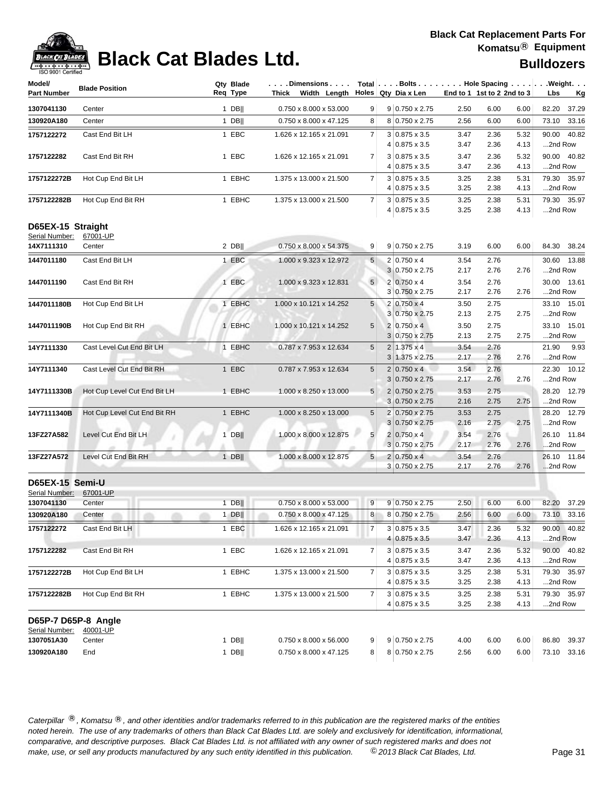**Model/**

## **Black Cat Blades Ltd. Black Cat Blades Ltd. Black Cat Blades Ltd.**

| Model/              | <b>Blade Position</b>        | Qty Blade<br>Req Type | . Dimensions   Total  . Bolts Hole Spacing  . Weight.<br>Thick Width Length Holes Qty Dia x Len |                |                             |                            |      |      |                  |
|---------------------|------------------------------|-----------------------|-------------------------------------------------------------------------------------------------|----------------|-----------------------------|----------------------------|------|------|------------------|
| Part Number         |                              |                       |                                                                                                 |                |                             | End to 1 1st to 2 2nd to 3 |      |      | Lbs<br><u>Kg</u> |
| 1307041130          | Center                       | $1$ DB                | 0.750 x 8.000 x 53.000                                                                          | 9              | $9 0.750 \times 2.75$       | 2.50                       | 6.00 | 6.00 | 82.20<br>37.29   |
| 130920A180          | Center                       | $1$ DB                | 0.750 x 8.000 x 47.125                                                                          | 8              | 8 0.750 x 2.75              | 2.56                       | 6.00 | 6.00 | 73.10 33.16      |
| 1757122272          | Cast End Bit LH              | 1 EBC                 | 1.626 x 12.165 x 21.091                                                                         | $\overline{7}$ | $3 0.875 \times 3.5$        | 3.47                       | 2.36 | 5.32 | 90.00 40.82      |
|                     |                              |                       |                                                                                                 |                | $4 0.875 \times 3.5$        | 3.47                       | 2.36 | 4.13 | 2nd Row          |
| 1757122282          | Cast End Bit RH              | 1 EBC                 | 1.626 x 12.165 x 21.091                                                                         | $\overline{7}$ | $3 0.875 \times 3.5$        | 3.47                       | 2.36 | 5.32 | 90.00 40.82      |
|                     |                              |                       |                                                                                                 |                | $4 0.875 \times 3.5$        | 3.47                       | 2.36 | 4.13 | 2nd Row          |
| 1757122272B         | Hot Cup End Bit LH           | 1 EBHC                | 1.375 x 13.000 x 21.500                                                                         | 7 <sup>1</sup> | $3 0.875 \times 3.5$        | 3.25                       | 2.38 | 5.31 | 79.30 35.97      |
|                     |                              |                       |                                                                                                 |                | $4 0.875 \times 3.5$        | 3.25                       | 2.38 | 4.13 | 2nd Row          |
| 1757122282B         | Hot Cup End Bit RH           | 1 EBHC                | 1.375 x 13.000 x 21.500                                                                         | 7 <sup>1</sup> | $3 0.875 \times 3.5$        | 3.25                       | 2.38 | 5.31 | 79.30 35.97      |
|                     |                              |                       |                                                                                                 |                | $4 0.875 \times 3.5$        | 3.25                       | 2.38 | 4.13 | 2nd Row          |
| D65EX-15 Straight   |                              |                       |                                                                                                 |                |                             |                            |      |      |                  |
| Serial Number:      | 67001-UP                     |                       |                                                                                                 |                |                             |                            |      |      |                  |
| 14X7111310          | Center                       | $2$ DB                | 0.750 x 8.000 x 54.375                                                                          | 9 <sup>°</sup> | $9 0.750 \times 2.75$       | 3.19                       | 6.00 | 6.00 | 84.30 38.24      |
| 1447011180          | Cast End Bit LH              | 1 EBC                 | 1.000 x 9.323 x 12.972                                                                          | 5 <sup>5</sup> | $2 0.750 \times 4$          | 3.54                       | 2.76 |      | 30.60 13.88      |
|                     |                              |                       |                                                                                                 |                | $3 0.750 \times 2.75$       | 2.17                       | 2.76 | 2.76 | 2nd Row          |
| 1447011190          | Cast End Bit RH              | 1 EBC                 | 1.000 x 9.323 x 12.831                                                                          | 5 <sup>5</sup> | $2 0.750 \times 4$          | 3.54                       | 2.76 |      | 30.00 13.61      |
|                     |                              |                       |                                                                                                 |                | 3 0.750 x 2.75              | 2.17                       | 2.76 | 2.76 | 2nd Row          |
| 1447011180B         | Hot Cup End Bit LH           | 1 EBHC                | 1.000 x 10.121 x 14.252                                                                         | 5 <sub>1</sub> | $2 0.750 \times 4$          | 3.50                       | 2.75 |      | 33.10 15.01      |
|                     |                              |                       |                                                                                                 |                | $3 0.750 \times 2.75$       | 2.13                       | 2.75 | 2.75 | 2nd Row          |
| 1447011190B         | Hot Cup End Bit RH           | 1 EBHC                | 1.000 x 10.121 x 14.252                                                                         | 5              | 2 0.750 x 4                 | 3.50                       | 2.75 |      | 33.10 15.01      |
|                     |                              |                       |                                                                                                 |                | $3 0.750 \times 2.75$       | 2.13                       | 2.75 | 2.75 | 2nd Row          |
| 14Y7111330          | Cast Level Cut End Bit LH    | 1 EBHC                | 0.787 x 7.953 x 12.634                                                                          | 5              | $2 1.375 \times 4$          | 3.54                       | 2.76 |      | 21.90<br>9.93    |
|                     |                              |                       |                                                                                                 |                | 3 1.375 x 2.75              | 2.17                       | 2.76 | 2.76 | 2nd Row          |
| 14Y7111340          | Cast Level Cut End Bit RH    | 1 EBC                 | 0.787 x 7.953 x 12.634                                                                          | 5              | $2 0.750 \times 4$          | 3.54                       | 2.76 |      | 22.30 10.12      |
|                     |                              |                       |                                                                                                 |                | $3 0.750 \times 2.75$       | 2.17                       | 2.76 | 2.76 | 2nd Row          |
| 14Y7111330B         | Hot Cup Level Cut End Bit LH | 1 EBHC                | 1.000 x 8.250 x 13.000                                                                          | 5 <sup>5</sup> | 2 0.750 x 2.75              | 3.53                       | 2.75 |      | 28.20 12.79      |
|                     |                              |                       |                                                                                                 |                | $3 0.750 \times 2.75$       | 2.16                       | 2.75 | 2.75 | 2nd Row          |
| 14Y7111340B         | Hot Cup Level Cut End Bit RH | 1 EBHC                | 1.000 x 8.250 x 13.000                                                                          | 5              | 2 0.750 x 2.75              | 3.53                       | 2.75 |      | 28.20 12.79      |
|                     |                              |                       |                                                                                                 |                | $3 0.750 \times 2.75$       | 2.16                       | 2.75 | 2.75 | 2nd Row          |
| 13FZ27A582          | Level Cut End Bit LH         | $1$ DB                | 1.000 x 8.000 x 12.875                                                                          | 5              | $2 0.750 \times 4$          | 3.54                       | 2.76 |      | 26.10 11.84      |
|                     |                              |                       |                                                                                                 |                | $3 0.750 \times 2.75$       | 2.17                       | 2.76 | 2.76 | 2nd Row          |
| 13FZ27A572          | Level Cut End Bit RH         | $1$ DB                | 1.000 x 8.000 x 12.875                                                                          | 5 <sub>1</sub> | $2 0.750 \times 4$          | 3.54                       | 2.76 |      | 26.10 11.84      |
|                     |                              |                       |                                                                                                 |                | $3 0.750 \times 2.75$       | 2.17                       | 2.76 | 2.76 | 2nd Row          |
| D65EX-15 Semi-U     |                              |                       |                                                                                                 |                |                             |                            |      |      |                  |
| Serial Number:      | 67001-UP                     |                       |                                                                                                 |                |                             |                            |      |      |                  |
| 1307041130          | Center                       | $1$ DB                | 0.750 x 8.000 x 53.000                                                                          | 9              | $9 0.750 \times 2.75$       | 2.50                       | 6.00 | 6.00 | 37.29<br>82.20   |
| 130920A180          | Center                       | $1$ DB                | 0.750 x 8.000 x 47.125                                                                          | 8 <sup>1</sup> | 8 0.750 x 2.75              | 2.56                       | 6.00 | 6.00 | 73.10 33.16      |
| 1757122272          | Cast End Bit LH              | 1 EBC                 | 1.626 x 12.165 x 21.091                                                                         |                | $3 0.875 \times 3.5$        | 3.47                       | 2.36 | 5.32 | 90.00 40.82      |
|                     |                              |                       |                                                                                                 |                | $4 0.875 \times 3.5$        | 3.47                       | 2.36 | 4.13 | 2nd Row          |
| 1757122282          | Cast End Bit RH              | 1 EBC                 | 1.626 x 12.165 x 21.091                                                                         | 7              | $3 0.875 \times 3.5$        | 3.47                       | 2.36 | 5.32 | 90.00 40.82      |
|                     |                              |                       |                                                                                                 |                | $4 0.875 \times 3.5$        | 3.47                       | 2.36 | 4.13 | 2nd Row          |
| 1757122272B         | Hot Cup End Bit LH           | 1 EBHC                | 1.375 x 13.000 x 21.500                                                                         | 7              | $3 0.875 \times 3.5$        | 3.25                       | 2.38 | 5.31 | 79.30 35.97      |
|                     |                              |                       |                                                                                                 |                | $4 0.875 \times 3.5$        | 3.25                       | 2.38 | 4.13 | 2nd Row          |
| 1757122282B         | Hot Cup End Bit RH           | 1 EBHC                | 1.375 x 13.000 x 21.500                                                                         | 7              | $3 0.875 \times 3.5$        | 3.25                       | 2.38 | 5.31 | 79.30 35.97      |
|                     |                              |                       |                                                                                                 |                | $4 0.875 \times 3.5$        | 3.25                       | 2.38 | 4.13 | 2nd Row          |
| D65P-7 D65P-8 Angle |                              |                       |                                                                                                 |                |                             |                            |      |      |                  |
| Serial Number:      | 40001-UP                     |                       |                                                                                                 |                |                             |                            |      |      |                  |
| 1307051A30          | Center                       | $1$ DB                | $0.750 \times 8.000 \times 56.000$                                                              |                | $9   9   0.750 \times 2.75$ | 4.00                       | 6.00 | 6.00 | 86.80 39.37      |

Caterpillar ®, Komatsu ®, and other identities and/or trademarks referred to in this publication are the registered marks of the entities *noted herein. The use of any trademarks of others than Black Cat Blades Ltd. are solely and exclusively for identification, informational, make, use, or sell any products manufactured by any such entity identified in this publication. comparative, and descriptive purposes. Black Cat Blades Ltd. is not affiliated with any owner of such registered marks and does not* ©*2013 Black Cat Blades, Ltd.* Page 31

**130920A180** End 1 DB|| 8 2.56 6.00 6.00 73.10 33.16 0.750 x 8.000 x 47.125 8 0.750 x 2.75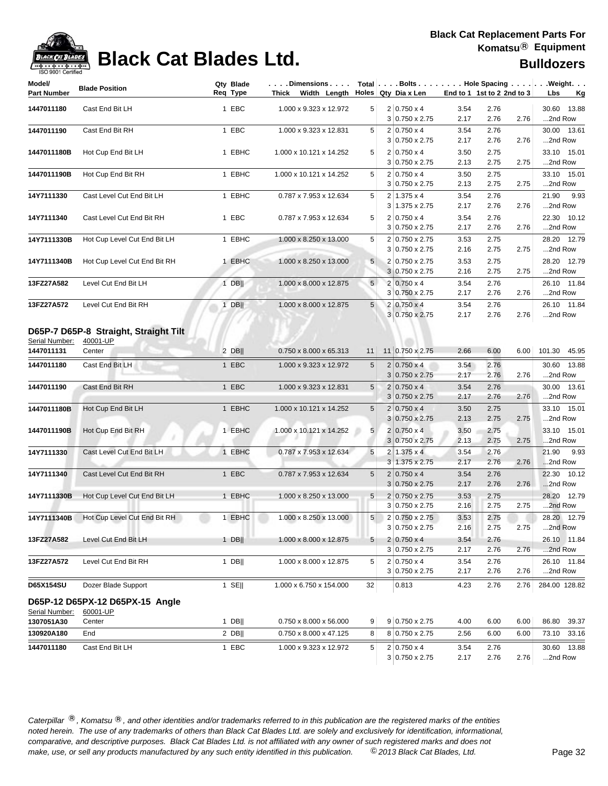

## **Black Cat Blades Ltd. Black Cat Blades Ltd.**

| Model/<br><b>Part Number</b> | <b>Blade Position</b>                             | Qty Blade<br>Req Type | .Dimensions<br>Thick Width Length |                 | Total $\vert \ldots$ Bolts $\ldots \vert \ldots$ Hole Spacing $\ldots \vert \ldots$ Weight. $\ldots$<br>Holes Qty Dia x Len |              | End to 1 1st to 2 2nd to 3 |      | Lbs<br><u>Kg</u>       |
|------------------------------|---------------------------------------------------|-----------------------|-----------------------------------|-----------------|-----------------------------------------------------------------------------------------------------------------------------|--------------|----------------------------|------|------------------------|
| 1447011180                   | Cast End Bit LH                                   | 1 EBC                 | 1.000 x 9.323 x 12.972            | 5 <sup>1</sup>  | $2 0.750 \times 4$                                                                                                          | 3.54         | 2.76                       |      | 30.60 13.88            |
|                              |                                                   |                       |                                   |                 | 3 0.750 x 2.75                                                                                                              | 2.17         | 2.76                       | 2.76 | 2nd Row                |
| 1447011190                   | Cast End Bit RH                                   | 1 EBC                 | 1.000 x 9.323 x 12.831            | 5               | $2 0.750 \times 4$                                                                                                          | 3.54         | 2.76                       |      | 30.00 13.61            |
|                              |                                                   |                       |                                   |                 | 3 0.750 x 2.75                                                                                                              | 2.17         | 2.76                       | 2.76 | 2nd Row                |
| 1447011180B                  | Hot Cup End Bit LH                                | 1 EBHC                | 1.000 x 10.121 x 14.252           | 5               | $2 0.750 \times 4$                                                                                                          | 3.50         | 2.75                       |      | 33.10 15.01            |
|                              |                                                   |                       |                                   |                 | 3 0.750 x 2.75                                                                                                              | 2.13         | 2.75                       | 2.75 | 2nd Row                |
| 1447011190B                  | Hot Cup End Bit RH                                | 1 EBHC                | 1.000 x 10.121 x 14.252           | 5               | $2 0.750 \times 4$                                                                                                          | 3.50         | 2.75                       |      | 33.10 15.01            |
|                              |                                                   |                       |                                   |                 | $3 0.750 \times 2.75$                                                                                                       | 2.13         | 2.75                       | 2.75 | 2nd Row                |
| 14Y7111330                   | Cast Level Cut End Bit LH                         | 1 EBHC                | 0.787 x 7.953 x 12.634            | 5               | $2 1.375 \times 4$                                                                                                          | 3.54         | 2.76                       |      | 21.90<br>9.93          |
|                              |                                                   |                       |                                   |                 | $3 1.375 \times 2.75$                                                                                                       | 2.17         | 2.76                       | 2.76 | 2nd Row                |
| 14Y7111340                   | Cast Level Cut End Bit RH                         | 1 EBC                 | 0.787 x 7.953 x 12.634            | 5               | $2 0.750 \times 4$<br>$3 0.750 \times 2.75$                                                                                 | 3.54<br>2.17 | 2.76<br>2.76               | 2.76 | 22.30 10.12<br>2nd Row |
|                              | Hot Cup Level Cut End Bit LH                      | 1 EBHC                | 1.000 x 8.250 x 13.000            | 5               | 2 0.750 x 2.75                                                                                                              | 3.53         | 2.75                       |      | 28.20 12.79            |
| 14Y7111330B                  |                                                   |                       |                                   |                 | $3 0.750 \times 2.75$                                                                                                       | 2.16         | 2.75                       | 2.75 | 2nd Row                |
| 14Y7111340B                  | Hot Cup Level Cut End Bit RH                      | 1 EBHC                | 1.000 x 8.250 x 13.000            | 5 <sup>5</sup>  | 2 0.750 x 2.75                                                                                                              | 3.53         | 2.75                       |      | 28.20 12.79            |
|                              |                                                   |                       |                                   |                 | $3 0.750 \times 2.75$                                                                                                       | 2.16         | 2.75                       | 2.75 | 2nd Row                |
| 13FZ27A582                   | Level Cut End Bit LH                              | $1$ DB                | 1.000 x 8.000 x 12.875            | 5 <sup>5</sup>  | $2 0.750 \times 4$                                                                                                          | 3.54         | 2.76                       |      | 26.10 11.84            |
|                              |                                                   |                       |                                   |                 | 3 0.750 x 2.75                                                                                                              | 2.17         | 2.76                       | 2.76 | 2nd Row                |
| 13FZ27A572                   | Level Cut End Bit RH                              | $1$ DB                | 1.000 x 8.000 x 12.875            | 5 <sub>5</sub>  | $2 0.750 \times 4$                                                                                                          | 3.54         | 2.76                       |      | 26.10 11.84            |
|                              |                                                   |                       |                                   |                 | 3 0.750 x 2.75                                                                                                              | 2.17         | 2.76                       | 2.76 | 2nd Row                |
| Serial Number:               | D65P-7 D65P-8 Straight, Straight Tilt<br>40001-UP |                       |                                   |                 |                                                                                                                             |              |                            |      |                        |
| 1447011131                   | Center                                            | $2$ DB                | 0.750 x 8.000 x 65.313            | 11              | $11 0.750 \times 2.75$                                                                                                      | 2.66         | 6.00                       | 6.00 | 101.30 45.95           |
| 1447011180                   | Cast End Bit LH                                   | 1 EBC                 | 1.000 x 9.323 x 12.972            | 5               | $2 0.750 \times 4$                                                                                                          | 3.54         | 2.76                       |      | 30.60 13.88            |
|                              |                                                   |                       |                                   |                 | $3 0.750 \times 2.75$                                                                                                       | 2.17         | 2.76                       | 2.76 | 2nd Row                |
| 1447011190                   | Cast End Bit RH                                   | 1 EBC                 | 1.000 x 9.323 x 12.831            | $5\overline{)}$ | $2 0.750 \times 4$                                                                                                          | 3.54         | 2.76                       |      | 30.00 13.61            |
|                              |                                                   |                       |                                   |                 | $3 0.750 \times 2.75$                                                                                                       | 2.17         | 2.76                       | 2.76 | 2nd Row                |
| 1447011180B                  | Hot Cup End Bit LH                                | 1 EBHC                | 1.000 x 10.121 x 14.252           | 5               | $2 0.750 \times 4$                                                                                                          | 3.50<br>2.13 | 2.75<br>2.75               |      | 33.10 15.01<br>2nd Row |
|                              |                                                   |                       |                                   |                 | $3 0.750 \times 2.75$                                                                                                       |              |                            | 2.75 |                        |
| 1447011190B                  | Hot Cup End Bit RH                                | 1 EBHC                | 1.000 x 10.121 x 14.252           | 5 <sup>1</sup>  | $2 0.750 \times 4$<br>$3 0.750 \times 2.75$                                                                                 | 3.50<br>2.13 | 2.75<br>2.75               | 2.75 | 33.10 15.01<br>2nd Row |
| 14Y7111330                   | Cast Level Cut End Bit LH                         | 1 EBHC                | 0.787 x 7.953 x 12.634            | 5               | $\overline{2}$<br>$1.375 \times 4$                                                                                          | 3.54         | 2.76                       |      | 21.90<br>9.93          |
|                              |                                                   |                       |                                   |                 | $3 1.375 \times 2.75$                                                                                                       | 2.17         | 2.76                       | 2.76 | 2nd Row                |
| 14Y7111340                   | Cast Level Cut End Bit RH                         | 1 EBC                 | 0.787 x 7.953 x 12.634            | 5               | $2 0.750 \times 4$                                                                                                          | 3.54         | 2.76                       |      | 22.30 10.12            |
|                              |                                                   |                       |                                   |                 | $3 0.750 \times 2.75$                                                                                                       | 2.17         | 2.76                       | 2.76 | 2nd Row                |
| 14Y7111330B                  | Hot Cup Level Cut End Bit LH                      | 1 EBHC                | 1.000 x 8.250 x 13.000            | 5 <sup>1</sup>  | $2 0.750 \times 2.75$                                                                                                       | 3.53         | 2.75                       |      | 28.20 12.79            |
|                              |                                                   |                       |                                   |                 | $3 0.750 \times 2.75$                                                                                                       | 2.16         | 2.75                       | 2.75 | 2nd Row                |
| 14Y7111340B                  | Hot Cup Level Cut End Bit RH                      | 1 EBHC                | 1.000 x 8.250 x 13.000            | 5               | 2 0.750 x 2.75                                                                                                              | 3.53         | 2.75                       |      | 28.20 12.79            |
|                              |                                                   |                       |                                   |                 | $3 0.750 \times 2.75$                                                                                                       | 2.16         | 2.75                       | 2.75 | 2nd Row                |
| 13FZ27A582                   | Level Cut End Bit LH                              | $1$ DB                | 1.000 x 8.000 x 12.875            | 5               | $2 0.750 \times 4$                                                                                                          | 3.54         | 2.76                       |      | 26.10 11.84            |
|                              |                                                   |                       |                                   |                 | $3 0.750 \times 2.75$                                                                                                       | 2.17         | 2.76                       | 2.76 | 2nd Row                |
| 13FZ27A572                   | Level Cut End Bit RH                              | $1$ DB                | 1.000 x 8.000 x 12.875            | 5               | $2 0.750 \times 4$                                                                                                          | 3.54         | 2.76                       |      | 26.10 11.84            |
|                              |                                                   |                       |                                   |                 | 3 0.750 x 2.75                                                                                                              | 2.17         | 2.76                       | 2.76 | 2nd Row                |
| D65X154SU                    | Dozer Blade Support                               | 1 SE $\parallel$      | 1.000 x 6.750 x 154.000           | 32              | 0.813                                                                                                                       | 4.23         | 2.76                       | 2.76 | 284.00 128.82          |
| Serial Number:               | D65P-12 D65PX-12 D65PX-15 Angle<br>60001-UP       |                       |                                   |                 |                                                                                                                             |              |                            |      |                        |
| 1307051A30                   | Center                                            | $1$ DB                | 0.750 x 8.000 x 56.000            | 9               | 9 0.750 x 2.75                                                                                                              | 4.00         | 6.00                       | 6.00 | 86.80<br>39.37         |
| 130920A180                   | End                                               | $2$ DB                | 0.750 x 8.000 x 47.125            | 8               | 8 0.750 x 2.75                                                                                                              | 2.56         | 6.00                       | 6.00 | 73.10 33.16            |
| 1447011180                   | Cast End Bit LH                                   | 1 EBC                 | 1.000 x 9.323 x 12.972            | 5               | $2 0.750 \times 4$                                                                                                          | 3.54         | 2.76                       |      | 30.60 13.88            |
|                              |                                                   |                       |                                   |                 | $3 0.750 \times 2.75$                                                                                                       | 2.17         | 2.76                       | 2.76 | 2nd Row                |
|                              |                                                   |                       |                                   |                 |                                                                                                                             |              |                            |      |                        |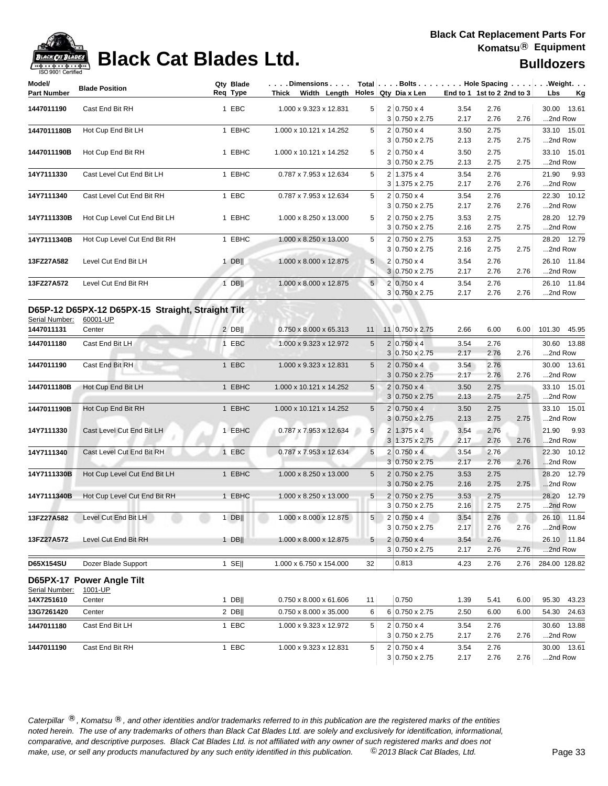

## **Black Cat Blades Ltd. Black Cat Blades Ltd. Bulldozers**

| Model/<br><b>Part Number</b> | <b>Blade Position</b>                                         | Qty Blade<br>Reg Type | .Dimensions<br>Thick Width Length |                         | Total $\vert \ldots$ Bolts $\ldots \vert \ldots$ Hole Spacing $\ldots \vert \ldots$ Weight. $\ldots$<br>Holes Qty Dia x Len | End to 1 1st to 2 2nd to 3                     |              | Lbs<br><u>Kg</u> |      |                           |
|------------------------------|---------------------------------------------------------------|-----------------------|-----------------------------------|-------------------------|-----------------------------------------------------------------------------------------------------------------------------|------------------------------------------------|--------------|------------------|------|---------------------------|
| 1447011190                   | Cast End Bit RH                                               |                       | 1 EBC                             | 1.000 x 9.323 x 12.831  | 5                                                                                                                           | $2 0.750 \times 4$<br>$3 0.750 \times 2.75$    | 3.54<br>2.17 | 2.76<br>2.76     | 2.76 | 30.00<br>13.61<br>2nd Row |
| 1447011180B                  | Hot Cup End Bit LH                                            |                       | 1 EBHC                            | 1.000 x 10.121 x 14.252 | 5                                                                                                                           | $2 0.750 \times 4$<br>3 0.750 x 2.75           | 3.50<br>2.13 | 2.75<br>2.75     | 2.75 | 33.10 15.01<br>2nd Row    |
| 1447011190B                  | Hot Cup End Bit RH                                            |                       | 1 EBHC                            | 1.000 x 10.121 x 14.252 | 5                                                                                                                           | $2 0.750 \times 4$<br>3 0.750 x 2.75           | 3.50<br>2.13 | 2.75<br>2.75     | 2.75 | 33.10<br>15.01<br>2nd Row |
| 14Y7111330                   | Cast Level Cut End Bit LH                                     |                       | 1 EBHC                            | 0.787 x 7.953 x 12.634  | 5                                                                                                                           | $2 1.375 \times 4$<br>$3 1.375 \times 2.75$    | 3.54<br>2.17 | 2.76<br>2.76     | 2.76 | 9.93<br>21.90<br>2nd Row  |
| 14Y7111340                   | Cast Level Cut End Bit RH                                     |                       | 1 EBC                             | 0.787 x 7.953 x 12.634  | 5                                                                                                                           | $2 0.750 \times 4$<br>$3 0.750 \times 2.75$    | 3.54<br>2.17 | 2.76<br>2.76     | 2.76 | 22.30 10.12<br>2nd Row    |
| 14Y7111330B                  | Hot Cup Level Cut End Bit LH                                  |                       | 1 EBHC                            | 1.000 x 8.250 x 13.000  | 5                                                                                                                           | 2 0.750 x 2.75<br>$3 0.750 \times 2.75$        | 3.53<br>2.16 | 2.75<br>2.75     | 2.75 | 28.20 12.79<br>2nd Row    |
| 14Y7111340B                  | Hot Cup Level Cut End Bit RH                                  |                       | 1 EBHC                            | 1.000 x 8.250 x 13.000  | 5                                                                                                                           | 2 0.750 x 2.75<br>$3 0.750 \times 2.75$        | 3.53<br>2.16 | 2.75<br>2.75     | 2.75 | 28.20 12.79<br>2nd Row    |
| 13FZ27A582                   | Level Cut End Bit LH                                          |                       | 1 DB $  $                         | 1.000 x 8.000 x 12.875  | 5                                                                                                                           | $2 0.750 \times 4$<br>$3 0.750 \times 2.75$    | 3.54<br>2.17 | 2.76<br>2.76     | 2.76 | 26.10 11.84<br>2nd Row    |
| 13FZ27A572                   | Level Cut End Bit RH                                          |                       | 1 DB                              | 1.000 x 8.000 x 12.875  | 5                                                                                                                           | $2 0.750 \times 4$<br>3 0.750 x 2.75           | 3.54<br>2.17 | 2.76<br>2.76     | 2.76 | 26.10 11.84<br>2nd Row    |
| Serial Number:               | D65P-12 D65PX-12 D65PX-15 Straight, Straight Tilt<br>60001-UP |                       |                                   |                         |                                                                                                                             |                                                |              |                  |      |                           |
| 1447011131                   | Center                                                        |                       | $2$ DB                            | 0.750 x 8.000 x 65.313  | 11                                                                                                                          | 11 0.750 x 2.75                                | 2.66         | 6.00             | 6.00 | 101.30<br>45.95           |
| 1447011180                   | Cast End Bit LH                                               |                       | 1 EBC                             | 1.000 x 9.323 x 12.972  | 5                                                                                                                           | $2 0.750 \times 4$<br>3 0.750 x 2.75           | 3.54<br>2.17 | 2.76<br>2.76     | 2.76 | 30.60 13.88<br>2nd Row    |
| 1447011190                   | Cast End Bit RH                                               |                       | 1 EBC                             | 1.000 x 9.323 x 12.831  | 5                                                                                                                           | $2 0.750 \times 4$<br>$3 0.750 \times 2.75$    | 3.54<br>2.17 | 2.76<br>2.76     | 2.76 | 30.00 13.61<br>2nd Row    |
| 1447011180B                  | Hot Cup End Bit LH                                            |                       | 1 EBHC                            | 1.000 x 10.121 x 14.252 | $\sqrt{5}$                                                                                                                  | $2 0.750 \times 4$<br>$3 0.750 \times 2.75$    | 3.50<br>2.13 | 2.75<br>2.75     | 2.75 | 33.10 15.01<br>2nd Row    |
| 1447011190B                  | Hot Cup End Bit RH                                            |                       | 1 EBHC                            | 1.000 x 10.121 x 14.252 | 5                                                                                                                           | $2 0.750 \times 4$<br>$3 0.750 \times 2.75$    | 3.50<br>2.13 | 2.75<br>2.75     | 2.75 | 33.10 15.01<br>2nd Row    |
| 14Y7111330                   | Cast Level Cut End Bit LH                                     |                       | 1 EBHC                            | 0.787 x 7.953 x 12.634  | 5                                                                                                                           | $2 1.375 \times 4$<br>3 1.375 x 2.75           | 3.54<br>2.17 | 2.76<br>2.76     | 2.76 | 21.90<br>9.93<br>2nd Row  |
| 14Y7111340                   | Cast Level Cut End Bit RH                                     |                       | 1 EBC                             | 0.787 x 7.953 x 12.634  | 5                                                                                                                           | $2 0.750 \times 4 $<br>$3 0.750 \times 2.75$   | 3.54<br>2.17 | 2.76<br>2.76     | 2.76 | 22.30 10.12<br>2nd Row    |
| 14Y7111330B                  | Hot Cup Level Cut End Bit LH                                  |                       | 1 EBHC                            | 1.000 x 8.250 x 13.000  | 5                                                                                                                           | $2 0.750 \times 2.75$<br>$3 0.750 \times 2.75$ | 3.53<br>2.16 | 2.75<br>2.75     | 2.75 | 28.20 12.79<br>2nd Row    |
| 14Y7111340B                  | Hot Cup Level Cut End Bit RH                                  |                       | 1 EBHC                            | 1.000 x 8.250 x 13.000  | 5                                                                                                                           | $2 0.750 \times 2.75$<br>$3 0.750 \times 2.75$ | 3.53<br>2.16 | 2.75<br>2.75     | 2.75 | 28.20 12.79<br>2nd Row    |
| 13FZ27A582                   | Level Cut End Bit LH                                          |                       | $1$ DB                            | 1.000 x 8.000 x 12.875  | 5                                                                                                                           | $2 0.750 \times 4$<br>3 0.750 x 2.75           | 3.54<br>2.17 | 2.76<br>2.76     | 2.76 | 26.10 11.84<br>2nd Row    |
| 13FZ27A572                   | Level Cut End Bit RH                                          |                       | $1$ DBII                          | 1.000 x 8.000 x 12.875  | 5                                                                                                                           | $2 0.750 \times 4$<br>$3 0.750 \times 2.75$    | 3.54<br>2.17 | 2.76<br>2.76     | 2.76 | 26.10 11.84<br>2nd Row    |
| D65X154SU                    | Dozer Blade Support                                           |                       | $1$ SE                            | 1.000 x 6.750 x 154.000 | 32                                                                                                                          | 0.813                                          | 4.23         | 2.76             | 2.76 | 284.00 128.82             |
|                              | D65PX-17 Power Angle Tilt                                     |                       |                                   |                         |                                                                                                                             |                                                |              |                  |      |                           |
| Serial Number:<br>14X7251610 | 1001-UP<br>Center                                             |                       | $1$ DB                            | 0.750 x 8.000 x 61.606  | 11                                                                                                                          | 0.750                                          | 1.39         | 5.41             | 6.00 | 95.30<br>43.23            |
| 13G7261420                   | Center                                                        |                       | $2$ DB                            | 0.750 x 8.000 x 35.000  | 6                                                                                                                           | 6 0.750 x 2.75                                 | 2.50         | 6.00             | 6.00 | 54.30<br>24.63            |
| 1447011180                   | Cast End Bit LH                                               |                       | 1 EBC                             | 1.000 x 9.323 x 12.972  | 5                                                                                                                           | $2 0.750 \times 4$<br>3 0.750 x 2.75           | 3.54<br>2.17 | 2.76<br>2.76     | 2.76 | 30.60 13.88<br>2nd Row    |
| 1447011190                   | Cast End Bit RH                                               |                       | 1 EBC                             | 1.000 x 9.323 x 12.831  | 5                                                                                                                           | $2 0.750 \times 4$<br>$3 0.750 \times 2.75$    | 3.54<br>2.17 | 2.76<br>2.76     | 2.76 | 30.00 13.61<br>2nd Row    |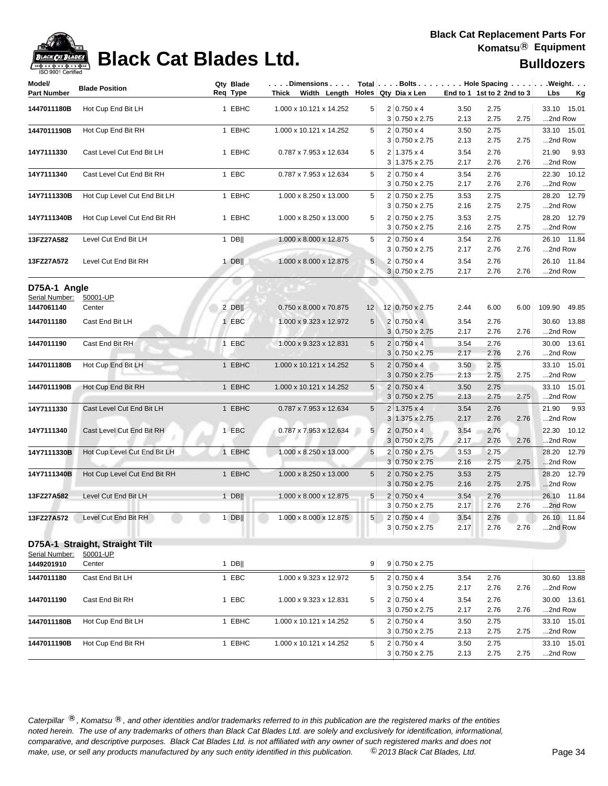

## **Black Cat Blades Ltd. Black Cat Blades Ltd. Bulldozers**

| Model/<br><b>Part Number</b>   | <b>Blade Position</b>                      | Req Type | Qty Blade | . Dimensions   Total   Bolts   Hole Spacing   Weight.<br>Thick Width Length Holes Qty Dia x Len |                |                                                | End to 1 1st to 2 2nd to 3 |              |      | Lbs<br>Kg                |
|--------------------------------|--------------------------------------------|----------|-----------|-------------------------------------------------------------------------------------------------|----------------|------------------------------------------------|----------------------------|--------------|------|--------------------------|
| 1447011180B                    | Hot Cup End Bit LH                         |          | 1 EBHC    | 1.000 x 10.121 x 14.252                                                                         | 5              | $2 0.750 \times 4$<br>$3 0.750 \times 2.75$    | 3.50<br>2.13               | 2.75<br>2.75 | 2.75 | 33.10 15.01<br>2nd Row   |
| 1447011190B                    | Hot Cup End Bit RH                         |          | 1 EBHC    | 1.000 x 10.121 x 14.252                                                                         | 5              | $2 0.750 \times 4$<br>$3 0.750 \times 2.75$    | 3.50<br>2.13               | 2.75<br>2.75 | 2.75 | 33.10 15.01<br>2nd Row   |
| 14Y7111330                     | Cast Level Cut End Bit LH                  |          | 1 EBHC    | 0.787 x 7.953 x 12.634                                                                          | 5              | $2 1.375 \times 4$<br>3 1.375 x 2.75           | 3.54<br>2.17               | 2.76<br>2.76 | 2.76 | 21.90<br>9.93<br>2nd Row |
| 14Y7111340                     | Cast Level Cut End Bit RH                  |          | 1 EBC     | 0.787 x 7.953 x 12.634                                                                          | 5              | $2 0.750 \times 4$<br>$3 0.750 \times 2.75$    | 3.54<br>2.17               | 2.76<br>2.76 | 2.76 | 22.30 10.12<br>2nd Row   |
| 14Y7111330B                    | Hot Cup Level Cut End Bit LH               |          | 1 EBHC    | 1.000 x 8.250 x 13.000                                                                          | 5              | 2 0.750 x 2.75<br>3 0.750 x 2.75               | 3.53<br>2.16               | 2.75<br>2.75 | 2.75 | 28.20 12.79<br>2nd Row   |
| 14Y7111340B                    | Hot Cup Level Cut End Bit RH               |          | 1 EBHC    | 1.000 x 8.250 x 13.000                                                                          | 5              | 2 0.750 x 2.75<br>$3 0.750 \times 2.75$        | 3.53<br>2.16               | 2.75<br>2.75 | 2.75 | 28.20 12.79<br>2nd Row   |
| 13FZ27A582                     | Level Cut End Bit LH                       |          | $1$ DB    | 1.000 x 8.000 x 12.875                                                                          | 5              | $2 0.750 \times 4$<br>$3 0.750 \times 2.75$    | 3.54<br>2.17               | 2.76<br>2.76 | 2.76 | 26.10 11.84<br>2nd Row   |
| 13FZ27A572                     | Level Cut End Bit RH                       |          | $1$ DB    | 1.000 x 8.000 x 12.875                                                                          | 5              | $2 0.750 \times 4$<br>$3 0.750 \times 2.75$    | 3.54<br>2.17               | 2.76<br>2.76 | 2.76 | 26.10 11.84<br>2nd Row   |
| D75A-1 Angle<br>Serial Number: | 50001-UP                                   |          |           |                                                                                                 |                |                                                |                            |              |      |                          |
| 1447061140                     | Center                                     |          | $2$ DB    | 0.750 x 8.000 x 70.875                                                                          | 12             | 12 0.750 x 2.75                                | 2.44                       | 6.00         | 6.00 | 109.90 49.85             |
| 1447011180                     | Cast End Bit LH                            |          | 1 EBC     | 1.000 x 9.323 x 12.972                                                                          | 5              | $2 0.750 \times 4 $<br>3 0.750 x 2.75          | 3.54<br>2.17               | 2.76<br>2.76 | 2.76 | 30.60 13.88<br>2nd Row   |
| 1447011190                     | Cast End Bit RH                            |          | 1 EBC     | 1.000 x 9.323 x 12.831                                                                          | 5              | $2 0.750 \times 4$<br>$3 0.750 \times 2.75$    | 3.54<br>2.17               | 2.76<br>2.76 | 2.76 | 30.00 13.61<br>2nd Row   |
| 1447011180B                    | Hot Cup End Bit LH                         |          | 1 EBHC    | 1.000 x 10.121 x 14.252                                                                         | 5              | $2 0.750 \times 4$<br>$3 0.750 \times 2.75$    | 3.50<br>2.13               | 2.75<br>2.75 | 2.75 | 33.10 15.01<br>2nd Row   |
| 1447011190B                    | Hot Cup End Bit RH                         |          | 1 EBHC    | 1.000 x 10.121 x 14.252                                                                         | $\sqrt{5}$     | $2 0.750 \times 4$<br>$3 0.750 \times 2.75$    | 3.50<br>2.13               | 2.75<br>2.75 | 2.75 | 33.10 15.01<br>2nd Row   |
| 14Y7111330                     | Cast Level Cut End Bit LH                  |          | 1 EBHC    | 0.787 x 7.953 x 12.634                                                                          | 5              | $2 1.375 \times 4$<br>$3 1.375 \times 2.75$    | 3.54<br>2.17               | 2.76<br>2.76 | 2.76 | 21.90<br>9.93<br>2nd Row |
| 14Y7111340                     | Cast Level Cut End Bit RH                  |          | 1 EBC     | 0.787 x 7.953 x 12.634                                                                          | 5              | $2 0.750 \times 4$<br>$3 0.750 \times 2.75$    | 3.54<br>2.17               | 2.76<br>2.76 | 2.76 | 22.30 10.12<br>2nd Row   |
| 14Y7111330B                    | Hot Cup Level Cut End Bit LH               |          | 1 EBHC    | 1.000 x 8.250 x 13.000                                                                          | 5              | $2 0.750 \times 2.75$<br>$3 0.750 \times 2.75$ | 3.53<br>2.16               | 2.75<br>2.75 | 2.75 | 28.20 12.79<br>2nd Row   |
| 14Y7111340B                    | Hot Cup Level Cut End Bit RH               |          | 1 EBHC    | 1.000 x 8.250 x 13.000                                                                          | 5              | $2 0.750 \times 2.75$<br>$3 0.750 \times 2.75$ | 3.53<br>2.16               | 2.75<br>2.75 | 2.75 | 28.20 12.79<br>2nd Row   |
| 13FZ27A582                     | Level Cut End Bit LH                       |          | $1$ DB    | 1.000 x 8.000 x 12.875                                                                          | 5              | $2 0.750 \times 4$<br>3 0.750 x 2.75           | 3.54<br>2.17               | 2.76<br>2.76 | 2.76 | 26.10 11.84<br>2nd Row   |
| 13FZ27A572                     | Level Cut End Bit RH                       |          | $1$ DB    | 1.000 x 8.000 x 12.875                                                                          | 5 <sup>1</sup> | $2 0.750 \times 4 $<br>3 0.750 x 2.75          | 3.54<br>2.17               | 2.76<br>2.76 | 2.76 | 26.10 11.84<br>2nd Row   |
| Serial Number:                 | D75A-1 Straight, Straight Tilt<br>50001-UP |          |           |                                                                                                 |                |                                                |                            |              |      |                          |
| 1449201910                     | Center                                     |          | $1$ DB    |                                                                                                 | 9              | $9 0.750 \times 2.75$                          |                            |              |      |                          |
| 1447011180                     | Cast End Bit LH                            |          | 1 EBC     | 1.000 x 9.323 x 12.972                                                                          | 5              | $2 0.750 \times 4$<br>$3 0.750 \times 2.75$    | 3.54<br>2.17               | 2.76<br>2.76 | 2.76 | 30.60 13.88<br>2nd Row   |
| 1447011190                     | Cast End Bit RH                            |          | 1 EBC     | 1.000 x 9.323 x 12.831                                                                          | 5              | $2 0.750 \times 4$<br>$3 0.750 \times 2.75$    | 3.54<br>2.17               | 2.76<br>2.76 | 2.76 | 30.00 13.61<br>2nd Row   |
| 1447011180B                    | Hot Cup End Bit LH                         |          | 1 EBHC    | 1.000 x 10.121 x 14.252                                                                         | 5              | $2 0.750 \times 4$<br>3 0.750 x 2.75           | 3.50<br>2.13               | 2.75<br>2.75 | 2.75 | 33.10 15.01<br>2nd Row   |
| 1447011190B                    | Hot Cup End Bit RH                         |          | 1 EBHC    | 1.000 x 10.121 x 14.252                                                                         | 5              | $2 0.750 \times 4$<br>$3 0.750 \times 2.75$    | 3.50<br>2.13               | 2.75<br>2.75 | 2.75 | 33.10 15.01<br>2nd Row   |
|                                |                                            |          |           |                                                                                                 |                |                                                |                            |              |      |                          |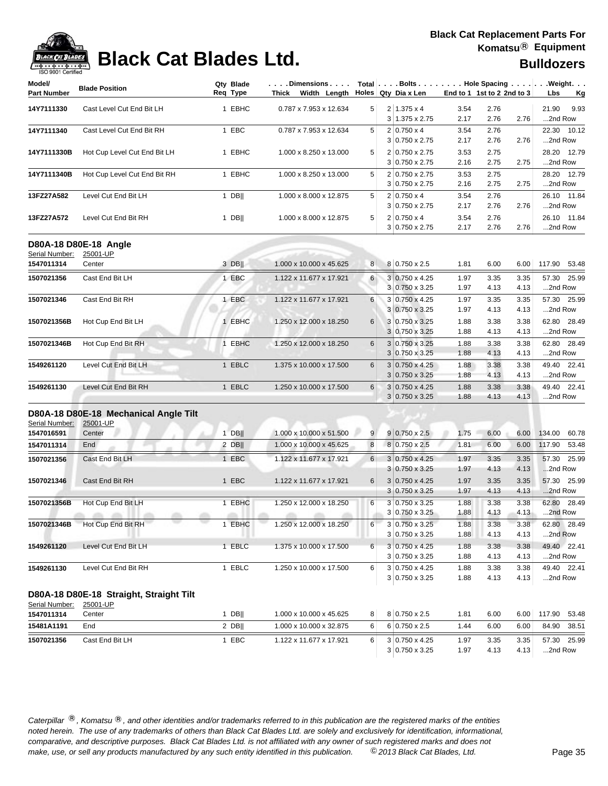| Model/                       | <b>Blade Position</b>                                       | Qty Blade | Dimensions                                   |          |                                                |                            |              |              | Total Bolts Hole Spacing Weight. |
|------------------------------|-------------------------------------------------------------|-----------|----------------------------------------------|----------|------------------------------------------------|----------------------------|--------------|--------------|----------------------------------|
| <b>Part Number</b>           |                                                             | Req Type  | Thick Width Length Holes Qty Dia x Len       |          |                                                | End to 1 1st to 2 2nd to 3 |              |              | Lbs<br><u>Kg</u>                 |
| 14Y7111330                   | Cast Level Cut End Bit LH                                   | 1 EBHC    | 0.787 x 7.953 x 12.634                       | 5        | $2 1.375 \times 4$<br>$3 1.375 \times 2.75$    | 3.54<br>2.17               | 2.76<br>2.76 | 2.76         | 21.90<br>9.93<br>2nd Row         |
| 14Y7111340                   | Cast Level Cut End Bit RH                                   | 1 EBC     | 0.787 x 7.953 x 12.634                       | 5        | $2 0.750 \times 4$<br>$3 0.750 \times 2.75$    | 3.54<br>2.17               | 2.76<br>2.76 | 2.76         | 22.30 10.12<br>2nd Row           |
| 14Y7111330B                  | Hot Cup Level Cut End Bit LH                                | 1 EBHC    | 1.000 x 8.250 x 13.000                       | 5        | 2 0.750 x 2.75<br>3 0.750 x 2.75               | 3.53<br>2.16               | 2.75<br>2.75 | 2.75         | 28.20 12.79<br>2nd Row           |
| 14Y7111340B                  | Hot Cup Level Cut End Bit RH                                | 1 EBHC    | 1.000 x 8.250 x 13.000                       | 5        | 2 0.750 x 2.75<br>3 0.750 x 2.75               | 3.53<br>2.16               | 2.75<br>2.75 | 2.75         | 28.20 12.79<br>2nd Row           |
| 13FZ27A582                   | Level Cut End Bit LH                                        | $1$ DB    | 1.000 x 8.000 x 12.875                       | 5        | $2 0.750 \times 4$<br>$3 0.750 \times 2.75$    | 3.54<br>2.17               | 2.76<br>2.76 | 2.76         | 26.10 11.84<br>2nd Row           |
| 13FZ27A572                   | Level Cut End Bit RH                                        | $1$ DB    | 1.000 x 8.000 x 12.875                       | 5        | $2 0.750 \times 4$<br>$3 0.750 \times 2.75$    | 3.54<br>2.17               | 2.76<br>2.76 | 2.76         | 26.10 11.84<br>2nd Row           |
|                              | D80A-18 D80E-18 Angle                                       |           |                                              |          |                                                |                            |              |              |                                  |
| Serial Number:               | 25001-UP                                                    |           |                                              |          |                                                |                            |              |              |                                  |
| 1547011314                   | Center                                                      | $3$ DB    | 1.000 x 10.000 x 45.625                      | 8        | 8 0.750 x 2.5                                  | 1.81                       | 6.00         | 6.00         | 117.90 53.48                     |
| 1507021356                   | Cast End Bit LH                                             | 1 EBC     | 1.122 x 11.677 x 17.921                      | 6        | $3 0.750 \times 4.25$<br>3 0.750 x 3.25        | 1.97<br>1.97               | 3.35<br>4.13 | 3.35<br>4.13 | 57.30 25.99<br>2nd Row           |
| 1507021346                   | Cast End Bit RH                                             | 1 EBC     | 1.122 x 11.677 x 17.921                      | 6        | 3 0.750 x 4.25<br>$3 0.750 \times 3.25$        | 1.97<br>1.97               | 3.35<br>4.13 | 3.35<br>4.13 | 57.30 25.99<br>2nd Row           |
| 1507021356B                  | Hot Cup End Bit LH                                          | 1 EBHC    | 1.250 x 12.000 x 18.250                      | 6        | 3 0.750 x 3.25<br>3 0.750 x 3.25               | 1.88<br>1.88               | 3.38<br>4.13 | 3.38<br>4.13 | 62.80 28.49<br>2nd Row           |
| 1507021346B                  | Hot Cup End Bit RH                                          | 1 EBHC    | 1.250 x 12.000 x 18.250                      | 6        | $3 0.750 \times 3.25$<br>$3 0.750 \times 3.25$ | 1.88<br>1.88               | 3.38<br>4.13 | 3.38<br>4.13 | 62.80 28.49<br>2nd Row           |
| 1549261120                   | Level Cut End Bit LH                                        | 1 EBLC    | 1.375 x 10.000 x 17.500                      | 6        | $3 0.750 \times 4.25$<br>$3 0.750 \times 3.25$ | 1.88<br>1.88               | 3.38<br>4.13 | 3.38<br>4.13 | 49.40 22.41<br>2nd Row           |
| 1549261130                   | Level Cut End Bit RH                                        | 1 EBLC    | 1.250 x 10.000 x 17.500                      | 6        | $3 0.750 \times 4.25$<br>$3 0.750 \times 3.25$ | 1.88<br>1.88               | 3.38<br>4.13 | 3.38<br>4.13 | 49.40 22.41<br>2nd Row           |
| Serial Number:<br>1547016591 | D80A-18 D80E-18 Mechanical Angle Tilt<br>25001-UP<br>Center | $1$ DB    | 1.000 x 10.000 x 51.500                      | 9        | $9 0.750 \times 2.5 $                          | 1.75                       | 6.00         | 6.00         | 134.00<br>60.78                  |
| 1547011314                   | End                                                         | $2$ DB    | 1.000 x 10.000 x 45.625                      | 8        | 8 0.750 x 2.5                                  | 1.81                       | 6.00         | 6.00         | 117.90<br>53.48                  |
| 1507021356                   | Cast End Bit LH                                             | 1 EBC     | 1.122 x 11.677 x 17.921                      | $6 \mid$ | $3 0.750 \times 4.25$<br>$3 0.750 \times 3.25$ | 1.97<br>1.97               | 3.35<br>4.13 | 3.35<br>4.13 | 57.30 25.99<br>2nd Row           |
| 1507021346                   | Cast End Bit RH                                             | 1 EBC     | 1.122 x 11.677 x 17.921                      | 6        | $3 0.750 \times 4.25$<br>$3 0.750 \times 3.25$ | 1.97<br>1.97               | 3.35<br>4.13 | 3.35<br>4.13 | 57.30 25.99<br>2nd Row           |
| 1507021356B                  | Hot Cup End Bit LH                                          | 1 EBHC    | 1.250 x 12.000 x 18.250                      | 6        | $3 0.750 \times 3.25$<br>$3 0.750 \times 3.25$ | 1.88<br>1.88               | 3.38<br>4.13 | 3.38<br>4.13 | 62.80 28.49<br>2nd Row           |
| 1507021346B                  | Hot Cup End Bit RH                                          | 1 EBHC    | <b>CONTRACTOR</b><br>1.250 x 12.000 x 18.250 | 6        | 3 0.750 x 3.25<br>3 0.750 x 3.25               | 1.88<br>1.88               | 3.38<br>4.13 | 3.38<br>4.13 | 62.80 28.49<br>2nd Row           |
| 1549261120                   | Level Cut End Bit LH                                        | 1 EBLC    | 1.375 x 10.000 x 17.500                      | $\,6$    | $3 0.750 \times 4.25$<br>$3 0.750 \times 3.25$ | 1.88<br>1.88               | 3.38<br>4.13 | 3.38<br>4.13 | 49.40 22.41<br>2nd Row           |
| 1549261130                   | Level Cut End Bit RH                                        | 1 EBLC    | 1.250 x 10.000 x 17.500                      | 6        | $3 0.750 \times 4.25$<br>3 0.750 x 3.25        | 1.88<br>1.88               | 3.38<br>4.13 | 3.38<br>4.13 | 49.40 22.41<br>2nd Row           |
| Serial Number: 25001-UP      | D80A-18 D80E-18 Straight, Straight Tilt                     |           |                                              |          |                                                |                            |              |              |                                  |

| 1547011314 | Center          | <b>DBII</b> | 1.000 x 10.000 x 45.625   | 8              | 8 0.750 x 2.5         | 1.81 | 6.00 | 6.00 | 117.90  | 53.48 |
|------------|-----------------|-------------|---------------------------|----------------|-----------------------|------|------|------|---------|-------|
| 15481A1191 | End             | 2 DBII      | 1.000 x 10.000 x 32.875 l | 6 <sup>1</sup> | $6 0.750 \times 2.5$  | 1.44 | 6.00 | 6.00 | 84.90   | 38.51 |
| 1507021356 | Cast End Bit LH | EBC         | 1.122 x 11.677 x 17.921   | 6 <sup>1</sup> | $3 0.750 \times 4.25$ | 1.97 | 3.35 | 3.35 | 57.30   | 25.99 |
|            |                 |             |                           |                | $3 0.750 \times 3.25$ | 1.97 | 4.13 | 4.13 | 2nd Row |       |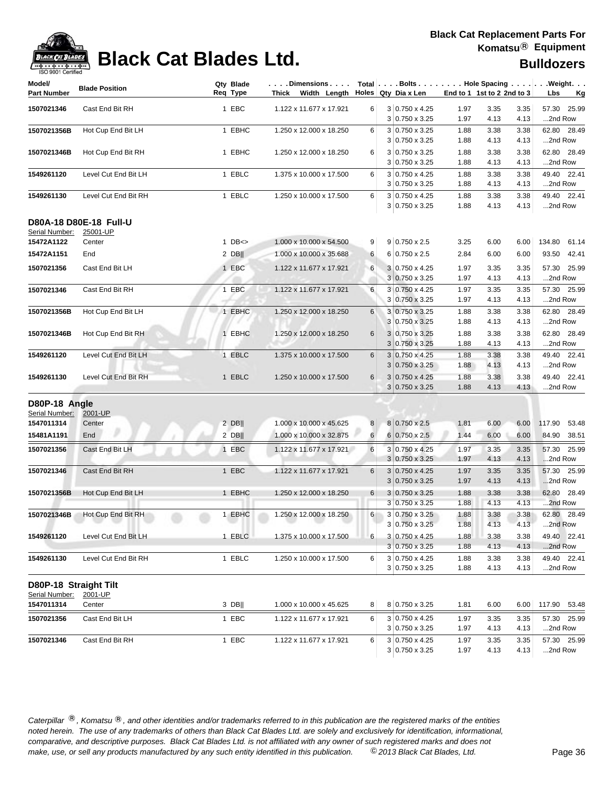| Model/                | <b>Blade Position</b>  | Qty Blade<br>Req Type | $\ldots$ . Dimensions $\ldots$ .<br>Thick Width Length $\vert$ Holes Qty Dia x Len |          | Total   Bolts   Hole Spacing   Weight.         |              | End to 1 1st to 2 2nd to 3 |              |              |             |
|-----------------------|------------------------|-----------------------|------------------------------------------------------------------------------------|----------|------------------------------------------------|--------------|----------------------------|--------------|--------------|-------------|
| Part Number           |                        |                       |                                                                                    |          |                                                |              |                            |              | Lbs          | <u>Kg</u>   |
| 1507021346            | Cast End Bit RH        | 1 EBC                 | 1.122 x 11.677 x 17.921                                                            | 6        | 3 0.750 x 4.25                                 | 1.97         | 3.35                       | 3.35         |              | 57.30 25.99 |
|                       |                        |                       |                                                                                    |          | $3 0.750 \times 3.25$                          | 1.97         | 4.13                       | 4.13         | 2nd Row      |             |
| 1507021356B           | Hot Cup End Bit LH     | 1 EBHC                | 1.250 x 12.000 x 18.250                                                            | 6        | 3 0.750 x 3.25                                 | 1.88         | 3.38                       | 3.38         |              | 62.80 28.49 |
|                       |                        |                       |                                                                                    |          | $3 0.750 \times 3.25$                          | 1.88         | 4.13                       | 4.13         | 2nd Row      |             |
| 1507021346B           | Hot Cup End Bit RH     | 1 EBHC                | 1.250 x 12.000 x 18.250                                                            | 6        | $3 0.750 \times 3.25$                          | 1.88         | 3.38                       | 3.38         |              | 62.80 28.49 |
|                       |                        |                       |                                                                                    |          | $3 0.750 \times 3.25$                          | 1.88         | 4.13                       | 4.13         | 2nd Row      |             |
| 1549261120            | Level Cut End Bit LH   | 1 EBLC                | 1.375 x 10.000 x 17.500                                                            | 6        | 3 0.750 x 4.25                                 | 1.88         | 3.38                       | 3.38         |              | 49.40 22.41 |
|                       |                        |                       |                                                                                    |          | $3 0.750 \times 3.25$                          | 1.88         | 4.13                       | 4.13         | 2nd Row      |             |
| 1549261130            | Level Cut End Bit RH   | 1 EBLC                | 1.250 x 10.000 x 17.500                                                            | 6        | $3 0.750 \times 4.25$                          | 1.88         | 3.38                       | 3.38         |              | 49.40 22.41 |
|                       |                        |                       |                                                                                    |          | $3 0.750 \times 3.25$                          | 1.88         | 4.13                       | 4.13         | 2nd Row      |             |
|                       | D80A-18 D80E-18 Full-U |                       |                                                                                    |          |                                                |              |                            |              |              |             |
| Serial Number:        | 25001-UP               |                       |                                                                                    |          |                                                |              |                            |              |              |             |
| 15472A1122            | Center                 | 1 $DB \le$            | 1.000 x 10.000 x 54.500                                                            | 9        | $9 0.750 \times 2.5$                           | 3.25         | 6.00                       | 6.00         | 134.80 61.14 |             |
| 15472A1151            | End                    | $2$ DB                | 1.000 x 10.000 x 35.688                                                            | 6        | 6 0.750 x 2.5                                  | 2.84         | 6.00                       | 6.00         |              | 93.50 42.41 |
| 1507021356            | Cast End Bit LH        | 1 EBC                 | 1.122 x 11.677 x 17.921                                                            | 6        | 3 0.750 x 4.25                                 | 1.97         | 3.35                       | 3.35         |              | 57.30 25.99 |
|                       |                        |                       |                                                                                    |          | $3 0.750 \times 3.25$                          | 1.97         | 4.13                       | 4.13         | 2nd Row      |             |
| 1507021346            | Cast End Bit RH        | 1 EBC                 | 1.122 x 11.677 x 17.921                                                            | 6        | 3 0.750 x 4.25                                 | 1.97         | 3.35                       | 3.35         |              | 57.30 25.99 |
|                       |                        |                       |                                                                                    |          | $3 0.750 \times 3.25$                          | 1.97         | 4.13                       | 4.13         | 2nd Row      |             |
| 1507021356B           | Hot Cup End Bit LH     | 1 EBHC                | 1.250 x 12.000 x 18.250                                                            | 6        | $3 0.750 \times 3.25$                          | 1.88         | 3.38                       | 3.38         |              | 62.80 28.49 |
|                       |                        |                       |                                                                                    |          | $3 0.750 \times 3.25$                          | 1.88         | 4.13                       | 4.13         | 2nd Row      |             |
| 1507021346B           | Hot Cup End Bit RH     | 1 EBHC                | 1.250 x 12.000 x 18.250                                                            | 6        | $3 0.750 \times 3.25$                          | 1.88         | 3.38                       | 3.38         |              | 62.80 28.49 |
|                       |                        |                       |                                                                                    |          | $3 0.750 \times 3.25$                          | 1.88         | 4.13                       | 4.13         | 2nd Row      |             |
| 1549261120            | Level Cut End Bit LH   | 1 EBLC                | 1.375 x 10.000 x 17.500                                                            | 6        | $3 0.750 \times 4.25$                          | 1.88         | 3.38                       | 3.38         |              | 49.40 22.41 |
|                       |                        |                       |                                                                                    |          | $3 0.750 \times 3.25$                          | 1.88         | 4.13                       | 4.13         | 2nd Row      |             |
| 1549261130            | Level Cut End Bit RH   | 1 EBLC                | 1.250 x 10.000 x 17.500                                                            | 6        | 3 0.750 x 4.25                                 | 1.88         | 3.38                       | 3.38         |              | 49.40 22.41 |
|                       |                        |                       |                                                                                    |          | $3 0.750 \times 3.25$                          | 1.88         | 4.13                       | 4.13         | 2nd Row      |             |
|                       |                        |                       |                                                                                    |          |                                                |              |                            |              |              |             |
| D80P-18 Angle         |                        |                       |                                                                                    |          |                                                |              |                            |              |              |             |
| Serial Number:        | 2001-UP                |                       |                                                                                    |          |                                                |              |                            |              |              |             |
| 1547011314            | Center                 | $2$ DB                | 1.000 x 10.000 x 45.625                                                            | 8        | 8 0.750 x 2.5                                  | 1.81         | 6.00                       | 6.00         | 117.90       | 53.48       |
| 15481A1191            | End                    | $2$ DB                | 1.000 x 10.000 x 32.875                                                            | 6        | $6 0.750 \times 2.5$                           | 1.44         | 6.00                       | 6.00         |              | 84.90 38.51 |
| 1507021356            | Cast End Bit LH        | 1 EBC                 | 1.122 x 11.677 x 17.921                                                            | 6        | $3 0.750 \times 4.25$                          | 1.97         | 3.35                       | 3.35         |              | 57.30 25.99 |
|                       |                        |                       |                                                                                    |          | $3 0.750 \times 3.25$                          | 1.97         | 4.13                       | 4.13         | 2nd Row      |             |
| 1507021346            | Cast End Bit RH        | 1 EBC                 | 1.122 x 11.677 x 17.921                                                            | 6        | $3 0.750 \times 4.25$                          | 1.97         | 3.35                       | 3.35         |              | 57.30 25.99 |
|                       |                        |                       |                                                                                    |          | $3 0.750 \times 3.25$                          | 1.97         | 4.13                       | 4.13         | 2nd Row      |             |
| 1507021356B           | Hot Cup End Bit LH     | 1 EBHC                | 1.250 x 12.000 x 18.250                                                            | $6 \mid$ | $3 0.750 \times 3.25$                          | 1.88         | 3.38                       | 3.38         |              | 62.80 28.49 |
|                       |                        |                       |                                                                                    |          | $3 0.750 \times 3.25$                          | 1.88         | 4.13                       | 4.13         | 2nd Row      |             |
| 1507021346B           | Hot Cup End Bit RH     | 1 EBHC                | 1.250 x 12.000 x 18.250                                                            | $6 \mid$ | 3 0.750 x 3.25                                 | 1.88         | 3.38                       | 3.38         |              | 62.80 28.49 |
|                       |                        |                       |                                                                                    |          | $3 0.750 \times 3.25$                          | 1.88         | 4.13                       | 4.13         | 2nd Row      |             |
| 1549261120            | Level Cut End Bit LH   | 1 EBLC                | 1.375 x 10.000 x 17.500                                                            | 6        | $3 0.750 \times 4.25$                          | 1.88         | 3.38                       | 3.38         |              | 49.40 22.41 |
|                       |                        |                       |                                                                                    |          | $3 0.750 \times 3.25$                          | 1.88         | 4.13                       | 4.13         | 2nd Row      |             |
| 1549261130            | Level Cut End Bit RH   | 1 EBLC                | 1.250 x 10.000 x 17.500                                                            | 6        | $3 0.750 \times 4.25$                          | 1.88         | 3.38                       | 3.38         |              | 49.40 22.41 |
|                       |                        |                       |                                                                                    |          | $3 0.750 \times 3.25$                          | 1.88         | 4.13                       | 4.13         | 2nd Row      |             |
| D80P-18 Straight Tilt |                        |                       |                                                                                    |          |                                                |              |                            |              |              |             |
| Serial Number:        | 2001-UP                |                       |                                                                                    |          |                                                |              |                            |              |              |             |
| 1547011314            | Center                 | $3$ DB                | 1.000 x 10.000 x 45.625                                                            | 8        | 8 0.750 x 3.25                                 | 1.81         | 6.00                       | 6.00         | 117.90 53.48 |             |
|                       | Cast End Bit LH        | 1 EBC                 |                                                                                    | 6        | 3 0.750 x 4.25                                 |              | 3.35                       | 3.35         |              | 57.30 25.99 |
| 1507021356            |                        |                       | 1.122 x 11.677 x 17.921                                                            |          | 3 0.750 x 3.25                                 | 1.97<br>1.97 | 4.13                       | 4.13         | 2nd Row      |             |
|                       |                        |                       |                                                                                    |          |                                                |              |                            |              |              |             |
| 1507021346            | Cast End Bit RH        | 1 EBC                 | 1.122 x 11.677 x 17.921                                                            | 6        | $3 0.750 \times 4.25$<br>$3 0.750 \times 3.25$ | 1.97<br>1.97 | 3.35<br>4.13               | 3.35<br>4.13 | 2nd Row      | 57.30 25.99 |
|                       |                        |                       |                                                                                    |          |                                                |              |                            |              |              |             |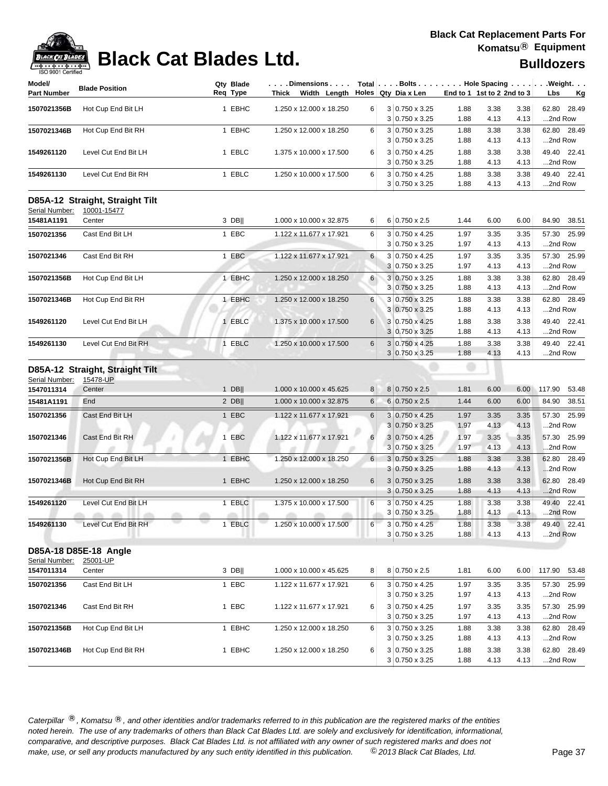

| <b>BLACK CAT BLADES</b><br>$-1$                    | <b>Black Cat Blades Ltd.</b>                   |                       |                                                             |                |                                                         |                            |              |              | <b>Bulldozers</b> |       |
|----------------------------------------------------|------------------------------------------------|-----------------------|-------------------------------------------------------------|----------------|---------------------------------------------------------|----------------------------|--------------|--------------|-------------------|-------|
| ISO 9001 Certified<br>Model/<br><b>Part Number</b> | <b>Blade Position</b>                          | Qty Blade<br>Req Type | $ .\;.\;.\;$ . Dimensions $.\;.\;.\;$<br>Thick Width Length |                | Total Bolts Hole Spacing Weight.<br>Holes Qty Dia x Len | End to 1 1st to 2 2nd to 3 |              |              | Lbs               | Kg    |
| 1507021356B                                        | Hot Cup End Bit LH                             | 1 EBHC                | 1.250 x 12.000 x 18.250                                     | 6              | $3 0.750 \times 3.25$                                   | 1.88                       | 3.38         | 3.38         | 62.80             | 28.49 |
| 1507021346B                                        | Hot Cup End Bit RH                             | 1 EBHC                | 1.250 x 12.000 x 18.250                                     | 6              | 3 0.750 x 3.25<br>3 0.750 x 3.25                        | 1.88<br>1.88               | 4.13<br>3.38 | 4.13<br>3.38 | 2nd Row<br>62.80  | 28.49 |
| 1549261120                                         | Level Cut End Bit LH                           | 1 EBLC                | 1.375 x 10.000 x 17.500                                     | 6              | 3 0.750 x 3.25<br>3 0.750 x 4.25                        | 1.88<br>1.88               | 4.13<br>3.38 | 4.13<br>3.38 | 2nd Row<br>49.40  | 22.41 |
|                                                    |                                                |                       |                                                             |                | $3 0.750 \times 3.25$                                   | 1.88                       | 4.13         | 4.13         | 2nd Row           |       |
| 1549261130                                         | Level Cut End Bit RH                           | 1 EBLC                | 1.250 x 10.000 x 17.500                                     | 6              | 3 0.750 x 4.25<br>3 0.750 x 3.25                        | 1.88<br>1.88               | 3.38<br>4.13 | 3.38<br>4.13 | 49.40<br>2nd Row  | 22.41 |
| Serial Number:                                     | D85A-12 Straight, Straight Tilt<br>10001-15477 |                       |                                                             |                |                                                         |                            |              |              |                   |       |
| 15481A1191                                         | Center                                         | 3 DB                  | 1.000 x 10.000 x 32.875                                     | 6              | 6 0.750 x 2.5                                           | 1.44                       | 6.00         | 6.00         | 84.90             | 38.51 |
| 1507021356                                         | Cast End Bit LH                                | 1 EBC                 | 1.122 x 11.677 x 17.921                                     | 6              | 3 0.750 x 4.25<br>3 0.750 x 3.25                        | 1.97<br>1.97               | 3.35<br>4.13 | 3.35<br>4.13 | 57.30<br>2nd Row  | 25.99 |
| 1507021346                                         | Cast End Bit RH                                | 1 EBC                 | 1.122 x 11.677 x 17.921                                     | 6              | $3 0.750 \times 4.25$                                   | 1.97                       | 3.35         | 3.35         | 57.30             | 25.99 |
|                                                    |                                                |                       |                                                             |                | 3 0.750 x 3.25                                          | 1.97                       | 4.13         | 4.13         | 2nd Row           |       |
| 1507021356B                                        | Hot Cup End Bit LH                             | 1 EBHC                | 1.250 x 12.000 x 18.250                                     | 6              | $3 0.750 \times 3.25$<br>3 0.750 x 3.25                 | 1.88<br>1.88               | 3.38<br>4.13 | 3.38<br>4.13 | 62.80<br>2nd Row  | 28.49 |
| 1507021346B                                        | Hot Cup End Bit RH                             | 1 EBHC                | 1.250 x 12.000 x 18.250                                     | 6              | 3 0.750 x 3.25<br>$3 0.750 \times 3.25$                 | 1.88<br>1.88               | 3.38<br>4.13 | 3.38<br>4.13 | 62.80<br>2nd Row  | 28.49 |
| 1549261120                                         | Level Cut End Bit LH                           | 1 EBLC                | 1.375 x 10.000 x 17.500                                     | 6              | 3 0.750 x 4.25<br>3 0.750 x 3.25                        | 1.88<br>1.88               | 3.38<br>4.13 | 3.38<br>4.13 | 49.40<br>2nd Row  | 22.41 |
| 1549261130                                         | Level Cut End Bit RH                           | 1 EBLC                | 1.250 x 10.000 x 17.500                                     | $6\phantom{1}$ | $3 0.750 \times 4.25$<br>3 0.750 x 3.25                 | 1.88<br>1.88               | 3.38<br>4.13 | 3.38<br>4.13 | 49.40<br>2nd Row  | 22.41 |
|                                                    | D85A-12 Straight, Straight Tilt                |                       |                                                             |                |                                                         |                            |              |              |                   |       |
| Serial Number:<br>1547011314                       | 15478-UP<br>Center                             | 1 DBII                | 1.000 x 10.000 x 45.625                                     | 8              | 8 0.750 x 2.5                                           | 1.81                       | 6.00         | 6.00         | 117.90            | 53.48 |
| 15481A1191                                         | End                                            | 2 DB                  | 1.000 x 10.000 x 32.875                                     | 6              | 6 0.750 x 2.5                                           | 1.44                       | 6.00         | 6.00         | 84.90             | 38.51 |
| 1507021356                                         | Cast End Bit LH                                | 1 EBC                 | 1.122 x 11.677 x 17.921                                     | $6\phantom{1}$ | 3 0.750 x 4.25<br>$3 0.750 \times 3.25$                 | 1.97<br>1.97               | 3.35<br>4.13 | 3.35<br>4.13 | 57.30<br>2nd Row  | 25.99 |
| 1507021346                                         | Cast End Bit RH                                | 1 EBC                 | 1.122 x 11.677 x 17.921                                     | 6              | $3 0.750 \times 4.25$<br>$3 0.750 \times 3.25$          | 1.97<br>1.97               | 3.35<br>4.13 | 3.35<br>4.13 | 57.30<br>2nd Row  | 25.99 |
| 1507021356B                                        | Hot Cup End Bit LH                             | 1 EBHC                | 1.250 x 12.000 x 18.250                                     | 6 <sup>1</sup> | $3 0.750 \times 3.25$<br>$3 0.750 \times 3.25$          | 1.88<br>1.88               | 3.38<br>4.13 | 3.38<br>4.13 | 62.80<br>2nd Row  | 28.49 |
| 1507021346B                                        | Hot Cup End Bit RH                             | 1 EBHC                | 1.250 x 12.000 x 18.250                                     | 6              | $3 0.750 \times 3.25$                                   | 1.88                       | 3.38         | 3.38         | 62.80             | 28.49 |
| 1549261120                                         | Level Cut End Bit LH                           | 1 EBLC                | 1.375 x 10.000 x 17.500                                     | $6\phantom{1}$ | 3 0.750 x 3.25<br>$3 0.750 \times 4.25$                 | 1.88<br>1.88               | 4.13<br>3.38 | 4.13<br>3.38 | 2nd Row<br>49.40  | 22.41 |
| 1549261130                                         | Level Cut End Bit RH                           | 1 EBLC                | 1.250 x 10.000 x 17.500                                     | 6              | 3 0.750 x 3.25<br>3 0.750 x 4.25                        | 1.88<br>1.88               | 4.13<br>3.38 | 4.13<br>3.38 | 2nd Row<br>49.40  | 22.41 |
|                                                    |                                                |                       |                                                             |                | 3 0.750 x 3.25                                          | 1.88                       | 4.13         | 4.13         | 2nd Row           |       |

### **D85A-18 D85E-18 Angle** Serial Number: 25001-UP

|             | --- - - - -        |        |                           |    |                       |      |      |      |                 |
|-------------|--------------------|--------|---------------------------|----|-----------------------|------|------|------|-----------------|
| 1547011314  | Center             | 3 DBII | 1.000 x 10.000 x 45.625   | 8  | 8 0.750 x 2.5         | 1.81 | 6.00 | 6.00 | 53.48<br>117.90 |
| 1507021356  | Cast End Bit LH    | EBC    | 1.122 x 11.677 x 17.921   | 6  | $3 0.750 \times 4.25$ | 1.97 | 3.35 | 3.35 | 57.30 25.99     |
|             |                    |        |                           |    | $3 0.750 \times 3.25$ | 1.97 | 4.13 | 4.13 | 2nd Row         |
| 1507021346  | Cast End Bit RH    | 1 EBC  | 1.122 x 11.677 x 17.921   | 6  | $3 0.750 \times 4.25$ | 1.97 | 3.35 | 3.35 | 57.30 25.99     |
|             |                    |        |                           |    | $3 0.750 \times 3.25$ | 1.97 | 4.13 | 4.13 | 2nd Row         |
| 1507021356B | Hot Cup End Bit LH | 1 EBHC | 1.250 x 12.000 x 18.250   | 6. | $3 0.750 \times 3.25$ | 1.88 | 3.38 | 3.38 | 62.80 28.49     |
|             |                    |        |                           |    | $3 0.750 \times 3.25$ | 1.88 | 4.13 | 4.13 | 2nd Row         |
| 1507021346B | Hot Cup End Bit RH | EBHC   | 1.250 x 12.000 x 18.250 l | 6. | $3 0.750 \times 3.25$ | 1.88 | 3.38 | 3.38 | 62.80 28.49     |
|             |                    |        |                           |    | $3 0.750 \times 3.25$ | 1.88 | 4.13 | 4.13 | 2nd Row         |
|             |                    |        |                           |    |                       |      |      |      |                 |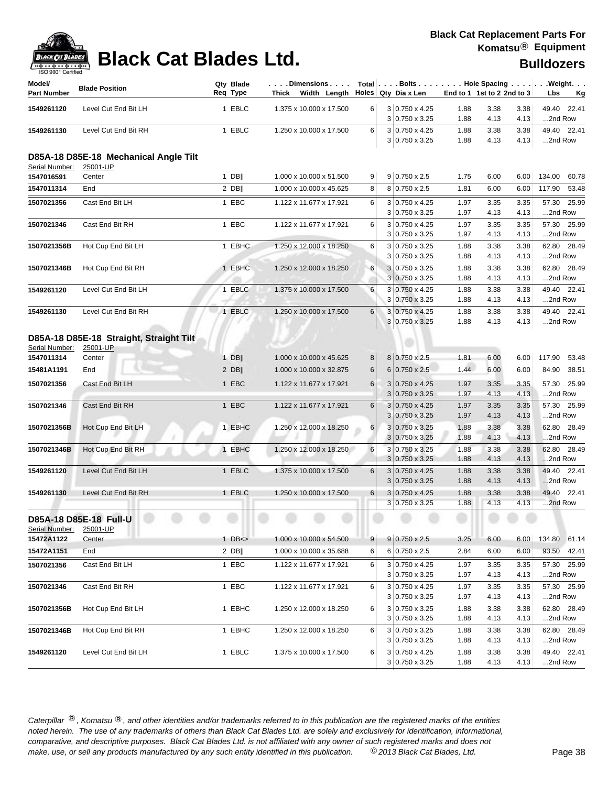| <b>ISO A00.I Celfilled</b>   |                                                   |                       |                                                                                                                                                                                           |                |                                                |              |                            |              |              |             |
|------------------------------|---------------------------------------------------|-----------------------|-------------------------------------------------------------------------------------------------------------------------------------------------------------------------------------------|----------------|------------------------------------------------|--------------|----------------------------|--------------|--------------|-------------|
| Model/<br><b>Part Number</b> | <b>Blade Position</b>                             | Qty Blade<br>Req Type | $ \ldots$ . Dimensions $\ldots$ $ $ Total $ \ldots$ . Bolts $\ldots$ . $ \ldots$ . Hole Spacing $\ldots$ . $ \ldots$ . Weight. $\ldots$<br>Thick Width Length $\vert$ Holes Qty Dia x Len |                |                                                |              | End to 1 1st to 2 2nd to 3 |              | Lbs          | <u>Kg</u>   |
| 1549261120                   | Level Cut End Bit LH                              | 1 EBLC                | 1.375 x 10.000 x 17.500                                                                                                                                                                   | 6              | 3 0.750 x 4.25                                 | 1.88         | 3.38                       | 3.38         |              | 49.40 22.41 |
|                              |                                                   |                       |                                                                                                                                                                                           |                | $3 0.750 \times 3.25$                          | 1.88         | 4.13                       | 4.13         | 2nd Row      |             |
| 1549261130                   | Level Cut End Bit RH                              | 1 EBLC                | 1.250 x 10.000 x 17.500                                                                                                                                                                   | 6              | 3 0.750 x 4.25                                 | 1.88         | 3.38                       | 3.38         |              | 49.40 22.41 |
|                              |                                                   |                       |                                                                                                                                                                                           |                | $3 0.750 \times 3.25$                          | 1.88         | 4.13                       | 4.13         | 2nd Row      |             |
| Serial Number:               | D85A-18 D85E-18 Mechanical Angle Tilt<br>25001-UP |                       |                                                                                                                                                                                           |                |                                                |              |                            |              |              |             |
| 1547016591                   | Center                                            | $1$ DB                | 1.000 x 10.000 x 51.500                                                                                                                                                                   | 9              | $9 0.750 \times 2.5$                           | 1.75         | 6.00                       | 6.00         | 134.00       | 60.78       |
| 1547011314                   | End                                               | $2$ DB                | 1.000 x 10.000 x 45.625                                                                                                                                                                   | 8              | 8 0.750 x 2.5                                  | 1.81         | 6.00                       | 6.00         | 117.90       | 53.48       |
| 1507021356                   | Cast End Bit LH                                   | 1 EBC                 | 1.122 x 11.677 x 17.921                                                                                                                                                                   | 6              | 3 0.750 x 4.25                                 | 1.97         | 3.35                       | 3.35         |              | 57.30 25.99 |
|                              |                                                   |                       |                                                                                                                                                                                           |                | $3 0.750 \times 3.25$                          | 1.97         | 4.13                       | 4.13         | 2nd Row      |             |
| 1507021346                   | Cast End Bit RH                                   | 1 EBC                 | 1.122 x 11.677 x 17.921                                                                                                                                                                   | 6              | 3 0.750 x 4.25                                 | 1.97         | 3.35                       | 3.35         |              | 57.30 25.99 |
|                              |                                                   |                       |                                                                                                                                                                                           |                | 3 0.750 x 3.25                                 | 1.97         | 4.13                       | 4.13         | 2nd Row      |             |
| 1507021356B                  | Hot Cup End Bit LH                                | 1 EBHC                | 1.250 x 12.000 x 18.250                                                                                                                                                                   | 6              | 3 0.750 x 3.25                                 | 1.88         | 3.38                       | 3.38         |              | 62.80 28.49 |
|                              |                                                   |                       |                                                                                                                                                                                           |                | $3 0.750 \times 3.25$                          | 1.88         | 4.13                       | 4.13         | 2nd Row      |             |
| 1507021346B                  | Hot Cup End Bit RH                                | 1 EBHC                | 1.250 x 12.000 x 18.250                                                                                                                                                                   | 6              | 3 0.750 x 3.25                                 | 1.88         | 3.38                       | 3.38         |              | 62.80 28.49 |
|                              |                                                   |                       |                                                                                                                                                                                           |                | $3 0.750 \times 3.25$                          | 1.88         | 4.13                       | 4.13         | 2nd Row      |             |
| 1549261120                   | Level Cut End Bit LH                              | 1 EBLC                | 1.375 x 10.000 x 17.500                                                                                                                                                                   | 6              | 3 0.750 x 4.25<br>$3 0.750 \times 3.25$        | 1.88<br>1.88 | 3.38<br>4.13               | 3.38<br>4.13 | 2nd Row      | 49.40 22.41 |
| 1549261130                   | Level Cut End Bit RH                              | 1 EBLC                | 1.250 x 10.000 x 17.500                                                                                                                                                                   | 6              | 3 0.750 x 4.25                                 | 1.88         | 3.38                       | 3.38         |              | 49.40 22.41 |
|                              |                                                   |                       |                                                                                                                                                                                           |                | 3 0.750 x 3.25                                 | 1.88         | 4.13                       | 4.13         | 2nd Row      |             |
|                              |                                                   |                       |                                                                                                                                                                                           |                |                                                |              |                            |              |              |             |
|                              | D85A-18 D85E-18 Straight, Straight Tilt           |                       |                                                                                                                                                                                           |                |                                                |              |                            |              |              |             |
| Serial Number:<br>1547011314 | 25001-UP<br>Center                                | $1$ DB                | 1.000 x 10.000 x 45.625                                                                                                                                                                   | 8              | 8 0.750 x 2.5                                  | 1.81         | 6.00                       | 6.00         | 117.90       | 53.48       |
| 15481A1191                   | End                                               | $2$ DB                | 1.000 x 10.000 x 32.875                                                                                                                                                                   | 6              | $6 0.750 \times 2.5$                           | 1.44         | 6.00                       | 6.00         |              | 84.90 38.51 |
|                              |                                                   |                       |                                                                                                                                                                                           |                |                                                |              |                            |              |              |             |
| 1507021356                   | Cast End Bit LH                                   | 1 EBC                 | 1.122 x 11.677 x 17.921                                                                                                                                                                   | 6              | $3 0.750 \times 4.25$<br>$3 0.750 \times 3.25$ | 1.97<br>1.97 | 3.35<br>4.13               | 3.35<br>4.13 | 2nd Row      | 57.30 25.99 |
| 1507021346                   | Cast End Bit RH                                   | 1 EBC                 | 1.122 x 11.677 x 17.921                                                                                                                                                                   | 6              | $3 0.750 \times 4.25$                          | 1.97         | 3.35                       | 3.35         |              | 57.30 25.99 |
|                              |                                                   |                       |                                                                                                                                                                                           |                | $3 0.750 \times 3.25$                          | 1.97         | 4.13                       | 4.13         | 2nd Row      |             |
| 1507021356B                  | Hot Cup End Bit LH                                | 1 EBHC                | 1.250 x 12.000 x 18.250                                                                                                                                                                   | $6 \mid$       | $3 0.750 \times 3.25$                          | 1.88         | 3.38                       | 3.38         |              | 62.80 28.49 |
|                              |                                                   |                       |                                                                                                                                                                                           |                | $3 0.750 \times 3.25$                          | 1.88         | 4.13                       | 4.13         | 2nd Row      |             |
| 1507021346B                  | Hot Cup End Bit RH                                | 1 EBHC                | 1.250 x 12.000 x 18.250                                                                                                                                                                   | 6              | $3 0.750 \times 3.25$                          | 1.88         | 3.38                       | 3.38         |              | 62.80 28.49 |
|                              |                                                   |                       |                                                                                                                                                                                           |                | $3 0.750 \times 3.25$                          | 1.88         | 4.13                       | 4.13         | 2nd Row      |             |
| 1549261120                   | Level Cut End Bit LH                              | 1 EBLC                | 1.375 x 10.000 x 17.500                                                                                                                                                                   | 6              | $3 0.750 \times 4.25$                          | 1.88         | 3.38                       | 3.38         |              | 49.40 22.41 |
|                              |                                                   |                       |                                                                                                                                                                                           |                | $3 0.750 \times 3.25$                          | 1.88         | 4.13                       | 4.13         | 2nd Row      |             |
| 1549261130                   | Level Cut End Bit RH                              | 1 EBLC                | 1.250 x 10.000 x 17.500                                                                                                                                                                   | 6              | $3 0.750 \times 4.25$                          | 1.88         | 3.38                       | 3.38         |              | 49.40 22.41 |
|                              |                                                   |                       |                                                                                                                                                                                           |                | 3 0.750 x 3.25                                 | 1.88         | 4.13                       | 4.13         | 2nd Row      |             |
| Serial Number:               | D85A-18 D85E-18 Full-U<br>25001-UP                |                       |                                                                                                                                                                                           |                |                                                |              |                            |              |              |             |
| 15472A1122                   | Center                                            | $1$ DB $\le$          | 1.000 x 10.000 x 54.500                                                                                                                                                                   | 9 <sup>1</sup> | $9 0.750 \times 2.5$                           | 3.25         | 6.00                       | 6.00         | 134.80 61.14 |             |
| 15472A1151                   | End                                               | $2$ DB                | 1.000 x 10.000 x 35.688                                                                                                                                                                   | 6              | $6 0.750 \times 2.5$                           | 2.84         | 6.00                       | 6.00         |              | 93.50 42.41 |
| 1507021356                   | Cast End Bit LH                                   | 1 EBC                 | 1.122 x 11.677 x 17.921                                                                                                                                                                   | 6              | 3 0.750 x 4.25                                 | 1.97         | 3.35                       | 3.35         |              | 57.30 25.99 |
|                              |                                                   |                       |                                                                                                                                                                                           |                | 3 0.750 x 3.25                                 | 1.97         | 4.13                       | 4.13         | 2nd Row      |             |
| 1507021346                   | Cast End Bit RH                                   | 1 EBC                 | 1.122 x 11.677 x 17.921                                                                                                                                                                   | 6              | 3 0.750 x 4.25                                 | 1.97         | 3.35                       | 3.35         |              | 57.30 25.99 |
|                              |                                                   |                       |                                                                                                                                                                                           |                | $3 0.750 \times 3.25$                          | 1.97         | 4.13                       | 4.13         | 2nd Row      |             |
| 1507021356B                  | Hot Cup End Bit LH                                | 1 EBHC                | 1.250 x 12.000 x 18.250                                                                                                                                                                   | 6              | 3 0.750 x 3.25                                 | 1.88         | 3.38                       | 3.38         |              | 62.80 28.49 |
|                              |                                                   |                       |                                                                                                                                                                                           |                | $3 0.750 \times 3.25$                          | 1.88         | 4.13                       | 4.13         | 2nd Row      |             |
| 1507021346B                  | Hot Cup End Bit RH                                | 1 EBHC                | 1.250 x 12.000 x 18.250                                                                                                                                                                   | 6              | 3 0.750 x 3.25                                 | 1.88         | 3.38                       | 3.38         |              | 62.80 28.49 |
|                              |                                                   |                       |                                                                                                                                                                                           |                | $3 0.750 \times 3.25$                          | 1.88         | 4.13                       | 4.13         | 2nd Row      |             |
| 1549261120                   | Level Cut End Bit LH                              | 1 EBLC                | 1.375 x 10.000 x 17.500                                                                                                                                                                   | 6              | 3 0.750 x 4.25                                 | 1.88         | 3.38                       | 3.38         |              | 49.40 22.41 |
|                              |                                                   |                       |                                                                                                                                                                                           |                | $3 0.750 \times 3.25$                          | 1.88         | 4.13                       | 4.13         | 2nd Row      |             |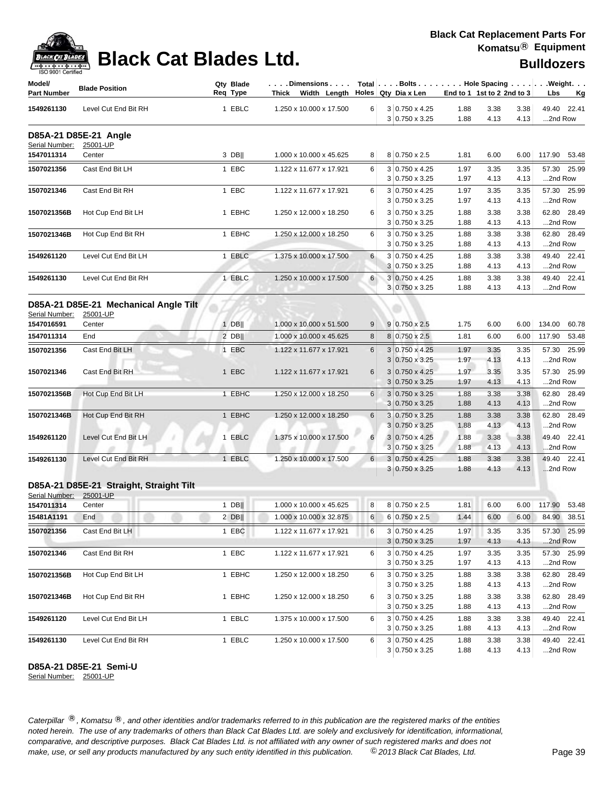| <b>ACK CAT</b> |
|----------------|
| ອບບາ<br>81 L   |

| <b>ISO A00.I Celfilled</b><br>Model/ |                                         | Qty Blade | $ \ldots$ . Dimensions $\ldots$ $ $ $\,$ Total $ \ldots$ . Bolts $\ldots$ $ \ldots$ . Hole Spacing $\ldots$ $ \ldots$ . Weight. $\ldots$ |          |   |                            |                            |      |      |                        |
|--------------------------------------|-----------------------------------------|-----------|------------------------------------------------------------------------------------------------------------------------------------------|----------|---|----------------------------|----------------------------|------|------|------------------------|
| <b>Part Number</b>                   | <b>Blade Position</b>                   | Req Type  | Thick Width Length $\vert$ Holes Qty Dia x Len                                                                                           |          |   |                            | End to 1 1st to 2 2nd to 3 |      |      | Lbs<br><u>Kg</u>       |
| 1549261130                           | Level Cut End Bit RH                    | 1 EBLC    | 1.250 x 10.000 x 17.500                                                                                                                  | 6        |   | $3 0.750 \times 4.25$      | 1.88                       | 3.38 | 3.38 | 49.40 22.41            |
|                                      |                                         |           |                                                                                                                                          |          |   | 3 0.750 x 3.25             | 1.88                       | 4.13 | 4.13 | 2nd Row                |
| Serial Number:                       | D85A-21 D85E-21 Angle<br>25001-UP       |           |                                                                                                                                          |          |   |                            |                            |      |      |                        |
| 1547011314                           | Center                                  | 3 DB      | 1.000 x 10.000 x 45.625                                                                                                                  | 8        |   | 8 0.750 x 2.5              | 1.81                       | 6.00 | 6.00 | 117.90 53.48           |
| 1507021356                           | Cast End Bit LH                         | 1 EBC     | 1.122 x 11.677 x 17.921                                                                                                                  | 6        |   | 3 0.750 x 4.25             | 1.97                       | 3.35 | 3.35 | 57.30 25.99            |
|                                      |                                         |           |                                                                                                                                          |          |   | $3 0.750 \times 3.25$      | 1.97                       | 4.13 | 4.13 | 2nd Row                |
| 1507021346                           | Cast End Bit RH                         | 1 EBC     | 1.122 x 11.677 x 17.921                                                                                                                  | 6        |   | 3 0.750 x 4.25             | 1.97                       | 3.35 | 3.35 | 57.30 25.99            |
|                                      |                                         |           |                                                                                                                                          |          |   | $3 0.750 \times 3.25$      | 1.97                       | 4.13 | 4.13 | 2nd Row                |
| 1507021356B                          | Hot Cup End Bit LH                      | 1 EBHC    | 1.250 x 12.000 x 18.250                                                                                                                  | 6        |   | $3 0.750 \times 3.25$      | 1.88                       | 3.38 | 3.38 | 62.80 28.49            |
|                                      |                                         |           |                                                                                                                                          |          | 3 | $0.750 \times 3.25$        | 1.88                       | 4.13 | 4.13 | 2nd Row                |
| 1507021346B                          | Hot Cup End Bit RH                      | 1 EBHC    | 1.250 x 12.000 x 18.250                                                                                                                  | 6        |   | $3 0.750 \times 3.25$      | 1.88                       | 3.38 | 3.38 | 62.80 28.49            |
|                                      |                                         |           |                                                                                                                                          |          |   | $3 0.750 \times 3.25$      | 1.88                       | 4.13 | 4.13 | 2nd Row                |
| 1549261120                           | Level Cut End Bit LH                    | 1 EBLC    | 1.375 x 10.000 x 17.500                                                                                                                  | 6        |   | 3 0.750 x 4.25             | 1.88                       | 3.38 | 3.38 | 49.40 22.41            |
|                                      |                                         |           |                                                                                                                                          |          |   | 3 0.750 x 3.25             | 1.88                       | 4.13 | 4.13 | 2nd Row                |
| 1549261130                           | Level Cut End Bit RH                    | 1 EBLC    | 1.250 x 10.000 x 17.500                                                                                                                  | 6        |   | $3 0.750 \times 4.25$      | 1.88                       | 3.38 | 3.38 | 49.40 22.41            |
|                                      |                                         |           |                                                                                                                                          |          |   | $3 0.750 \times 3.25$      | 1.88                       | 4.13 | 4.13 | 2nd Row                |
|                                      | D85A-21 D85E-21 Mechanical Angle Tilt   |           |                                                                                                                                          |          |   |                            |                            |      |      |                        |
| Serial Number:                       | 25001-UP                                |           |                                                                                                                                          |          |   |                            |                            |      |      |                        |
| 1547016591                           | Center                                  | 1 DBII    | 1.000 x 10.000 x 51.500                                                                                                                  | 9        |   | $9 0.750 \times 2.5$       | 1.75                       | 6.00 | 6.00 | 134.00<br>60.78        |
| 1547011314                           | End                                     | $2$ DB    | 1.000 x 10.000 x 45.625                                                                                                                  | 8        |   | 8 0.750 x 2.5              | 1.81                       | 6.00 | 6.00 | 117.90 53.48           |
| 1507021356                           | Cast End Bit LH                         | 1 EBC     | 1.122 x 11.677 x 17.921                                                                                                                  | 6        |   | $3 0.750 \times 4.25$      | 1.97                       | 3.35 | 3.35 | 57.30 25.99            |
|                                      |                                         |           |                                                                                                                                          |          | 3 | $0.750 \times 3.25$        | 1.97                       | 4.13 | 4.13 | 2nd Row                |
| 1507021346                           | Cast End Bit RH                         | 1 EBC     | 1.122 x 11.677 x 17.921                                                                                                                  | 6        | 3 | $0.750 \times 4.25$        | 1.97                       | 3.35 | 3.35 | 57.30 25.99            |
|                                      |                                         |           |                                                                                                                                          |          |   | $3 0.750 \times 3.25$      | 1.97                       | 4.13 | 4.13 | 2nd Row                |
| 1507021356B                          | Hot Cup End Bit LH                      | 1 EBHC    | 1.250 x 12.000 x 18.250                                                                                                                  | 6        |   | $3 0.750 \times 3.25$      | 1.88                       | 3.38 | 3.38 | 62.80 28.49            |
|                                      |                                         |           |                                                                                                                                          |          |   | $3 0.750 \times 3.25$      | 1.88                       | 4.13 | 4.13 | 2nd Row                |
| 1507021346B                          | Hot Cup End Bit RH                      | 1 EBHC    | 1.250 x 12.000 x 18.250                                                                                                                  | 6        |   | $3 0.750 \times 3.25$      | 1.88                       | 3.38 | 3.38 | 62.80 28.49            |
|                                      |                                         |           |                                                                                                                                          |          | 3 | $0.750 \times 3.25$        | 1.88                       | 4.13 | 4.13 | 2nd Row                |
| 1549261120                           | Level Cut End Bit LH                    | 1 EBLC    | 1.375 x 10.000 x 17.500                                                                                                                  | 6        | 3 | $0.750 \times 4.25$        | 1.88                       | 3.38 | 3.38 | 49.40 22.41            |
|                                      |                                         |           |                                                                                                                                          |          |   | $3 0.750 \times 3.25$      | 1.88                       | 4.13 | 4.13 | 2nd Row                |
| 1549261130                           | Level Cut End Bit RH                    | 1 EBLC    | 1.250 x 10.000 x 17.500                                                                                                                  | $6 \mid$ |   | $3 0.750 \times 4.25$      | 1.88                       | 3.38 | 3.38 | 49.40 22.41            |
|                                      |                                         |           |                                                                                                                                          |          | 3 | $0.750 \times 3.25$        | 1.88                       | 4.13 | 4.13 | 2nd Row                |
|                                      | D85A-21 D85E-21 Straight, Straight Tilt |           |                                                                                                                                          |          |   |                            |                            |      |      |                        |
| Serial Number:                       | 25001-UP                                |           |                                                                                                                                          |          |   |                            |                            |      |      |                        |
| 1547011314                           | Center                                  | $1$ DB    | 1.000 x 10.000 x 45.625                                                                                                                  | 8        |   | 8 0.750 x 2.5              | 1.81                       | 6.00 | 6.00 | 117.90 53.48           |
| 15481A1191                           | End                                     | $2$ DB    | 1.000 x 10.000 x 32.875                                                                                                                  |          |   | $6 \ 6 \ 0.750 \times 2.5$ | 1.44                       | 6.00 |      | 6.00 84.90 38.51       |
| 1507021356                           | Cast End Bit LH                         | 1 EBC     | 1.122 x 11.677 x 17.921                                                                                                                  | 6        |   | $3 0.750 \times 4.25$      | 1.97                       | 3.35 | 3.35 | 57.30 25.99            |
|                                      |                                         |           |                                                                                                                                          |          |   | $3 0.750 \times 3.25$      | 1.97                       | 4.13 | 4.13 | 2nd Row                |
| 1507021346                           | Cast End Bit RH                         | 1 EBC     | 1.122 x 11.677 x 17.921                                                                                                                  | 6        |   | 3 0.750 x 4.25             | 1.97                       | 3.35 | 3.35 | 57.30 25.99            |
|                                      |                                         |           |                                                                                                                                          |          |   | $3 0.750 \times 3.25$      | 1.97                       | 4.13 | 4.13 | 2nd Row                |
| 1507021356B                          | Hot Cup End Bit LH                      | 1 EBHC    | 1.250 x 12.000 x 18.250                                                                                                                  | 6        |   | 3 0.750 x 3.25             | 1.88                       | 3.38 | 3.38 | 62.80 28.49            |
|                                      |                                         |           |                                                                                                                                          |          |   | 3 0.750 x 3.25             | 1.88                       | 4.13 | 4.13 | 2nd Row                |
| 1507021346B                          | Hot Cup End Bit RH                      | 1 EBHC    | 1.250 x 12.000 x 18.250                                                                                                                  | 6        |   | $3 0.750 \times 3.25$      | 1.88                       | 3.38 | 3.38 | 62.80 28.49            |
|                                      |                                         |           |                                                                                                                                          |          |   | $3 0.750 \times 3.25$      | 1.88                       | 4.13 | 4.13 | 2nd Row                |
| 1549261120                           | Level Cut End Bit LH                    | 1 EBLC    | 1.375 x 10.000 x 17.500                                                                                                                  | 6        |   | 3 0.750 x 4.25             | 1.88                       | 3.38 | 3.38 | 49.40 22.41<br>2nd Row |
|                                      |                                         |           |                                                                                                                                          |          |   | $3 0.750 \times 3.25$      | 1.88                       | 4.13 | 4.13 |                        |
| 1549261130                           | Level Cut End Bit RH                    | 1 EBLC    | 1.250 x 10.000 x 17.500                                                                                                                  | 6        |   | $3 0.750 \times 4.25$      | 1.88                       | 3.38 | 3.38 | 49.40 22.41            |
|                                      |                                         |           |                                                                                                                                          |          |   | $3 0.750 \times 3.25$      | 1.88                       | 4.13 | 4.13 | 2nd Row                |

**D85A-21 D85E-21 Semi-U**

Serial Number: 25001-UP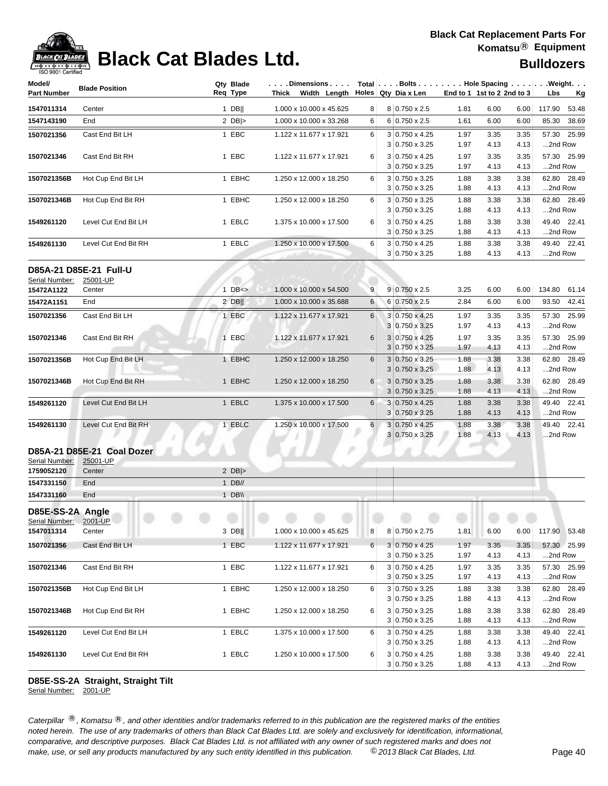

## **Black Cat Blades Ltd. Black Cat Blades Ltd. Black Cat Blades Ltd. Bulldozers**

| Model/<br><b>Part Number</b> | <b>Blade Position</b>      | Qty Blade<br>Req Type | $ \ldots$ . Dimensions $\ldots$ . Total $ \ldots$ . Bolts $\ldots$ Hole Spacing $\ldots$ Weight.<br>Thick Width Length Holes Qty Dia x Len |                 |   |                                                | End to 1 1st to 2 2nd to 3 |              |              | Lbs          | <u>Kg</u>    |
|------------------------------|----------------------------|-----------------------|--------------------------------------------------------------------------------------------------------------------------------------------|-----------------|---|------------------------------------------------|----------------------------|--------------|--------------|--------------|--------------|
| 1547011314                   | Center                     | $1$ DB                | 1.000 x 10.000 x 45.625                                                                                                                    | 8               |   | 8 0.750 x 2.5                                  | 1.81                       | 6.00         | 6.00         | 117.90       | 53.48        |
| 1547143190                   | End                        | 2 $DB$ $>$            | 1.000 x 10.000 x 33.268                                                                                                                    | 6               |   | $6 0.750 \times 2.5$                           | 1.61                       | 6.00         | 6.00         | 85.30        | 38.69        |
| 1507021356                   | Cast End Bit LH            | 1 EBC                 | 1.122 x 11.677 x 17.921                                                                                                                    | 6               |   | 3 0.750 x 4.25                                 | 1.97                       | 3.35         | 3.35         |              | 57.30 25.99  |
|                              |                            |                       |                                                                                                                                            |                 |   | 3 0.750 x 3.25                                 | 1.97                       | 4.13         | 4.13         | 2nd Row      |              |
| 1507021346                   | Cast End Bit RH            | 1 EBC                 | 1.122 x 11.677 x 17.921                                                                                                                    | 6               |   | 3 0.750 x 4.25                                 | 1.97                       | 3.35         | 3.35         |              | 57.30 25.99  |
|                              |                            |                       |                                                                                                                                            |                 |   | $3 0.750 \times 3.25$                          | 1.97                       | 4.13         | 4.13         | 2nd Row      |              |
| 1507021356B                  | Hot Cup End Bit LH         | 1 EBHC                | 1.250 x 12.000 x 18.250                                                                                                                    | 6               |   | $3 0.750 \times 3.25$<br>$3 0.750 \times 3.25$ | 1.88<br>1.88               | 3.38<br>4.13 | 3.38<br>4.13 | 2nd Row      | 62.80 28.49  |
| 1507021346B                  | Hot Cup End Bit RH         | 1 EBHC                | 1.250 x 12.000 x 18.250                                                                                                                    | 6               |   | 3 0.750 x 3.25                                 | 1.88                       | 3.38         | 3.38         |              | 62.80 28.49  |
|                              |                            |                       |                                                                                                                                            |                 |   | $3 0.750 \times 3.25$                          | 1.88                       | 4.13         | 4.13         | 2nd Row      |              |
| 1549261120                   | Level Cut End Bit LH       | 1 EBLC                | 1.375 x 10.000 x 17.500                                                                                                                    | 6               |   | 3 0.750 x 4.25                                 | 1.88                       | 3.38         | 3.38         |              | 49.40 22.41  |
|                              |                            |                       |                                                                                                                                            |                 |   | $3 0.750 \times 3.25$                          | 1.88                       | 4.13         | 4.13         | 2nd Row      |              |
| 1549261130                   | Level Cut End Bit RH       | 1 EBLC                | 1.250 x 10.000 x 17.500                                                                                                                    | 6               |   | 3 0.750 x 4.25<br>$3 0.750 \times 3.25$        | 1.88<br>1.88               | 3.38<br>4.13 | 3.38<br>4.13 | 2nd Row      | 49.40 22.41  |
|                              |                            |                       |                                                                                                                                            |                 |   |                                                |                            |              |              |              |              |
|                              | D85A-21 D85E-21 Full-U     |                       |                                                                                                                                            |                 |   |                                                |                            |              |              |              |              |
| Serial Number:               | 25001-UP                   |                       |                                                                                                                                            |                 |   |                                                |                            |              |              |              |              |
| 15472A1122                   | Center                     | $1$ DB $\leq$         | 1.000 x 10.000 x 54.500                                                                                                                    | 9               |   | $9 0.750 \times 2.5$                           | 3.25                       | 6.00         | 6.00         |              | 134.80 61.14 |
| 15472A1151                   | End                        | $2$ DB                | 1.000 x 10.000 x 35.688                                                                                                                    | 6               |   | 6 0.750 x 2.5                                  | 2.84                       | 6.00         | 6.00         |              | 93.50 42.41  |
| 1507021356                   | Cast End Bit LH            | 1 EBC                 | 1.122 x 11.677 x 17.921                                                                                                                    | $6\overline{6}$ |   | 3 0.750 x 4.25                                 | 1.97                       | 3.35         | 3.35         |              | 57.30 25.99  |
|                              |                            |                       |                                                                                                                                            |                 |   | 3 0.750 x 3.25                                 | 1.97                       | 4.13         | 4.13         | 2nd Row      |              |
| 1507021346                   | Cast End Bit RH            | 1 EBC                 | 1.122 x 11.677 x 17.921                                                                                                                    | 6               |   | 3 0.750 x 4.25                                 | 1.97                       | 3.35         | 3.35         |              | 57.30 25.99  |
|                              |                            |                       |                                                                                                                                            |                 |   | $3 0.750 \times 3.25$                          | 1.97                       | 4.13         | 4.13         | 2nd Row      |              |
| 1507021356B                  | Hot Cup End Bit LH         | 1 EBHC                | 1.250 x 12.000 x 18.250                                                                                                                    | 6               |   | $3 0.750 \times 3.25$                          | 1.88                       | 3.38         | 3.38         |              | 62.80 28.49  |
|                              |                            |                       |                                                                                                                                            |                 |   | $3 0.750 \times 3.25$                          | 1.88                       | 4.13         | 4.13         | 2nd Row      |              |
| 1507021346B                  | Hot Cup End Bit RH         | 1 EBHC                | 1.250 x 12.000 x 18.250                                                                                                                    | 6               |   | $3 0.750 \times 3.25$                          | 1.88                       | 3.38         | 3.38         |              | 62.80 28.49  |
|                              |                            |                       |                                                                                                                                            |                 |   | $3 0.750 \times 3.25$                          | 1.88                       | 4.13         | 4.13         | 2nd Row      |              |
| 1549261120                   | Level Cut End Bit LH       | 1 EBLC                | 1.375 x 10.000 x 17.500                                                                                                                    | 6               |   | $3 0.750 \times 4.25$                          | 1.88                       | 3.38         | 3.38         |              | 49.40 22.41  |
|                              |                            |                       |                                                                                                                                            |                 |   | 3 0.750 x 3.25                                 | 1.88                       | 4.13         | 4.13         | 2nd Row      |              |
| 1549261130                   | Level Cut End Bit RH       | 1 EBLC                | 1.250 x 10.000 x 17.500                                                                                                                    | 6 <sup>1</sup>  | 3 | $3 0.750 \times 4.25$<br>0.750 x 3.25          | 1.88<br>1.88               | 3.38<br>4.13 | 3.38<br>4.13 | 2nd Row      | 49.40 22.41  |
|                              | D85A-21 D85E-21 Coal Dozer |                       |                                                                                                                                            |                 |   |                                                |                            |              |              |              |              |
| Serial Number:<br>1759052120 | 25001-UP<br>Center         | 2 $DB$ $>$            |                                                                                                                                            |                 |   |                                                |                            |              |              |              |              |
| 1547331150                   | End                        | $1$ DB//              |                                                                                                                                            |                 |   |                                                |                            |              |              |              |              |
| 1547331160                   | End                        | 1 $DB \vee$           |                                                                                                                                            |                 |   |                                                |                            |              |              |              |              |
|                              |                            |                       |                                                                                                                                            |                 |   |                                                |                            |              |              |              |              |
| D85E-SS-2A Angle             |                            |                       |                                                                                                                                            |                 |   |                                                |                            |              |              |              |              |
| Serial Number:<br>1547011314 | 2001-UP<br>Center          | $3$ DB                | 1.000 x 10.000 x 45.625                                                                                                                    | 8 <sup>1</sup>  |   | 8 0.750 x 2.75                                 | 1.81                       | 6.00         | 6.00         | 117.90 53.48 |              |
|                              |                            |                       |                                                                                                                                            |                 |   |                                                |                            |              |              |              |              |
| 1507021356                   | Cast End Bit LH            | 1 EBC                 | 1.122 x 11.677 x 17.921                                                                                                                    | 6 <sup>1</sup>  |   | $3 0.750 \times 4.25$<br>$3 0.750 \times 3.25$ | 1.97<br>1.97               | 3.35<br>4.13 | 3.35<br>4.13 | 2nd Row      | 57.30 25.99  |
| 1507021346                   |                            |                       | 1.122 x 11.677 x 17.921                                                                                                                    |                 |   |                                                |                            |              |              |              |              |
|                              | Cast End Bit RH            | 1 EBC                 |                                                                                                                                            | 6               |   | $3 0.750 \times 4.25$<br>$3 0.750 \times 3.25$ | 1.97<br>1.97               | 3.35<br>4.13 | 3.35<br>4.13 | 2nd Row      | 57.30 25.99  |
| 1507021356B                  | Hot Cup End Bit LH         | 1 EBHC                | 1.250 x 12.000 x 18.250                                                                                                                    | 6               |   | $3 0.750 \times 3.25$                          | 1.88                       | 3.38         | 3.38         |              | 62.80 28.49  |
|                              |                            |                       |                                                                                                                                            |                 |   | $3 0.750 \times 3.25$                          | 1.88                       | 4.13         | 4.13         | 2nd Row      |              |
| 1507021346B                  | Hot Cup End Bit RH         | 1 EBHC                | 1.250 x 12.000 x 18.250                                                                                                                    | 6               |   | $3 0.750 \times 3.25$                          | 1.88                       | 3.38         | 3.38         |              | 62.80 28.49  |
|                              |                            |                       |                                                                                                                                            |                 |   | 3 0.750 x 3.25                                 | 1.88                       | 4.13         | 4.13         | 2nd Row      |              |
| 1549261120                   | Level Cut End Bit LH       | 1 EBLC                | 1.375 x 10.000 x 17.500                                                                                                                    | 6               |   | $3 0.750 \times 4.25$                          | 1.88                       | 3.38         | 3.38         |              | 49.40 22.41  |
|                              |                            |                       |                                                                                                                                            |                 |   | $3 0.750 \times 3.25$                          | 1.88                       | 4.13         | 4.13         | 2nd Row      |              |
| 1549261130                   | Level Cut End Bit RH       | 1 EBLC                | 1.250 x 10.000 x 17.500                                                                                                                    | 6               |   | 3 0.750 x 4.25                                 | 1.88                       | 3.38         | 3.38         |              | 49.40 22.41  |
|                              |                            |                       |                                                                                                                                            |                 |   | 3 0.750 x 3.25                                 | 1.88                       | 4.13         | 4.13         | 2nd Row      |              |

### **D85E-SS-2A Straight, Straight Tilt**

Serial Number: 2001-UP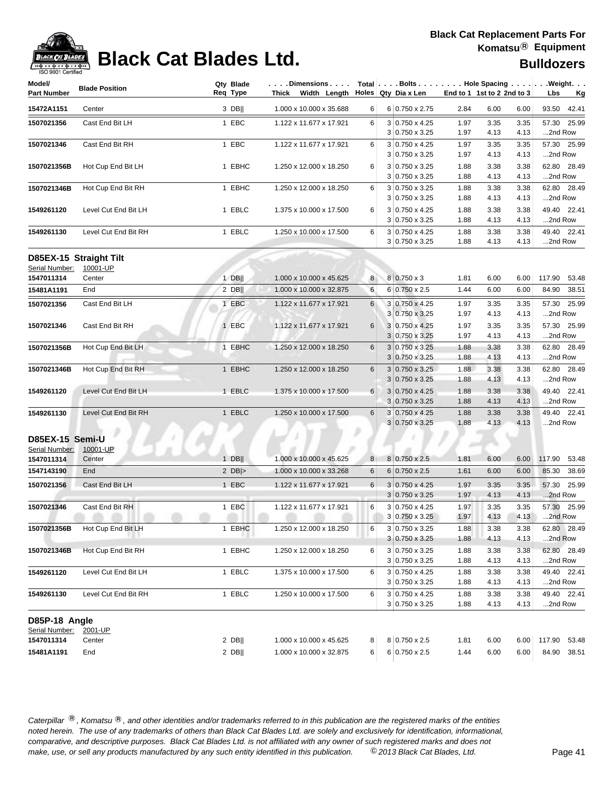

## **Black Cat Blades Ltd. Black Cat Blades Ltd. Bulldozers**

| Model/<br>Part Number        | <b>Blade Position</b>  | Qty Blade<br>Req Type | . Dimensions<br>Thick Width Length $\vert$ Holes Qty Dia x Len |                  |                                                |              | End to 1 1st to 2 2nd to 3 |              | $Total   \ldots$ Bolts $\ldots   \ldots$ . Hole Spacing $\ldots   \ldots$ . Weight. $\ldots$<br>Lbs<br><u>Kg</u> |
|------------------------------|------------------------|-----------------------|----------------------------------------------------------------|------------------|------------------------------------------------|--------------|----------------------------|--------------|------------------------------------------------------------------------------------------------------------------|
| 15472A1151                   | Center                 | 3 DB                  | 1.000 x 10.000 x 35.688                                        | 6                | 6 0.750 x 2.75                                 | 2.84         | 6.00                       | 6.00         | 93.50 42.41                                                                                                      |
| 1507021356                   | Cast End Bit LH        | 1 EBC                 | 1.122 x 11.677 x 17.921                                        | 6                | $3 0.750 \times 4.25$                          | 1.97         | 3.35                       | 3.35         | 57.30 25.99                                                                                                      |
|                              |                        |                       |                                                                |                  | $3 0.750 \times 3.25$                          | 1.97         | 4.13                       | 4.13         | 2nd Row                                                                                                          |
| 1507021346                   | Cast End Bit RH        | 1 EBC                 | 1.122 x 11.677 x 17.921                                        | 6                | 3 0.750 x 4.25                                 | 1.97         | 3.35                       | 3.35         | 57.30 25.99                                                                                                      |
|                              |                        |                       |                                                                |                  | $3 0.750 \times 3.25$                          | 1.97         | 4.13                       | 4.13         | 2nd Row                                                                                                          |
| 1507021356B                  | Hot Cup End Bit LH     | 1 EBHC                | 1.250 x 12.000 x 18.250                                        | 6                | 3 0.750 x 3.25                                 | 1.88         | 3.38                       | 3.38         | 62.80 28.49                                                                                                      |
|                              |                        |                       |                                                                |                  | 3 0.750 x 3.25                                 | 1.88         | 4.13                       | 4.13         | 2nd Row                                                                                                          |
| 1507021346B                  | Hot Cup End Bit RH     | 1 EBHC                | 1.250 x 12.000 x 18.250                                        | 6                | 3 0.750 x 3.25                                 | 1.88         | 3.38                       | 3.38         | 62.80 28.49                                                                                                      |
|                              |                        |                       |                                                                |                  | $3 0.750 \times 3.25$                          | 1.88         | 4.13                       | 4.13         | 2nd Row                                                                                                          |
| 1549261120                   | Level Cut End Bit LH   | 1 EBLC                | 1.375 x 10.000 x 17.500                                        | 6                | 3 0.750 x 4.25                                 | 1.88         | 3.38                       | 3.38         | 49.40 22.41                                                                                                      |
|                              |                        |                       |                                                                |                  | 3 0.750 x 3.25                                 | 1.88         | 4.13                       | 4.13         | 2nd Row                                                                                                          |
| 1549261130                   | Level Cut End Bit RH   | 1 EBLC                | 1.250 x 10.000 x 17.500                                        | 6                | $3 0.750 \times 4.25$<br>$3 0.750 \times 3.25$ | 1.88<br>1.88 | 3.38<br>4.13               | 3.38<br>4.13 | 49.40 22.41<br>2nd Row                                                                                           |
|                              |                        |                       |                                                                |                  |                                                |              |                            |              |                                                                                                                  |
|                              | D85EX-15 Straight Tilt |                       |                                                                |                  |                                                |              |                            |              |                                                                                                                  |
| Serial Number:<br>1547011314 | 10001-UP<br>Center     | $1$ DB                | 1.000 x 10.000 x 45.625                                        | 8 <sup>1</sup>   | $8 0.750 \times 3$                             | 1.81         | 6.00                       | 6.00         | 117.90 53.48                                                                                                     |
| 15481A1191                   | End                    | 2 DBII                | 1.000 x 10.000 x 32.875                                        | 6                | 6 0.750 x 2.5                                  | 1.44         | 6.00                       | 6.00         | 84.90 38.51                                                                                                      |
|                              |                        |                       |                                                                |                  |                                                |              |                            |              |                                                                                                                  |
| 1507021356                   | Cast End Bit LH        | 1 EBC                 | 1.122 x 11.677 x 17.921                                        | 6                | 3 0.750 x 4.25                                 | 1.97         | 3.35                       | 3.35         | 57.30 25.99                                                                                                      |
|                              |                        |                       |                                                                |                  | $3 0.750 \times 3.25$                          | 1.97         | 4.13                       | 4.13         | 2nd Row                                                                                                          |
| 1507021346                   | Cast End Bit RH        | 1 EBC                 | 1.122 x 11.677 x 17.921                                        | 6                | 3 0.750 x 4.25<br>$3 0.750 \times 3.25$        | 1.97<br>1.97 | 3.35<br>4.13               | 3.35<br>4.13 | 57.30 25.99<br>2nd Row                                                                                           |
|                              |                        | 1 EBHC                |                                                                | 6                | $3 0.750 \times 3.25$                          |              |                            |              | 62.80 28.49                                                                                                      |
| 1507021356B                  | Hot Cup End Bit LH     |                       | 1.250 x 12.000 x 18.250                                        |                  | 3 0.750 x 3.25                                 | 1.88<br>1.88 | 3.38<br>4.13               | 3.38<br>4.13 | 2nd Row                                                                                                          |
| 1507021346B                  | Hot Cup End Bit RH     | 1 EBHC                | 1.250 x 12.000 x 18.250                                        | 6                | $3 0.750 \times 3.25$                          | 1.88         | 3.38                       | 3.38         | 62.80 28.49                                                                                                      |
|                              |                        |                       |                                                                |                  | $3 0.750 \times 3.25$                          | 1.88         | 4.13                       | 4.13         | 2nd Row                                                                                                          |
| 1549261120                   | Level Cut End Bit LH   | 1 EBLC                | 1.375 x 10.000 x 17.500                                        | 6                | $3 0.750 \times 4.25$                          | 1.88         | 3.38                       | 3.38         | 49.40 22.41                                                                                                      |
|                              |                        |                       |                                                                |                  | $3 0.750 \times 3.25$                          | 1.88         | 4.13                       | 4.13         | 2nd Row                                                                                                          |
| 1549261130                   | Level Cut End Bit RH   | 1 EBLC                | 1.250 x 10.000 x 17.500                                        | 6                | 3 0.750 x 4.25                                 | 1.88         | 3.38                       | 3.38         | 49.40 22.41                                                                                                      |
|                              |                        |                       |                                                                |                  | $3 0.750 \times 3.25$                          | 1.88         | 4.13                       | 4.13         | 2nd Row                                                                                                          |
| D85EX-15 Semi-U              |                        |                       |                                                                |                  |                                                |              |                            |              |                                                                                                                  |
| Serial Number:               | 10001-UP               |                       |                                                                |                  |                                                |              |                            |              |                                                                                                                  |
| 1547011314                   | Center                 | $1$ DB                | 1.000 x 10.000 x 45.625                                        | 8                | 8 0.750 x 2.5                                  | 1.81         | 6.00                       | 6.00         | 117.90<br>53.48                                                                                                  |
| 1547143190                   | End                    | 2 $DB$ $>$            | 1.000 x 10.000 x 33.268                                        | 6                | $6 0.750 \times 2.5$                           | 1.61         | 6.00                       | 6.00         | 85.30<br>38.69                                                                                                   |
| 1507021356                   | Cast End Bit LH        | 1 EBC                 | 1.122 x 11.677 x 17.921                                        | 6                | $3 0.750 \times 4.25$                          | 1.97         | 3.35                       | 3.35         | 57.30 25.99                                                                                                      |
|                              |                        |                       |                                                                |                  | $3 0.750 \times 3.25$                          | 1.97         | 4.13                       | 4.13         | 2nd Row                                                                                                          |
| 1507021346                   | Cast End Bit RH        | 1 EBC                 | 1.122 x 11.677 x 17.921                                        | 6                | $3 0.750 \times 4.25$                          | 1.97         | 3.35                       | 3.35         | 57.30 25.99                                                                                                      |
|                              |                        |                       |                                                                |                  | 3 0.750 x 3.25                                 | 1.97         | 4.13                       | 4.13         | 2nd Row                                                                                                          |
| 1507021356B                  | Hot Cup End Bit LH     | 1 EBHC                | 1.250 x 12.000 x 18.250                                        | 6                | 3 0.750 x 3.25                                 | 1.88         | 3.38                       | 3.38         | 62.80 28.49                                                                                                      |
|                              |                        |                       |                                                                |                  | $3 0.750 \times 3.25$                          | 1.88         | 4.13                       | 4.13         | 2nd Row                                                                                                          |
| 1507021346B                  | Hot Cup End Bit RH     | 1 EBHC                | 1.250 x 12.000 x 18.250                                        | 6                | 3 0.750 x 3.25                                 | 1.88         | 3.38                       | 3.38         | 62.80 28.49                                                                                                      |
|                              |                        |                       |                                                                |                  | $3 0.750 \times 3.25$                          | 1.88         | 4.13                       | 4.13         | 2nd Row                                                                                                          |
| 1549261120                   | Level Cut End Bit LH   | 1 EBLC                | 1.375 x 10.000 x 17.500                                        | 6                | $3 0.750 \times 4.25$                          | 1.88         | 3.38                       | 3.38         | 49.40 22.41                                                                                                      |
|                              |                        |                       |                                                                |                  | 3 0.750 x 3.25                                 | 1.88         | 4.13                       | 4.13         | 2nd Row                                                                                                          |
| 1549261130                   | Level Cut End Bit RH   | 1 EBLC                | 1.250 x 10.000 x 17.500                                        | 6                | 3 0.750 x 4.25                                 | 1.88         | 3.38                       | 3.38         | 49.40 22.41                                                                                                      |
|                              |                        |                       |                                                                |                  | $3 0.750 \times 3.25$                          | 1.88         | 4.13                       | 4.13         | 2nd Row                                                                                                          |
| D85P-18 Angle                |                        |                       |                                                                |                  |                                                |              |                            |              |                                                                                                                  |
| Serial Number:               | 2001-UP                |                       |                                                                |                  |                                                |              |                            |              |                                                                                                                  |
| 1547011314                   | Center                 | $2$ DB                | 1.000 x 10.000 x 45.625                                        | 8                | 8 0.750 x 2.5                                  | 1.81         | 6.00                       | 6.00         | 117.90 53.48                                                                                                     |
| 15481A1191                   | End                    | $2$ DB                | 1.000 x 10.000 x 32.875                                        | $6 \overline{6}$ | 6 0.750 x 2.5                                  | 1.44         | 6.00                       | 6.00         | 84.90 38.51                                                                                                      |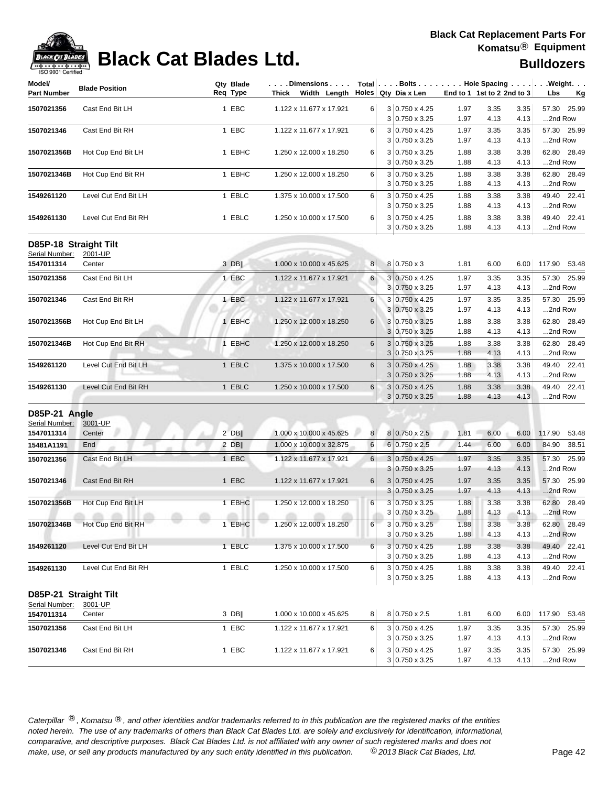## **Black Cat Blades Ltd. Black Cat Blades Ltd. Black Cat Blades Ltd. Bulldozers**

| Model/<br><b>Part Number</b> | <b>Blade Position</b> | Qty Blade<br>Req Type | Dimensions   Total   Bolts   Hole Spacing    Weight<br>Thick Width Length |                | Holes $Qty$ Dia x Len                          |              | End to 1 1st to 2 2nd to 3 |              | Lbs                    | <u>Kg</u> |
|------------------------------|-----------------------|-----------------------|---------------------------------------------------------------------------|----------------|------------------------------------------------|--------------|----------------------------|--------------|------------------------|-----------|
| 1507021356                   | Cast End Bit LH       | 1 EBC                 | 1.122 x 11.677 x 17.921                                                   | 6              | 3 0.750 x 4.25                                 | 1.97         | 3.35                       | 3.35         | 57.30                  | 25.99     |
|                              |                       |                       |                                                                           |                | $3 0.750 \times 3.25$                          | 1.97         | 4.13                       | 4.13         | 2nd Row                |           |
| 1507021346                   | Cast End Bit RH       | 1 EBC                 | 1.122 x 11.677 x 17.921                                                   | 6              | 3 0.750 x 4.25                                 | 1.97         | 3.35                       | 3.35         | 57.30 25.99            |           |
|                              |                       |                       |                                                                           |                | 3 0.750 x 3.25                                 | 1.97         | 4.13                       | 4.13         | 2nd Row                |           |
| 1507021356B                  | Hot Cup End Bit LH    | 1 EBHC                | 1.250 x 12.000 x 18.250                                                   | 6              | 3 0.750 x 3.25                                 | 1.88         | 3.38                       | 3.38         | 62.80 28.49            |           |
|                              |                       |                       |                                                                           |                | $3 0.750 \times 3.25$                          | 1.88         | 4.13                       | 4.13         | 2nd Row                |           |
| 1507021346B                  | Hot Cup End Bit RH    | 1 EBHC                | 1.250 x 12.000 x 18.250                                                   | 6              | 3 0.750 x 3.25                                 | 1.88         | 3.38                       | 3.38         | 62.80 28.49            |           |
|                              |                       |                       |                                                                           |                | $3 0.750 \times 3.25$                          | 1.88         | 4.13                       | 4.13         | 2nd Row                |           |
| 1549261120                   | Level Cut End Bit LH  | 1 EBLC                | 1.375 x 10.000 x 17.500                                                   | 6              | 3 0.750 x 4.25                                 | 1.88         | 3.38                       | 3.38         | 49.40 22.41            |           |
|                              |                       |                       |                                                                           |                | 3 0.750 x 3.25                                 | 1.88         | 4.13                       | 4.13         | 2nd Row                |           |
| 1549261130                   | Level Cut End Bit RH  | 1 EBLC                | 1.250 x 10.000 x 17.500                                                   | 6              | $3 0.750 \times 4.25$<br>$3 0.750 \times 3.25$ | 1.88<br>1.88 | 3.38<br>4.13               | 3.38<br>4.13 | 49.40 22.41<br>2nd Row |           |
| D85P-18 Straight Tilt        |                       |                       |                                                                           |                |                                                |              |                            |              |                        |           |
| Serial Number:               | 2001-UP               |                       |                                                                           |                |                                                |              |                            |              |                        |           |
| 1547011314                   | Center                | 3 DBII                | 1.000 x 10.000 x 45.625                                                   | 8 <sup>1</sup> | 8 0.750 x 3                                    | 1.81         | 6.00                       | 6.00         | 117.90 53.48           |           |
| 1507021356                   | Cast End Bit LH       | 1 EBC                 | 1.122 x 11.677 x 17.921                                                   | $6 \mid$       | $3 0.750 \times 4.25$                          | 1.97         | 3.35                       | 3.35         | 57.30 25.99            |           |
|                              |                       |                       |                                                                           |                | 3 0.750 x 3.25                                 | 1.97         | 4.13                       | 4.13         | 2nd Row                |           |
| 1507021346                   | Cast End Bit RH       | 1 EBC                 | 1.122 x 11.677 x 17.921                                                   | 6              | 3 0.750 x 4.25                                 | 1.97         | 3.35                       | 3.35         | 57.30 25.99            |           |
|                              |                       |                       |                                                                           |                | 3 0.750 x 3.25                                 | 1.97         | 4.13                       | 4.13         | 2nd Row                |           |
| 1507021356B                  | Hot Cup End Bit LH    | 1 EBHC                | 1.250 x 12.000 x 18.250                                                   | 6              | 3 0.750 x 3.25                                 | 1.88         | 3.38                       | 3.38         | 62.80 28.49            |           |
|                              |                       |                       |                                                                           |                | 3 0.750 x 3.25                                 | 1.88         | 4.13                       | 4.13         | 2nd Row                |           |
| 1507021346B                  | Hot Cup End Bit RH    | 1 EBHC                | 1.250 x 12.000 x 18.250                                                   | 6              | $3 0.750 \times 3.25$                          | 1.88         | 3.38                       | 3.38         | 62.80 28.49            |           |
|                              |                       |                       |                                                                           |                | $3 0.750 \times 3.25$                          | 1.88         | 4.13                       | 4.13         | 2nd Row                |           |
| 1549261120                   | Level Cut End Bit LH  | 1 EBLC                | 1.375 x 10.000 x 17.500                                                   | 6              | 3 0.750 x 4.25                                 | 1.88         | 3.38                       | 3.38         | 49.40 22.41            |           |
|                              |                       |                       |                                                                           |                | $3 0.750 \times 3.25$                          | 1.88         | 4.13                       | 4.13         | 2nd Row                |           |
| 1549261130                   | Level Cut End Bit RH  | 1 EBLC                | 1.250 x 10.000 x 17.500                                                   | 6              | $3 0.750 \times 4.25$                          | 1.88         | 3.38                       | 3.38         | 49.40 22.41            |           |
|                              |                       |                       |                                                                           |                | $3 0.750 \times 3.25$                          | 1.88         | 4.13                       | 4.13         | 2nd Row                |           |
| D85P-21 Angle                |                       |                       |                                                                           |                |                                                |              |                            |              |                        |           |
| Serial Number:               | 3001-UP               |                       |                                                                           |                |                                                |              |                            |              |                        |           |
| 1547011314                   | Center                | 2 DB                  | 1.000 x 10.000 x 45.625                                                   | 8 <sup>1</sup> | 8 0.750 x 2.5                                  | 1.81         | 6.00                       | 6.00         | 117.90                 | 53.48     |
| 15481A1191                   | End                   | $2$ DB                | 1.000 x 10.000 x 32.875                                                   | 6              | $6 0.750 \times 2.5$                           | 1.44         | 6.00                       | 6.00         | 84.90                  | 38.51     |
| 1507021356                   | Cast End Bit LH       | 1 EBC                 | 1.122 x 11.677 x 17.921                                                   | 6 <sup>1</sup> | $3 0.750 \times 4.25$                          | 1.97         | 3.35                       | 3.35         | 57.30                  | 25.99     |
|                              |                       |                       |                                                                           |                | $3 0.750 \times 3.25$                          | 1.97         | 4.13                       | 4.13         | 2nd Row                |           |
| 1507021346                   | Cast End Bit RH       | 1 EBC                 | 1.122 x 11.677 x 17.921                                                   | 6              | $3 0.750 \times 4.25$                          | 1.97         | 3.35                       | 3.35         | 57.30 25.99            |           |
|                              |                       |                       |                                                                           |                | $3 0.750 \times 3.25$                          | 1.97         | 4.13                       | 4.13         | 2nd Row                |           |
| 1507021356B                  | Hot Cup End Bit LH    | 1 EBHC                | 1.250 x 12.000 x 18.250                                                   | 6              | $3 0.750 \times 3.25$                          | 1.88         | 3.38                       | 3.38         | 62.80 28.49            |           |
|                              | <b>CONTRACTOR</b>     |                       | <b>CONTRACTOR</b>                                                         |                | $3 0.750 \times 3.25$                          | 1.88         | 4.13                       | 4.13         | 2nd Row                |           |
| 1507021346B                  | Hot Cup End Bit RH    | 1 EBHC                | 1.250 x 12.000 x 18.250                                                   | 6              | 3 0.750 x 3.25                                 | 1.88         | 3.38                       | 3.38         | 62.80 28.49            |           |
|                              |                       |                       |                                                                           |                | 3 0.750 x 3.25                                 | 1.88         | 4.13                       | 4.13         | 2nd Row                |           |
| 1549261120                   | Level Cut End Bit LH  | 1 EBLC                | 1.375 x 10.000 x 17.500                                                   | 6              | $3 0.750 \times 4.25$                          | 1.88         | 3.38                       | 3.38         | 49.40 22.41            |           |
|                              |                       |                       |                                                                           |                | 3 0.750 x 3.25                                 | 1.88         | 4.13                       | 4.13         | 2nd Row                |           |
| 1549261130                   | Level Cut End Bit RH  | 1 EBLC                | 1.250 x 10.000 x 17.500                                                   | 6              | 3 0.750 x 4.25                                 | 1.88         | 3.38                       | 3.38         | 49.40 22.41            |           |
|                              |                       |                       |                                                                           |                | $3 0.750 \times 3.25$                          | 1.88         | 4.13                       | 4.13         | 2nd Row                |           |
| D85P-21 Straight Tilt        |                       |                       |                                                                           |                |                                                |              |                            |              |                        |           |
| Serial Number:               | 3001-UP               |                       |                                                                           |                |                                                |              |                            |              |                        |           |
| 1547011314                   | Center                | $3$ DB                | 1.000 x 10.000 x 45.625                                                   | 8 <sup>1</sup> | 8 0.750 x 2.5                                  | 1.81         | 6.00                       | 6.00         | 117.90 53.48           |           |
| 1507021356                   | Cast End Bit LH       | 1 EBC                 | 1.122 x 11.677 x 17.921                                                   | 6              | $3 0.750 \times 4.25$                          | 1.97         | 3.35                       | 3.35         | 57.30 25.99            |           |
|                              |                       |                       |                                                                           |                | $3 0.750 \times 3.25$                          | 1.97         | 4.13                       | 4.13         | 2nd Row                |           |
| 1507021346                   | Cast End Bit RH       | 1 EBC                 | 1.122 x 11.677 x 17.921                                                   | 6              | 3 0.750 x 4.25                                 | 1.97         | 3.35                       | 3.35         | 57.30 25.99            |           |
|                              |                       |                       |                                                                           |                | 3 0.750 x 3.25                                 | 1.97         | 4.13                       | 4.13         | 2nd Row                |           |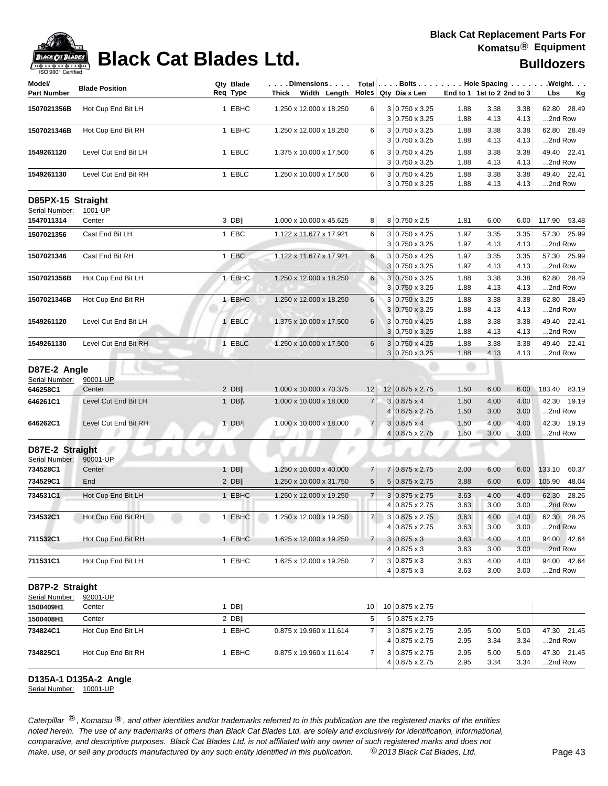

| Model/                              |                       | Qty Blade     | $\ldots$ . Dimensions $\ldots$ . |                |                                         |                            |              |              | Total $\vert \ldots$ Bolts $\ldots \vert \ldots$ Hole Spacing $\ldots \vert \ldots$ Weight. $\ldots$ |
|-------------------------------------|-----------------------|---------------|----------------------------------|----------------|-----------------------------------------|----------------------------|--------------|--------------|------------------------------------------------------------------------------------------------------|
| <b>Part Number</b>                  | <b>Blade Position</b> | Reg Type      | Thick Width Length               |                | Holes $Qty$ Dia x Len                   | End to 1 1st to 2 2nd to 3 |              |              | Lbs<br><u>Kg</u>                                                                                     |
| 1507021356B                         | Hot Cup End Bit LH    | 1 EBHC        | 1.250 x 12.000 x 18.250          | 6              | $3 0.750 \times 3.25$                   | 1.88                       | 3.38         | 3.38         | 62.80<br>28.49                                                                                       |
|                                     |                       |               |                                  |                | 3 0.750 x 3.25                          | 1.88                       | 4.13         | 4.13         | 2nd Row                                                                                              |
| 1507021346B                         | Hot Cup End Bit RH    | 1 EBHC        | 1.250 x 12.000 x 18.250          | 6              | $3 0.750 \times 3.25$                   | 1.88                       | 3.38         | 3.38         | 62.80<br>28.49                                                                                       |
|                                     |                       |               |                                  |                | $3 0.750 \times 3.25$                   | 1.88                       | 4.13         | 4.13         | 2nd Row                                                                                              |
| 1549261120                          | Level Cut End Bit LH  | 1 EBLC        | 1.375 x 10.000 x 17.500          | 6              | $3 0.750 \times 4.25$                   | 1.88                       | 3.38         | 3.38         | 49.40 22.41                                                                                          |
|                                     |                       |               |                                  |                | $3 0.750 \times 3.25$                   | 1.88                       | 4.13         | 4.13         | 2nd Row                                                                                              |
| 1549261130                          | Level Cut End Bit RH  | 1 EBLC        | 1.250 x 10.000 x 17.500          | 6              | 3 0.750 x 4.25<br>$3 0.750 \times 3.25$ | 1.88<br>1.88               | 3.38<br>4.13 | 3.38<br>4.13 | 49.40 22.41<br>2nd Row                                                                               |
| D85PX-15 Straight<br>Serial Number: | 1001-UP               |               |                                  |                |                                         |                            |              |              |                                                                                                      |
| 1547011314                          | Center                | 3 DB          | 1.000 x 10.000 x 45.625          | 8              | 8 0.750 x 2.5                           | 1.81                       | 6.00         | 6.00         | 117.90<br>53.48                                                                                      |
| 1507021356                          | Cast End Bit LH       | 1 EBC         | 1.122 x 11.677 x 17.921          | 6              | 3 0.750 x 4.25                          | 1.97                       | 3.35         | 3.35         | 57.30<br>25.99                                                                                       |
|                                     |                       |               |                                  |                | $3 0.750 \times 3.25$                   | 1.97                       | 4.13         | 4.13         | 2nd Row                                                                                              |
| 1507021346                          | Cast End Bit RH       | 1 EBC         | 1.122 x 11.677 x 17.921          | 6              | 3 0.750 x 4.25                          | 1.97                       | 3.35         | 3.35         | 25.99<br>57.30                                                                                       |
|                                     |                       |               |                                  |                | 3 0.750 x 3.25                          | 1.97                       | 4.13         | 4.13         | 2nd Row                                                                                              |
| 1507021356B                         | Hot Cup End Bit LH    | 1 EBHC        | 1.250 x 12.000 x 18.250          | 6              | $3 0.750 \times 3.25$                   | 1.88                       | 3.38         | 3.38         | 62.80<br>28.49                                                                                       |
|                                     |                       |               |                                  |                | 3 0.750 x 3.25                          | 1.88                       | 4.13         | 4.13         | 2nd Row                                                                                              |
| 1507021346B                         | Hot Cup End Bit RH    | 1 EBHC        | 1.250 x 12.000 x 18.250          | 6              | $3 0.750 \times 3.25$                   | 1.88                       | 3.38         | 3.38         | 62.80<br>28.49                                                                                       |
|                                     |                       |               |                                  |                | $3 0.750 \times 3.25$                   | 1.88                       | 4.13         | 4.13         | 2nd Row                                                                                              |
| 1549261120                          | Level Cut End Bit LH  | 1 EBLC        | 1.375 x 10.000 x 17.500          | 6              | 3 0.750 x 4.25                          | 1.88                       | 3.38         | 3.38         | 22.41<br>49.40                                                                                       |
|                                     |                       |               |                                  |                | $3 0.750 \times 3.25$                   | 1.88                       | 4.13         | 4.13         | 2nd Row                                                                                              |
| 1549261130                          | Level Cut End Bit RH  | 1 EBLC        | 1.250 x 10.000 x 17.500          | 6              | $3 0.750 \times 4.25$<br>3 0.750 x 3.25 | 1.88<br>1.88               | 3.38<br>4.13 | 3.38<br>4.13 | 49.40 22.41<br>2nd Row                                                                               |
| D87E-2 Angle                        |                       |               |                                  |                |                                         |                            |              |              |                                                                                                      |
| Serial Number:                      | 90001-UP              |               |                                  |                |                                         |                            |              |              |                                                                                                      |
| 646258C1                            | Center                | $2$ DB        | 1.000 x 10.000 x 70.375          | 12             | 12 0.875 x 2.75                         | 1.50                       | 6.00         | 6.00         | 183.40<br>83.19                                                                                      |
| 646261C1                            | Level Cut End Bit LH  | 1 $DB \wedge$ | 1.000 x 10.000 x 18.000          | $\overline{7}$ | $3 0.875 \times 4$                      | 1.50                       | 4.00         | 4.00         | 42.30<br>19.19                                                                                       |
|                                     |                       |               |                                  |                | 4 0.875 x 2.75                          | 1.50                       | 3.00         | 3.00         | 2nd Row                                                                                              |
| 646262C1                            | Level Cut End Bit RH  | 1 $DB/$       | 1.000 x 10.000 x 18.000          | $\overline{7}$ | $3 0.875 \times 4$                      | 1.50                       | 4.00         | 4.00         | 42.30 19.19                                                                                          |
|                                     |                       |               |                                  |                | $0.875 \times 2.75$                     | 1.50                       | 3.00         | 3.00         | 2nd Row                                                                                              |
| D87E-2 Straight                     |                       |               |                                  |                |                                         |                            |              |              |                                                                                                      |
| Serial Number:<br>734528C1          | 90001-UP<br>Center    | $1$ DB        | 1.250 x 10.000 x 40.000          | 7              | 7 0.875 x 2.75                          | 2.00                       | 6.00         | 6.00         | 133.10<br>60.37                                                                                      |
| 734529C1                            | End                   | $2$ DB        | 1.250 x 10.000 x 31.750          | 5              | $5 0.875 \times 2.75$                   | 3.88                       | 6.00         | 6.00         | 105.90<br>48.04                                                                                      |
|                                     |                       |               |                                  |                |                                         |                            |              |              |                                                                                                      |
| 734531C1                            | Hot Cup End Bit LH    | 1 EBHC        | 1.250 x 12.000 x 19.250          | $\overline{7}$ | $3 0.875 \times 2.75$<br>4 0.875 x 2.75 | 3.63<br>3.63               | 4.00<br>3.00 | 4.00<br>3.00 | 62.30<br>28.26<br>2nd Row                                                                            |
|                                     |                       |               |                                  | 7 <sup>1</sup> |                                         |                            |              |              | 28.26                                                                                                |
| 734532C1                            | Hot Cup End Bit RH    | 1 EBHC        | 1.250 x 12.000 x 19.250          |                | 3 0.875 x 2.75<br>4 0.875 x 2.75        | 3.63<br>3.63               | 4.00<br>3.00 | 4.00<br>3.00 | 62.30<br>2nd Row                                                                                     |
| 711532C1                            | Hot Cup End Bit RH    | 1 EBHC        | 1.625 x 12.000 x 19.250          | $\overline{7}$ | $3 0.875 \times 3$                      | 3.63                       | 4.00         | 4.00         | 94.00 42.64                                                                                          |
|                                     |                       |               |                                  |                | $4 0.875 \times 3$                      | 3.63                       | 3.00         | 3.00         | 2nd Row                                                                                              |
| 711531C1                            | Hot Cup End Bit LH    | 1 EBHC        | 1.625 x 12.000 x 19.250          | 7              | $3 0.875 \times 3$                      | 3.63                       | 4.00         | 4.00         | 94.00 42.64                                                                                          |
|                                     |                       |               |                                  |                | $4 0.875 \times 3$                      | 3.63                       | 3.00         | 3.00         | 2nd Row                                                                                              |
| D87P-2 Straight<br>Serial Number:   | 92001-UP              |               |                                  |                |                                         |                            |              |              |                                                                                                      |
| 1500409H1                           | Center                | $1$ DB        |                                  | 10             | 10 0.875 x 2.75                         |                            |              |              |                                                                                                      |
| 1500408H1                           | Center                | $2$ DB        |                                  | 5              | 5 0.875 x 2.75                          |                            |              |              |                                                                                                      |
| 734824C1                            | Hot Cup End Bit LH    | 1 EBHC        | 0.875 x 19.960 x 11.614          | 7              | 3 0.875 x 2.75                          | 2.95                       | 5.00         | 5.00         | 47.30 21.45                                                                                          |
|                                     |                       |               |                                  |                | 4 0.875 x 2.75                          | 2.95                       | 3.34         | 3.34         | 2nd Row                                                                                              |
| 734825C1                            | Hot Cup End Bit RH    | 1 EBHC        | 0.875 x 19.960 x 11.614          | 7              | $3 0.875 \times 2.75$                   | 2.95                       | 5.00         | 5.00         | 47.30 21.45                                                                                          |
|                                     |                       |               |                                  |                | 4 0.875 x 2.75                          | 2.95                       | 3.34         | 3.34         | 2nd Row                                                                                              |

### **D135A-1 D135A-2 Angle**

Serial Number: 10001-UP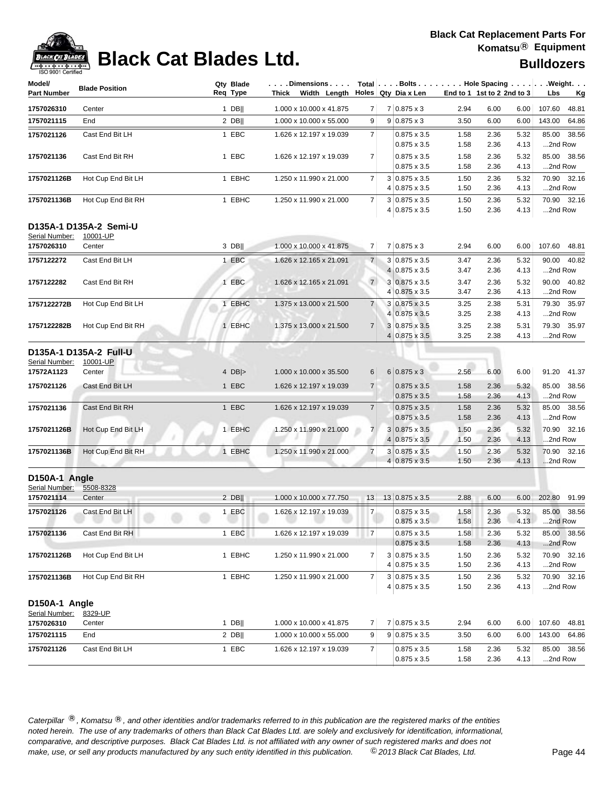| <b>190 and I Cellilled</b>   |                        |                       |                                                                                                                                                                                                    |                |                                              |              |                            |              |                        |
|------------------------------|------------------------|-----------------------|----------------------------------------------------------------------------------------------------------------------------------------------------------------------------------------------------|----------------|----------------------------------------------|--------------|----------------------------|--------------|------------------------|
| Model/<br><b>Part Number</b> | <b>Blade Position</b>  | Qty Blade<br>Req Type | $\vert \ldots$ . Dimensions $\ldots \vert$ Total $\vert \ldots$ . Bolts $\ldots \vert \ldots \vert$ . Hole Spacing $\ldots \vert \ldots \vert$ . Weight.<br>Thick Width Length Holes Qty Dia x Len |                |                                              |              | End to 1 1st to 2 2nd to 3 |              | Lbs<br><u>Kg</u>       |
| 1757026310                   | Center                 | $1$ DB                | 1.000 x 10.000 x 41.875                                                                                                                                                                            | 7              | $7 0.875 \times 3$                           | 2.94         | 6.00                       | 6.00         | 107.60<br>48.81        |
| 1757021115                   | End                    | $2$ DB                | 1.000 x 10.000 x 55.000                                                                                                                                                                            | 9              | $9 0.875 \times 3$                           | 3.50         | 6.00                       | 6.00         | 143.00<br>64.86        |
| 1757021126                   | Cast End Bit LH        | 1 EBC                 | 1.626 x 12.197 x 19.039                                                                                                                                                                            | $\overline{7}$ | $0.875 \times 3.5$                           | 1.58         | 2.36                       | 5.32         | 85.00 38.56            |
|                              |                        |                       |                                                                                                                                                                                                    |                | $0.875 \times 3.5$                           | 1.58         | 2.36                       | 4.13         | 2nd Row                |
| 1757021136                   | Cast End Bit RH        | 1 EBC                 | 1.626 x 12.197 x 19.039                                                                                                                                                                            | $\overline{7}$ | $0.875 \times 3.5$                           | 1.58         | 2.36                       | 5.32         | 85.00 38.56            |
|                              |                        |                       |                                                                                                                                                                                                    |                | $0.875 \times 3.5$                           | 1.58         | 2.36                       | 4.13         | 2nd Row                |
| 1757021126B                  | Hot Cup End Bit LH     | 1 EBHC                | 1.250 x 11.990 x 21.000                                                                                                                                                                            | $\overline{7}$ | $3 0.875 \times 3.5$                         | 1.50         | 2.36                       | 5.32         | 70.90 32.16            |
|                              |                        | 1 EBHC                | 1.250 x 11.990 x 21.000                                                                                                                                                                            | $\overline{7}$ | $4 0.875 \times 3.5$                         | 1.50         | 2.36                       | 4.13         | 2nd Row<br>70.90 32.16 |
| 1757021136B                  | Hot Cup End Bit RH     |                       |                                                                                                                                                                                                    |                | $3 0.875 \times 3.5$<br>4 0.875 x 3.5        | 1.50<br>1.50 | 2.36<br>2.36               | 5.32<br>4.13 | 2nd Row                |
|                              | D135A-1 D135A-2 Semi-U |                       |                                                                                                                                                                                                    |                |                                              |              |                            |              |                        |
| Serial Number:               | 10001-UP               |                       |                                                                                                                                                                                                    |                |                                              |              |                            |              |                        |
| 1757026310                   | Center                 | 3 DB                  | 1.000 x 10.000 x 41.875                                                                                                                                                                            | 7 <sup>1</sup> | $7 0.875 \times 3$                           | 2.94         | 6.00                       | 6.00         | 107.60 48.81           |
| 1757122272                   | Cast End Bit LH        | 1 EBC                 | 1.626 x 12.165 x 21.091                                                                                                                                                                            | 7              | $3 0.875 \times 3.5$                         | 3.47         | 2.36                       | 5.32         | 90.00 40.82            |
|                              |                        |                       |                                                                                                                                                                                                    |                | $4 0.875 \times 3.5$                         | 3.47         | 2.36                       | 4.13         | 2nd Row                |
| 1757122282                   | Cast End Bit RH        | 1 EBC                 | 1.626 x 12.165 x 21.091                                                                                                                                                                            | 7 <sup>1</sup> | $3 0.875 \times 3.5$                         | 3.47         | 2.36                       | 5.32         | 90.00 40.82            |
|                              |                        |                       |                                                                                                                                                                                                    |                | 4 0.875 x 3.5                                | 3.47         | 2.36                       | 4.13         | 2nd Row                |
| 1757122272B                  | Hot Cup End Bit LH     | 1 EBHC                | 1.375 x 13.000 x 21.500                                                                                                                                                                            | $\overline{7}$ | 3 0.875 x 3.5                                | 3.25         | 2.38                       | 5.31         | 79.30 35.97            |
|                              |                        |                       |                                                                                                                                                                                                    |                | 4 0.875 x 3.5                                | 3.25         | 2.38                       | 4.13         | 2nd Row                |
| 1757122282B                  | Hot Cup End Bit RH     | 1 EBHC                | 1.375 x 13.000 x 21.500                                                                                                                                                                            | $\overline{7}$ | 3 0.875 x 3.5                                | 3.25         | 2.38                       | 5.31         | 79.30 35.97            |
|                              |                        |                       |                                                                                                                                                                                                    |                | $4 0.875 \times 3.5 $                        | 3.25         | 2.38                       | 4.13         | 2nd Row                |
|                              | D135A-1 D135A-2 Full-U |                       |                                                                                                                                                                                                    |                |                                              |              |                            |              |                        |
| Serial Number:               | 10001-UP               |                       |                                                                                                                                                                                                    |                |                                              |              |                            |              |                        |
| 17572A1123                   | Center                 | 4 $DB$                | 1.000 x 10.000 x 35.500                                                                                                                                                                            | 6              | $6 0.875 \times 3$                           | 2.56         | 6.00                       | 6.00         | 91.20 41.37            |
| 1757021126                   | Cast End Bit LH        | 1 EBC                 | 1.626 x 12.197 x 19.039                                                                                                                                                                            | 7 <sup>1</sup> | $0.875 \times 3.5$                           | 1.58         | 2.36                       | 5.32         | 85.00 38.56            |
|                              |                        | 1 EBC                 | 1.626 x 12.197 x 19.039                                                                                                                                                                            | $\overline{7}$ | $0.875 \times 3.5$                           | 1.58         | 2.36                       | 4.13         | 2nd Row<br>85.00 38.56 |
| 1757021136                   | Cast End Bit RH        |                       |                                                                                                                                                                                                    |                | $0.875 \times 3.5$<br>$0.875 \times 3.5$     | 1.58<br>1.58 | 2.36<br>2.36               | 5.32<br>4.13 | 2nd Row                |
| 1757021126B                  | Hot Cup End Bit LH     | 1 EBHC                | 1.250 x 11.990 x 21.000                                                                                                                                                                            | 7 <sup>1</sup> | $3 0.875 \times 3.5$                         | 1.50         | 2.36                       | 5.32         | 70.90 32.16            |
|                              |                        |                       |                                                                                                                                                                                                    |                | $4 0.875 \times 3.5 $                        | 1.50         | 2.36                       | 4.13         | 2nd Row                |
| 1757021136B                  | Hot Cup End Bit RH     | 1 EBHC                | 1.250 x 11.990 x 21.000                                                                                                                                                                            | $\overline{7}$ | $3 0.875 \times 3.5$                         | 1.50         | 2.36                       | 5.32         | 70.90 32.16            |
|                              |                        |                       |                                                                                                                                                                                                    |                | $4 0.875 \times 3.5$                         | 1.50         | 2.36                       | 4.13         | 2nd Row                |
| D150A-1 Angle                |                        |                       |                                                                                                                                                                                                    |                |                                              |              |                            |              |                        |
| Serial Number:               | 5508-8328              |                       |                                                                                                                                                                                                    |                |                                              |              |                            |              |                        |
| 1757021114                   | Center                 | $2$ DB                | 1.000 x 10.000 x 77.750                                                                                                                                                                            | 13             | $13 0.875 \times 3.5$                        | 2.88         | 6.00                       | 6.00         | 202.80<br>91.99        |
| 1757021126                   | Cast End Bit LH        | 1 EBC                 | 1.626 x 12.197 x 19.039                                                                                                                                                                            | $\overline{7}$ | $0.875 \times 3.5$                           | 1.58         | 2.36                       | 5.32         | 85.00 38.56            |
|                              |                        |                       |                                                                                                                                                                                                    |                | $0.875 \times 3.5$                           | 1.58         | 2.36                       | 4.13         | 2nd Row                |
| 1757021136                   | Cast End Bit RH        | 1 EBC                 | 1.626 x 12.197 x 19.039                                                                                                                                                                            | $\overline{7}$ | $0.875 \times 3.5$                           | 1.58         | 2.36                       | 5.32         | 85.00 38.56            |
|                              |                        |                       |                                                                                                                                                                                                    |                | $0.875 \times 3.5$                           | 1.58         | 2.36                       | 4.13         | 2nd Row                |
| 1757021126B                  | Hot Cup End Bit LH     | 1 EBHC                | 1.250 x 11.990 x 21.000                                                                                                                                                                            | $\overline{7}$ | $3 0.875 \times 3.5$                         | 1.50         | 2.36                       | 5.32         | 70.90 32.16            |
|                              |                        |                       |                                                                                                                                                                                                    |                | 4 0.875 x 3.5                                | 1.50         | 2.36                       | 4.13         | 2nd Row                |
| 1757021136B                  | Hot Cup End Bit RH     | 1 EBHC                | 1.250 x 11.990 x 21.000                                                                                                                                                                            | 7              | $3 0.875 \times 3.5$<br>$4 0.875 \times 3.5$ | 1.50<br>1.50 | 2.36<br>2.36               | 5.32<br>4.13 | 70.90 32.16<br>2nd Row |
|                              |                        |                       |                                                                                                                                                                                                    |                |                                              |              |                            |              |                        |
| D150A-1 Angle                |                        |                       |                                                                                                                                                                                                    |                |                                              |              |                            |              |                        |
| Serial Number:<br>1757026310 | 8329-UP<br>Center      | $1$ DB                | 1.000 x 10.000 x 41.875                                                                                                                                                                            | 7              | 7 0.875 x 3.5                                | 2.94         | 6.00                       | 6.00         | 107.60<br>48.81        |
| 1757021115                   | End                    | $2$ DB                | 1.000 x 10.000 x 55.000                                                                                                                                                                            | 9              | $9 0.875 \times 3.5$                         | 3.50         | 6.00                       | 6.00         | 143.00<br>64.86        |
|                              |                        |                       |                                                                                                                                                                                                    |                |                                              |              |                            |              |                        |
| 1757021126                   | Cast End Bit LH        | 1 EBC                 | 1.626 x 12.197 x 19.039                                                                                                                                                                            | $\overline{7}$ | $0.875 \times 3.5$<br>$0.875 \times 3.5$     | 1.58<br>1.58 | 2.36<br>2.36               | 5.32<br>4.13 | 85.00 38.56<br>2nd Row |
|                              |                        |                       |                                                                                                                                                                                                    |                |                                              |              |                            |              |                        |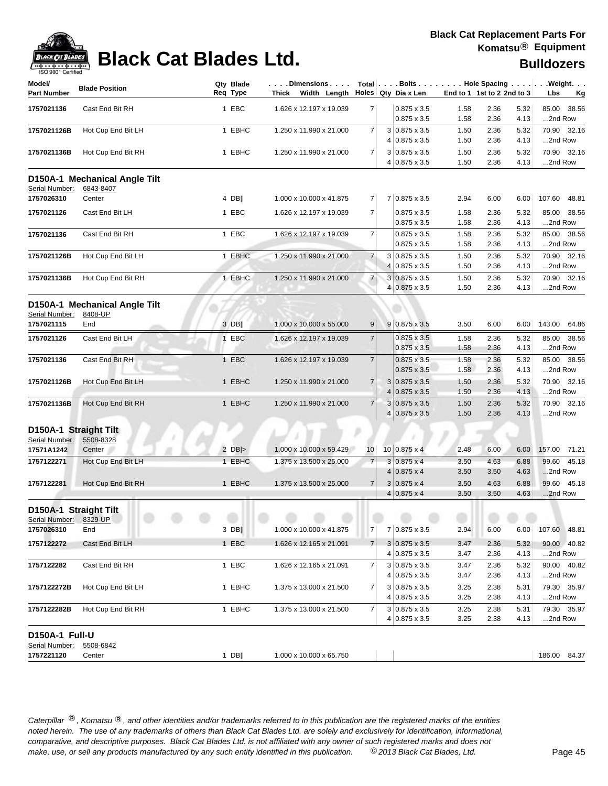

| Model/<br><b>Part Number</b> | <b>Blade Position</b>         | Qty Blade<br>Req Type | $ \ldots$ . Dimensions $\ldots$ . Total $ \ldots$ . Bolts $\ldots$ Hole Spacing $\ldots$ Weight.<br>Thick Width Length Holes Qty Dia x Len |                |                                       | End to 1 1st to 2 2nd to 3 |              |              | Lbs     | <u>Kg</u>    |
|------------------------------|-------------------------------|-----------------------|--------------------------------------------------------------------------------------------------------------------------------------------|----------------|---------------------------------------|----------------------------|--------------|--------------|---------|--------------|
|                              |                               |                       |                                                                                                                                            |                |                                       |                            |              |              |         |              |
| 1757021136                   | Cast End Bit RH               | 1 EBC                 | 1.626 x 12.197 x 19.039                                                                                                                    | 7 <sup>1</sup> | $0.875 \times 3.5$                    | 1.58                       | 2.36         | 5.32         |         | 85.00 38.56  |
|                              |                               |                       |                                                                                                                                            |                | $0.875 \times 3.5$                    | 1.58                       | 2.36         | 4.13         | 2nd Row |              |
| 1757021126B                  | Hot Cup End Bit LH            | 1 EBHC                | 1.250 x 11.990 x 21.000                                                                                                                    | $\overline{7}$ | 3 0.875 x 3.5                         | 1.50                       | 2.36         | 5.32         |         | 70.90 32.16  |
|                              |                               |                       |                                                                                                                                            |                | 4 0.875 x 3.5                         | 1.50                       | 2.36         | 4.13         | 2nd Row |              |
| 1757021136B                  | Hot Cup End Bit RH            | 1 EBHC                | 1.250 x 11.990 x 21.000                                                                                                                    | $\overline{7}$ | $3 0.875 \times 3.5$<br>4 0.875 x 3.5 | 1.50<br>1.50               | 2.36<br>2.36 | 5.32<br>4.13 | 2nd Row | 70.90 32.16  |
|                              | D150A-1 Mechanical Angle Tilt |                       |                                                                                                                                            |                |                                       |                            |              |              |         |              |
| Serial Number:               | 6843-8407                     |                       |                                                                                                                                            |                |                                       |                            |              |              |         |              |
| 1757026310                   | Center                        | 4 DB                  | 1.000 x 10.000 x 41.875                                                                                                                    | $\overline{7}$ | 7 0.875 x 3.5                         | 2.94                       | 6.00         | 6.00         |         | 107.60 48.81 |
| 1757021126                   | Cast End Bit LH               | 1 EBC                 | 1.626 x 12.197 x 19.039                                                                                                                    | $\overline{7}$ | $0.875 \times 3.5$                    | 1.58                       | 2.36         | 5.32         |         | 85.00 38.56  |
|                              |                               |                       |                                                                                                                                            |                | $0.875 \times 3.5$                    | 1.58                       | 2.36         | 4.13         | 2nd Row |              |
| 1757021136                   | Cast End Bit RH               | 1 EBC                 | 1.626 x 12.197 x 19.039                                                                                                                    | $\overline{7}$ | $0.875 \times 3.5$                    | 1.58                       | 2.36         | 5.32         |         | 85.00 38.56  |
|                              |                               |                       |                                                                                                                                            |                | $0.875 \times 3.5$                    | 1.58                       | 2.36         | 4.13         | 2nd Row |              |
| 1757021126B                  | Hot Cup End Bit LH            | 1 EBHC                | 1.250 x 11.990 x 21.000                                                                                                                    | $\overline{7}$ | $3 0.875 \times 3.5$                  | 1.50                       | 2.36         | 5.32         |         | 70.90 32.16  |
|                              |                               |                       |                                                                                                                                            |                | 4 0.875 x 3.5                         | 1.50                       | 2.36         | 4.13         | 2nd Row |              |
| 1757021136B                  | Hot Cup End Bit RH            | 1 EBHC                | 1.250 x 11.990 x 21.000                                                                                                                    | $\overline{7}$ | $3 0.875 \times 3.5$                  | 1.50                       | 2.36         | 5.32         |         | 70.90 32.16  |
|                              |                               |                       |                                                                                                                                            |                | 4 0.875 x 3.5                         | 1.50                       | 2.36         | 4.13         | 2nd Row |              |
|                              | D150A-1 Mechanical Angle Tilt |                       |                                                                                                                                            |                |                                       |                            |              |              |         |              |
| Serial Number:               | 8408-UP                       |                       |                                                                                                                                            |                |                                       |                            |              |              |         |              |
| 1757021115                   | End                           | 3 DB                  | 1.000 x 10.000 x 55.000                                                                                                                    | 9              | $9 0.875 \times 3.5$                  | 3.50                       | 6.00         | 6.00         |         | 143.00 64.86 |
| 1757021126                   | Cast End Bit LH               | 1 EBC                 | 1.626 x 12.197 x 19.039                                                                                                                    | $\overline{7}$ | $0.875 \times 3.5$                    | 1.58                       | 2.36         | 5.32         |         | 85.00 38.56  |
|                              |                               |                       |                                                                                                                                            |                | $0.875 \times 3.5$                    | 1.58                       | 2.36         | 4.13         | 2nd Row |              |
| 1757021136                   | Cast End Bit RH               | 1 EBC                 | 1.626 x 12.197 x 19.039                                                                                                                    | $\overline{7}$ | $0.875 \times 3.5$                    | 1.58                       | 2.36         | 5.32         |         | 85.00 38.56  |
|                              |                               |                       |                                                                                                                                            |                | $0.875 \times 3.5$                    | 1.58                       | 2.36         | 4.13         | 2nd Row |              |
| 1757021126B                  | Hot Cup End Bit LH            | 1 EBHC                | 1.250 x 11.990 x 21.000                                                                                                                    | $\overline{7}$ | $3 0.875 \times 3.5$                  | 1.50                       | 2.36         | 5.32         |         | 70.90 32.16  |
|                              |                               |                       |                                                                                                                                            |                | $4 0.875 \times 3.5$                  | 1.50                       | 2.36         | 4.13         | 2nd Row |              |
| 1757021136B                  | Hot Cup End Bit RH            | 1 EBHC                | 1.250 x 11.990 x 21.000                                                                                                                    | $\overline{7}$ | $3 0.875 \times 3.5$                  | 1.50                       | 2.36         | 5.32         |         | 70.90 32.16  |
|                              |                               |                       |                                                                                                                                            |                | 4 0.875 x 3.5                         | 1.50                       | 2.36         | 4.13         | 2nd Row |              |
| D150A-1 Straight Tilt        |                               |                       |                                                                                                                                            |                |                                       |                            |              |              |         |              |
| Serial Number:               | 5508-8328                     |                       |                                                                                                                                            |                |                                       |                            |              |              |         |              |
| 17571A1242                   | Center                        | $2$ DB  $>$           | $1.000 \times 10.000 \times 59.429$                                                                                                        | 10             | $10 0.875 \times 4$                   | 2.48                       | 6.00         | 6.00         |         | 157.00 71.21 |
| 1757122271                   | Hot Cup End Bit LH            | 1 EBHC                | 1.375 x 13.500 x 25.000                                                                                                                    | $\overline{7}$ | $3 0.875 \times 4$                    | 3.50                       | 4.63         | 6.88         |         | 99.60 45.18  |
|                              |                               |                       |                                                                                                                                            |                | $4 0.875 \times 4$                    | 3.50                       | 3.50         | 4.63         | 2nd Row |              |
| 1757122281                   | Hot Cup End Bit RH            | 1 EBHC                | 1.375 x 13.500 x 25.000                                                                                                                    | $\overline{7}$ | $3 0.875 \times 4$                    | 3.50                       | 4.63         | 6.88         |         | 99.60 45.18  |
|                              |                               |                       |                                                                                                                                            |                | $4 0.875 \times 4$                    | 3.50                       | 3.50         | 4.63         | 2nd Row |              |
| D150A-1 Straight Tilt        |                               |                       |                                                                                                                                            |                |                                       |                            |              |              |         |              |
| Serial Number:               | 8329-UP                       |                       |                                                                                                                                            |                |                                       |                            |              |              |         |              |
| 1757026310                   | End                           | $3$ DB                | 1.000 x 10.000 x 41.875                                                                                                                    | 7              | 7 0.875 x 3.5                         | 2.94                       | 6.00         | 6.00         |         | 107.60 48.81 |
| 1757122272                   | Cast End Bit LH               | 1 EBC                 | 1.626 x 12.165 x 21.091                                                                                                                    | 7 <sup>1</sup> | $3 0.875 \times 3.5$                  | 3.47                       | 2.36         | 5.32         |         | 90.00 40.82  |
|                              |                               |                       |                                                                                                                                            |                | $4 0.875 \times 3.5$                  | 3.47                       | 2.36         | 4.13         | 2nd Row |              |
| 1757122282                   | Cast End Bit RH               | 1 EBC                 | 1.626 x 12.165 x 21.091                                                                                                                    | 7              | $3 0.875 \times 3.5$                  | 3.47                       | 2.36         | 5.32         |         | 90.00 40.82  |
|                              |                               |                       |                                                                                                                                            |                | $4 0.875 \times 3.5$                  | 3.47                       | 2.36         | 4.13         | 2nd Row |              |
| 1757122272B                  | Hot Cup End Bit LH            | 1 EBHC                | 1.375 x 13.000 x 21.500                                                                                                                    | $\overline{7}$ | $3 0.875 \times 3.5$                  | 3.25                       | 2.38         | 5.31         |         | 79.30 35.97  |
|                              |                               |                       |                                                                                                                                            |                | $4 0.875 \times 3.5$                  | 3.25                       | 2.38         | 4.13         | 2nd Row |              |
| 1757122282B                  | Hot Cup End Bit RH            | 1 EBHC                | 1.375 x 13.000 x 21.500                                                                                                                    | $\overline{7}$ | $3 0.875 \times 3.5$                  | 3.25                       | 2.38         | 5.31         |         | 79.30 35.97  |
|                              |                               |                       |                                                                                                                                            |                | $4 0.875 \times 3.5$                  | 3.25                       | 2.38         | 4.13         | 2nd Row |              |
| D150A-1 Full-U               |                               |                       |                                                                                                                                            |                |                                       |                            |              |              |         |              |
| Serial Number:               | 5508-6842                     |                       |                                                                                                                                            |                |                                       |                            |              |              |         |              |
| 1757221120                   | Center                        | $1$ DB                | 1.000 x 10.000 x 65.750                                                                                                                    |                |                                       |                            |              |              |         | 186.00 84.37 |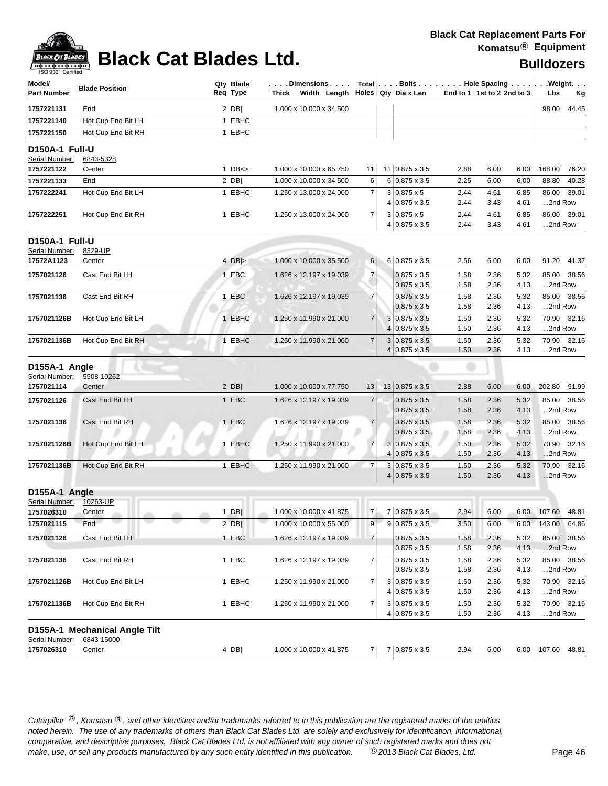| Model/<br><b>Part Number</b> | <b>Blade Position</b>         |              | Qty Blade<br>Req Type |                                     |                 |   | Dimensions   Total   Bolts    Hole Spacing     Weight<br>Thick Width Length Holes Qty Dia x Len | End to 1 1st to 2 2nd to $3$ |              |              | Lbs               | <u>Kg</u>    |
|------------------------------|-------------------------------|--------------|-----------------------|-------------------------------------|-----------------|---|-------------------------------------------------------------------------------------------------|------------------------------|--------------|--------------|-------------------|--------------|
| 1757221131                   | End                           |              | $2$ DB                | 1.000 x 10.000 x 34.500             |                 |   |                                                                                                 |                              |              |              |                   | 98.00 44.45  |
| 1757221140                   | Hot Cup End Bit LH            |              | 1 EBHC                |                                     |                 |   |                                                                                                 |                              |              |              |                   |              |
| 1757221150                   | Hot Cup End Bit RH            |              | 1 EBHC                |                                     |                 |   |                                                                                                 |                              |              |              |                   |              |
| D150A-1 Full-U               |                               |              |                       |                                     |                 |   |                                                                                                 |                              |              |              |                   |              |
| Serial Number:               | 6843-5328                     |              |                       |                                     |                 |   |                                                                                                 |                              |              |              |                   |              |
| 1757221122                   | Center                        |              | $1$ DB $\leq$         | 1.000 x 10.000 x 65.750             | 11 <sub>1</sub> |   | 11 0.875 x 3.5                                                                                  | 2.88                         | 6.00         | 6.00         |                   | 168.00 76.20 |
| 1757221133                   | End                           |              | $2$ DB                | 1.000 x 10.000 x 34.500             | 6               |   | 6 0.875 x 3.5                                                                                   | 2.25                         | 6.00         | 6.00         |                   | 88.80 40.28  |
| 1757222241                   | Hot Cup End Bit LH            |              | 1 EBHC                | 1.250 x 13.000 x 24.000             | $\overline{7}$  |   | $3 0.875 \times 5$                                                                              | 2.44                         | 4.61         | 6.85         |                   | 86.00 39.01  |
|                              |                               |              |                       |                                     |                 |   | 4 0.875 x 3.5                                                                                   | 2.44                         | 3.43         | 4.61         | 2nd Row           |              |
| 1757222251                   | Hot Cup End Bit RH            |              | 1 EBHC                | 1.250 x 13.000 x 24.000             | $\overline{7}$  |   | $3 0.875 \times 5$<br>4 0.875 x 3.5                                                             | 2.44<br>2.44                 | 4.61<br>3.43 | 6.85<br>4.61 | 2nd Row           | 86.00 39.01  |
| D150A-1 Full-U               |                               |              |                       |                                     |                 |   |                                                                                                 |                              |              |              |                   |              |
| Serial Number:               | 8329-UP                       |              |                       |                                     |                 |   |                                                                                                 |                              |              |              |                   |              |
| 17572A1123                   | Center                        |              | 4 $DB$ $>$            | 1.000 x 10.000 x 35.500             | $6 \mid$        |   | 6 0.875 x 3.5                                                                                   | 2.56                         | 6.00         | 6.00         |                   | 91.20 41.37  |
| 1757021126                   | Cast End Bit LH               |              | 1 EBC                 | 1.626 x 12.197 x 19.039             | $\overline{7}$  |   | $0.875 \times 3.5$                                                                              | 1.58                         | 2.36         | 5.32         |                   | 85.00 38.56  |
|                              |                               |              |                       |                                     |                 |   | $0.875 \times 3.5$                                                                              | 1.58                         | 2.36         | 4.13         | 2nd Row           |              |
| 1757021136                   | Cast End Bit RH               |              | 1 EBC                 | 1.626 x 12.197 x 19.039             | $\overline{7}$  |   | $0.875 \times 3.5$                                                                              | 1.58                         | 2.36         | 5.32         |                   | 85.00 38.56  |
|                              |                               |              |                       |                                     |                 |   | $0.875 \times 3.5$                                                                              | 1.58                         | 2.36         | 4.13         | 2nd Row           |              |
| 1757021126B                  | Hot Cup End Bit LH            |              | 1 EBHC                | 1.250 x 11.990 x 21.000             | $\overline{7}$  |   | $3 0.875 \times 3.5$                                                                            | 1.50                         | 2.36         | 5.32         |                   | 70.90 32.16  |
|                              |                               |              |                       |                                     |                 |   | 4 0.875 x 3.5                                                                                   | 1.50                         | 2.36         | 4.13         | 2nd Row           |              |
| 1757021136B                  | Hot Cup End Bit RH            |              | 1 EBHC                | 1.250 x 11.990 x 21.000             | $\overline{7}$  |   | $3 0.875 \times 3.5$                                                                            | 1.50                         | 2.36         | 5.32         |                   | 70.90 32.16  |
|                              |                               |              |                       |                                     |                 |   | $4 0.875 \times 3.5$                                                                            | 1.50                         | 2.36         | 4.13         | 2nd Row           |              |
| D155A-1 Angle                |                               |              |                       |                                     |                 |   |                                                                                                 |                              |              |              |                   |              |
| Serial Number:               | 5508-10262                    |              |                       |                                     |                 |   |                                                                                                 |                              |              |              |                   |              |
| 1757021114                   | Center                        |              | $2$ DB                | 1.000 x 10.000 x 77.750             | 13              |   | $13 0.875 \times 3.5$                                                                           | 2.88                         | 6.00         | 6.00         | 202.80 91.99      |              |
| 1757021126                   | Cast End Bit LH               |              | 1 EBC                 | 1.626 x 12.197 x 19.039             | $\overline{7}$  |   | $0.875 \times 3.5$                                                                              | 1.58                         | 2.36         | 5.32         |                   | 85.00 38.56  |
|                              |                               |              |                       |                                     |                 |   | $0.875 \times 3.5$                                                                              | 1.58                         | 2.36         | 4.13         | 2nd Row           |              |
| 1757021136                   | Cast End Bit RH               |              | 1 EBC                 | 1.626 x 12.197 x 19.039             | $\overline{7}$  |   | $0.875 \times 3.5$                                                                              | 1.58                         | 2.36         | 5.32         |                   | 85.00 38.56  |
|                              |                               |              |                       |                                     |                 |   | $0.875 \times 3.5$                                                                              | 1.58                         | 2.36         | 4.13         | 2nd Row           |              |
| 1757021126B                  | Hot Cup End Bit LH            | $\mathbf{1}$ | <b>EBHC</b>           | 1.250 x 11.990 x 21.000             | $\overline{7}$  | 4 | $3 0.875 \times 3.5$<br>$0.875 \times 3.5$                                                      | 1.50<br>1.50                 | 2.36<br>2.36 | 5.32<br>4.13 | 2nd Row           | 70.90 32.16  |
|                              |                               |              |                       |                                     | $\overline{7}$  |   |                                                                                                 |                              | 2.36         |              |                   | 70.90 32.16  |
| 1757021136B                  | Hot Cup End Bit RH            |              | 1 EBHC                | 1.250 x 11.990 x 21.000             |                 |   | $3 0.875 \times 3.5$<br>$4 0.875 \times 3.5$                                                    | 1.50<br>1.50                 | 2.36         | 5.32<br>4.13 | 2nd Row           |              |
|                              |                               |              |                       |                                     |                 |   |                                                                                                 |                              |              |              |                   |              |
| D155A-1 Angle                |                               |              |                       |                                     |                 |   |                                                                                                 |                              |              |              |                   |              |
| Serial Number:               | 10263-UP                      |              | $1$ DB                | 1.000 x 10.000 x 41.875             | 7 <sup>1</sup>  |   | 7 0.875 x 3.5                                                                                   | 2.94                         | 6.00         |              | 6.00 107.60 48.81 |              |
| 1757026310                   | Center<br>olla.<br>m<br>End   |              |                       | 1.000 x 10.000 x 55.000             |                 |   | $9 0.875 \times 3.5$                                                                            |                              |              |              |                   |              |
| 1757021115                   |                               |              | 2 DB                  |                                     | 9               |   |                                                                                                 | 3.50                         | 6.00         | 6.00         | 143.00 64.86      |              |
| 1757021126                   | Cast End Bit LH               |              | 1 EBC                 | 1.626 x 12.197 x 19.039             | $\overline{7}$  |   | $0.875 \times 3.5$                                                                              | 1.58                         | 2.36         | 5.32         |                   | 85.00 38.56  |
|                              |                               |              |                       |                                     |                 |   | $0.875 \times 3.5$                                                                              | 1.58                         | 2.36         | 4.13         | 2nd Row           |              |
| 1757021136                   | Cast End Bit RH               |              | 1 EBC                 | 1.626 x 12.197 x 19.039             | 7               |   | $0.875 \times 3.5$                                                                              | 1.58                         | 2.36         | 5.32         |                   | 85.00 38.56  |
|                              |                               |              |                       |                                     |                 |   | $0.875 \times 3.5$                                                                              | 1.58                         | 2.36         | 4.13         | 2nd Row           |              |
| 1757021126B                  | Hot Cup End Bit LH            |              | 1 EBHC                | 1.250 x 11.990 x 21.000             | $\overline{7}$  |   | $3 0.875 \times 3.5$<br>$4 0.875 \times 3.5$                                                    | 1.50                         | 2.36         | 5.32         |                   | 70.90 32.16  |
|                              |                               |              | 1 EBHC                |                                     | $\overline{7}$  |   | $3 0.875 \times 3.5$                                                                            | 1.50                         | 2.36         | 4.13         | 2nd Row           | 70.90 32.16  |
| 1757021136B                  | Hot Cup End Bit RH            |              |                       | 1.250 x 11.990 x 21.000             |                 |   | $4 0.875 \times 3.5$                                                                            | 1.50<br>1.50                 | 2.36<br>2.36 | 5.32<br>4.13 | 2nd Row           |              |
|                              | D155A-1 Mechanical Angle Tilt |              |                       |                                     |                 |   |                                                                                                 |                              |              |              |                   |              |
| Serial Number:               | 6843-15000                    |              |                       |                                     |                 |   |                                                                                                 |                              |              |              |                   |              |
| 1757026310                   | Center                        |              | $4$ DB                | $1.000 \times 10.000 \times 41.875$ |                 |   | $7 \mid 7 \mid 0.875 \times 3.5$                                                                | 2.94                         | 6.00         |              | 6.00 107.60 48.81 |              |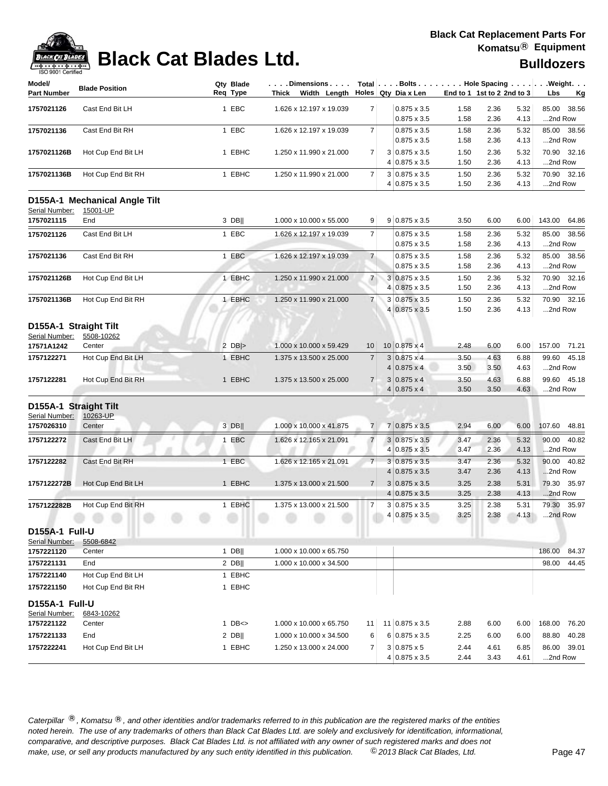

| Model/                           | <b>Blade Position</b>         | Qty Blade<br>Reg Type | Dimensions   Total   Bolts    Hole Spacing    Weight<br>Thick Width Length $\vert$ Holes Qty Dia x Len |                |                                              | End to 1 1st to 2 2nd to 3 |              |              |                        |           |
|----------------------------------|-------------------------------|-----------------------|--------------------------------------------------------------------------------------------------------|----------------|----------------------------------------------|----------------------------|--------------|--------------|------------------------|-----------|
| <b>Part Number</b>               |                               |                       |                                                                                                        |                |                                              |                            |              |              | Lbs                    | <u>Kg</u> |
| 1757021126                       | Cast End Bit LH               | 1 EBC                 | 1.626 x 12.197 x 19.039                                                                                | 7              | $0.875 \times 3.5$                           | 1.58                       | 2.36         | 5.32         | 38.56<br>85.00         |           |
|                                  |                               |                       |                                                                                                        |                | $0.875 \times 3.5$                           | 1.58                       | 2.36         | 4.13         | 2nd Row                |           |
| 1757021136                       | Cast End Bit RH               | 1 EBC                 | 1.626 x 12.197 x 19.039                                                                                | 7 <sup>1</sup> | $0.875 \times 3.5$                           | 1.58                       | 2.36         | 5.32         | 85.00 38.56            |           |
|                                  |                               |                       |                                                                                                        |                | $0.875 \times 3.5$                           | 1.58                       | 2.36         | 4.13         | 2nd Row                |           |
| 1757021126B                      | Hot Cup End Bit LH            | 1 EBHC                | 1.250 x 11.990 x 21.000                                                                                | 7              | 3 0.875 x 3.5<br>4 0.875 x 3.5               | 1.50<br>1.50               | 2.36<br>2.36 | 5.32<br>4.13 | 70.90 32.16<br>2nd Row |           |
|                                  |                               |                       |                                                                                                        |                |                                              |                            |              |              |                        |           |
| 1757021136B                      | Hot Cup End Bit RH            | 1 EBHC                | 1.250 x 11.990 x 21.000                                                                                | $\overline{7}$ | $3 0.875 \times 3.5$<br>$4 0.875 \times 3.5$ | 1.50<br>1.50               | 2.36<br>2.36 | 5.32<br>4.13 | 70.90 32.16<br>2nd Row |           |
|                                  | D155A-1 Mechanical Angle Tilt |                       |                                                                                                        |                |                                              |                            |              |              |                        |           |
| Serial Number:                   | 15001-UP                      |                       |                                                                                                        |                |                                              |                            |              |              |                        |           |
| 1757021115                       | End                           | 3 DB                  | 1.000 x 10.000 x 55.000                                                                                | 9              | $9 0.875 \times 3.5$                         | 3.50                       | 6.00         | 6.00         | 143.00<br>64.86        |           |
| 1757021126                       | Cast End Bit LH               | 1 EBC                 | 1.626 x 12.197 x 19.039                                                                                | 7              | $0.875 \times 3.5$                           | 1.58                       | 2.36         | 5.32         | 85.00<br>38.56         |           |
|                                  |                               |                       |                                                                                                        |                | $0.875 \times 3.5$                           | 1.58                       | 2.36         | 4.13         | 2nd Row                |           |
| 1757021136                       | Cast End Bit RH               | 1 EBC                 | 1.626 x 12.197 x 19.039                                                                                | $\overline{7}$ | $0.875 \times 3.5$                           | 1.58                       | 2.36         | 5.32         | 85.00<br>38.56         |           |
|                                  |                               |                       |                                                                                                        |                | $0.875 \times 3.5$                           | 1.58                       | 2.36         | 4.13         | 2nd Row                |           |
| 1757021126B                      | Hot Cup End Bit LH            | 1 EBHC                | 1.250 x 11.990 x 21.000                                                                                | $\overline{7}$ | $3 0.875 \times 3.5$                         | 1.50                       | 2.36         | 5.32         | 70.90<br>32.16         |           |
|                                  |                               |                       |                                                                                                        |                | 4 0.875 x 3.5                                | 1.50                       | 2.36         | 4.13         | 2nd Row                |           |
| 1757021136B                      | Hot Cup End Bit RH            | 1 EBHC                | 1.250 x 11.990 x 21.000                                                                                | 7              | 3 0.875 x 3.5                                | 1.50                       | 2.36         | 5.32         | 70.90 32.16            |           |
|                                  |                               |                       |                                                                                                        |                | 4 0.875 x 3.5                                | 1.50                       | 2.36         | 4.13         | 2nd Row                |           |
| D155A-1 Straight Tilt            |                               |                       |                                                                                                        |                |                                              |                            |              |              |                        |           |
| Serial Number:                   | 5508-10262                    |                       |                                                                                                        |                |                                              |                            |              |              |                        |           |
| 17571A1242                       | Center                        | $2$ DB >              | 1.000 x 10.000 x 59.429                                                                                | 10             | $10 0.875 \times 4$                          | 2.48                       | 6.00         | 6.00         | 157.00 71.21           |           |
| 1757122271                       | Hot Cup End Bit LH            | 1 EBHC                | 1.375 x 13.500 x 25.000                                                                                | $\overline{7}$ | $3 0.875 \times 4$                           | 3.50                       | 4.63         | 6.88         | 99.60<br>45.18         |           |
|                                  |                               |                       |                                                                                                        |                | $4 0.875 \times 4$                           | 3.50                       | 3.50         | 4.63         | 2nd Row                |           |
| 1757122281                       | Hot Cup End Bit RH            | 1 EBHC                | 1.375 x 13.500 x 25.000                                                                                | $\overline{7}$ | $3 0.875 \times 4$                           | 3.50                       | 4.63         | 6.88         | 99.60 45.18            |           |
|                                  |                               |                       |                                                                                                        |                | $4 0.875 \times 4$                           | 3.50                       | 3.50         | 4.63         | 2nd Row                |           |
| D155A-1 Straight Tilt            |                               |                       |                                                                                                        |                |                                              |                            |              |              |                        |           |
| Serial Number:                   | 10263-UP                      |                       |                                                                                                        |                |                                              |                            |              |              |                        |           |
| 1757026310                       | Center                        | 3 DB                  | 1.000 x 10.000 x 41.875                                                                                | 7              | 7 0.875 x 3.5                                | 2.94                       | 6.00         | 6.00         | 107.60<br>48.81        |           |
| 1757122272                       | Cast End Bit LH               | 1 EBC                 | 1.626 x 12.165 x 21.091                                                                                | $\overline{7}$ | $3 0.875 \times 3.5$                         | 3.47                       | 2.36         | 5.32         | 90.00<br>40.82         |           |
|                                  |                               |                       |                                                                                                        |                | $4 0.875 \times 3.5$                         | 3.47                       | 2.36         | 4.13         | 2nd Row                |           |
| 1757122282                       | Cast End Bit RH               | 1 EBC                 | 1.626 x 12.165 x 21.091                                                                                | 7 <sup>1</sup> | $3 0.875 \times 3.5$                         | 3.47                       | 2.36         | 5.32         | 90.00 40.82            |           |
|                                  |                               |                       |                                                                                                        |                | $4 0.875 \times 3.5$                         | 3.47                       | 2.36         | 4.13         | 2nd Row                |           |
| 1757122272B                      | Hot Cup End Bit LH            | 1 EBHC                | 1.375 x 13.000 x 21.500                                                                                | 7 <sup>1</sup> | $3 0.875 \times 3.5$                         | 3.25                       | 2.38         | 5.31         | 79.30 35.97            |           |
|                                  |                               |                       |                                                                                                        |                | $4 0.875 \times 3.5$                         | 3.25                       | 2.38         | 4.13         | 2nd Row                |           |
| 1757122282B                      | Hot Cup End Bit RH            | 1 EBHC                | 1.375 x 13.000 x 21.500                                                                                | $\overline{7}$ | $3 0.875 \times 3.5$                         | 3.25                       | 2.38         | 5.31         | 79.30 35.97            |           |
|                                  |                               |                       | <b>ASSAULTS</b>                                                                                        |                | 4 0.875 x 3.5                                | 3.25                       | 2.38         | 4.13         | 2nd Row                |           |
| D155A-1 Full-U                   |                               |                       |                                                                                                        |                |                                              |                            |              |              |                        |           |
| Serial Number:                   | 5508-6842                     |                       |                                                                                                        |                |                                              |                            |              |              |                        |           |
| 1757221120                       | Center                        | $1$ DB                | 1.000 x 10.000 x 65.750                                                                                |                |                                              |                            |              |              | 186.00<br>84.37        |           |
| 1757221131                       | End                           | $2$ DB                | 1.000 x 10.000 x 34.500                                                                                |                |                                              |                            |              |              | 44.45<br>98.00         |           |
| 1757221140                       | Hot Cup End Bit LH            | 1 EBHC                |                                                                                                        |                |                                              |                            |              |              |                        |           |
| 1757221150                       | Hot Cup End Bit RH            | 1 EBHC                |                                                                                                        |                |                                              |                            |              |              |                        |           |
|                                  |                               |                       |                                                                                                        |                |                                              |                            |              |              |                        |           |
| D155A-1 Full-U<br>Serial Number: | 6843-10262                    |                       |                                                                                                        |                |                                              |                            |              |              |                        |           |
| 1757221122                       | Center                        | $1$ DB $\lt$          | 1.000 x 10.000 x 65.750                                                                                | 11             | 11 0.875 x 3.5                               | 2.88                       | 6.00         | 6.00         | 168.00<br>76.20        |           |
| 1757221133                       | End                           | $2$ DB                | 1.000 x 10.000 x 34.500                                                                                | 6              | $6 0.875 \times 3.5$                         | 2.25                       | 6.00         | 6.00         | 40.28<br>88.80         |           |
| 1757222241                       | Hot Cup End Bit LH            | 1 EBHC                | 1.250 x 13.000 x 24.000                                                                                | 7              | $3 0.875 \times 5$                           | 2.44                       | 4.61         | 6.85         | 86.00 39.01            |           |
|                                  |                               |                       |                                                                                                        |                | 4 0.875 x 3.5                                | 2.44                       | 3.43         | 4.61         | 2nd Row                |           |
|                                  |                               |                       |                                                                                                        |                |                                              |                            |              |              |                        |           |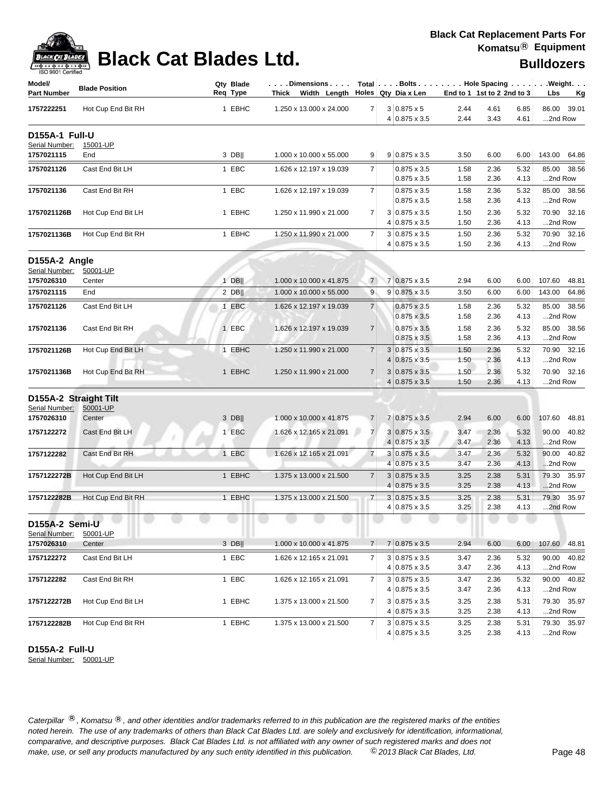| ack Cat B |
|-----------|
| 81 L      |

| Model/<br><b>Part Number</b>     | <b>Blade Position</b> | Qty Blade<br>Req Type | .Dimensions<br>Thick Width Length |                     | Total $\vert \ldots$ . Bolts $\ldots \vert \ldots$ . Hole Spacing $\ldots \vert \ldots$ .<br>Holes Qty Dia x Len |              | End to 1 1st to 2 2nd to 3 |              | Lbs              | .Weight.<br><u>Kg</u>  |
|----------------------------------|-----------------------|-----------------------|-----------------------------------|---------------------|------------------------------------------------------------------------------------------------------------------|--------------|----------------------------|--------------|------------------|------------------------|
| 1757222251                       | Hot Cup End Bit RH    | 1 EBHC                | 1.250 x 13.000 x 24.000           | $\overline{7}$      | $3 0.875 \times 5$                                                                                               | 2.44         | 4.61                       | 6.85         | 86.00            | 39.01                  |
|                                  |                       |                       |                                   |                     | 4 0.875 x 3.5                                                                                                    | 2.44         | 3.43                       | 4.61         |                  | 2nd Row                |
| D155A-1 Full-U<br>Serial Number: | 15001-UP              |                       |                                   |                     |                                                                                                                  |              |                            |              |                  |                        |
| 1757021115                       | End                   | 3 DB                  | 1.000 x 10.000 x 55.000           | 9                   | $9 0.875 \times 3.5$                                                                                             | 3.50         | 6.00                       | 6.00         |                  | 143.00 64.86           |
| 1757021126                       | Cast End Bit LH       | 1 EBC                 | 1.626 x 12.197 x 19.039           | $\overline{7}$      | $0.875 \times 3.5$                                                                                               | 1.58         | 2.36                       | 5.32         |                  | 85.00 38.56            |
|                                  |                       |                       |                                   |                     | $0.875 \times 3.5$                                                                                               | 1.58         | 2.36                       | 4.13         | 2nd Row          |                        |
| 1757021136                       | Cast End Bit RH       | 1 EBC                 | 1.626 x 12.197 x 19.039           | $\overline{7}$      | $0.875 \times 3.5$                                                                                               | 1.58         | 2.36                       | 5.32         |                  | 85.00 38.56            |
|                                  |                       |                       |                                   |                     | 0.875 x 3.5                                                                                                      | 1.58         | 2.36                       | 4.13         | 2nd Row          |                        |
| 1757021126B                      | Hot Cup End Bit LH    | 1 EBHC                | 1.250 x 11.990 x 21.000           | $\overline{7}$      | $3 0.875 \times 3.5$                                                                                             | 1.50         | 2.36                       | 5.32         |                  | 70.90 32.16            |
|                                  |                       |                       |                                   |                     | $4 0.875 \times 3.5$                                                                                             | 1.50         | 2.36                       | 4.13         | 2nd Row          |                        |
| 1757021136B                      | Hot Cup End Bit RH    | 1 EBHC                | 1.250 x 11.990 x 21.000           | $\overline{7}$      | $3 0.875 \times 3.5$<br>4 0.875 x 3.5                                                                            | 1.50<br>1.50 | 2.36<br>2.36               | 5.32<br>4.13 |                  | 70.90 32.16<br>2nd Row |
|                                  |                       |                       |                                   |                     |                                                                                                                  |              |                            |              |                  |                        |
| D155A-2 Angle                    |                       |                       |                                   |                     |                                                                                                                  |              |                            |              |                  |                        |
| Serial Number:                   | 50001-UP<br>Center    | $1$ DB                | 1.000 x 10.000 x 41.875           |                     | 7 0.875 x 3.5                                                                                                    | 2.94         |                            | 6.00         | 107.60           |                        |
| 1757026310                       | End                   |                       | 1.000 x 10.000 x 55.000           | $\overline{7}$<br>9 | $9 0.875 \times 3.5$                                                                                             | 3.50         | 6.00<br>6.00               | 6.00         | 143.00           | 48.81                  |
| 1757021115                       |                       | $2$ DB                |                                   |                     |                                                                                                                  |              |                            |              |                  | 64.86                  |
| 1757021126                       | Cast End Bit LH       | 1 EBC                 | 1.626 x 12.197 x 19.039           | $\overline{7}$      | $0.875 \times 3.5$                                                                                               | 1.58         | 2.36                       | 5.32         | 85.00            | 38.56                  |
|                                  |                       |                       |                                   |                     | $0.875 \times 3.5$                                                                                               | 1.58         | 2.36                       | 4.13         | 2nd Row          |                        |
| 1757021136                       | Cast End Bit RH       | 1 EBC                 | 1.626 x 12.197 x 19.039           | $\overline{7}$      | $0.875 \times 3.5$<br>$0.875 \times 3.5$                                                                         | 1.58<br>1.58 | 2.36<br>2.36               | 5.32<br>4.13 | 85.00<br>2nd Row | 38.56                  |
| 1757021126B                      | Hot Cup End Bit LH    | 1 EBHC                | 1.250 x 11.990 x 21.000           | $\overline{7}$      | $3 0.875 \times 3.5$                                                                                             | 1.50         | 2.36                       | 5.32         | 70.90            | 32.16                  |
|                                  |                       |                       |                                   |                     | $4 0.875 \times 3.5$                                                                                             | 1.50         | 2.36                       | 4.13         | 2nd Row          |                        |
| 1757021136B                      | Hot Cup End Bit RH    | 1 EBHC                | 1.250 x 11.990 x 21.000           | $\overline{7}$      | $3 0.875 \times 3.5$                                                                                             | 1.50         | 2.36                       | 5.32         |                  | 70.90 32.16            |
|                                  |                       |                       |                                   |                     | $4 0.875 \times 3.5$                                                                                             | 1.50         | 2.36                       | 4.13         |                  | 2nd Row                |
| D155A-2 Straight Tilt            |                       |                       |                                   |                     |                                                                                                                  |              |                            |              |                  |                        |
| Serial Number:                   | 50001-UP              |                       |                                   |                     |                                                                                                                  |              |                            |              |                  |                        |
| 1757026310                       | Center                | 3 DB                  | 1.000 x 10.000 x 41.875           | $\overline{7}$      | 7 0.875 x 3.5                                                                                                    | 2.94         | 6.00                       | 6.00         |                  | 107.60 48.81           |
| 1757122272                       | Cast End Bit LH       | 1 EBC                 | 1.626 x 12.165 x 21.091           | $\overline{7}$      | $3 0.875 \times 3.5 $                                                                                            | 3.47         | 2.36                       | 5.32         |                  | 90.00 40.82            |
|                                  |                       |                       |                                   |                     | $4 0.875 \times 3.5$                                                                                             | 3.47         | 2.36                       | 4.13         | 2nd Row          |                        |
| 1757122282                       | Cast End Bit RH       | 1 EBC                 | 1.626 x 12.165 x 21.091           | $\overline{7}$      | $3 0.875 \times 3.5$                                                                                             | 3.47         | 2.36                       | 5.32         |                  | 90.00 40.82            |
|                                  |                       |                       |                                   |                     | $4 0.875 \times 3.5$                                                                                             | 3.47         | 2.36                       | 4.13         | 2nd Row          |                        |
| 1757122272B                      | Hot Cup End Bit LH    | 1 EBHC                | 1.375 x 13.000 x 21.500           | $\overline{7}$      | $3 0.875 \times 3.5$                                                                                             | 3.25         | 2.38                       | 5.31         | 2nd Row          | 79.30 35.97            |
|                                  |                       |                       |                                   |                     | $4 0.875 \times 3.5$                                                                                             | 3.25         | 2.38                       | 4.13         |                  |                        |
| 1757122282B                      | Hot Cup End Bit RH    | 1 EBHC                | 1.375 x 13.000 x 21.500           | $\overline{7}$      | $3 0.875 \times 3.5$<br>4 0.875 x 3.5                                                                            | 3.25<br>3.25 | 2.38<br>2.38               | 5.31<br>4.13 | 2nd Row          | 79.30 35.97            |
|                                  |                       |                       |                                   |                     |                                                                                                                  |              |                            |              |                  |                        |
| D155A-2 Semi-U                   |                       |                       |                                   |                     |                                                                                                                  |              |                            |              |                  |                        |
| Serial Number:<br>1757026310     | 50001-UP<br>Center    | 3 DB                  | 1.000 x 10.000 x 41.875           | 7                   | 7 0.875 x 3.5                                                                                                    | 2.94         | 6.00                       | 6.00         |                  | 107.60 48.81           |
|                                  |                       |                       |                                   | $\overline{7}$      |                                                                                                                  |              |                            |              |                  |                        |
| 1757122272                       | Cast End Bit LH       | 1 EBC                 | 1.626 x 12.165 x 21.091           |                     | $3 0.875 \times 3.5$<br>$4 0.875 \times 3.5$                                                                     | 3.47<br>3.47 | 2.36<br>2.36               | 5.32<br>4.13 |                  | 90.00 40.82<br>2nd Row |
| 1757122282                       | Cast End Bit RH       | 1 EBC                 | 1.626 x 12.165 x 21.091           | $\overline{7}$      | $3 0.875 \times 3.5$                                                                                             | 3.47         | 2.36                       | 5.32         |                  | 90.00 40.82            |
|                                  |                       |                       |                                   |                     | $4 0.875 \times 3.5$                                                                                             | 3.47         | 2.36                       | 4.13         |                  | 2nd Row                |
| 1757122272B                      | Hot Cup End Bit LH    | 1 EBHC                | 1.375 x 13.000 x 21.500           | 7                   | $3 0.875 \times 3.5$                                                                                             | 3.25         | 2.38                       | 5.31         |                  | 79.30 35.97            |
|                                  |                       |                       |                                   |                     | $4 0.875 \times 3.5$                                                                                             | 3.25         | 2.38                       | 4.13         |                  | 2nd Row                |
| 1757122282B                      | Hot Cup End Bit RH    | 1 EBHC                | 1.375 x 13.000 x 21.500           | 7                   | $3 0.875 \times 3.5$                                                                                             | 3.25         | 2.38                       | 5.31         |                  | 79.30 35.97            |
|                                  |                       |                       |                                   |                     | $4 0.875 \times 3.5$                                                                                             | 3.25         | 2.38                       | 4.13         |                  | 2nd Row                |

### **D155A-2 Full-U**

Serial Number: 50001-UP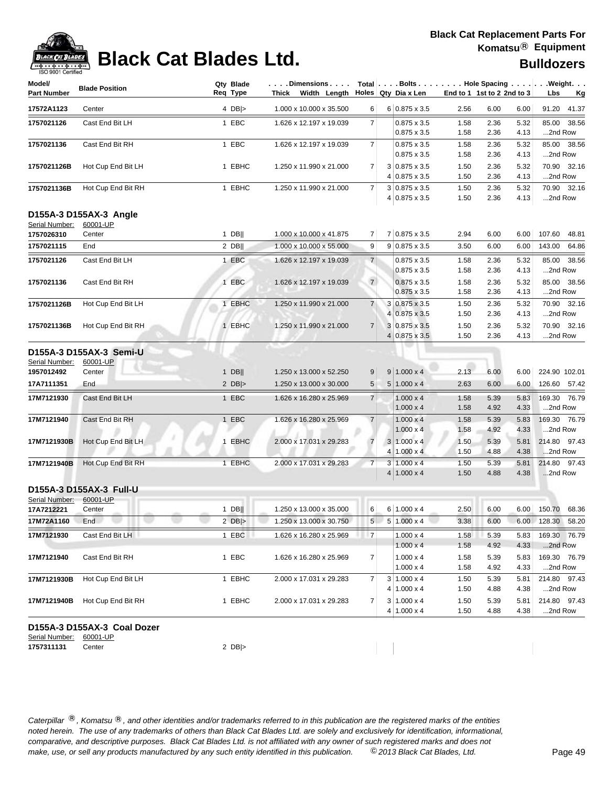# **BLADES**

### **Black Cat Blades Ltd. Black Cat Blades Ltd.**

|  | <b>Bulldozers</b> |
|--|-------------------|
|--|-------------------|

| ISO 9001 Certified<br>Model/ |                                               | Qty Blade  | .Dimensions                                    |                |                                                                |                      |                            |                      | Total Bolts Hole Spacing Weight.   |
|------------------------------|-----------------------------------------------|------------|------------------------------------------------|----------------|----------------------------------------------------------------|----------------------|----------------------------|----------------------|------------------------------------|
| <b>Part Number</b>           | <b>Blade Position</b>                         | Req Type   | Thick Width Length $\vert$ Holes Qty Dia x Len |                |                                                                |                      | End to 1 1st to 2 2nd to 3 |                      | Lbs<br><u>Kg</u>                   |
| 17572A1123                   | Center                                        | 4 $DB$     | 1.000 x 10.000 x 35.500                        | 6              | $6 0.875 \times 3.5$                                           | 2.56                 | 6.00                       | 6.00                 | 91.20 41.37                        |
| 1757021126                   | Cast End Bit LH                               | 1 EBC      | 1.626 x 12.197 x 19.039                        | $\overline{7}$ | $0.875 \times 3.5$<br>$0.875 \times 3.5$                       | 1.58<br>1.58         | 2.36<br>2.36               | 5.32<br>4.13         | 85.00 38.56<br>2nd Row             |
| 1757021136                   | Cast End Bit RH                               | 1 EBC      | 1.626 x 12.197 x 19.039                        | $\overline{7}$ | $0.875 \times 3.5$<br>$0.875 \times 3.5$                       | 1.58<br>1.58         | 2.36<br>2.36               | 5.32<br>4.13         | 85.00 38.56<br>2nd Row             |
| 1757021126B                  | Hot Cup End Bit LH                            | 1 EBHC     | 1.250 x 11.990 x 21.000                        | 7              | $3 0.875 \times 3.5$<br>$4 0.875 \times 3.5$                   | 1.50<br>1.50         | 2.36<br>2.36               | 5.32<br>4.13         | 70.90 32.16<br>2nd Row             |
| 1757021136B                  | Hot Cup End Bit RH                            | 1 EBHC     | 1.250 x 11.990 x 21.000                        | $\overline{7}$ | $3 0.875 \times 3.5$<br>$4 0.875 \times 3.5$                   | 1.50<br>1.50         | 2.36<br>2.36               | 5.32<br>4.13         | 70.90 32.16<br>2nd Row             |
|                              | D155A-3 D155AX-3 Angle                        |            |                                                |                |                                                                |                      |                            |                      |                                    |
| Serial Number:<br>1757026310 | 60001-UP<br>Center                            | $1$ DB     | 1.000 x 10.000 x 41.875                        | 7              | 7 0.875 x 3.5                                                  | 2.94                 | 6.00                       | 6.00                 | 107.60<br>48.81                    |
| 1757021115                   | End                                           | $2$ DB     | 1.000 x 10.000 x 55.000                        | 9              | $9 0.875 \times 3.5$                                           | 3.50                 | 6.00                       | 6.00                 | 143.00<br>64.86                    |
| 1757021126                   | Cast End Bit LH                               | 1 EBC      | 1.626 x 12.197 x 19.039                        | $\overline{7}$ | $0.875 \times 3.5$                                             | 1.58                 | 2.36                       | 5.32                 | 85.00 38.56                        |
| 1757021136                   | Cast End Bit RH                               | 1 EBC      | 1.626 x 12.197 x 19.039                        | $\overline{7}$ | $0.875 \times 3.5$<br>$0.875 \times 3.5$                       | 1.58<br>1.58         | 2.36<br>2.36               | 4.13<br>5.32         | 2nd Row<br>85.00 38.56             |
|                              |                                               |            |                                                |                | $0.875 \times 3.5$                                             | 1.58                 | 2.36                       | 4.13                 | 2nd Row                            |
| 1757021126B                  | Hot Cup End Bit LH                            | 1 EBHC     | 1.250 x 11.990 x 21.000                        | $\overline{7}$ | $3 0.875 \times 3.5$<br>$4 0.875 \times 3.5$                   | 1.50<br>1.50         | 2.36<br>2.36               | 5.32<br>4.13         | 70.90 32.16<br>2nd Row             |
| 1757021136B                  | Hot Cup End Bit RH                            | 1 EBHC     | 1.250 x 11.990 x 21.000                        | $\overline{7}$ | 3 0.875 x 3.5<br>$4 0.875 \times 3.5$                          | 1.50<br>1.50         | 2.36<br>2.36               | 5.32<br>4.13         | 70.90 32.16<br>2nd Row             |
| Serial Number:<br>1957012492 | D155A-3 D155AX-3 Semi-U<br>60001-UP<br>Center | $1$ DB     | 1.250 x 13.000 x 52.250                        | 9              | $9 1.000 \times 4$                                             | 2.13                 | 6.00                       | 6.00                 | 224.90 102.01                      |
| 17A7111351                   | End                                           | 2 $DB$ $>$ | 1.250 x 13.000 x 30.000                        | 5              | $5 1.000 \times 4$                                             | 2.63                 | 6.00                       | 6.00                 | 126.60 57.42                       |
| 17M7121930                   | Cast End Bit LH                               | 1 EBC      | 1.626 x 16.280 x 25.969                        | $\overline{7}$ | $1.000 \times 4$<br>$1.000 \times 4$                           | 1.58<br>1.58         | 5.39<br>4.92               | 5.83<br>4.33         | 169.30 76.79<br>2nd Row            |
| 17M7121940                   | Cast End Bit RH                               | 1 EBC      | 1.626 x 16.280 x 25.969                        | $\overline{7}$ | $1.000 \times 4$<br>$1.000 \times 4$                           | 1.58<br>1.58         | 5.39<br>4.92               | 5.83<br>4.33         | 169.30 76.79<br>2nd Row            |
| 17M7121930B                  | Hot Cup End Bit LH                            | 1 EBHC     | 2.000 x 17.031 x 29.283                        | $\overline{7}$ | $3 1.000 \times 4$<br>$4 1.000 \times 4$                       | 1.50<br>1.50         | 5.39<br>4.88               | 5.81<br>4.38         | 214.80 97.43<br>2nd Row            |
| 17M7121940B                  | Hot Cup End Bit RH                            | 1 EBHC     | 2.000 x 17.031 x 29.283                        | $\overline{7}$ | $3 1.000 \times 4$<br>$4 1.000 \times 4$                       | 1.50<br>1.50         | 5.39<br>4.88               | 5.81<br>4.38         | 214.80 97.43<br>2nd Row            |
| Serial Number:               | D155A-3 D155AX-3 Full-U<br>60001-UP           |            |                                                |                |                                                                |                      |                            |                      |                                    |
| 17A7212221                   | Center                                        | $1$ DB     | 1.250 x 13.000 x 35.000                        | $6 \mid$       | $6 1.000 \times 4$                                             | 2.50                 | 6.00                       | 6.00                 | 150.70 68.36                       |
| 17M72A1160                   | End                                           | 2 $DB$ >   | 1.250 x 13.000 x 30.750                        | 5              | $5 1.000 \times 4$                                             | 3.38                 | 6.00                       | 6.00                 | 128.30 58.20                       |
| 17M7121930                   | Cast End Bit LH                               | 1 EBC      | 1.626 x 16.280 x 25.969                        | $\overline{7}$ | $1.000 \times 4$<br>$1.000 \times 4$                           | 1.58<br>1.58         | 5.39<br>4.92               | 5.83<br>4.33         | 169.30 76.79<br>2nd Row            |
| 17M7121940                   | Cast End Bit RH                               | 1 EBC      | 1.626 x 16.280 x 25.969                        | 7              | $1.000 \times 4$<br>$1.000 \times 4$                           | 1.58<br>1.58         | 5.39<br>4.92               | 5.83<br>4.33         | 169.30 76.79<br>2nd Row            |
| 17M7121930B                  | Hot Cup End Bit LH                            | 1 EBHC     | 2.000 x 17.031 x 29.283                        | 7              | $3 1.000 \times 4$                                             | 1.50                 | 5.39                       | 5.81                 | 214.80 97.43                       |
| 17M7121940B                  | Hot Cup End Bit RH                            | 1 EBHC     | 2.000 x 17.031 x 29.283                        | 7              | $4 1.000 \times 4$<br>$3 1.000 \times 4$<br>$4 1.000 \times 4$ | 1.50<br>1.50<br>1.50 | 4.88<br>5.39<br>4.88       | 4.38<br>5.81<br>4.38 | 2nd Row<br>214.80 97.43<br>2nd Row |
|                              | D155A-3 D155AX-3 Coal Dozer                   |            |                                                |                |                                                                |                      |                            |                      |                                    |
| Serial Number:<br>1757311131 | 60001-UP<br>Center                            | 2 $DB$ $>$ |                                                |                |                                                                |                      |                            |                      |                                    |
|                              |                                               |            |                                                |                |                                                                |                      |                            |                      |                                    |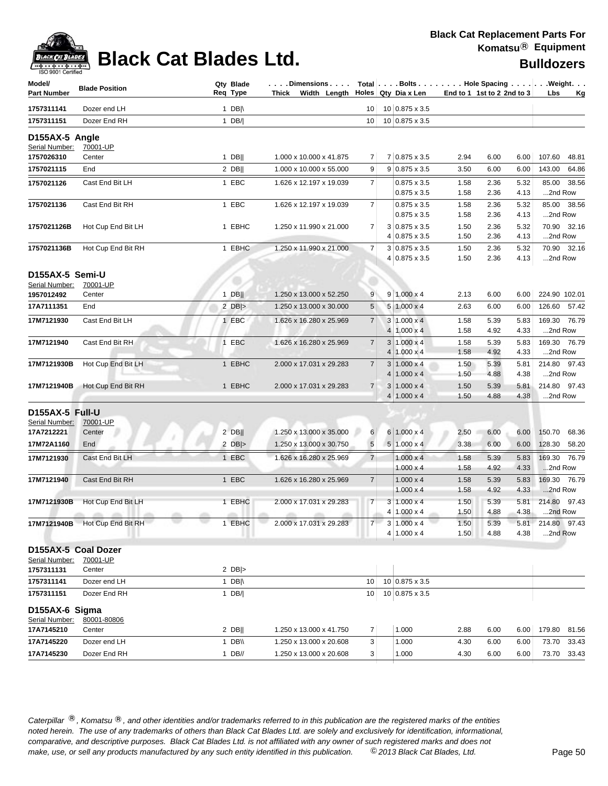

| Model/<br><b>Part Number</b>     | <b>Blade Position</b>                                 |             | Qty Blade<br>Req Type |        | Dimensions   Total  Bolts  Hole Spacing   Weight<br>Thick Width Length $\vert$ Holes Qty Dia x Len |                 |                |                                        | End to 1 1st to 2 2nd to 3 |              |              | Lbs     | — Kg          |
|----------------------------------|-------------------------------------------------------|-------------|-----------------------|--------|----------------------------------------------------------------------------------------------------|-----------------|----------------|----------------------------------------|----------------------------|--------------|--------------|---------|---------------|
| 1757311141                       | Dozer end LH                                          |             | 1 DB $\parallel$      |        |                                                                                                    | 10 <sup>1</sup> |                | 10 0.875 x 3.5                         |                            |              |              |         |               |
| 1757311151                       | Dozer End RH                                          |             | 1 $DB/$               |        |                                                                                                    | 10              |                | 10 0.875 x 3.5                         |                            |              |              |         |               |
| D155AX-5 Angle<br>Serial Number: | 70001-UP                                              |             |                       |        |                                                                                                    |                 |                |                                        |                            |              |              |         |               |
| 1757026310                       | Center                                                |             | $1$ DB                |        | 1.000 x 10.000 x 41.875                                                                            | 7               |                | 7 0.875 x 3.5                          | 2.94                       | 6.00         | 6.00         | 107.60  | 48.81         |
| 1757021115                       | End                                                   |             | 2 DB                  |        | 1.000 x 10.000 x 55.000                                                                            | 9               |                | $9 0.875 \times 3.5$                   | 3.50                       | 6.00         | 6.00         | 143.00  | 64.86         |
| 1757021126                       | Cast End Bit LH                                       |             | 1 EBC                 |        | 1.626 x 12.197 x 19.039                                                                            | $\overline{7}$  |                | $0.875 \times 3.5$                     | 1.58                       | 2.36         | 5.32         |         | 85.00 38.56   |
|                                  |                                                       |             |                       |        |                                                                                                    |                 |                | $0.875 \times 3.5$                     | 1.58                       | 2.36         | 4.13         | 2nd Row |               |
| 1757021136                       | Cast End Bit RH                                       |             | 1 EBC                 |        | 1.626 x 12.197 x 19.039                                                                            | 7 <sup>1</sup>  |                | $0.875 \times 3.5$                     | 1.58                       | 2.36         | 5.32         |         | 85.00 38.56   |
|                                  |                                                       |             |                       |        |                                                                                                    |                 |                | 0.875 x 3.5                            | 1.58                       | 2.36         | 4.13         | 2nd Row |               |
| 1757021126B                      | Hot Cup End Bit LH                                    |             | 1 EBHC                |        | 1.250 x 11.990 x 21.000                                                                            | $\overline{7}$  |                | $3 0.875 \times 3.5$                   | 1.50                       | 2.36         | 5.32         |         | 70.90 32.16   |
|                                  |                                                       |             |                       |        |                                                                                                    |                 |                | $4 0.875 \times 3.5$                   | 1.50                       | 2.36         | 4.13         | 2nd Row |               |
| 1757021136B                      | Hot Cup End Bit RH                                    |             | 1 EBHC                |        | 1.250 x 11.990 x 21.000                                                                            | $\overline{7}$  |                | $3 0.875 \times 3.5$                   | 1.50                       | 2.36         | 5.32         |         | 70.90 32.16   |
|                                  |                                                       |             |                       |        |                                                                                                    |                 |                | 4 0.875 x 3.5                          | 1.50                       | 2.36         | 4.13         | 2nd Row |               |
| D155AX-5 Semi-U                  |                                                       |             |                       |        |                                                                                                    |                 |                |                                        |                            |              |              |         |               |
| Serial Number:                   | 70001-UP                                              |             |                       |        | 1.250 x 13.000 x 52.250                                                                            |                 |                |                                        |                            |              |              |         |               |
| 1957012492                       | Center                                                |             | 1 $DB$<br>$2$ DB >    |        |                                                                                                    | 9               |                | $9 1.000 \times 4$                     | 2.13                       | 6.00         | 6.00         |         | 224.90 102.01 |
| 17A7111351                       | End                                                   |             |                       |        | 1.250 x 13.000 x 30.000                                                                            | 5               |                | $5 1.000 \times 4$                     | 2.63                       | 6.00         | 6.00         |         | 126.60 57.42  |
| 17M7121930                       | Cast End Bit LH                                       |             | 1 EBC                 |        | 1.626 x 16.280 x 25.969                                                                            | $\overline{7}$  | 4 <sup>1</sup> | $3 1.000 \times 4$                     | 1.58                       | 5.39         | 5.83         |         | 169.30 76.79  |
|                                  | Cast End Bit RH                                       |             |                       |        |                                                                                                    | 7 <sup>1</sup>  |                | $1.000 \times 4$                       | 1.58                       | 4.92         | 4.33         | 2nd Row |               |
| 17M7121940                       |                                                       |             | 1 EBC                 |        | 1.626 x 16.280 x 25.969                                                                            |                 | 4              | $3 1.000 \times 4$<br>$1.000 \times 4$ | 1.58<br>1.58               | 5.39<br>4.92 | 5.83<br>4.33 | 2nd Row | 169.30 76.79  |
| 17M7121930B                      | Hot Cup End Bit LH                                    |             | 1 EBHC                |        | 2.000 x 17.031 x 29.283                                                                            | $\overline{7}$  |                | $3 1.000 \times 4$                     | 1.50                       | 5.39         | 5.81         |         | 214.80 97.43  |
|                                  |                                                       |             |                       |        |                                                                                                    |                 |                | $4 1.000 \times 4$                     | 1.50                       | 4.88         | 4.38         | 2nd Row |               |
| 17M7121940B                      | Hot Cup End Bit RH                                    |             | 1 EBHC                |        | 2.000 x 17.031 x 29.283                                                                            | $\overline{7}$  |                | $3 1.000 \times 4$                     | 1.50                       | 5.39         | 5.81         |         | 214.80 97.43  |
|                                  |                                                       |             |                       |        |                                                                                                    |                 | 4              | $1.000 \times 4$                       | 1.50                       | 4.88         | 4.38         | 2nd Row |               |
| D155AX-5 Full-U                  |                                                       |             |                       |        |                                                                                                    |                 |                |                                        |                            |              |              |         |               |
| Serial Number:                   | 70001-UP                                              |             |                       |        |                                                                                                    |                 |                |                                        |                            |              |              |         |               |
| 17A7212221                       | Center                                                |             | $2$ DB                |        | 1.250 x 13.000 x 35.000                                                                            | 6               |                | $6 1.000 \times 4$                     | 2.50                       | 6.00         | 6.00         |         | 150.70 68.36  |
| 17M72A1160                       | End                                                   |             | 2 $DB$ $>$            |        | 1.250 x 13.000 x 30.750                                                                            | $\sqrt{5}$      |                | $5 1.000 \times 4$                     | 3.38                       | 6.00         | 6.00         |         | 128.30 58.20  |
| 17M7121930                       | Cast End Bit LH                                       |             | 1 EBC                 |        | 1.626 x 16.280 x 25.969                                                                            | $\overline{7}$  |                | $1.000 \times 4$                       | 1.58                       | 5.39         | 5.83         |         | 169.30 76.79  |
|                                  |                                                       |             |                       |        |                                                                                                    |                 |                | $1.000 \times 4$                       | 1.58                       | 4.92         | 4.33         | 2nd Row |               |
| 17M7121940                       | Cast End Bit RH                                       |             | 1 EBC                 |        | 1.626 x 16.280 x 25.969                                                                            | $\overline{7}$  |                | $1.000 \times 4$                       | 1.58                       | 5.39         | 5.83         |         | 169.30 76.79  |
|                                  |                                                       |             |                       |        |                                                                                                    |                 |                | $1.000 \times 4$                       | 1.58                       | 4.92         | 4.33         | 2nd Row |               |
| 17M7121930B                      | Hot Cup End Bit LH                                    |             | 1 EBHC                |        | 2.000 x 17.031 x 29.283                                                                            | $\overline{7}$  | 3              | $1.000 \times 4$                       | 1.50                       | 5.39         | 5.81         |         | 214.80 97.43  |
|                                  | 225<br>$-2556$<br>m<br>17M7121940B Hot Cup End Bit RH | $200 - 100$ |                       | attin. | affin.<br>2.000 x 17.031 x 29.283                                                                  |                 |                | $4 1.000 \times 4$                     | 1.50                       | 4.88         | 4.38         | 2nd Row |               |
|                                  |                                                       |             | 1 EBHC                |        |                                                                                                    |                 |                | 3   1.000 x 4<br>$4 1.000 \times 4$    | 1.50<br>1.50               | 5.39<br>4.88 | 5.81<br>4.38 | 2nd Row | 214.80 97.43  |
|                                  |                                                       |             |                       |        |                                                                                                    |                 |                |                                        |                            |              |              |         |               |
| D155AX-5 Coal Dozer              |                                                       |             |                       |        |                                                                                                    |                 |                |                                        |                            |              |              |         |               |
| Serial Number:<br>1757311131     | 70001-UP<br>Center                                    |             | 2 $DB$ $>$            |        |                                                                                                    |                 |                |                                        |                            |              |              |         |               |
| 1757311141                       | Dozer end LH                                          |             | 1 DB $\parallel$      |        |                                                                                                    | 10              |                | 10 0.875 x 3.5                         |                            |              |              |         |               |
| 1757311151                       | Dozer End RH                                          |             | 1 $DB/$               |        |                                                                                                    | 10              |                | 10 0.875 x 3.5                         |                            |              |              |         |               |
|                                  |                                                       |             |                       |        |                                                                                                    |                 |                |                                        |                            |              |              |         |               |
| D155AX-6 Sigma                   |                                                       |             |                       |        |                                                                                                    |                 |                |                                        |                            |              |              |         |               |
| Serial Number:<br>17A7145210     | 80001-80806<br>Center                                 |             | 2 DBII                |        | 1.250 x 13.000 x 41.750                                                                            | $\overline{7}$  |                | 1.000                                  | 2.88                       | 6.00         | 6.00         |         | 179.80 81.56  |
| 17A7145220                       | Dozer end LH                                          |             | 1 DB\\                |        | 1.250 x 13.000 x 20.608                                                                            | 3               |                | 1.000                                  | 4.30                       | 6.00         | 6.00         |         | 73.70 33.43   |
| 17A7145230                       | Dozer End RH                                          |             | $1$ DB//              |        | 1.250 x 13.000 x 20.608                                                                            | 3               |                | 1.000                                  | 4.30                       | 6.00         | 6.00         |         | 73.70 33.43   |
|                                  |                                                       |             |                       |        |                                                                                                    |                 |                |                                        |                            |              |              |         |               |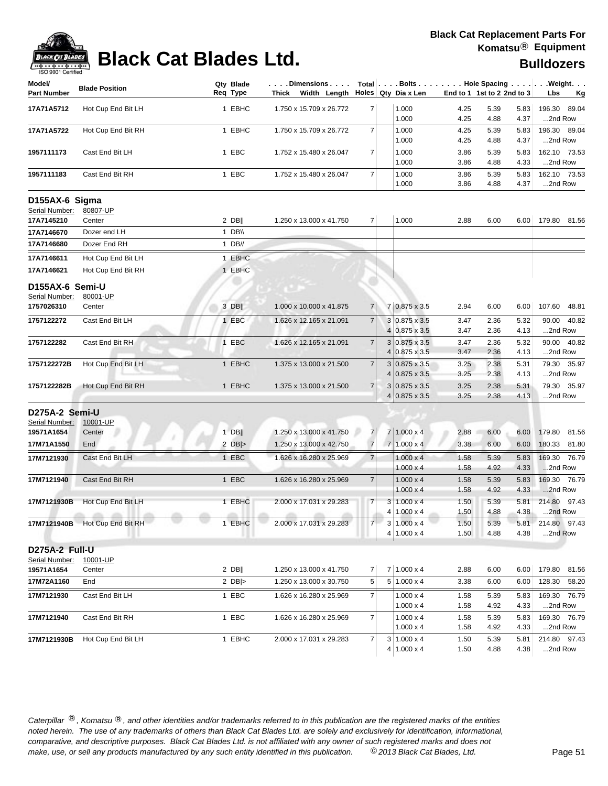| Model/<br><b>Part Number</b>      | <b>Blade Position</b>          |                        | Qty Blade<br>Req Type | $\dots$ . Dimensions $\dots$ .<br>Thick Width Length $\vert$ Holes Qty Dia x Len |                |                      | End to 1 1st to 2 2nd to 3 |      |      | Total   Bolts   Hole Spacing   Weight.<br>Lbs<br>Kg |
|-----------------------------------|--------------------------------|------------------------|-----------------------|----------------------------------------------------------------------------------|----------------|----------------------|----------------------------|------|------|-----------------------------------------------------|
| 17A71A5712                        | Hot Cup End Bit LH             |                        | 1 EBHC                | 1.750 x 15.709 x 26.772                                                          | $\overline{7}$ | 1.000                | 4.25                       | 5.39 | 5.83 | 196.30 89.04                                        |
|                                   |                                |                        |                       |                                                                                  |                | 1.000                | 4.25                       | 4.88 | 4.37 | 2nd Row                                             |
| 17A71A5722                        | Hot Cup End Bit RH             |                        | 1 EBHC                | 1.750 x 15.709 x 26.772                                                          | $\overline{7}$ | 1.000                | 4.25                       | 5.39 | 5.83 | 196.30 89.04                                        |
|                                   |                                |                        |                       |                                                                                  |                | 1.000                | 4.25                       | 4.88 | 4.37 | 2nd Row                                             |
| 1957111173                        | Cast End Bit LH                |                        | 1 EBC                 | 1.752 x 15.480 x 26.047                                                          | $\overline{7}$ | 1.000                | 3.86                       | 5.39 | 5.83 | 162.10 73.53                                        |
|                                   |                                |                        |                       |                                                                                  |                | 1.000                | 3.86                       | 4.88 | 4.33 | 2nd Row                                             |
| 1957111183                        | Cast End Bit RH                |                        | 1 EBC                 | 1.752 x 15.480 x 26.047                                                          | $\overline{7}$ | 1.000                | 3.86                       | 5.39 | 5.83 | 162.10 73.53                                        |
|                                   |                                |                        |                       |                                                                                  |                | 1.000                | 3.86                       | 4.88 | 4.37 | 2nd Row                                             |
| D155AX-6 Sigma                    |                                |                        |                       |                                                                                  |                |                      |                            |      |      |                                                     |
| Serial Number:                    | 80807-UP                       |                        |                       |                                                                                  |                |                      |                            |      |      |                                                     |
| 17A7145210                        | Center                         |                        | $2$ DB                | 1.250 x 13.000 x 41.750                                                          | $\overline{7}$ | 1.000                | 2.88                       | 6.00 | 6.00 | 179.80 81.56                                        |
| 17A7146670                        | Dozer end LH                   |                        | 1 $DB \vee$           |                                                                                  |                |                      |                            |      |      |                                                     |
| 17A7146680                        | Dozer End RH                   |                        | $1$ DB//              |                                                                                  |                |                      |                            |      |      |                                                     |
| 17A7146611                        | Hot Cup End Bit LH             |                        | 1 EBHC                |                                                                                  |                |                      |                            |      |      |                                                     |
| 17A7146621                        | Hot Cup End Bit RH             |                        | 1 EBHC                |                                                                                  |                |                      |                            |      |      |                                                     |
|                                   |                                |                        |                       |                                                                                  |                |                      |                            |      |      |                                                     |
| D155AX-6 Semi-U<br>Serial Number: | 80001-UP                       |                        |                       |                                                                                  |                |                      |                            |      |      |                                                     |
| 1757026310                        | Center                         |                        | 3 DB                  | 1.000 x 10.000 x 41.875                                                          | $\overline{7}$ | 7 0.875 x 3.5        | 2.94                       | 6.00 | 6.00 | 107.60 48.81                                        |
| 1757122272                        | Cast End Bit LH                |                        | 1 EBC                 | 1.626 x 12.165 x 21.091                                                          | $\overline{7}$ | 3 0.875 x 3.5        |                            | 2.36 | 5.32 | 90.00 40.82                                         |
|                                   |                                |                        |                       |                                                                                  |                | 4 0.875 x 3.5        | 3.47<br>3.47               | 2.36 | 4.13 | 2nd Row                                             |
| 1757122282                        | Cast End Bit RH                |                        | 1 EBC                 | 1.626 x 12.165 x 21.091                                                          | $\overline{7}$ | $3 0.875 \times 3.5$ | 3.47                       | 2.36 | 5.32 | 90.00 40.82                                         |
|                                   |                                |                        |                       |                                                                                  |                | $4 0.875 \times 3.5$ | 3.47                       | 2.36 | 4.13 | 2nd Row                                             |
| 1757122272B                       | Hot Cup End Bit LH             |                        | 1 EBHC                | 1.375 x 13.000 x 21.500                                                          | $\overline{7}$ | $3 0.875 \times 3.5$ | 3.25                       | 2.38 | 5.31 | 79.30 35.97                                         |
|                                   |                                |                        |                       |                                                                                  |                | $4 0.875 \times 3.5$ | 3.25                       | 2.38 | 4.13 | 2nd Row                                             |
| 1757122282B                       | Hot Cup End Bit RH             |                        | 1 EBHC                | 1.375 x 13.000 x 21.500                                                          | $\overline{7}$ | $3 0.875 \times 3.5$ | 3.25                       | 2.38 | 5.31 | 79.30 35.97                                         |
|                                   |                                |                        |                       |                                                                                  |                | $4 0.875 \times 3.5$ | 3.25                       | 2.38 | 4.13 | 2nd Row                                             |
| D275A-2 Semi-U                    |                                |                        |                       |                                                                                  |                |                      |                            |      |      |                                                     |
| Serial Number:                    | 10001-UP                       |                        |                       |                                                                                  |                |                      |                            |      |      |                                                     |
| 19571A1654                        | Center                         |                        | $1$ DB                | 1.250 x 13.000 x 41.750                                                          | $\overline{7}$ | $7 1.000 \times 4$   | 2.88                       | 6.00 | 6.00 | 179.80 81.56                                        |
| 17M71A1550                        | End                            |                        | 2 $DB$ $>$            | 1.250 x 13.000 x 42.750                                                          | $\overline{7}$ | $7 1.000 \times 4$   | 3.38                       | 6.00 | 6.00 | 180.33 81.80                                        |
| 17M7121930                        | Cast End Bit LH                |                        | 1 EBC                 | 1.626 x 16.280 x 25.969                                                          | 7 <sup>1</sup> | $1.000 \times 4$     | 1.58                       | 5.39 | 5.83 | 169.30 76.79                                        |
|                                   |                                |                        |                       |                                                                                  |                | $1.000 \times 4$     | 1.58                       | 4.92 | 4.33 | 2nd Row                                             |
| 17M7121940                        | Cast End Bit RH                |                        | 1 EBC                 | 1.626 x 16.280 x 25.969                                                          | $\overline{7}$ | $1.000 \times 4$     | 1.58                       | 5.39 | 5.83 | 169.30 76.79                                        |
|                                   |                                |                        |                       |                                                                                  |                | $1.000 \times 4$     | 1.58                       | 4.92 | 4.33 | 2nd Row                                             |
| 17M7121930B                       | Hot Cup End Bit LH             |                        | 1 EBHC                | 2.000 x 17.031 x 29.283                                                          | $\overline{7}$ | $3 1.000 \times 4$   | 1.50                       | 5.39 | 5.81 | 214.80 97.43                                        |
|                                   | <b>CONTRACTOR</b><br>office.   | <b>ATTN</b><br>all the | all in                | and in<br><b>ATTN</b>                                                            |                | $4 1.000 \times 4$   | 1.50                       | 4.88 | 4.38 | 2nd Row                                             |
|                                   | 17M7121940B Hot Cup End Bit RH |                        | 1 EBHC                | 2.000 x 17.031 x 29.283                                                          | $\overline{7}$ | 3   1.000 x 4        | 1.50                       | 5.39 | 5.81 | 214.80 97.43                                        |
|                                   |                                |                        |                       |                                                                                  |                | $4 1.000 \times 4$   | 1.50                       | 4.88 | 4.38 | 2nd Row                                             |
| D275A-2 Full-U                    |                                |                        |                       |                                                                                  |                |                      |                            |      |      |                                                     |
| Serial Number:                    | 10001-UP                       |                        |                       |                                                                                  |                |                      |                            |      |      |                                                     |
| 19571A1654                        | Center                         |                        | $2$ DB                | 1.250 x 13.000 x 41.750                                                          | $\overline{7}$ | $7 1.000 \times 4$   | 2.88                       | 6.00 | 6.00 | 179.80 81.56                                        |
| 17M72A1160                        | End                            |                        | 2 $DB$ $>$            | 1.250 x 13.000 x 30.750                                                          | 5              | $5 1.000 \times 4$   | 3.38                       | 6.00 | 6.00 | 128.30 58.20                                        |
| 17M7121930                        | Cast End Bit LH                |                        | 1 EBC                 | 1.626 x 16.280 x 25.969                                                          | $\overline{7}$ | $1.000 \times 4$     | 1.58                       | 5.39 | 5.83 | 169.30 76.79                                        |
|                                   |                                |                        |                       |                                                                                  |                | $1.000 \times 4$     | 1.58                       | 4.92 | 4.33 | 2nd Row                                             |
| 17M7121940                        | Cast End Bit RH                |                        | 1 EBC                 | 1.626 x 16.280 x 25.969                                                          | $\overline{7}$ | $1.000 \times 4$     | 1.58                       | 5.39 | 5.83 | 169.30 76.79                                        |
|                                   |                                |                        |                       |                                                                                  |                | $1.000 \times 4$     | 1.58                       | 4.92 | 4.33 | 2nd Row                                             |
| 17M7121930B                       | Hot Cup End Bit LH             |                        | 1 EBHC                | 2.000 x 17.031 x 29.283                                                          | $\overline{7}$ | $3 1.000 \times 4$   | 1.50                       | 5.39 | 5.81 | 214.80 97.43                                        |
|                                   |                                |                        |                       |                                                                                  |                | $4 1.000 \times 4$   | 1.50                       | 4.88 | 4.38 | 2nd Row                                             |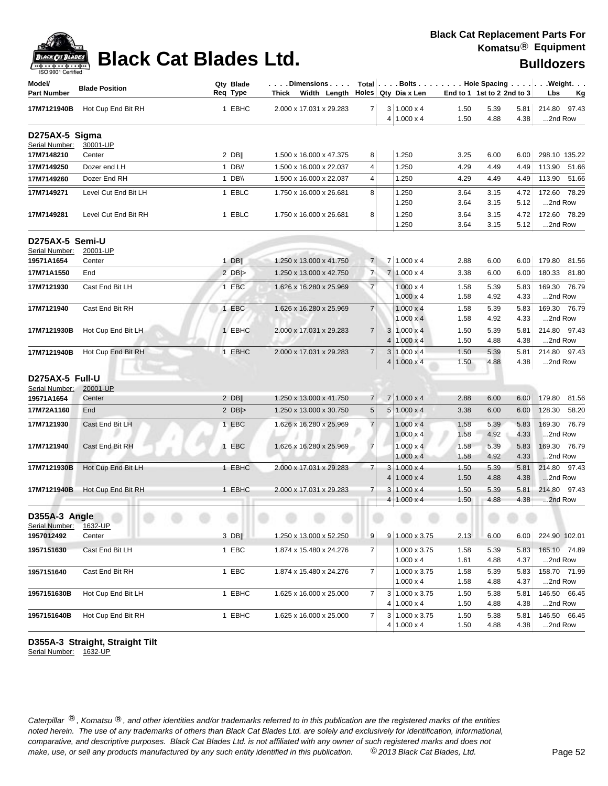

## **Black Cat Blades Ltd. Black Cat Blades Ltd. Black Cat Blades Ltd. Bulldozers**

| Model/<br><b>Part Number</b>     | <b>Blade Position</b> | Qty Blade<br>Req Type | Dimensions   Total   Bolts    Hole Spacing    Weight<br>Thick Width Length Holes Qty Dia x Len |                |                |                                      |              | End to 1 1st to 2 2nd to 3 |              | Lbs                     | <u>Kg</u> |
|----------------------------------|-----------------------|-----------------------|------------------------------------------------------------------------------------------------|----------------|----------------|--------------------------------------|--------------|----------------------------|--------------|-------------------------|-----------|
| 17M7121940B                      | Hot Cup End Bit RH    | 1 EBHC                | 2.000 x 17.031 x 29.283                                                                        | $\overline{7}$ |                | $3 1.000 \times 4$                   | 1.50         | 5.39                       | 5.81         | 214.80 97.43            |           |
|                                  |                       |                       |                                                                                                |                |                | $4 1.000 \times 4$                   | 1.50         | 4.88                       | 4.38         | 2nd Row                 |           |
| D275AX-5 Sigma<br>Serial Number: | 30001-UP              |                       |                                                                                                |                |                |                                      |              |                            |              |                         |           |
| 17M7148210                       | Center                | $2$ DB                | 1.500 x 16.000 x 47.375                                                                        | 8              |                | 1.250                                | 3.25         | 6.00                       | 6.00         | 298.10 135.22           |           |
| 17M7149250                       | Dozer end LH          | $1$ DB//              | 1.500 x 16.000 x 22.037                                                                        | 4              |                | 1.250                                | 4.29         | 4.49                       | 4.49         | 113.90 51.66            |           |
| 17M7149260                       | Dozer End RH          | 1 $DB \vee$           | 1.500 x 16.000 x 22.037                                                                        | 4              |                | 1.250                                | 4.29         | 4.49                       | 4.49         | 113.90 51.66            |           |
| 17M7149271                       | Level Cut End Bit LH  | 1 EBLC                | 1.750 x 16.000 x 26.681                                                                        | 8              |                | 1.250<br>1.250                       | 3.64<br>3.64 | 3.15<br>3.15               | 4.72<br>5.12 | 172.60 78.29<br>2nd Row |           |
| 17M7149281                       | Level Cut End Bit RH  | 1 EBLC                | 1.750 x 16.000 x 26.681                                                                        | 8              |                | 1.250<br>1.250                       | 3.64<br>3.64 | 3.15<br>3.15               | 4.72<br>5.12 | 172.60 78.29<br>2nd Row |           |
| D275AX-5 Semi-U                  |                       |                       |                                                                                                |                |                |                                      |              |                            |              |                         |           |
| Serial Number:                   | 20001-UP              |                       |                                                                                                |                |                |                                      |              |                            |              |                         |           |
| 19571A1654                       | Center                | $1$ DB                | 1.250 x 13.000 x 41.750                                                                        | $\overline{7}$ |                | $7 1.000 \times 4$                   | 2.88         | 6.00                       | 6.00         | 179.80                  | 81.56     |
| 17M71A1550                       | End                   | $2$ DB >              | 1.250 x 13.000 x 42.750                                                                        | $\overline{7}$ |                | $7 1.000 \times 4$                   | 3.38         | 6.00                       | 6.00         | 180.33                  | 81.80     |
| 17M7121930                       | Cast End Bit LH       | 1 EBC                 | 1.626 x 16.280 x 25.969                                                                        | $\overline{7}$ |                | $1.000 \times 4$                     | 1.58         | 5.39                       | 5.83         | 169.30 76.79            |           |
|                                  |                       |                       |                                                                                                |                |                | $1.000 \times 4$                     | 1.58         | 4.92                       | 4.33         | 2nd Row                 |           |
| 17M7121940                       | Cast End Bit RH       | 1 EBC                 | 1.626 x 16.280 x 25.969                                                                        | $\overline{7}$ |                | $1.000 \times 4$<br>$1.000 \times 4$ | 1.58<br>1.58 | 5.39<br>4.92               | 5.83<br>4.33 | 169.30 76.79<br>2nd Row |           |
| 17M7121930B                      | Hot Cup End Bit LH    | 1 EBHC                | 2.000 x 17.031 x 29.283                                                                        | 7 <sup>1</sup> |                | $3 \mid 1.000 \times 4$              | 1.50         | 5.39                       | 5.81         | 214.80 97.43            |           |
|                                  |                       |                       |                                                                                                |                | $\overline{4}$ | $1.000 \times 4$                     | 1.50         | 4.88                       | 4.38         | 2nd Row                 |           |
| 17M7121940B                      | Hot Cup End Bit RH    | 1 EBHC                | 2.000 x 17.031 x 29.283                                                                        | $\overline{7}$ | 3              | $1.000 \times 4$                     | 1.50         | 5.39                       | 5.81         | 214.80 97.43            |           |
|                                  |                       |                       |                                                                                                |                | 4              | $1.000 \times 4$                     | 1.50         | 4.88                       | 4.38         | 2nd Row                 |           |
| D275AX-5 Full-U                  |                       |                       |                                                                                                |                |                |                                      |              |                            |              |                         |           |
| Serial Number:                   | 20001-UP              |                       |                                                                                                |                |                |                                      |              |                            |              |                         |           |
| 19571A1654                       | Center                | $2$ DB                | 1.250 x 13.000 x 41.750                                                                        | $\overline{7}$ |                | $7 1.000 \times 4$                   | 2.88         | 6.00                       | 6.00         | 179.80                  | 81.56     |
| 17M72A1160                       | End                   | 2 $DB$ $>$            | 1.250 x 13.000 x 30.750                                                                        | $\sqrt{5}$     |                | $5 1.000 \times 4$                   | 3.38         | 6.00                       | 6.00         | 128.30 58.20            |           |
| 17M7121930                       | Cast End Bit LH       | 1 EBC                 | 1.626 x 16.280 x 25.969                                                                        | 7 <sup>1</sup> |                | $1.000 \times 4$                     | 1.58         | 5.39                       | 5.83         | 169.30 76.79            |           |
|                                  |                       |                       |                                                                                                |                |                | $1.000 \times 4$                     | 1.58         | 4.92                       | 4.33         | 2nd Row                 |           |
| 17M7121940                       | Cast End Bit RH       | 1 EBC                 | 1.626 x 16.280 x 25.969                                                                        | $\overline{7}$ |                | $1.000 \times 4$                     | 1.58         | 5.39                       | 5.83         | 169.30 76.79            |           |
|                                  |                       |                       |                                                                                                |                |                | $1.000 \times 4$                     | 1.58         | 4.92                       | 4.33         | 2nd Row                 |           |
| 17M7121930B                      | Hot Cup End Bit LH    | 1 EBHC                | 2.000 x 17.031 x 29.283                                                                        | $\overline{7}$ | 3 <sub>l</sub> | $1.000 \times 4$                     | 1.50         | 5.39                       | 5.81         | 214.80 97.43            |           |
|                                  |                       |                       |                                                                                                |                | 4              | $1.000 \times 4$                     | 1.50         | 4.88                       | 4.38         | 2nd Row                 |           |
| 17M7121940B                      | Hot Cup End Bit RH    | 1 EBHC                | 2.000 x 17.031 x 29.283                                                                        | $\overline{7}$ | 3              | $1.000 \times 4$                     | 1.50         | 5.39                       | 5.81         | 214.80 97.43            |           |
|                                  |                       |                       |                                                                                                |                |                | $4 1.000 \times 4$                   | 1.50         | 4.88                       | 4.38         | 2nd Row                 |           |
| D355A-3 Angle<br>Serial Number:  | 1632-UP               |                       |                                                                                                |                |                |                                      |              |                            |              |                         |           |
| 1957012492                       | Center                | $3$ DB                | 1.250 x 13.000 x 52.250                                                                        | 9              |                | $9 1.000 \times 3.75$                | 2.13         | 6.00                       | 6.00         | 224.90 102.01           |           |
| 1957151630                       | Cast End Bit LH       | 1 EBC                 | 1.874 x 15.480 x 24.276                                                                        | 7 <sup>1</sup> |                | 1.000 x 3.75                         | 1.58         | 5.39                       | 5.83         | 165.10 74.89            |           |
|                                  |                       |                       |                                                                                                |                |                | $1.000 \times 4$                     | 1.61         | 4.88                       | 4.37         | 2nd Row                 |           |
| 1957151640                       | Cast End Bit RH       | 1 EBC                 | 1.874 x 15.480 x 24.276                                                                        | $\overline{7}$ |                | 1.000 x 3.75                         | 1.58         | 5.39                       | 5.83         | 158.70 71.99            |           |
|                                  |                       |                       |                                                                                                |                |                | $1.000 \times 4$                     | 1.58         | 4.88                       | 4.37         | 2nd Row                 |           |
| 1957151630B                      | Hot Cup End Bit LH    | 1 EBHC                | 1.625 x 16.000 x 25.000                                                                        | $\overline{7}$ |                | $3 \mid 1.000 \times 3.75$           | 1.50         | 5.38                       | 5.81         | 146.50 66.45            |           |
|                                  |                       |                       |                                                                                                |                |                | 4 1.000 x 4                          | 1.50         | 4.88                       | 4.38         | 2nd Row                 |           |
| 1957151640B                      | Hot Cup End Bit RH    | 1 EBHC                | 1.625 x 16.000 x 25.000                                                                        | $\overline{7}$ |                | $3 1.000 \times 3.75$                | 1.50         | 5.38                       | 5.81         | 146.50 66.45            |           |
|                                  |                       |                       |                                                                                                |                |                | $4 1.000 \times 4$                   | 1.50         | 4.88                       | 4.38         | 2nd Row                 |           |

### **D355A-3 Straight, Straight Tilt**

Serial Number: 1632-UP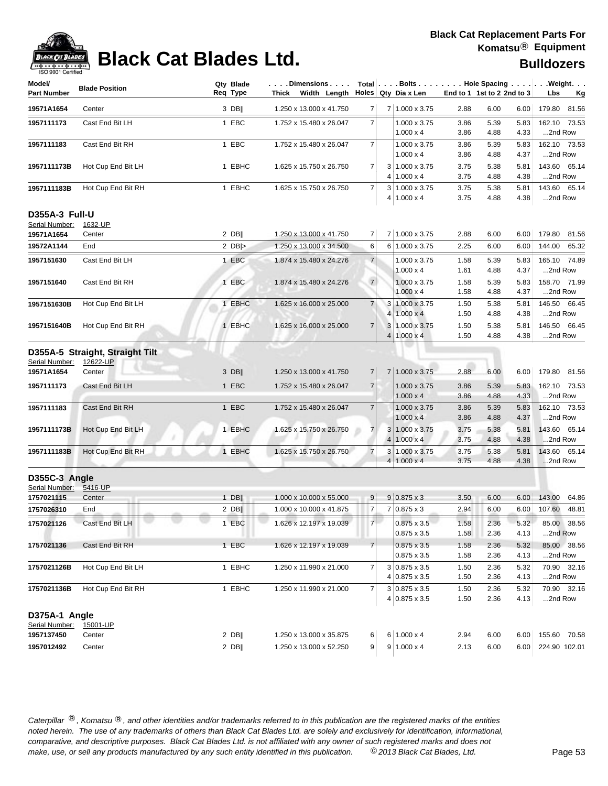

## **Black Cat Blades Ltd. Black Cat Blades Ltd. Bulldozers**

| Model/                          |                                 | Qty Blade | .Dimensions             |                |                | Total Bolts Hole Spacing Weight.             |                            |              |              |                         |             |
|---------------------------------|---------------------------------|-----------|-------------------------|----------------|----------------|----------------------------------------------|----------------------------|--------------|--------------|-------------------------|-------------|
| <b>Part Number</b>              | <b>Blade Position</b>           | Req Type  | Thick Width Length      |                |                | Holes Qty Dia x Len                          | End to 1 1st to 2 2nd to 3 |              |              | Lbs                     | Kg          |
| 19571A1654                      | Center                          | $3$ DB    | 1.250 x 13.000 x 41.750 | $\overline{7}$ |                | 7 1.000 x 3.75                               | 2.88                       | 6.00         | 6.00         | 179.80 81.56            |             |
| 1957111173                      | Cast End Bit LH                 | 1 EBC     | 1.752 x 15.480 x 26.047 | $\overline{7}$ |                | 1.000 x 3.75<br>$1.000 \times 4$             | 3.86<br>3.86               | 5.39<br>4.88 | 5.83<br>4.33 | 162.10 73.53<br>2nd Row |             |
| 1957111183                      | Cast End Bit RH                 | 1 EBC     | 1.752 x 15.480 x 26.047 | 7              |                | 1.000 x 3.75<br>$1.000 \times 4$             | 3.86<br>3.86               | 5.39<br>4.88 | 5.83<br>4.37 | 162.10 73.53<br>2nd Row |             |
| 1957111173B                     | Hot Cup End Bit LH              | 1 EBHC    | 1.625 x 15.750 x 26.750 | $\overline{7}$ |                | $3 1.000 \times 3.75$<br>$4 1.000 \times 4$  | 3.75<br>3.75               | 5.38<br>4.88 | 5.81<br>4.38 | 143.60 65.14<br>2nd Row |             |
| 1957111183B                     | Hot Cup End Bit RH              | 1 EBHC    | 1.625 x 15.750 x 26.750 | $\overline{7}$ |                | $3 1.000 \times 3.75$<br>$4 1.000 \times 4$  | 3.75<br>3.75               | 5.38<br>4.88 | 5.81<br>4.38 | 143.60 65.14<br>2nd Row |             |
| <b>D355A-3 Full-U</b>           |                                 |           |                         |                |                |                                              |                            |              |              |                         |             |
| Serial Number:                  | 1632-UP<br>Center               | $2$ DB    | 1.250 x 13.000 x 41.750 | $\overline{7}$ |                | 7 1.000 x 3.75                               | 2.88                       | 6.00         | 6.00         | 179.80 81.56            |             |
| 19571A1654<br>19572A1144        | End                             | 2 $DB$    | 1.250 x 13.000 x 34.500 | 6              |                | 6 1.000 x 3.75                               | 2.25                       | 6.00         | 6.00         | 144.00                  | 65.32       |
|                                 |                                 |           |                         |                |                |                                              |                            |              |              |                         |             |
| 1957151630                      | Cast End Bit LH                 | 1 EBC     | 1.874 x 15.480 x 24.276 | $\overline{7}$ |                | 1.000 x 3.75<br>$1.000 \times 4$             | 1.58<br>1.61               | 5.39<br>4.88 | 5.83<br>4.37 | 165.10 74.89<br>2nd Row |             |
| 1957151640                      | Cast End Bit RH                 | 1 EBC     | 1.874 x 15.480 x 24.276 | $\overline{7}$ |                | 1.000 x 3.75                                 | 1.58                       | 5.39         | 5.83         | 158.70 71.99            |             |
|                                 |                                 |           |                         |                |                | $1.000 \times 4$                             | 1.58                       | 4.88         | 4.37         | 2nd Row                 |             |
| 1957151630B                     | Hot Cup End Bit LH              | 1 EBHC    | 1.625 x 16.000 x 25.000 | $\overline{7}$ |                | $3 1.000 \times 3.75$<br>$4 1.000 \times 4$  | 1.50                       | 5.38<br>4.88 | 5.81<br>4.38 | 146.50 66.45<br>2nd Row |             |
| 1957151640B                     | Hot Cup End Bit RH              | 1 EBHC    | 1.625 x 16.000 x 25.000 | $\overline{7}$ |                | 3 1.000 x 3.75                               | 1.50<br>1.50               | 5.38         | 5.81         | 146.50 66.45            |             |
|                                 |                                 |           |                         |                |                | $4 1.000 \times 4$                           | 1.50                       | 4.88         | 4.38         | 2nd Row                 |             |
|                                 | D355A-5 Straight, Straight Tilt |           |                         |                |                |                                              |                            |              |              |                         |             |
| Serial Number:                  | 12622-UP                        |           |                         |                |                |                                              |                            |              |              |                         |             |
| 19571A1654                      | Center                          | $3$ DB    | 1.250 x 13.000 x 41.750 | $\overline{7}$ |                | 7 1.000 x 3.75                               | 2.88                       | 6.00         | 6.00         | 179.80 81.56            |             |
| 1957111173                      | Cast End Bit LH                 | 1 EBC     | 1.752 x 15.480 x 26.047 | $\overline{7}$ |                | 1.000 x 3.75                                 | 3.86                       | 5.39         | 5.83         | 162.10 73.53            |             |
|                                 |                                 |           |                         |                |                | $1.000 \times 4$                             | 3.86                       | 4.88         | 4.33         | 2nd Row                 |             |
| 1957111183                      | Cast End Bit RH                 | 1 EBC     | 1.752 x 15.480 x 26.047 | $\overline{7}$ |                | $1.000 \times 3.75$                          | 3.86                       | 5.39         | 5.83         | 162.10 73.53            |             |
|                                 |                                 |           |                         |                |                | $1.000 \times 4$                             | 3.86                       | 4.88         | 4.37         | 2nd Row                 |             |
| 1957111173B                     | Hot Cup End Bit LH              | 1 EBHC    | 1.625 x 15.750 x 26.750 | $\overline{7}$ | $\overline{4}$ | $3 1.000 \times 3.75$<br>$1.000 \times 4$    | 3.75<br>3.75               | 5.38<br>4.88 | 5.81<br>4.38 | 143.60 65.14<br>2nd Row |             |
| 1957111183B                     | Hot Cup End Bit RH              | 1 EBHC    | 1.625 x 15.750 x 26.750 | $\overline{7}$ |                | $3 1.000 \times 3.75$                        | 3.75                       | 5.38         | 5.81         | 143.60 65.14            |             |
|                                 |                                 |           |                         |                |                | $4 1.000 \times 4$                           | 3.75                       | 4.88         | 4.38         | 2nd Row                 |             |
| D355C-3 Angle                   |                                 |           |                         |                |                |                                              |                            |              |              |                         |             |
| Serial Number:                  | 5416-UP                         |           |                         |                |                |                                              |                            |              |              |                         |             |
| 1757021115                      | Center                          | $1$ DB    | 1.000 x 10.000 x 55.000 | 9              |                | $9 0.875 \times 3$                           | 3.50                       | 6.00         | 6.00         | 143.00                  | 64.86       |
| 1757026310                      | End                             | $2$ DB    | 1.000 x 10.000 x 41.875 | $\overline{7}$ |                | $7 0.875 \times 3$                           | 2.94                       | 6.00         | 6.00         | 107.60                  | 48.81       |
| 1757021126                      | Cast End Bit LH                 | 1 EBC     | 1.626 x 12.197 x 19.039 | 7 <sup>1</sup> |                | $0.875 \times 3.5$<br>$0.875 \times 3.5$     | 1.58<br>1.58               | 2.36<br>2.36 | 5.32<br>4.13 | 2nd Row                 | 85.00 38.56 |
| 1757021136                      | Cast End Bit RH                 | 1 EBC     | 1.626 x 12.197 x 19.039 | $\overline{7}$ |                | $0.875 \times 3.5$                           | 1.58                       | 2.36         | 5.32         |                         | 85.00 38.56 |
|                                 |                                 |           |                         |                |                | $0.875 \times 3.5$                           | 1.58                       | 2.36         | 4.13         | 2nd Row                 |             |
| 1757021126B                     | Hot Cup End Bit LH              | 1 EBHC    | 1.250 x 11.990 x 21.000 | 7              |                | $3 0.875 \times 3.5$                         | 1.50                       | 2.36         | 5.32         |                         | 70.90 32.16 |
|                                 |                                 |           |                         |                |                | $4 0.875 \times 3.5$                         | 1.50                       | 2.36         | 4.13         | 2nd Row                 |             |
| 1757021136B                     | Hot Cup End Bit RH              | 1 EBHC    | 1.250 x 11.990 x 21.000 | 7              |                | $3 0.875 \times 3.5$<br>$4 0.875 \times 3.5$ | 1.50<br>1.50               | 2.36<br>2.36 | 5.32<br>4.13 | 2nd Row                 | 70.90 32.16 |
|                                 |                                 |           |                         |                |                |                                              |                            |              |              |                         |             |
| D375A-1 Angle<br>Serial Number: | 15001-UP                        |           |                         |                |                |                                              |                            |              |              |                         |             |
| 1957137450                      | Center                          | $2$ DB    | 1.250 x 13.000 x 35.875 | 6              |                | $6 1.000 \times 4$                           | 2.94                       | 6.00         | 6.00         | 155.60 70.58            |             |
| 1957012492                      | Center                          | $2$ DB    | 1.250 x 13.000 x 52.250 | 9              |                | $9 1.000 \times 4$                           | 2.13                       | 6.00         | 6.00         | 224.90 102.01           |             |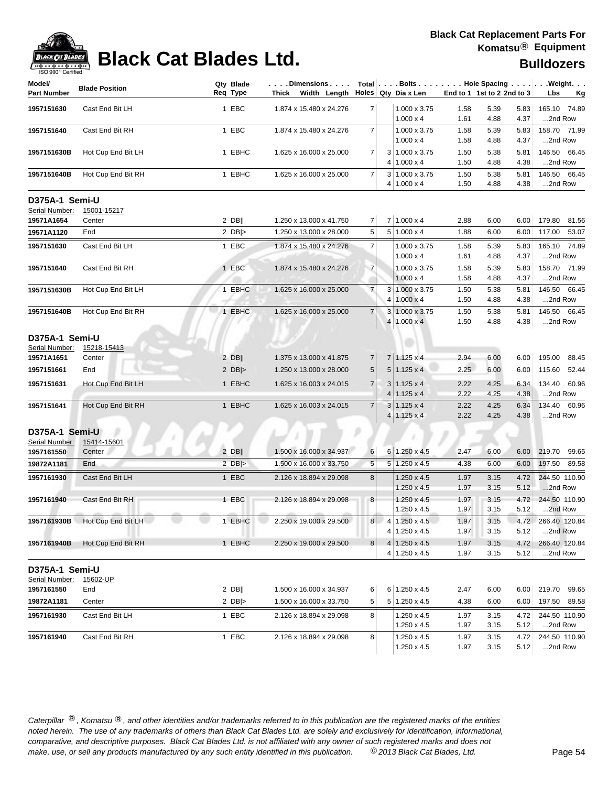| 1.000 x 3.75<br>1957151630<br>Cast End Bit LH<br>1 EBC<br>1.874 x 15.480 x 24.276<br>$\overline{7}$<br>1.58<br>5.39<br>5.83<br>165.10 74.89<br>$1.000 \times 4$<br>4.88<br>4.37<br>2nd Row<br>1.61<br>1 EBC<br>158.70 71.99<br>Cast End Bit RH<br>1.874 x 15.480 x 24.276<br>$\overline{7}$<br>1.000 x 3.75<br>1.58<br>5.39<br>5.83<br>1957151640<br>$1.000 \times 4$<br>1.58<br>4.88<br>4.37<br>2nd Row<br>1 EBHC<br>1.625 x 16.000 x 25.000<br>$\overline{7}$<br>3 1.000 x 3.75<br>146.50 66.45<br>1957151630B<br>Hot Cup End Bit LH<br>1.50<br>5.38<br>5.81<br>$4 1.000 \times 4$<br>4.88<br>2nd Row<br>1.50<br>4.38<br>$\overline{7}$<br>1 EBHC<br>3 1.000 x 3.75<br>5.38<br>146.50 66.45<br>1957151640B<br>Hot Cup End Bit RH<br>1.625 x 16.000 x 25.000<br>1.50<br>5.81<br>$4 1.000 \times 4$<br>1.50<br>4.88<br>4.38<br>2nd Row<br>D375A-1 Semi-U<br>Serial Number:<br>15001-15217<br>$7 1.000 \times 4$<br>19571A1654<br>$2$ DB  <br>1.250 x 13.000 x 41.750<br>$\overline{7}$<br>2.88<br>6.00<br>6.00<br>179.80<br>81.56<br>Center<br>19571A1120<br>End<br>2 $DB$ $>$<br>1.250 x 13.000 x 28.000<br>5<br>$5 1.000 \times 4$<br>1.88<br>6.00<br>6.00<br>117.00 53.07<br>Cast End Bit LH<br>1 EBC<br>$\overline{7}$<br>165.10 74.89<br>1.874 x 15.480 x 24.276<br>1.000 x 3.75<br>1.58<br>5.39<br>5.83<br>1957151630<br>$1.000 \times 4$<br>4.88<br>4.37<br>2nd Row<br>1.61<br>$\overline{7}$<br>158.70 71.99<br>1957151640<br>Cast End Bit RH<br>1 EBC<br>1.874 x 15.480 x 24.276<br>1.000 x 3.75<br>1.58<br>5.39<br>5.83<br>$1.000 \times 4$<br>4.88<br>2nd Row<br>1.58<br>4.37<br>$\overline{7}$<br>1 EBHC<br>1.625 x 16.000 x 25.000<br>3 1.000 x 3.75<br>5.38<br>146.50<br>66.45<br>1957151630B<br>Hot Cup End Bit LH<br>1.50<br>5.81<br>$4 1.000 \times 4$<br>1.50<br>4.88<br>4.38<br>2nd Row<br>3 1.000 x 3.75<br>Hot Cup End Bit RH<br>1 EBHC<br>1.625 x 16.000 x 25.000<br>$\overline{7}$<br>1.50<br>5.38<br>146.50 66.45<br>1957151640B<br>5.81<br>$4 1.000 \times 4$<br>1.50<br>4.88<br>4.38<br>2nd Row<br>D375A-1 Semi-U<br>Serial Number:<br>15218-15413<br>$2$ DB  <br>19571A1651<br>1.375 x 13.000 x 41.875<br>$7 1.125 \times 4$<br>2.94<br>6.00<br>6.00<br>195.00<br>88.45<br>Center<br>7<br>$5 1.125 \times 4$<br>1957151661<br>End<br>2 $DB$ $>$<br>1.250 x 13.000 x 28.000<br>5<br>2.25<br>6.00<br>6.00<br>115.60<br>52.44<br>1 EBHC<br>$\overline{7}$<br>$3 1.125 \times 4$<br>4.25<br>134.40<br>60.96<br>1957151631<br>Hot Cup End Bit LH<br>1.625 x 16.003 x 24.015<br>2.22<br>6.34<br>$4 1.125 \times 4$<br>2.22<br>4.25<br>4.38<br>2nd Row<br>1 EBHC<br>$\overline{7}$<br>134.40<br>60.96<br>1957151641<br>1.625 x 16.003 x 24.015<br>$3 1.125 \times 4$<br>2.22<br>4.25<br>Hot Cup End Bit RH<br>6.34<br>$4 1.125 \times 4$<br>2.22<br>4.25<br>4.38<br>2nd Row<br>D375A-1 Semi-U<br>15414-15601<br>Serial Number:<br>$2$ DB  <br>1957161550<br>1.500 x 16.000 x 34.937<br>$6 1.250 \times 4.5$<br>6.00<br>6.00<br>219.70 99.65<br>Center<br>6<br>2.47<br>$2$ DB ><br>5<br>5 1.250 x 4.5<br>19872A1181<br>End<br>1.500 x 16.000 x 33.750<br>6.00<br>6.00<br>197.50 89.58<br>4.38<br>1 EBC<br>244.50 110.90<br>1957161930<br>Cast End Bit LH<br>2.126 x 18.894 x 29.098<br>8<br>$1.250 \times 4.5$<br>1.97<br>3.15<br>4.72<br>$1.250 \times 4.5$<br>1.97<br>3.15<br>5.12<br>2nd Row<br>1 EBC<br>244.50 110.90<br>1957161940<br>Cast End Bit RH<br>2.126 x 18.894 x 29.098<br>8<br>$1.250 \times 4.5$<br>3.15<br>4.72<br>1.97<br>$1.250 \times 4.5$<br>1.97<br>3.15<br>5.12<br>2nd Row<br>1957161930B Hot Cup End Bit LH<br>1 EBHC<br>8 4 1.250 x 4.5<br>1.97<br>3.15<br>4.72 266.40 120.84<br>2.250 x 19.000 x 29.500<br>4 1.250 x 4.5<br>2nd Row<br>1.97<br>3.15<br>5.12<br>1 EBHC<br>$4 1.250 \times 4.5$<br>266.40 120.84<br>Hot Cup End Bit RH<br>2.250 x 19.000 x 29.500<br>8 <sup>1</sup><br>1.97<br>3.15<br>4.72<br>1957161940B<br>$4 1.250 \times 4.5$<br>1.97<br>3.15<br>5.12<br>2nd Row<br>D375A-1 Semi-U<br>Serial Number:<br>15602-UP<br>6 1.250 x 4.5<br>$2$ DB  <br>1.500 x 16.000 x 34.937<br>6.00<br>6.00<br>219.70 99.65<br>1957161550<br>End<br>6<br>2.47<br>2 $DB$ $>$<br>1.500 x 16.000 x 33.750<br>5<br>$5 1.250 \times 4.5$<br>6.00<br>197.50 89.58<br>19872A1181<br>Center<br>4.38<br>6.00<br>244.50 110.90<br>1957161930<br>Cast End Bit LH<br>1 EBC<br>2.126 x 18.894 x 29.098<br>$1.250 \times 4.5$<br>8<br>1.97<br>3.15<br>4.72<br>$1.250 \times 4.5$<br>3.15<br>2nd Row<br>1.97<br>5.12<br>1 EBC<br>244.50 110.90<br>1957161940<br>Cast End Bit RH<br>2.126 x 18.894 x 29.098<br>8<br>1.250 x 4.5<br>1.97<br>3.15<br>4.72<br>1.97<br>3.15<br>2nd Row<br>1.250 x 4.5<br>5.12 | Model/<br><b>Part Number</b> | <b>Blade Position</b> | Qty Blade<br>Req Type | . Dimensions   Total   Bolts Hole Spacing   Weight.<br>Thick Width Length |  | Holes Qty Dia x Len | End to 1 1st to 2 2nd to 3 | Lbs | <u>Kg</u> |
|----------------------------------------------------------------------------------------------------------------------------------------------------------------------------------------------------------------------------------------------------------------------------------------------------------------------------------------------------------------------------------------------------------------------------------------------------------------------------------------------------------------------------------------------------------------------------------------------------------------------------------------------------------------------------------------------------------------------------------------------------------------------------------------------------------------------------------------------------------------------------------------------------------------------------------------------------------------------------------------------------------------------------------------------------------------------------------------------------------------------------------------------------------------------------------------------------------------------------------------------------------------------------------------------------------------------------------------------------------------------------------------------------------------------------------------------------------------------------------------------------------------------------------------------------------------------------------------------------------------------------------------------------------------------------------------------------------------------------------------------------------------------------------------------------------------------------------------------------------------------------------------------------------------------------------------------------------------------------------------------------------------------------------------------------------------------------------------------------------------------------------------------------------------------------------------------------------------------------------------------------------------------------------------------------------------------------------------------------------------------------------------------------------------------------------------------------------------------------------------------------------------------------------------------------------------------------------------------------------------------------------------------------------------------------------------------------------------------------------------------------------------------------------------------------------------------------------------------------------------------------------------------------------------------------------------------------------------------------------------------------------------------------------------------------------------------------------------------------------------------------------------------------------------------------------------------------------------------------------------------------------------------------------------------------------------------------------------------------------------------------------------------------------------------------------------------------------------------------------------------------------------------------------------------------------------------------------------------------------------------------------------------------------------------------------------------------------------------------------------------------------------------------------------------------------------------------------------------------------------------------------------------------------------------------------------------------------------------------------------------------------------------------------------------------------------------------------------------------------------------------------------------------------------------------------------------------------------------------------------------------------------------------------------------------------------------------------------------------------------------------------------------------------------------------------------------------------------------------------------------------------------------------------------------------------------------------------------------------------------------------------------|------------------------------|-----------------------|-----------------------|---------------------------------------------------------------------------|--|---------------------|----------------------------|-----|-----------|
|                                                                                                                                                                                                                                                                                                                                                                                                                                                                                                                                                                                                                                                                                                                                                                                                                                                                                                                                                                                                                                                                                                                                                                                                                                                                                                                                                                                                                                                                                                                                                                                                                                                                                                                                                                                                                                                                                                                                                                                                                                                                                                                                                                                                                                                                                                                                                                                                                                                                                                                                                                                                                                                                                                                                                                                                                                                                                                                                                                                                                                                                                                                                                                                                                                                                                                                                                                                                                                                                                                                                                                                                                                                                                                                                                                                                                                                                                                                                                                                                                                                                                                                                                                                                                                                                                                                                                                                                                                                                                                                                                                                                                                        |                              |                       |                       |                                                                           |  |                     |                            |     |           |
|                                                                                                                                                                                                                                                                                                                                                                                                                                                                                                                                                                                                                                                                                                                                                                                                                                                                                                                                                                                                                                                                                                                                                                                                                                                                                                                                                                                                                                                                                                                                                                                                                                                                                                                                                                                                                                                                                                                                                                                                                                                                                                                                                                                                                                                                                                                                                                                                                                                                                                                                                                                                                                                                                                                                                                                                                                                                                                                                                                                                                                                                                                                                                                                                                                                                                                                                                                                                                                                                                                                                                                                                                                                                                                                                                                                                                                                                                                                                                                                                                                                                                                                                                                                                                                                                                                                                                                                                                                                                                                                                                                                                                                        |                              |                       |                       |                                                                           |  |                     |                            |     |           |
|                                                                                                                                                                                                                                                                                                                                                                                                                                                                                                                                                                                                                                                                                                                                                                                                                                                                                                                                                                                                                                                                                                                                                                                                                                                                                                                                                                                                                                                                                                                                                                                                                                                                                                                                                                                                                                                                                                                                                                                                                                                                                                                                                                                                                                                                                                                                                                                                                                                                                                                                                                                                                                                                                                                                                                                                                                                                                                                                                                                                                                                                                                                                                                                                                                                                                                                                                                                                                                                                                                                                                                                                                                                                                                                                                                                                                                                                                                                                                                                                                                                                                                                                                                                                                                                                                                                                                                                                                                                                                                                                                                                                                                        |                              |                       |                       |                                                                           |  |                     |                            |     |           |
|                                                                                                                                                                                                                                                                                                                                                                                                                                                                                                                                                                                                                                                                                                                                                                                                                                                                                                                                                                                                                                                                                                                                                                                                                                                                                                                                                                                                                                                                                                                                                                                                                                                                                                                                                                                                                                                                                                                                                                                                                                                                                                                                                                                                                                                                                                                                                                                                                                                                                                                                                                                                                                                                                                                                                                                                                                                                                                                                                                                                                                                                                                                                                                                                                                                                                                                                                                                                                                                                                                                                                                                                                                                                                                                                                                                                                                                                                                                                                                                                                                                                                                                                                                                                                                                                                                                                                                                                                                                                                                                                                                                                                                        |                              |                       |                       |                                                                           |  |                     |                            |     |           |
|                                                                                                                                                                                                                                                                                                                                                                                                                                                                                                                                                                                                                                                                                                                                                                                                                                                                                                                                                                                                                                                                                                                                                                                                                                                                                                                                                                                                                                                                                                                                                                                                                                                                                                                                                                                                                                                                                                                                                                                                                                                                                                                                                                                                                                                                                                                                                                                                                                                                                                                                                                                                                                                                                                                                                                                                                                                                                                                                                                                                                                                                                                                                                                                                                                                                                                                                                                                                                                                                                                                                                                                                                                                                                                                                                                                                                                                                                                                                                                                                                                                                                                                                                                                                                                                                                                                                                                                                                                                                                                                                                                                                                                        |                              |                       |                       |                                                                           |  |                     |                            |     |           |
|                                                                                                                                                                                                                                                                                                                                                                                                                                                                                                                                                                                                                                                                                                                                                                                                                                                                                                                                                                                                                                                                                                                                                                                                                                                                                                                                                                                                                                                                                                                                                                                                                                                                                                                                                                                                                                                                                                                                                                                                                                                                                                                                                                                                                                                                                                                                                                                                                                                                                                                                                                                                                                                                                                                                                                                                                                                                                                                                                                                                                                                                                                                                                                                                                                                                                                                                                                                                                                                                                                                                                                                                                                                                                                                                                                                                                                                                                                                                                                                                                                                                                                                                                                                                                                                                                                                                                                                                                                                                                                                                                                                                                                        |                              |                       |                       |                                                                           |  |                     |                            |     |           |
|                                                                                                                                                                                                                                                                                                                                                                                                                                                                                                                                                                                                                                                                                                                                                                                                                                                                                                                                                                                                                                                                                                                                                                                                                                                                                                                                                                                                                                                                                                                                                                                                                                                                                                                                                                                                                                                                                                                                                                                                                                                                                                                                                                                                                                                                                                                                                                                                                                                                                                                                                                                                                                                                                                                                                                                                                                                                                                                                                                                                                                                                                                                                                                                                                                                                                                                                                                                                                                                                                                                                                                                                                                                                                                                                                                                                                                                                                                                                                                                                                                                                                                                                                                                                                                                                                                                                                                                                                                                                                                                                                                                                                                        |                              |                       |                       |                                                                           |  |                     |                            |     |           |
|                                                                                                                                                                                                                                                                                                                                                                                                                                                                                                                                                                                                                                                                                                                                                                                                                                                                                                                                                                                                                                                                                                                                                                                                                                                                                                                                                                                                                                                                                                                                                                                                                                                                                                                                                                                                                                                                                                                                                                                                                                                                                                                                                                                                                                                                                                                                                                                                                                                                                                                                                                                                                                                                                                                                                                                                                                                                                                                                                                                                                                                                                                                                                                                                                                                                                                                                                                                                                                                                                                                                                                                                                                                                                                                                                                                                                                                                                                                                                                                                                                                                                                                                                                                                                                                                                                                                                                                                                                                                                                                                                                                                                                        |                              |                       |                       |                                                                           |  |                     |                            |     |           |
|                                                                                                                                                                                                                                                                                                                                                                                                                                                                                                                                                                                                                                                                                                                                                                                                                                                                                                                                                                                                                                                                                                                                                                                                                                                                                                                                                                                                                                                                                                                                                                                                                                                                                                                                                                                                                                                                                                                                                                                                                                                                                                                                                                                                                                                                                                                                                                                                                                                                                                                                                                                                                                                                                                                                                                                                                                                                                                                                                                                                                                                                                                                                                                                                                                                                                                                                                                                                                                                                                                                                                                                                                                                                                                                                                                                                                                                                                                                                                                                                                                                                                                                                                                                                                                                                                                                                                                                                                                                                                                                                                                                                                                        |                              |                       |                       |                                                                           |  |                     |                            |     |           |
|                                                                                                                                                                                                                                                                                                                                                                                                                                                                                                                                                                                                                                                                                                                                                                                                                                                                                                                                                                                                                                                                                                                                                                                                                                                                                                                                                                                                                                                                                                                                                                                                                                                                                                                                                                                                                                                                                                                                                                                                                                                                                                                                                                                                                                                                                                                                                                                                                                                                                                                                                                                                                                                                                                                                                                                                                                                                                                                                                                                                                                                                                                                                                                                                                                                                                                                                                                                                                                                                                                                                                                                                                                                                                                                                                                                                                                                                                                                                                                                                                                                                                                                                                                                                                                                                                                                                                                                                                                                                                                                                                                                                                                        |                              |                       |                       |                                                                           |  |                     |                            |     |           |
|                                                                                                                                                                                                                                                                                                                                                                                                                                                                                                                                                                                                                                                                                                                                                                                                                                                                                                                                                                                                                                                                                                                                                                                                                                                                                                                                                                                                                                                                                                                                                                                                                                                                                                                                                                                                                                                                                                                                                                                                                                                                                                                                                                                                                                                                                                                                                                                                                                                                                                                                                                                                                                                                                                                                                                                                                                                                                                                                                                                                                                                                                                                                                                                                                                                                                                                                                                                                                                                                                                                                                                                                                                                                                                                                                                                                                                                                                                                                                                                                                                                                                                                                                                                                                                                                                                                                                                                                                                                                                                                                                                                                                                        |                              |                       |                       |                                                                           |  |                     |                            |     |           |
|                                                                                                                                                                                                                                                                                                                                                                                                                                                                                                                                                                                                                                                                                                                                                                                                                                                                                                                                                                                                                                                                                                                                                                                                                                                                                                                                                                                                                                                                                                                                                                                                                                                                                                                                                                                                                                                                                                                                                                                                                                                                                                                                                                                                                                                                                                                                                                                                                                                                                                                                                                                                                                                                                                                                                                                                                                                                                                                                                                                                                                                                                                                                                                                                                                                                                                                                                                                                                                                                                                                                                                                                                                                                                                                                                                                                                                                                                                                                                                                                                                                                                                                                                                                                                                                                                                                                                                                                                                                                                                                                                                                                                                        |                              |                       |                       |                                                                           |  |                     |                            |     |           |
|                                                                                                                                                                                                                                                                                                                                                                                                                                                                                                                                                                                                                                                                                                                                                                                                                                                                                                                                                                                                                                                                                                                                                                                                                                                                                                                                                                                                                                                                                                                                                                                                                                                                                                                                                                                                                                                                                                                                                                                                                                                                                                                                                                                                                                                                                                                                                                                                                                                                                                                                                                                                                                                                                                                                                                                                                                                                                                                                                                                                                                                                                                                                                                                                                                                                                                                                                                                                                                                                                                                                                                                                                                                                                                                                                                                                                                                                                                                                                                                                                                                                                                                                                                                                                                                                                                                                                                                                                                                                                                                                                                                                                                        |                              |                       |                       |                                                                           |  |                     |                            |     |           |
|                                                                                                                                                                                                                                                                                                                                                                                                                                                                                                                                                                                                                                                                                                                                                                                                                                                                                                                                                                                                                                                                                                                                                                                                                                                                                                                                                                                                                                                                                                                                                                                                                                                                                                                                                                                                                                                                                                                                                                                                                                                                                                                                                                                                                                                                                                                                                                                                                                                                                                                                                                                                                                                                                                                                                                                                                                                                                                                                                                                                                                                                                                                                                                                                                                                                                                                                                                                                                                                                                                                                                                                                                                                                                                                                                                                                                                                                                                                                                                                                                                                                                                                                                                                                                                                                                                                                                                                                                                                                                                                                                                                                                                        |                              |                       |                       |                                                                           |  |                     |                            |     |           |
|                                                                                                                                                                                                                                                                                                                                                                                                                                                                                                                                                                                                                                                                                                                                                                                                                                                                                                                                                                                                                                                                                                                                                                                                                                                                                                                                                                                                                                                                                                                                                                                                                                                                                                                                                                                                                                                                                                                                                                                                                                                                                                                                                                                                                                                                                                                                                                                                                                                                                                                                                                                                                                                                                                                                                                                                                                                                                                                                                                                                                                                                                                                                                                                                                                                                                                                                                                                                                                                                                                                                                                                                                                                                                                                                                                                                                                                                                                                                                                                                                                                                                                                                                                                                                                                                                                                                                                                                                                                                                                                                                                                                                                        |                              |                       |                       |                                                                           |  |                     |                            |     |           |
|                                                                                                                                                                                                                                                                                                                                                                                                                                                                                                                                                                                                                                                                                                                                                                                                                                                                                                                                                                                                                                                                                                                                                                                                                                                                                                                                                                                                                                                                                                                                                                                                                                                                                                                                                                                                                                                                                                                                                                                                                                                                                                                                                                                                                                                                                                                                                                                                                                                                                                                                                                                                                                                                                                                                                                                                                                                                                                                                                                                                                                                                                                                                                                                                                                                                                                                                                                                                                                                                                                                                                                                                                                                                                                                                                                                                                                                                                                                                                                                                                                                                                                                                                                                                                                                                                                                                                                                                                                                                                                                                                                                                                                        |                              |                       |                       |                                                                           |  |                     |                            |     |           |
|                                                                                                                                                                                                                                                                                                                                                                                                                                                                                                                                                                                                                                                                                                                                                                                                                                                                                                                                                                                                                                                                                                                                                                                                                                                                                                                                                                                                                                                                                                                                                                                                                                                                                                                                                                                                                                                                                                                                                                                                                                                                                                                                                                                                                                                                                                                                                                                                                                                                                                                                                                                                                                                                                                                                                                                                                                                                                                                                                                                                                                                                                                                                                                                                                                                                                                                                                                                                                                                                                                                                                                                                                                                                                                                                                                                                                                                                                                                                                                                                                                                                                                                                                                                                                                                                                                                                                                                                                                                                                                                                                                                                                                        |                              |                       |                       |                                                                           |  |                     |                            |     |           |
|                                                                                                                                                                                                                                                                                                                                                                                                                                                                                                                                                                                                                                                                                                                                                                                                                                                                                                                                                                                                                                                                                                                                                                                                                                                                                                                                                                                                                                                                                                                                                                                                                                                                                                                                                                                                                                                                                                                                                                                                                                                                                                                                                                                                                                                                                                                                                                                                                                                                                                                                                                                                                                                                                                                                                                                                                                                                                                                                                                                                                                                                                                                                                                                                                                                                                                                                                                                                                                                                                                                                                                                                                                                                                                                                                                                                                                                                                                                                                                                                                                                                                                                                                                                                                                                                                                                                                                                                                                                                                                                                                                                                                                        |                              |                       |                       |                                                                           |  |                     |                            |     |           |
|                                                                                                                                                                                                                                                                                                                                                                                                                                                                                                                                                                                                                                                                                                                                                                                                                                                                                                                                                                                                                                                                                                                                                                                                                                                                                                                                                                                                                                                                                                                                                                                                                                                                                                                                                                                                                                                                                                                                                                                                                                                                                                                                                                                                                                                                                                                                                                                                                                                                                                                                                                                                                                                                                                                                                                                                                                                                                                                                                                                                                                                                                                                                                                                                                                                                                                                                                                                                                                                                                                                                                                                                                                                                                                                                                                                                                                                                                                                                                                                                                                                                                                                                                                                                                                                                                                                                                                                                                                                                                                                                                                                                                                        |                              |                       |                       |                                                                           |  |                     |                            |     |           |
|                                                                                                                                                                                                                                                                                                                                                                                                                                                                                                                                                                                                                                                                                                                                                                                                                                                                                                                                                                                                                                                                                                                                                                                                                                                                                                                                                                                                                                                                                                                                                                                                                                                                                                                                                                                                                                                                                                                                                                                                                                                                                                                                                                                                                                                                                                                                                                                                                                                                                                                                                                                                                                                                                                                                                                                                                                                                                                                                                                                                                                                                                                                                                                                                                                                                                                                                                                                                                                                                                                                                                                                                                                                                                                                                                                                                                                                                                                                                                                                                                                                                                                                                                                                                                                                                                                                                                                                                                                                                                                                                                                                                                                        |                              |                       |                       |                                                                           |  |                     |                            |     |           |
|                                                                                                                                                                                                                                                                                                                                                                                                                                                                                                                                                                                                                                                                                                                                                                                                                                                                                                                                                                                                                                                                                                                                                                                                                                                                                                                                                                                                                                                                                                                                                                                                                                                                                                                                                                                                                                                                                                                                                                                                                                                                                                                                                                                                                                                                                                                                                                                                                                                                                                                                                                                                                                                                                                                                                                                                                                                                                                                                                                                                                                                                                                                                                                                                                                                                                                                                                                                                                                                                                                                                                                                                                                                                                                                                                                                                                                                                                                                                                                                                                                                                                                                                                                                                                                                                                                                                                                                                                                                                                                                                                                                                                                        |                              |                       |                       |                                                                           |  |                     |                            |     |           |
|                                                                                                                                                                                                                                                                                                                                                                                                                                                                                                                                                                                                                                                                                                                                                                                                                                                                                                                                                                                                                                                                                                                                                                                                                                                                                                                                                                                                                                                                                                                                                                                                                                                                                                                                                                                                                                                                                                                                                                                                                                                                                                                                                                                                                                                                                                                                                                                                                                                                                                                                                                                                                                                                                                                                                                                                                                                                                                                                                                                                                                                                                                                                                                                                                                                                                                                                                                                                                                                                                                                                                                                                                                                                                                                                                                                                                                                                                                                                                                                                                                                                                                                                                                                                                                                                                                                                                                                                                                                                                                                                                                                                                                        |                              |                       |                       |                                                                           |  |                     |                            |     |           |
|                                                                                                                                                                                                                                                                                                                                                                                                                                                                                                                                                                                                                                                                                                                                                                                                                                                                                                                                                                                                                                                                                                                                                                                                                                                                                                                                                                                                                                                                                                                                                                                                                                                                                                                                                                                                                                                                                                                                                                                                                                                                                                                                                                                                                                                                                                                                                                                                                                                                                                                                                                                                                                                                                                                                                                                                                                                                                                                                                                                                                                                                                                                                                                                                                                                                                                                                                                                                                                                                                                                                                                                                                                                                                                                                                                                                                                                                                                                                                                                                                                                                                                                                                                                                                                                                                                                                                                                                                                                                                                                                                                                                                                        |                              |                       |                       |                                                                           |  |                     |                            |     |           |
|                                                                                                                                                                                                                                                                                                                                                                                                                                                                                                                                                                                                                                                                                                                                                                                                                                                                                                                                                                                                                                                                                                                                                                                                                                                                                                                                                                                                                                                                                                                                                                                                                                                                                                                                                                                                                                                                                                                                                                                                                                                                                                                                                                                                                                                                                                                                                                                                                                                                                                                                                                                                                                                                                                                                                                                                                                                                                                                                                                                                                                                                                                                                                                                                                                                                                                                                                                                                                                                                                                                                                                                                                                                                                                                                                                                                                                                                                                                                                                                                                                                                                                                                                                                                                                                                                                                                                                                                                                                                                                                                                                                                                                        |                              |                       |                       |                                                                           |  |                     |                            |     |           |
|                                                                                                                                                                                                                                                                                                                                                                                                                                                                                                                                                                                                                                                                                                                                                                                                                                                                                                                                                                                                                                                                                                                                                                                                                                                                                                                                                                                                                                                                                                                                                                                                                                                                                                                                                                                                                                                                                                                                                                                                                                                                                                                                                                                                                                                                                                                                                                                                                                                                                                                                                                                                                                                                                                                                                                                                                                                                                                                                                                                                                                                                                                                                                                                                                                                                                                                                                                                                                                                                                                                                                                                                                                                                                                                                                                                                                                                                                                                                                                                                                                                                                                                                                                                                                                                                                                                                                                                                                                                                                                                                                                                                                                        |                              |                       |                       |                                                                           |  |                     |                            |     |           |
|                                                                                                                                                                                                                                                                                                                                                                                                                                                                                                                                                                                                                                                                                                                                                                                                                                                                                                                                                                                                                                                                                                                                                                                                                                                                                                                                                                                                                                                                                                                                                                                                                                                                                                                                                                                                                                                                                                                                                                                                                                                                                                                                                                                                                                                                                                                                                                                                                                                                                                                                                                                                                                                                                                                                                                                                                                                                                                                                                                                                                                                                                                                                                                                                                                                                                                                                                                                                                                                                                                                                                                                                                                                                                                                                                                                                                                                                                                                                                                                                                                                                                                                                                                                                                                                                                                                                                                                                                                                                                                                                                                                                                                        |                              |                       |                       |                                                                           |  |                     |                            |     |           |
|                                                                                                                                                                                                                                                                                                                                                                                                                                                                                                                                                                                                                                                                                                                                                                                                                                                                                                                                                                                                                                                                                                                                                                                                                                                                                                                                                                                                                                                                                                                                                                                                                                                                                                                                                                                                                                                                                                                                                                                                                                                                                                                                                                                                                                                                                                                                                                                                                                                                                                                                                                                                                                                                                                                                                                                                                                                                                                                                                                                                                                                                                                                                                                                                                                                                                                                                                                                                                                                                                                                                                                                                                                                                                                                                                                                                                                                                                                                                                                                                                                                                                                                                                                                                                                                                                                                                                                                                                                                                                                                                                                                                                                        |                              |                       |                       |                                                                           |  |                     |                            |     |           |
|                                                                                                                                                                                                                                                                                                                                                                                                                                                                                                                                                                                                                                                                                                                                                                                                                                                                                                                                                                                                                                                                                                                                                                                                                                                                                                                                                                                                                                                                                                                                                                                                                                                                                                                                                                                                                                                                                                                                                                                                                                                                                                                                                                                                                                                                                                                                                                                                                                                                                                                                                                                                                                                                                                                                                                                                                                                                                                                                                                                                                                                                                                                                                                                                                                                                                                                                                                                                                                                                                                                                                                                                                                                                                                                                                                                                                                                                                                                                                                                                                                                                                                                                                                                                                                                                                                                                                                                                                                                                                                                                                                                                                                        |                              |                       |                       |                                                                           |  |                     |                            |     |           |
|                                                                                                                                                                                                                                                                                                                                                                                                                                                                                                                                                                                                                                                                                                                                                                                                                                                                                                                                                                                                                                                                                                                                                                                                                                                                                                                                                                                                                                                                                                                                                                                                                                                                                                                                                                                                                                                                                                                                                                                                                                                                                                                                                                                                                                                                                                                                                                                                                                                                                                                                                                                                                                                                                                                                                                                                                                                                                                                                                                                                                                                                                                                                                                                                                                                                                                                                                                                                                                                                                                                                                                                                                                                                                                                                                                                                                                                                                                                                                                                                                                                                                                                                                                                                                                                                                                                                                                                                                                                                                                                                                                                                                                        |                              |                       |                       |                                                                           |  |                     |                            |     |           |
|                                                                                                                                                                                                                                                                                                                                                                                                                                                                                                                                                                                                                                                                                                                                                                                                                                                                                                                                                                                                                                                                                                                                                                                                                                                                                                                                                                                                                                                                                                                                                                                                                                                                                                                                                                                                                                                                                                                                                                                                                                                                                                                                                                                                                                                                                                                                                                                                                                                                                                                                                                                                                                                                                                                                                                                                                                                                                                                                                                                                                                                                                                                                                                                                                                                                                                                                                                                                                                                                                                                                                                                                                                                                                                                                                                                                                                                                                                                                                                                                                                                                                                                                                                                                                                                                                                                                                                                                                                                                                                                                                                                                                                        |                              |                       |                       |                                                                           |  |                     |                            |     |           |
|                                                                                                                                                                                                                                                                                                                                                                                                                                                                                                                                                                                                                                                                                                                                                                                                                                                                                                                                                                                                                                                                                                                                                                                                                                                                                                                                                                                                                                                                                                                                                                                                                                                                                                                                                                                                                                                                                                                                                                                                                                                                                                                                                                                                                                                                                                                                                                                                                                                                                                                                                                                                                                                                                                                                                                                                                                                                                                                                                                                                                                                                                                                                                                                                                                                                                                                                                                                                                                                                                                                                                                                                                                                                                                                                                                                                                                                                                                                                                                                                                                                                                                                                                                                                                                                                                                                                                                                                                                                                                                                                                                                                                                        |                              |                       |                       |                                                                           |  |                     |                            |     |           |
|                                                                                                                                                                                                                                                                                                                                                                                                                                                                                                                                                                                                                                                                                                                                                                                                                                                                                                                                                                                                                                                                                                                                                                                                                                                                                                                                                                                                                                                                                                                                                                                                                                                                                                                                                                                                                                                                                                                                                                                                                                                                                                                                                                                                                                                                                                                                                                                                                                                                                                                                                                                                                                                                                                                                                                                                                                                                                                                                                                                                                                                                                                                                                                                                                                                                                                                                                                                                                                                                                                                                                                                                                                                                                                                                                                                                                                                                                                                                                                                                                                                                                                                                                                                                                                                                                                                                                                                                                                                                                                                                                                                                                                        |                              |                       |                       |                                                                           |  |                     |                            |     |           |
|                                                                                                                                                                                                                                                                                                                                                                                                                                                                                                                                                                                                                                                                                                                                                                                                                                                                                                                                                                                                                                                                                                                                                                                                                                                                                                                                                                                                                                                                                                                                                                                                                                                                                                                                                                                                                                                                                                                                                                                                                                                                                                                                                                                                                                                                                                                                                                                                                                                                                                                                                                                                                                                                                                                                                                                                                                                                                                                                                                                                                                                                                                                                                                                                                                                                                                                                                                                                                                                                                                                                                                                                                                                                                                                                                                                                                                                                                                                                                                                                                                                                                                                                                                                                                                                                                                                                                                                                                                                                                                                                                                                                                                        |                              |                       |                       |                                                                           |  |                     |                            |     |           |
|                                                                                                                                                                                                                                                                                                                                                                                                                                                                                                                                                                                                                                                                                                                                                                                                                                                                                                                                                                                                                                                                                                                                                                                                                                                                                                                                                                                                                                                                                                                                                                                                                                                                                                                                                                                                                                                                                                                                                                                                                                                                                                                                                                                                                                                                                                                                                                                                                                                                                                                                                                                                                                                                                                                                                                                                                                                                                                                                                                                                                                                                                                                                                                                                                                                                                                                                                                                                                                                                                                                                                                                                                                                                                                                                                                                                                                                                                                                                                                                                                                                                                                                                                                                                                                                                                                                                                                                                                                                                                                                                                                                                                                        |                              |                       |                       |                                                                           |  |                     |                            |     |           |
|                                                                                                                                                                                                                                                                                                                                                                                                                                                                                                                                                                                                                                                                                                                                                                                                                                                                                                                                                                                                                                                                                                                                                                                                                                                                                                                                                                                                                                                                                                                                                                                                                                                                                                                                                                                                                                                                                                                                                                                                                                                                                                                                                                                                                                                                                                                                                                                                                                                                                                                                                                                                                                                                                                                                                                                                                                                                                                                                                                                                                                                                                                                                                                                                                                                                                                                                                                                                                                                                                                                                                                                                                                                                                                                                                                                                                                                                                                                                                                                                                                                                                                                                                                                                                                                                                                                                                                                                                                                                                                                                                                                                                                        |                              |                       |                       |                                                                           |  |                     |                            |     |           |
|                                                                                                                                                                                                                                                                                                                                                                                                                                                                                                                                                                                                                                                                                                                                                                                                                                                                                                                                                                                                                                                                                                                                                                                                                                                                                                                                                                                                                                                                                                                                                                                                                                                                                                                                                                                                                                                                                                                                                                                                                                                                                                                                                                                                                                                                                                                                                                                                                                                                                                                                                                                                                                                                                                                                                                                                                                                                                                                                                                                                                                                                                                                                                                                                                                                                                                                                                                                                                                                                                                                                                                                                                                                                                                                                                                                                                                                                                                                                                                                                                                                                                                                                                                                                                                                                                                                                                                                                                                                                                                                                                                                                                                        |                              |                       |                       |                                                                           |  |                     |                            |     |           |
|                                                                                                                                                                                                                                                                                                                                                                                                                                                                                                                                                                                                                                                                                                                                                                                                                                                                                                                                                                                                                                                                                                                                                                                                                                                                                                                                                                                                                                                                                                                                                                                                                                                                                                                                                                                                                                                                                                                                                                                                                                                                                                                                                                                                                                                                                                                                                                                                                                                                                                                                                                                                                                                                                                                                                                                                                                                                                                                                                                                                                                                                                                                                                                                                                                                                                                                                                                                                                                                                                                                                                                                                                                                                                                                                                                                                                                                                                                                                                                                                                                                                                                                                                                                                                                                                                                                                                                                                                                                                                                                                                                                                                                        |                              |                       |                       |                                                                           |  |                     |                            |     |           |
|                                                                                                                                                                                                                                                                                                                                                                                                                                                                                                                                                                                                                                                                                                                                                                                                                                                                                                                                                                                                                                                                                                                                                                                                                                                                                                                                                                                                                                                                                                                                                                                                                                                                                                                                                                                                                                                                                                                                                                                                                                                                                                                                                                                                                                                                                                                                                                                                                                                                                                                                                                                                                                                                                                                                                                                                                                                                                                                                                                                                                                                                                                                                                                                                                                                                                                                                                                                                                                                                                                                                                                                                                                                                                                                                                                                                                                                                                                                                                                                                                                                                                                                                                                                                                                                                                                                                                                                                                                                                                                                                                                                                                                        |                              |                       |                       |                                                                           |  |                     |                            |     |           |
|                                                                                                                                                                                                                                                                                                                                                                                                                                                                                                                                                                                                                                                                                                                                                                                                                                                                                                                                                                                                                                                                                                                                                                                                                                                                                                                                                                                                                                                                                                                                                                                                                                                                                                                                                                                                                                                                                                                                                                                                                                                                                                                                                                                                                                                                                                                                                                                                                                                                                                                                                                                                                                                                                                                                                                                                                                                                                                                                                                                                                                                                                                                                                                                                                                                                                                                                                                                                                                                                                                                                                                                                                                                                                                                                                                                                                                                                                                                                                                                                                                                                                                                                                                                                                                                                                                                                                                                                                                                                                                                                                                                                                                        |                              |                       |                       |                                                                           |  |                     |                            |     |           |
|                                                                                                                                                                                                                                                                                                                                                                                                                                                                                                                                                                                                                                                                                                                                                                                                                                                                                                                                                                                                                                                                                                                                                                                                                                                                                                                                                                                                                                                                                                                                                                                                                                                                                                                                                                                                                                                                                                                                                                                                                                                                                                                                                                                                                                                                                                                                                                                                                                                                                                                                                                                                                                                                                                                                                                                                                                                                                                                                                                                                                                                                                                                                                                                                                                                                                                                                                                                                                                                                                                                                                                                                                                                                                                                                                                                                                                                                                                                                                                                                                                                                                                                                                                                                                                                                                                                                                                                                                                                                                                                                                                                                                                        |                              |                       |                       |                                                                           |  |                     |                            |     |           |
|                                                                                                                                                                                                                                                                                                                                                                                                                                                                                                                                                                                                                                                                                                                                                                                                                                                                                                                                                                                                                                                                                                                                                                                                                                                                                                                                                                                                                                                                                                                                                                                                                                                                                                                                                                                                                                                                                                                                                                                                                                                                                                                                                                                                                                                                                                                                                                                                                                                                                                                                                                                                                                                                                                                                                                                                                                                                                                                                                                                                                                                                                                                                                                                                                                                                                                                                                                                                                                                                                                                                                                                                                                                                                                                                                                                                                                                                                                                                                                                                                                                                                                                                                                                                                                                                                                                                                                                                                                                                                                                                                                                                                                        |                              |                       |                       |                                                                           |  |                     |                            |     |           |
|                                                                                                                                                                                                                                                                                                                                                                                                                                                                                                                                                                                                                                                                                                                                                                                                                                                                                                                                                                                                                                                                                                                                                                                                                                                                                                                                                                                                                                                                                                                                                                                                                                                                                                                                                                                                                                                                                                                                                                                                                                                                                                                                                                                                                                                                                                                                                                                                                                                                                                                                                                                                                                                                                                                                                                                                                                                                                                                                                                                                                                                                                                                                                                                                                                                                                                                                                                                                                                                                                                                                                                                                                                                                                                                                                                                                                                                                                                                                                                                                                                                                                                                                                                                                                                                                                                                                                                                                                                                                                                                                                                                                                                        |                              |                       |                       |                                                                           |  |                     |                            |     |           |
|                                                                                                                                                                                                                                                                                                                                                                                                                                                                                                                                                                                                                                                                                                                                                                                                                                                                                                                                                                                                                                                                                                                                                                                                                                                                                                                                                                                                                                                                                                                                                                                                                                                                                                                                                                                                                                                                                                                                                                                                                                                                                                                                                                                                                                                                                                                                                                                                                                                                                                                                                                                                                                                                                                                                                                                                                                                                                                                                                                                                                                                                                                                                                                                                                                                                                                                                                                                                                                                                                                                                                                                                                                                                                                                                                                                                                                                                                                                                                                                                                                                                                                                                                                                                                                                                                                                                                                                                                                                                                                                                                                                                                                        |                              |                       |                       |                                                                           |  |                     |                            |     |           |
|                                                                                                                                                                                                                                                                                                                                                                                                                                                                                                                                                                                                                                                                                                                                                                                                                                                                                                                                                                                                                                                                                                                                                                                                                                                                                                                                                                                                                                                                                                                                                                                                                                                                                                                                                                                                                                                                                                                                                                                                                                                                                                                                                                                                                                                                                                                                                                                                                                                                                                                                                                                                                                                                                                                                                                                                                                                                                                                                                                                                                                                                                                                                                                                                                                                                                                                                                                                                                                                                                                                                                                                                                                                                                                                                                                                                                                                                                                                                                                                                                                                                                                                                                                                                                                                                                                                                                                                                                                                                                                                                                                                                                                        |                              |                       |                       |                                                                           |  |                     |                            |     |           |
|                                                                                                                                                                                                                                                                                                                                                                                                                                                                                                                                                                                                                                                                                                                                                                                                                                                                                                                                                                                                                                                                                                                                                                                                                                                                                                                                                                                                                                                                                                                                                                                                                                                                                                                                                                                                                                                                                                                                                                                                                                                                                                                                                                                                                                                                                                                                                                                                                                                                                                                                                                                                                                                                                                                                                                                                                                                                                                                                                                                                                                                                                                                                                                                                                                                                                                                                                                                                                                                                                                                                                                                                                                                                                                                                                                                                                                                                                                                                                                                                                                                                                                                                                                                                                                                                                                                                                                                                                                                                                                                                                                                                                                        |                              |                       |                       |                                                                           |  |                     |                            |     |           |
|                                                                                                                                                                                                                                                                                                                                                                                                                                                                                                                                                                                                                                                                                                                                                                                                                                                                                                                                                                                                                                                                                                                                                                                                                                                                                                                                                                                                                                                                                                                                                                                                                                                                                                                                                                                                                                                                                                                                                                                                                                                                                                                                                                                                                                                                                                                                                                                                                                                                                                                                                                                                                                                                                                                                                                                                                                                                                                                                                                                                                                                                                                                                                                                                                                                                                                                                                                                                                                                                                                                                                                                                                                                                                                                                                                                                                                                                                                                                                                                                                                                                                                                                                                                                                                                                                                                                                                                                                                                                                                                                                                                                                                        |                              |                       |                       |                                                                           |  |                     |                            |     |           |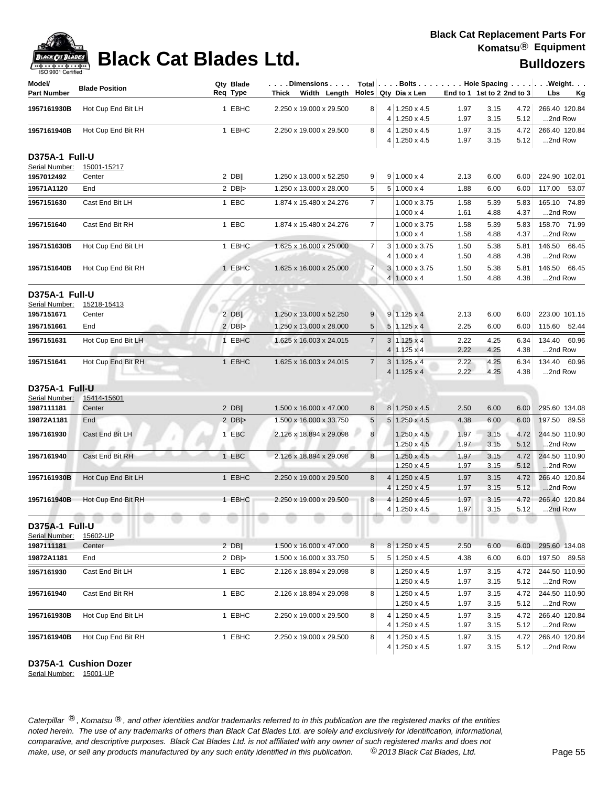| Model/<br><b>Part Number</b>            | <b>Blade Position</b> | Qty Blade<br>Req Type | $\ldots$ . Dimensions. $\ldots$<br>Thick Width Length |                |   | Total   Bolts   Hole Spacing   Weight.<br>Holes Qty Dia x Len |              | End to 1 1st to 2 2nd to 3 |              | Lbs                      | <u>Kg</u> |
|-----------------------------------------|-----------------------|-----------------------|-------------------------------------------------------|----------------|---|---------------------------------------------------------------|--------------|----------------------------|--------------|--------------------------|-----------|
| 1957161930B                             | Hot Cup End Bit LH    | 1 EBHC                | 2.250 x 19.000 x 29.500                               | 8              |   | $4 1.250 \times 4.5$                                          | 1.97         | 3.15                       | 4.72         | 266.40 120.84            |           |
|                                         |                       |                       |                                                       |                |   | $4 1.250 \times 4.5$                                          | 1.97         | 3.15                       | 5.12         | 2nd Row                  |           |
| 1957161940B                             | Hot Cup End Bit RH    | 1 EBHC                | 2.250 x 19.000 x 29.500                               | 8              |   | $4 1.250 \times 4.5$                                          | 1.97         | 3.15                       | 4.72         | 266.40 120.84            |           |
|                                         |                       |                       |                                                       |                |   | 4 1.250 x 4.5                                                 | 1.97         | 3.15                       | 5.12         | 2nd Row                  |           |
| <b>D375A-1 Full-U</b><br>Serial Number: | 15001-15217           |                       |                                                       |                |   |                                                               |              |                            |              |                          |           |
| 1957012492                              | Center                | $2$ DB                | 1.250 x 13.000 x 52.250                               | 9              |   | $9 1.000 \times 4$                                            | 2.13         | 6.00                       | 6.00         | 224.90 102.01            |           |
| 19571A1120                              | End                   | 2 $DB$ $>$            | 1.250 x 13.000 x 28.000                               | 5              |   | $5 1.000 \times 4$                                            | 1.88         | 6.00                       | 6.00         | 117.00 53.07             |           |
| 1957151630                              | Cast End Bit LH       | 1 EBC                 | 1.874 x 15.480 x 24.276                               | 7 <sup>1</sup> |   | 1.000 x 3.75<br>$1.000 \times 4$                              | 1.58<br>1.61 | 5.39<br>4.88               | 5.83<br>4.37 | 165.10 74.89<br>2nd Row  |           |
| 1957151640                              | Cast End Bit RH       | 1 EBC                 | 1.874 x 15.480 x 24.276                               | $\overline{7}$ |   | 1.000 x 3.75<br>$1.000 \times 4$                              | 1.58<br>1.58 | 5.39<br>4.88               | 5.83<br>4.37 | 158.70 71.99<br>2nd Row  |           |
| 1957151630B                             | Hot Cup End Bit LH    | 1 EBHC                | 1.625 x 16.000 x 25.000                               | $\overline{7}$ |   | $3 1.000 \times 3.75$                                         | 1.50         | 5.38                       | 5.81         | 146.50 66.45             |           |
|                                         |                       |                       |                                                       |                |   | $4 1.000 \times 4$                                            | 1.50         | 4.88                       | 4.38         | 2nd Row                  |           |
| 1957151640B                             | Hot Cup End Bit RH    | 1 EBHC                | 1.625 x 16.000 x 25.000                               | $\overline{7}$ |   | 3 1.000 x 3.75                                                | 1.50         | 5.38                       | 5.81         | 146.50 66.45             |           |
|                                         |                       |                       |                                                       |                |   | 4   1.000 x 4                                                 | 1.50         | 4.88                       | 4.38         | 2nd Row                  |           |
| D375A-1 Full-U<br>Serial Number:        | 15218-15413           |                       |                                                       |                |   |                                                               |              |                            |              |                          |           |
| 1957151671                              | Center                | $2$ DB                | 1.250 x 13.000 x 52.250                               | 9              |   | $9 1.125 \times 4$                                            | 2.13         | 6.00                       | 6.00         | 223.00 101.15            |           |
| 1957151661                              | End                   | $2$ DB  $>$           | 1.250 x 13.000 x 28.000                               | 5              |   | $5 1.125 \times 4$                                            | 2.25         | 6.00                       | 6.00         | 115.60 52.44             |           |
| 1957151631                              | Hot Cup End Bit LH    | 1 EBHC                | 1.625 x 16.003 x 24.015                               | $\overline{7}$ |   | $3 1.125 \times 4$                                            | 2.22         | 4.25                       | 6.34         | 134.40 60.96             |           |
|                                         |                       |                       |                                                       |                |   | $4 1.125 \times 4$                                            | 2.22         | 4.25                       | 4.38         | 2nd Row                  |           |
| 1957151641                              | Hot Cup End Bit RH    | 1 EBHC                | 1.625 x 16.003 x 24.015                               | $\overline{7}$ |   | $3 1.125 \times 4$                                            | 2.22         | 4.25                       | 6.34         | 134.40 60.96             |           |
|                                         |                       |                       |                                                       |                |   | $4 1.125 \times 4$                                            | 2.22         | 4.25                       | 4.38         | 2nd Row                  |           |
| D375A-1 Full-U                          |                       |                       |                                                       |                |   |                                                               |              |                            |              |                          |           |
| Serial Number:                          | 15414-15601           |                       |                                                       |                |   |                                                               |              |                            |              |                          |           |
| 1987111181                              | Center                | $2$ DB                | 1.500 x 16.000 x 47.000                               | 8              |   | 8 1.250 x 4.5                                                 | 2.50         | 6.00                       | 6.00         | 295.60 134.08            |           |
| 19872A1181                              | End                   | 2 $DB$ $>$            | 1.500 x 16.000 x 33.750                               | $\sqrt{5}$     |   | $5 1.250 \times 4.5$                                          | 4.38         | 6.00                       | 6.00         | 197.50 89.58             |           |
| 1957161930                              | Cast End Bit LH       | 1 EBC                 | 2.126 x 18.894 x 29.098                               | 8              |   | $1.250 \times 4.5$                                            | 1.97         | 3.15                       | 4.72         | 244.50 110.90            |           |
|                                         |                       |                       |                                                       |                |   | 1.250 x 4.5                                                   | 1.97         | 3.15                       | 5.12         | 2nd Row                  |           |
| 1957161940                              | Cast End Bit RH       | 1 EBC                 | 2.126 x 18.894 x 29.098                               | 8              |   | 1.250 x 4.5                                                   | 1.97         | 3.15                       | 4.72         | 244.50 110.90            |           |
|                                         |                       |                       |                                                       |                |   | 1.250 x 4.5                                                   | 1.97         | 3.15                       | 5.12         | 2nd Row                  |           |
| 1957161930B                             | Hot Cup End Bit LH    | 1 EBHC                | 2.250 x 19.000 x 29.500                               | 8              |   | $4 1.250 \times 4.5$                                          | 1.97         | 3.15                       | 4.72         | 266.40 120.84            |           |
|                                         |                       |                       |                                                       |                | 4 | 1.250 x 4.5                                                   | 1.97         | 3.15                       | 5.12         | 2nd Row                  |           |
| 1957161940B                             | Hot Cup End Bit RH    | 1 EBHC                | 2.250 x 19.000 x 29.500                               | 8              |   | $4 1.250 \times 4.5$<br>4 1.250 x 4.5                         | 1.97<br>1.97 | 3.15<br>3.15               | 4.72<br>5.12 | 266.40 120.84<br>2nd Row |           |
| <b>D375A-1 Full-U</b>                   | 15602-UP              |                       |                                                       |                |   |                                                               |              |                            |              |                          |           |
| Serial Number:<br>1987111181            | Center                | $2$ DB                | 1.500 x 16.000 x 47.000                               | 8              |   | $8 \mid 1.250 \times 4.5$                                     | 2.50         | 6.00                       | 6.00         | 295.60 134.08            |           |
| 19872A1181                              | End                   | 2 $DB$ $>$            | 1.500 x 16.000 x 33.750                               | 5              |   | $5 1.250 \times 4.5$                                          | 4.38         | 6.00                       | 6.00         | 197.50 89.58             |           |
|                                         |                       |                       |                                                       |                |   |                                                               |              |                            |              |                          |           |
| 1957161930                              | Cast End Bit LH       | 1 EBC                 | 2.126 x 18.894 x 29.098                               | 8 <sup>1</sup> |   | 1.250 x 4.5<br>1.250 x 4.5                                    | 1.97<br>1.97 | 3.15<br>3.15               | 4.72<br>5.12 | 244.50 110.90<br>2nd Row |           |
| 1957161940                              | Cast End Bit RH       | 1 EBC                 | 2.126 x 18.894 x 29.098                               | 8              |   | $1.250 \times 4.5$                                            | 1.97         | 3.15                       | 4.72         | 244.50 110.90            |           |
|                                         |                       |                       |                                                       |                |   | $1.250 \times 4.5$                                            | 1.97         | 3.15                       | 5.12         | 2nd Row                  |           |
| 1957161930B                             | Hot Cup End Bit LH    | 1 EBHC                | 2.250 x 19.000 x 29.500                               | 8              |   | $4 1.250 \times 4.5$                                          | 1.97         | 3.15                       | 4.72         | 266.40 120.84            |           |
|                                         |                       |                       |                                                       |                |   | 4 1.250 x 4.5                                                 | 1.97         | 3.15                       | 5.12         | 2nd Row                  |           |
| 1957161940B                             | Hot Cup End Bit RH    | 1 EBHC                | 2.250 x 19.000 x 29.500                               | 8              |   | $4 1.250 \times 4.5$                                          | 1.97         | 3.15                       | 4.72         | 266.40 120.84            |           |
|                                         |                       |                       |                                                       |                |   | 4 1.250 x 4.5                                                 | 1.97         | 3.15                       | 5.12         | 2nd Row                  |           |

**D375A-1 Cushion Dozer**

Serial Number: 15001-UP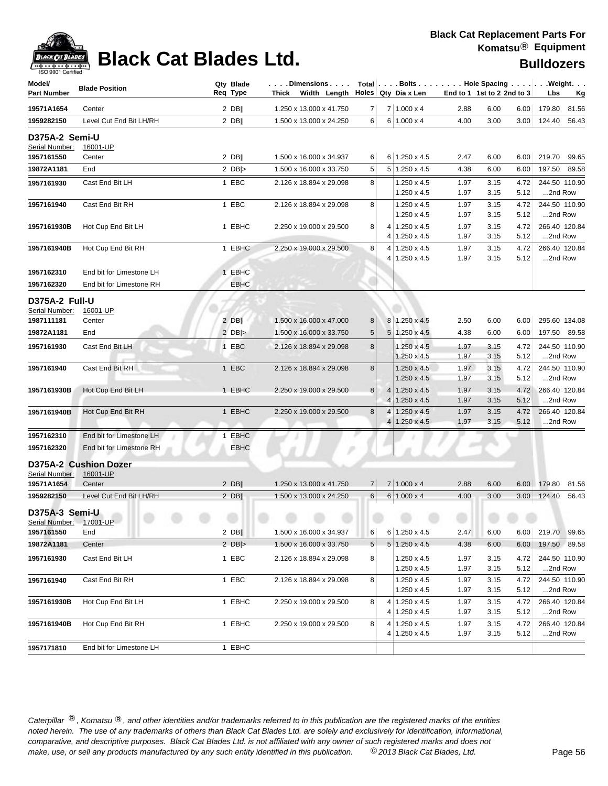

| Model/<br><b>Part Number</b>     | <b>Blade Position</b>             | Qty Blade<br>Req Type | .Dimensions  <br>Thick Width Length |                |        | Total $\vert \ldots$ Bolts $\ldots \vert \ldots$ Hole Spacing $\ldots \vert \ldots$ Weight. $\ldots$<br>Holes Qty Dia x Len | End to 1 1st to 2 2nd to 3 |                      |                      | Lbs                | <u>Kg</u>                |
|----------------------------------|-----------------------------------|-----------------------|-------------------------------------|----------------|--------|-----------------------------------------------------------------------------------------------------------------------------|----------------------------|----------------------|----------------------|--------------------|--------------------------|
| 19571A1654                       | Center                            | $2$ DB                | 1.250 x 13.000 x 41.750             | 7              |        | $7 1.000 \times 4$                                                                                                          | 2.88                       | 6.00                 | 6.00                 | 179.80             | 81.56                    |
| 1959282150                       | Level Cut End Bit LH/RH           | $2$ DB                | 1.500 x 13.000 x 24.250             | 6              |        | $6 1.000 \times 4$                                                                                                          | 4.00                       | 3.00                 | 3.00                 | 124.40             | 56.43                    |
| D375A-2 Semi-U<br>Serial Number: | 16001-UP                          |                       |                                     |                |        |                                                                                                                             |                            |                      |                      |                    |                          |
| 1957161550                       | Center                            | $2$ DB                | 1.500 x 16.000 x 34.937             | 6              |        | $6 1.250 \times 4.5$                                                                                                        | 2.47                       | 6.00                 | 6.00                 |                    | 219.70 99.65             |
| 19872A1181                       | End                               | 2 $DB$ $>$            | 1.500 x 16.000 x 33.750             | 5              |        | $5 1.250 \times 4.5$                                                                                                        | 4.38                       | 6.00                 | 6.00                 |                    | 197.50 89.58             |
| 1957161930                       | Cast End Bit LH                   | 1 EBC                 | 2.126 x 18.894 x 29.098             | 8              |        | $1.250 \times 4.5$<br>$1.250 \times 4.5$                                                                                    | 1.97<br>1.97               | 3.15<br>3.15         | 4.72<br>5.12         |                    | 244.50 110.90<br>2nd Row |
| 1957161940                       | Cast End Bit RH                   | 1 EBC                 | 2.126 x 18.894 x 29.098             | 8              |        | $1.250 \times 4.5$<br>$1.250 \times 4.5$                                                                                    | 1.97<br>1.97               | 3.15<br>3.15         | 4.72<br>5.12         | 2nd Row            | 244.50 110.90            |
| 1957161930B                      | Hot Cup End Bit LH                | 1 EBHC                | 2.250 x 19.000 x 29.500             | 8              | 4      | $4 1.250 \times 4.5$                                                                                                        | 1.97                       | 3.15                 | 4.72                 |                    | 266.40 120.84            |
| 1957161940B                      | Hot Cup End Bit RH                | 1 EBHC                | 2.250 x 19.000 x 29.500             | 8              | 4      | $1.250 \times 4.5$<br>$1.250 \times 4.5$<br>4 1.250 x 4.5                                                                   | 1.97<br>1.97<br>1.97       | 3.15<br>3.15<br>3.15 | 5.12<br>4.72<br>5.12 | 2nd Row<br>2nd Row | 266.40 120.84            |
| 1957162310                       | End bit for Limestone LH          | 1 EBHC                |                                     |                |        |                                                                                                                             |                            |                      |                      |                    |                          |
| 1957162320                       | End bit for Limestone RH          | EBHC                  |                                     |                |        |                                                                                                                             |                            |                      |                      |                    |                          |
| D375A-2 Full-U<br>Serial Number: | 16001-UP                          |                       |                                     |                |        |                                                                                                                             |                            |                      |                      |                    |                          |
| 1987111181                       | Center                            | $2$ DB                | 1.500 x 16.000 x 47.000             | 8              |        | 8 1.250 x 4.5                                                                                                               | 2.50                       | 6.00                 | 6.00                 |                    | 295.60 134.08            |
| 19872A1181                       | End                               | 2 $DB$ $>$            | 1.500 x 16.000 x 33.750             | 5              |        | $5 1.250 \times 4.5$                                                                                                        | 4.38                       | 6.00                 | 6.00                 |                    | 197.50 89.58             |
| 1957161930                       | Cast End Bit LH                   | 1 EBC                 | 2.126 x 18.894 x 29.098             | 8              |        | $1.250 \times 4.5$<br>$1.250 \times 4.5$                                                                                    | 1.97<br>1.97               | 3.15<br>3.15         | 4.72<br>5.12         | 2nd Row            | 244.50 110.90            |
| 1957161940                       | Cast End Bit RH                   | 1 EBC                 | 2.126 x 18.894 x 29.098             | 8              |        | $1.250 \times 4.5$<br>1.250 x 4.5                                                                                           | 1.97<br>1.97               | 3.15<br>3.15         | 4.72<br>5.12         | 2nd Row            | 244.50 110.90            |
| 1957161930B                      | Hot Cup End Bit LH                | 1 EBHC                | 2.250 x 19.000 x 29.500             | 8              | 4<br>4 | $1.250 \times 4.5$<br>$1.250 \times 4.5$                                                                                    | 1.97<br>1.97               | 3.15<br>3.15         | 4.72<br>5.12         | 2nd Row            | 266.40 120.84            |
| 1957161940B                      | Hot Cup End Bit RH                | 1 EBHC                | 2.250 x 19.000 x 29.500             | 8              | 4<br>4 | $1.250 \times 4.5$<br>$1.250 \times 4.5$                                                                                    | 1.97<br>1.97               | 3.15<br>3.15         | 4.72<br>5.12         | 2nd Row            | 266.40 120.84            |
| 1957162310                       | End bit for Limestone LH          | 1 EBHC                |                                     |                |        |                                                                                                                             |                            |                      |                      |                    |                          |
| 1957162320                       | End bit for Limestone RH          | EBHC                  |                                     |                |        |                                                                                                                             |                            |                      |                      |                    |                          |
| Serial Number:                   | D375A-2 Cushion Dozer<br>16001-UP |                       |                                     |                |        |                                                                                                                             |                            |                      |                      |                    |                          |
| 19571A1654                       | Center                            | $2$ DB                | 1.250 x 13.000 x 41.750             | $\overline{7}$ |        | $7 1.000 \times 4$                                                                                                          | 2.88                       | 6.00                 | 6.00                 | 179.80             | 81.56                    |
| 1959282150                       | Level Cut End Bit LH/RH           | $2$ DB                | 1.500 x 13.000 x 24.250             | 6              |        | $6 1.000 \times 4$                                                                                                          | 4.00                       | 3.00                 | 3.00                 | 124.40             | 56.43                    |
| D375A-3 Semi-U<br>Serial Number: | 17001-UP                          |                       |                                     |                |        |                                                                                                                             |                            |                      |                      |                    |                          |
| 1957161550                       | End                               | $2$ DB                | 1.500 x 16.000 x 34.937             | 6              |        | $6 1.250 \times 4.5$                                                                                                        | 2.47                       | 6.00                 | 6.00                 |                    | 219.70 99.65             |
| 19872A1181                       | Center                            | $2$ DB >              | 1.500 x 16.000 x 33.750             | 5              |        | $5 \vert 1.250 \times 4.5$                                                                                                  | 4.38                       | 6.00                 | 6.00                 |                    | 197.50 89.58             |
| 1957161930                       | Cast End Bit LH                   | 1 EBC                 | 2.126 x 18.894 x 29.098             | 8              |        | $1.250 \times 4.5$<br>1.250 x 4.5                                                                                           | 1.97<br>1.97               | 3.15<br>3.15         | 4.72<br>5.12         | 2nd Row            | 244.50 110.90            |
| 1957161940                       | Cast End Bit RH                   | 1 EBC                 | 2.126 x 18.894 x 29.098             | 8              |        | 1.250 x 4.5<br>1.250 x 4.5                                                                                                  | 1.97<br>1.97               | 3.15<br>3.15         | 4.72<br>5.12         | 2nd Row            | 244.50 110.90            |
| 1957161930B                      | Hot Cup End Bit LH                | 1 EBHC                | 2.250 x 19.000 x 29.500             | 8              |        | $4 1.250 \times 4.5$<br>4 1.250 x 4.5                                                                                       | 1.97<br>1.97               | 3.15<br>3.15         | 4.72<br>5.12         | 2nd Row            | 266.40 120.84            |
| 1957161940B                      | Hot Cup End Bit RH                | 1 EBHC                | 2.250 x 19.000 x 29.500             | 8              | 4      | $1.250 \times 4.5$                                                                                                          | 1.97                       | 3.15                 | 4.72                 |                    | 266.40 120.84            |
| 1957171810                       | End bit for Limestone LH          | 1 EBHC                |                                     |                |        | 4 1.250 x 4.5                                                                                                               | 1.97                       | 3.15                 | 5.12                 |                    | 2nd Row                  |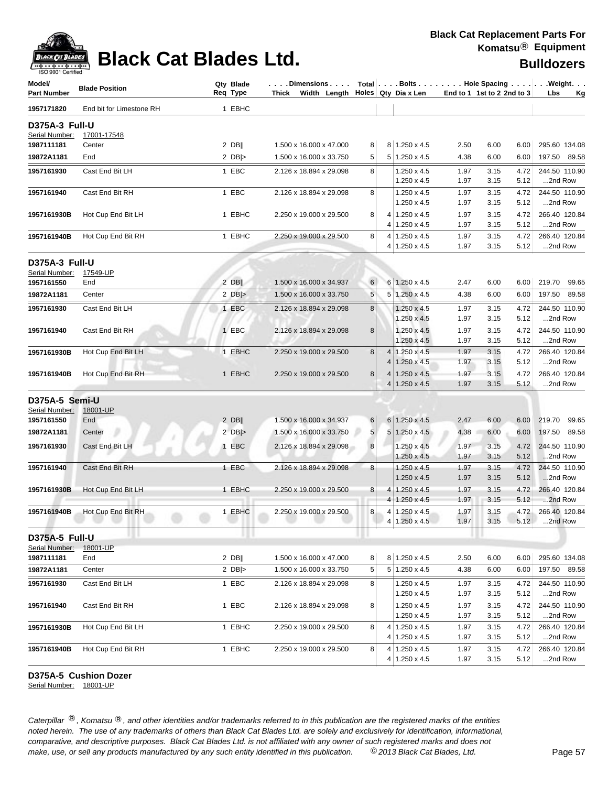

| Model/<br>Part Number                   | <b>Blade Position</b>    | Qty Blade<br>Req Type | $\vert \ldots$ . Dimensions $\ldots \vert$ Total $\vert \ldots$ Bolts $\ldots \vert \ldots \vert$ . Hole Spacing $\ldots \vert \ldots$ . Weight. $\ldots$<br>Thick Width Length $\vert$ Holes Qty Dia x Len |                |                                              |              | End to 1 1st to 2 2nd to 3 |              | Lbs                      | <u>Kg</u> |
|-----------------------------------------|--------------------------|-----------------------|-------------------------------------------------------------------------------------------------------------------------------------------------------------------------------------------------------------|----------------|----------------------------------------------|--------------|----------------------------|--------------|--------------------------|-----------|
| 1957171820                              | End bit for Limestone RH | 1 EBHC                |                                                                                                                                                                                                             |                |                                              |              |                            |              |                          |           |
| D375A-3 Full-U                          |                          |                       |                                                                                                                                                                                                             |                |                                              |              |                            |              |                          |           |
| Serial Number:                          | 17001-17548              |                       |                                                                                                                                                                                                             |                |                                              |              |                            |              |                          |           |
| 1987111181                              | Center                   | $2$ DB                | 1.500 x 16.000 x 47.000                                                                                                                                                                                     | 8              | 8 1.250 x 4.5                                | 2.50         | 6.00                       | 6.00         | 295.60 134.08            |           |
| 19872A1181                              | End                      | 2 $DB$                | 1.500 x 16.000 x 33.750                                                                                                                                                                                     | 5 <sup>2</sup> | $5 1.250 \times 4.5$                         | 4.38         | 6.00                       | 6.00         | 197.50 89.58             |           |
| 1957161930                              | Cast End Bit LH          | 1 EBC                 | 2.126 x 18.894 x 29.098                                                                                                                                                                                     | 8              | 1.250 x 4.5                                  | 1.97         | 3.15                       | 4.72         | 244.50 110.90            |           |
|                                         |                          |                       |                                                                                                                                                                                                             |                | $1.250 \times 4.5$                           | 1.97         | 3.15                       | 5.12         | 2nd Row                  |           |
| 1957161940                              | Cast End Bit RH          | 1 EBC                 | 2.126 x 18.894 x 29.098                                                                                                                                                                                     | 8 <sup>1</sup> | 1.250 x 4.5                                  | 1.97         | 3.15                       | 4.72         | 244.50 110.90            |           |
|                                         |                          |                       |                                                                                                                                                                                                             |                | 1.250 x 4.5                                  | 1.97         | 3.15                       | 5.12         | 2nd Row                  |           |
| 1957161930B                             | Hot Cup End Bit LH       | 1 EBHC                | 2.250 x 19.000 x 29.500                                                                                                                                                                                     | 8              | $4 1.250 \times 4.5$<br>$4 1.250 \times 4.5$ | 1.97<br>1.97 | 3.15<br>3.15               | 4.72<br>5.12 | 266.40 120.84<br>2nd Row |           |
| 1957161940B                             | Hot Cup End Bit RH       | 1 EBHC                | 2.250 x 19.000 x 29.500                                                                                                                                                                                     | 8              | $4 1.250 \times 4.5$                         | 1.97         | 3.15                       | 4.72         | 266.40 120.84            |           |
|                                         |                          |                       |                                                                                                                                                                                                             |                | 4 1.250 x 4.5                                | 1.97         | 3.15                       | 5.12         | 2nd Row                  |           |
| D375A-3 Full-U                          |                          |                       |                                                                                                                                                                                                             |                |                                              |              |                            |              |                          |           |
| Serial Number:                          | 17549-UP                 |                       |                                                                                                                                                                                                             |                |                                              |              |                            |              |                          |           |
| 1957161550                              | End                      | $2$ DB                | 1.500 x 16.000 x 34.937                                                                                                                                                                                     | $6 \mid$       | 6 1.250 x 4.5                                | 2.47         | 6.00                       | 6.00         | 219.70 99.65             |           |
| 19872A1181                              | Center                   | 2 $DB$ $>$            | 1.500 x 16.000 x 33.750                                                                                                                                                                                     | 5              | $5 \mid 1.250 \times 4.5$                    | 4.38         | 6.00                       | 6.00         | 197.50 89.58             |           |
| 1957161930                              | Cast End Bit LH          | 1 EBC                 | 2.126 x 18.894 x 29.098                                                                                                                                                                                     | 8              | $1.250 \times 4.5$                           | 1.97         | 3.15                       | 4.72         | 244.50 110.90            |           |
|                                         |                          |                       |                                                                                                                                                                                                             |                | 1.250 x 4.5                                  | 1.97         | 3.15                       | 5.12         | 2nd Row                  |           |
| 1957161940                              | Cast End Bit RH          | 1 EBC                 | 2.126 x 18.894 x 29.098                                                                                                                                                                                     | 8 <sup>1</sup> | 1.250 x 4.5                                  | 1.97         | 3.15                       | 4.72         | 244.50 110.90            |           |
|                                         |                          |                       |                                                                                                                                                                                                             |                | $1.250 \times 4.5$                           | 1.97         | 3.15                       | 5.12         | 2nd Row                  |           |
| 1957161930B                             | Hot Cup End Bit LH       | 1 EBHC                | 2.250 x 19.000 x 29.500                                                                                                                                                                                     | 8              | 4 1.250 x 4.5                                | 1.97         | 3.15                       | 4.72         | 266.40 120.84            |           |
|                                         |                          |                       |                                                                                                                                                                                                             |                | $4 1.250 \times 4.5$                         | 1.97         | 3.15                       | 5.12         | 2nd Row                  |           |
| 1957161940B                             | Hot Cup End Bit RH       | 1 EBHC                | 2.250 x 19.000 x 29.500                                                                                                                                                                                     | 8              | $4 1.250 \times 4.5$                         | 1.97         | 3.15                       | 4.72         | 266.40 120.84            |           |
|                                         |                          |                       |                                                                                                                                                                                                             |                | $4 1.250 \times 4.5$                         | 1.97         | 3.15                       | 5.12         | 2nd Row                  |           |
| D375A-5 Semi-U                          |                          |                       |                                                                                                                                                                                                             |                |                                              |              |                            |              |                          |           |
| Serial Number:                          | 18001-UP                 |                       |                                                                                                                                                                                                             |                |                                              |              |                            |              |                          |           |
| 1957161550                              | End                      | $2$ DB                | 1.500 x 16.000 x 34.937                                                                                                                                                                                     | 6              | $6 1.250 \times 4.5$                         | 2.47         | 6.00                       | 6.00         | 219.70 99.65             |           |
| 19872A1181                              | Center                   | 2 $DB$ $>$            | 1.500 x 16.000 x 33.750                                                                                                                                                                                     | 5 <sup>1</sup> | $5 1.250 \times 4.5$                         | 4.38         | 6.00                       | 6.00         | 197.50 89.58             |           |
| 1957161930                              | Cast End Bit LH          | 1 EBC                 | 2.126 x 18.894 x 29.098                                                                                                                                                                                     | 8 <sup>1</sup> | $1.250 \times 4.5$                           | 1.97         | 3.15                       | 4.72         | 244.50 110.90            |           |
|                                         |                          |                       |                                                                                                                                                                                                             |                | 1.250 x 4.5                                  | 1.97         | 3.15                       | 5.12         | 2nd Row                  |           |
| 1957161940                              | Cast End Bit RH          | 1 EBC                 | 2.126 x 18.894 x 29.098                                                                                                                                                                                     | 8              | $1.250 \times 4.5$                           | 1.97         | 3.15                       | 4.72         | 244.50 110.90            |           |
|                                         |                          |                       |                                                                                                                                                                                                             |                | $1.250 \times 4.5$                           | 1.97         | 3.15                       | 5.12         | 2nd Row                  |           |
| 1957161930B                             | Hot Cup End Bit LH       | 1 EBHC                | 2.250 x 19.000 x 29.500                                                                                                                                                                                     | 8 <sup>1</sup> | $4 1.250 \times 4.5$                         | 1.97         | 3.15                       | 4.72         | 266.40 120.84            |           |
|                                         |                          |                       |                                                                                                                                                                                                             |                | $4 1.250 \times 4.5$                         | 1.97         | 3.15                       | 5.12         | 2nd Row                  |           |
| 1957161940B                             | Hot Cup End Bit RH       | 1 EBHC                | 2.250 x 19.000 x 29.500                                                                                                                                                                                     | 8              | 4 1.250 x 4.5<br>4 1.250 x 4.5               | 1.97<br>1.97 | 3.15<br>3.15               | 4.72<br>5.12 | 266.40 120.84<br>2nd Row |           |
|                                         |                          |                       |                                                                                                                                                                                                             |                |                                              |              |                            |              |                          |           |
| <b>D375A-5 Full-U</b><br>Serial Number: | 18001-UP                 |                       |                                                                                                                                                                                                             |                |                                              |              |                            |              |                          |           |
| 1987111181                              | End                      | $2$ DB                | 1.500 x 16.000 x 47.000                                                                                                                                                                                     | 8              | 8 1.250 x 4.5                                | 2.50         | 6.00                       | 6.00         | 295.60 134.08            |           |
| 19872A1181                              | Center                   | 2 $DB$ $>$            | 1.500 x 16.000 x 33.750                                                                                                                                                                                     | 5              | $5 1.250 \times 4.5$                         | 4.38         | 6.00                       | 6.00         | 197.50<br>89.58          |           |
| 1957161930                              | Cast End Bit LH          | 1 EBC                 | 2.126 x 18.894 x 29.098                                                                                                                                                                                     | 8              | 1.250 x 4.5                                  | 1.97         | 3.15                       | 4.72         | 244.50 110.90            |           |
|                                         |                          |                       |                                                                                                                                                                                                             |                | 1.250 x 4.5                                  | 1.97         | 3.15                       | 5.12         | 2nd Row                  |           |
| 1957161940                              | Cast End Bit RH          | 1 EBC                 | 2.126 x 18.894 x 29.098                                                                                                                                                                                     | 8              | $1.250 \times 4.5$                           | 1.97         | 3.15                       | 4.72         | 244.50 110.90            |           |
|                                         |                          |                       |                                                                                                                                                                                                             |                | 1.250 x 4.5                                  | 1.97         | 3.15                       | 5.12         | 2nd Row                  |           |
| 1957161930B                             | Hot Cup End Bit LH       | 1 EBHC                | 2.250 x 19.000 x 29.500                                                                                                                                                                                     | 8              | $4 1.250 \times 4.5$                         | 1.97         | 3.15                       | 4.72         | 266.40 120.84            |           |
|                                         |                          |                       |                                                                                                                                                                                                             |                | $4 1.250 \times 4.5$                         | 1.97         | 3.15                       | 5.12         | 2nd Row                  |           |
| 1957161940B                             | Hot Cup End Bit RH       | 1 EBHC                | 2.250 x 19.000 x 29.500                                                                                                                                                                                     | 8              | $4 1.250 \times 4.5$                         | 1.97         | 3.15                       | 4.72         | 266.40 120.84            |           |
|                                         |                          |                       |                                                                                                                                                                                                             |                | $4 1.250 \times 4.5$                         | 1.97         | 3.15                       | 5.12         | 2nd Row                  |           |

### **D375A-5 Cushion Dozer**

Serial Number: 18001-UP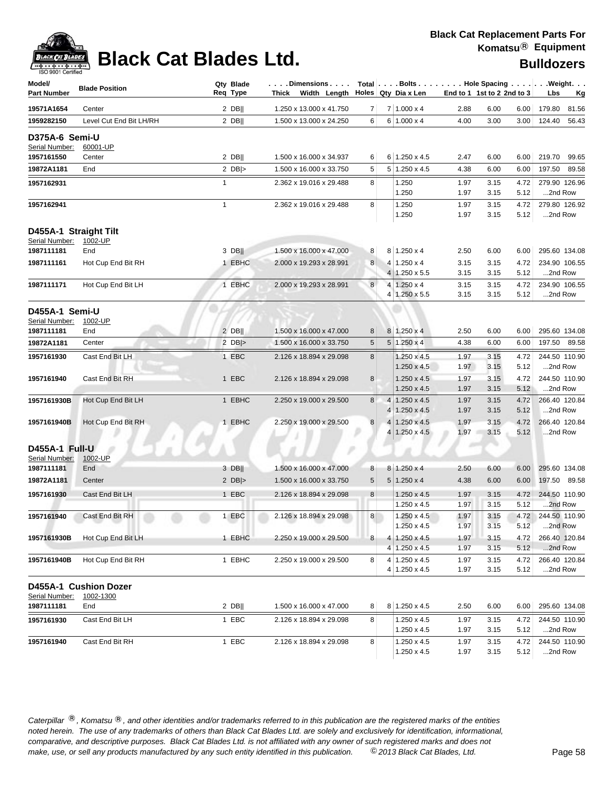

### **Black Cat Replacement Parts For Komatsu**® **Equipment**

| 190 SONT CRIMING<br>Model/<br><b>Part Number</b> | <b>Blade Position</b>              |              | Qty Blade<br>Reg Type | Dimensions<br>Thick Width Length |        | Holes Qty Dia x Len            | End to 1 1st to 2 2nd to 3 |              |              | Total $\vert \ldots$ Bolts $\ldots \vert \ldots$ Hole Spacing $\ldots \vert \ldots$ Weight. $\ldots$<br>Lbs<br><u>Kg</u> |
|--------------------------------------------------|------------------------------------|--------------|-----------------------|----------------------------------|--------|--------------------------------|----------------------------|--------------|--------------|--------------------------------------------------------------------------------------------------------------------------|
| 19571A1654                                       | Center                             |              | $2$ DB                | 1.250 x 13.000 x 41.750          | 7      | 7 1.000 x 4                    | 2.88                       | 6.00         | 6.00         | 179.80<br>81.56                                                                                                          |
| 1959282150                                       | Level Cut End Bit LH/RH            |              | $2$ DB                | 1.500 x 13.000 x 24.250          | 6      | $6 1.000 \times 4$             | 4.00                       | 3.00         | 3.00         | 124.40<br>56.43                                                                                                          |
| D375A-6 Semi-U<br>Serial Number:                 | 60001-UP                           |              |                       |                                  |        |                                |                            |              |              |                                                                                                                          |
| 1957161550                                       | Center                             |              | 2 DB                  | 1.500 x 16.000 x 34.937          | 6      | 6 1.250 x 4.5                  | 2.47                       | 6.00         | 6.00         | 219.70<br>99.65                                                                                                          |
| 19872A1181                                       | End                                |              | 2 $DB$                | 1.500 x 16.000 x 33.750          | 5      | 5 1.250 x 4.5                  | 4.38                       | 6.00         | 6.00         | 197.50<br>89.58                                                                                                          |
| 1957162931                                       |                                    | 1            |                       | 2.362 x 19.016 x 29.488          | 8      | 1.250                          | 1.97                       | 3.15         | 4.72         | 279.90 126.96                                                                                                            |
|                                                  |                                    |              |                       |                                  |        | 1.250                          | 1.97                       | 3.15         | 5.12         | 2nd Row                                                                                                                  |
| 1957162941                                       |                                    | $\mathbf{1}$ |                       | 2.362 x 19.016 x 29.488          | 8      | 1.250                          | 1.97                       | 3.15         | 4.72         | 279.80 126.92                                                                                                            |
|                                                  |                                    |              |                       |                                  |        | 1.250                          | 1.97                       | 3.15         | 5.12         | 2nd Row                                                                                                                  |
| D455A-1 Straight Tilt<br>Serial Number:          | 1002-UP                            |              |                       |                                  |        |                                |                            |              |              |                                                                                                                          |
| 1987111181                                       | End                                |              | $3$ DB                | 1.500 x 16.000 x 47.000          | 8      | $8 \mid 1.250 \times 4$        | 2.50                       | 6.00         | 6.00         | 295.60 134.08                                                                                                            |
| 1987111161                                       | Hot Cup End Bit RH                 |              | 1 EBHC                | 2.000 x 19.293 x 28.991          | 8      | $4 1.250 \times 4$             | 3.15                       | 3.15         | 4.72         | 234.90 106.55                                                                                                            |
|                                                  |                                    |              |                       |                                  |        | $4 1.250 \times 5.5$           | 3.15                       | 3.15         | 5.12         | 2nd Row                                                                                                                  |
| 1987111171                                       | Hot Cup End Bit LH                 |              | 1 EBHC                | 2.000 x 19.293 x 28.991          | 8      | 4 1.250 x 4                    | 3.15                       | 3.15         | 4.72         | 234.90 106.55                                                                                                            |
|                                                  |                                    |              |                       |                                  |        | 4 1.250 x 5.5                  | 3.15                       | 3.15         | 5.12         | 2nd Row                                                                                                                  |
| D455A-1 Semi-U                                   |                                    |              |                       |                                  |        |                                |                            |              |              |                                                                                                                          |
| Serial Number:                                   | 1002-UP                            |              |                       |                                  |        |                                |                            |              |              |                                                                                                                          |
| 1987111181                                       | End                                |              | $2$ DB                | 1.500 x 16.000 x 47.000          | 8      | 8 1.250 x 4                    | 2.50                       | 6.00         | 6.00         | 295.60 134.08                                                                                                            |
| 19872A1181                                       | Center                             |              | 2 $DB$ $>$            | 1.500 x 16.000 x 33.750          | 5      | $5 1.250 \times 4$             | 4.38                       | 6.00         | 6.00         | 197.50 89.58                                                                                                             |
| 1957161930                                       | Cast End Bit LH                    |              | 1 EBC                 | 2.126 x 18.894 x 29.098          | 8      | 1.250 x 4.5                    | 1.97                       | 3.15         | 4.72         | 244.50 110.90                                                                                                            |
|                                                  |                                    |              |                       |                                  |        | 1.250 x 4.5                    | 1.97                       | 3.15         | 5.12         | 2nd Row                                                                                                                  |
| 1957161940                                       | Cast End Bit RH                    |              | 1 EBC                 | 2.126 x 18.894 x 29.098          | 8      | 1.250 x 4.5<br>1.250 x 4.5     | 1.97<br>1.97               | 3.15<br>3.15 | 4.72<br>5.12 | 244.50 110.90<br>2nd Row                                                                                                 |
| 1957161930B                                      | Hot Cup End Bit LH                 |              | 1 EBHC                | 2.250 x 19.000 x 29.500          | 8      | $4 1.250 \times 4.5$           | 1.97                       | 3.15         | 4.72         | 266.40 120.84                                                                                                            |
|                                                  |                                    |              |                       |                                  |        | $4 1.250 \times 4.5$           | 1.97                       | 3.15         | 5.12         | 2nd Row                                                                                                                  |
| 1957161940B                                      | Hot Cup End Bit RH                 |              | 1 EBHC                | 2.250 x 19.000 x 29.500          | $\bf8$ | $4 1.250 \times 4.5$           | 1.97                       | 3.15         | 4.72         | 266.40 120.84                                                                                                            |
|                                                  |                                    |              |                       |                                  |        | $1.250 \times 4.5$             | 1.97                       | 3.15         | 5.12         | 2nd Row                                                                                                                  |
| D455A-1 Full-U<br>Serial Number:                 | 1002-UP                            |              |                       | $\mathcal{P}$                    |        |                                |                            | ۰            |              |                                                                                                                          |
| 1987111181                                       | End                                |              | 3 DB                  | 1.500 x 16.000 x 47.000          | 8      | $8 1.250 \times 4$             | 2.50                       | 6.00         | 6.00         | 295.60 134.08                                                                                                            |
| 19872A1181                                       | Center                             |              | 2 $DB$                | 1.500 x 16.000 x 33.750          | 5      | $5 1.250 \times 4$             | 4.38                       | 6.00         | 6.00         | 197.50<br>89.58                                                                                                          |
| 1957161930                                       | Cast End Bit LH                    |              | 1 EBC                 | 2.126 x 18.894 x 29.098          | 8      | $1.250 \times 4.5$             | 1.97                       | 3.15         | 4.72         | 244.50 110.90                                                                                                            |
|                                                  |                                    |              |                       |                                  |        | $1.250 \times 4.5$             | 1.97                       | 3.15         | 5.12         | 2nd Row                                                                                                                  |
| 1957161940                                       | Cast End Bit RH                    |              | 1 EBC                 | 2.126 x 18.894 x 29.098          | 8      | $1.250 \times 4.5$             | 1.97                       | 3.15         | 4.72         | 244.50 110.90                                                                                                            |
|                                                  |                                    |              |                       |                                  |        | 1.250 x 4.5                    | 1.97                       | 3.15         | 5.12         | 2nd Row                                                                                                                  |
| 1957161930B                                      | Hot Cup End Bit LH                 |              | 1 EBHC                | 2.250 x 19.000 x 29.500          | 8      | $4 1.250 \times 4.5$           | 1.97                       | 3.15         | 4.72<br>5.12 | 266.40 120.84<br>2nd Row                                                                                                 |
|                                                  | Hot Cup End Bit RH                 |              | 1 EBHC                | 2.250 x 19.000 x 29.500          |        | 4 1.250 x 4.5<br>4 1.250 x 4.5 | 1.97                       | 3.15<br>3.15 |              | 266.40 120.84                                                                                                            |
| 1957161940B                                      |                                    |              |                       |                                  | 8      | 4 1.250 x 4.5                  | 1.97<br>1.97               | 3.15         | 4.72<br>5.12 | 2nd Row                                                                                                                  |
| Serial Number:                                   | D455A-1 Cushion Dozer<br>1002-1300 |              |                       |                                  |        |                                |                            |              |              |                                                                                                                          |
| 1987111181                                       | End                                |              | $2$ DB                | 1.500 x 16.000 x 47.000          | 8      | 8 1.250 x 4.5                  | 2.50                       | 6.00         | 6.00         | 295.60 134.08                                                                                                            |
| 1957161930                                       | Cast End Bit LH                    |              | 1 EBC                 | 2.126 x 18.894 x 29.098          | 8      | $1.250 \times 4.5$             | 1.97                       | 3.15         | 4.72         | 244.50 110.90                                                                                                            |
|                                                  |                                    |              |                       |                                  |        | 1.250 x 4.5                    | 1.97                       | 3.15         | 5.12         | 2nd Row                                                                                                                  |
| 1957161940                                       | Cast End Bit RH                    |              | 1 EBC                 | 2.126 x 18.894 x 29.098          | 8      | 1.250 x 4.5                    | 1.97                       | 3.15         | 4.72         | 244.50 110.90                                                                                                            |
|                                                  |                                    |              |                       |                                  |        | 1.250 x 4.5                    | 1.97                       | 3.15         | 5.12         | 2nd Row                                                                                                                  |
|                                                  |                                    |              |                       |                                  |        |                                |                            |              |              |                                                                                                                          |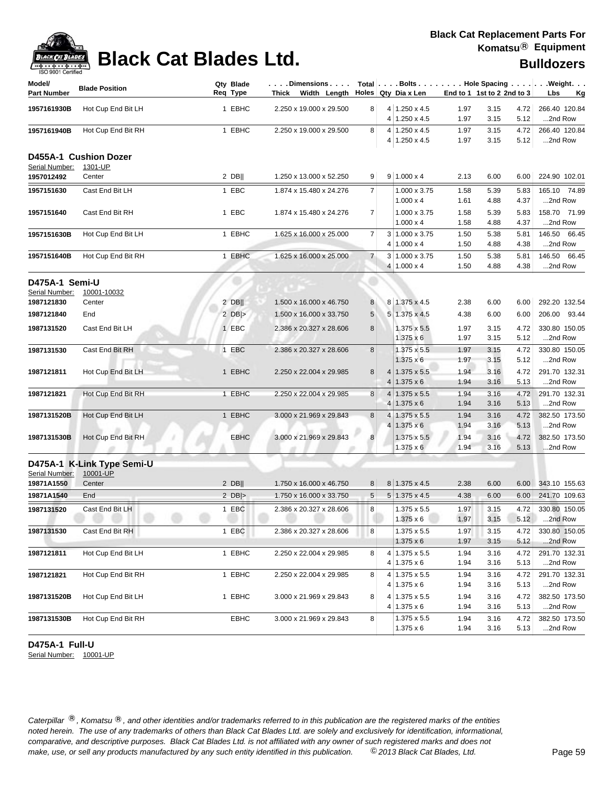| 190 SONT CRIMING<br>Model/<br><b>Part Number</b> | <b>Blade Position</b>            | Qty Blade<br>Req Type | Dimensions<br>Thick Width Length |                | Holes Qty Dia x Len                        | End to 1 1st to 2 2nd to 3 |              |              | Total $\vert \ldots$ Bolts $\ldots \vert \ldots$ Hole Spacing $\ldots \vert \ldots$ Weight. $\ldots$<br>Lbs<br>Kg |
|--------------------------------------------------|----------------------------------|-----------------------|----------------------------------|----------------|--------------------------------------------|----------------------------|--------------|--------------|-------------------------------------------------------------------------------------------------------------------|
|                                                  |                                  |                       |                                  |                |                                            |                            |              |              |                                                                                                                   |
| 1957161930B                                      | Hot Cup End Bit LH               | 1 EBHC                | 2.250 x 19.000 x 29.500          | 8 <sup>1</sup> | 4 1.250 x 4.5<br>$4 1.250 \times 4.5$      | 1.97<br>1.97               | 3.15<br>3.15 | 4.72<br>5.12 | 266.40 120.84<br>2nd Row                                                                                          |
| 1957161940B                                      | Hot Cup End Bit RH               | 1 EBHC                | 2.250 x 19.000 x 29.500          | 8 <sup>1</sup> | $4 1.250 \times 4.5$                       | 1.97                       | 3.15         | 4.72         | 266.40 120.84                                                                                                     |
|                                                  |                                  |                       |                                  |                | $4 1.250 \times 4.5$                       | 1.97                       | 3.15         | 5.12         | 2nd Row                                                                                                           |
| Serial Number:                                   | D455A-1 Cushion Dozer<br>1301-UP |                       |                                  |                |                                            |                            |              |              |                                                                                                                   |
| 1957012492                                       | Center                           | $2$ DB                | 1.250 x 13.000 x 52.250          | 9 <sup>°</sup> | $9 1.000 \times 4$                         | 2.13                       | 6.00         | 6.00         | 224.90 102.01                                                                                                     |
| 1957151630                                       | Cast End Bit LH                  | 1 EBC                 | 1.874 x 15.480 x 24.276          | 7 <sup>1</sup> | 1.000 x 3.75                               | 1.58                       | 5.39         | 5.83         | 165.10 74.89                                                                                                      |
|                                                  |                                  |                       |                                  |                | $1.000 \times 4$                           | 1.61                       | 4.88         | 4.37         | 2nd Row                                                                                                           |
| 1957151640                                       | Cast End Bit RH                  | 1 EBC                 | 1.874 x 15.480 x 24.276          | 7              | 1.000 x 3.75                               | 1.58                       | 5.39         | 5.83         | 158.70 71.99                                                                                                      |
|                                                  |                                  |                       |                                  |                | $1.000 \times 4$                           | 1.58                       | 4.88         | 4.37         | 2nd Row                                                                                                           |
| 1957151630B                                      | Hot Cup End Bit LH               | 1 EBHC                | 1.625 x 16.000 x 25.000          | $\overline{7}$ | $3 1.000 \times 3.75$                      | 1.50                       | 5.38         | 5.81         | 146.50 66.45                                                                                                      |
|                                                  |                                  |                       |                                  |                | $4 1.000 \times 4$                         | 1.50                       | 4.88         | 4.38         | 2nd Row                                                                                                           |
| 1957151640B                                      | Hot Cup End Bit RH               | 1 EBHC                | 1.625 x 16.000 x 25.000          | $\overline{7}$ | 3 1.000 x 3.75                             | 1.50                       | 5.38         | 5.81         | 146.50 66.45                                                                                                      |
|                                                  |                                  |                       |                                  |                | $4 1.000 \times 4$                         | 1.50                       | 4.88         | 4.38         | 2nd Row                                                                                                           |
| D475A-1 Semi-U                                   |                                  |                       |                                  |                |                                            |                            |              |              |                                                                                                                   |
| Serial Number:                                   | 10001-10032                      |                       |                                  |                |                                            |                            |              |              |                                                                                                                   |
| 1987121830                                       | Center                           | $2$ DB                | 1.500 x 16.000 x 46.750          | 8              | 8 1.375 x 4.5                              | 2.38                       | 6.00         | 6.00         | 292.20 132.54                                                                                                     |
| 1987121840                                       | End                              | $2$ DB >              | 1.500 x 16.000 x 33.750          | 5              | 5 1.375 x 4.5                              | 4.38                       | 6.00         | 6.00         | 206.00 93.44                                                                                                      |
| 1987131520                                       | Cast End Bit LH                  | 1 EBC                 | 2.386 x 20.327 x 28.606          | 8              | 1.375 x 5.5                                | 1.97                       | 3.15         | 4.72         | 330.80 150.05                                                                                                     |
|                                                  |                                  |                       |                                  |                | $1.375 \times 6$                           | 1.97                       | 3.15         | 5.12         | 2nd Row                                                                                                           |
| 1987131530                                       | Cast End Bit RH                  | 1 EBC                 | 2.386 x 20.327 x 28.606          | 8              | 1.375 x 5.5                                | 1.97                       | 3.15         | 4.72         | 330.80 150.05                                                                                                     |
|                                                  |                                  |                       |                                  |                | $1.375 \times 6$                           | 1.97                       | 3.15         | 5.12         | 2nd Row                                                                                                           |
| 1987121811                                       | Hot Cup End Bit LH               | 1 EBHC                | 2.250 x 22.004 x 29.985          | 8              | $4 1.375 \times 5.5$<br>$4 1.375 \times 6$ | 1.94<br>1.94               | 3.16<br>3.16 | 4.72<br>5.13 | 291.70 132.31<br>2nd Row                                                                                          |
| 1987121821                                       | Hot Cup End Bit RH               | 1 EBHC                | 2.250 x 22.004 x 29.985          | 8              | $4 1.375 \times 5.5$                       | 1.94                       | 3.16         | 4.72         | 291.70 132.31                                                                                                     |
|                                                  |                                  |                       |                                  |                | $4 1.375 \times 6$                         | 1.94                       | 3.16         | 5.13         | 2nd Row                                                                                                           |
| 1987131520B                                      | Hot Cup End Bit LH               | 1 EBHC                | 3.000 x 21.969 x 29.843          | 8              | 4 1.375 x 5.5                              | 1.94                       | 3.16         | 4.72         | 382.50 173.50                                                                                                     |
|                                                  |                                  |                       |                                  |                | $4 1.375 \times 6$                         | 1.94                       | 3.16         | 5.13         | 2nd Row                                                                                                           |
| 1987131530B                                      | Hot Cup End Bit RH               | EBHC                  | 3.000 x 21.969 x 29.843          | 8              | $1.375 \times 5.5$                         | 1.94                       | 3.16         | 4.72         | 382.50 173.50                                                                                                     |
|                                                  |                                  |                       |                                  |                | $1.375 \times 6$                           | 1.94                       | 3.16         | 5.13         | 2nd Row                                                                                                           |
|                                                  | D475A-1 K-Link Type Semi-U       |                       |                                  |                |                                            |                            |              |              |                                                                                                                   |
| Serial Number:                                   | 10001-UP                         |                       |                                  |                |                                            |                            |              |              |                                                                                                                   |
| 19871A1550                                       | Center                           | $2$ DB                | 1.750 x 16.000 x 46.750          | 8 <sup>1</sup> | 8 1.375 x 4.5                              | 2.38                       | 6.00         | 6.00         | 343.10 155.63                                                                                                     |
| 19871A1540                                       | End                              | 2 $DB$ $>$            | 1.750 x 16.000 x 33.750          | 5 <sup>5</sup> | $5 1.375 \times 4.5$                       | 4.38                       | 6.00         | 6.00         | 241.70 109.63                                                                                                     |
| 1987131520                                       | Cast End Bit LH                  | 1 EBC                 | 2.386 x 20.327 x 28.606          | 8              | 1.375 x 5.5                                | 1.97                       | 3.15         | 4.72         | 330.80 150.05                                                                                                     |
|                                                  |                                  |                       |                                  |                | $1.375 \times 6$                           | 1.97                       | 3.15         | 5.12         | 2nd Row                                                                                                           |
| 1987131530                                       | Cast End Bit RH                  | 1 EBC                 | 2.386 x 20.327 x 28.606          | 8              | 1.375 x 5.5                                | 1.97                       | 3.15         | 4.72         | 330.80 150.05                                                                                                     |
|                                                  |                                  |                       |                                  |                | $1.375 \times 6$                           | 1.97                       | 3.15         | 5.12         | 2nd Row                                                                                                           |
| 1987121811                                       | Hot Cup End Bit LH               | 1 EBHC                | 2.250 x 22.004 x 29.985          | 8              | $4 1.375 \times 5.5$                       | 1.94                       | 3.16         | 4.72         | 291.70 132.31                                                                                                     |
|                                                  |                                  |                       |                                  |                | $4 1.375 \times 6$                         | 1.94                       | 3.16         | 5.13         | 2nd Row                                                                                                           |
| 1987121821                                       | Hot Cup End Bit RH               | 1 EBHC                | 2.250 x 22.004 x 29.985          | 8              | $4 1.375 \times 5.5$                       | 1.94                       | 3.16         | 4.72         | 291.70 132.31                                                                                                     |
|                                                  |                                  |                       |                                  |                | $4 1.375 \times 6$                         | 1.94                       | 3.16         | 5.13         | 2nd Row                                                                                                           |
| 1987131520B                                      | Hot Cup End Bit LH               | 1 EBHC                | 3.000 x 21.969 x 29.843          | 8              | $4 1.375 \times 5.5$                       | 1.94                       | 3.16         | 4.72         | 382.50 173.50                                                                                                     |
|                                                  |                                  |                       |                                  |                | $4 1.375 \times 6$                         | 1.94                       | 3.16         | 5.13         | 2nd Row                                                                                                           |
| 1987131530B                                      | Hot Cup End Bit RH               | EBHC                  | 3.000 x 21.969 x 29.843          | 8 <sup>1</sup> | $1.375 \times 5.5$                         | 1.94                       | 3.16         | 4.72         | 382.50 173.50                                                                                                     |
|                                                  |                                  |                       |                                  |                | $1.375 \times 6$                           | 1.94                       | 3.16         | 5.13         | 2nd Row                                                                                                           |

### **D475A-1 Full-U**

Serial Number: 10001-UP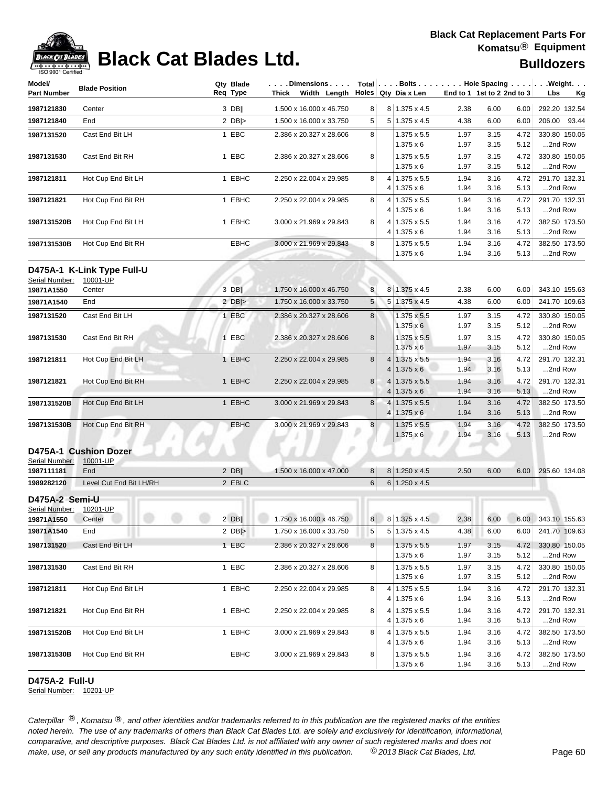

## **Black Cat Blades Ltd. Black Cat Blades Ltd. Black Cat Blades Ltd. Bulldozers**

| Model/<br><b>Part Number</b> | <b>Blade Position</b>      | Qty Blade<br>Reg Type | $\dots$ .Dimensions $\dots$ .<br>Thick Width Length |   |        | Holes Qty Dia x Len                        | End to 1 1st to 2 2nd to 3 |              |              | Total $\vert \ldots$ Bolts $\ldots \vert \ldots$ Hole Spacing $\ldots \vert \ldots$ Weight. $\ldots$<br>Lbs<br><u>Kg</u> |
|------------------------------|----------------------------|-----------------------|-----------------------------------------------------|---|--------|--------------------------------------------|----------------------------|--------------|--------------|--------------------------------------------------------------------------------------------------------------------------|
| 1987121830                   | Center                     | $3$ DB                | 1.500 x 16.000 x 46.750                             | 8 |        | 8 1.375 x 4.5                              | 2.38                       | 6.00         | 6.00         | 292.20 132.54                                                                                                            |
| 1987121840                   | End                        | 2 $DB$                | 1.500 x 16.000 x 33.750                             | 5 |        | $5 1.375 \times 4.5$                       | 4.38                       | 6.00         | 6.00         | 206.00 93.44                                                                                                             |
|                              |                            |                       |                                                     |   |        |                                            |                            |              |              |                                                                                                                          |
| 1987131520                   | Cast End Bit LH            | 1 EBC                 | 2.386 x 20.327 x 28.606                             | 8 |        | $1.375 \times 5.5$<br>$1.375 \times 6$     | 1.97<br>1.97               | 3.15<br>3.15 | 4.72<br>5.12 | 330.80 150.05<br>2nd Row                                                                                                 |
| 1987131530                   | Cast End Bit RH            | 1 EBC                 | 2.386 x 20.327 x 28.606                             | 8 |        | $1.375 \times 5.5$                         | 1.97                       | 3.15         | 4.72         | 330.80 150.05                                                                                                            |
|                              |                            |                       |                                                     |   |        | $1.375 \times 6$                           | 1.97                       | 3.15         | 5.12         | 2nd Row                                                                                                                  |
| 1987121811                   | Hot Cup End Bit LH         | 1 EBHC                | 2.250 x 22.004 x 29.985                             | 8 |        | 4 1.375 x 5.5                              | 1.94                       | 3.16         | 4.72         | 291.70 132.31                                                                                                            |
|                              |                            |                       |                                                     |   | 4      | $1.375 \times 6$                           | 1.94                       | 3.16         | 5.13         | 2nd Row                                                                                                                  |
| 1987121821                   | Hot Cup End Bit RH         | 1 EBHC                | 2.250 x 22.004 x 29.985                             | 8 |        | 4 1.375 x 5.5                              | 1.94                       | 3.16         | 4.72         | 291.70 132.31                                                                                                            |
|                              |                            |                       |                                                     |   | 4      | $1.375 \times 6$                           | 1.94                       | 3.16         | 5.13         | 2nd Row                                                                                                                  |
| 1987131520B                  | Hot Cup End Bit LH         | 1 EBHC                | 3.000 x 21.969 x 29.843                             | 8 |        | 4 1.375 x 5.5                              | 1.94                       | 3.16         | 4.72         | 382.50 173.50                                                                                                            |
|                              |                            |                       |                                                     |   |        | $4 1.375 \times 6$                         | 1.94                       | 3.16         | 5.13         | 2nd Row                                                                                                                  |
| 1987131530B                  | Hot Cup End Bit RH         | <b>EBHC</b>           | 3.000 x 21.969 x 29.843                             | 8 |        | $1.375 \times 5.5$                         | 1.94                       | 3.16         | 4.72         | 382.50 173.50                                                                                                            |
|                              |                            |                       |                                                     |   |        | $1.375 \times 6$                           | 1.94                       | 3.16         | 5.13         | 2nd Row                                                                                                                  |
|                              | D475A-1 K-Link Type Full-U |                       |                                                     |   |        |                                            |                            |              |              |                                                                                                                          |
| Serial Number:               | 10001-UP                   |                       |                                                     |   |        |                                            |                            |              |              |                                                                                                                          |
| 19871A1550                   | Center                     | 3 DB                  | 1.750 x 16.000 x 46.750                             | 8 |        | 8 1.375 x 4.5                              | 2.38                       | 6.00         | 6.00         | 343.10 155.63                                                                                                            |
| 19871A1540                   | End                        | 2 $DB$ $>$            | 1.750 x 16.000 x 33.750                             | 5 |        | 5 1.375 x 4.5                              | 4.38                       | 6.00         | 6.00         | 241.70 109.63                                                                                                            |
| 1987131520                   | Cast End Bit LH            | 1 EBC                 | 2.386 x 20.327 x 28.606                             | 8 |        | 1.375 x 5.5                                | 1.97                       | 3.15         | 4.72         | 330.80 150.05                                                                                                            |
|                              |                            |                       |                                                     |   |        | $1.375 \times 6$                           | 1.97                       | 3.15         | 5.12         | 2nd Row                                                                                                                  |
| 1987131530                   | Cast End Bit RH            | 1 EBC                 | 2.386 x 20.327 x 28.606                             | 8 |        | $1.375 \times 5.5$                         | 1.97                       | 3.15         | 4.72         | 330.80 150.05                                                                                                            |
|                              |                            |                       |                                                     |   |        | $1.375 \times 6$                           | 1.97                       | 3.15         | 5.12         | 2nd Row                                                                                                                  |
| 1987121811                   | Hot Cup End Bit LH         | 1 EBHC                | 2.250 x 22.004 x 29.985                             | 8 | 4<br>4 | $1.375 \times 5.5$<br>$1.375 \times 6$     | 1.94<br>1.94               | 3.16<br>3.16 | 4.72<br>5.13 | 291.70 132.31<br>2nd Row                                                                                                 |
| 1987121821                   | Hot Cup End Bit RH         | 1 EBHC                | 2.250 x 22.004 x 29.985                             | 8 | 4      | $1.375 \times 5.5$                         | 1.94                       | 3.16         | 4.72         | 291.70 132.31                                                                                                            |
|                              |                            |                       |                                                     |   | 4      | $1.375 \times 6$                           | 1.94                       | 3.16         | 5.13         | 2nd Row                                                                                                                  |
| 1987131520B                  | Hot Cup End Bit LH         | 1 EBHC                | 3.000 x 21.969 x 29.843                             | 8 |        | 4 1.375 x 5.5                              | 1.94                       | 3.16         | 4.72         | 382.50 173.50                                                                                                            |
|                              |                            |                       |                                                     |   | 4      | $1.375 \times 6$                           | 1.94                       | 3.16         | 5.13         | 2nd Row                                                                                                                  |
| 1987131530B                  | Hot Cup End Bit RH         | <b>EBHC</b>           | 3.000 x 21.969 x 29.843                             | 8 |        | $1.375 \times 5.5$                         | 1.94                       | 3.16         | 4.72         | 382.50 173.50                                                                                                            |
|                              |                            |                       |                                                     |   |        | $1.375 \times 6$                           | 1.94                       | 3.16         | 5.13         | 2nd Row                                                                                                                  |
|                              | D475A-1 Cushion Dozer      |                       |                                                     |   |        |                                            |                            |              |              |                                                                                                                          |
| Serial Number:               | 10001-UP                   |                       |                                                     |   |        |                                            |                            |              |              |                                                                                                                          |
| 1987111181                   | End                        | $2$ DB                | 1.500 x 16.000 x 47.000                             | 8 |        | 8 1.250 x 4.5                              | 2.50                       | 6.00         | 6.00         | 295.60 134.08                                                                                                            |
| 1989282120                   | Level Cut End Bit LH/RH    | 2 EBLC                |                                                     | 6 |        | $6 1.250 \times 4.5$                       |                            |              |              |                                                                                                                          |
| D475A-2 Semi-U               |                            |                       |                                                     |   |        |                                            |                            |              |              |                                                                                                                          |
| Serial Number:               | 10201-UP                   |                       |                                                     |   |        |                                            |                            |              |              |                                                                                                                          |
| 19871A1550 Center            |                            |                       | 2 DB     1.750 x 16.000 x 46.750                    |   |        | 8 8 1.375 x 4.5                            |                            |              |              | 2.38 6.00 6.00 343.10 155.63                                                                                             |
| 19871A1540                   | End                        | 2 $DB$ $>$            | 1.750 x 16.000 x 33.750                             | 5 |        | $5 1.375 \times 4.5$                       | 4.38                       | 6.00         | 6.00         | 241.70 109.63                                                                                                            |
| 1987131520                   | Cast End Bit LH            | 1 EBC                 | 2.386 x 20.327 x 28.606                             | 8 |        | 1.375 x 5.5                                | 1.97                       | 3.15         | 4.72         | 330.80 150.05                                                                                                            |
|                              |                            |                       |                                                     |   |        | $1.375 \times 6$                           | 1.97                       | 3.15         | 5.12         | 2nd Row                                                                                                                  |
| 1987131530                   | Cast End Bit RH            | 1 EBC                 | 2.386 x 20.327 x 28.606                             | 8 |        | 1.375 x 5.5                                | 1.97                       | 3.15         | 4.72         | 330.80 150.05                                                                                                            |
|                              |                            |                       |                                                     |   |        | $1.375 \times 6$                           | 1.97                       | 3.15         | 5.12         | 2nd Row                                                                                                                  |
| 1987121811                   | Hot Cup End Bit LH         | 1 EBHC                | 2.250 x 22.004 x 29.985                             | 8 |        | $4 1.375 \times 5.5$                       | 1.94                       | 3.16         | 4.72         | 291.70 132.31                                                                                                            |
|                              |                            |                       |                                                     |   |        | 4 1.375 x 6                                | 1.94                       | 3.16         | 5.13         | 2nd Row                                                                                                                  |
| 1987121821                   | Hot Cup End Bit RH         | 1 EBHC                | 2.250 x 22.004 x 29.985                             | 8 |        | $4 1.375 \times 5.5$<br>$4 1.375 \times 6$ | 1.94                       | 3.16<br>3.16 | 4.72<br>5.13 | 291.70 132.31<br>2nd Row                                                                                                 |
|                              | Hot Cup End Bit LH         | 1 EBHC                | 3.000 x 21.969 x 29.843                             | 8 |        | 4 1.375 x 5.5                              | 1.94<br>1.94               | 3.16         | 4.72         | 382.50 173.50                                                                                                            |
| 1987131520B                  |                            |                       |                                                     |   |        | $4 1.375 \times 6$                         | 1.94                       | 3.16         | 5.13         | 2nd Row                                                                                                                  |
| 1987131530B                  | Hot Cup End Bit RH         | EBHC                  | 3.000 x 21.969 x 29.843                             | 8 |        | $1.375 \times 5.5$                         | 1.94                       | 3.16         | 4.72         | 382.50 173.50                                                                                                            |
|                              |                            |                       |                                                     |   |        | $1.375 \times 6$                           | 1.94                       | 3.16         | 5.13         | 2nd Row                                                                                                                  |

### **D475A-2 Full-U**

Serial Number: 10201-UP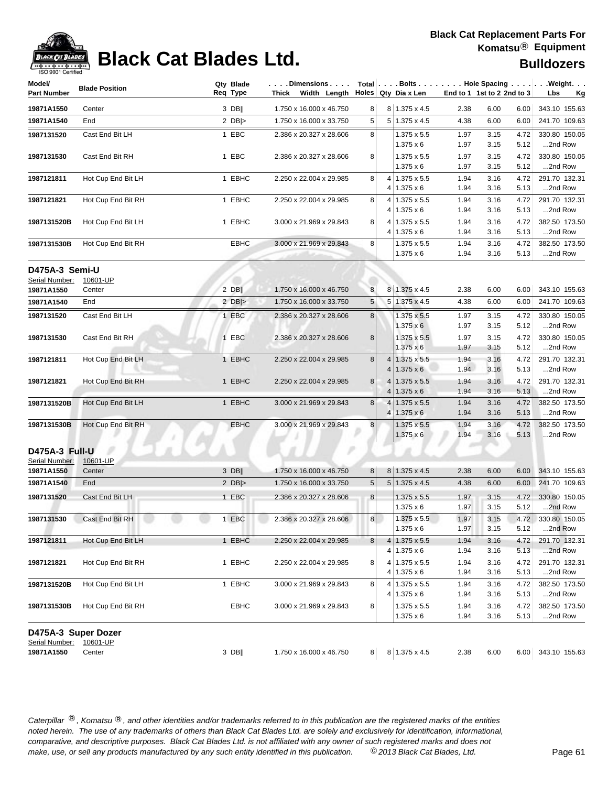

### **Black Cat Blades Ltd. Black Cat Blades Ltd. Bulldozers**

| Model/<br><b>Part Number</b>     | <b>Blade Position</b> | Qty Blade<br>Req Type | $\vert \ldots$ . Dimensions $\ldots$ . $\vert$ Total $\vert \ldots$ . Bolts $\ldots \vert \ldots$ . Hole Spacing $\ldots \ldots \vert \ldots$ . Weight. $\ldots$<br>Thick Width Length Holes Qty Dia x Len |                 |   |                                        |              | End to 1 1st to 2 2nd to 3 |              | Lbs<br><u>Kg</u>         |
|----------------------------------|-----------------------|-----------------------|------------------------------------------------------------------------------------------------------------------------------------------------------------------------------------------------------------|-----------------|---|----------------------------------------|--------------|----------------------------|--------------|--------------------------|
| 19871A1550                       | Center                | 3 DB                  | 1.750 x 16.000 x 46.750                                                                                                                                                                                    | 8               |   | $8 1.375 \times 4.5$                   | 2.38         | 6.00                       | 6.00         | 343.10 155.63            |
| 19871A1540                       | End                   | 2 $DB$ $>$            | 1.750 x 16.000 x 33.750                                                                                                                                                                                    | 5               |   | $5 1.375 \times 4.5$                   | 4.38         | 6.00                       | 6.00         | 241.70 109.63            |
| 1987131520                       | Cast End Bit LH       | 1 EBC                 | 2.386 x 20.327 x 28.606                                                                                                                                                                                    | 8               |   | $1.375 \times 5.5$                     | 1.97         | 3.15                       | 4.72         | 330.80 150.05            |
|                                  |                       |                       |                                                                                                                                                                                                            |                 |   | $1.375 \times 6$                       | 1.97         | 3.15                       | 5.12         | 2nd Row                  |
| 1987131530                       | Cast End Bit RH       | 1 EBC                 | 2.386 x 20.327 x 28.606                                                                                                                                                                                    | 8               |   | $1.375 \times 5.5$                     | 1.97         | 3.15                       | 4.72         | 330.80 150.05            |
|                                  |                       |                       |                                                                                                                                                                                                            |                 |   | $1.375 \times 6$                       | 1.97         | 3.15                       | 5.12         | 2nd Row                  |
| 1987121811                       | Hot Cup End Bit LH    | 1 EBHC                | 2.250 x 22.004 x 29.985                                                                                                                                                                                    | 8               |   | $4 1.375 \times 5.5$                   | 1.94         | 3.16                       | 4.72         | 291.70 132.31            |
|                                  |                       |                       |                                                                                                                                                                                                            |                 |   | 4 1.375 x 6                            | 1.94         | 3.16                       | 5.13         | 2nd Row                  |
| 1987121821                       | Hot Cup End Bit RH    | 1 EBHC                | 2.250 x 22.004 x 29.985                                                                                                                                                                                    | 8               |   | 4 1.375 x 5.5                          | 1.94         | 3.16                       | 4.72         | 291.70 132.31            |
|                                  |                       |                       |                                                                                                                                                                                                            |                 | 4 | $1.375 \times 6$                       | 1.94         | 3.16                       | 5.13         | 2nd Row                  |
| 1987131520B                      | Hot Cup End Bit LH    | 1 EBHC                | 3.000 x 21.969 x 29.843                                                                                                                                                                                    | 8               | 4 | $1.375 \times 5.5$                     | 1.94         | 3.16                       | 4.72         | 382.50 173.50            |
|                                  |                       |                       |                                                                                                                                                                                                            |                 |   | $4 1.375 \times 6$                     | 1.94         | 3.16                       | 5.13         | 2nd Row                  |
| 1987131530B                      | Hot Cup End Bit RH    | EBHC                  | 3.000 x 21.969 x 29.843                                                                                                                                                                                    | 8               |   | $1.375 \times 5.5$                     | 1.94         | 3.16                       | 4.72         | 382.50 173.50            |
|                                  |                       |                       |                                                                                                                                                                                                            |                 |   | $1.375 \times 6$                       | 1.94         | 3.16                       | 5.13         | 2nd Row                  |
| D475A-3 Semi-U<br>Serial Number: | 10601-UP              |                       |                                                                                                                                                                                                            |                 |   |                                        |              |                            |              |                          |
| 19871A1550                       | Center                | $2$ DB                | 1.750 x 16.000 x 46.750                                                                                                                                                                                    | 8               |   | 8 1.375 x 4.5                          | 2.38         | 6.00                       | 6.00         | 343.10 155.63            |
| 19871A1540                       | End                   | 2 $DB$ $>$            | 1.750 x 16.000 x 33.750                                                                                                                                                                                    | 5               |   | 5 1.375 x 4.5                          | 4.38         | 6.00                       | 6.00         | 241.70 109.63            |
|                                  |                       |                       |                                                                                                                                                                                                            |                 |   |                                        |              |                            |              |                          |
| 1987131520                       | Cast End Bit LH       | 1 EBC                 | 2.386 x 20.327 x 28.606                                                                                                                                                                                    | 8               |   | $1.375 \times 5.5$<br>$1.375 \times 6$ | 1.97<br>1.97 | 3.15<br>3.15               | 4.72<br>5.12 | 330.80 150.05<br>2nd Row |
| 1987131530                       | Cast End Bit RH       | 1 EBC                 | 2.386 x 20.327 x 28.606                                                                                                                                                                                    | 8               |   | $1.375 \times 5.5$                     | 1.97         | 3.15                       | 4.72         | 330.80 150.05            |
|                                  |                       |                       |                                                                                                                                                                                                            |                 |   | $1.375 \times 6$                       | 1.97         | 3.15                       | 5.12         | 2nd Row                  |
| 1987121811                       | Hot Cup End Bit LH    | 1 EBHC                | 2.250 x 22.004 x 29.985                                                                                                                                                                                    | 8               | 4 | $1.375 \times 5.5$                     | 1.94         | 3.16                       | 4.72         | 291.70 132.31            |
|                                  |                       |                       |                                                                                                                                                                                                            |                 | 4 | $1.375 \times 6$                       | 1.94         | 3.16                       | 5.13         | 2nd Row                  |
| 1987121821                       | Hot Cup End Bit RH    | 1 EBHC                | 2.250 x 22.004 x 29.985                                                                                                                                                                                    | 8               |   | $4 \mid 1.375 \times 5.5$              | 1.94         | 3.16                       | 4.72         | 291.70 132.31            |
|                                  |                       |                       |                                                                                                                                                                                                            |                 |   | 4 1.375 x 6                            | 1.94         | 3.16                       | 5.13         | 2nd Row                  |
| 1987131520B                      | Hot Cup End Bit LH    | 1 EBHC                | 3.000 x 21.969 x 29.843                                                                                                                                                                                    | 8               |   | 4 1.375 x 5.5                          | 1.94         | 3.16                       | 4.72         | 382.50 173.50            |
|                                  |                       |                       |                                                                                                                                                                                                            |                 | 4 | $1.375 \times 6$                       | 1.94         | 3.16                       | 5.13         | 2nd Row                  |
| 1987131530B                      | Hot Cup End Bit RH    | <b>EBHC</b>           | 3.000 x 21.969 x 29.843                                                                                                                                                                                    | 8 <sup>1</sup>  |   | $1.375 \times 5.5$                     | 1.94         | 3.16                       | 4.72         | 382.50 173.50            |
|                                  |                       |                       |                                                                                                                                                                                                            |                 |   | $1.375 \times 6$                       | 1.94         | 3.16                       | 5.13         | 2nd Row                  |
| D475A-3 Full-U                   |                       |                       |                                                                                                                                                                                                            |                 |   |                                        |              |                            |              |                          |
| Serial Number:<br>19871A1550     | 10601-UP<br>Center    | $3$ DB                | 1.750 x 16.000 x 46.750                                                                                                                                                                                    | 8               |   | $8 1.375 \times 4.5$                   | 2.38         | 6.00                       | 6.00         | 343.10 155.63            |
| 19871A1540                       | End                   | 2 $DB$ $>$            | 1.750 x 16.000 x 33.750                                                                                                                                                                                    | $5\phantom{.0}$ |   | $5 1.375 \times 4.5$                   | 4.38         | 6.00                       | 6.00         | 241.70 109.63            |
|                                  |                       |                       |                                                                                                                                                                                                            |                 |   |                                        |              |                            |              |                          |
| 1987131520                       | Cast End Bit LH       | 1 EBC                 | 2.386 x 20.327 x 28.606                                                                                                                                                                                    | $\bf{8}$        |   | $1.375 \times 5.5$                     | 1.97         | 3.15                       | 4.72         | 330.80 150.05            |
|                                  |                       |                       |                                                                                                                                                                                                            |                 |   | $1.375 \times 6$                       | 1.97         | 3.15                       | 5.12         | 2nd Row                  |
| 1987131530                       | Cast End Bit RH       | 1 EBC                 | 2.386 x 20.327 x 28.606                                                                                                                                                                                    | 8 <sup>1</sup>  |   | $1.375 \times 5.5$<br>$1.375 \times 6$ | 1.97<br>1.97 | 3.15<br>3.15               | 4.72<br>5.12 | 330.80 150.05<br>2nd Row |
| 1987121811                       |                       | 1 EBHC                |                                                                                                                                                                                                            |                 |   |                                        |              |                            |              |                          |
|                                  | Hot Cup End Bit LH    |                       | 2.250 x 22.004 x 29.985                                                                                                                                                                                    | 8               | 4 | 1.375 x 5.5<br>$4 1.375 \times 6$      | 1.94<br>1.94 | 3.16<br>3.16               | 4.72<br>5.13 | 291.70 132.31<br>2nd Row |
| 1987121821                       | Hot Cup End Bit RH    | 1 EBHC                | 2.250 x 22.004 x 29.985                                                                                                                                                                                    | 8               | 4 | 1.375 x 5.5                            | 1.94         | 3.16                       | 4.72         | 291.70 132.31            |
|                                  |                       |                       |                                                                                                                                                                                                            |                 |   | 4   1.375 x 6                          | 1.94         | 3.16                       | 5.13         | 2nd Row                  |
| 1987131520B                      | Hot Cup End Bit LH    | 1 EBHC                | 3.000 x 21.969 x 29.843                                                                                                                                                                                    | 8               | 4 | $1.375 \times 5.5$                     | 1.94         | 3.16                       | 4.72         | 382.50 173.50            |
|                                  |                       |                       |                                                                                                                                                                                                            |                 |   | 4 1.375 x 6                            | 1.94         | 3.16                       | 5.13         | 2nd Row                  |
| 1987131530B                      | Hot Cup End Bit RH    | EBHC                  | 3.000 x 21.969 x 29.843                                                                                                                                                                                    | 8               |   | $1.375 \times 5.5$                     | 1.94         | 3.16                       | 4.72         | 382.50 173.50            |
|                                  |                       |                       |                                                                                                                                                                                                            |                 |   | $1.375 \times 6$                       | 1.94         | 3.16                       | 5.13         | 2nd Row                  |
| D475A-3 Super Dozer              |                       |                       |                                                                                                                                                                                                            |                 |   |                                        |              |                            |              |                          |
| Serial Number:<br>19871A1550     | 10601-UP<br>Center    | 3 DB                  | $1.750 \times 16.000 \times 46.750$                                                                                                                                                                        |                 |   | 8 8 1.375 x 4.5                        | 2.38         | 6.00                       |              | 6.00 343.10 155.63       |
|                                  |                       |                       |                                                                                                                                                                                                            |                 |   |                                        |              |                            |              |                          |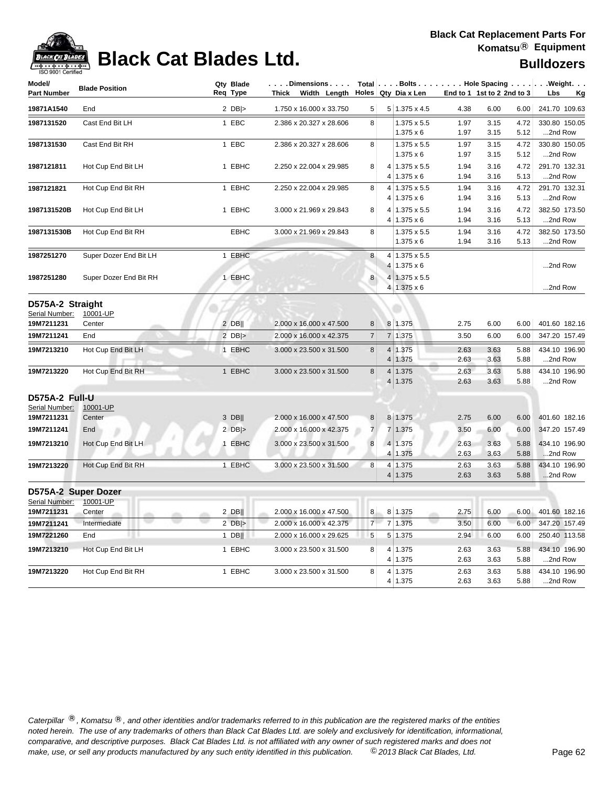

### **Black Cat Blades Ltd. Black Cat Blades Ltd. Black Cat Blades Ltd. Bulldozers**

| Model/<br><b>Part Number</b>                     | <b>Blade Position</b>  | Qty Blade<br>Req Type | . Dimensions<br>Thick Width Length Holes Qty Dia x Len |                |                      |                                          |              | End to 1 1st to 2 2nd to 3 |              | Total Bolts Hole Spacing Weight.<br>Lbs<br><u>Kg</u> |
|--------------------------------------------------|------------------------|-----------------------|--------------------------------------------------------|----------------|----------------------|------------------------------------------|--------------|----------------------------|--------------|------------------------------------------------------|
| 19871A1540                                       | End                    | $2$ DB >              | 1.750 x 16.000 x 33.750                                | 5              |                      | $5 1.375 \times 4.5$                     | 4.38         | 6.00                       | 6.00         | 241.70 109.63                                        |
| 1987131520                                       | Cast End Bit LH        | 1 EBC                 | 2.386 x 20.327 x 28.606                                | 8              |                      | 1.375 x 5.5<br>$1.375 \times 6$          | 1.97<br>1.97 | 3.15<br>3.15               | 4.72<br>5.12 | 330.80 150.05<br>2nd Row                             |
| 1987131530                                       | Cast End Bit RH        | 1 EBC                 | 2.386 x 20.327 x 28.606                                | 8              |                      | 1.375 x 5.5<br>$1.375 \times 6$          | 1.97<br>1.97 | 3.15<br>3.15               | 4.72<br>5.12 | 330.80 150.05<br>2nd Row                             |
| 1987121811                                       | Hot Cup End Bit LH     | 1 EBHC                | 2.250 x 22.004 x 29.985                                | 8              | 4                    | 4 1.375 x 5.5<br>$1.375 \times 6$        | 1.94<br>1.94 | 3.16<br>3.16               | 4.72<br>5.13 | 291.70 132.31<br>2nd Row                             |
| 1987121821                                       | Hot Cup End Bit RH     | 1 EBHC                | 2.250 x 22.004 x 29.985                                | 8              | 4                    | $1.375 \times 5.5$<br>$4 1.375 \times 6$ | 1.94<br>1.94 | 3.16<br>3.16               | 4.72<br>5.13 | 291.70 132.31<br>2nd Row                             |
| 1987131520B                                      | Hot Cup End Bit LH     | 1 EBHC                | 3.000 x 21.969 x 29.843                                | 8              | 4 <sup>1</sup>       | 1.375 x 5.5<br>$4 1.375 \times 6$        | 1.94<br>1.94 | 3.16<br>3.16               | 4.72<br>5.13 | 382.50 173.50<br>2nd Row                             |
| 1987131530B                                      | Hot Cup End Bit RH     | <b>EBHC</b>           | 3.000 x 21.969 x 29.843                                | 8              |                      | 1.375 x 5.5<br>$1.375 \times 6$          | 1.94<br>1.94 | 3.16<br>3.16               | 4.72<br>5.13 | 382.50 173.50<br>2nd Row                             |
| 1987251270                                       | Super Dozer End Bit LH | 1 EBHC                |                                                        | 8              |                      | 4 1.375 x 5.5<br>$4 1.375 \times 6$      |              |                            |              | 2nd Row                                              |
| 1987251280                                       | Super Dozer End Bit RH | 1 EBHC                |                                                        | $\bf 8$        |                      | 4 1.375 x 5.5<br>$4 1.375 \times 6$      |              |                            |              | 2nd Row                                              |
| D575A-2 Straight<br>Serial Number:<br>19M7211231 | 10001-UP<br>Center     | $2$ DB                | 2.000 x 16.000 x 47.500                                | 8              |                      | 8 1.375                                  | 2.75         | 6.00                       | 6.00         | 401.60 182.16                                        |
| 19M7211241                                       | End                    | $2$ DB >              | 2.000 x 16.000 x 42.375                                | $\overline{7}$ | $\overline{7}$       | 1.375                                    | 3.50         | 6.00                       | 6.00         | 347.20 157.49                                        |
| 19M7213210                                       | Hot Cup End Bit LH     | 1 EBHC                | 3.000 x 23.500 x 31.500                                | 8              | $\overline{4}$<br>4  | 1.375<br>1.375                           | 2.63<br>2.63 | 3.63<br>3.63               | 5.88<br>5.88 | 434.10 196.90<br>2nd Row                             |
| 19M7213220                                       | Hot Cup End Bit RH     | 1 EBHC                | 3.000 x 23.500 x 31.500                                | 8              | 4<br>4               | 1.375<br>1.375                           | 2.63<br>2.63 | 3.63<br>3.63               | 5.88<br>5.88 | 434.10 196.90<br>2nd Row                             |
| D575A-2 Full-U<br>Serial Number:<br>19M7211231   | 10001-UP<br>Center     | 3 DB                  | 2.000 x 16.000 x 47.500                                | 8              |                      | 8 1.375                                  | 2.75         | 6.00                       | 6.00         | 401.60 182.16                                        |
| 19M7211241                                       | End                    | 2 $DB$ $>$            | 2.000 x 16.000 x 42.375                                | $\overline{7}$ | 7                    | 1.375                                    | 3.50         | 6.00                       | 6.00         | 347.20 157.49                                        |
| 19M7213210                                       | Hot Cup End Bit LH     | 1 EBHC                | 3.000 x 23.500 x 31.500                                | 8              | $\vert 4 \vert$<br>4 | 1.375<br>1.375                           | 2.63<br>2.63 | 3.63<br>3.63               | 5.88<br>5.88 | 434.10 196.90<br>2nd Row                             |
| 19M7213220                                       | Hot Cup End Bit RH     | 1 EBHC                | 3.000 x 23.500 x 31.500                                | 8              | 4<br>4               | 1.375<br>1.375                           | 2.63<br>2.63 | 3.63<br>3.63               | 5.88<br>5.88 | 434.10 196.90<br>2nd Row                             |
| D575A-2 Super Dozer                              |                        |                       |                                                        |                |                      |                                          |              |                            |              |                                                      |
| Serial Number:                                   | 10001-UP               |                       |                                                        |                |                      |                                          |              |                            |              |                                                      |
| 19M7211231                                       | Center                 | $2$ DB                | 2.000 x 16.000 x 47.500                                | 8              |                      | 8 1.375                                  | 2.75         | 6.00                       | 6.00         | 401.60 182.16                                        |
| 19M7211241                                       | Intermediate           | $2$ DB >              | 2.000 x 16.000 x 42.375                                | $\overline{7}$ |                      | 7 1.375                                  | 3.50         | 6.00                       | 6.00         | 347.20 157.49                                        |
| 19M7221260                                       | End                    | $1$ DB                | 2.000 x 16.000 x 29.625                                | 5              |                      | 5 1.375                                  | 2.94         | 6.00                       | 6.00         | 250.40 113.58                                        |
| 19M7213210                                       | Hot Cup End Bit LH     | 1 EBHC                | 3.000 x 23.500 x 31.500                                | 8              | 4<br>4               | 1.375<br>1.375                           | 2.63<br>2.63 | 3.63<br>3.63               | 5.88<br>5.88 | 434.10 196.90<br>2nd Row                             |
| 19M7213220                                       | Hot Cup End Bit RH     | 1 EBHC                | 3.000 x 23.500 x 31.500                                | 8              |                      | 4 1.375<br>4 1.375                       | 2.63<br>2.63 | 3.63<br>3.63               | 5.88<br>5.88 | 434.10 196.90<br>2nd Row                             |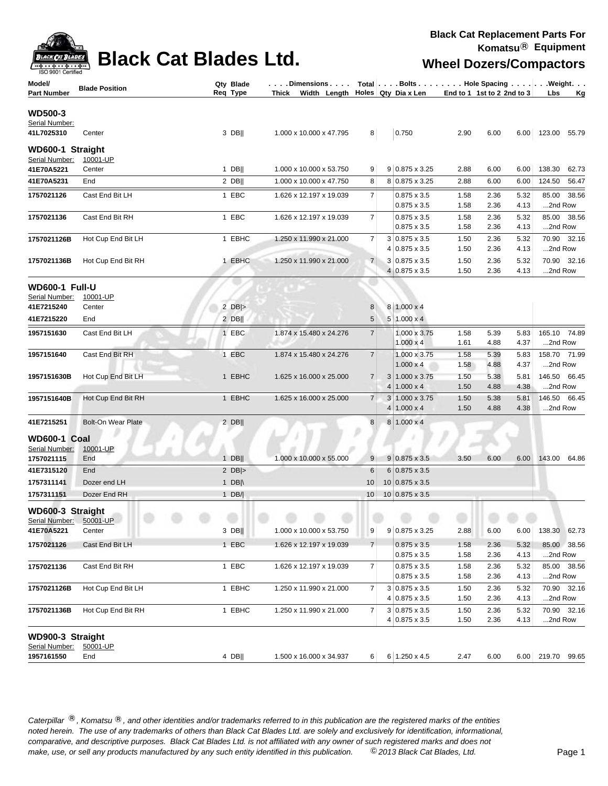

### **Black Cat Blades Ltd.** Wheel Dozers/Compactors

| Model/                             | <b>Blade Position</b> | Qty Blade        | . Dimensions   Total   Bolts   Hole Spacing  Weight. |                 |                |                                           |                            |              |              |              |              |
|------------------------------------|-----------------------|------------------|------------------------------------------------------|-----------------|----------------|-------------------------------------------|----------------------------|--------------|--------------|--------------|--------------|
| Part Number                        |                       | Req Type         | Width Length Holes Qty Dia x Len<br>Thick            |                 |                |                                           | End to 1 1st to 2 2nd to 3 |              |              | Lbs          | <u>Kg</u>    |
|                                    |                       |                  |                                                      |                 |                |                                           |                            |              |              |              |              |
| <b>WD500-3</b><br>Serial Number:   |                       |                  |                                                      |                 |                |                                           |                            |              |              |              |              |
| 41L7025310                         | Center                | $3$ DB           | 1.000 x 10.000 x 47.795                              | 8 <sup>1</sup>  |                | 0.750                                     | 2.90                       | 6.00         | 6.00         | 123.00 55.79 |              |
|                                    |                       |                  |                                                      |                 |                |                                           |                            |              |              |              |              |
| WD600-1 Straight<br>Serial Number: | 10001-UP              |                  |                                                      |                 |                |                                           |                            |              |              |              |              |
| 41E70A5221                         | Center                | $1$ DB           | 1.000 x 10.000 x 53.750                              | 9               |                | 9 0.875 x 3.25                            | 2.88                       | 6.00         | 6.00         | 138.30       | 62.73        |
| 41E70A5231                         | End                   | $2$ DB           | 1.000 x 10.000 x 47.750                              | 8               |                | 8 0.875 x 3.25                            | 2.88                       | 6.00         | 6.00         | 124.50       | 56.47        |
|                                    |                       |                  |                                                      |                 |                |                                           |                            |              |              |              |              |
| 1757021126                         | Cast End Bit LH       | 1 EBC            | 1.626 x 12.197 x 19.039                              | 7               |                | $0.875 \times 3.5$<br>$0.875 \times 3.5$  | 1.58<br>1.58               | 2.36<br>2.36 | 5.32<br>4.13 | 2nd Row      | 85.00 38.56  |
|                                    |                       |                  |                                                      | $\overline{7}$  |                | $0.875 \times 3.5$                        |                            |              |              |              |              |
| 1757021136                         | Cast End Bit RH       | 1 EBC            | 1.626 x 12.197 x 19.039                              |                 |                | $0.875 \times 3.5$                        | 1.58<br>1.58               | 2.36<br>2.36 | 5.32<br>4.13 | 2nd Row      | 85.00 38.56  |
| 1757021126B                        | Hot Cup End Bit LH    | 1 EBHC           | 1.250 x 11.990 x 21.000                              | $\overline{7}$  |                | 3 0.875 x 3.5                             | 1.50                       | 2.36         | 5.32         |              | 70.90 32.16  |
|                                    |                       |                  |                                                      |                 |                | 4 0.875 x 3.5                             | 1.50                       | 2.36         | 4.13         | 2nd Row      |              |
| 1757021136B                        | Hot Cup End Bit RH    | 1 EBHC           | 1.250 x 11.990 x 21.000                              | $\overline{7}$  |                | $3 0.875 \times 3.5$                      | 1.50                       | 2.36         | 5.32         |              | 70.90 32.16  |
|                                    |                       |                  |                                                      |                 |                | 4 0.875 x 3.5                             | 1.50                       | 2.36         | 4.13         | 2nd Row      |              |
|                                    |                       |                  |                                                      |                 |                |                                           |                            |              |              |              |              |
| <b>WD600-1 Full-U</b>              |                       |                  |                                                      |                 |                |                                           |                            |              |              |              |              |
| Serial Number:<br>41E7215240       | 10001-UP<br>Center    | $2$ DB >         |                                                      | 8               |                | 8 1.000 x 4                               |                            |              |              |              |              |
| 41E7215220                         | End                   | $2$ DB           |                                                      | $5\phantom{.0}$ |                | $5 1.000 \times 4$                        |                            |              |              |              |              |
|                                    |                       |                  |                                                      |                 |                |                                           |                            |              |              |              |              |
| 1957151630                         | Cast End Bit LH       | 1 EBC            | 1.874 x 15.480 x 24.276                              | $\overline{7}$  |                | 1.000 x 3.75                              | 1.58                       | 5.39         | 5.83         | 165.10 74.89 |              |
|                                    |                       |                  |                                                      |                 |                | $1.000 \times 4$                          | 1.61                       | 4.88         | 4.37         | 2nd Row      |              |
| 1957151640                         | Cast End Bit RH       | 1 EBC            | 1.874 x 15.480 x 24.276                              | $\overline{7}$  |                | 1.000 x 3.75<br>$1.000 \times 4$          | 1.58<br>1.58               | 5.39<br>4.88 | 5.83<br>4.37 | 2nd Row      | 158.70 71.99 |
|                                    |                       |                  |                                                      |                 |                |                                           |                            |              |              |              |              |
| 1957151630B                        | Hot Cup End Bit LH    | 1 EBHC           | 1.625 x 16.000 x 25.000                              | $\overline{7}$  | 4 <sup>1</sup> | $3 1.000 \times 3.75$<br>$1.000 \times 4$ | 1.50<br>1.50               | 5.38<br>4.88 | 5.81<br>4.38 | 2nd Row      | 146.50 66.45 |
|                                    |                       |                  |                                                      |                 |                |                                           |                            |              |              |              | 146.50 66.45 |
| 1957151640B                        | Hot Cup End Bit RH    | 1 EBHC           | 1.625 x 16.000 x 25.000                              | $\overline{7}$  | 3 <sup>1</sup> | 1.000 x 3.75<br>$4 1.000 \times 4$        | 1.50<br>1.50               | 5.38<br>4.88 | 5.81<br>4.38 | 2nd Row      |              |
|                                    |                       |                  |                                                      |                 |                |                                           |                            |              |              |              |              |
| 41E7215251                         | Bolt-On Wear Plate    | $2$ DB           |                                                      | 8               |                | 8 1.000 x 4                               |                            |              |              |              |              |
| <b>WD600-1 Coal</b>                |                       |                  |                                                      |                 |                |                                           |                            |              |              |              |              |
| Serial Number:                     | 10001-UP              |                  |                                                      |                 |                |                                           |                            |              |              |              |              |
| 1757021115                         | End                   | $1$ DB           | 1.000 x 10.000 x 55.000                              | 9               |                | $9 0.875 \times 3.5$                      | 3.50                       | 6.00         | 6.00         | 143.00 64.86 |              |
| 41E7315120                         | End                   | 2 $DB$ $>$       |                                                      | 6               |                | $6 0.875 \times 3.5$                      |                            |              |              |              |              |
| 1757311141                         | Dozer end LH          | 1 DB $\parallel$ |                                                      | 10              |                | $10$ 0.875 x 3.5                          |                            |              |              |              |              |
| 1757311151                         | Dozer End RH          | $1$ DB/          |                                                      | 10              |                | $10 0.875 \times 3.5$                     |                            |              |              |              |              |
| WD600-3 Straight                   |                       |                  |                                                      |                 |                |                                           |                            |              |              |              |              |
| Serial Number: 50001-UP            |                       |                  |                                                      |                 |                |                                           |                            |              |              |              |              |
| 41E70A5221                         | Center                | $3$ DB           | 1.000 x 10.000 x 53.750                              | 9               |                | $9 0.875 \times 3.25$                     | 2.88                       | 6.00         | 6.00         | 138.30 62.73 |              |
| 1757021126                         | Cast End Bit LH       | 1 EBC            | 1.626 x 12.197 x 19.039                              | $\overline{7}$  |                | $0.875 \times 3.5$                        | 1.58                       | 2.36         | 5.32         |              | 85.00 38.56  |
|                                    |                       |                  |                                                      |                 |                | $0.875 \times 3.5$                        | 1.58                       | 2.36         | 4.13         | 2nd Row      |              |
| 1757021136                         | Cast End Bit RH       | 1 EBC            | 1.626 x 12.197 x 19.039                              | $\overline{7}$  |                | $0.875 \times 3.5$                        | 1.58                       | 2.36         | 5.32         |              | 85.00 38.56  |
|                                    |                       |                  |                                                      |                 |                | $0.875 \times 3.5$                        | 1.58                       | 2.36         | 4.13         | 2nd Row      |              |
| 1757021126B                        | Hot Cup End Bit LH    | 1 EBHC           | 1.250 x 11.990 x 21.000                              | 7               |                | $3 0.875 \times 3.5$                      | 1.50                       | 2.36         | 5.32         |              | 70.90 32.16  |
|                                    |                       |                  |                                                      |                 |                | $4 0.875 \times 3.5$                      | 1.50                       | 2.36         | 4.13         | 2nd Row      |              |
| 1757021136B                        | Hot Cup End Bit RH    | 1 EBHC           | 1.250 x 11.990 x 21.000                              | 7               |                | $3 0.875 \times 3.5$                      | 1.50                       | 2.36         | 5.32         |              | 70.90 32.16  |
|                                    |                       |                  |                                                      |                 |                | $4 0.875 \times 3.5$                      | 1.50                       | 2.36         | 4.13         | 2nd Row      |              |
| WD900-3 Straight                   |                       |                  |                                                      |                 |                |                                           |                            |              |              |              |              |
| Serial Number:                     | 50001-UP              |                  |                                                      |                 |                |                                           |                            |              |              |              |              |
| 1957161550                         | End                   | $4$ DB           | 1.500 x 16.000 x 34.937                              | $6 \mid$        |                | 6 1.250 x 4.5                             | 2.47                       | 6.00         | 6.00         | 219.70 99.65 |              |
|                                    |                       |                  |                                                      |                 |                |                                           |                            |              |              |              |              |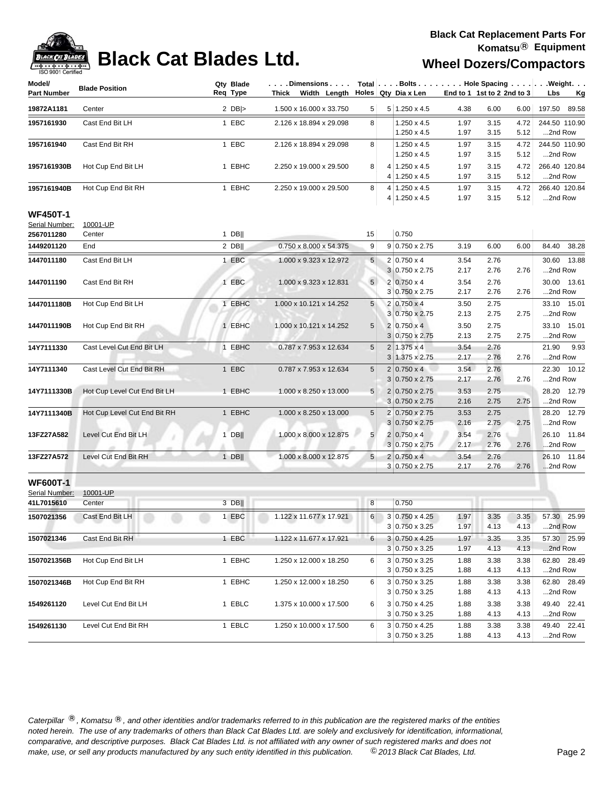

### **Black Cat Blades Ltd.** Wheel Dozers/Compactors

| Model/             | <b>Blade Position</b>        | Qty Blade | Dimensions   Total   Bolts    Hole Spacing    Weight |                 |                       |      |                            |      |                  |
|--------------------|------------------------------|-----------|------------------------------------------------------|-----------------|-----------------------|------|----------------------------|------|------------------|
| <b>Part Number</b> |                              | Req Type  | Thick Width Length Holes Qty Dia x Len               |                 |                       |      | End to 1 1st to 2 2nd to 3 |      | Lbs<br><u>Kg</u> |
| 19872A1181         | Center                       | 2 $DB$    | 1.500 x 16.000 x 33.750                              | 5 <sup>5</sup>  | $5 1.250 \times 4.5$  | 4.38 | 6.00                       | 6.00 | 197.50 89.58     |
| 1957161930         | Cast End Bit LH              | 1 EBC     | 2.126 x 18.894 x 29.098                              | 8 <sup>1</sup>  | $1.250 \times 4.5$    | 1.97 | 3.15                       | 4.72 | 244.50 110.90    |
|                    |                              |           |                                                      |                 | 1.250 x 4.5           | 1.97 | 3.15                       | 5.12 | 2nd Row          |
| 1957161940         | Cast End Bit RH              | 1 EBC     | 2.126 x 18.894 x 29.098                              | 8               | $1.250 \times 4.5$    | 1.97 | 3.15                       | 4.72 | 244.50 110.90    |
|                    |                              |           |                                                      |                 | $1.250 \times 4.5$    | 1.97 | 3.15                       | 5.12 | 2nd Row          |
| 1957161930B        | Hot Cup End Bit LH           | 1 EBHC    | 2.250 x 19.000 x 29.500                              | 8               | 4 1.250 x 4.5         | 1.97 | 3.15                       | 4.72 | 266.40 120.84    |
|                    |                              |           |                                                      |                 | $4 1.250 \times 4.5$  | 1.97 | 3.15                       | 5.12 | 2nd Row          |
| 1957161940B        | Hot Cup End Bit RH           | 1 EBHC    | 2.250 x 19.000 x 29.500                              | 8               | 4 1.250 x 4.5         | 1.97 | 3.15                       | 4.72 | 266.40 120.84    |
|                    |                              |           |                                                      |                 | 4 1.250 x 4.5         | 1.97 | 3.15                       | 5.12 | 2nd Row          |
| <b>WF450T-1</b>    |                              |           |                                                      |                 |                       |      |                            |      |                  |
| Serial Number:     | 10001-UP                     |           |                                                      |                 |                       |      |                            |      |                  |
| 2567011280         | Center                       | 1 DB $  $ |                                                      | 15              | 0.750                 |      |                            |      |                  |
| 1449201120         | End                          | $2$ DB    | 0.750 x 8.000 x 54.375                               | 9               | 9 0.750 x 2.75        | 3.19 | 6.00                       | 6.00 | 84.40 38.28      |
| 1447011180         | Cast End Bit LH              | 1 EBC     | 1.000 x 9.323 x 12.972                               | $5\phantom{.0}$ | $2 0.750 \times 4$    | 3.54 | 2.76                       |      | 30.60 13.88      |
|                    |                              |           |                                                      |                 | $3 0.750 \times 2.75$ | 2.17 | 2.76                       | 2.76 | 2nd Row          |
| 1447011190         | Cast End Bit RH              | 1 EBC     | 1.000 x 9.323 x 12.831                               | 5 <sup>5</sup>  | $2 0.750 \times 4$    | 3.54 | 2.76                       |      | 30.00 13.61      |
|                    |                              |           |                                                      |                 | 3 0.750 x 2.75        | 2.17 | 2.76                       | 2.76 | 2nd Row          |
| 1447011180B        | Hot Cup End Bit LH           | 1 EBHC    | 1.000 x 10.121 x 14.252                              | 5               | $2 0.750 \times 4$    | 3.50 | 2.75                       |      | 33.10 15.01      |
|                    |                              |           |                                                      |                 | 3 0.750 x 2.75        | 2.13 | 2.75                       | 2.75 | 2nd Row          |
| 1447011190B        | Hot Cup End Bit RH           | 1 EBHC    | 1.000 x 10.121 x 14.252                              | 5               | 2 0.750 x 4           | 3.50 | 2.75                       |      | 33.10 15.01      |
|                    |                              |           |                                                      |                 | $3 0.750 \times 2.75$ | 2.13 | 2.75                       | 2.75 | 2nd Row          |
| 14Y7111330         | Cast Level Cut End Bit LH    | 1 EBHC    | 0.787 x 7.953 x 12.634                               | 5               | $2 1.375 \times 4$    | 3.54 | 2.76                       |      | 21.90 9.93       |
|                    |                              |           |                                                      |                 | $3 1.375 \times 2.75$ | 2.17 | 2.76                       | 2.76 | 2nd Row          |
| 14Y7111340         | Cast Level Cut End Bit RH    | 1 EBC     | 0.787 x 7.953 x 12.634                               | $5\phantom{.0}$ | $2 0.750 \times 4 $   | 3.54 | 2.76                       |      | 22.30 10.12      |
|                    |                              |           |                                                      |                 | $3 0.750 \times 2.75$ | 2.17 | 2.76                       | 2.76 | 2nd Row          |
| 14Y7111330B        | Hot Cup Level Cut End Bit LH | 1 EBHC    | 1.000 x 8.250 x 13.000                               | 5               | 2 0.750 x 2.75        | 3.53 | 2.75                       |      | 28.20 12.79      |
|                    |                              |           |                                                      |                 | $3 0.750 \times 2.75$ | 2.16 | 2.75                       | 2.75 | 2nd Row          |
| 14Y7111340B        | Hot Cup Level Cut End Bit RH | 1 EBHC    | 1.000 x 8.250 x 13.000                               | 5               | 2 0.750 x 2.75        | 3.53 | 2.75                       |      | 28.20 12.79      |
|                    |                              |           |                                                      |                 | $3 0.750 \times 2.75$ | 2.16 | 2.75                       | 2.75 | 2nd Row          |
| 13FZ27A582         | Level Cut End Bit LH         | $1$ DB    | 1.000 x 8.000 x 12.875                               | 5               | $2 0.750 \times 4$    | 3.54 | 2.76                       |      | 26.10 11.84      |
|                    |                              |           |                                                      |                 | $3 0.750 \times 2.75$ | 2.17 | 2.76                       | 2.76 | 2nd Row          |
| 13FZ27A572         | Level Cut End Bit RH         | $1$ DB    | 1.000 x 8.000 x 12.875                               | 5 <sub>1</sub>  | $2 0.750 \times 4 $   | 3.54 | 2.76                       |      | 26.10 11.84      |
|                    |                              |           |                                                      |                 | 3 0.750 x 2.75        | 2.17 | 2.76                       | 2.76 | 2nd Row          |
| <b>WF600T-1</b>    |                              |           |                                                      |                 |                       |      |                            |      |                  |
| Serial Number:     | 10001-UP                     |           |                                                      |                 |                       |      |                            |      |                  |
| 41L7015610         | Center                       | $3$ DB    |                                                      | 8               | 0.750                 |      |                            |      |                  |
| 1507021356         | Cast End Bit LH              | 1 EBC     | 1.122 x 11.677 x 17.921                              | 6               | 3 0.750 x 4.25        | 1.97 | 3.35                       | 3.35 | 57.30 25.99      |
|                    |                              |           |                                                      |                 | 3 0.750 x 3.25        | 1.97 | 4.13                       | 4.13 | 2nd Row          |
| 1507021346         | Cast End Bit RH              | 1 EBC     | 1.122 x 11.677 x 17.921                              | 6               | 3 0.750 x 4.25        | 1.97 | 3.35                       | 3.35 | 57.30 25.99      |
|                    |                              |           |                                                      |                 | $3 0.750 \times 3.25$ | 1.97 | 4.13                       | 4.13 | 2nd Row          |
| 1507021356B        | Hot Cup End Bit LH           | 1 EBHC    | 1.250 x 12.000 x 18.250                              | 6               | $3 0.750 \times 3.25$ | 1.88 | 3.38                       | 3.38 | 62.80 28.49      |
|                    |                              |           |                                                      |                 | $3 0.750 \times 3.25$ | 1.88 | 4.13                       | 4.13 | 2nd Row          |
| 1507021346B        | Hot Cup End Bit RH           | 1 EBHC    | 1.250 x 12.000 x 18.250                              | 6               | 3 0.750 x 3.25        | 1.88 | 3.38                       | 3.38 | 62.80 28.49      |
|                    |                              |           |                                                      |                 | $3 0.750 \times 3.25$ | 1.88 | 4.13                       | 4.13 | 2nd Row          |
| 1549261120         | Level Cut End Bit LH         | 1 EBLC    | 1.375 x 10.000 x 17.500                              | 6               | $3 0.750 \times 4.25$ | 1.88 | 3.38                       | 3.38 | 49.40 22.41      |
|                    |                              |           |                                                      |                 | $3 0.750 \times 3.25$ | 1.88 | 4.13                       | 4.13 | 2nd Row          |
| 1549261130         | Level Cut End Bit RH         | 1 EBLC    | 1.250 x 10.000 x 17.500                              | 6               | 3 0.750 x 4.25        | 1.88 | 3.38                       | 3.38 | 49.40 22.41      |
|                    |                              |           |                                                      |                 | $3 0.750 \times 3.25$ | 1.88 | 4.13                       | 4.13 | 2nd Row          |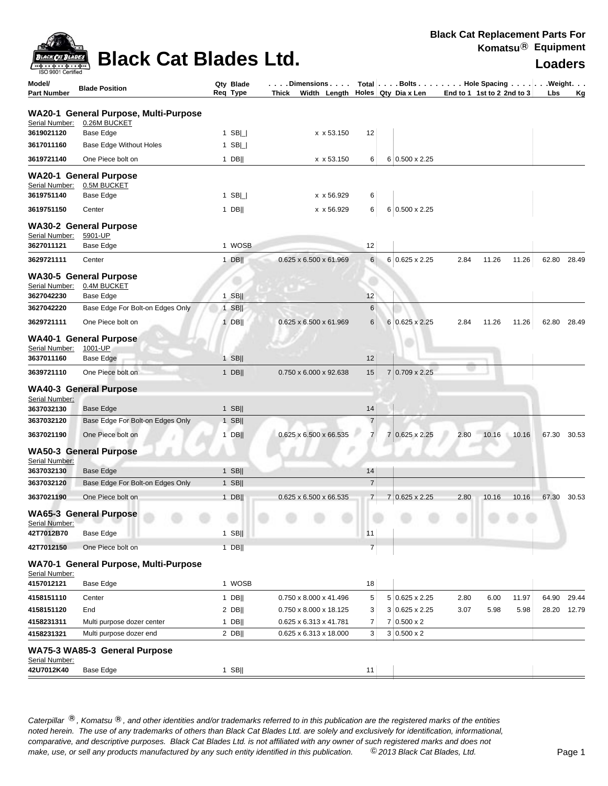|                                             | <b>Black Cal Replacement Parts For</b> |
|---------------------------------------------|----------------------------------------|
|                                             | Komatsu $\mathbb{B}$ Equipment         |
| <b>DELLEVISION</b><br>Black Cat Blades Ltd. | Loaders                                |
|                                             |                                        |

| ISO 9001 Certified           |                                          |                       |                                    |                |                |                                                             |                            |       |       |       |       |
|------------------------------|------------------------------------------|-----------------------|------------------------------------|----------------|----------------|-------------------------------------------------------------|----------------------------|-------|-------|-------|-------|
| Model/<br><b>Part Number</b> | <b>Blade Position</b>                    | Qty Blade<br>Req Type | . Dimensions<br>Thick Width Length |                |                | Total   Bolts Hole Spacing Weight.<br>Holes   Qty Dia x Len | End to 1 1st to 2 2nd to 3 |       |       | Lbs   | Κg    |
|                              | WA20-1 General Purpose, Multi-Purpose    |                       |                                    |                |                |                                                             |                            |       |       |       |       |
| Serial Number:               | 0.26M BUCKET                             |                       |                                    |                |                |                                                             |                            |       |       |       |       |
| 3619021120                   | Base Edge                                | 1 $SB$                | x x 53.150                         | 12             |                |                                                             |                            |       |       |       |       |
| 3617011160                   | Base Edge Without Holes                  | 1 $SB$                |                                    |                |                |                                                             |                            |       |       |       |       |
| 3619721140                   | One Piece bolt on                        | $1$ DB                | x x 53.150                         | 6              |                | 6 0.500 x 2.25                                              |                            |       |       |       |       |
|                              | <b>WA20-1 General Purpose</b>            |                       |                                    |                |                |                                                             |                            |       |       |       |       |
| Serial Number:               | 0.5M BUCKET                              |                       |                                    |                |                |                                                             |                            |       |       |       |       |
| 3619751140                   | Base Edge                                | 1 SB $\Box$           | x x 56.929                         | 6              |                |                                                             |                            |       |       |       |       |
| 3619751150                   | Center                                   | $1$ DB                | x x 56.929                         | 6              |                | 6 0.500 x 2.25                                              |                            |       |       |       |       |
|                              | <b>WA30-2 General Purpose</b>            |                       |                                    |                |                |                                                             |                            |       |       |       |       |
| Serial Number:<br>3627011121 | 5901-UP                                  | 1 WOSB                |                                    | 12             |                |                                                             |                            |       |       |       |       |
|                              | Base Edge                                |                       |                                    |                |                |                                                             |                            |       |       |       |       |
| 3629721111                   | Center                                   | $1$ DB                | $0.625 \times 6.500 \times 61.969$ | 6              |                | 6 0.625 x 2.25                                              | 2.84                       | 11.26 | 11.26 | 62.80 | 28.49 |
|                              | <b>WA30-5 General Purpose</b>            |                       |                                    |                |                |                                                             |                            |       |       |       |       |
| Serial Number:<br>3627042230 | 0.4M BUCKET<br>Base Edge                 | $1$ SB                |                                    | 12             |                |                                                             |                            |       |       |       |       |
| 3627042220                   | Base Edge For Bolt-on Edges Only         | $1$ SB                |                                    | $6\phantom{1}$ |                |                                                             |                            |       |       |       |       |
| 3629721111                   | One Piece bolt on                        | $1$ DB                | $0.625 \times 6.500 \times 61.969$ | 6              |                | 6 0.625 x 2.25                                              | 2.84                       | 11.26 | 11.26 | 62.80 | 28.49 |
|                              |                                          |                       |                                    |                |                |                                                             |                            |       |       |       |       |
| Serial Number:               | <b>WA40-1 General Purpose</b><br>1001-UP |                       |                                    |                |                |                                                             |                            |       |       |       |       |
| 3637011160                   | Base Edge                                | $1$ SB                |                                    | 12             |                |                                                             |                            |       |       |       |       |
| 3639721110                   | One Piece bolt on                        | 1 DB                  | 0.750 x 6.000 x 92.638             | 15             |                | 7 0.709 x 2.25                                              |                            |       |       |       |       |
|                              | <b>WA40-3 General Purpose</b>            |                       |                                    |                |                |                                                             |                            |       |       |       |       |
| Serial Number:               |                                          |                       |                                    |                |                |                                                             |                            |       |       |       |       |
| 3637032130                   | Base Edge                                | $1$ SB                |                                    | 14             |                |                                                             |                            |       |       |       |       |
| 3637032120                   | Base Edge For Bolt-on Edges Only         | $1$ SB                |                                    | $\overline{7}$ |                |                                                             |                            |       |       |       |       |
| 3637021190                   | One Piece bolt on                        | $1$ DB                | 0.625 x 6.500 x 66.535             | $\overline{7}$ | $\overline{7}$ | $0.625 \times 2.25$                                         | 2.80                       | 10.16 | 10.16 | 67.30 | 30.53 |
|                              | <b>WA50-3 General Purpose</b>            |                       |                                    |                |                |                                                             |                            |       |       |       |       |
| Serial Number:<br>3637032130 | <b>Base Edge</b>                         | $1$ SB                |                                    | 14             |                |                                                             |                            |       |       |       |       |
| 3637032120                   | Base Edge For Bolt-on Edges Only         | $1$ SB                |                                    | $\overline{7}$ |                |                                                             |                            |       |       |       |       |
| 3637021190                   | One Piece bolt on                        | 1 DB                  | 0.625 x 6.500 x 66.535             | $\overline{7}$ |                | 7 0.625 x 2.25                                              | 2.80                       | 10.16 | 10.16 | 67.30 | 30.53 |
|                              | <b>WA65-3 General Purpose</b>            |                       |                                    |                |                |                                                             |                            |       |       |       |       |
| Serial Number:               |                                          |                       |                                    |                |                |                                                             |                            |       |       |       |       |
| 42T7012B70                   | <b>Base Edge</b>                         | $1$ SB                |                                    | 11             |                |                                                             |                            |       |       |       |       |
| 42T7012150                   | One Piece bolt on                        | $1$ DB                |                                    | $\overline{7}$ |                |                                                             |                            |       |       |       |       |
|                              | WA70-1 General Purpose, Multi-Purpose    |                       |                                    |                |                |                                                             |                            |       |       |       |       |
| Serial Number:<br>4157012121 | <b>Base Edge</b>                         | 1 WOSB                |                                    | 18             |                |                                                             |                            |       |       |       |       |
| 4158151110                   | Center                                   | $1$ DB                | 0.750 x 8.000 x 41.496             | 5              |                | 5 0.625 x 2.25                                              | 2.80                       | 6.00  | 11.97 | 64.90 | 29.44 |
| 4158151120                   | End                                      | $2$ DB                | 0.750 x 8.000 x 18.125             | 3              | 3              | $0.625 \times 2.25$                                         | 3.07                       | 5.98  | 5.98  | 28.20 | 12.79 |
| 4158231311                   | Multi purpose dozer center               | $1$ DB                | $0.625 \times 6.313 \times 41.781$ | 7              | 7              | $0.500 \times 2$                                            |                            |       |       |       |       |
| 4158231321                   | Multi purpose dozer end                  | $2$ DB                | 0.625 x 6.313 x 18.000             | 3              |                | $3 0.500 \times 2$                                          |                            |       |       |       |       |
|                              | WA75-3 WA85-3 General Purpose            |                       |                                    |                |                |                                                             |                            |       |       |       |       |
| Serial Number:               |                                          |                       |                                    |                |                |                                                             |                            |       |       |       |       |
| 42U7012K40                   | <b>Base Edge</b>                         | $1$ SB                |                                    | 11             |                |                                                             |                            |       |       |       |       |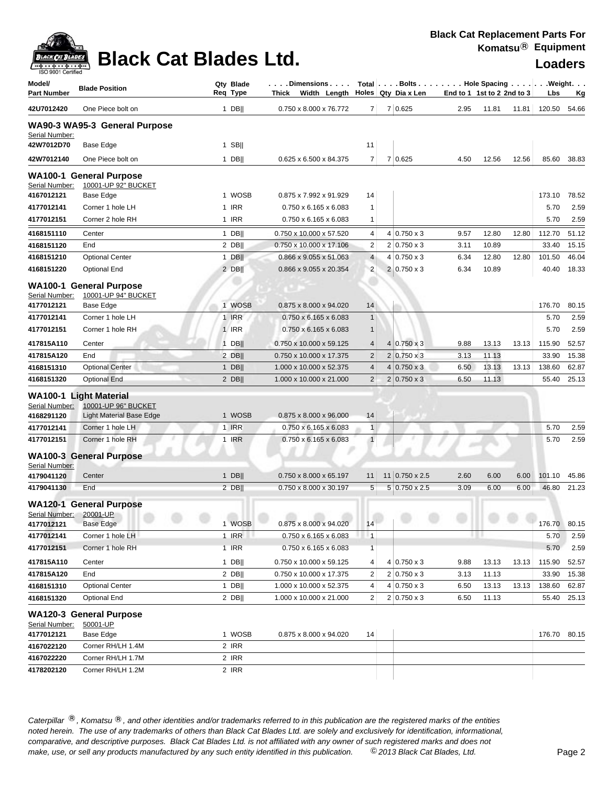

## **Black Cat Blades Ltd. Loaders Legand Report Report Report Report Report Report Report Report Report Report Report Report Report Report Report Report Report Report Report Report Report Report Report Report Report Repor**

| Model/<br>Part Number        | <b>Blade Position</b>                                   | Qty Blade<br>Req Type | $\left[\ldots\right]$ . Dimensions $\ldots\cdot$ Total $\left[\ldots\right]$ . The Space Spacing $\ldots\cdot\left[\ldots\right]$ . Weight. $\ldots$<br>Thick Width Length Holes Qty Dia x Len |                |                       | End to 1 1st to 2 2nd to 3 |       |       | Lbs    | <u>Kg</u> |
|------------------------------|---------------------------------------------------------|-----------------------|------------------------------------------------------------------------------------------------------------------------------------------------------------------------------------------------|----------------|-----------------------|----------------------------|-------|-------|--------|-----------|
| 42U7012420                   | One Piece bolt on                                       | $1$ DB                | 0.750 x 8.000 x 76.772                                                                                                                                                                         | 7 <sup>1</sup> | 7 0.625               | 2.95                       | 11.81 | 11.81 | 120.50 | 54.66     |
| Serial Number:               | WA90-3 WA95-3 General Purpose                           |                       |                                                                                                                                                                                                |                |                       |                            |       |       |        |           |
| 42W7012D70                   | Base Edge                                               | $1$ SB                |                                                                                                                                                                                                | 11             |                       |                            |       |       |        |           |
| 42W7012140                   | One Piece bolt on                                       | $1$ DB                | 0.625 x 6.500 x 84.375                                                                                                                                                                         | 7              | 7 0.625               | 4.50                       | 12.56 | 12.56 | 85.60  | 38.83     |
| Serial Number:               | <b>WA100-1 General Purpose</b><br>10001-UP 92" BUCKET   |                       |                                                                                                                                                                                                |                |                       |                            |       |       |        |           |
| 4167012121                   | Base Edge                                               | 1 WOSB                | 0.875 x 7.992 x 91.929                                                                                                                                                                         | 14             |                       |                            |       |       | 173.10 | 78.52     |
| 4177012141                   | Corner 1 hole LH                                        | 1 IRR                 | $0.750 \times 6.165 \times 6.083$                                                                                                                                                              | $\mathbf{1}$   |                       |                            |       |       | 5.70   | 2.59      |
| 4177012151                   | Corner 2 hole RH                                        | 1 IRR                 | $0.750 \times 6.165 \times 6.083$                                                                                                                                                              | 1              |                       |                            |       |       | 5.70   | 2.59      |
| 4168151110                   | Center                                                  | $1$ DB                | 0.750 x 10.000 x 57.520                                                                                                                                                                        | 4              | $4 0.750 \times 3$    | 9.57                       | 12.80 | 12.80 | 112.70 | 51.12     |
| 4168151120                   | End                                                     | $2$ DB                | 0.750 x 10.000 x 17.106                                                                                                                                                                        | $\overline{c}$ | $2 0.750 \times 3$    | 3.11                       | 10.89 |       | 33.40  | 15.15     |
| 4168151210                   | <b>Optional Center</b>                                  | $1$ DB                | 0.866 x 9.055 x 51.063                                                                                                                                                                         | $\overline{4}$ | $4 0.750 \times 3$    | 6.34                       | 12.80 | 12.80 | 101.50 | 46.04     |
| 4168151220                   | <b>Optional End</b>                                     | $2$ DB                | 0.866 x 9.055 x 20.354                                                                                                                                                                         | $\overline{c}$ | $2 0.750 \times 3$    | 6.34                       | 10.89 |       | 40.40  | 18.33     |
| Serial Number:               | <b>WA100-1 General Purpose</b><br>10001-UP 94" BUCKET   |                       |                                                                                                                                                                                                |                |                       |                            |       |       |        |           |
| 4177012121                   | Base Edge                                               | 1 WOSB                | 0.875 x 8.000 x 94.020                                                                                                                                                                         | 14             |                       |                            |       |       | 176.70 | 80.15     |
| 4177012141                   | Corner 1 hole LH                                        | 1 IRR                 | $0.750 \times 6.165 \times 6.083$                                                                                                                                                              | $\mathbf{1}$   |                       |                            |       |       | 5.70   | 2.59      |
| 4177012151                   | Corner 1 hole RH                                        | 1 <b>IRR</b>          | $0.750 \times 6.165 \times 6.083$                                                                                                                                                              | $\mathbf{1}$   |                       |                            |       |       | 5.70   | 2.59      |
| 417815A110                   | Center                                                  | $1$ DB                | 0.750 x 10.000 x 59.125                                                                                                                                                                        | $\overline{4}$ | $4 0.750 \times 3$    | 9.88                       | 13.13 | 13.13 | 115.90 | 52.57     |
| 417815A120                   | End                                                     | $2$ DB                | 0.750 x 10.000 x 17.375                                                                                                                                                                        | $\overline{2}$ | $2 0.750 \times 3$    | 3.13                       | 11.13 |       | 33.90  | 15.38     |
| 4168151310                   | <b>Optional Center</b>                                  | $1$ DB                | 1.000 x 10.000 x 52.375                                                                                                                                                                        | $\overline{4}$ | $4 0.750 \times 3$    | 6.50                       | 13.13 | 13.13 | 138.60 | 62.87     |
| 4168151320                   | <b>Optional End</b>                                     | $2$ DB                | 1.000 x 10.000 x 21.000                                                                                                                                                                        | $\overline{2}$ | $2 0.750 \times 3$    | 6.50                       | 11.13 |       | 55.40  | 25.13     |
| Serial Number:               | <b>WA100-1 Light Material</b><br>10001-UP 96" BUCKET    |                       |                                                                                                                                                                                                |                |                       |                            |       |       |        |           |
| 4168291120                   | <b>Light Material Base Edge</b>                         | 1 WOSB                | 0.875 x 8.000 x 96.000                                                                                                                                                                         | 14             |                       |                            |       |       |        |           |
| 4177012141                   | Corner 1 hole LH                                        | 1 IRR                 | $0.750 \times 6.165 \times 6.083$                                                                                                                                                              | $\overline{1}$ |                       |                            |       |       | 5.70   | 2.59      |
| 4177012151                   | Corner 1 hole RH                                        | 1 IRR                 | $0.750 \times 6.165 \times 6.083$                                                                                                                                                              | $\mathbf{1}$   |                       |                            |       |       | 5.70   | 2.59      |
| Serial Number:               | <b>WA100-3 General Purpose</b>                          |                       |                                                                                                                                                                                                |                |                       |                            |       |       |        |           |
| 4179041120                   | Center                                                  | $1$ DB                | $0.750 \times 8.000 \times 65.197$                                                                                                                                                             | 11             | $11 0.750 \times 2.5$ | 2.60                       | 6.00  | 6.00  | 101.10 | 45.86     |
| 4179041130                   | End                                                     | $2$ DB                | $0.750 \times 8.000 \times 30.197$                                                                                                                                                             | $\sqrt{5}$     | $5 0.750 \times 2.5$  | 3.09                       | 6.00  | 6.00  | 46.80  | 21.23     |
| Serial Number:<br>4177012121 | <b>WA120-1 General Purpose</b><br>20001-UP<br>Base Edge | 1 WOSB                | $0.875 \times 8.000 \times 94.020$   14                                                                                                                                                        |                |                       |                            |       |       | 176.70 | 80.15     |
| 4177012141                   | Corner 1 hole LH                                        | 1 IRR                 | $0.750 \times 6.165 \times 6.083$                                                                                                                                                              | $\mathbf{1}$   |                       |                            |       |       | 5.70   | 2.59      |
| 4177012151                   | Corner 1 hole RH                                        | 1 IRR                 | $0.750 \times 6.165 \times 6.083$                                                                                                                                                              | $\mathbf{1}$   |                       |                            |       |       | 5.70   | 2.59      |
| 417815A110                   | Center                                                  | 1 DBII                | 0.750 x 10.000 x 59.125                                                                                                                                                                        | 4              | $4 0.750 \times 3$    | 9.88                       | 13.13 | 13.13 | 115.90 | 52.57     |
| 417815A120                   | End                                                     | $2$ DB                | 0.750 x 10.000 x 17.375                                                                                                                                                                        | 2              | $2 0.750 \times 3$    | 3.13                       | 11.13 |       | 33.90  | 15.38     |
| 4168151310                   | <b>Optional Center</b>                                  | $1$ DB                | 1.000 x 10.000 x 52.375                                                                                                                                                                        | 4              | $4 0.750 \times 3$    | 6.50                       | 13.13 | 13.13 | 138.60 | 62.87     |
| 4168151320                   | <b>Optional End</b>                                     | $2$ DB                | 1.000 x 10.000 x 21.000                                                                                                                                                                        | $\overline{2}$ | $2 0.750 \times 3$    | 6.50                       | 11.13 |       | 55.40  | 25.13     |
| Serial Number:               | <b>WA120-3 General Purpose</b><br>50001-UP              |                       |                                                                                                                                                                                                |                |                       |                            |       |       |        |           |
| 4177012121                   | Base Edge                                               | 1 WOSB                | 0.875 x 8.000 x 94.020                                                                                                                                                                         | 14             |                       |                            |       |       | 176.70 | 80.15     |
| 4167022120                   | Corner RH/LH 1.4M                                       | 2 IRR                 |                                                                                                                                                                                                |                |                       |                            |       |       |        |           |
| 4167022220                   | Corner RH/LH 1.7M                                       | 2 IRR                 |                                                                                                                                                                                                |                |                       |                            |       |       |        |           |
| 4178202120                   | Corner RH/LH 1.2M                                       | 2 IRR                 |                                                                                                                                                                                                |                |                       |                            |       |       |        |           |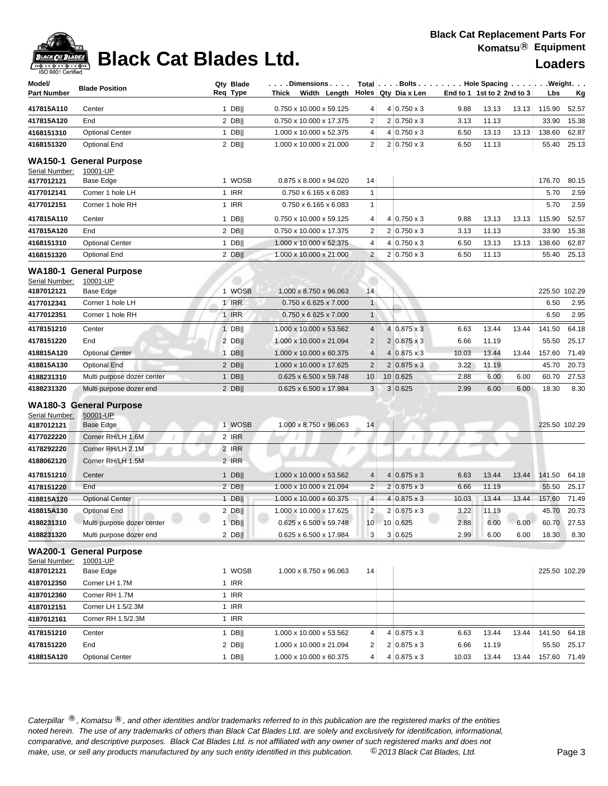## **Black Cat Blades Ltd. Loaders Loaders**

| ISO 9001 Certified<br>Model/ |                                                         | Qty Blade          | .Dimensions                                        |                                           | Total $\left  \ldots$ Bolts $\ldots \right $ Hole Spacing $\ldots \right $ |                            |                |       |                 | . Weight.      |
|------------------------------|---------------------------------------------------------|--------------------|----------------------------------------------------|-------------------------------------------|----------------------------------------------------------------------------|----------------------------|----------------|-------|-----------------|----------------|
| <b>Part Number</b>           | <b>Blade Position</b>                                   | Req Type           | Width Length Holes Qty Dia x Len<br>Thick          |                                           |                                                                            | End to 1 1st to 2 2nd to 3 |                |       | Lbs             | <u>Kg</u>      |
| 417815A110                   | Center                                                  | $1$ DB             | 0.750 x 10.000 x 59.125                            | 4                                         | $4 0.750 \times 3$                                                         | 9.88                       | 13.13          | 13.13 | 115.90          | 52.57          |
| 417815A120                   | End                                                     | 2 DB               | 0.750 x 10.000 x 17.375                            | $\overline{c}$                            | $2 0.750 \times 3$                                                         | 3.13                       | 11.13          |       | 33.90           | 15.38          |
| 4168151310                   | <b>Optional Center</b>                                  | $1$ DB             | 1.000 x 10.000 x 52.375                            | 4                                         | $4 0.750 \times 3$                                                         | 6.50                       | 13.13          | 13.13 | 138.60          | 62.87          |
| 4168151320                   | <b>Optional End</b>                                     | $2$ DB             | 1.000 x 10.000 x 21.000                            | $\overline{2}$                            | $2 0.750 \times 3$                                                         | 6.50                       | 11.13          |       | 55.40           | 25.13          |
|                              | WA150-1 General Purpose                                 |                    |                                                    |                                           |                                                                            |                            |                |       |                 |                |
| Serial Number:               | 10001-UP                                                | 1 WOSB             | 0.875 x 8.000 x 94.020                             |                                           |                                                                            |                            |                |       |                 |                |
| 4177012121<br>4177012141     | Base Edge<br>Corner 1 hole LH                           | 1 IRR              | $0.750 \times 6.165 \times 6.083$                  | 14<br>$\mathbf{1}$                        |                                                                            |                            |                |       | 176.70<br>5.70  | 80.15<br>2.59  |
| 4177012151                   | Corner 1 hole RH                                        | 1 IRR              | 0.750 x 6.165 x 6.083                              | $\mathbf{1}$                              |                                                                            |                            |                |       | 5.70            | 2.59           |
|                              |                                                         |                    |                                                    |                                           |                                                                            |                            |                |       |                 |                |
| 417815A110                   | Center                                                  | $1$ DB             | 0.750 x 10.000 x 59.125                            | 4                                         | $4 0.750 \times 3$                                                         | 9.88                       | 13.13<br>11.13 | 13.13 | 115.90          | 52.57          |
| 417815A120<br>4168151310     | End<br><b>Optional Center</b>                           | $2$ DB  <br>$1$ DB | 0.750 x 10.000 x 17.375                            | $\overline{\mathbf{c}}$<br>$\overline{4}$ | $2 0.750 \times 3$<br>$4 0.750 \times 3$                                   | 3.13<br>6.50               | 13.13          |       | 33.90           | 15.38<br>62.87 |
|                              | <b>Optional End</b>                                     |                    | 1.000 x 10.000 x 52.375<br>1.000 x 10.000 x 21.000 | $\overline{2}$                            | $2 0.750 \times 3$                                                         | 6.50                       | 11.13          | 13.13 | 138.60<br>55.40 | 25.13          |
| 4168151320                   |                                                         | $2$ DB             |                                                    |                                           |                                                                            |                            |                |       |                 |                |
| Serial Number:               | <b>WA180-1 General Purpose</b><br>10001-UP              |                    |                                                    |                                           |                                                                            |                            |                |       |                 |                |
| 4187012121                   | Base Edge                                               | 1 WOSB             | 1.000 x 8.750 x 96.063                             | 14                                        |                                                                            |                            |                |       | 225.50 102.29   |                |
| 4177012341                   | Corner 1 hole LH                                        | <b>1 IRR</b>       | $0.750 \times 6.625 \times 7.000$                  | $\mathbf{1}$                              |                                                                            |                            |                |       | 6.50            | 2.95           |
| 4177012351                   | Corner 1 hole RH                                        | 1 IRR              | 0.750 x 6.625 x 7.000                              | $\mathbf{1}$                              |                                                                            |                            |                |       | 6.50            | 2.95           |
| 4178151210                   | Center                                                  | $1$ DB             | 1.000 x 10.000 x 53.562                            | $\overline{4}$                            | $4 0.875 \times 3$                                                         | 6.63                       | 13.44          | 13.44 | 141.50          | 64.18          |
| 4178151220                   | End                                                     | $2$ DB             | 1.000 x 10.000 x 21.094                            | $\overline{2}$                            | $2 0.875 \times 3$                                                         | 6.66                       | 11.19          |       | 55.50           | 25.17          |
| 418815A120                   | <b>Optional Center</b>                                  | $1$ DB             | 1.000 x 10.000 x 60.375                            | $\overline{4}$                            | $4 0.875 \times 3$                                                         | 10.03                      | 13.44          | 13.44 | 157.60          | 71.49          |
| 418815A130                   | <b>Optional End</b>                                     | $2$ DB             | 1.000 x 10.000 x 17.625                            | $\overline{2}$                            | $2 0.875 \times 3$                                                         | 3.22                       | 11.19          |       | 45.70           | 20.73          |
| 4188231310                   | Multi purpose dozer center                              | $1$ DB             | 0.625 x 6.500 x 59.748                             | 10                                        | 10 0.625                                                                   | 2.88                       | 6.00           | 6.00  | 60.70           | 27.53          |
| 4188231320                   | Multi purpose dozer end                                 | $2$ DB             | 0.625 x 6.500 x 17.984                             | 3                                         | 3 0.625                                                                    | 2.99                       | 6.00           | 6.00  | 18.30           | 8.30           |
| Serial Number:<br>4187012121 | <b>WA180-3 General Purpose</b><br>50001-UP<br>Base Edge | 1 WOSB             | 1.000 x 8.750 x 96.063                             | 14                                        |                                                                            |                            |                |       | 225.50 102.29   |                |
| 4177022220                   | Corner RH/LH 1.6M                                       | 2 IRR              |                                                    |                                           |                                                                            |                            |                |       |                 |                |
| 4178292220                   | Corner RH/LH 2.1M                                       | 2 IRR              |                                                    |                                           |                                                                            |                            |                |       |                 |                |
| 4188062120                   | Corner RH/LH 1.5M                                       | 2 IRR              |                                                    |                                           |                                                                            |                            |                |       |                 |                |
| 4178151210                   | Center                                                  | 1 DBII             | 1.000 x 10.000 x 53.562                            | 4                                         | $4 0.875 \times 3$                                                         | 6.63                       | 13.44          | 13.44 | 141.50          | 64.18          |
| 4178151220                   | End                                                     | $2$ DB             | 1.000 x 10.000 x 21.094                            | $\overline{c}$                            | $2 0.875 \times 3$                                                         | 6.66                       | 11.19          |       | 55.50           | 25.17          |
| 418815A120                   | <b>Optional Center</b>                                  | $1$ DB             | 1.000 x 10.000 x 60.375                            | $\overline{4}$                            | $4 0.875 \times 3$                                                         | 10.03                      | 13.44          | 13.44 | 157.60          | 71.49          |
| 418815A130                   | <b>Optional End</b>                                     | $2$ DB             | 1.000 x 10.000 x 17.625                            | $\overline{2}$                            | $2 0.875 \times 3$                                                         | 3.22                       | 11.19          |       | 45.70           | 20.73          |
| 4188231310                   | Multi purpose dozer center                              | $1$ DB             | 0.625 x 6.500 x 59.748                             | 10                                        | 10 0.625                                                                   | 2.88                       | 6.00           | 6.00  | 60.70           | 27.53          |
| 4188231320                   | Multi purpose dozer end                                 | $2$ DB             | 0.625 x 6.500 x 17.984                             | 3                                         | 3 0.625                                                                    | 2.99                       | 6.00           | 6.00  | 18.30           | 8.30           |
|                              | <b>WA200-1 General Purpose</b>                          |                    |                                                    |                                           |                                                                            |                            |                |       |                 |                |
| Serial Number:               | 10001-UP                                                |                    |                                                    |                                           |                                                                            |                            |                |       |                 |                |
| 4187012121                   | Base Edge                                               | 1 WOSB             | 1.000 x 8.750 x 96.063                             | 14                                        |                                                                            |                            |                |       |                 | 225.50 102.29  |
| 4187012350                   | Corner LH 1.7M                                          | 1 IRR              |                                                    |                                           |                                                                            |                            |                |       |                 |                |
| 4187012360                   | Corner RH 1.7M                                          | 1 IRR              |                                                    |                                           |                                                                            |                            |                |       |                 |                |
| 4187012151                   | Corner LH 1.5/2.3M                                      | 1 IRR              |                                                    |                                           |                                                                            |                            |                |       |                 |                |
| 4187012161                   | Corner RH 1.5/2.3M                                      | 1 IRR              |                                                    |                                           |                                                                            |                            |                |       |                 |                |
| 4178151210                   | Center                                                  | $1$ DB             | 1.000 x 10.000 x 53.562                            | 4                                         | $4 0.875 \times 3$                                                         | 6.63                       | 13.44          | 13.44 | 141.50          | 64.18          |
| 4178151220                   | End                                                     | $2$ DB             | 1.000 x 10.000 x 21.094                            | $\overline{\mathbf{c}}$                   | $2 0.875 \times 3$                                                         | 6.66                       | 11.19          |       | 55.50           | 25.17          |
| 418815A120                   | <b>Optional Center</b>                                  | $1$ DB             | 1.000 x 10.000 x 60.375                            | 4                                         | $4 0.875 \times 3$                                                         | 10.03                      | 13.44          | 13.44 | 157.60          | 71.49          |
|                              |                                                         |                    |                                                    |                                           |                                                                            |                            |                |       |                 |                |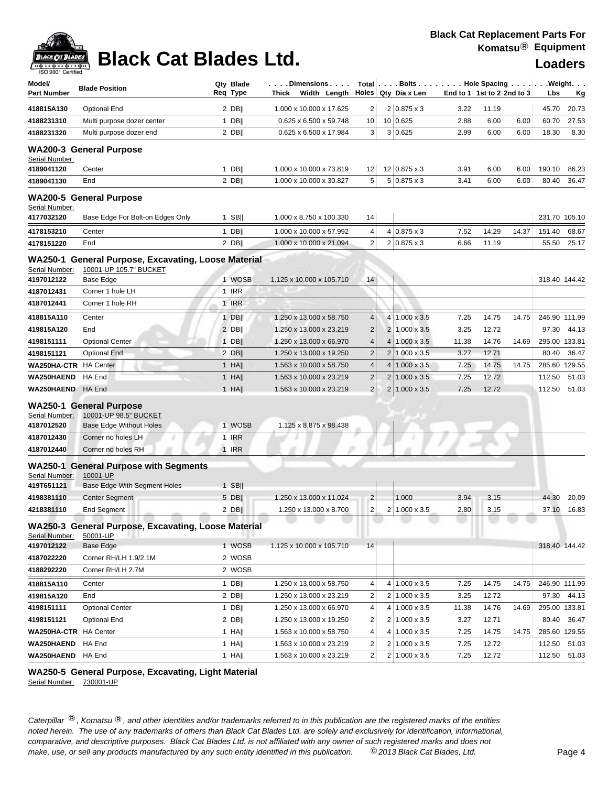### **Black Cat Blades Ltd.**

| <b>Loaders</b>    |
|-------------------|
| $341 - 7 - 1 - 4$ |

| Model/                       | <b>Blade Position</b>                                                         | Qty Blade        | . Dimensions                                       |                     | Total Bolts Hole Spacing Weight.      |               |                            |       |                        |               |
|------------------------------|-------------------------------------------------------------------------------|------------------|----------------------------------------------------|---------------------|---------------------------------------|---------------|----------------------------|-------|------------------------|---------------|
| <b>Part Number</b>           |                                                                               | Req Type         | Thick Width Length                                 |                     | Holes Qty Dia x Len                   |               | End to 1 1st to 2 2nd to 3 |       | Lbs                    | <u>Kg</u>     |
| 418815A130                   | <b>Optional End</b>                                                           | $2$ DB           | 1.000 x 10.000 x 17.625                            | 2                   | $2 0.875 \times 3$                    | 3.22          | 11.19                      |       | 45.70                  | 20.73         |
| 4188231310                   | Multi purpose dozer center                                                    | $1$ DB           | 0.625 x 6.500 x 59.748                             | 10                  | 10 0.625                              | 2.88          | 6.00                       | 6.00  | 60.70                  | 27.53         |
| 4188231320                   | Multi purpose dozer end                                                       | $2$ DB           | 0.625 x 6.500 x 17.984                             | 3                   | 3 0.625                               | 2.99          | 6.00                       | 6.00  | 18.30                  | 8.30          |
| Serial Number:               | <b>WA200-3 General Purpose</b>                                                |                  |                                                    |                     |                                       |               |                            |       |                        |               |
| 4189041120                   | Center                                                                        | $1$ DB           | 1.000 x 10.000 x 73.819                            | 12                  | 12   0.875 x 3                        | 3.91          | 6.00                       | 6.00  | 190.10                 | 86.23         |
| 4189041130                   | End                                                                           | 2 DB             | 1.000 x 10.000 x 30.827                            | 5                   | $5 0.875 \times 3$                    | 3.41          | 6.00                       | 6.00  | 80.40                  | 36.47         |
| Serial Number:               | <b>WA200-5 General Purpose</b>                                                |                  |                                                    |                     |                                       |               |                            |       |                        |               |
| 4177032120                   | Base Edge For Bolt-on Edges Only                                              | $1$ SB           | 1.000 x 8.750 x 100.330                            | 14                  |                                       |               |                            |       |                        | 231.70 105.10 |
| 4178153210                   | Center                                                                        | $1$ DB           | 1.000 x 10.000 x 57.992                            | 4                   | $4 0.875 \times 3$                    | 7.52          | 14.29                      | 14.37 | 151.40                 | 68.67         |
| 4178151220                   | End                                                                           | 2 DB             | 1.000 x 10.000 x 21.094                            | $\overline{2}$      | $2 0.875 \times 3$                    | 6.66          | 11.19                      |       | 55.50                  | 25.17         |
| Serial Number:               | WA250-1 General Purpose, Excavating, Loose Material<br>10001-UP 105.7" BUCKET |                  |                                                    |                     |                                       |               |                            |       |                        |               |
| 4197012122                   | Base Edge                                                                     | 1 WOSB           | 1.125 x 10.000 x 105.710                           | 14                  |                                       |               |                            |       |                        | 318.40 144.42 |
| 4187012431<br>4187012441     | Corner 1 hole LH<br>Corner 1 hole RH                                          | 1 IRR<br>1 IRR   |                                                    |                     |                                       |               |                            |       |                        |               |
|                              |                                                                               |                  |                                                    |                     |                                       |               |                            |       |                        |               |
| 418815A110                   | Center                                                                        | $1$ DB           | 1.250 x 13.000 x 58.750                            | 4                   | 4 1.000 x 3.5                         | 7.25          | 14.75                      | 14.75 |                        | 246.90 111.99 |
| 419815A120<br>4198151111     | End                                                                           | 2 DB             | 1.250 x 13.000 x 23.219                            | $\overline{2}$      | 2 1.000 x 3.5<br>$4 1.000 \times 3.5$ | 3.25          | 12.72                      |       | 97.30                  | 44.13         |
| 4198151121                   | <b>Optional Center</b><br><b>Optional End</b>                                 | $1$ DB  <br>2 DB | 1.250 x 13.000 x 66.970<br>1.250 x 13.000 x 19.250 | 4<br>$\overline{2}$ | $2 1.000 \times 3.5$                  | 11.38<br>3.27 | 14.76<br>12.71             | 14.69 | 295.00 133.81<br>80.40 | 36.47         |
| WA250HA-CTR HA Center        |                                                                               | $1$ HA           | 1.563 x 10.000 x 58.750                            | 4                   | $4 1.000 \times 3.5$                  | 7.25          | 14.75                      | 14.75 | 285.60 129.55          |               |
| WA250HAEND                   | HA End                                                                        | $1$ HA           | 1.563 x 10.000 x 23.219                            | $\overline{2}$      | $2 1.000 \times 3.5$                  | 7.25          | 12.72                      |       | 112.50                 | 51.03         |
| WA250HAEND                   | HA End                                                                        | $1$ HA           | 1.563 x 10.000 x 23.219                            | $\overline{2}$      | $2 1.000 \times 3.5$                  | 7.25          | 12.72                      |       | 112.50                 | 51.03         |
|                              |                                                                               |                  |                                                    |                     |                                       |               |                            |       |                        |               |
| Serial Number:               | <b>WA250-1 General Purpose</b><br>10001-UP 98.5" BUCKET                       |                  |                                                    |                     |                                       |               |                            |       |                        |               |
| 4187012520                   | <b>Base Edge Without Holes</b>                                                | 1 WOSB           | 1.125 x 8.875 x 98.438                             |                     |                                       |               |                            |       |                        |               |
| 4187012430                   | Corner no holes LH                                                            | 1 IRR            |                                                    |                     |                                       |               |                            |       |                        |               |
| 4187012440                   | Corner no holes RH                                                            | $1$ IRR          |                                                    |                     |                                       |               |                            |       |                        |               |
| Serial Number:               | <b>WA250-1 General Purpose with Segments</b><br>10001-UP                      |                  |                                                    |                     |                                       |               |                            |       |                        |               |
| 419T651121                   | Base Edge With Segment Holes                                                  | $1$ SB           |                                                    |                     |                                       |               |                            |       |                        |               |
| 4198381110                   | <b>Center Segment</b>                                                         | 5 DB             | 1.250 x 13.000 x 11.024                            | $\overline{2}$      | 1.000                                 | 3.94          | 3.15                       |       | 44.30                  | 20.09         |
| 4218381110                   | <b>End Segment</b>                                                            | $2$ DB           | 1.250 x 13.000 x 8.700                             | $\overline{c}$      | $2 1.000 \times 3.5$                  | 2.80          | 3.15                       |       | 37.10                  | 16.83         |
| Serial Number:               | WA250-3 General Purpose, Excavating, Loose Material<br>50001-UP               |                  |                                                    |                     |                                       |               |                            |       |                        |               |
| 4197012122                   | <b>Base Edge</b>                                                              | 1 WOSB           | 1.125 x 10.000 x 105.710                           | 14                  |                                       |               |                            |       |                        | 318.40 144.42 |
| 4187022220                   | Corner RH/LH 1.9/2.1M                                                         | 2 WOSB           |                                                    |                     |                                       |               |                            |       |                        |               |
| 4188292220                   | Corner RH/LH 2.7M                                                             | 2 WOSB           |                                                    |                     |                                       |               |                            |       |                        |               |
| 418815A110                   | Center                                                                        | $1$ DB           | 1.250 x 13.000 x 58.750                            | 4                   | 4 1.000 x 3.5                         | 7.25          | 14.75                      | 14.75 |                        | 246.90 111.99 |
| 419815A120                   | End                                                                           | $2$ DB           | 1.250 x 13.000 x 23.219                            | 2                   | 2 1.000 x 3.5                         | 3.25          | 12.72                      |       | 97.30                  | 44.13         |
| 4198151111                   | <b>Optional Center</b>                                                        | $1$ DB           | 1.250 x 13.000 x 66.970                            | 4                   | $4 1.000 \times 3.5$                  | 11.38         | 14.76                      | 14.69 |                        | 295.00 133.81 |
| 4198151121                   | Optional End                                                                  | $2$ DB           | 1.250 x 13.000 x 19.250                            | 2                   | $2 1.000 \times 3.5$                  | 3.27          | 12.71                      |       | 80.40                  | 36.47         |
| <b>WA250HA-CTR</b> HA Center |                                                                               | 1 HA             | 1.563 x 10.000 x 58.750                            | 4                   | $4 1.000 \times 3.5$                  | 7.25          | 14.75                      | 14.75 |                        | 285.60 129.55 |
| WA250HAEND HA End            |                                                                               | 1 HA             | 1.563 x 10.000 x 23.219                            | 2                   | $2 1.000 \times 3.5$                  | 7.25          | 12.72                      |       | 112.50                 | 51.03         |
| <b>WA250HAEND</b> HA End     |                                                                               | $1$ HA           | 1.563 x 10.000 x 23.219                            | 2                   | $2 1.000 \times 3.5 $                 | 7.25          | 12.72                      |       |                        | 112.50 51.03  |

### **WA250-5 General Purpose, Excavating, Light Material**

Serial Number: 730001-UP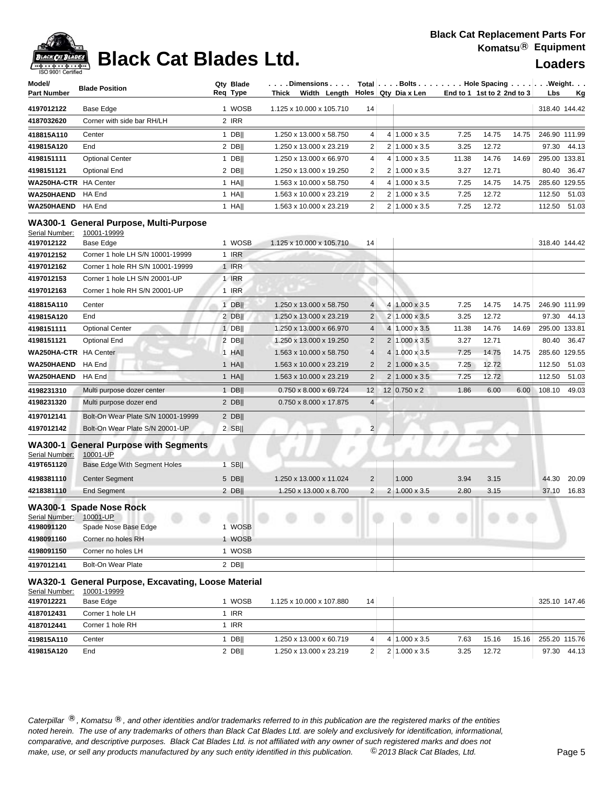

## **Black Cat Blades Ltd. Loaders Legation Cat Blades Ltd.**

| Model/<br><b>Part Number</b>          | <b>Blade Position</b>                                                                           | Qty Blade<br>Req Type | $\ldots$ . Dimensions. $\ldots$ .<br>Thick Width Length |                         | Total   Bolts   Hole Spacing   Weight.<br>Holes Qty Dia x Len<br>End to 1 1st to 2 2nd to 3 |                      |       |       |       |        | <u>Kg</u>     |
|---------------------------------------|-------------------------------------------------------------------------------------------------|-----------------------|---------------------------------------------------------|-------------------------|---------------------------------------------------------------------------------------------|----------------------|-------|-------|-------|--------|---------------|
| 4197012122                            | Base Edge                                                                                       | 1 WOSB                | 1.125 x 10.000 x 105.710                                | 14                      |                                                                                             |                      |       |       |       |        | 318.40 144.42 |
| 4187032620                            | Corner with side bar RH/LH                                                                      | 2 IRR                 |                                                         |                         |                                                                                             |                      |       |       |       |        |               |
| 418815A110                            | Center                                                                                          | 1 DB                  | 1.250 x 13.000 x 58.750                                 | 4                       |                                                                                             | $4 1.000 \times 3.5$ | 7.25  | 14.75 | 14.75 |        | 246.90 111.99 |
| 419815A120                            | End                                                                                             | $2$ DB                | 1.250 x 13.000 x 23.219                                 | 2                       |                                                                                             | 2 1.000 x 3.5        | 3.25  | 12.72 |       | 97.30  | 44.13         |
| 4198151111                            | <b>Optional Center</b>                                                                          | $1$ DB                | 1.250 x 13.000 x 66.970                                 | 4                       |                                                                                             | $4 1.000 \times 3.5$ | 11.38 | 14.76 | 14.69 |        | 295.00 133.81 |
| 4198151121                            | <b>Optional End</b>                                                                             | $2$ DB                | 1.250 x 13.000 x 19.250                                 | 2                       |                                                                                             | $2 1.000 \times 3.5$ | 3.27  | 12.71 |       | 80.40  | 36.47         |
| WA250HA-CTR HA Center                 |                                                                                                 | $1$ HA                | 1.563 x 10.000 x 58.750                                 | 4                       |                                                                                             | 4 1.000 x 3.5        | 7.25  | 14.75 | 14.75 |        | 285.60 129.55 |
| WA250HAEND                            | HA End                                                                                          | $1$ HA                | 1.563 x 10.000 x 23.219                                 | $\overline{c}$          |                                                                                             | $2 1.000 \times 3.5$ | 7.25  | 12.72 |       | 112.50 | 51.03         |
| <b>WA250HAEND</b>                     | HA End                                                                                          | 1 HA                  | 1.563 x 10.000 x 23.219                                 | $\overline{2}$          |                                                                                             | $2 1.000 \times 3.5$ | 7.25  | 12.72 |       | 112.50 | 51.03         |
| Serial Number:<br>4197012122          | WA300-1 General Purpose, Multi-Purpose<br>10001-19999<br>Base Edge                              | 1 WOSB                | 1.125 x 10.000 x 105.710                                | 14                      |                                                                                             |                      |       |       |       |        | 318.40 144.42 |
| 4197012152                            | Corner 1 hole LH S/N 10001-19999                                                                | 1 IRR                 |                                                         |                         |                                                                                             |                      |       |       |       |        |               |
| 4197012162                            | Corner 1 hole RH S/N 10001-19999                                                                | 1 IRR                 |                                                         |                         |                                                                                             |                      |       |       |       |        |               |
| 4197012153                            | Corner 1 hole LH S/N 20001-UP                                                                   | <b>1 IRR</b>          |                                                         |                         |                                                                                             |                      |       |       |       |        |               |
| 4197012163                            | Corner 1 hole RH S/N 20001-UP                                                                   | 1 IRR                 |                                                         |                         |                                                                                             |                      |       |       |       |        |               |
| 418815A110                            | Center                                                                                          | $1$ DB                | 1.250 x 13.000 x 58.750                                 | $\overline{4}$          |                                                                                             | $4 1.000 \times 3.5$ | 7.25  | 14.75 | 14.75 |        | 246.90 111.99 |
| 419815A120                            | End                                                                                             | $2$ DB                | 1.250 x 13.000 x 23.219                                 | $\overline{2}$          |                                                                                             | 2 1.000 x 3.5        | 3.25  | 12.72 |       | 97.30  | 44.13         |
| 4198151111                            | <b>Optional Center</b>                                                                          | $1$ DB                | 1.250 x 13.000 x 66.970                                 | 4                       |                                                                                             | 4 1.000 x 3.5        | 11.38 | 14.76 | 14.69 | 295.00 | 133.81        |
| 4198151121                            | <b>Optional End</b>                                                                             | $2$ DB                | 1.250 x 13.000 x 19.250                                 | $\overline{c}$          |                                                                                             | $2 1.000 \times 3.5$ | 3.27  | 12.71 |       | 80.40  | 36.47         |
| <b>WA250HA-CTR</b> HA Center          |                                                                                                 | $1$ HA                | 1.563 x 10.000 x 58.750                                 | $\overline{4}$          |                                                                                             | $4 1.000 \times 3.5$ | 7.25  | 14.75 | 14.75 | 285.60 | 129.55        |
| WA250HAEND                            | HA End                                                                                          | $1$ HA                | 1.563 x 10.000 x 23.219                                 | $\overline{\mathbf{c}}$ |                                                                                             | $2 1.000 \times 3.5$ | 7.25  | 12.72 |       | 112.50 | 51.03         |
| WA250HAEND                            | HA End                                                                                          | $1$ HA                | 1.563 x 10.000 x 23.219                                 | $\overline{2}$          |                                                                                             | $2 1.000 \times 3.5$ | 7.25  | 12.72 |       | 112.50 | 51.03         |
| 4198231310                            | Multi purpose dozer center                                                                      | $1$ DB                | 0.750 x 8.000 x 69.724                                  | 12                      |                                                                                             | $12 0.750 \times 2$  | 1.86  | 6.00  | 6.00  | 108.10 | 49.03         |
| 4198231320                            | Multi purpose dozer end                                                                         | $2$ DB                | 0.750 x 8.000 x 17.875                                  | 4                       |                                                                                             |                      |       |       |       |        |               |
| 4197012141                            | Bolt-On Wear Plate S/N 10001-19999                                                              | $2$ DB                |                                                         |                         |                                                                                             |                      |       |       |       |        |               |
| 4197012142                            | Bolt-On Wear Plate S/N 20001-UP                                                                 | $2$ SB                |                                                         | $\overline{a}$          |                                                                                             |                      |       |       |       |        |               |
| Serial Number:<br>419T651120          | <b>WA300-1 General Purpose with Segments</b><br>10001-UP<br><b>Base Edge With Segment Holes</b> | 1 SBII                |                                                         |                         |                                                                                             |                      |       |       |       |        |               |
| 4198381110                            | <b>Center Segment</b>                                                                           | $5$ DB                | 1.250 x 13.000 x 11.024                                 | $\overline{2}$          |                                                                                             | 1.000                | 3.94  | 3.15  |       | 44.30  | 20.09         |
| 4218381110                            | <b>End Segment</b>                                                                              | $2$ DB                | 1.250 x 13.000 x 8.700                                  | $\overline{2}$          |                                                                                             | $2 1.000 \times 3.5$ | 2.80  | 3.15  |       | 37.10  | 16.83         |
| Serial Number: 10001-UP<br>4198091120 | WA300-1 Spade Nose Rock<br>Spade Nose Base Edge                                                 | 1 WOSB                |                                                         |                         |                                                                                             |                      |       |       |       |        |               |
| 4198091160                            | Corner no holes RH                                                                              | 1 WOSB                |                                                         |                         |                                                                                             |                      |       |       |       |        |               |
| 4198091150                            | Corner no holes LH                                                                              | 1 WOSB                |                                                         |                         |                                                                                             |                      |       |       |       |        |               |
| 4197012141                            | Bolt-On Wear Plate                                                                              | $2$ DB                |                                                         |                         |                                                                                             |                      |       |       |       |        |               |
| Serial Number:                        | WA320-1 General Purpose, Excavating, Loose Material<br>10001-19999                              |                       |                                                         |                         |                                                                                             |                      |       |       |       |        |               |
| 4197012221                            | Base Edge                                                                                       | 1 WOSB                | 1.125 x 10.000 x 107.880                                | 14                      |                                                                                             |                      |       |       |       |        | 325.10 147.46 |
| 4187012431                            | Corner 1 hole LH                                                                                | 1 IRR                 |                                                         |                         |                                                                                             |                      |       |       |       |        |               |
| 4187012441                            | Corner 1 hole RH                                                                                | 1 IRR                 |                                                         |                         |                                                                                             |                      |       |       |       |        |               |
| 419815A110                            | Center                                                                                          | 1 DB                  | 1.250 x 13.000 x 60.719                                 | 4                       |                                                                                             | $4 1.000 \times 3.5$ | 7.63  | 15.16 | 15.16 |        | 255.20 115.76 |
| 419815A120                            | End                                                                                             | $2$ DB                | 1.250 x 13.000 x 23.219                                 | $\overline{2}$          |                                                                                             | 2 1.000 x 3.5        | 3.25  | 12.72 |       | 97.30  | 44.13         |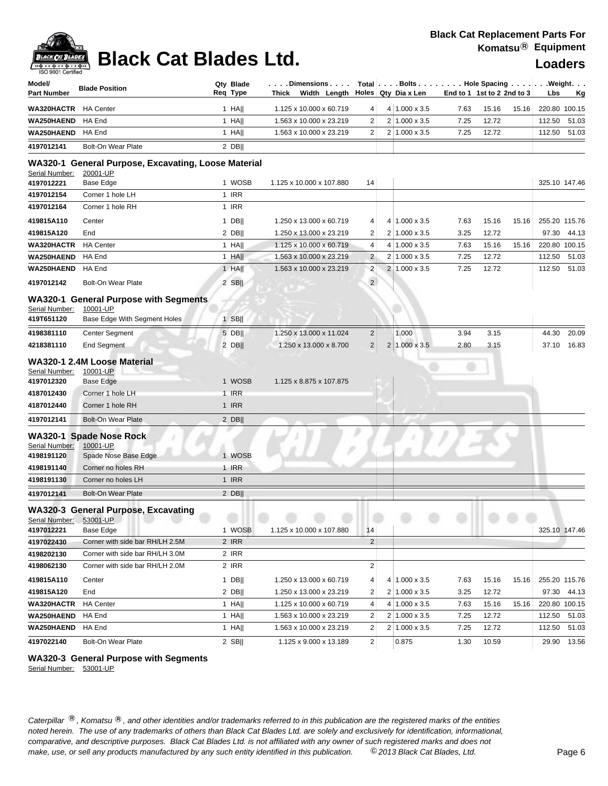## **Black Cat Blades Ltd. Loaders Loaders**

| Model/<br><b>Part Number</b> | <b>Blade Position</b>                                           | Qty Blade<br>Req Type | . Dimensions<br>Thick Width Length Holes Qty Dia x Len |                |                      |      | Total   Bolts   Hole Spacing   Weight.<br>End to 1 1st to 2 2nd to 3 | Lbs<br><u>Kg</u> |
|------------------------------|-----------------------------------------------------------------|-----------------------|--------------------------------------------------------|----------------|----------------------|------|----------------------------------------------------------------------|------------------|
| <b>WA320HACTR</b>            | <b>HA Center</b>                                                | $1$ HA                | 1.125 x 10.000 x 60.719                                | 4              | $4 1.000 \times 3.5$ | 7.63 | 15.16<br>15.16                                                       | 220.80 100.15    |
| WA250HAEND                   | HA End                                                          | $1$ HA                | 1.563 x 10.000 x 23.219                                | 2              | $2 1.000 \times 3.5$ | 7.25 | 12.72                                                                | 112.50<br>51.03  |
| <b>WA250HAEND</b>            | HA End                                                          | $1$ HA                | 1.563 x 10.000 x 23.219                                | 2              | 2 1.000 x 3.5        | 7.25 | 12.72                                                                | 112.50<br>51.03  |
| 4197012141                   | <b>Bolt-On Wear Plate</b>                                       | $2$ DB                |                                                        |                |                      |      |                                                                      |                  |
| Serial Number:               | WA320-1 General Purpose, Excavating, Loose Material<br>20001-UP |                       |                                                        |                |                      |      |                                                                      |                  |
| 4197012221                   | Base Edge                                                       | 1 WOSB                | 1.125 x 10.000 x 107.880                               | 14             |                      |      |                                                                      | 325.10 147.46    |
| 4197012154                   | Corner 1 hole LH                                                | 1 IRR                 |                                                        |                |                      |      |                                                                      |                  |
| 4197012164                   | Corner 1 hole RH                                                | 1 IRR                 |                                                        |                |                      |      |                                                                      |                  |
| 419815A110                   | Center                                                          | 1 DB                  | 1.250 x 13.000 x 60.719                                | 4              | 4 1.000 x 3.5        | 7.63 | 15.16<br>15.16                                                       | 255.20 115.76    |
| 419815A120                   | End                                                             | $2$ DB                | 1.250 x 13.000 x 23.219                                | 2              | $2 1.000 \times 3.5$ | 3.25 | 12.72                                                                | 97.30<br>44.13   |
| <b>WA320HACTR</b>            | <b>HA</b> Center                                                | $1$ HA                | 1.125 x 10.000 x 60.719                                | 4              | 4 1.000 x 3.5        | 7.63 | 15.16<br>15.16                                                       | 220.80 100.15    |
| <b>WA250HAEND</b>            | HA End                                                          | 1 HA                  | 1.563 x 10.000 x 23.219                                | $\overline{c}$ | $2 1.000 \times 3.5$ | 7.25 | 12.72                                                                | 112.50 51.03     |
| WA250HAEND                   | HA End                                                          | 1 HA                  | 1.563 x 10.000 x 23.219                                | $\overline{c}$ | 2 1.000 x 3.5        | 7.25 | 12.72                                                                | 112.50 51.03     |
| 4197012142                   | <b>Bolt-On Wear Plate</b>                                       | $2$ SB                |                                                        | $\overline{2}$ |                      |      |                                                                      |                  |
| Serial Number:               | <b>WA320-1 General Purpose with Segments</b><br>10001-UP        |                       |                                                        |                |                      |      |                                                                      |                  |
| 419T651120                   | Base Edge With Segment Holes                                    | $1$ SB                |                                                        |                |                      |      |                                                                      |                  |
| 4198381110                   | Center Segment                                                  | $5$ DB                | 1.250 x 13.000 x 11.024                                | $\overline{c}$ | 1.000                | 3.94 | 3.15                                                                 | 20.09<br>44.30   |
| 4218381110                   | <b>End Segment</b>                                              | $2$ DB                | 1.250 x 13.000 x 8.700                                 | $\overline{2}$ | $2 1.000 \times 3.5$ | 2.80 | 3.15                                                                 | 37.10 16.83      |
|                              | WA320-1 2.4M Loose Material                                     |                       |                                                        |                |                      |      |                                                                      |                  |
| Serial Number:               | 10001-UP                                                        |                       |                                                        |                |                      |      |                                                                      |                  |
| 4197012320                   | <b>Base Edge</b>                                                | 1 WOSB                | 1.125 x 8.875 x 107.875                                |                |                      |      |                                                                      |                  |
| 4187012430                   | Corner 1 hole LH                                                | 1 IRR                 |                                                        |                |                      |      |                                                                      |                  |
| 4187012440                   | Corner 1 hole RH                                                | 1 IRR                 |                                                        |                |                      |      |                                                                      |                  |
| 4197012141                   | <b>Bolt-On Wear Plate</b>                                       | $2$ DB                |                                                        |                |                      |      |                                                                      |                  |
| Serial Number:<br>4198191120 | WA320-1 Spade Nose Rock<br>10001-UP<br>Spade Nose Base Edge     | 1 WOSB                |                                                        |                |                      |      |                                                                      |                  |
| 4198191140                   | Corner no holes RH                                              | 1 IRR                 |                                                        |                |                      |      |                                                                      |                  |
| 4198191130                   | Corner no holes LH                                              | 1 IRR                 |                                                        |                |                      |      |                                                                      |                  |
| 4197012141                   | <b>Bolt-On Wear Plate</b>                                       | $2$ DB                |                                                        |                |                      |      |                                                                      |                  |
| Serial Number: 53001-UP      | WA320-3 General Purpose, Excavating                             |                       |                                                        |                |                      |      |                                                                      |                  |
| 4197012221                   | Base Edge                                                       | 1 WOSB                | 1.125 x 10.000 x 107.880                               | 14             |                      |      |                                                                      | 325.10 147.46    |
| 4197022430                   | Corner with side bar RH/LH 2.5M                                 | 2 IRR                 |                                                        | $\overline{2}$ |                      |      |                                                                      |                  |
| 4198202130                   | Corner with side bar RH/LH 3.0M                                 | 2 IRR                 |                                                        |                |                      |      |                                                                      |                  |
| 4198062130                   | Corner with side bar RH/LH 2.0M                                 | 2 IRR                 |                                                        | 2              |                      |      |                                                                      |                  |
| 419815A110                   | Center                                                          | 1 DB $  $             | 1.250 x 13.000 x 60.719                                | 4              | $4 1.000 \times 3.5$ | 7.63 | 15.16<br>15.16                                                       | 255.20 115.76    |
| 419815A120                   | End                                                             | $2$ DB                | 1.250 x 13.000 x 23.219                                | 2              | $2 1.000 \times 3.5$ | 3.25 | 12.72                                                                | 97.30 44.13      |
| WA320HACTR                   | <b>HA Center</b>                                                | 1 HA                  | 1.125 x 10.000 x 60.719                                | 4              | $4 1.000 \times 3.5$ | 7.63 | 15.16<br>15.16                                                       | 220.80 100.15    |
| WA250HAEND                   | HA End                                                          | 1 HA                  | 1.563 x 10.000 x 23.219                                | 2              | $2 1.000 \times 3.5$ | 7.25 | 12.72                                                                | 112.50 51.03     |
| WA250HAEND                   | HA End                                                          | 1 HA                  | 1.563 x 10.000 x 23.219                                | 2              | $2 1.000 \times 3.5$ | 7.25 | 12.72                                                                | 112.50<br>51.03  |
| 4197022140                   | Bolt-On Wear Plate                                              | $2$ SB                | 1.125 x 9.000 x 13.189                                 | $\overline{2}$ | 0.875                | 1.30 | 10.59                                                                | 29.90 13.56      |

### **WA320-3 General Purpose with Segments**

Serial Number: 53001-UP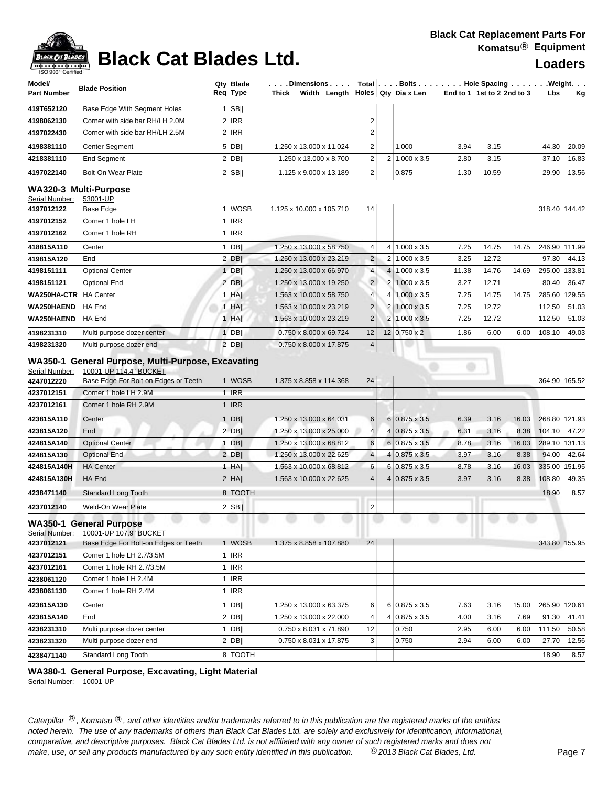

## **Black Cat Blades Ltd. Loaders Loaders**

| Model/<br><b>Part Number</b> | <b>Blade Position</b>                                                                                                | Qty Blade<br>Req Type | Dimensions   Total   Bolts    Hole Spacing    Weight<br>Thick Width Length Holes Qty Diax Len |                |                |                      |       | End to 1 1st to 2 2nd to 3 | Lbs    | Kg            |
|------------------------------|----------------------------------------------------------------------------------------------------------------------|-----------------------|-----------------------------------------------------------------------------------------------|----------------|----------------|----------------------|-------|----------------------------|--------|---------------|
| 419T652120                   | Base Edge With Segment Holes                                                                                         | $1$ SB                |                                                                                               |                |                |                      |       |                            |        |               |
| 4198062130                   | Corner with side bar RH/LH 2.0M                                                                                      | 2 IRR                 |                                                                                               | $\overline{2}$ |                |                      |       |                            |        |               |
| 4197022430                   | Corner with side bar RH/LH 2.5M                                                                                      | 2 IRR                 |                                                                                               | 2              |                |                      |       |                            |        |               |
| 4198381110                   | Center Segment                                                                                                       | 5 DB                  | 1.250 x 13.000 x 11.024                                                                       | 2              |                | 1.000                | 3.94  | 3.15                       | 44.30  | 20.09         |
| 4218381110                   | <b>End Segment</b>                                                                                                   | $2$ DB                | 1.250 x 13.000 x 8.700                                                                        | $\overline{c}$ | 2 <sub>1</sub> | $1.000 \times 3.5$   | 2.80  | 3.15                       | 37.10  | 16.83         |
| 4197022140                   | <b>Bolt-On Wear Plate</b>                                                                                            | $2$ SB                | 1.125 x 9.000 x 13.189                                                                        | 2              |                | 0.875                | 1.30  | 10.59                      |        | 29.90 13.56   |
|                              | WA320-3 Multi-Purpose                                                                                                |                       |                                                                                               |                |                |                      |       |                            |        |               |
| Serial Number:               | 53001-UP                                                                                                             |                       |                                                                                               |                |                |                      |       |                            |        |               |
| 4197012122                   | <b>Base Edge</b>                                                                                                     | 1 WOSB                | 1.125 x 10.000 x 105.710                                                                      | 14             |                |                      |       |                            |        | 318.40 144.42 |
| 4197012152                   | Corner 1 hole LH                                                                                                     | 1 IRR                 |                                                                                               |                |                |                      |       |                            |        |               |
| 4197012162                   | Corner 1 hole RH                                                                                                     | 1 IRR                 |                                                                                               |                |                |                      |       |                            |        |               |
| 418815A110                   | Center                                                                                                               | $1$ DB                | 1.250 x 13.000 x 58.750                                                                       | 4              |                | $4 1.000 \times 3.5$ | 7.25  | 14.75<br>14.75             |        | 246.90 111.99 |
| 419815A120                   | End                                                                                                                  | 2 DB                  | 1.250 x 13.000 x 23.219                                                                       | $\overline{2}$ |                | $2 1.000 \times 3.5$ | 3.25  | 12.72                      | 97.30  | 44.13         |
| 4198151111                   | <b>Optional Center</b>                                                                                               | $1$ DB                | 1.250 x 13.000 x 66.970                                                                       | 4              |                | 4 1.000 x 3.5        | 11.38 | 14.76<br>14.69             |        | 295.00 133.81 |
| 4198151121                   | Optional End                                                                                                         | 2 DBII                | 1.250 x 13.000 x 19.250                                                                       | $\overline{2}$ |                | $2 1.000 \times 3.5$ | 3.27  | 12.71                      | 80.40  | 36.47         |
| WA250HA-CTR HA Center        |                                                                                                                      | $1$ HA                | 1.563 x 10.000 x 58.750                                                                       | $\overline{4}$ | 4              | $1.000 \times 3.5$   | 7.25  | 14.75<br>14.75             |        | 285.60 129.55 |
| WA250HAEND                   | HA End                                                                                                               | $1$ HA                | 1.563 x 10.000 x 23.219                                                                       | 2              |                | 2 1.000 x 3.5        | 7.25  | 12.72                      | 112.50 | 51.03         |
| WA250HAEND                   | HA End                                                                                                               | $1$ HA                | 1.563 x 10.000 x 23.219                                                                       | 2              |                | 2 1.000 x 3.5        | 7.25  | 12.72                      | 112.50 | 51.03         |
| 4198231310                   | Multi purpose dozer center                                                                                           | $1$ DB                | 0.750 x 8.000 x 69.724                                                                        | 12             |                | 12 0.750 x 2         | 1.86  | 6.00<br>6.00               | 108.10 | 49.03         |
| 4198231320                   | Multi purpose dozer end                                                                                              | $2$ DB                | 0.750 x 8.000 x 17.875                                                                        | $\overline{4}$ |                |                      |       |                            |        |               |
| Serial Number:<br>4247012220 | WA350-1 General Purpose, Multi-Purpose, Excavating<br>10001-UP 114.4" BUCKET<br>Base Edge For Bolt-on Edges or Teeth | 1 WOSB                | 1.375 x 8.858 x 114.368                                                                       | 24             |                |                      |       |                            |        | 364.90 165.52 |
| 4237012151                   | Corner 1 hole LH 2.9M                                                                                                | $1$ IRR               |                                                                                               |                |                |                      |       |                            |        |               |
| 4237012161                   | Corner 1 hole RH 2.9M                                                                                                | 1 IRR                 |                                                                                               |                |                |                      |       |                            |        |               |
| 423815A110                   | Center                                                                                                               | $1$ DB                | 1.250 x 13.000 x 64.031                                                                       | 6              |                | 6 0.875 x 3.5        | 6.39  | 3.16<br>16.03              |        | 268.80 121.93 |
| 423815A120                   | End                                                                                                                  | $2$ DB                | 1.250 x 13.000 x 25.000                                                                       | $\overline{4}$ | 4              | $0.875 \times 3.5$   | 6.31  | 3.16<br>8.38               | 104.10 | 47.22         |
| 424815A140                   | <b>Optional Center</b>                                                                                               | $1$ DB                | 1.250 x 13.000 x 68.812                                                                       | 6              |                | $6 0.875 \times 3.5$ | 8.78  | 3.16<br>16.03              |        | 289.10 131.13 |
| 424815A130                   | <b>Optional End</b>                                                                                                  | $2$ DB                | 1.250 x 13.000 x 22.625                                                                       | $\overline{4}$ | 4              | $0.875 \times 3.5$   | 3.97  | 3.16<br>8.38               | 94.00  | 42.64         |
| 424815A140H                  | <b>HA Center</b>                                                                                                     | $1$ HA                | 1.563 x 10.000 x 68.812                                                                       | 6              |                | $6 0.875 \times 3.5$ | 8.78  | 3.16<br>16.03              |        | 335.00 151.95 |
| 424815A130H                  | HA End                                                                                                               | $2$ HA                | 1.563 x 10.000 x 22.625                                                                       | $\overline{4}$ |                | $4 0.875 \times 3.5$ | 3.97  | 3.16<br>8.38               | 108.80 | 49.35         |
| 4238471140                   | <b>Standard Long Tooth</b>                                                                                           | 8 TOOTH               |                                                                                               |                |                |                      |       |                            | 18.90  | 8.57          |
| 4237012140                   | Weld-On Wear Plate                                                                                                   | $2$ SB                |                                                                                               | $\overline{c}$ |                |                      |       |                            |        |               |
| Serial Number:               | <b>WA350-1 General Purpose</b><br>10001-UP 107.9" BUCKET                                                             |                       |                                                                                               |                |                |                      |       |                            |        |               |
| 4237012121                   | Base Edge For Bolt-on Edges or Teeth                                                                                 | 1 WOSB                | 1.375 x 8.858 x 107.880                                                                       | 24             |                |                      |       |                            |        | 343.80 155.95 |
| 4237012151                   | Corner 1 hole LH 2.7/3.5M                                                                                            | $1$ IRR               |                                                                                               |                |                |                      |       |                            |        |               |
| 4237012161                   | Corner 1 hole RH 2.7/3.5M                                                                                            | 1 IRR                 |                                                                                               |                |                |                      |       |                            |        |               |
| 4238061120                   | Corner 1 hole LH 2.4M                                                                                                | 1 IRR                 |                                                                                               |                |                |                      |       |                            |        |               |
| 4238061130                   | Corner 1 hole RH 2.4M                                                                                                | 1 IRR                 |                                                                                               |                |                |                      |       |                            |        |               |
| 423815A130                   | Center                                                                                                               | 1 DB                  | 1.250 x 13.000 x 63.375                                                                       | 6              |                | $6 0.875 \times 3.5$ | 7.63  | 15.00<br>3.16              |        | 265.90 120.61 |
| 423815A140                   | End                                                                                                                  | $2$ DB                | 1.250 x 13.000 x 22.000                                                                       | 4              |                | 4 0.875 x 3.5        | 4.00  | 3.16<br>7.69               | 91.30  | 41.41         |
| 4238231310                   | Multi purpose dozer center                                                                                           | 1 DB                  | 0.750 x 8.031 x 71.890                                                                        | 12             |                | 0.750                | 2.95  | 6.00<br>6.00               | 111.50 | 50.58         |
| 4238231320                   | Multi purpose dozer end                                                                                              | $2$ DB                | 0.750 x 8.031 x 17.875                                                                        | 3              |                | 0.750                | 2.94  | 6.00<br>6.00               | 27.70  | 12.56         |
| 4238471140                   | Standard Long Tooth                                                                                                  | 8 TOOTH               |                                                                                               |                |                |                      |       |                            | 18.90  | 8.57          |

### **WA380-1 General Purpose, Excavating, Light Material**

Serial Number: 10001-UP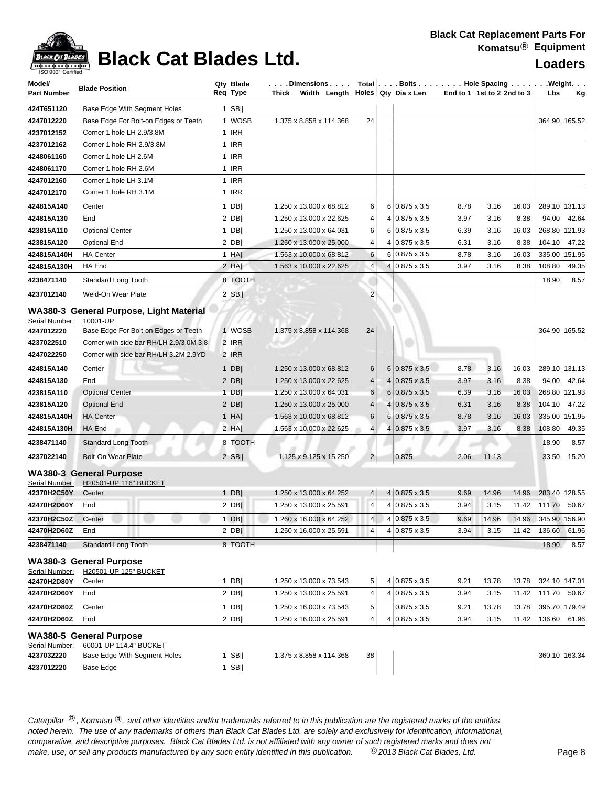

## **Black Cat Blades Ltd. Loaders Loaders**

| Model/<br><b>Part Number</b>                             | <b>Blade Position</b>                                                                                                                                                           | Qty Blade<br>Req Type    | $\ldots$ . Dimensions $\ldots$ Total $ \ldots$ Bolts $\ldots$ . $\ldots$ Hole Spacing $\ldots$ . $ \ldots$ . Weight. $\ldots$<br>Thick Width Length $\vert$ Holes Qty Dia x Len |                |                      |      | End to 1 1st to 2 2nd to 3 | Lbs<br><u>Kg</u> |
|----------------------------------------------------------|---------------------------------------------------------------------------------------------------------------------------------------------------------------------------------|--------------------------|---------------------------------------------------------------------------------------------------------------------------------------------------------------------------------|----------------|----------------------|------|----------------------------|------------------|
| 424T651120                                               | Base Edge With Segment Holes                                                                                                                                                    | 1 SB                     |                                                                                                                                                                                 |                |                      |      |                            |                  |
| 4247012220                                               | Base Edge For Bolt-on Edges or Teeth                                                                                                                                            | 1 WOSB                   | 1.375 x 8.858 x 114.368                                                                                                                                                         | 24             |                      |      |                            | 364.90 165.52    |
| 4237012152                                               | Corner 1 hole LH 2.9/3.8M                                                                                                                                                       | 1 IRR                    |                                                                                                                                                                                 |                |                      |      |                            |                  |
| 4237012162                                               | Corner 1 hole RH 2.9/3.8M                                                                                                                                                       | 1 IRR                    |                                                                                                                                                                                 |                |                      |      |                            |                  |
| 4248061160                                               | Corner 1 hole LH 2.6M                                                                                                                                                           | 1 IRR                    |                                                                                                                                                                                 |                |                      |      |                            |                  |
| 4248061170                                               | Corner 1 hole RH 2.6M                                                                                                                                                           | 1 IRR                    |                                                                                                                                                                                 |                |                      |      |                            |                  |
| 4247012160                                               | Corner 1 hole LH 3.1M                                                                                                                                                           | 1 IRR                    |                                                                                                                                                                                 |                |                      |      |                            |                  |
| 4247012170                                               | Corner 1 hole RH 3.1M                                                                                                                                                           | 1 IRR                    |                                                                                                                                                                                 |                |                      |      |                            |                  |
| 424815A140                                               | Center                                                                                                                                                                          | 1 DB                     | 1.250 x 13.000 x 68.812                                                                                                                                                         | 6              | $6 0.875 \times 3.5$ | 8.78 | 3.16<br>16.03              | 289.10 131.13    |
| 424815A130                                               | End                                                                                                                                                                             | $2$ DB                   | 1.250 x 13.000 x 22.625                                                                                                                                                         | 4              | 4 0.875 x 3.5        | 3.97 | 3.16<br>8.38               | 94.00<br>42.64   |
| 423815A110                                               | <b>Optional Center</b>                                                                                                                                                          | $1$ DB                   | 1.250 x 13.000 x 64.031                                                                                                                                                         | 6              | $6 0.875 \times 3.5$ | 6.39 | 16.03<br>3.16              | 268.80 121.93    |
| 423815A120                                               | <b>Optional End</b>                                                                                                                                                             | $2$ DB                   | 1.250 x 13.000 x 25.000                                                                                                                                                         | 4              | $4 0.875 \times 3.5$ | 6.31 | 3.16<br>8.38               | 47.22<br>104.10  |
| 424815A140H                                              | <b>HA Center</b>                                                                                                                                                                | $1$ HA                   | 1.563 x 10.000 x 68.812                                                                                                                                                         | 6              | 6 0.875 x 3.5        | 8.78 | 3.16<br>16.03              | 335.00 151.95    |
| 424815A130H                                              | HA End                                                                                                                                                                          | $2$ HA                   | 1.563 x 10.000 x 22.625                                                                                                                                                         | $\overline{4}$ | 4 0.875 x 3.5        | 3.97 | 3.16<br>8.38               | 108.80<br>49.35  |
| 4238471140                                               | <b>Standard Long Tooth</b>                                                                                                                                                      | 8 TOOTH                  |                                                                                                                                                                                 |                |                      |      |                            | 18.90<br>8.57    |
| 4237012140                                               | Weld-On Wear Plate                                                                                                                                                              | $2$ SB                   |                                                                                                                                                                                 | $\overline{c}$ |                      |      |                            |                  |
| Serial Number:<br>4247012220<br>4237022510<br>4247022250 | WA380-3 General Purpose, Light Material<br>10001-UP<br>Base Edge For Bolt-on Edges or Teeth<br>Corner with side bar RH/LH 2.9/3.0M 3.8<br>Corner with side bar RH/LH 3.2M 2.9YD | 1 WOSB<br>2 IRR<br>2 IRR | 1.375 x 8.858 x 114.368                                                                                                                                                         | 24             |                      |      |                            | 364.90 165.52    |
| 424815A140                                               | Center                                                                                                                                                                          | 1 $DB$                   | 1.250 x 13.000 x 68.812                                                                                                                                                         | 6              | $6 0.875 \times 3.5$ | 8.78 | 3.16<br>16.03              | 289.10 131.13    |
| 424815A130                                               | End                                                                                                                                                                             | $2$ DB                   | 1.250 x 13.000 x 22.625                                                                                                                                                         | $\overline{4}$ | $4 0.875 \times 3.5$ | 3.97 | 8.38<br>3.16               | 94.00<br>42.64   |
| 423815A110                                               | <b>Optional Center</b>                                                                                                                                                          | $1$ DB                   | 1.250 x 13.000 x 64.031                                                                                                                                                         | 6              | $6 0.875 \times 3.5$ | 6.39 | 3.16<br>16.03              | 268.80 121.93    |
| 423815A120                                               | <b>Optional End</b>                                                                                                                                                             | $2$ DB                   | 1.250 x 13.000 x 25.000                                                                                                                                                         | $\overline{4}$ | $4 0.875 \times 3.5$ | 6.31 | 3.16<br>8.38               | 47.22<br>104.10  |
| 424815A140H                                              | <b>HA Center</b>                                                                                                                                                                | 1 HA                     | 1.563 x 10.000 x 68.812                                                                                                                                                         | 6              | $6 0.875 \times 3.5$ | 8.78 | 3.16<br>16.03              | 335.00 151.95    |
| 424815A130H                                              | HA End                                                                                                                                                                          | 2 HA                     | 1.563 x 10.000 x 22.625                                                                                                                                                         | 4              | $4 0.875 \times 3.5$ | 3.97 | 3.16<br>8.38               | 49.35<br>108.80  |
| 4238471140                                               | <b>Standard Long Tooth</b>                                                                                                                                                      | 8 TOOTH                  |                                                                                                                                                                                 |                |                      |      |                            | 18.90<br>8.57    |
| 4237022140                                               | <b>Bolt-On Wear Plate</b>                                                                                                                                                       | $2$ SB                   | 1.125 x 9.125 x 15.250                                                                                                                                                          | 2 <sub>1</sub> | 0.875                | 2.06 | 11.13                      | 15.20<br>33.50   |
| Serial Number:<br>42370H2C50Y                            | <b>WA380-3 General Purpose</b><br>H20501-UP 116" BUCKET<br>Center                                                                                                               | 1 DB                     | 1.250 x 13.000 x 64.252                                                                                                                                                         | 4 <sup>1</sup> | $4 0.875 \times 3.5$ | 9.69 | 14.96<br>14.96             | 283.40 128.55    |
| 42470H2D60Y                                              | End                                                                                                                                                                             | $2$ DB                   | 1.250 x 13.000 x 25.591                                                                                                                                                         | $\overline{4}$ | $4 0.875 \times 3.5$ | 3.94 | 3.15<br>11.42              | 111.70 50.67     |
| 42370H2C50Z                                              |                                                                                                                                                                                 |                          | 1.260 x 16.000 x 64.252                                                                                                                                                         | $\overline{4}$ | 4 0.875 x 3.5        | 9.69 | 14.96                      | 345.90 156.90    |
| 42470H2D60Z                                              | Center<br>End                                                                                                                                                                   | $1$ DB  <br>$2$ DB       | 1.250 x 16.000 x 25.591                                                                                                                                                         | $\overline{4}$ | 4 0.875 x 3.5        | 3.94 | 14.96<br>3.15<br>11.42     | 61.96<br>136.60  |
| 4238471140                                               | Standard Long Tooth                                                                                                                                                             | 8 TOOTH                  |                                                                                                                                                                                 |                |                      |      |                            | 8.57<br>18.90    |
| Serial Number:<br>42470H2D80Y                            | <b>WA380-3 General Purpose</b><br>H20501-UP 125" BUCKET<br>Center                                                                                                               | $1$ DB                   | 1.250 x 13.000 x 73.543                                                                                                                                                         | 5              | 4 0.875 x 3.5        | 9.21 | 13.78<br>13.78             | 324.10 147.01    |
| 42470H2D60Y                                              | End                                                                                                                                                                             | $2$ DB                   | 1.250 x 13.000 x 25.591                                                                                                                                                         | 4              | 4 0.875 x 3.5        | 3.94 | 3.15<br>11.42              | 111.70<br>50.67  |
| 42470H2D80Z                                              | Center                                                                                                                                                                          | $1$ DB                   | 1.250 x 16.000 x 73.543                                                                                                                                                         | 5              | $0.875 \times 3.5$   | 9.21 | 13.78<br>13.78             | 395.70 179.49    |
| 42470H2D60Z                                              | End                                                                                                                                                                             | $2$ DB                   | 1.250 x 16.000 x 25.591                                                                                                                                                         | $\overline{4}$ | $4 0.875 \times 3.5$ | 3.94 | 3.15<br>11.42              | 61.96<br>136.60  |
|                                                          |                                                                                                                                                                                 |                          |                                                                                                                                                                                 |                |                      |      |                            |                  |
| Serial Number:<br>4237032220<br>4237012220               | <b>WA380-5 General Purpose</b><br>60001-UP 114.4" BUCKET<br>Base Edge With Segment Holes<br>Base Edge                                                                           | $1$ SB  <br>$1$ SB       | 1.375 x 8.858 x 114.368                                                                                                                                                         | 38             |                      |      |                            | 360.10 163.34    |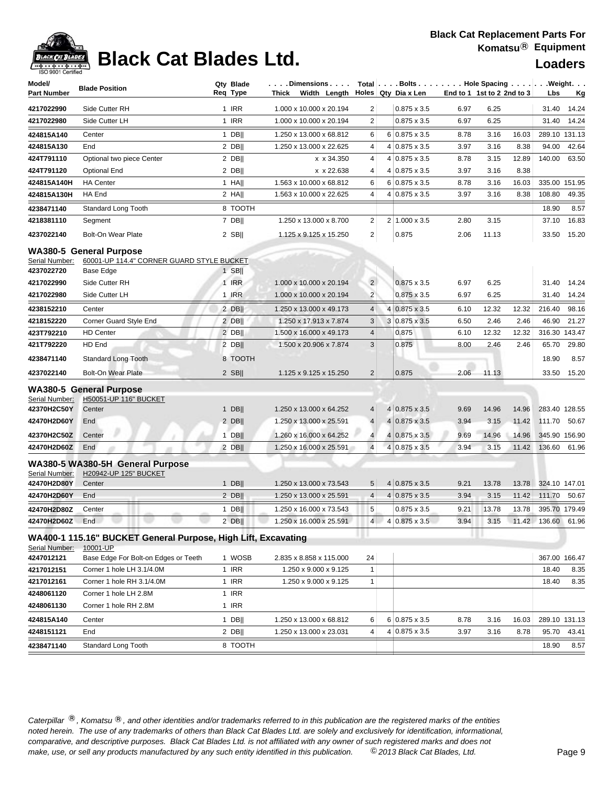### **Black Cat Replacement Parts For Komatsu**® **Equipment**



## **Black Cat Blades Ltd. Loaders Legation Cat Blades Ltd.**

| Model/             | <b>Blade Position</b>                                         | Qty Blade    |         | $\ldots$ . Dimensions $\ldots$ |                         | Total   Bolts   Hole Spacing   Weight. |                            |       |       |                    |               |
|--------------------|---------------------------------------------------------------|--------------|---------|--------------------------------|-------------------------|----------------------------------------|----------------------------|-------|-------|--------------------|---------------|
| <b>Part Number</b> |                                                               | Req Type     |         | Thick Width Length             |                         | Holes Qty Dia x Len                    | End to 1 1st to 2 2nd to 3 |       |       | Lbs                | <u>Kg</u>     |
| 4217022990         | Side Cutter RH                                                | 1 IRR        |         | 1.000 x 10.000 x 20.194        | $\overline{2}$          | $0.875 \times 3.5$                     | 6.97                       | 6.25  |       | 31.40              | 14.24         |
| 4217022980         | Side Cutter LH                                                | 1 IRR        |         | 1.000 x 10.000 x 20.194        | $\overline{2}$          | $0.875 \times 3.5$                     | 6.97                       | 6.25  |       | 31.40              | 14.24         |
| 424815A140         | Center                                                        | 1 DB         |         | 1.250 x 13.000 x 68.812        | 6                       | 6 0.875 x 3.5                          | 8.78                       | 3.16  | 16.03 |                    | 289.10 131.13 |
| 424815A130         | End                                                           | $2$ DB       |         | 1.250 x 13.000 x 22.625        | 4                       | 4 0.875 x 3.5                          | 3.97                       | 3.16  | 8.38  | 94.00              | 42.64         |
| 424T791110         | Optional two piece Center                                     | $2$ DB       |         | x x 34.350                     | 4                       | 4 0.875 x 3.5                          | 8.78                       | 3.15  | 12.89 | 140.00             | 63.50         |
| 424T791120         | <b>Optional End</b>                                           | $2$ DB       |         | x x 22.638                     | 4                       | 4 0.875 x 3.5                          | 3.97                       | 3.16  | 8.38  |                    |               |
| 424815A140H        | <b>HA Center</b>                                              | $1$ HA       |         | 1.563 x 10.000 x 68.812        | 6                       | $6 0.875 \times 3.5$                   | 8.78                       | 3.16  | 16.03 |                    | 335.00 151.95 |
| 424815A130H        | HA End                                                        | 2 HAII       |         | 1.563 x 10.000 x 22.625        | 4                       | $4 0.875 \times 3.5$                   | 3.97                       | 3.16  | 8.38  | 108.80             | 49.35         |
| 4238471140         | Standard Long Tooth                                           |              | 8 TOOTH |                                |                         |                                        |                            |       |       | 18.90              | 8.57          |
| 4218381110         | Segment                                                       | 7 DB         |         | 1.250 x 13.000 x 8.700         | 2                       | 2 1.000 x 3.5                          | 2.80                       | 3.15  |       | 37.10              | 16.83         |
| 4237022140         | Bolt-On Wear Plate                                            | $2$ SB       |         | 1.125 x 9.125 x 15.250         | $\overline{2}$          | 0.875                                  | 2.06                       | 11.13 |       | 33.50              | 15.20         |
|                    | <b>WA380-5 General Purpose</b>                                |              |         |                                |                         |                                        |                            |       |       |                    |               |
| Serial Number:     | 60001-UP 114.4" CORNER GUARD STYLE BUCKET                     |              |         |                                |                         |                                        |                            |       |       |                    |               |
| 4237022720         | Base Edge                                                     | $1$ SB       |         |                                |                         |                                        |                            |       |       |                    |               |
| 4217022990         | Side Cutter RH                                                | <b>1 IRR</b> |         | 1.000 x 10.000 x 20.194        | $\overline{2}$          | $0.875 \times 3.5$                     | 6.97                       | 6.25  |       | 31.40              | 14.24         |
| 4217022980         | Side Cutter LH                                                | 1 IRR        |         | 1.000 x 10.000 x 20.194        | $\overline{2}$          | $0.875 \times 3.5$                     | 6.97                       | 6.25  |       | 31.40              | 14.24         |
| 4238152210         | Center                                                        | $2$ DB       |         | 1.250 x 13.000 x 49.173        | $\overline{4}$          | 4 0.875 x 3.5                          | 6.10                       | 12.32 | 12.32 | 216.40             | 98.16         |
| 4218152220         | Corner Guard Style End                                        | 2 DBII       |         | 1.250 x 17.913 x 7.874         | 3                       | $3 0.875 \times 3.5$                   | 6.50                       | 2.46  | 2.46  | 46.90              | 21.27         |
| 423T792210         | <b>HD Center</b>                                              | 2 DB         |         | 1.500 x 16.000 x 49.173        | $\overline{4}$          | 0.875                                  | 6.10                       | 12.32 | 12.32 |                    | 316.30 143.47 |
| 421T792220         | HD End                                                        | $2$ DB       |         | 1.500 x 20.906 x 7.874         | 3                       | 0.875                                  | 8.00                       | 2.46  | 2.46  | 65.70              | 29.80         |
| 4238471140         | <b>Standard Long Tooth</b>                                    |              | 8 TOOTH |                                |                         |                                        |                            |       |       | 18.90              | 8.57          |
| 4237022140         | <b>Bolt-On Wear Plate</b>                                     | $2$ SB       |         | 1.125 x 9.125 x 15.250         | $\overline{c}$          | 0.875                                  | 2.06                       | 11.13 |       | 33.50              | 15.20         |
|                    | <b>WA380-5 General Purpose</b>                                |              |         |                                |                         |                                        |                            |       |       |                    |               |
| Serial Number:     | <b>H50051-UP 116" BUCKET</b>                                  |              |         |                                |                         |                                        |                            |       |       |                    |               |
| 42370H2C50Y        | Center                                                        | $1$ DB       |         | 1.250 x 13.000 x 64.252        | 4                       | 4 0.875 x 3.5                          | 9.69                       | 14.96 | 14.96 | 283.40 128.55      |               |
| 42470H2D60Y        | End                                                           | $2$ DB       |         | 1.250 x 13.000 x 25.591        | $\overline{4}$          | $4 0.875 \times 3.5$                   | 3.94                       | 3.15  | 11.42 | 111.70             | 50.67         |
| 42370H2C50Z        | Center                                                        | $1$ DB       |         | 1.260 x 16.000 x 64.252        | $\overline{\mathbf{4}}$ | 4 0.875 x 3.5                          | 9.69                       | 14.96 | 14.96 |                    | 345.90 156.90 |
| 42470H2D60Z        | End                                                           | $2$ DB       |         | 1.250 x 16.000 x 25.591        | $\overline{4}$          | $4 0.875 \times 3.5$                   | 3.94                       | 3.15  | 11.42 | 136.60             | 61.96         |
|                    | WA380-5 WA380-5H General Purpose                              |              |         |                                |                         |                                        |                            |       |       |                    |               |
| Serial Number:     | H20942-UP 125" BUCKET                                         |              |         |                                |                         |                                        |                            |       |       |                    |               |
| 42470H2D80Y        | Center                                                        | $1$ DB       |         | 1.250 x 13.000 x 73.543        | 5 <sup>5</sup>          | $4 0.875 \times 3.5$                   | 9.21                       | 13.78 | 13.78 | 324.10 147.01      |               |
| 42470H2D60Y        | End                                                           | $2$ DB       |         | 1.250 x 13.000 x 25.591        | 4 <sup>1</sup>          | $4 0.875 \times 3.5$                   | 3.94                       | 3.15  | 11.42 | 111.70             | 50.67         |
| 42470H2D80Z        | Center                                                        | $1$ DB       |         | 1.250 x 16.000 x 73.543        | 5                       | $0.875 \times 3.5$                     | 9.21                       | 13.78 | 13.78 |                    | 395.70 179.49 |
| 42470H2D60Z End    | w                                                             | 2 DB         |         | 1.250 x 16.000 x 25.591        | 4                       | $4 0.875 \times 3.5$                   | 3.94                       | 3.15  |       | 11.42 136.60 61.96 |               |
|                    | WA400-1 115.16" BUCKET General Purpose, High Lift, Excavating |              |         |                                |                         |                                        |                            |       |       |                    |               |
| Serial Number:     | 10001-UP                                                      |              |         |                                |                         |                                        |                            |       |       |                    |               |
| 4247012121         | Base Edge For Bolt-on Edges or Teeth                          |              | 1 WOSB  | 2.835 x 8.858 x 115.000        | 24                      |                                        |                            |       |       |                    | 367.00 166.47 |
| 4217012151         | Corner 1 hole LH 3.1/4.0M                                     | 1 IRR        |         | 1.250 x 9.000 x 9.125          | 1                       |                                        |                            |       |       | 18.40              | 8.35          |
| 4217012161         | Corner 1 hole RH 3.1/4.0M                                     | 1 IRR        |         | 1.250 x 9.000 x 9.125          | $\mathbf{1}$            |                                        |                            |       |       | 18.40              | 8.35          |
| 4248061120         | Corner 1 hole LH 2.8M                                         | 1 IRR        |         |                                |                         |                                        |                            |       |       |                    |               |
| 4248061130         | Corner 1 hole RH 2.8M                                         | 1 IRR        |         |                                |                         |                                        |                            |       |       |                    |               |
| 424815A140         | Center                                                        | 1 DB         |         | 1.250 x 13.000 x 68.812        | 6                       | $6 0.875 \times 3.5$                   | 8.78                       | 3.16  | 16.03 |                    | 289.10 131.13 |
| 4248151121         | End                                                           | $2$ DB       |         | 1.250 x 13.000 x 23.031        | 4                       | $4 0.875 \times 3.5$                   | 3.97                       | 3.16  | 8.78  |                    | 95.70 43.41   |

**4238471140** Standard Long Tooth 8 TOOTH 8 1990 8 1990 8 1991 8 1991 8 18.90 8.57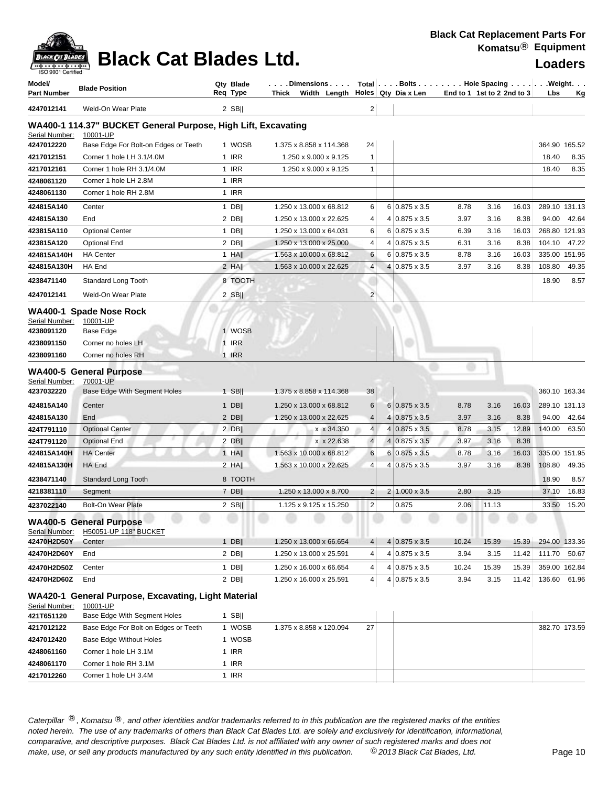## **Black Cat Blades Ltd. Loaders Legation Cat Blades Ltd.**

| Model/<br>Part Number         | <b>Blade Position</b>                                           | Qty Blade<br>Req Type | . Dimensions<br>Thick Width Length                 |                | Total Bolts Hole Spacing Weight.<br>Holes Qty Dia x Len | End to 1 1st to 2 2nd to 3 |               |                | Lbs                     | Κg           |
|-------------------------------|-----------------------------------------------------------------|-----------------------|----------------------------------------------------|----------------|---------------------------------------------------------|----------------------------|---------------|----------------|-------------------------|--------------|
| 4247012141                    | Weld-On Wear Plate                                              | $2$ SB                |                                                    | 2              |                                                         |                            |               |                |                         |              |
|                               | WA400-1 114.37" BUCKET General Purpose, High Lift, Excavating   |                       |                                                    |                |                                                         |                            |               |                |                         |              |
| Serial Number:                | 10001-UP                                                        |                       |                                                    |                |                                                         |                            |               |                |                         |              |
| 4247012220                    | Base Edge For Bolt-on Edges or Teeth                            | 1 WOSB                | 1.375 x 8.858 x 114.368                            | 24             |                                                         |                            |               |                | 364.90 165.52           |              |
| 4217012151                    | Corner 1 hole LH 3.1/4.0M                                       | 1 IRR                 | 1.250 x 9.000 x 9.125                              | 1              |                                                         |                            |               |                | 18.40                   | 8.35         |
| 4217012161                    | Corner 1 hole RH 3.1/4.0M                                       | 1 IRR                 | 1.250 x 9.000 x 9.125                              | 1              |                                                         |                            |               |                | 18.40                   | 8.35         |
| 4248061120                    | Corner 1 hole LH 2.8M                                           | 1 IRR                 |                                                    |                |                                                         |                            |               |                |                         |              |
| 4248061130                    | Corner 1 hole RH 2.8M                                           | 1 IRR                 |                                                    |                |                                                         |                            |               |                |                         |              |
| 424815A140                    | Center                                                          | $1$ DB                | 1.250 x 13.000 x 68.812                            | 6              | $6 0.875 \times 3.5$                                    | 8.78                       | 3.16          | 16.03          | 289.10 131.13           |              |
| 424815A130                    | End                                                             | $2$ DB                | 1.250 x 13.000 x 22.625                            | 4              | $4 0.875 \times 3.5$                                    | 3.97                       | 3.16          | 8.38           | 94.00                   | 42.64        |
| 423815A110                    | <b>Optional Center</b>                                          | $1$ DB                | 1.250 x 13.000 x 64.031                            | 6              | $6 0.875 \times 3.5$                                    | 6.39                       | 3.16          | 16.03          | 268.80 121.93           |              |
| 423815A120                    | <b>Optional End</b>                                             | $2$ DB                | 1.250 x 13.000 x 25.000                            | 4              | 4 0.875 x 3.5                                           | 6.31                       | 3.16          | 8.38           | 104.10                  | 47.22        |
| 424815A140H                   | <b>HA Center</b>                                                | 1 HA                  | 1.563 x 10.000 x 68.812                            | 6              | $6 0.875 \times 3.5$                                    | 8.78                       | 3.16          | 16.03          | 335.00 151.95           |              |
| 424815A130H                   | HA End                                                          | $2$ HA                | 1.563 x 10.000 x 22.625                            | 4              | 4 0.875 x 3.5                                           | 3.97                       | 3.16          | 8.38           | 108.80                  | 49.35        |
| 4238471140                    | Standard Long Tooth                                             | 8 TOOTH               |                                                    |                |                                                         |                            |               |                | 18.90                   | 8.57         |
| 4247012141                    | Weld-On Wear Plate                                              | $2$ SB                |                                                    | $\overline{c}$ |                                                         |                            |               |                |                         |              |
|                               | WA400-1 Spade Nose Rock                                         |                       |                                                    |                |                                                         |                            |               |                |                         |              |
| Serial Number:                | 10001-UP                                                        |                       |                                                    |                |                                                         |                            |               |                |                         |              |
| 4238091120                    | <b>Base Edge</b>                                                | 1 WOSB                |                                                    |                |                                                         |                            |               |                |                         |              |
| 4238091150                    | Corner no holes LH                                              | 1 IRR                 |                                                    |                |                                                         |                            |               |                |                         |              |
| 4238091160                    | Corner no holes RH                                              | 1 IRR                 |                                                    |                |                                                         |                            |               |                |                         |              |
|                               | <b>WA400-5 General Purpose</b>                                  |                       |                                                    |                |                                                         |                            |               |                |                         |              |
| Serial Number:<br>4237032220  | 70001-UP<br>Base Edge With Segment Holes                        | $1$ SB                | 1.375 x 8.858 x 114.368                            | 38             |                                                         |                            |               |                | 360.10 163.34           |              |
|                               |                                                                 |                       |                                                    |                |                                                         |                            |               |                |                         |              |
| 424815A140                    | Center                                                          | $1$ DB                | 1.250 x 13.000 x 68.812                            | 6              | $6 0.875 \times 3.5$                                    | 8.78                       | 3.16          | 16.03          | 289.10 131.13           |              |
| 424815A130                    | End                                                             | $2$ DB                | 1.250 x 13.000 x 22.625                            | $\overline{4}$ | 4 0.875 x 3.5                                           | 3.97                       | 3.16          | 8.38           | 94.00                   | 42.64        |
| 424T791110                    | <b>Optional Center</b>                                          | $2$ DB                | x x 34.350                                         | 4              | $4 0.875 \times 3.5$                                    | 8.78                       | 3.15          | 12.89          | 140.00                  | 63.50        |
| 424T791120                    | <b>Optional End</b>                                             | $2$ DB                | x x 22.638                                         | $\overline{4}$ | 4 0.875 x 3.5                                           | 3.97                       | 3.16          | 8.38           |                         |              |
| 424815A140H                   | <b>HA Center</b><br><b>HA End</b>                               | $1$ HA                | 1.563 x 10.000 x 68.812<br>1.563 x 10.000 x 22.625 | 6<br>4         | $6 0.875 \times 3.5$<br>4 0.875 x 3.5                   | 8.78<br>3.97               | 3.16<br>3.16  | 16.03<br>8.38  | 335.00 151.95<br>108.80 |              |
| 424815A130H                   |                                                                 | $2$ HA                |                                                    |                |                                                         |                            |               |                |                         | 49.35        |
| 4238471140                    | <b>Standard Long Tooth</b>                                      | 8 TOOTH               |                                                    |                |                                                         |                            |               |                | 18.90                   | 8.57         |
| 4218381110                    | Segment                                                         | $7$ DB                | 1.250 x 13.000 x 8.700                             | 2              | $2 1.000 \times 3.5$                                    | 2.80                       | 3.15          |                | 37.10                   | 16.83        |
| 4237022140                    | <b>Bolt-On Wear Plate</b>                                       | $2$ SB                | 1.125 x 9.125 x 15.250                             | 2              | 0.875                                                   | 2.06                       | 11.13         |                | 33.50                   | 15.20        |
|                               | <b>WA400-5 General Purpose</b>                                  |                       |                                                    |                |                                                         |                            |               |                |                         |              |
| Serial Number:<br>42470H2D50Y | H50051-UP 118" BUCKET                                           | $1$ DB                | 1.250 x 13.000 x 66.654                            |                | $4 0.875 \times 3.5$                                    | 10.24                      |               |                |                         |              |
| 42470H2D60Y                   | Center<br>End                                                   | $2$ DB                | 1.250 x 13.000 x 25.591                            | 4<br>4         | $4 0.875 \times 3.5$                                    | 3.94                       | 15.39<br>3.15 | 15.39<br>11.42 | 294.00 133.36           | 111.70 50.67 |
|                               |                                                                 |                       |                                                    |                |                                                         |                            |               |                |                         |              |
| 42470H2D50Z                   | Center                                                          | $1$ DB                | 1.250 x 16.000 x 66.654                            | 4              | $4 0.875 \times 3.5$                                    | 10.24                      | 15.39         | 15.39          | 359.00 162.84           |              |
| 42470H2D60Z                   | End                                                             | $2$ DB                | 1.250 x 16.000 x 25.591                            | 4              | 4 0.875 x 3.5                                           | 3.94                       | 3.15          | 11.42          | 136.60                  | 61.96        |
| Serial Number:                | WA420-1 General Purpose, Excavating, Light Material<br>10001-UP |                       |                                                    |                |                                                         |                            |               |                |                         |              |
| 421T651120                    | Base Edge With Segment Holes                                    | 1 SB $  $             |                                                    |                |                                                         |                            |               |                |                         |              |
| 4217012122                    | Base Edge For Bolt-on Edges or Teeth                            | 1 WOSB                | 1.375 x 8.858 x 120.094                            | 27             |                                                         |                            |               |                | 382.70 173.59           |              |
| 4247012420                    | <b>Base Edge Without Holes</b>                                  | 1 WOSB                |                                                    |                |                                                         |                            |               |                |                         |              |
| 4248061160                    | Corner 1 hole LH 3.1M                                           | 1 IRR                 |                                                    |                |                                                         |                            |               |                |                         |              |
| 4248061170                    | Corner 1 hole RH 3.1M                                           | 1 IRR                 |                                                    |                |                                                         |                            |               |                |                         |              |

Caterpillar ®, Komatsu ®, and other identities and/or trademarks referred to in this publication are the registered marks of the entities *noted herein. The use of any trademarks of others than Black Cat Blades Ltd. are solely and exclusively for identification, informational, make, use, or sell any products manufactured by any such entity identified in this publication. comparative, and descriptive purposes. Black Cat Blades Ltd. is not affiliated with any owner of such registered marks and does not* ©*2013 Black Cat Blades, Ltd.* Page 10

4217012260 Corner 1 hole LH 3.4M 1 IRR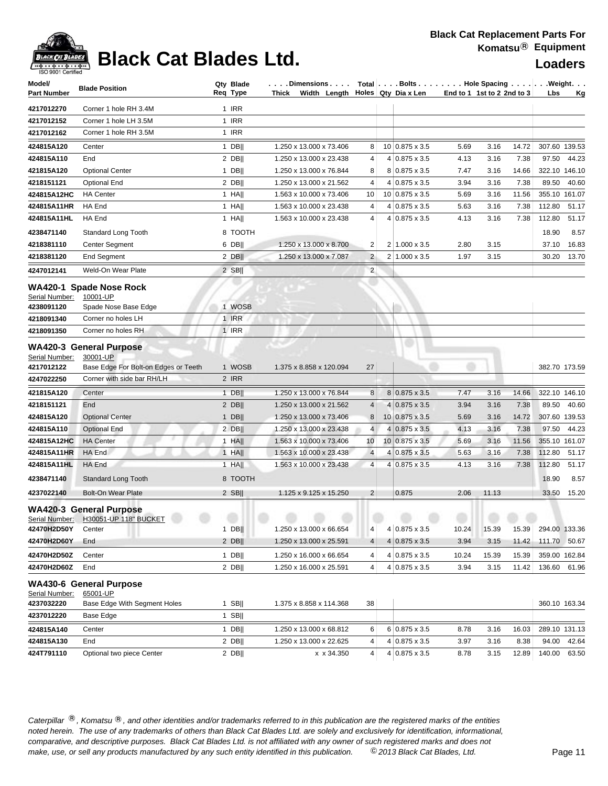### **Black Cat Replacement Parts For Komatsu**® **Equipment**



## **Black Cat Blades Ltd. Loaders Loaders**

| Model/<br><b>Part Number</b> | <b>Blade Position</b>                                                  | Qty Blade<br>Req Type | $\ldots$ . Dimensions $\ldots  \hspace{0.1cm}$ Total $ \ldots$ . Bolts $\ldots  \ldots$ . Hole Spacing $\ldots  \ldots  $ . Weight. $\ldots$<br>Thick Width Length $\vert$ Holes Qty Dia x Len |                         |                       |       | End to 1 1st to 2 2nd to 3 | Lbs    | Kg            |
|------------------------------|------------------------------------------------------------------------|-----------------------|------------------------------------------------------------------------------------------------------------------------------------------------------------------------------------------------|-------------------------|-----------------------|-------|----------------------------|--------|---------------|
| 4217012270                   | Corner 1 hole RH 3.4M                                                  | 1 IRR                 |                                                                                                                                                                                                |                         |                       |       |                            |        |               |
| 4217012152                   | Corner 1 hole LH 3.5M                                                  | 1 IRR                 |                                                                                                                                                                                                |                         |                       |       |                            |        |               |
| 4217012162                   | Corner 1 hole RH 3.5M                                                  | 1 IRR                 |                                                                                                                                                                                                |                         |                       |       |                            |        |               |
| 424815A120                   | Center                                                                 | $1$ DB                | 1.250 x 13.000 x 73.406                                                                                                                                                                        | 8                       | 10 0.875 x 3.5        | 5.69  | 14.72<br>3.16              |        | 307.60 139.53 |
| 424815A110                   | End                                                                    | $2$ DB                | 1.250 x 13.000 x 23.438                                                                                                                                                                        | 4                       | $4 0.875 \times 3.5$  | 4.13  | 7.38<br>3.16               | 97.50  | 44.23         |
| 421815A120                   | <b>Optional Center</b>                                                 | $1$ DB                | 1.250 x 13.000 x 76.844                                                                                                                                                                        | 8                       | 8 0.875 x 3.5         | 7.47  | 3.16<br>14.66              |        | 322.10 146.10 |
| 4218151121                   | Optional End                                                           | $2$ DB                | 1.250 x 13.000 x 21.562                                                                                                                                                                        | 4                       | $4 0.875 \times 3.5$  | 3.94  | 3.16<br>7.38               | 89.50  | 40.60         |
| 424815A12HC                  | <b>HA</b> Center                                                       | $1$ HA                | 1.563 x 10.000 x 73.406                                                                                                                                                                        | 10                      | 10 0.875 x 3.5        | 5.69  | 3.16<br>11.56              |        | 355.10 161.07 |
| 424815A11HR                  | HA End                                                                 | $1$ HA                | 1.563 x 10.000 x 23.438                                                                                                                                                                        | 4                       | $4 0.875 \times 3.5$  | 5.63  | 3.16<br>7.38               | 112.80 | 51.17         |
| 424815A11HL                  | HA End                                                                 | 1 HA                  | 1.563 x 10.000 x 23.438                                                                                                                                                                        | 4                       | 4 0.875 x 3.5         | 4.13  | 3.16<br>7.38               | 112.80 | 51.17         |
| 4238471140                   | Standard Long Tooth                                                    | 8 TOOTH               |                                                                                                                                                                                                |                         |                       |       |                            | 18.90  | 8.57          |
| 4218381110                   | Center Segment                                                         | $6$ DB                | 1.250 x 13.000 x 8.700                                                                                                                                                                         | 2                       | $2 1.000 \times 3.5$  | 2.80  | 3.15                       | 37.10  | 16.83         |
| 4218381120                   | End Segment                                                            | $2$ DB                | 1.250 x 13.000 x 7.087                                                                                                                                                                         | $\overline{c}$          | $2 1.000 \times 3.5$  | 1.97  | 3.15                       |        | 30.20 13.70   |
| 4247012141                   | Weld-On Wear Plate                                                     | $2$ SB                |                                                                                                                                                                                                | $\overline{\mathbf{c}}$ |                       |       |                            |        |               |
| Serial Number:               | WA420-1 Spade Nose Rock<br>10001-UP                                    |                       |                                                                                                                                                                                                |                         |                       |       |                            |        |               |
| 4238091120                   | Spade Nose Base Edge                                                   | 1 WOSB                |                                                                                                                                                                                                |                         |                       |       |                            |        |               |
| 4218091340                   | Corner no holes LH                                                     | 1 IRR                 |                                                                                                                                                                                                |                         |                       |       |                            |        |               |
| 4218091350                   | Corner no holes RH                                                     | $1$ IRR               |                                                                                                                                                                                                |                         |                       |       |                            |        |               |
| Serial Number:               | <b>WA420-3 General Purpose</b><br>30001-UP                             |                       |                                                                                                                                                                                                |                         |                       |       |                            |        |               |
| 4217012122                   | Base Edge For Bolt-on Edges or Teeth                                   | 1 WOSB                | 1.375 x 8.858 x 120.094                                                                                                                                                                        | 27                      |                       |       |                            |        | 382.70 173.59 |
| 4247022250                   | Corner with side bar RH/LH                                             | 2 IRR                 |                                                                                                                                                                                                |                         |                       |       |                            |        |               |
| 421815A120                   | Center                                                                 | $1$ DB                | 1.250 x 13.000 x 76.844                                                                                                                                                                        | 8                       | 8 0.875 x 3.5         | 7.47  | 3.16<br>14.66              |        | 322.10 146.10 |
| 4218151121                   | End                                                                    | $2$ DB                | 1.250 x 13.000 x 21.562                                                                                                                                                                        | 4                       | $4 0.875 \times 3.5$  | 3.94  | 3.16<br>7.38               | 89.50  | 40.60         |
| 424815A120                   | <b>Optional Center</b>                                                 | $1$ DB                | 1.250 x 13.000 x 73.406                                                                                                                                                                        | 8                       | 10 0.875 x 3.5        | 5.69  | 14.72<br>3.16              |        | 307.60 139.53 |
| 424815A110                   | <b>Optional End</b>                                                    | $2$ DB                | 1.250 x 13.000 x 23.438                                                                                                                                                                        | $\overline{4}$          | $4 0.875 \times 3.5$  | 4.13  | 3.16<br>7.38               | 97.50  | 44.23         |
| 424815A12HC                  | <b>HA</b> Center                                                       | $1$ HA                | 1.563 x 10.000 x 73.406                                                                                                                                                                        | 10                      | $10 0.875 \times 3.5$ | 5.69  | 11.56<br>3.16              |        | 355.10 161.07 |
| 424815A11HR                  | HA End                                                                 | $1$ HA                | 1.563 x 10.000 x 23.438                                                                                                                                                                        | 4                       | $4 0.875 \times 3.5$  | 5.63  | 7.38<br>3.16               | 112.80 | 51.17         |
| 424815A11HL                  | HA End                                                                 | 1 HA                  | 1.563 x 10.000 x 23.438                                                                                                                                                                        | $\overline{4}$          | 4 0.875 x 3.5         | 4.13  | 3.16<br>7.38               | 112.80 | 51.17         |
| 4238471140                   | <b>Standard Long Tooth</b>                                             | 8 TOOTH               |                                                                                                                                                                                                |                         |                       |       |                            | 18.90  | 8.57          |
| 4237022140                   | <b>Bolt-On Wear Plate</b>                                              | 2 $SB$                | 1.125 x 9.125 x 15.250                                                                                                                                                                         | 2                       | 0.875                 | 2.06  | 11.13                      | 33.50  | 15.20         |
|                              | <b>WA420-3 General Purpose</b><br>Serial Number: H30051-UP 118" BUCKET |                       |                                                                                                                                                                                                |                         |                       |       |                            |        |               |
| 42470H2D50Y                  | Center                                                                 | $1$ DB                | 1.250 x 13.000 x 66.654                                                                                                                                                                        | 4                       | 4 0.875 x 3.5         | 10.24 | 15.39<br>15.39             |        | 294.00 133.36 |
| 42470H2D60Y                  | End                                                                    | $2$ DB                | 1.250 x 13.000 x 25.591                                                                                                                                                                        | 4                       | $4 0.875 \times 3.5$  | 3.94  | 3.15<br>11.42              |        | 111.70 50.67  |
| 42470H2D50Z                  | Center                                                                 | $1$ DB                | 1.250 x 16.000 x 66.654                                                                                                                                                                        | 4                       | 4 0.875 x 3.5         | 10.24 | 15.39<br>15.39             |        | 359.00 162.84 |
| 42470H2D60Z                  | End                                                                    | $2$ DB                | 1.250 x 16.000 x 25.591                                                                                                                                                                        | 4                       | $4 0.875 \times 3.5$  | 3.94  | 3.15<br>11.42              | 136.60 | 61.96         |
| Serial Number:               | <b>WA430-6 General Purpose</b><br>65001-UP                             |                       |                                                                                                                                                                                                |                         |                       |       |                            |        |               |
| 4237032220                   | Base Edge With Segment Holes                                           | $1$ SB                | 1.375 x 8.858 x 114.368                                                                                                                                                                        | 38                      |                       |       |                            |        | 360.10 163.34 |
| 4237012220                   | Base Edge                                                              | $1$ SB                |                                                                                                                                                                                                |                         |                       |       |                            |        |               |
| 424815A140                   | Center                                                                 | $1$ DB                | 1.250 x 13.000 x 68.812                                                                                                                                                                        | 6                       | 6 0.875 x 3.5         | 8.78  | 16.03<br>3.16              |        | 289.10 131.13 |
| 424815A130                   | End                                                                    | $2$ DB                | 1.250 x 13.000 x 22.625                                                                                                                                                                        | 4                       | $4 0.875 \times 3.5$  | 3.97  | 3.16<br>8.38               | 94.00  | 42.64         |
| 424T791110                   | Optional two piece Center                                              | $2$ DB                | x x 34.350                                                                                                                                                                                     | 4                       | $4 0.875 \times 3.5$  | 8.78  | 12.89<br>3.15              | 140.00 | 63.50         |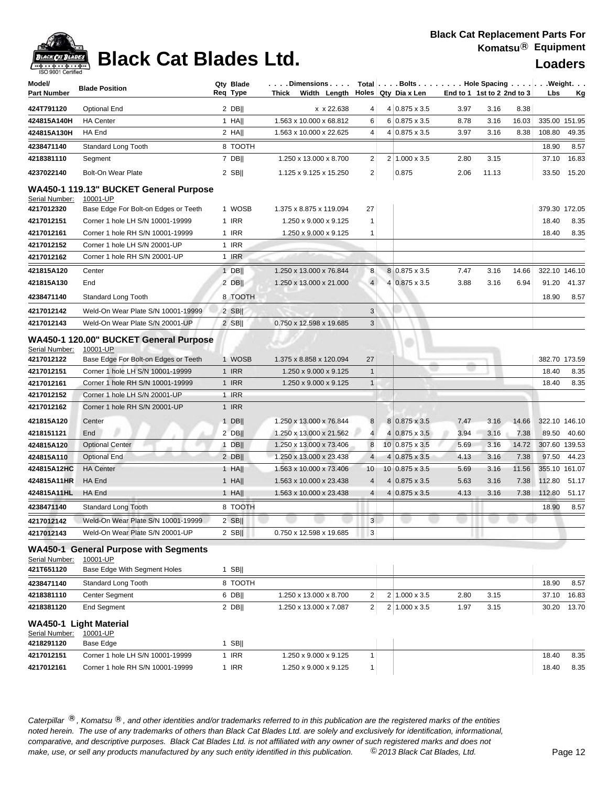| Model/<br><b>Part Number</b> | <b>Blade Position</b>                                    | Qty Blade<br>Req Type | Dimensions<br>Thick Width Length |                               | Total   Bolts Hole Spacing Weight.<br>Holes Qty Dia x Len | End to 1 1st to 2 2nd to 3 |       |       | Lbs           | <u>Kg</u>     |
|------------------------------|----------------------------------------------------------|-----------------------|----------------------------------|-------------------------------|-----------------------------------------------------------|----------------------------|-------|-------|---------------|---------------|
| 424T791120                   | Optional End                                             | $2$ DB                | x x 22.638                       | 4                             | 4 0.875 x 3.5                                             | 3.97                       | 3.16  | 8.38  |               |               |
| 424815A140H                  | <b>HA Center</b>                                         | $1$ HA                | 1.563 x 10.000 x 68.812          | 6                             | $6 0.875 \times 3.5$                                      | 8.78                       | 3.16  | 16.03 | 335.00 151.95 |               |
| 424815A130H                  | HA End                                                   | $2$ HA                | 1.563 x 10.000 x 22.625          | 4                             | 4 0.875 x 3.5                                             | 3.97                       | 3.16  | 8.38  | 108.80        | 49.35         |
| 4238471140                   | Standard Long Tooth                                      | 8 TOOTH               |                                  |                               |                                                           |                            |       |       | 18.90         | 8.57          |
| 4218381110                   | Segment                                                  | $7$ DB                | 1.250 x 13.000 x 8.700           | 2                             | $2 1.000 \times 3.5$                                      | 2.80                       | 3.15  |       | 37.10         | 16.83         |
| 4237022140                   | <b>Bolt-On Wear Plate</b>                                | $2$ SB                | 1.125 x 9.125 x 15.250           | $\overline{2}$                | 0.875                                                     | 2.06                       | 11.13 |       | 33.50         | 15.20         |
|                              | WA450-1 119.13" BUCKET General Purpose                   |                       |                                  |                               |                                                           |                            |       |       |               |               |
| Serial Number:               | 10001-UP                                                 |                       |                                  |                               |                                                           |                            |       |       |               |               |
| 4217012320                   | Base Edge For Bolt-on Edges or Teeth                     | 1 WOSB                | 1.375 x 8.875 x 119.094          | 27                            |                                                           |                            |       |       |               | 379.30 172.05 |
| 4217012151                   | Corner 1 hole LH S/N 10001-19999                         | 1 IRR                 | 1.250 x 9.000 x 9.125            | $\mathbf{1}$                  |                                                           |                            |       |       | 18.40         | 8.35          |
| 4217012161                   | Corner 1 hole RH S/N 10001-19999                         | 1 IRR                 | 1.250 x 9.000 x 9.125            | 1                             |                                                           |                            |       |       | 18.40         | 8.35          |
| 4217012152                   | Corner 1 hole LH S/N 20001-UP                            | 1 IRR                 |                                  |                               |                                                           |                            |       |       |               |               |
| 4217012162                   | Corner 1 hole RH S/N 20001-UP                            | 1 IRR                 |                                  |                               |                                                           |                            |       |       |               |               |
| 421815A120                   | Center                                                   | $1$ DB                | 1.250 x 13.000 x 76.844          | 8                             | 8 0.875 x 3.5                                             | 7.47                       | 3.16  | 14.66 |               | 322.10 146.10 |
| 421815A130                   | End                                                      | $2$ DB                | 1.250 x 13.000 x 21.000          | $\overline{4}$                | $4 0.875 \times 3.5$                                      | 3.88                       | 3.16  | 6.94  | 91.20         | 41.37         |
| 4238471140                   | Standard Long Tooth                                      | 8 TOOTH               |                                  |                               |                                                           |                            |       |       | 18.90         | 8.57          |
| 4217012142                   | Weld-On Wear Plate S/N 10001-19999                       | $2$ SB                |                                  | 3                             |                                                           |                            |       |       |               |               |
| 4217012143                   | Weld-On Wear Plate S/N 20001-UP                          | 2 SBII                | 0.750 x 12.598 x 19.685          | 3                             |                                                           |                            |       |       |               |               |
|                              | WA450-1 120.00" BUCKET General Purpose<br>10001-UP       |                       |                                  |                               |                                                           |                            |       |       |               |               |
| Serial Number:<br>4217012122 | Base Edge For Bolt-on Edges or Teeth                     | 1 WOSB                | 1.375 x 8.858 x 120.094          | 27                            |                                                           |                            |       |       |               | 382.70 173.59 |
| 4217012151                   | Corner 1 hole LH S/N 10001-19999                         | $1$ IRR               | 1.250 x 9.000 x 9.125            | $\mathbf{1}$                  |                                                           |                            |       |       | 18.40         | 8.35          |
| 4217012161                   | Corner 1 hole RH S/N 10001-19999                         | $1$ IRR               | 1.250 x 9.000 x 9.125            | $\mathbf{1}$                  |                                                           |                            |       |       | 18.40         | 8.35          |
| 4217012152                   | Corner 1 hole LH S/N 20001-UP                            | 1 IRR                 |                                  |                               |                                                           |                            |       |       |               |               |
| 4217012162                   | Corner 1 hole RH S/N 20001-UP                            | $1$ IRR               |                                  |                               |                                                           |                            |       |       |               |               |
| 421815A120                   | Center                                                   | $1$ DB                | 1.250 x 13.000 x 76.844          | 8                             | $8 0.875 \times 3.5$                                      | 7.47                       | 3.16  | 14.66 | 322.10 146.10 |               |
| 4218151121                   | End                                                      | $2$ DB                | 1.250 x 13.000 x 21.562          | $\overline{4}$                | $4 0.875 \times 3.5$                                      | 3.94                       | 3.16  | 7.38  | 89.50         | 40.60         |
| 424815A120                   | <b>Optional Center</b>                                   | $1$ DB                | 1.250 x 13.000 x 73.406          | 8                             | $10 0.875 \times 3.5$                                     | 5.69                       | 3.16  | 14.72 |               | 307.60 139.53 |
| 424815A110                   | <b>Optional End</b>                                      | $2$ DB                | 1.250 x 13.000 x 23.438          | 4                             | $4 0.875 \times 3.5$                                      | 4.13                       | 3.16  | 7.38  | 97.50         | 44.23         |
| 424815A12HC                  | <b>HA Center</b>                                         | 1 HA                  | 1.563 x 10.000 x 73.406          | 10                            | $10 0.875 \times 3.5$                                     | 5.69                       | 3.16  | 11.56 | 355.10 161.07 |               |
| 424815A11HR                  | HA End                                                   | $1$ HA                | 1.563 x 10.000 x 23.438          | 4                             | $4 0.875 \times 3.5$                                      | 5.63                       | 3.16  | 7.38  | 112.80        | 51.17         |
| 424815A11HL                  | HA End                                                   | $1$ HA                | 1.563 x 10.000 x 23.438          | 4                             | $4 0.875 \times 3.5$                                      | 4.13                       | 3.16  | 7.38  | 112.80        | 51.17         |
| 4238471140                   | <b>Standard Long Tooth</b>                               | 8 TOOTH               |                                  |                               |                                                           |                            |       |       | 18.90         | 8.57          |
| 4217012142                   | Weld-On Wear Plate S/N 10001-19999                       | $2$ SB                |                                  | $\left  \overline{3} \right $ |                                                           |                            |       |       |               |               |
| 4217012143                   | Weld-On Wear Plate S/N 20001-UP                          | $2$ SB                | 0.750 x 12.598 x 19.685          | 3                             |                                                           |                            |       |       |               |               |
| Serial Number:               | <b>WA450-1 General Purpose with Segments</b><br>10001-UP |                       |                                  |                               |                                                           |                            |       |       |               |               |
| 421T651120                   | Base Edge With Segment Holes                             | 1 SB $  $             |                                  |                               |                                                           |                            |       |       |               |               |
| 4238471140                   | Standard Long Tooth                                      | 8 TOOTH               |                                  |                               |                                                           |                            |       |       | 18.90         | 8.57          |
| 4218381110                   | Center Segment                                           | 6 DBII                | 1.250 x 13.000 x 8.700           | 2                             | 2 1.000 x 3.5                                             | 2.80                       | 3.15  |       | 37.10         | 16.83         |
| 4218381120                   | <b>End Segment</b>                                       | $2$ DB                | 1.250 x 13.000 x 7.087           | $\overline{2}$                | $2 1.000 \times 3.5$                                      | 1.97                       | 3.15  |       | 30.20         | 13.70         |
| Serial Number:               | WA450-1 Light Material<br>10001-UP                       |                       |                                  |                               |                                                           |                            |       |       |               |               |
| 4218291120                   | Base Edge                                                | 1 SB $  $             |                                  |                               |                                                           |                            |       |       |               |               |
| 4217012151                   | Corner 1 hole LH S/N 10001-19999                         | 1 IRR                 | 1.250 x 9.000 x 9.125            | 1                             |                                                           |                            |       |       | 18.40         | 8.35          |
| 4217012161                   | Corner 1 hole RH S/N 10001-19999                         | 1 IRR                 | 1.250 x 9.000 x 9.125            | 1                             |                                                           |                            |       |       | 18.40         | 8.35          |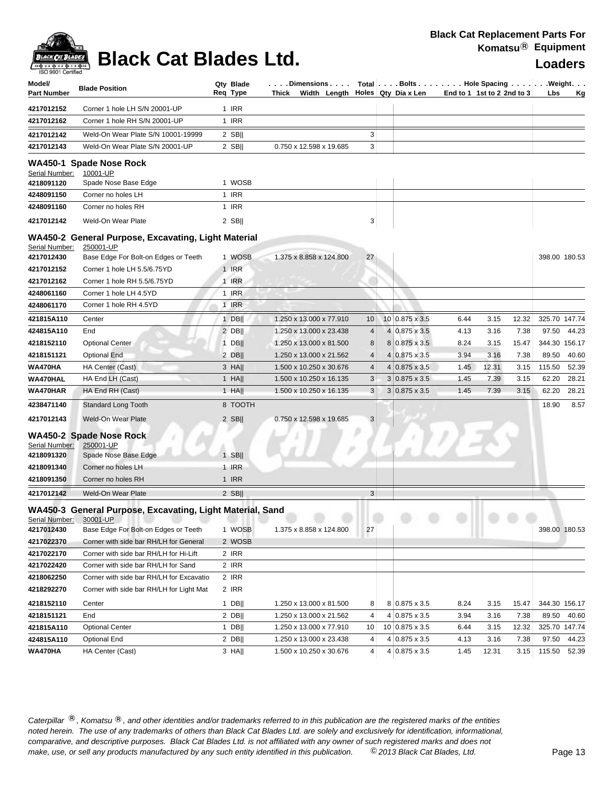| Model/<br><b>Part Number</b> | <b>Blade Position</b>                                                   | Qty Blade<br>Req Type | Dimensions   Total   Bolts    Hole Spacing     Weight<br>Thick Width Length $\vert$ Holes Qty Dia x Len |            |                       |      | End to 1 1st to 2 2nd to 3 | Lbs    | <u>Kg</u>     |
|------------------------------|-------------------------------------------------------------------------|-----------------------|---------------------------------------------------------------------------------------------------------|------------|-----------------------|------|----------------------------|--------|---------------|
| 4217012152                   | Corner 1 hole LH S/N 20001-UP                                           | 1 IRR                 |                                                                                                         |            |                       |      |                            |        |               |
| 4217012162                   | Corner 1 hole RH S/N 20001-UP                                           | 1 IRR                 |                                                                                                         |            |                       |      |                            |        |               |
| 4217012142                   | Weld-On Wear Plate S/N 10001-19999                                      | $2$ SB                |                                                                                                         | 3          |                       |      |                            |        |               |
| 4217012143                   | Weld-On Wear Plate S/N 20001-UP                                         | $2$ SB                | 0.750 x 12.598 x 19.685                                                                                 | 3          |                       |      |                            |        |               |
|                              |                                                                         |                       |                                                                                                         |            |                       |      |                            |        |               |
| Serial Number:               | WA450-1 Spade Nose Rock<br>10001-UP                                     |                       |                                                                                                         |            |                       |      |                            |        |               |
| 4218091120                   | Spade Nose Base Edge                                                    | 1 WOSB                |                                                                                                         |            |                       |      |                            |        |               |
| 4248091150                   | Corner no holes LH                                                      | 1 IRR                 |                                                                                                         |            |                       |      |                            |        |               |
| 4248091160                   | Corner no holes RH                                                      | 1 IRR                 |                                                                                                         |            |                       |      |                            |        |               |
| 4217012142                   | Weld-On Wear Plate                                                      | $2$ SB                |                                                                                                         | 3          |                       |      |                            |        |               |
|                              |                                                                         |                       |                                                                                                         |            |                       |      |                            |        |               |
| Serial Number:               | WA450-2 General Purpose, Excavating, Light Material<br><u>250001-UP</u> |                       |                                                                                                         |            |                       |      |                            |        |               |
| 4217012430                   | Base Edge For Bolt-on Edges or Teeth                                    | 1 WOSB                | 1.375 x 8.858 x 124.800                                                                                 | 27         |                       |      |                            |        | 398.00 180.53 |
| 4217012152                   | Corner 1 hole LH 5.5/6.75YD                                             | 1 IRR                 |                                                                                                         |            |                       |      |                            |        |               |
| 4217012162                   | Corner 1 hole RH 5.5/6.75YD                                             | 1 IRR                 |                                                                                                         |            |                       |      |                            |        |               |
| 4248061160                   | Corner 1 hole LH 4.5YD                                                  | 1 IRR                 |                                                                                                         |            |                       |      |                            |        |               |
| 4248061170                   | Corner 1 hole RH 4.5YD                                                  | 1 IRR                 |                                                                                                         |            |                       |      |                            |        |               |
| 421815A110                   | Center                                                                  | 1 DB                  | 1.250 x 13.000 x 77.910                                                                                 | 10         | $10 0.875 \times 3.5$ | 6.44 | 3.15<br>12.32              |        | 325.70 147.74 |
| 424815A110                   | End                                                                     | 2 DBII                | 1.250 x 13.000 x 23.438                                                                                 | 4          | 4 0.875 x 3.5         | 4.13 | 7.38<br>3.16               | 97.50  | 44.23         |
| 4218152110                   | <b>Optional Center</b>                                                  | $1$ DB                | 1.250 x 13.000 x 81.500                                                                                 | 8          | $8 0.875 \times 3.5$  | 8.24 | 15.47<br>3.15              |        | 344.30 156.17 |
| 4218151121                   | <b>Optional End</b>                                                     | $2$ DB                | 1.250 x 13.000 x 21.562                                                                                 | 4          | 4 0.875 x 3.5         | 3.94 | 3.16<br>7.38               | 89.50  | 40.60         |
| WA470HA                      | HA Center (Cast)                                                        | $3$ HA                | 1.500 x 10.250 x 30.676                                                                                 | 4          | $4 0.875 \times 3.5$  | 1.45 | 12.31<br>3.15              | 115.50 | 52.39         |
| <b>WA470HAL</b>              | HA End LH (Cast)                                                        | $1$ HA                | 1.500 x 10.250 x 16.135                                                                                 | 3          | $3 0.875 \times 3.5$  | 1.45 | 7.39<br>3.15               | 62.20  | 28.21         |
| WA470HAR                     | HA End RH (Cast)                                                        | $1$ HA                | 1.500 x 10.250 x 16.135                                                                                 | 3          | $3 0.875 \times 3.5$  | 1.45 | 7.39<br>3.15               | 62.20  | 28.21         |
| 4238471140                   | <b>Standard Long Tooth</b>                                              | 8 TOOTH               |                                                                                                         |            |                       |      |                            | 18.90  | 8.57          |
| 4217012143                   | Weld-On Wear Plate                                                      | $2$ SB                | 0.750 x 12.598 x 19.685                                                                                 | $\sqrt{3}$ |                       |      |                            |        |               |
|                              |                                                                         |                       |                                                                                                         |            |                       |      |                            |        |               |
| Serial Number:               | <b>WA450-2 Spade Nose Rock</b><br>250001-UP                             |                       |                                                                                                         |            |                       |      |                            |        |               |
| 4218091320                   | Spade Nose Base Edge                                                    | $1$ SB                |                                                                                                         |            |                       |      |                            |        |               |
| 4218091340                   | Corner no holes LH                                                      | 1 IRR                 |                                                                                                         |            |                       |      |                            |        |               |
| 4218091350                   | Corner no holes RH                                                      | 1 IRR                 |                                                                                                         |            |                       |      |                            |        |               |
| 4217012142                   | Weld-On Wear Plate                                                      | $2$ SB                |                                                                                                         | 3          |                       |      |                            |        |               |
|                              | WA450-3 General Purpose, Excavating, Light Material, Sand               |                       |                                                                                                         |            |                       |      |                            |        |               |
| Serial Number: 30001-UP      |                                                                         |                       |                                                                                                         |            |                       |      |                            |        |               |
| 4217012430                   | Base Edge For Bolt-on Edges or Teeth                                    | 1 WOSB                | 1.375 x 8.858 x 124.800                                                                                 | 27         |                       |      |                            |        | 398.00 180.53 |
| 4217022370                   | Corner with side bar RH/LH for General                                  | 2 WOSB                |                                                                                                         |            |                       |      |                            |        |               |
| 4217022170                   | Corner with side bar RH/LH for Hi-Lift                                  | 2 IRR                 |                                                                                                         |            |                       |      |                            |        |               |
| 4217022420                   | Corner with side bar RH/LH for Sand                                     | 2 IRR                 |                                                                                                         |            |                       |      |                            |        |               |
| 4218062250                   | Corner with side bar RH/LH for Excavatio                                | 2 IRR                 |                                                                                                         |            |                       |      |                            |        |               |
| 4218292270                   | Corner with side bar RH/LH for Light Mat                                | 2 IRR                 |                                                                                                         |            |                       |      |                            |        |               |
| 4218152110                   | Center                                                                  | 1 DB                  | 1.250 x 13.000 x 81.500                                                                                 | 8          | 8 0.875 x 3.5         | 8.24 | 15.47<br>3.15              |        | 344.30 156.17 |
| 4218151121                   | End                                                                     | $2$ DB                | 1.250 x 13.000 x 21.562                                                                                 | 4          | 4 0.875 x 3.5         | 3.94 | 3.16<br>7.38               | 89.50  | 40.60         |
| 421815A110                   | <b>Optional Center</b>                                                  | $1$ DB                | 1.250 x 13.000 x 77.910                                                                                 | 10         | 10 0.875 x 3.5        | 6.44 | 12.32<br>3.15              |        | 325.70 147.74 |
| 424815A110                   | <b>Optional End</b>                                                     | $2$ DB                | 1.250 x 13.000 x 23.438                                                                                 | 4          | $4 0.875 \times 3.5$  | 4.13 | 3.16<br>7.38               | 97.50  | 44.23         |
| <b>WA470HA</b>               | HA Center (Cast)                                                        | 3 HA                  | 1.500 x 10.250 x 30.676                                                                                 | 4          | 4 0.875 x 3.5         | 1.45 | 3.15<br>12.31              |        | 115.50 52.39  |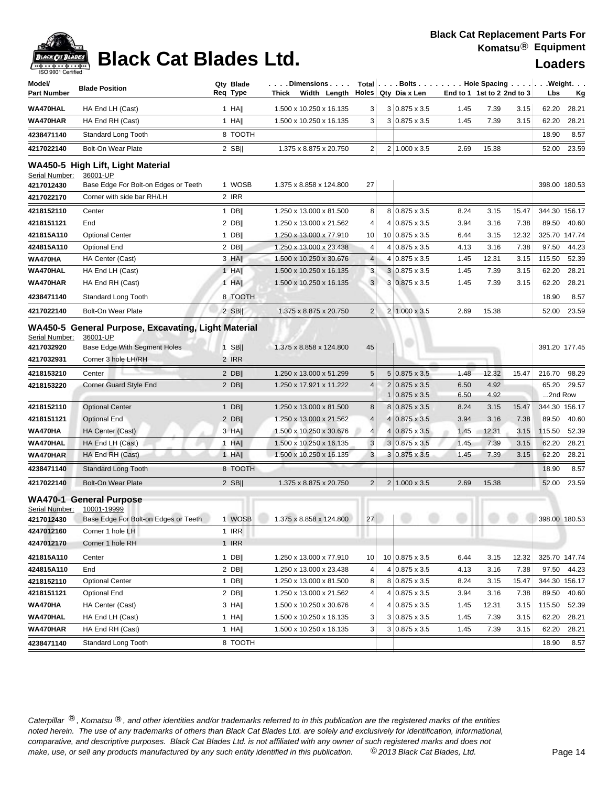| Model/<br><b>Part Number</b> | <b>Blade Position</b>                                                                                                                                                 | Qty Blade<br>Reg Type | $\ldots$ . Dimensions $\ldots$   Total $ \ldots$ . Bolts $\ldots$ Hole Spacing $\ldots$ Weight. $\ldots$<br>Width Length<br>Thick |                | Holes   Qty Dia x Len                        | End to 1 1st to 2 2nd to 3 |              |       | Lbs           | <u>Kg</u>     |
|------------------------------|-----------------------------------------------------------------------------------------------------------------------------------------------------------------------|-----------------------|-----------------------------------------------------------------------------------------------------------------------------------|----------------|----------------------------------------------|----------------------------|--------------|-------|---------------|---------------|
| WA470HAL                     | HA End LH (Cast)                                                                                                                                                      | 1 HA                  | 1.500 x 10.250 x 16.135                                                                                                           | 3              | $3 0.875 \times 3.5$                         | 1.45                       | 7.39         | 3.15  | 62.20         | 28.21         |
| WA470HAR                     | HA End RH (Cast)                                                                                                                                                      | $1$ HA                | 1.500 x 10.250 x 16.135                                                                                                           | 3              | $3 0.875 \times 3.5$                         | 1.45                       | 7.39         | 3.15  | 62.20         | 28.21         |
| 4238471140                   | Standard Long Tooth                                                                                                                                                   | 8 TOOTH               |                                                                                                                                   |                |                                              |                            |              |       | 18.90         | 8.57          |
| 4217022140                   | <b>Bolt-On Wear Plate</b>                                                                                                                                             | $2$ SB                | 1.375 x 8.875 x 20.750                                                                                                            | $\overline{c}$ | 2 1.000 x 3.5                                | 2.69                       | 15.38        |       | 52.00         | 23.59         |
|                              |                                                                                                                                                                       |                       |                                                                                                                                   |                |                                              |                            |              |       |               |               |
| Serial Number:<br>4217012430 | WA450-5 High Lift, Light Material<br>36001-UP<br>Base Edge For Bolt-on Edges or Teeth                                                                                 | 1 WOSB                | 1.375 x 8.858 x 124.800                                                                                                           | 27             |                                              |                            |              |       |               | 398.00 180.53 |
| 4217022170                   | Corner with side bar RH/LH                                                                                                                                            | 2 IRR                 |                                                                                                                                   |                |                                              |                            |              |       |               |               |
| 4218152110                   | Center                                                                                                                                                                | 1 DB                  | 1.250 x 13.000 x 81.500                                                                                                           | 8              | 8 0.875 x 3.5                                | 8.24                       | 3.15         | 15.47 |               | 344.30 156.17 |
| 4218151121                   | End                                                                                                                                                                   | $2$ DB                | 1.250 x 13.000 x 21.562                                                                                                           | 4              | 4 0.875 x 3.5                                | 3.94                       | 3.16         | 7.38  | 89.50         | 40.60         |
| 421815A110                   | <b>Optional Center</b>                                                                                                                                                | $1$ DB                | 1.250 x 13.000 x 77.910                                                                                                           | 10             | 10 0.875 x 3.5                               | 6.44                       | 3.15         | 12.32 | 325.70 147.74 |               |
| 424815A110                   | Optional End                                                                                                                                                          | $2$ DB                | 1.250 x 13.000 x 23.438                                                                                                           | 4              | $4 0.875 \times 3.5$                         | 4.13                       | 3.16         | 7.38  | 97.50         | 44.23         |
| WA470HA                      | HA Center (Cast)                                                                                                                                                      | 3 HA                  | 1.500 x 10.250 x 30.676                                                                                                           | 4              | 4 0.875 x 3.5                                | 1.45                       | 12.31        | 3.15  | 115.50        | 52.39         |
| WA470HAL                     | HA End LH (Cast)                                                                                                                                                      | 1 HA                  | 1.500 x 10.250 x 16.135                                                                                                           | 3              | $3 0.875 \times 3.5$                         | 1.45                       | 7.39         | 3.15  | 62.20         | 28.21         |
| WA470HAR                     | HA End RH (Cast)                                                                                                                                                      | $1$ HA                | 1.500 x 10.250 x 16.135                                                                                                           | 3 <sup>1</sup> | $3 0.875 \times 3.5$                         | 1.45                       | 7.39         | 3.15  | 62.20         | 28.21         |
| 4238471140                   | Standard Long Tooth                                                                                                                                                   | 8 TOOTH               |                                                                                                                                   |                |                                              |                            |              |       | 18.90         | 8.57          |
| 4217022140                   | <b>Bolt-On Wear Plate</b>                                                                                                                                             | $2$ SB                | 1.375 x 8.875 x 20.750                                                                                                            | $\overline{2}$ | $2 1.000 \times 3.5$                         | 2.69                       | 15.38        |       | 52.00         | 23.59         |
| Serial Number:               | WA450-5 General Purpose, Excavating, Light Material<br>36001-UP                                                                                                       |                       |                                                                                                                                   |                |                                              |                            |              |       |               |               |
| 4217032920                   | Base Edge With Segment Holes                                                                                                                                          | $1$ SB                | 1.375 x 8.858 x 124.800                                                                                                           | 45             |                                              |                            |              |       | 391.20 177.45 |               |
| 4217032931                   | Corner 3 hole LH/RH                                                                                                                                                   | 2 IRR                 |                                                                                                                                   |                |                                              |                            |              |       |               |               |
| 4218153210                   | Center                                                                                                                                                                | $2$ DB                | 1.250 x 13.000 x 51.299                                                                                                           | 5              | $5 0.875 \times 3.5$                         | 1.48                       | 12.32        | 15.47 | 216.70        | 98.29         |
| 4218153220                   | Corner Guard Style End                                                                                                                                                | $2$ DB                | 1.250 x 17.921 x 11.222                                                                                                           | 4              | $2 0.875 \times 3.5$                         | 6.50                       | 4.92         |       | 65.20         | 29.57         |
| 4218152110                   | <b>Optional Center</b>                                                                                                                                                | 1 DB                  | 1.250 x 13.000 x 81.500                                                                                                           | 8              | $1 0.875 \times 3.5$<br>$8 0.875 \times 3.5$ | 6.50<br>8.24               | 4.92<br>3.15 | 15.47 | 2nd Row       | 344.30 156.17 |
| 4218151121                   | <b>Optional End</b>                                                                                                                                                   | $2$ DB                | 1.250 x 13.000 x 21.562                                                                                                           | $\overline{4}$ | 4 0.875 x 3.5                                | 3.94                       | 3.16         | 7.38  | 89.50         | 40.60         |
| WA470HA                      | HA Center (Cast)                                                                                                                                                      | 3 HA                  | 1.500 x 10.250 x 30.676                                                                                                           | 4 <sup>1</sup> | $4 0.875 \times 3.5$                         | 1.45                       | 12.31        | 3.15  | 115.50        | 52.39         |
| <b>WA470HAL</b>              | HA End LH (Cast)                                                                                                                                                      | $1$ HA                | 1.500 x 10.250 x 16.135                                                                                                           | 3              | $3 0.875 \times 3.5$                         | 1.45                       | 7.39         | 3.15  | 62.20         | 28.21         |
| WA470HAR                     | HA End RH (Cast)                                                                                                                                                      | $1$ HA                | 1.500 x 10.250 x 16.135                                                                                                           | 3              | $3 0.875 \times 3.5$                         | 1.45                       | 7.39         | 3.15  | 62.20         | 28.21         |
| 4238471140                   | <b>Standard Long Tooth</b>                                                                                                                                            | 8 TOOTH               |                                                                                                                                   |                |                                              |                            |              |       | 18.90         | 8.57          |
|                              |                                                                                                                                                                       |                       |                                                                                                                                   |                |                                              |                            |              |       |               |               |
| 4217022140                   | <b>Bolt-On Wear Plate</b>                                                                                                                                             | $2$ SB                | 1.375 x 8.875 x 20.750                                                                                                            | $\overline{2}$ | $2 1.000 \times 3.5$                         | 2.69                       | 15.38        |       | 52.00         | 23.59         |
| Serial Number:<br>4217012430 | <b>WA470-1 General Purpose</b><br>10001-19999<br>Base Edge For Bolt-on Edges or Teeth 1 WOSB   1.375 x 8.858 x 124.800   27                             398.00 180.53 |                       |                                                                                                                                   |                |                                              |                            |              |       |               |               |
| 4247012160                   | Corner 1 hole LH                                                                                                                                                      | 1 IRR                 |                                                                                                                                   |                |                                              |                            |              |       |               |               |
| 4247012170                   | Corner 1 hole RH                                                                                                                                                      | 1 IRR                 |                                                                                                                                   |                |                                              |                            |              |       |               |               |
| 421815A110                   | Center                                                                                                                                                                | $1$ DB                | 1.250 x 13.000 x 77.910                                                                                                           | 10             | 10 0.875 x 3.5                               | 6.44                       | 3.15         | 12.32 | 325.70 147.74 |               |
| 424815A110                   | End                                                                                                                                                                   | $2$ DB                | 1.250 x 13.000 x 23.438                                                                                                           | 4              | $4 0.875 \times 3.5$                         | 4.13                       | 3.16         | 7.38  | 97.50         | 44.23         |
| 4218152110                   | <b>Optional Center</b>                                                                                                                                                | $1$ DB                | 1.250 x 13.000 x 81.500                                                                                                           | 8              | 8 0.875 x 3.5                                | 8.24                       | 3.15         | 15.47 |               | 344.30 156.17 |
| 4218151121                   | Optional End                                                                                                                                                          | $2$ DB                | 1.250 x 13.000 x 21.562                                                                                                           | 4              | $4 0.875 \times 3.5$                         | 3.94                       | 3.16         | 7.38  | 89.50         | 40.60         |
| WA470HA                      | HA Center (Cast)                                                                                                                                                      | $3$ HA                | 1.500 x 10.250 x 30.676                                                                                                           | 4              | 4 0.875 x 3.5                                | 1.45                       | 12.31        | 3.15  | 115.50        | 52.39         |
| WA470HAL                     | HA End LH (Cast)                                                                                                                                                      | $1$ HA                | 1.500 x 10.250 x 16.135                                                                                                           | 3              | $3 0.875 \times 3.5$                         | 1.45                       | 7.39         | 3.15  | 62.20         | 28.21         |
| WA470HAR                     | HA End RH (Cast)                                                                                                                                                      | $1$ HA                | 1.500 x 10.250 x 16.135                                                                                                           | 3              | $3 0.875 \times 3.5$                         | 1.45                       | 7.39         | 3.15  | 62.20         | 28.21         |
| 4238471140                   | Standard Long Tooth                                                                                                                                                   | 8 TOOTH               |                                                                                                                                   |                |                                              |                            |              |       | 18.90         | 8.57          |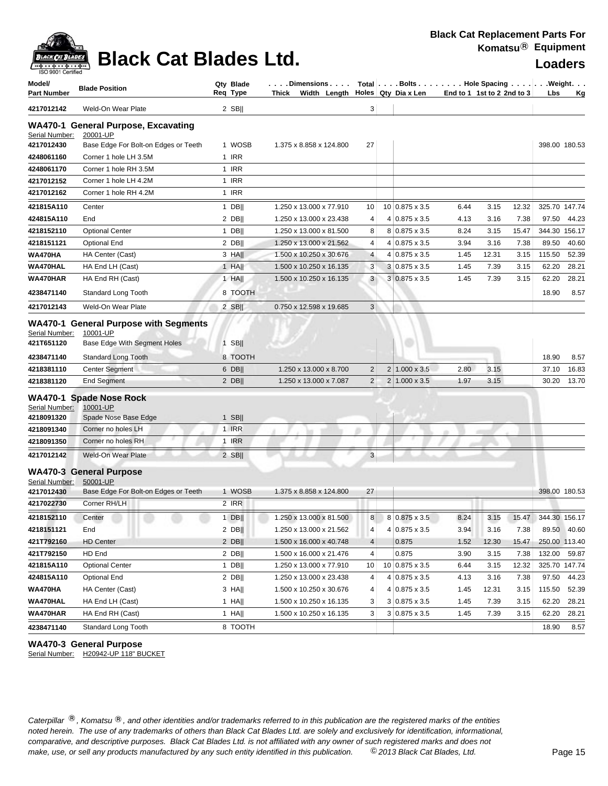

| Model/<br><b>Part Number</b>               | <b>Blade Position</b>                                                                          | Qty Blade<br>Req Type | Dimensions<br>Thick Width Length |                | Holes Qty Dia x Len   |      | Total   Bolts   Hole Spacing   Weight.<br>End to 1 1st to 2 2nd to 3 | Lbs    | Κg            |
|--------------------------------------------|------------------------------------------------------------------------------------------------|-----------------------|----------------------------------|----------------|-----------------------|------|----------------------------------------------------------------------|--------|---------------|
| 4217012142                                 | Weld-On Wear Plate                                                                             | $2$ SB                |                                  | 3              |                       |      |                                                                      |        |               |
| Serial Number:<br>4217012430               | <b>WA470-1 General Purpose, Excavating</b><br>20001-UP<br>Base Edge For Bolt-on Edges or Teeth | 1 WOSB                | 1.375 x 8.858 x 124.800          | 27             |                       |      |                                                                      |        | 398.00 180.53 |
| 4248061160                                 | Corner 1 hole LH 3.5M                                                                          | 1 IRR                 |                                  |                |                       |      |                                                                      |        |               |
| 4248061170                                 | Corner 1 hole RH 3.5M                                                                          | 1 IRR                 |                                  |                |                       |      |                                                                      |        |               |
| 4217012152                                 | Corner 1 hole LH 4.2M                                                                          | 1 IRR                 |                                  |                |                       |      |                                                                      |        |               |
| 4217012162                                 | Corner 1 hole RH 4.2M                                                                          | 1 IRR                 |                                  |                |                       |      |                                                                      |        |               |
| 421815A110                                 | Center                                                                                         | 1 DB                  | 1.250 x 13.000 x 77.910          | 10             | $10 0.875 \times 3.5$ | 6.44 | 3.15<br>12.32                                                        |        | 325.70 147.74 |
| 424815A110                                 | End                                                                                            | $2$ DB                | 1.250 x 13.000 x 23.438          | 4              | 4 0.875 x 3.5         | 4.13 | 7.38<br>3.16                                                         | 97.50  | 44.23         |
| 4218152110                                 | <b>Optional Center</b>                                                                         | $1$ DB                | 1.250 x 13.000 x 81.500          | 8              | 8 0.875 x 3.5         | 8.24 | 15.47<br>3.15                                                        | 344.30 | 156.17        |
| 4218151121                                 | Optional End                                                                                   | $2$ DB                | 1.250 x 13.000 x 21.562          | 4              | $4 0.875 \times 3.5$  | 3.94 | 3.16<br>7.38                                                         | 89.50  | 40.60         |
| WA470HA                                    | HA Center (Cast)                                                                               | 3 HAII                | 1.500 x 10.250 x 30.676          | 4              | $4 0.875 \times 3.5$  | 1.45 | 12.31<br>3.15                                                        | 115.50 | 52.39         |
| WA470HAL                                   | HA End LH (Cast)                                                                               | $1$ HA                | 1.500 x 10.250 x 16.135          | 3              | 3 0.875 x 3.5         | 1.45 | 7.39<br>3.15                                                         | 62.20  | 28.21         |
| WA470HAR                                   | HA End RH (Cast)                                                                               | $1$ HA                | 1.500 x 10.250 x 16.135          | 3              | $3 0.875 \times 3.5$  | 1.45 | 7.39<br>3.15                                                         | 62.20  | 28.21         |
| 4238471140                                 | Standard Long Tooth                                                                            | 8 TOOTH               |                                  |                |                       |      |                                                                      | 18.90  | 8.57          |
| 4217012143                                 | Weld-On Wear Plate                                                                             | $2$ SB                | 0.750 x 12.598 x 19.685          | 3 <sup>1</sup> |                       |      |                                                                      |        |               |
| Serial Number:<br>421T651120               | <b>WA470-1 General Purpose with Segments</b><br>10001-UP<br>Base Edge With Segment Holes       | $1$ SB                |                                  |                |                       |      |                                                                      |        |               |
| 4238471140                                 | Standard Long Tooth                                                                            | 8 TOOTH               |                                  |                |                       |      |                                                                      | 18.90  | 8.57          |
| 4218381110                                 | <b>Center Segment</b>                                                                          | 6 DB                  | 1.250 x 13.000 x 8.700           | 2              | $2 1.000 \times 3.5$  | 2.80 | 3.15                                                                 | 37.10  | 16.83         |
| 4218381120                                 | <b>End Segment</b>                                                                             | $2$ DB                | 1.250 x 13.000 x 7.087           | $\overline{2}$ | $2 1.000 \times 3.5$  | 1.97 | 3.15                                                                 | 30.20  | 13.70         |
| Serial Number:<br>4218091320<br>4218091340 | <b>WA470-1 Spade Nose Rock</b><br>10001-UP<br>Spade Nose Base Edge<br>Corner no holes LH       | $1$ SB  <br>1 IRR     |                                  |                |                       |      |                                                                      |        |               |
| 4218091350                                 | Corner no holes RH                                                                             | 1 IRR                 |                                  |                |                       |      |                                                                      |        |               |
| 4217012142                                 | Weld-On Wear Plate                                                                             | $2$ SB                |                                  | 3              |                       |      |                                                                      |        |               |
| Serial Number:                             | <b>WA470-3 General Purpose</b><br>50001-UP                                                     |                       |                                  |                |                       |      |                                                                      |        |               |
| 4217012430                                 | Base Edge For Bolt-on Edges or Teeth                                                           | 1 WOSB                | 1.375 x 8.858 x 124.800          | 27             |                       |      |                                                                      |        | 398.00 180.53 |
| 4217022730                                 | Corner RH/LH                                                                                   | 2 IRR                 |                                  |                |                       |      |                                                                      |        |               |
| 4218152110                                 | Center                                                                                         | $1$ DB                | 1.250 x 13.000 x 81.500          | 8 <sup>1</sup> | 8 0.875 x 3.5         | 8.24 | 3.15<br>15.47                                                        |        | 344.30 156.17 |
| 4218151121                                 | End                                                                                            | $2$ DB                | 1.250 x 13.000 x 21.562          | 4              | $4 0.875 \times 3.5$  | 3.94 | 3.16<br>7.38                                                         |        | 89.50 40.60   |
| 421T792160                                 | <b>HD Center</b>                                                                               | $2$ DB                | 1.500 x 16.000 x 40.748          | $\overline{4}$ | 0.875                 | 1.52 | 12.30<br>15.47                                                       |        | 250.00 113.40 |
| 421T792150                                 | HD End                                                                                         | $2$ DB                | 1.500 x 16.000 x 21.476          | 4              | 0.875                 | 3.90 | 3.15<br>7.38                                                         | 132.00 | 59.87         |
| 421815A110                                 | <b>Optional Center</b>                                                                         | 1 DB                  | 1.250 x 13.000 x 77.910          | 10             | 10 0.875 x 3.5        | 6.44 | 3.15<br>12.32                                                        |        | 325.70 147.74 |
| 424815A110                                 | <b>Optional End</b>                                                                            | $2$ DB                | 1.250 x 13.000 x 23.438          | 4              | $4 0.875 \times 3.5$  | 4.13 | 3.16<br>7.38                                                         | 97.50  | 44.23         |
| WA470HA                                    | HA Center (Cast)                                                                               | $3$ HA                | 1.500 x 10.250 x 30.676          | 4              | $4 0.875 \times 3.5$  | 1.45 | 12.31<br>3.15                                                        | 115.50 | 52.39         |
| WA470HAL                                   | HA End LH (Cast)                                                                               | $1$ HA                | 1.500 x 10.250 x 16.135          | 3              | $3 0.875 \times 3.5$  | 1.45 | 7.39<br>3.15                                                         | 62.20  | 28.21         |
| WA470HAR                                   | HA End RH (Cast)                                                                               | 1 HA                  | 1.500 x 10.250 x 16.135          | 3              | $3 0.875 \times 3.5$  | 1.45 | 7.39<br>3.15                                                         | 62.20  | 28.21         |
| 4238471140                                 | Standard Long Tooth                                                                            | 8 TOOTH               |                                  |                |                       |      |                                                                      | 18.90  | 8.57          |

### **WA470-3 General Purpose**

Serial Number: H20942-UP 118" BUCKET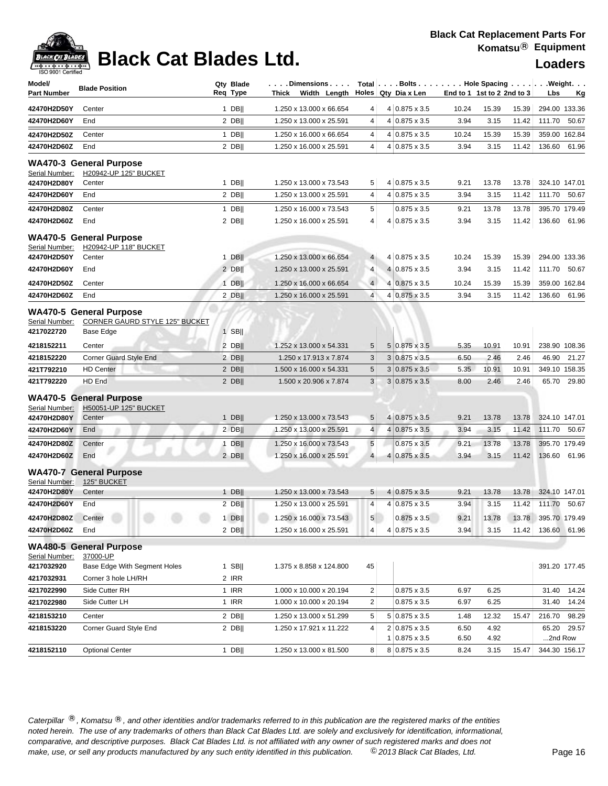| Model/<br><b>Part Number</b>  | <b>Blade Position</b>                                            | Qty Blade<br>Reg Type | Dimensions<br>Thick Width Length |                 |                | Holes Qty Dia x Len                           | Total   Bolts   Hole Spacing   Weight.<br>End to 1 1st to 2 2nd to 3 |               | Lbs<br>Кg |                 |                |
|-------------------------------|------------------------------------------------------------------|-----------------------|----------------------------------|-----------------|----------------|-----------------------------------------------|----------------------------------------------------------------------|---------------|-----------|-----------------|----------------|
| 42470H2D50Y                   | Center                                                           | $1$ DB                | 1.250 x 13.000 x 66.654          | 4               |                | 4 0.875 x 3.5                                 | 10.24                                                                | 15.39         | 15.39     | 294.00 133.36   |                |
| 42470H2D60Y                   | End                                                              | $2$ DB                | 1.250 x 13.000 x 25.591          | 4               |                | 4 0.875 x 3.5                                 | 3.94                                                                 | 3.15          | 11.42     | 111.70          | 50.67          |
| 42470H2D50Z                   | Center                                                           | $1$ DB                | 1.250 x 16.000 x 66.654          | 4               |                | $4 0.875 \times 3.5$                          | 10.24                                                                | 15.39         | 15.39     |                 | 359.00 162.84  |
| 42470H2D60Z                   | End                                                              | 2 DB                  | 1.250 x 16.000 x 25.591          | $\overline{4}$  |                | 4 0.875 x 3.5                                 | 3.94                                                                 | 3.15          | 11.42     | 136.60          | 61.96          |
|                               | <b>WA470-3 General Purpose</b>                                   |                       |                                  |                 |                |                                               |                                                                      |               |           |                 |                |
| Serial Number:                | H20942-UP 125" BUCKET                                            |                       |                                  |                 |                |                                               |                                                                      |               |           |                 |                |
| 42470H2D80Y                   | Center                                                           | $1$ DB                | 1.250 x 13.000 x 73.543          | 5               |                | 4 0.875 x 3.5                                 | 9.21                                                                 | 13.78         | 13.78     | 324.10 147.01   |                |
| 42470H2D60Y                   | End                                                              | 2 DB                  | 1.250 x 13.000 x 25.591          | 4               |                | 4 0.875 x 3.5                                 | 3.94                                                                 | 3.15          | 11.42     | 111.70          | 50.67          |
| 42470H2D80Z                   | Center                                                           | $1$ DB                | 1.250 x 16.000 x 73.543          | 5               |                | $0.875 \times 3.5$                            | 9.21                                                                 | 13.78         | 13.78     | 395.70 179.49   |                |
| 42470H2D60Z                   | End                                                              | 2 DB                  | 1.250 x 16.000 x 25.591          | 4               |                | $4 0.875 \times 3.5$                          | 3.94                                                                 | 3.15          | 11.42     | 136.60          | 61.96          |
|                               | <b>WA470-5 General Purpose</b>                                   |                       |                                  |                 |                |                                               |                                                                      |               |           |                 |                |
| Serial Number:<br>42470H2D50Y | H20942-UP 118" BUCKET<br>Center                                  | $1$ DB                | 1.250 x 13.000 x 66.654          | $\overline{4}$  |                | 4 0.875 x 3.5                                 | 10.24                                                                | 15.39         | 15.39     | 294.00 133.36   |                |
| 42470H2D60Y                   | End                                                              | $2$ DB                | 1.250 x 13.000 x 25.591          | 4               |                | 4 0.875 x 3.5                                 | 3.94                                                                 | 3.15          | 11.42     | 111.70          | 50.67          |
| 42470H2D50Z                   | Center                                                           | $1$ DB                | 1.250 x 16.000 x 66.654          | $\overline{4}$  | $\overline{4}$ | $0.875 \times 3.5$                            | 10.24                                                                | 15.39         | 15.39     |                 | 359.00 162.84  |
| 42470H2D60Z                   | End                                                              | $2$ DB                | 1.250 x 16.000 x 25.591          | $\overline{4}$  |                | 4 0.875 x 3.5                                 | 3.94                                                                 | 3.15          | 11.42     | 136.60          | 61.96          |
|                               |                                                                  |                       |                                  |                 |                |                                               |                                                                      |               |           |                 |                |
| Serial Number:                | <b>WA470-5 General Purpose</b><br>CORNER GAURD STYLE 125" BUCKET |                       |                                  |                 |                |                                               |                                                                      |               |           |                 |                |
| 4217022720                    | Base Edge                                                        | $1$ SB                |                                  |                 |                |                                               |                                                                      |               |           |                 |                |
| 4218152211                    | Center                                                           | 2 DB                  | 1.252 x 13.000 x 54.331          | 5               |                | $5 0.875 \times 3.5$                          | 5.35                                                                 | 10.91         | 10.91     |                 | 238.90 108.36  |
| 4218152220                    | <b>Corner Guard Style End</b>                                    | 2 DB                  | 1.250 x 17.913 x 7.874           | 3               |                | $3 0.875 \times 3.5$                          | 6.50                                                                 | 2.46          | 2.46      | 46.90           | 21.27          |
| 421T792210                    | <b>HD Center</b><br>HD End                                       | $2$ DB                | 1.500 x 16.000 x 54.331          | $\sqrt{5}$<br>3 |                | $3 0.875 \times 3.5$                          | 5.35                                                                 | 10.91<br>2.46 | 10.91     |                 | 349.10 158.35  |
| 421T792220                    |                                                                  | 2 DB                  | 1.500 x 20.906 x 7.874           |                 |                | $3 0.875 \times 3.5$                          | 8.00                                                                 |               | 2.46      | 65.70           | 29.80          |
|                               | <b>WA470-5 General Purpose</b>                                   |                       |                                  |                 |                |                                               |                                                                      |               |           |                 |                |
| Serial Number:<br>42470H2D80Y | H50051-UP 125" BUCKET<br>Center                                  | $1$ DB                | 1.250 x 13.000 x 73.543          | 5               |                | 4 0.875 x 3.5                                 | 9.21                                                                 | 13.78         | 13.78     | 324.10 147.01   |                |
| 42470H2D60Y                   | End                                                              | 2 DB                  | 1.250 x 13.000 x 25.591          | 4 <sup>1</sup>  |                | 4 0.875 x 3.5                                 | 3.94                                                                 | 3.15          | 11.42     | 111.70          | 50.67          |
| 42470H2D80Z                   | Center                                                           | $1$ DB                | 1.250 x 16.000 x 73.543          | $\sqrt{5}$      |                | $0.875 \times 3.5$                            | 9.21                                                                 | 13.78         | 13.78     | 395.70 179.49   |                |
| 42470H2D60Z                   | End                                                              | 2 DB                  | 1.250 x 16.000 x 25.591          | $\overline{4}$  | 4              | $0.875 \times 3.5$                            | 3.94                                                                 | 3.15          | 11.42     | 136.60          | 61.96          |
|                               |                                                                  |                       |                                  |                 |                |                                               |                                                                      |               |           |                 |                |
| Serial Number:                | <b>WA470-7 General Purpose</b><br>125" BUCKET                    |                       |                                  |                 |                |                                               |                                                                      |               |           |                 |                |
| 42470H2D80Y                   | Center                                                           | $1$ DB                | 1.250 x 13.000 x 73.543          | 5               |                | 4 0.875 x 3.5                                 | 9.21                                                                 | 13.78         | 13.78     | 324.10 147.01   |                |
| 42470H2D60Y                   | End                                                              | $2$ DB                | 1.250 x 13.000 x 25.591          | $\overline{4}$  |                | 4 0.875 x 3.5                                 | 3.94                                                                 | 3.15          | 11.42     | 111.70 50.67    |                |
| 42470H2D80Z Center            |                                                                  | $1$ DB                | 1.250 x 16.000 x 73.543          | 5 <sup>1</sup>  |                | $0.875 \times 3.5$                            | 9.21                                                                 | 13.78         | 13.78     | 395.70 179.49   |                |
| 42470H2D60Z                   | End                                                              | $2$ DB                | 1.250 x 16.000 x 25.591          | 4               |                | $4 0.875 \times 3.5$                          | 3.94                                                                 | 3.15          | 11.42     |                 | 136.60 61.96   |
|                               | <b>WA480-5 General Purpose</b>                                   |                       |                                  |                 |                |                                               |                                                                      |               |           |                 |                |
| Serial Number:                | 37000-UP                                                         |                       |                                  |                 |                |                                               |                                                                      |               |           |                 |                |
| 4217032920                    | Base Edge With Segment Holes                                     | $1$ SB                | 1.375 x 8.858 x 124.800          | 45              |                |                                               |                                                                      |               |           |                 | 391.20 177.45  |
| 4217032931<br>4217022990      | Corner 3 hole LH/RH<br>Side Cutter RH                            | 2 IRR<br>1 IRR        | 1.000 x 10.000 x 20.194          | $\overline{2}$  |                | $0.875 \times 3.5$                            | 6.97                                                                 | 6.25          |           | 31.40           | 14.24          |
| 4217022980                    | Side Cutter LH                                                   | 1 IRR                 | 1.000 x 10.000 x 20.194          | $\overline{2}$  |                | $0.875 \times 3.5$                            | 6.97                                                                 | 6.25          |           | 31.40           | 14.24          |
|                               |                                                                  | $2$ DB                | 1.250 x 13.000 x 51.299          |                 |                |                                               |                                                                      |               |           |                 |                |
| 4218153210<br>4218153220      | Center<br>Corner Guard Style End                                 | $2$ DB                | 1.250 x 17.921 x 11.222          | 5<br>4          |                | $5 0.875 \times 3.5$<br>$2 0.875 \times 3.5 $ | 1.48<br>6.50                                                         | 12.32<br>4.92 | 15.47     | 216.70<br>65.20 | 98.29<br>29.57 |
|                               |                                                                  |                       |                                  |                 |                | $1 0.875 \times 3.5$                          | 6.50                                                                 | 4.92          |           | 2nd Row         |                |
| 4218152110                    | <b>Optional Center</b>                                           | $1$ DB                | 1.250 x 13.000 x 81.500          | 8               |                | 8 0.875 x 3.5                                 | 8.24                                                                 | 3.15          | 15.47     |                 | 344.30 156.17  |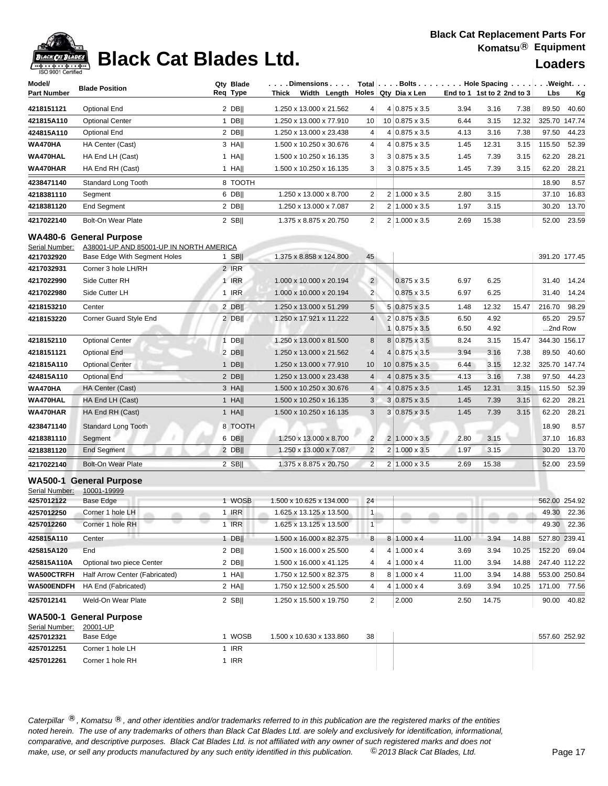

| <b>ISO 9001 Certified</b><br>Model/<br><b>Part Number</b> | <b>Blade Position</b>                                                     | Qty Blade<br>Req Type | . Dimensions<br>Width Length<br>Thick |                |                 | Total   Bolts   Hole Spacing   Weight.<br>Holes Qty Dia x Len | End to 1 1st to 2 2nd to 3 |       |       | Lbs           | <u>Kg</u>     |
|-----------------------------------------------------------|---------------------------------------------------------------------------|-----------------------|---------------------------------------|----------------|-----------------|---------------------------------------------------------------|----------------------------|-------|-------|---------------|---------------|
| 4218151121                                                | <b>Optional End</b>                                                       | $2$ DB                | 1.250 x 13.000 x 21.562               | 4              |                 | $4 0.875 \times 3.5$                                          | 3.94                       | 3.16  | 7.38  | 89.50         | 40.60         |
| 421815A110                                                | <b>Optional Center</b>                                                    | $1$ DB                | 1.250 x 13.000 x 77.910               | 10             |                 | 10 0.875 x 3.5                                                | 6.44                       | 3.15  | 12.32 | 325.70 147.74 |               |
| 424815A110                                                | <b>Optional End</b>                                                       | $2$ DB                | 1.250 x 13.000 x 23.438               | 4              |                 | 4 0.875 x 3.5                                                 | 4.13                       | 3.16  | 7.38  | 97.50         | 44.23         |
| WA470HA                                                   | HA Center (Cast)                                                          | 3 HAII                | 1.500 x 10.250 x 30.676               | 4              |                 | 4 0.875 x 3.5                                                 | 1.45                       | 12.31 | 3.15  | 115.50        | 52.39         |
| WA470HAL                                                  | HA End LH (Cast)                                                          | $1$ HA                | 1.500 x 10.250 x 16.135               | 3              |                 | $3 0.875 \times 3.5$                                          | 1.45                       | 7.39  | 3.15  | 62.20         | 28.21         |
| WA470HAR                                                  | HA End RH (Cast)                                                          | $1$ HA                | 1.500 x 10.250 x 16.135               | 3              |                 | $3 0.875 \times 3.5$                                          | 1.45                       | 7.39  | 3.15  | 62.20         | 28.21         |
| 4238471140                                                | <b>Standard Long Tooth</b>                                                | 8 TOOTH               |                                       |                |                 |                                                               |                            |       |       | 18.90         | 8.57          |
| 4218381110                                                | Segment                                                                   | 6 DB                  | 1.250 x 13.000 x 8.700                | $\overline{c}$ |                 | $2 1.000 \times 3.5$                                          | 2.80                       | 3.15  |       | 37.10         | 16.83         |
| 4218381120                                                | <b>End Segment</b>                                                        | 2 DB                  | 1.250 x 13.000 x 7.087                | $\overline{c}$ |                 | $2 1.000 \times 3.5$                                          | 1.97                       | 3.15  |       | 30.20         | 13.70         |
| 4217022140                                                | <b>Bolt-On Wear Plate</b>                                                 | $2$ SB                | 1.375 x 8.875 x 20.750                | $\overline{c}$ |                 | $2 1.000 \times 3.5$                                          | 2.69                       | 15.38 |       | 52.00         | 23.59         |
| Serial Number:                                            | <b>WA480-6 General Purpose</b><br>A38001-UP AND 85001-UP IN NORTH AMERICA |                       |                                       |                |                 |                                                               |                            |       |       |               |               |
| 4217032920                                                | Base Edge With Segment Holes                                              | 1 SB                  | 1.375 x 8.858 x 124.800               | 45             |                 |                                                               |                            |       |       | 391.20 177.45 |               |
| 4217032931                                                | Corner 3 hole LH/RH                                                       | 2 IRR                 |                                       |                |                 |                                                               |                            |       |       |               |               |
| 4217022990                                                | Side Cutter RH                                                            | 1 IRR                 | 1.000 x 10.000 x 20.194               | $\overline{2}$ |                 | $0.875 \times 3.5$                                            | 6.97                       | 6.25  |       | 31.40         | 14.24         |
| 4217022980                                                | Side Cutter LH                                                            | 1 IRR                 | 1.000 x 10.000 x 20.194               | $\overline{c}$ |                 | $0.875 \times 3.5$                                            | 6.97                       | 6.25  |       | 31.40         | 14.24         |
| 4218153210                                                | Center                                                                    | $2$ DB                | 1.250 x 13.000 x 51.299               | 5              |                 | 5 0.875 x 3.5                                                 | 1.48                       | 12.32 | 15.47 | 216.70        | 98.29         |
| 4218153220                                                | Corner Guard Style End                                                    | $2$ DB                | 1.250 x 17.921 x 11.222               | 4              |                 | 2 0.875 x 3.5                                                 | 6.50                       | 4.92  |       | 65.20         | 29.57         |
|                                                           |                                                                           |                       |                                       |                |                 | $0.875 \times 3.5$                                            | 6.50                       | 4.92  |       | 2nd Row       |               |
| 4218152110                                                | <b>Optional Center</b>                                                    | $1$ DB                | 1.250 x 13.000 x 81.500               | 8              |                 | $8 0.875 \times 3.5$                                          | 8.24                       | 3.15  | 15.47 |               | 344.30 156.17 |
| 4218151121                                                | <b>Optional End</b>                                                       | $2$ DB                | 1.250 x 13.000 x 21.562               | $\overline{4}$ |                 | $4 0.875 \times 3.5$                                          | 3.94                       | 3.16  | 7.38  | 89.50         | 40.60         |
| 421815A110                                                | <b>Optional Center</b>                                                    | $1$ DB                | 1.250 x 13.000 x 77.910               | 10             |                 | $10 0.875 \times 3.5$                                         | 6.44                       | 3.15  | 12.32 | 325.70 147.74 |               |
| 424815A110                                                | <b>Optional End</b>                                                       | $2$ DB                | 1.250 x 13.000 x 23.438               | $\overline{4}$ |                 | $4 0.875 \times 3.5 $                                         | 4.13                       | 3.16  | 7.38  | 97.50         | 44.23         |
| WA470HA                                                   | HA Center (Cast)                                                          | $3$ HA                | 1.500 x 10.250 x 30.676               | $\overline{4}$ |                 | 4 0.875 x 3.5                                                 | 1.45                       | 12.31 | 3.15  | 115.50        | 52.39         |
| WA470HAL                                                  | HA End LH (Cast)                                                          | $1$ HA                | 1.500 x 10.250 x 16.135               | $\sqrt{3}$     |                 | $3 0.875 \times 3.5$                                          | 1.45                       | 7.39  | 3.15  | 62.20         | 28.21         |
| WA470HAR                                                  | HA End RH (Cast)                                                          | $1$ HA                | 1.500 x 10.250 x 16.135               | $\mathbf{3}$   |                 | $3 0.875 \times 3.5$                                          | 1.45                       | 7.39  | 3.15  | 62.20         | 28.21         |
| 4238471140                                                | <b>Standard Long Tooth</b>                                                | 8 TOOTH               |                                       |                |                 |                                                               |                            |       |       | 18.90         | 8.57          |
| 4218381110                                                | Segment                                                                   | $6$ DB                | 1.250 x 13.000 x 8.700                | $\overline{2}$ |                 | $2 1.000 \times 3.5 $                                         | 2.80                       | 3.15  |       | 37.10         | 16.83         |
| 4218381120                                                | <b>End Segment</b>                                                        | $2$ DB                | 1.250 x 13.000 x 7.087                | $\overline{c}$ |                 | $2 1.000 \times 3.5$                                          | 1.97                       | 3.15  |       | 30.20         | 13.70         |
| 4217022140                                                | <b>Bolt-On Wear Plate</b>                                                 | $2$ SB                | 1.375 x 8.875 x 20.750                | $\overline{2}$ | $\overline{2}$  | $1.000 \times 3.5$                                            | 2.69                       | 15.38 |       | 52.00         | 23.59         |
| Serial Number:                                            | <b>WA500-1 General Purpose</b><br>10001-19999                             |                       |                                       |                |                 |                                                               |                            |       |       |               |               |
| 4257012122                                                | Base Edge                                                                 | 1 WOSB                | 1.500 x 10.625 x 134.000              | 24             |                 |                                                               |                            |       |       | 562.00 254.92 |               |
| 4257012250                                                | Corner 1 hole LH                                                          | 1 IRR                 | 1.625 x 13.125 x 13.500               | $\mathbf{1}$   |                 |                                                               |                            |       |       |               | 49.30 22.36   |
| 4257012260                                                | Corner 1 hole RH                                                          | 1 IRR                 | 1.625 x 13.125 x 13.500               | $\mathbf{1}$   |                 |                                                               |                            |       |       |               | 49.30 22.36   |
| 425815A110                                                | Center                                                                    | $1$ DB                | 1.500 x 16.000 x 82.375               | 8              |                 | $8 1.000 \times 4$                                            | 11.00                      | 3.94  | 14.88 | 527.80 239.41 |               |
| 425815A120                                                | End                                                                       | $2$ DB                | 1.500 x 16.000 x 25.500               | 4              | $\vert 4 \vert$ | $1.000 \times 4$                                              | 3.69                       | 3.94  | 10.25 | 152.20        | 69.04         |
| 425815A110A                                               | Optional two piece Center                                                 | $2$ DB                | 1.500 x 16.000 x 41.125               | 4              |                 | $4 1.000 \times 4$                                            | 11.00                      | 3.94  | 14.88 | 247.40 112.22 |               |
| <b>WA500CTRFH</b>                                         | Half Arrow Center (Fabricated)                                            | $1$ HA                | 1.750 x 12.500 x 82.375               | 8              |                 | $8 1.000 \times 4$                                            | 11.00                      | 3.94  | 14.88 | 553.00 250.84 |               |
| <b>WA500ENDFH</b>                                         | HA End (Fabricated)                                                       | $2$ HA                | 1.750 x 12.500 x 25.500               | 4              |                 | $4 1.000 \times 4$                                            | 3.69                       | 3.94  | 10.25 | 171.00        | 77.56         |
| 4257012141                                                | Weld-On Wear Plate                                                        | 2 SB                  | 1.250 x 15.500 x 19.750               | $\overline{c}$ |                 | 2.000                                                         | 2.50                       | 14.75 |       | 90.00         | 40.82         |
| Serial Number:                                            | <b>WA500-1 General Purpose</b><br>20001-UP                                |                       |                                       |                |                 |                                                               |                            |       |       |               |               |
| 4257012321                                                | Base Edge                                                                 | 1 WOSB                | 1.500 x 10.630 x 133.860              | 38             |                 |                                                               |                            |       |       | 557.60 252.92 |               |
| 4257012251                                                | Corner 1 hole LH                                                          | 1 IRR                 |                                       |                |                 |                                                               |                            |       |       |               |               |
| 4257012261                                                | Corner 1 hole RH                                                          | 1 IRR                 |                                       |                |                 |                                                               |                            |       |       |               |               |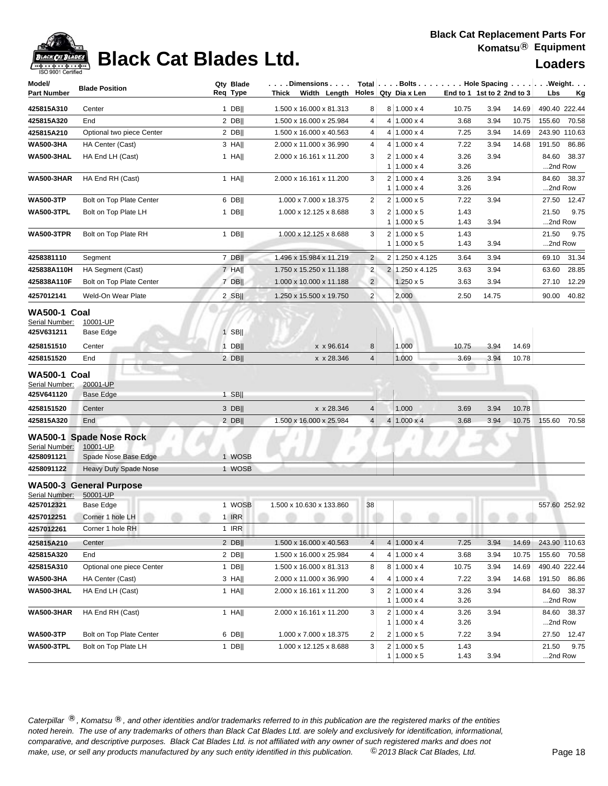### **Black Cat Replacement Parts For Komatsu**® **Equipment**



## **Black Cat Blades Ltd. Loaders Leaders Loaders**

| Model/                                              | <b>Blade Position</b>                                       | Qty Blade | $\ldots$ . Dimensions $\ldots$ . |                |                | Total $\left  \ldots$ Bolts $\ldots \right $ Hole Spacing $\ldots \left  \ldots \right $ |                            |       |       |               | .Weight.    |
|-----------------------------------------------------|-------------------------------------------------------------|-----------|----------------------------------|----------------|----------------|------------------------------------------------------------------------------------------|----------------------------|-------|-------|---------------|-------------|
| Part Number                                         |                                                             | Reg Type  | Thick<br>Width Length            |                |                | Holes Qty Dia x Len                                                                      | End to 1 1st to 2 2nd to 3 |       |       | Lbs           | <u>Kg</u>   |
| 425815A310                                          | Center                                                      | 1 $DB$    | 1.500 x 16.000 x 81.313          | 8              |                | $8 1.000 \times 4$                                                                       | 10.75                      | 3.94  | 14.69 | 490.40 222.44 |             |
| 425815A320                                          | End                                                         | $2$ DB    | 1.500 x 16.000 x 25.984          | 4              |                | $4 1.000 \times 4$                                                                       | 3.68                       | 3.94  | 10.75 | 155.60        | 70.58       |
| 425815A210                                          | Optional two piece Center                                   | $2$ DB    | 1.500 x 16.000 x 40.563          | 4              |                | $4 1.000 \times 4$                                                                       | 7.25                       | 3.94  | 14.69 | 243.90 110.63 |             |
| <b>WA500-3HA</b>                                    | HA Center (Cast)                                            | $3$ HA    | 2.000 x 11.000 x 36.990          | 4              |                | $4 1.000 \times 4$                                                                       | 7.22                       | 3.94  | 14.68 | 191.50        | 86.86       |
| <b>WA500-3HAL</b>                                   | HA End LH (Cast)                                            | $1$ HA    | 2.000 x 16.161 x 11.200          | 3              |                | $2 1.000 \times 4$                                                                       | 3.26                       | 3.94  |       | 84.60         | 38.37       |
|                                                     |                                                             |           |                                  |                | 1              | $1.000 \times 4$                                                                         | 3.26                       |       |       | 2nd Row       |             |
| <b>WA500-3HAR</b>                                   | HA End RH (Cast)                                            | $1$ HA    | 2.000 x 16.161 x 11.200          | 3              | 2<br>1         | $1.000 \times 4$<br>$1.000 \times 4$                                                     | 3.26<br>3.26               | 3.94  |       | 2nd Row       | 84.60 38.37 |
| <b>WA500-3TP</b>                                    | Bolt on Top Plate Center                                    | $6$ DB    | 1.000 x 7.000 x 18.375           | $\overline{2}$ |                | $2 1.000 \times 5$                                                                       | 7.22                       | 3.94  |       | 27.50         | 12.47       |
| <b>WA500-3TPL</b>                                   | Bolt on Top Plate LH                                        | $1$ DB    | 1.000 x 12.125 x 8.688           | 3              | 2              | $1.000 \times 5$                                                                         | 1.43                       |       |       | 21.50         | 9.75        |
|                                                     |                                                             |           |                                  |                | $\mathbf{1}$   | $1.000 \times 5$                                                                         | 1.43                       | 3.94  |       | 2nd Row       |             |
| <b>WA500-3TPR</b>                                   | Bolt on Top Plate RH                                        | $1$ DB    | 1.000 x 12.125 x 8.688           | 3              |                | $2 1.000 \times 5$                                                                       | 1.43                       |       |       | 21.50         | 9.75        |
|                                                     |                                                             |           |                                  |                |                | $1 1.000 \times 5$                                                                       | 1.43                       | 3.94  |       | 2nd Row       |             |
| 4258381110                                          | Segment                                                     | $7$ DB    | 1.496 x 15.984 x 11.219          | $\overline{2}$ |                | 2 1.250 x 4.125                                                                          | 3.64                       | 3.94  |       | 69.10         | 31.34       |
| 425838A110H                                         | HA Segment (Cast)                                           | 7 HA      | 1.750 x 15.250 x 11.188          | $\overline{2}$ |                | 2 1.250 x 4.125                                                                          | 3.63                       | 3.94  |       | 63.60         | 28.85       |
| 425838A110F                                         | Bolt on Top Plate Center                                    | 7 DB      | 1.000 x 10.000 x 11.188          | $\overline{2}$ |                | $1.250 \times 5$                                                                         | 3.63                       | 3.94  |       | 27.10         | 12.29       |
| 4257012141                                          | Weld-On Wear Plate                                          | $2$ SB    | 1.250 x 15.500 x 19.750          | $\overline{2}$ |                | 2.000                                                                                    | 2.50                       | 14.75 |       | 90.00         | 40.82       |
| <b>WA500-1 Coal</b>                                 |                                                             |           |                                  |                |                |                                                                                          |                            |       |       |               |             |
| Serial Number:                                      | 10001-UP                                                    |           |                                  |                |                |                                                                                          |                            |       |       |               |             |
| 425V631211                                          | Base Edge                                                   | $1$ SB    |                                  |                |                |                                                                                          |                            |       |       |               |             |
| 4258151510                                          | Center                                                      | $1$ DB    | x x 96.614                       | 8              |                | 1.000                                                                                    | 10.75                      | 3.94  | 14.69 |               |             |
| 4258151520                                          | End                                                         | $2$ DB    | x x 28.346                       | $\overline{4}$ |                | 1.000                                                                                    | 3.69                       | 3.94  | 10.78 |               |             |
| <b>WA500-1 Coal</b><br>Serial Number:<br>425V641120 | 20001-UP<br><b>Base Edge</b>                                | $1$ SB    |                                  |                |                |                                                                                          |                            |       |       |               |             |
| 4258151520                                          | Center                                                      | 3 DB      | x x 28.346                       | $\overline{4}$ |                | 1.000                                                                                    | 3.69                       | 3.94  | 10.78 |               |             |
| 425815A320                                          | End                                                         | $2$ DB    | 1.500 x 16.000 x 25.984          | $\overline{4}$ |                | $4 1.000 \times 4$                                                                       | 3.68                       | 3.94  | 10.75 | 155.60        | 70.58       |
| Serial Number:<br>4258091121                        | WA500-1 Spade Nose Rock<br>10001-UP<br>Spade Nose Base Edge | 1 WOSB    |                                  |                |                |                                                                                          |                            |       |       |               |             |
| 4258091122                                          | <b>Heavy Duty Spade Nose</b>                                | 1 WOSB    |                                  |                |                |                                                                                          |                            |       |       |               |             |
|                                                     |                                                             |           |                                  |                |                |                                                                                          |                            |       |       |               |             |
|                                                     | <b>WA500-3 General Purpose</b>                              |           |                                  |                |                |                                                                                          |                            |       |       |               |             |
| Serial Number:<br>4257012321                        | 50001-UP<br><b>Base Edge</b>                                | 1 WOSB    | 1.500 x 10.630 x 133.860         | 38             |                |                                                                                          |                            |       |       | 557.60 252.92 |             |
| 4257012251                                          | Corner 1 hole LH                                            | 1 IRR     |                                  |                |                |                                                                                          |                            |       |       |               |             |
| 4257012261                                          | Corner 1 hole RH                                            | 1 IRR     |                                  |                |                |                                                                                          |                            |       |       |               |             |
| 425815A210                                          | Center                                                      | 2 DBII    | 1.500 x 16.000 x 40.563          | 4              |                | $4 1.000 \times 4$                                                                       | 7.25                       | 3.94  | 14.69 | 243.90 110.63 |             |
| 425815A320                                          | End                                                         | $2$ DB    | 1.500 x 16.000 x 25.984          | 4              |                | $4 1.000 \times 4$                                                                       | 3.68                       | 3.94  | 10.75 | 155.60 70.58  |             |
| 425815A310                                          | Optional one piece Center                                   | $1$ DB    | 1.500 x 16.000 x 81.313          | 8              |                | $8 1.000 \times 4$                                                                       | 10.75                      | 3.94  | 14.69 | 490.40 222.44 |             |
| <b>WA500-3HA</b>                                    | HA Center (Cast)                                            | $3$ HA    | 2.000 x 11.000 x 36.990          | 4              |                | $4 1.000 \times 4$                                                                       | 7.22                       | 3.94  | 14.68 | 191.50        | 86.86       |
| <b>WA500-3HAL</b>                                   | HA End LH (Cast)                                            | 1 HA      | 2.000 x 16.161 x 11.200          | 3              |                | $2 1.000 \times 4$                                                                       | 3.26                       | 3.94  |       |               | 84.60 38.37 |
|                                                     |                                                             |           |                                  |                |                | $1 1.000 \times 4$                                                                       | 3.26                       |       |       | 2nd Row       |             |
| <b>WA500-3HAR</b>                                   | HA End RH (Cast)                                            | 1 HA      | 2.000 x 16.161 x 11.200          | 3              |                | $2 1.000 \times 4$                                                                       | 3.26                       | 3.94  |       |               | 84.60 38.37 |
|                                                     |                                                             |           |                                  |                | 1 <sup>1</sup> | $1.000 \times 4$                                                                         | 3.26                       |       |       | 2nd Row       |             |
| <b>WA500-3TP</b>                                    | Bolt on Top Plate Center                                    | $6$ DB    | 1.000 x 7.000 x 18.375           | $\overline{c}$ |                | $2 1.000 \times 5$                                                                       | 7.22                       | 3.94  |       |               | 27.50 12.47 |
| <b>WA500-3TPL</b>                                   | Bolt on Top Plate LH                                        | $1$ DB    | 1.000 x 12.125 x 8.688           | 3              |                | $2 1.000 \times 5$                                                                       | 1.43                       |       |       | 21.50         | 9.75        |
|                                                     |                                                             |           |                                  |                |                | $1 1.000 \times 5$                                                                       | 1.43                       | 3.94  |       | 2nd Row       |             |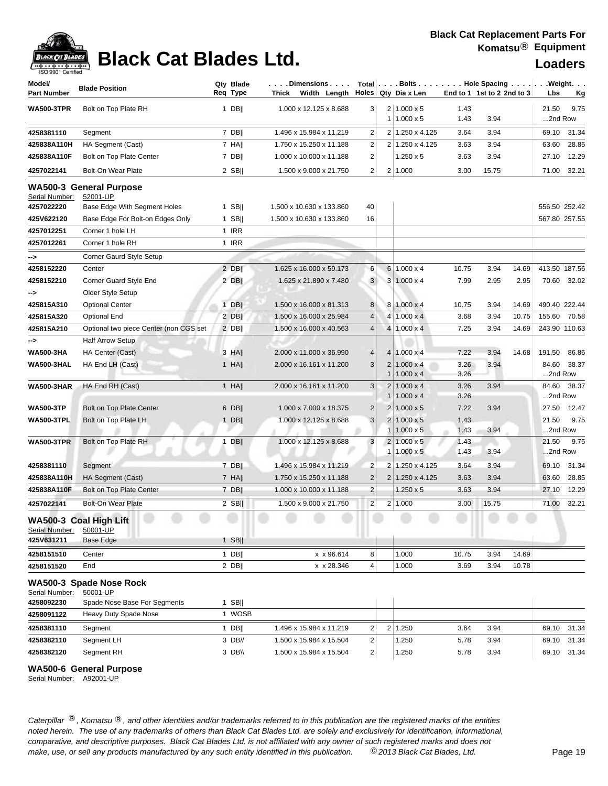

| Model/<br><b>Part Number</b> | <b>Blade Position</b>                      | Qty Blade<br>Req Type | $\vert \ldots$ . Dimensions $\ldots$ .<br>Thick Width Length Holes Qty Diax Len |                         |                | Total   Bolts Hole Spacing Weight.     |              | End to 1 1st to 2 2nd to 3 |       | Lbs              | <u>Kg</u>   |
|------------------------------|--------------------------------------------|-----------------------|---------------------------------------------------------------------------------|-------------------------|----------------|----------------------------------------|--------------|----------------------------|-------|------------------|-------------|
| <b>WA500-3TPR</b>            | Bolt on Top Plate RH                       | 1 DB                  | 1.000 x 12.125 x 8.688                                                          | 3 <sup>2</sup>          |                | $2 1.000 \times 5$                     | 1.43         |                            |       | 21.50            | 9.75        |
|                              |                                            |                       |                                                                                 |                         |                | $1 1.000 \times 5$                     | 1.43         | 3.94                       |       | 2nd Row          |             |
| 4258381110                   | Segment                                    | $7$ DB                | 1.496 x 15.984 x 11.219                                                         | 2                       |                | 2 1.250 x 4.125                        | 3.64         | 3.94                       |       |                  | 69.10 31.34 |
| 425838A110H                  | HA Segment (Cast)                          | $7$ HA                | 1.750 x 15.250 x 11.188                                                         | 2                       |                | 2 1.250 x 4.125                        | 3.63         | 3.94                       |       | 63.60            | 28.85       |
| 425838A110F                  | Bolt on Top Plate Center                   | $7$ DB                | 1.000 x 10.000 x 11.188                                                         | $\overline{2}$          |                | $1.250 \times 5$                       | 3.63         | 3.94                       |       |                  | 27.10 12.29 |
| 4257022141                   | Bolt-On Wear Plate                         | $2$ SB                | 1.500 x 9.000 x 21.750                                                          | $\overline{2}$          |                | 2 1.000                                | 3.00         | 15.75                      |       |                  | 71.00 32.21 |
| Serial Number:               | <b>WA500-3 General Purpose</b><br>52001-UP |                       |                                                                                 |                         |                |                                        |              |                            |       |                  |             |
| 4257022220                   | Base Edge With Segment Holes               | $1$ SB                | 1.500 x 10.630 x 133.860                                                        | 40                      |                |                                        |              |                            |       | 556.50 252.42    |             |
| 425V622120                   | Base Edge For Bolt-on Edges Only           | $1$ SB                | 1.500 x 10.630 x 133.860                                                        | 16                      |                |                                        |              |                            |       | 567.80 257.55    |             |
| 4257012251                   | Corner 1 hole LH                           | 1 IRR                 |                                                                                 |                         |                |                                        |              |                            |       |                  |             |
| 4257012261                   | Corner 1 hole RH                           | 1 IRR                 |                                                                                 |                         |                |                                        |              |                            |       |                  |             |
| ⊸>                           | Corner Gaurd Style Setup                   |                       |                                                                                 |                         |                |                                        |              |                            |       |                  |             |
| 4258152220                   | Center                                     | $2$ DB                | 1.625 x 16.000 x 59.173                                                         | 6                       |                | $6 1.000 \times 4$                     | 10.75        | 3.94                       | 14.69 | 413.50 187.56    |             |
| 4258152210                   | Corner Guard Style End                     | $2$ DB                | 1.625 x 21.890 x 7.480                                                          | 3                       |                | $3 1.000 \times 4$                     | 7.99         | 2.95                       | 2.95  |                  | 70.60 32.02 |
| -->                          | Older Style Setup                          |                       |                                                                                 |                         |                |                                        |              |                            |       |                  |             |
| 425815A310                   | <b>Optional Center</b>                     | $1$ DB                | 1.500 x 16.000 x 81.313                                                         | 8                       |                | $8 1.000 \times 4$                     | 10.75        | 3.94                       | 14.69 | 490.40 222.44    |             |
| 425815A320                   | <b>Optional End</b>                        | $2$ DB                | 1.500 x 16.000 x 25.984                                                         | $\overline{4}$          |                | $4 1.000 \times 4$                     | 3.68         | 3.94                       | 10.75 | 155.60 70.58     |             |
| 425815A210                   | Optional two piece Center (non CGS set     | $2$ DB                | 1.500 x 16.000 x 40.563                                                         | $\overline{4}$          |                | $4 1.000 \times 4$                     | 7.25         | 3.94                       | 14.69 | 243.90 110.63    |             |
| ⊸>                           | <b>Half Arrow Setup</b>                    |                       |                                                                                 |                         |                |                                        |              |                            |       |                  |             |
| <b>WA500-3HA</b>             | HA Center (Cast)                           | 3 HA                  | 2.000 x 11.000 x 36.990                                                         | 4                       |                | $4 1.000 \times 4$                     | 7.22         | 3.94                       | 14.68 | 191.50           | 86.86       |
| <b>WA500-3HAL</b>            | HA End LH (Cast)                           | $1$ HA                | 2.000 x 16.161 x 11.200                                                         | 3                       |                | $2 1.000 \times 4$                     | 3.26         | 3.94                       |       |                  | 84.60 38.37 |
|                              |                                            |                       |                                                                                 |                         | 1 <sup>1</sup> | $1.000 \times 4$                       | 3.26         |                            |       | 2nd Row          |             |
| <b>WA500-3HAR</b>            | HA End RH (Cast)                           | $1$ HA                | 2.000 x 16.161 x 11.200                                                         | 3                       |                | $2 1.000 \times 4$                     | 3.26         | 3.94                       |       |                  | 84.60 38.37 |
|                              |                                            |                       |                                                                                 |                         | 1              | $1.000 \times 4$                       | 3.26         |                            |       | 2nd Row          |             |
| <b>WA500-3TP</b>             | Bolt on Top Plate Center                   | $6$ DB                | 1.000 x 7.000 x 18.375                                                          | $\overline{c}$          |                | $2 1.000 \times 5$                     | 7.22         | 3.94                       |       |                  | 27.50 12.47 |
| <b>WA500-3TPL</b>            | Bolt on Top Plate LH                       | $1$ DB                | 1.000 x 12.125 x 8.688                                                          | 3                       |                | $2 1.000 \times 5$<br>$1.000 \times 5$ | 1.43<br>1.43 | 3.94                       |       | 21.50<br>2nd Row | 9.75        |
| <b>WA500-3TPR</b>            | Bolt on Top Plate RH                       | $1$ DB                | 1.000 x 12.125 x 8.688                                                          | 3                       |                | $2 1.000 \times 5$                     | 1.43         |                            |       | 21.50            | 9.75        |
|                              |                                            |                       |                                                                                 |                         |                | $1 1.000 \times 5$                     | 1.43         | 3.94                       |       | 2nd Row          |             |
| 4258381110                   | Segment                                    | $7$ DB                | 1.496 x 15.984 x 11.219                                                         | $\overline{\mathbf{c}}$ | $\overline{2}$ | 1.250 x 4.125                          | 3.64         | 3.94                       |       |                  | 69.10 31.34 |
| 425838A110H                  | HA Segment (Cast)                          | $7$ HA                | 1.750 x 15.250 x 11.188                                                         | $\overline{2}$          |                | 2 1.250 x 4.125                        | 3.63         | 3.94                       |       | 63.60            | 28.85       |
| 425838A110F                  | Bolt on Top Plate Center                   | $7$ DB                | 1.000 x 10.000 x 11.188                                                         | $\overline{2}$          |                | $1.250 \times 5$                       | 3.63         | 3.94                       |       | 27.10            | 12.29       |
| 4257022141                   | Bolt-On Wear Plate                         | $2$ SB                | 1.500 x 9.000 x 21.750                                                          | $\overline{c}$          |                | 2 1.000                                | 3.00         | 15.75                      |       | 71.00            | 32.21       |
| Serial Number:               | WA500-3 Coal High Lift<br>50001-UP         |                       |                                                                                 |                         |                |                                        |              |                            |       |                  |             |
| 425V631211                   | Base Edge                                  | $1$ SB                |                                                                                 |                         |                |                                        |              |                            |       |                  |             |
| 4258151510                   | Center                                     | $1$ DB                | x x 96.614                                                                      | 8                       |                | 1.000                                  | 10.75        | 3.94                       | 14.69 |                  |             |
| 4258151520                   | End                                        | $2$ DB                | x x 28.346                                                                      | $\overline{4}$          |                | 1.000                                  | 3.69         | 3.94                       | 10.78 |                  |             |
|                              | WA500-3 Spade Nose Rock                    |                       |                                                                                 |                         |                |                                        |              |                            |       |                  |             |
| Serial Number:               | 50001-UP                                   |                       |                                                                                 |                         |                |                                        |              |                            |       |                  |             |
| 4258092230                   | Spade Nose Base For Segments               | $1$ SB                |                                                                                 |                         |                |                                        |              |                            |       |                  |             |
| 4258091122                   | Heavy Duty Spade Nose                      | 1 WOSB                |                                                                                 |                         |                |                                        |              |                            |       |                  |             |
| 4258381110                   | Segment                                    | 1 DB                  | 1.496 x 15.984 x 11.219                                                         | $\overline{\mathbf{c}}$ |                | 2 1.250                                | 3.64         | 3.94                       |       |                  | 69.10 31.34 |
| 4258382110                   | Segment LH                                 | 3 DB//                | 1.500 x 15.984 x 15.504                                                         | $\overline{\mathbf{c}}$ |                | 1.250                                  | 5.78         | 3.94                       |       |                  | 69.10 31.34 |
| 4258382120                   | Segment RH                                 | 3 DB\\                | 1.500 x 15.984 x 15.504                                                         | $\overline{2}$          |                | 1.250                                  | 5.78         | 3.94                       |       |                  | 69.10 31.34 |

**WA500-6 General Purpose**

Serial Number: A92001-UP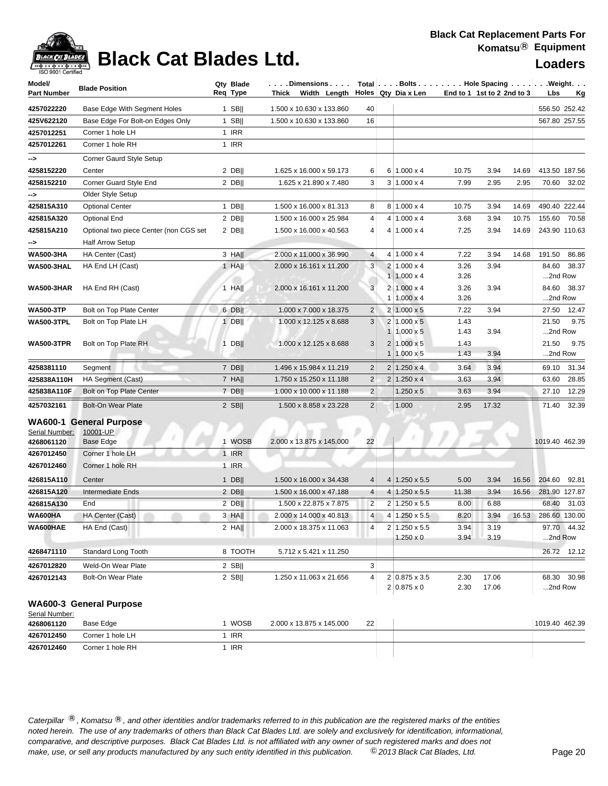## **Black Cat Blades Ltd. Loaders Legand Report Report Report Report Report Report Report Report Report Report Report Report Report Report Report Report Report Report Report Report Report Report Report Report Report Repor**

| Model/<br><b>Part Number</b> | <b>Blade Position</b>                  | Qty Blade<br>Req Type | . Dimensions<br>Thick<br>Width Length |                         | Total Bolts Hole Spacing Weight.<br>Holes Qty Dia x Len | End to 1 1st to 2 2nd to 3 |       |       | Lbs            | <u>Kg</u>     |
|------------------------------|----------------------------------------|-----------------------|---------------------------------------|-------------------------|---------------------------------------------------------|----------------------------|-------|-------|----------------|---------------|
| 4257022220                   | Base Edge With Segment Holes           | 1 SB $  $             | 1.500 x 10.630 x 133.860              | 40                      |                                                         |                            |       |       |                | 556.50 252.42 |
| 425V622120                   | Base Edge For Bolt-on Edges Only       | $1$ SB                | 1.500 x 10.630 x 133.860              | 16                      |                                                         |                            |       |       |                | 567.80 257.55 |
| 4257012251                   | Corner 1 hole LH                       | 1 IRR                 |                                       |                         |                                                         |                            |       |       |                |               |
| 4257012261                   | Corner 1 hole RH                       | 1 IRR                 |                                       |                         |                                                         |                            |       |       |                |               |
|                              | Corner Gaurd Style Setup               |                       |                                       |                         |                                                         |                            |       |       |                |               |
| --><br>4258152220            | Center                                 | $2$ DB                | 1.625 x 16.000 x 59.173               | 6                       | $6 1.000 \times 4$                                      | 10.75                      | 3.94  | 14.69 |                | 413.50 187.56 |
| 4258152210                   | Corner Guard Style End                 | $2$ DB                | 1.625 x 21.890 x 7.480                | 3                       | $3 1.000 \times 4$                                      | 7.99                       | 2.95  | 2.95  | 70.60          | 32.02         |
|                              | Older Style Setup                      |                       |                                       |                         |                                                         |                            |       |       |                |               |
| --><br>425815A310            | <b>Optional Center</b>                 | 1 $DB$                | 1.500 x 16.000 x 81.313               | 8                       | $8 1.000 \times 4$                                      | 10.75                      | 3.94  | 14.69 |                | 490.40 222.44 |
| 425815A320                   | <b>Optional End</b>                    | $2$ DB                | 1.500 x 16.000 x 25.984               | 4                       | $4 1.000 \times 4$                                      | 3.68                       | 3.94  | 10.75 | 155.60         | 70.58         |
| 425815A210                   | Optional two piece Center (non CGS set | $2$ DB                | 1.500 x 16.000 x 40.563               | 4                       | $4 1.000 \times 4$                                      | 7.25                       | 3.94  | 14.69 |                | 243.90 110.63 |
| ⊸>                           | <b>Half Arrow Setup</b>                |                       |                                       |                         |                                                         |                            |       |       |                |               |
| <b>WA500-3HA</b>             | HA Center (Cast)                       | $3$ HA                | 2.000 x 11.000 x 36.990               | 4                       | $4 1.000 \times 4$                                      | 7.22                       | 3.94  | 14.68 | 191.50         | 86.86         |
| <b>WA500-3HAL</b>            | HA End LH (Cast)                       | 1 HA                  | 2.000 x 16.161 x 11.200               | 3                       | $2 1.000 \times 4$                                      | 3.26                       | 3.94  |       | 84.60          | 38.37         |
|                              |                                        |                       |                                       |                         | $1 1.000 \times 4$                                      | 3.26                       |       |       | 2nd Row        |               |
| <b>WA500-3HAR</b>            | HA End RH (Cast)                       | 1 HA                  | 2.000 x 16.161 x 11.200               | $\mathbf{3}$            | $2 1.000 \times 4$                                      | 3.26                       | 3.94  |       | 84.60          | 38.37         |
|                              |                                        |                       |                                       |                         | $1 1.000 \times 4$                                      | 3.26                       |       |       | 2nd Row        |               |
| <b>WA500-3TP</b>             | Bolt on Top Plate Center               | 6 DB                  | 1.000 x 7.000 x 18.375                | $\overline{\mathbf{c}}$ | $2 1.000 \times 5$                                      | 7.22                       | 3.94  |       | 27.50          | 12.47         |
| <b>WA500-3TPL</b>            | Bolt on Top Plate LH                   | $1$ DB                | 1.000 x 12.125 x 8.688                | 3                       | $2 1.000 \times 5$                                      | 1.43                       |       |       | 21.50          | 9.75          |
|                              |                                        |                       |                                       |                         | $1 1.000 \times 5$                                      | 1.43                       | 3.94  |       | 2nd Row        |               |
| <b>WA500-3TPR</b>            | Bolt on Top Plate RH                   | $1$ DB                | 1.000 x 12.125 x 8.688                | 3                       | $2 1.000 \times 5$                                      | 1.43                       |       |       | 21.50          | 9.75          |
|                              |                                        |                       |                                       |                         | $1 1.000 \times 5$                                      | 1.43                       | 3.94  |       | 2nd Row        |               |
| 4258381110                   | Segment                                | 7 DB                  | 1.496 x 15.984 x 11.219               | $\overline{2}$          | $2 1.250 \times 4$                                      | 3.64                       | 3.94  |       | 69.10          | 31.34         |
| 425838A110H                  | HA Segment (Cast)                      | $7$ HA                | 1.750 x 15.250 x 11.188               | $\overline{2}$          | $2 1.250 \times 4$                                      | 3.63                       | 3.94  |       | 63.60          | 28.85         |
| 425838A110F                  | Bolt on Top Plate Center               | $7$ DB                | 1.000 x 10.000 x 11.188               | $\overline{c}$          | $1.250 \times 5$                                        | 3.63                       | 3.94  |       | 27.10          | 12.29         |
| 4257032161                   | <b>Bolt-On Wear Plate</b>              | $2$ SB                | 1.500 x 8.858 x 23.228                | $\overline{2}$          | 1.000                                                   | 2.95                       | 17.32 |       | 71.40          | 32.39         |
|                              | <b>WA600-1 General Purpose</b>         |                       |                                       |                         |                                                         |                            |       |       |                |               |
| Serial Number:               | 10001-UP                               |                       |                                       |                         |                                                         |                            |       |       |                |               |
| 4268061120                   | Base Edge                              | 1 WOSB                | 2.000 x 13.875 x 145.000              | 22                      |                                                         |                            |       |       | 1019.40 462.39 |               |
| 4267012450                   | Corner 1 hole LH                       | <b>1 IRR</b>          |                                       |                         |                                                         |                            |       |       |                |               |
| 4267012460                   | Corner 1 hole RH                       | 1 IRR                 |                                       |                         |                                                         |                            |       |       |                |               |
| 426815A110                   | Center                                 | 1 DB                  | 1.500 x 16.000 x 34.438               | 4                       | $4 1.250 \times 5.5$                                    | 5.00                       | 3.94  | 16.56 | 204.60         | 92.81         |
| 426815A120                   | Intermediate Ends                      | $2$ DB                | 1.500 x 16.000 x 47.188               | 4                       | $4 \mid 1.250 \times 5.5$                               | 11.38                      | 3.94  | 16.56 |                | 281.90 127.87 |
| 426815A130                   | End                                    | $2$ DB                | 1.500 x 22.875 x 7.875                | $\overline{\mathbf{c}}$ | 2 1.250 x 5.5                                           | 8.00                       | 6.88  |       | 68.40          | 31.03         |
| WA600HA                      | HA Center (Cast)                       | 3 HAII                | 2.000 x 14.000 x 40.813               | 4 <sup>1</sup>          | $4 1.250 \times 5.5$                                    | 8.20                       | 3.94  | 16.53 |                | 286.60 130.00 |
| WA600HAE                     | HA End (Cast)                          | $2$ HA                | 2.000 x 18.375 x 11.063               | 4                       | $2 1.250 \times 5.5$                                    | 3.94                       | 3.19  |       |                | 97.70 44.32   |
|                              |                                        |                       |                                       |                         | $1.250 \times 0$                                        | 3.94                       | 3.19  |       | 2nd Row        |               |
| 4268471110                   | Standard Long Tooth                    | 8 TOOTH               | 5.712 x 5.421 x 11.250                |                         |                                                         |                            |       |       |                | 26.72 12.12   |
| 4267012820                   | Weld-On Wear Plate                     | $2$ SB                |                                       | 3                       |                                                         |                            |       |       |                |               |
| 4267012143                   | Bolt-On Wear Plate                     | $2$ SB                | 1.250 x 11.063 x 21.656               | 4                       | 2 0.875 x 3.5                                           | 2.30                       | 17.06 |       |                | 68.30 30.98   |
|                              |                                        |                       |                                       |                         | $2 0.875 \times 0$                                      | 2.30                       | 17.06 |       | 2nd Row        |               |
| Serial Number:               | WA600-3 General Purpose                |                       |                                       |                         |                                                         |                            |       |       |                |               |
| 4268061120                   | Base Edge                              | 1 WOSB                | 2.000 x 13.875 x 145.000              | 22                      |                                                         |                            |       |       | 1019.40 462.39 |               |
| 4267012450                   | Corner 1 hole LH                       | 1 IRR                 |                                       |                         |                                                         |                            |       |       |                |               |
| 4267012460                   | Corner 1 hole RH                       | 1 IRR                 |                                       |                         |                                                         |                            |       |       |                |               |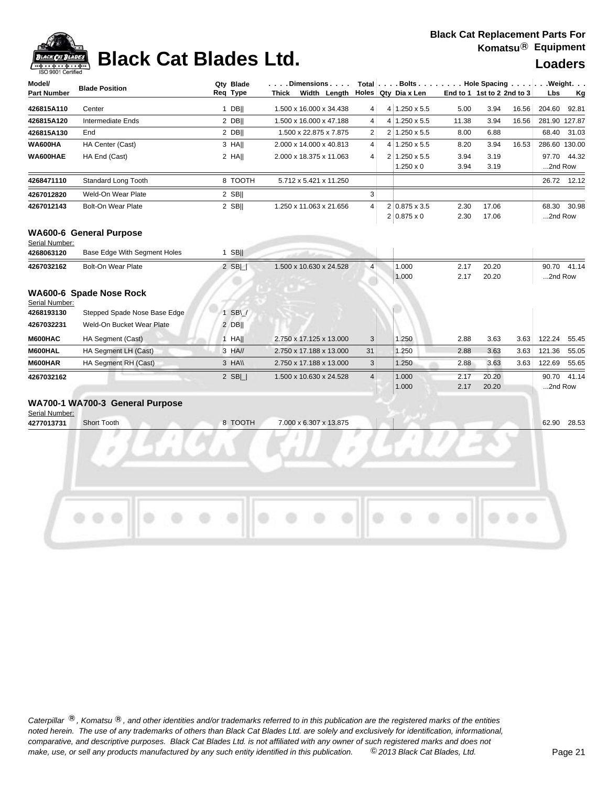### **Black Cat Replacement Parts For Komatsu**® **Equipment**



### **Black Cat Blades Ltd. Loaders Loaders**

| Model/             | <b>Blade Position</b> | Qtv Blade |       | Dimensions              |                 | Total $\ldots$ Bolts $\ldots$ $\ldots$ $\ldots$ Hole Spacing $\ldots$ $\ldots$ . Weight. $\ldots$ |                            |       |       |               |             |
|--------------------|-----------------------|-----------|-------|-------------------------|-----------------|---------------------------------------------------------------------------------------------------|----------------------------|-------|-------|---------------|-------------|
| <b>Part Number</b> |                       | Reg Type  | Thick | Width Length            |                 | Holes   Qty Dia x Len                                                                             | End to 1 1st to 2 2nd to 3 |       |       | <b>Lbs</b>    | Kg          |
| 426815A110         | Center                | DBII      |       | 1.500 x 16.000 x 34.438 | 4 <sup>1</sup>  | 4 1.250 x 5.5                                                                                     | 5.00                       | 3.94  | 16.56 | 204.60        | 92.81       |
| 426815A120         | Intermediate Ends     | 2 DBII    |       | 1.500 x 16.000 x 47.188 | $\vert 4 \vert$ | $4 1.250 \times 5.5$                                                                              | 11.38                      | 3.94  | 16.56 | 281.90 127.87 |             |
| 426815A130         | End                   | 2 DBII    |       | 1.500 x 22.875 x 7.875  | 2 <sup>1</sup>  | $2 1.250 \times 5.5 $                                                                             | 8.00                       | 6.88  |       |               | 68.40 31.03 |
| WA600HA            | HA Center (Cast)      | 3 HAII    |       | 2.000 x 14.000 x 40.813 | 4 <sup>1</sup>  | $4 1.250 \times 5.5$                                                                              | 8.20                       | 3.94  | 16.53 | 286.60 130.00 |             |
| WA600HAE           | HA End (Cast)         | 2 HAII    |       | 2.000 x 18.375 x 11.063 | 4 <sup>1</sup>  | $2 1.250 \times 5.5 $                                                                             | 3.94                       | 3.19  |       |               | 97.70 44.32 |
|                    |                       |           |       |                         |                 | $1.250 \times 0$                                                                                  | 3.94                       | 3.19  |       | 2nd Row       |             |
| 4268471110         | Standard Long Tooth   | 8 TOOTH   |       | 5.712 x 5.421 x 11.250  |                 |                                                                                                   |                            |       |       |               | 26.72 12.12 |
| 4267012820         | Weld-On Wear Plate    | $2$ SB    |       |                         | 3               |                                                                                                   |                            |       |       |               |             |
| 4267012143         | Bolt-On Wear Plate    | 2 SBII    |       | 1.250 x 11.063 x 21.656 | $\vert$ 4       | 2 0.875 x 3.5                                                                                     | 2.30                       | 17.06 |       |               | 68.30 30.98 |
|                    |                       |           |       |                         |                 | $2 0.875 \times 0$                                                                                | 2.30                       | 17.06 |       | 2nd Row       |             |

### **WA600-6 General Purpose**

| Serial Number: |                              |                |                         |                |       |      |       |      |         |       |
|----------------|------------------------------|----------------|-------------------------|----------------|-------|------|-------|------|---------|-------|
| 4268063120     | Base Edge With Segment Holes | <b>SBII</b>    |                         |                |       |      |       |      |         |       |
| 4267032162     | <b>Bolt-On Wear Plate</b>    | $2$ SB  $ $    | 1.500 x 10.630 x 24.528 | 4              | 1.000 | 2.17 | 20.20 |      | 90.70   | 41.14 |
|                |                              |                |                         |                | 1.000 | 2.17 | 20.20 |      | 2nd Row |       |
|                | WA600-6 Spade Nose Rock      |                |                         |                |       |      |       |      |         |       |
| Serial Number: |                              |                |                         |                |       |      |       |      |         |       |
| 4268193130     | Stepped Spade Nose Base Edge | 1 SB $\sqrt{}$ |                         |                |       |      |       |      |         |       |
| 4267032231     | Weld-On Bucket Wear Plate    | $2$ DB         |                         |                |       |      |       |      |         |       |
| M600HAC        | HA Segment (Cast)            | $1$ HAII       | 2.750 x 17.125 x 13.000 | 3              | 1.250 | 2.88 | 3.63  | 3.63 | 122.24  | 55.45 |
| M600HAL        | HA Segment LH (Cast)         | 3 HAV/         | 2.750 x 17.188 x 13.000 | 31             | .250  | 2.88 | 3.63  | 3.63 | 121.36  | 55.05 |
| M600HAR        | HA Segment RH (Cast)         | 3 HAII         | 2.750 x 17.188 x 13.000 | 3              | 1.250 | 2.88 | 3.63  | 3.63 | 122.69  | 55.65 |
| 4267032162     |                              | 2 $SB$         | 1.500 x 10.630 x 24.528 | 4 <sub>1</sub> | 1.000 | 2.17 | 20.20 |      | 90.70   | 41.14 |
|                |                              |                |                         |                | 1.000 | 2.17 | 20.20 |      | 2nd Row |       |

### **WA700-1 WA700-3 General Purpose**

Serial Number:

| 4277013731 | <b>Short Tooth</b> | 8 TOOTH | 7.000 x 6.307 x 13.875 |  | 62.90<br>28.53 |
|------------|--------------------|---------|------------------------|--|----------------|
|            |                    |         |                        |  |                |
|            |                    |         |                        |  |                |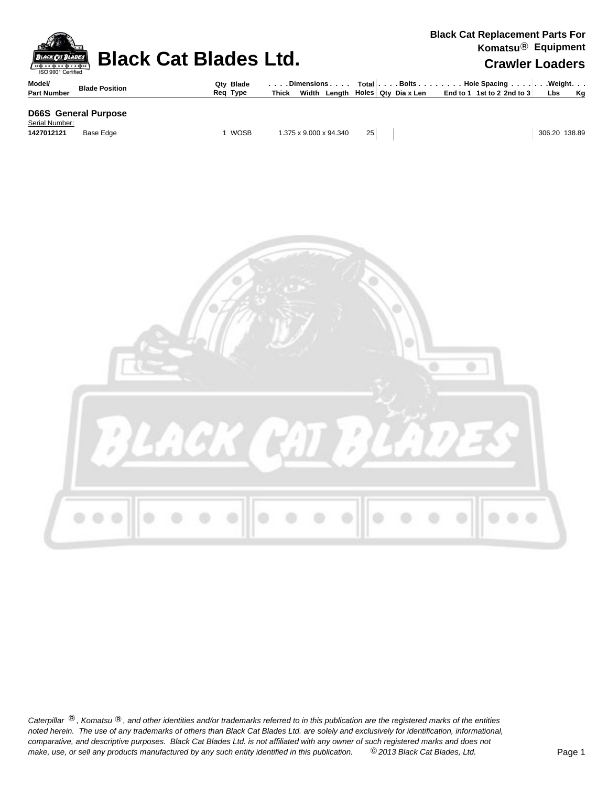| <b>BLACK CAT BLADES</b><br>ISO 9001 Certified |                             | <b>Black Cat Blades Ltd.</b> |                                                                | <b>Black Cat Replacement Parts For</b><br>Komatsu <sup>®</sup> Equipment<br><b>Crawler Loaders</b> |                                                                           |  |               |  |  |  |  |  |
|-----------------------------------------------|-----------------------------|------------------------------|----------------------------------------------------------------|----------------------------------------------------------------------------------------------------|---------------------------------------------------------------------------|--|---------------|--|--|--|--|--|
| Model/<br><b>Part Number</b>                  | <b>Blade Position</b>       | Qty Blade<br>Reg Type        | Dimensions   Total   Bolts    Hole Spacing     Weight<br>Thick |                                                                                                    | Width Length   Holes   Qty Diax Len   End to 1 1st to 2 2nd to 3   Lbs Kg |  |               |  |  |  |  |  |
| Serial Number:                                | <b>D66S</b> General Purpose |                              |                                                                |                                                                                                    |                                                                           |  |               |  |  |  |  |  |
| 1427012121                                    | Base Edge                   | <b>WOSB</b>                  | 1.375 x 9.000 x 94.340                                         | 25                                                                                                 |                                                                           |  | 306.20 138.89 |  |  |  |  |  |

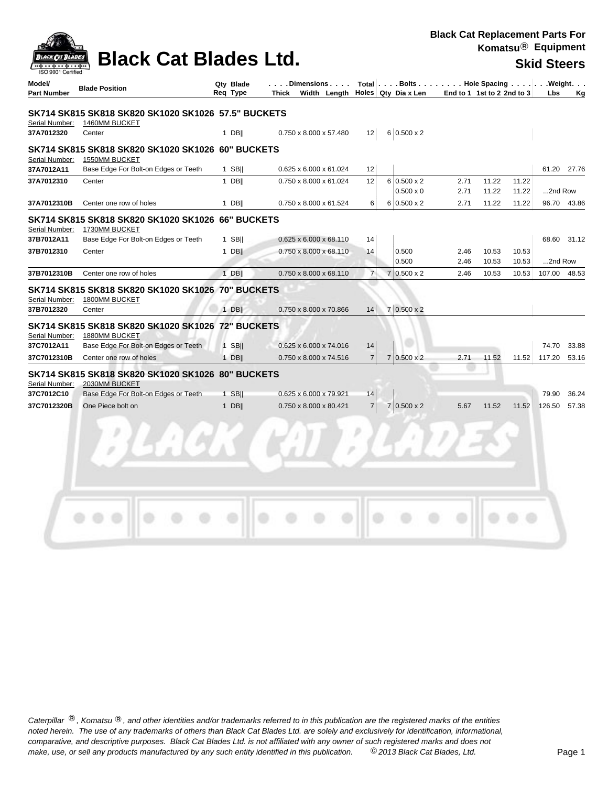|                                                | <b>Black Cat Blades Ltd.</b>                                                                                                                       |                       |                                       |                |                |                                                         |                            | Komatsu <sup>®</sup> Equipment |                |                    |             |
|------------------------------------------------|----------------------------------------------------------------------------------------------------------------------------------------------------|-----------------------|---------------------------------------|----------------|----------------|---------------------------------------------------------|----------------------------|--------------------------------|----------------|--------------------|-------------|
| SO 9001 Certified                              |                                                                                                                                                    |                       |                                       |                |                |                                                         |                            |                                |                | <b>Skid Steers</b> |             |
| Model/<br><b>Part Number</b>                   | <b>Blade Position</b>                                                                                                                              | Qty Blade<br>Req Type | . Dimensions<br>Thick<br>Width Length |                |                | Total Bolts Hole Spacing Weight.<br>Holes Qty Dia x Len | End to 1 1st to 2 2nd to 3 |                                |                | Lbs                | Κq          |
|                                                | SK714 SK815 SK818 SK820 SK1020 SK1026 57.5" BUCKETS                                                                                                |                       |                                       |                |                |                                                         |                            |                                |                |                    |             |
| Serial Number:<br>37A7012320                   | 1460MM BUCKET<br>Center                                                                                                                            | $1$ DB                | 0.750 x 8.000 x 57.480                | 12             |                | $6 0.500 \times 2$                                      |                            |                                |                |                    |             |
| Serial Number:                                 | SK714 SK815 SK818 SK820 SK1020 SK1026  60" BUCKETS<br>1550MM BUCKET                                                                                |                       |                                       |                |                |                                                         |                            |                                |                |                    |             |
| 37A7012A11                                     | Base Edge For Bolt-on Edges or Teeth                                                                                                               | $1$ SB                | 0.625 x 6.000 x 61.024                | 12             |                |                                                         |                            |                                |                |                    | 61.20 27.76 |
| 37A7012310                                     | Center                                                                                                                                             | $1$ DB                | 0.750 x 8.000 x 61.024                | 12             |                | $6 0.500 \times 2$<br>$0.500 \times 0$                  | 2.71<br>2.71               | 11.22<br>11.22                 | 11.22<br>11.22 | 2nd Row            |             |
| 37A7012310B                                    | Center one row of holes                                                                                                                            | $1$ DB                | 0.750 x 8.000 x 61.524                | 6              |                | $6 0.500 \times 2$                                      | 2.71                       | 11.22                          | 11.22          |                    | 96.70 43.86 |
| Serial Number:                                 | SK714 SK815 SK818 SK820 SK1020 SK1026 66" BUCKETS<br>1730MM BUCKET                                                                                 |                       |                                       |                |                |                                                         |                            |                                |                |                    |             |
| 37B7012A11                                     | Base Edge For Bolt-on Edges or Teeth                                                                                                               | $1$ SB                | 0.625 x 6.000 x 68.110                | 14             |                |                                                         |                            |                                |                |                    | 68.60 31.12 |
| 37B7012310                                     | Center                                                                                                                                             | $1$ DB                | $0.750 \times 8.000 \times 68.110$    | 14             |                | 0.500<br>0.500                                          | 2.46<br>2.46               | 10.53<br>10.53                 | 10.53<br>10.53 | 2nd Row            |             |
| 37B7012310B                                    | Center one row of holes                                                                                                                            | $1$ DB                | 0.750 x 8.000 x 68.110                | $\overline{7}$ | $\overline{7}$ | $0.500 \times 2$                                        | 2.46                       | 10.53                          | 10.53          | 107.00 48.53       |             |
| Serial Number:<br>37B7012320<br>Serial Number: | SK714 SK815 SK818 SK820 SK1020 SK1026 70" BUCKETS<br>1800MM BUCKET<br>Center<br>SK714 SK815 SK818 SK820 SK1020 SK1026 72" BUCKETS<br>1880MM BUCKET | $1$ DB                | 0.750 x 8.000 x 70.866                | 14             |                | $7 0.500 \times 2$                                      |                            |                                |                |                    |             |
| 37C7012A11                                     | Base Edge For Bolt-on Edges or Teeth                                                                                                               | $1$ SB                | 0.625 x 6.000 x 74.016                | 14             |                |                                                         |                            |                                |                | 74.70              | 33.88       |
| 37C7012310B                                    | Center one row of holes                                                                                                                            | $1$ DB                | 0.750 x 8.000 x 74.516                | $\overline{7}$ |                | $7 0.500 \times 2$                                      | 2.71                       | 11.52                          | 11.52          | 117.20             | 53.16       |
| Serial Number:<br>37C7012C10                   | SK714 SK815 SK818 SK820 SK1020 SK1026 80" BUCKETS<br>2030MM BUCKET<br>Base Edge For Bolt-on Edges or Teeth                                         | 1 SBII                | 0.625 x 6.000 x 79.921                | 14             |                |                                                         |                            |                                |                | 79.90              | 36.24       |
| 37C7012320B                                    | One Piece bolt on                                                                                                                                  | $1$ DB                | 0.750 x 8.000 x 80.421                | $\overline{7}$ |                | $7 0.500 \times 2$                                      | 5.67                       | 11.52                          | 11.52          | 126.50             | 57.38       |
|                                                |                                                                                                                                                    |                       |                                       |                |                |                                                         |                            |                                |                |                    |             |

**Black Cat Replacement Parts For**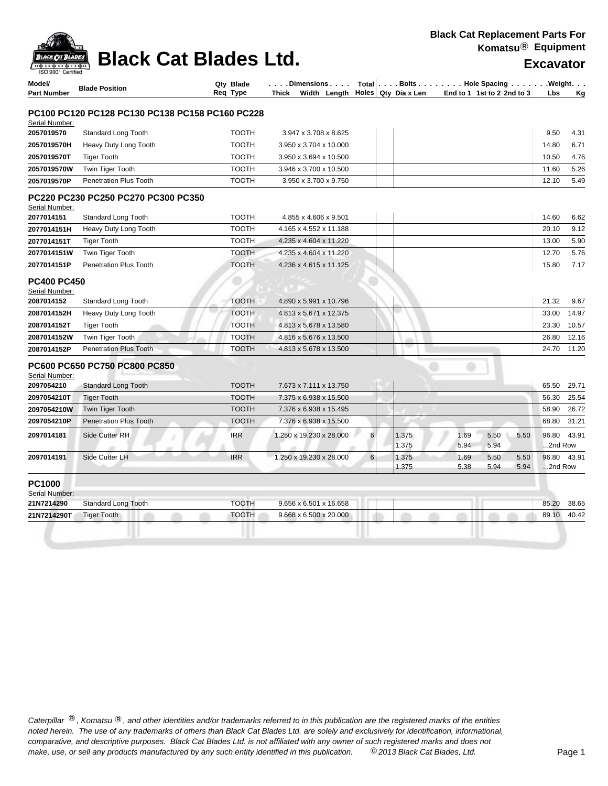**Black Cat Blades Ltd. Excavator Excavator** 

CK CAT BLADES

| Model/<br><b>Part Number</b>         | <b>Blade Position</b>                           | Qty Blade<br>Reg Type | . Dimensions<br>Thick<br>Width Lenath |   | Holes Qty Dia x Len |  |              | Total Bolts Hole Spacing Weight.<br>End to 1 1st to 2 2nd to 3 |               | <b>Lbs</b> | Κq          |
|--------------------------------------|-------------------------------------------------|-----------------------|---------------------------------------|---|---------------------|--|--------------|----------------------------------------------------------------|---------------|------------|-------------|
|                                      |                                                 |                       |                                       |   |                     |  |              |                                                                |               |            |             |
|                                      | PC100 PC120 PC128 PC130 PC138 PC158 PC160 PC228 |                       |                                       |   |                     |  |              |                                                                |               |            |             |
| Serial Number:                       |                                                 |                       |                                       |   |                     |  |              |                                                                |               |            |             |
| 2057019570                           | Standard Long Tooth                             | <b>TOOTH</b>          | 3.947 x 3.708 x 8.625                 |   |                     |  |              |                                                                |               | 9.50       | 4.31        |
| 2057019570H                          | Heavy Duty Long Tooth                           | <b>TOOTH</b>          | 3.950 x 3.704 x 10.000                |   |                     |  |              |                                                                | 14.80         |            | 6.71        |
| 2057019570T                          | <b>Tiger Tooth</b>                              | <b>TOOTH</b>          | 3.950 x 3.694 x 10.500                |   |                     |  |              |                                                                | 10.50         |            | 4.76        |
| 2057019570W                          | Twin Tiger Tooth                                | <b>TOOTH</b>          | 3.946 x 3.700 x 10.500                |   |                     |  |              |                                                                | 11.60         |            | 5.26        |
| 2057019570P                          | <b>Penetration Plus Tooth</b>                   | <b>TOOTH</b>          | 3.950 x 3.700 x 9.750                 |   |                     |  |              |                                                                | 12.10         |            | 5.49        |
| Serial Number:                       | PC220 PC230 PC250 PC270 PC300 PC350             |                       |                                       |   |                     |  |              |                                                                |               |            |             |
| 2077014151                           | Standard Long Tooth                             | <b>TOOTH</b>          | 4.855 x 4.606 x 9.501                 |   |                     |  |              |                                                                | 14.60         |            | 6.62        |
| 2077014151H                          | Heavy Duty Long Tooth                           | <b>TOOTH</b>          | 4.165 x 4.552 x 11.188                |   |                     |  |              |                                                                | 20.10         |            | 9.12        |
| 2077014151T                          | <b>Tiger Tooth</b>                              | <b>TOOTH</b>          | 4.235 x 4.604 x 11.220                |   |                     |  |              |                                                                | 13.00         |            | 5.90        |
| 2077014151W                          | Twin Tiger Tooth                                | <b>TOOTH</b>          | 4.235 x 4.604 x 11.220                |   |                     |  |              |                                                                | 12.70         |            | 5.76        |
| 2077014151P                          | <b>Penetration Plus Tooth</b>                   | <b>TOOTH</b>          | 4.236 x 4.615 x 11.125                |   |                     |  |              |                                                                | 15.80         |            | 7.17        |
| <b>PC400 PC450</b><br>Serial Number: |                                                 |                       |                                       |   |                     |  |              |                                                                |               |            |             |
| 2087014152                           | Standard Long Tooth                             | <b>TOOTH</b>          | 4.890 x 5.991 x 10.796                |   |                     |  |              |                                                                | 21.32         |            | 9.67        |
| 2087014152H                          | Heavy Duty Long Tooth                           | <b>TOOTH</b>          | 4.813 x 5.671 x 12.375                |   |                     |  |              |                                                                | 33.00         |            | 14.97       |
| 2087014152T                          | <b>Tiger Tooth</b>                              | <b>TOOTH</b>          | 4.813 x 5.678 x 13.580                |   |                     |  |              |                                                                | 23.30         |            | 10.57       |
| 2087014152W                          | Twin Tiger Tooth                                | <b>TOOTH</b>          | 4.816 x 5.676 x 13.500                |   |                     |  |              |                                                                | 26.80         |            | 12.16       |
| 2087014152P                          | <b>Penetration Plus Tooth</b>                   | <b>TOOTH</b>          | 4.813 x 5.678 x 13.500                |   |                     |  |              |                                                                | 24.70         |            | 11.20       |
| Serial Number:                       | <b>PC600 PC650 PC750 PC800 PC850</b>            |                       |                                       |   |                     |  |              |                                                                |               |            |             |
| 2097054210                           | <b>Standard Long Tooth</b>                      | <b>TOOTH</b>          | 7.673 x 7.111 x 13.750                |   |                     |  |              |                                                                | 65.50         |            | 29.71       |
| 2097054210T                          | <b>Tiger Tooth</b>                              | <b>TOOTH</b>          | 7.375 x 6.938 x 15.500                |   |                     |  |              |                                                                | 56.30         |            | 25.54       |
| 2097054210W                          | <b>Twin Tiger Tooth</b>                         | <b>TOOTH</b>          | 7.376 x 6.938 x 15.495                |   |                     |  |              |                                                                | 58.90         |            | 26.72       |
| 2097054210P                          | <b>Penetration Plus Tooth</b>                   | <b>TOOTH</b>          | 7.376 x 6.938 x 15.500                |   |                     |  |              |                                                                | 68.80         |            | 31.21       |
| 2097014181                           | Side Cutter RH                                  | <b>IRR</b>            | 1.250 x 19.230 x 28.000               | 6 | 1.375<br>1.375      |  | 1.69<br>5.94 | 5.50<br>5.94                                                   | 5.50<br>96.80 | 2nd Row    | 43.91       |
| 2097014191                           | Side Cutter LH                                  | <b>IRR</b>            | 1.250 x 19.230 x 28.000               | 6 | 1.375<br>1.375      |  | 1.69<br>5.38 | 5.50<br>5.94                                                   | 5.50<br>5.94  | 2nd Row    | 96.80 43.91 |
| <b>PC1000</b><br>Serial Number:      |                                                 |                       |                                       |   |                     |  |              |                                                                |               |            |             |
| 21N7214290                           | <b>Standard Long Tooth</b>                      | <b>TOOTH</b>          | 9.656 x 6.501 x 16.658                |   |                     |  |              |                                                                | 85.20         |            | 38.65       |
| 21N7214290T                          | <b>Tiger Tooth</b>                              | <b>TOOTH</b>          | 9.668 x 6.500 x 20.000                |   |                     |  |              |                                                                | 89.10         |            | 40.42       |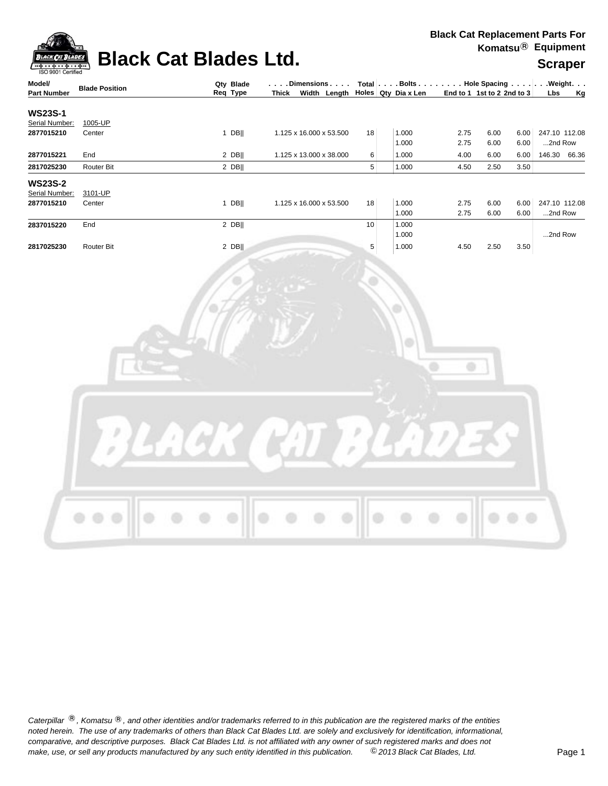

### **Black Cat Blades Ltd. Supplement Black Cat Blades Ltd. Scraper**



| ISO 9001 Certified<br>Model/ |                       | Qty Blade | $\vert \ldots$ . Dimensions $\ldots \vert$ Total $\vert \ldots$ . Bolts $\ldots \vert \ldots$ . Hole Spacing $\ldots \vert \ldots$ Weight. $\ldots$ |        |       |      |                            |      |               |        |
|------------------------------|-----------------------|-----------|-----------------------------------------------------------------------------------------------------------------------------------------------------|--------|-------|------|----------------------------|------|---------------|--------|
| <b>Part Number</b>           | <b>Blade Position</b> | Req Type  | Thick Width Length Holes Qty Dia x Len                                                                                                              |        |       |      | End to 1 1st to 2 2nd to 3 |      |               | Lbs Kg |
| <b>WS23S-1</b>               |                       |           |                                                                                                                                                     |        |       |      |                            |      |               |        |
| Serial Number:               | 1005-UP               |           |                                                                                                                                                     |        |       |      |                            |      |               |        |
| 2877015210                   | Center                | $1$ DB    | 1.125 x 16.000 x 53.500                                                                                                                             | 18     | 1.000 | 2.75 | 6.00                       | 6.00 | 247.10 112.08 |        |
|                              |                       |           |                                                                                                                                                     |        | 1.000 | 2.75 | 6.00                       | 6.00 | 2nd Row       |        |
| 2877015221                   | End                   | $2$ DB    | 1.125 x 13.000 x 38.000                                                                                                                             | 6      | 1.000 | 4.00 | 6.00                       | 6.00 | 146.30 66.36  |        |
| 2817025230                   | Router Bit            | $2$ DB    |                                                                                                                                                     | 5      | 1.000 | 4.50 | 2.50                       | 3.50 |               |        |
| <b>WS23S-2</b>               |                       |           |                                                                                                                                                     |        |       |      |                            |      |               |        |
| Serial Number:               | 3101-UP               |           |                                                                                                                                                     |        |       |      |                            |      |               |        |
| 2877015210                   | Center                | $1$ DB    | 1.125 x 16.000 x 53.500                                                                                                                             | 18     | 1.000 | 2.75 | 6.00                       | 6.00 | 247.10 112.08 |        |
|                              |                       |           |                                                                                                                                                     |        | 1.000 | 2.75 | 6.00                       | 6.00 | 2nd Row       |        |
| 2837015220                   | End                   | $2$ DB    |                                                                                                                                                     | $10\,$ | 1.000 |      |                            |      |               |        |
|                              |                       |           |                                                                                                                                                     |        | 1.000 |      |                            |      | 2nd Row       |        |
| 2817025230                   | Router Bit            | $2$ DB    |                                                                                                                                                     | 5      | 1.000 | 4.50 | 2.50                       | 3.50 |               |        |
|                              |                       |           |                                                                                                                                                     |        |       | ö    |                            |      |               |        |
|                              |                       |           |                                                                                                                                                     |        |       |      |                            |      |               |        |
|                              |                       |           |                                                                                                                                                     |        |       |      |                            |      |               |        |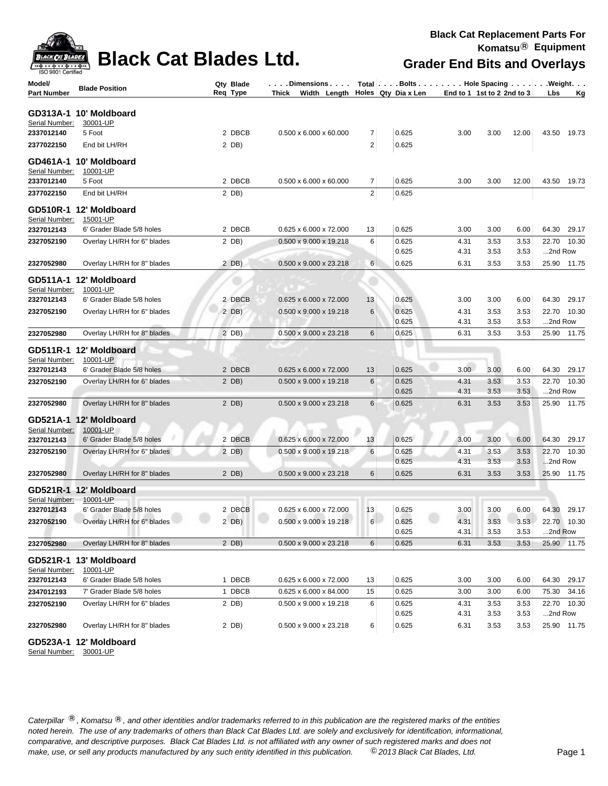

### **Black Cat Blades Ltd.**

| Model/<br><b>Part Number</b> | <b>Blade Position</b>                                           | Qty Blade<br>Req Type | . Dimensions   Total   Bolts Hole Spacing Weight.<br>Thick Width Length Holes Qty Dia x Len |                |                |              | End to 1 1st to 2 2nd to 3   | Lbs<br><u>Kg</u>       |
|------------------------------|-----------------------------------------------------------------|-----------------------|---------------------------------------------------------------------------------------------|----------------|----------------|--------------|------------------------------|------------------------|
|                              | GD313A-1 10' Moldboard                                          |                       |                                                                                             |                |                |              |                              |                        |
| Serial Number:               | 30001-UP                                                        |                       |                                                                                             |                |                |              |                              |                        |
| 2337012140                   | 5 Foot                                                          | 2 DBCB                | $0.500 \times 6.000 \times 60.000$                                                          | 7              | 0.625          | 3.00         | 3.00<br>12.00                | 43.50 19.73            |
| 2377022150                   | End bit LH/RH                                                   | 2 DB)                 |                                                                                             | $\overline{c}$ | 0.625          |              |                              |                        |
| Serial Number:               | GD461A-1 10' Moldboard<br>10001-UP                              |                       |                                                                                             |                |                |              |                              |                        |
| 2337012140                   | 5 Foot                                                          | 2 DBCB                | $0.500 \times 6.000 \times 60.000$                                                          | $\overline{7}$ | 0.625          | 3.00         | 3.00<br>12.00                | 43.50 19.73            |
| 2377022150                   | End bit LH/RH                                                   | $2$ DB)               |                                                                                             | $\overline{2}$ | 0.625          |              |                              |                        |
| Serial Number:               | GD510R-1 12' Moldboard<br>15001-UP                              |                       |                                                                                             |                |                |              |                              |                        |
| 2327012143                   | 6' Grader Blade 5/8 holes                                       | 2 DBCB                | 0.625 x 6.000 x 72.000                                                                      | 13             | 0.625          | 3.00         | 3.00<br>6.00                 | 64.30 29.17            |
| 2327052190                   | Overlay LH/RH for 6" blades                                     | 2 DB)                 | 0.500 x 9.000 x 19.218                                                                      | 6              | 0.625          | 4.31         | 3.53<br>3.53                 | 22.70 10.30            |
|                              |                                                                 |                       |                                                                                             |                | 0.625          | 4.31         | 3.53<br>3.53                 | 2nd Row                |
| 2327052980                   | Overlay LH/RH for 8" blades                                     | $2$ DB)               | 0.500 x 9.000 x 23.218                                                                      | 6              | 0.625          | 6.31         | 3.53<br>3.53                 | 25.90 11.75            |
| Serial Number:               | GD511A-1 12' Moldboard<br>10001-UP                              |                       |                                                                                             |                |                |              |                              |                        |
| 2327012143                   | 6' Grader Blade 5/8 holes                                       | 2 DBCB                | 0.625 x 6.000 x 72.000                                                                      | 13             | 0.625          | 3.00         | 3.00<br>6.00                 | 64.30 29.17            |
| 2327052190                   | Overlay LH/RH for 6" blades                                     | 2 DB)                 | 0.500 x 9.000 x 19.218                                                                      | 6              | 0.625<br>0.625 | 4.31<br>4.31 | 3.53<br>3.53<br>3.53<br>3.53 | 22.70 10.30<br>2nd Row |
| 2327052980                   | Overlay LH/RH for 8" blades                                     | 2 DB)                 | 0.500 x 9.000 x 23.218                                                                      | 6              | 0.625          | 6.31         | 3.53<br>3.53                 | 25.90 11.75            |
| Serial Number:<br>2327012143 | GD511R-1 12' Moldboard<br>10001-UP<br>6' Grader Blade 5/8 holes | 2 DBCB                | 0.625 x 6.000 x 72.000                                                                      | 13             | 0.625          | 3.00         | 3.00<br>6.00                 | 64.30 29.17            |
| 2327052190                   | Overlay LH/RH for 6" blades                                     | 2 DB)                 | 0.500 x 9.000 x 19.218                                                                      | 6              | 0.625          | 4.31         | 3.53<br>3.53                 | 22.70 10.30            |
|                              |                                                                 |                       |                                                                                             |                | 0.625          | 4.31         | 3.53<br>3.53                 | 2nd Row                |
| 2327052980                   | Overlay LH/RH for 8" blades                                     | $2$ DB)               | 0.500 x 9.000 x 23.218                                                                      | 6              | 0.625          | 6.31         | 3.53<br>3.53                 | 25.90 11.75            |
| Serial Number:               | GD521A-1 12' Moldboard<br>10001-UP                              |                       |                                                                                             |                |                |              |                              |                        |
| 2327012143                   | 6' Grader Blade 5/8 holes                                       | 2 DBCB                | $0.625 \times 6.000 \times 72.000$                                                          | 13             | 0.625          | 3.00         | 3.00<br>6.00                 | 64.30 29.17            |
| 2327052190                   | Overlay LH/RH for 6" blades                                     | $2$ DB)               | 0.500 x 9.000 x 19.218                                                                      | 6              | 0.625<br>0.625 | 4.31<br>4.31 | 3.53<br>3.53<br>3.53<br>3.53 | 22.70 10.30<br>2nd Row |
| 2327052980                   | Overlay LH/RH for 8" blades                                     | 2 DB)                 | 0.500 x 9.000 x 23.218                                                                      | 6              | 0.625          | 6.31         | 3.53<br>3.53                 | 25.90 11.75            |
|                              |                                                                 |                       |                                                                                             |                |                |              |                              |                        |
|                              | GD521R-1 12' Moldboard                                          |                       |                                                                                             |                |                |              |                              |                        |
| Serial Number:<br>2327012143 | 10001-UP<br>6' Grader Blade 5/8 holes                           | 2 DBCB                | 0.625 x 6.000 x 72.000                                                                      | 13             | 0.625          | 3.00         | 3.00<br>6.00                 | 64.30 29.17            |
| 2327052190                   | Overlay LH/RH for 6" blades                                     | 2 DB)                 | $0.500 \times 9.000 \times 19.218$                                                          | 6              | 0.625          | 4.31         | 3.53<br>3.53                 | 22.70 10.30            |
|                              |                                                                 |                       |                                                                                             |                | 0.625          | 4.31         | 3.53<br>3.53                 | 2nd Row                |
| 2327052980                   | Overlay LH/RH for 8" blades                                     | $2$ DB)               | 0.500 x 9.000 x 23.218                                                                      | 6              | 0.625          | 6.31         | 3.53<br>3.53                 | 25.90 11.75            |
| Serial Number:               | GD521R-1 13' Moldboard<br>10001-UP                              |                       |                                                                                             |                |                |              |                              |                        |
| 2327012143                   | 6' Grader Blade 5/8 holes                                       | 1 DBCB                | 0.625 x 6.000 x 72.000                                                                      | 13             | 0.625          | 3.00         | 3.00<br>6.00                 | 64.30<br>29.17         |
| 2347012193                   | 7' Grader Blade 5/8 holes                                       | 1 DBCB                | 0.625 x 6.000 x 84.000                                                                      | 15             | 0.625          | 3.00         | 3.00<br>6.00                 | 34.16<br>75.30         |
| 2327052190                   | Overlay LH/RH for 6" blades                                     | 2 DB)                 | 0.500 x 9.000 x 19.218                                                                      | 6              | 0.625          | 4.31         | 3.53<br>3.53                 | 22.70 10.30            |
|                              |                                                                 |                       |                                                                                             |                | 0.625          | 4.31         | 3.53<br>3.53                 | 2nd Row                |
| 2327052980                   | Overlay LH/RH for 8" blades                                     | 2 DB)                 | 0.500 x 9.000 x 23.218                                                                      | 6              | 0.625          | 6.31         | 3.53<br>3.53                 | 25.90 11.75            |

**GD523A-1 12' Moldboard**

Serial Number: 30001-UP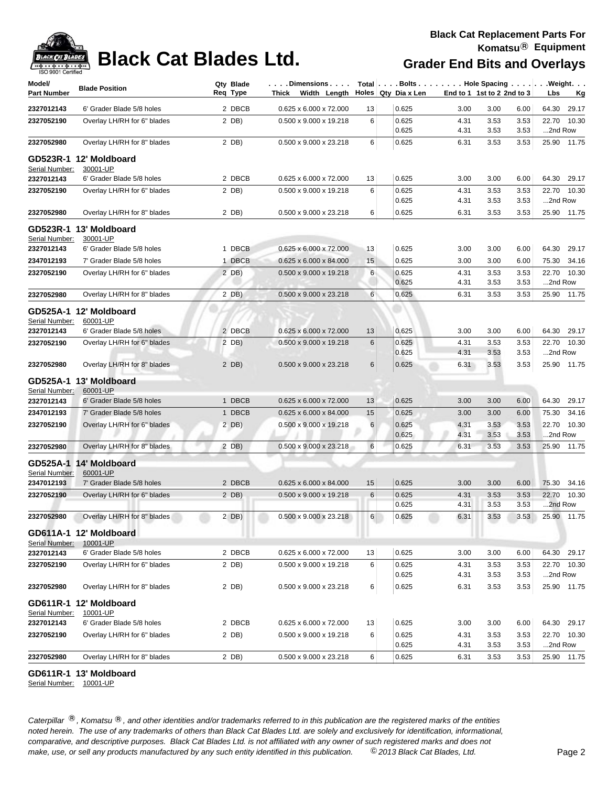

| Model/<br>Part Number | <b>Blade Position</b>              | Qty Blade<br>Req Type | . Dimensions<br>Thick Width Length Holes Qty Dia x Len |    | Total Bolts Hole Spacing Weight. |              | End to 1 1st to 2 2nd to 3 |              | Lbs              | Kg          |
|-----------------------|------------------------------------|-----------------------|--------------------------------------------------------|----|----------------------------------|--------------|----------------------------|--------------|------------------|-------------|
| 2327012143            | 6' Grader Blade 5/8 holes          | 2 DBCB                | 0.625 x 6.000 x 72.000                                 | 13 | 0.625                            | 3.00         | 3.00                       | 6.00         | 64.30            | 29.17       |
| 2327052190            | Overlay LH/RH for 6" blades        | 2 DB)                 | 0.500 x 9.000 x 19.218                                 | 6  | 0.625                            | 4.31         | 3.53                       | 3.53         | 22.70            | 10.30       |
|                       |                                    |                       |                                                        |    | 0.625                            | 4.31         | 3.53                       | 3.53         | 2nd Row          |             |
| 2327052980            | Overlay LH/RH for 8" blades        | 2 DB)                 | 0.500 x 9.000 x 23.218                                 | 6  | 0.625                            | 6.31         | 3.53                       | 3.53         |                  | 25.90 11.75 |
|                       | GD523R-1 12' Moldboard             |                       |                                                        |    |                                  |              |                            |              |                  |             |
| Serial Number:        | 30001-UP                           |                       |                                                        |    |                                  |              |                            |              |                  |             |
| 2327012143            | 6' Grader Blade 5/8 holes          | 2 DBCB                | 0.625 x 6.000 x 72.000                                 | 13 | 0.625                            | 3.00         | 3.00                       | 6.00         | 64.30            | 29.17       |
| 2327052190            | Overlay LH/RH for 6" blades        | 2 DB)                 | 0.500 x 9.000 x 19.218                                 | 6  | 0.625<br>0.625                   | 4.31<br>4.31 | 3.53<br>3.53               | 3.53<br>3.53 | 22.70<br>2nd Row | 10.30       |
| 2327052980            | Overlay LH/RH for 8" blades        | 2 DB)                 | 0.500 x 9.000 x 23.218                                 | 6  | 0.625                            | 6.31         | 3.53                       | 3.53         |                  | 25.90 11.75 |
| Serial Number:        | GD523R-1 13' Moldboard<br>30001-UP |                       |                                                        |    |                                  |              |                            |              |                  |             |
| 2327012143            | 6' Grader Blade 5/8 holes          | 1 DBCB                | 0.625 x 6.000 x 72.000                                 | 13 | 0.625                            | 3.00         | 3.00                       | 6.00         | 64.30            | 29.17       |
| 2347012193            | 7' Grader Blade 5/8 holes          | 1 DBCB                | $0.625 \times 6.000 \times 84.000$                     | 15 | 0.625                            | 3.00         | 3.00                       | 6.00         | 75.30            | 34.16       |
| 2327052190            | Overlay LH/RH for 6" blades        | 2 DB)                 | 0.500 x 9.000 x 19.218                                 | 6  | 0.625                            | 4.31         | 3.53                       | 3.53         | 22.70            | 10.30       |
|                       |                                    |                       |                                                        |    | 0.625                            | 4.31         | 3.53                       | 3.53         | 2nd Row          |             |
| 2327052980            | Overlay LH/RH for 8" blades        | 2 DB)                 | 0.500 x 9.000 x 23.218                                 | 6  | 0.625                            | 6.31         | 3.53                       | 3.53         |                  | 25.90 11.75 |
| Serial Number:        | GD525A-1 12' Moldboard<br>60001-UP |                       |                                                        |    |                                  |              |                            |              |                  |             |
| 2327012143            | 6' Grader Blade 5/8 holes          | 2 DBCB                | 0.625 x 6.000 x 72.000                                 | 13 | 0.625                            | 3.00         | 3.00                       | 6.00         |                  | 64.30 29.17 |
| 2327052190            | Overlay LH/RH for 6" blades        | 2 DB)                 | 0.500 x 9.000 x 19.218                                 | 6  | 0.625                            | 4.31         | 3.53                       | 3.53         |                  | 22.70 10.30 |
|                       |                                    |                       |                                                        |    | 0.625                            | 4.31         | 3.53                       | 3.53         | 2nd Row          |             |
| 2327052980            | Overlay LH/RH for 8" blades        | 2 DB)                 | 0.500 x 9.000 x 23.218                                 | 6  | 0.625                            | 6.31         | 3.53                       | 3.53         |                  | 25.90 11.75 |
|                       | GD525A-1 13' Moldboard             |                       |                                                        |    |                                  |              |                            |              |                  |             |
| Serial Number:        | 60001-UP                           |                       |                                                        |    |                                  |              |                            |              |                  |             |
| 2327012143            | 6' Grader Blade 5/8 holes          | 1 DBCB                | 0.625 x 6.000 x 72.000                                 | 13 | 0.625                            | 3.00         | 3.00                       | 6.00         | 64.30            | 29.17       |
| 2347012193            | 7' Grader Blade 5/8 holes          | 1 DBCB                | $0.625 \times 6.000 \times 84.000$                     | 15 | 0.625                            | 3.00         | 3.00                       | 6.00         | 75.30            | 34.16       |
| 2327052190            | Overlay LH/RH for 6" blades        | 2 DB)                 | 0.500 x 9.000 x 19.218                                 | 6  | 0.625<br>0.625                   | 4.31<br>4.31 | 3.53<br>3.53               | 3.53<br>3.53 | 22.70<br>2nd Row | 10.30       |
| 2327052980            | Overlay LH/RH for 8" blades        | 2 DB)                 | 0.500 x 9.000 x 23.218                                 | 6  | 0.625                            | 6.31         | 3.53                       | 3.53         |                  | 25.90 11.75 |
|                       | GD525A-1 14' Moldboard             |                       |                                                        |    |                                  |              |                            |              |                  |             |
| Serial Number:        | 60001-UP                           |                       |                                                        |    |                                  |              |                            |              |                  |             |
| 2347012193            | 7' Grader Blade 5/8 holes          | 2 DBCB                | 0.625 x 6.000 x 84.000                                 | 15 | 0.625                            | 3.00         | 3.00                       | 6.00         | 75.30            | 34.16       |
| 2327052190            | Overlay LH/RH for 6" blades        | $2$ DB)               | 0.500 x 9.000 x 19.218                                 | 6  | 0.625                            | 4.31         | 3.53                       | 3.53         | 22.70            | 10.30       |
|                       |                                    |                       |                                                        |    | 0.625                            | 4.31         | 3.53                       | 3.53         | 2nd Row          |             |
| 2327052980            | Overlay LH/RH for 8" blades        | 2 DB)                 | 0.500 x 9.000 x 23.218                                 | 6  | 0.625                            | 6.31         | 3.53                       | 3.53         |                  | 25.90 11.75 |
| Serial Number:        | GD611A-1 12' Moldboard<br>10001-UP |                       |                                                        |    |                                  |              |                            |              |                  |             |
| 2327012143            | 6' Grader Blade 5/8 holes          | 2 DBCB                | 0.625 x 6.000 x 72.000                                 | 13 | 0.625                            | 3.00         | 3.00                       | 6.00         | 64.30            | 29.17       |
| 2327052190            | Overlay LH/RH for 6" blades        | 2 DB)                 | 0.500 x 9.000 x 19.218                                 | 6  | 0.625<br>0.625                   | 4.31<br>4.31 | 3.53<br>3.53               | 3.53<br>3.53 | 2nd Row          | 22.70 10.30 |
| 2327052980            | Overlay LH/RH for 8" blades        | 2 DB)                 | 0.500 x 9.000 x 23.218                                 | 6  | 0.625                            | 6.31         | 3.53                       | 3.53         |                  | 25.90 11.75 |
| Serial Number:        | GD611R-1 12' Moldboard<br>10001-UP |                       |                                                        |    |                                  |              |                            |              |                  |             |
| 2327012143            | 6' Grader Blade 5/8 holes          | 2 DBCB                | 0.625 x 6.000 x 72.000                                 | 13 | 0.625                            | 3.00         | 3.00                       | 6.00         |                  | 64.30 29.17 |
| 2327052190            | Overlay LH/RH for 6" blades        | 2 DB)                 | 0.500 x 9.000 x 19.218                                 | 6  | 0.625                            | 4.31         | 3.53                       | 3.53         |                  | 22.70 10.30 |
|                       |                                    |                       |                                                        |    | 0.625                            | 4.31         | 3.53                       | 3.53         | 2nd Row          |             |
| 2327052980            | Overlay LH/RH for 8" blades        | 2 DB)                 | 0.500 x 9.000 x 23.218                                 | 6  | 0.625                            | 6.31         | 3.53                       | 3.53         |                  | 25.90 11.75 |

### **GD611R-1 13' Moldboard**

Serial Number: 10001-UP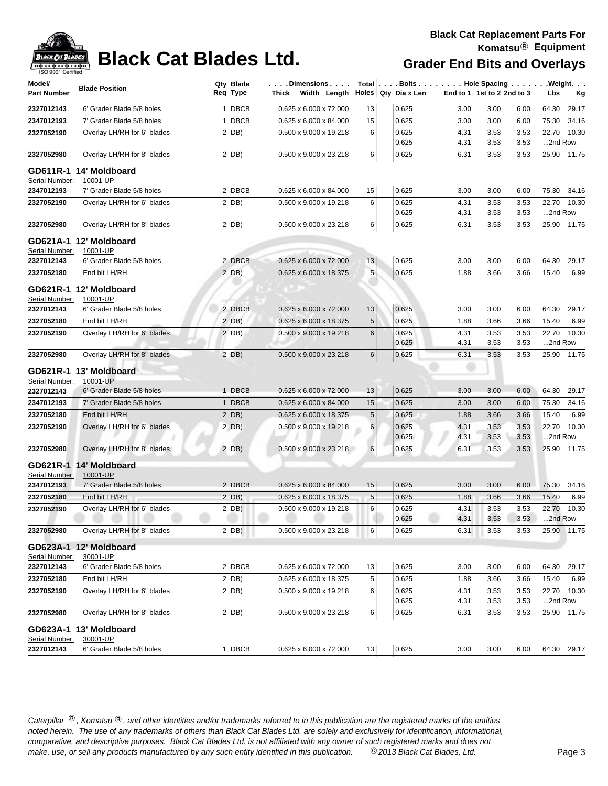

| Model/             | <b>Blade Position</b>              | Qty Blade | $\ldots$ . Dimensions. $\ldots$    |            | Total   Bolts   Hole Spacing   Weight. |                            |              |              |                  |             |
|--------------------|------------------------------------|-----------|------------------------------------|------------|----------------------------------------|----------------------------|--------------|--------------|------------------|-------------|
| <b>Part Number</b> |                                    | Reg Type  | Thick Width Length                 |            | Holes Qty Dia x Len                    | End to 1 1st to 2 2nd to 3 |              |              | Lbs              | <u>Kg</u>   |
| 2327012143         | 6' Grader Blade 5/8 holes          | 1 DBCB    | 0.625 x 6.000 x 72.000             | 13         | 0.625                                  | 3.00                       | 3.00         | 6.00         | 64.30            | 29.17       |
| 2347012193         | 7' Grader Blade 5/8 holes          | 1 DBCB    | 0.625 x 6.000 x 84.000             | 15         | 0.625                                  | 3.00                       | 3.00         | 6.00         | 75.30            | 34.16       |
| 2327052190         | Overlay LH/RH for 6" blades        | 2 DB)     | 0.500 x 9.000 x 19.218             | 6          | 0.625                                  | 4.31                       | 3.53         | 3.53         |                  | 22.70 10.30 |
|                    |                                    |           |                                    |            | 0.625                                  | 4.31                       | 3.53         | 3.53         | 2nd Row          |             |
| 2327052980         | Overlay LH/RH for 8" blades        | 2 DB)     | 0.500 x 9.000 x 23.218             | 6          | 0.625                                  | 6.31                       | 3.53         | 3.53         |                  | 25.90 11.75 |
|                    | GD611R-1 14' Moldboard             |           |                                    |            |                                        |                            |              |              |                  |             |
| Serial Number:     | 10001-UP                           |           |                                    |            |                                        |                            |              |              |                  |             |
| 2347012193         | 7' Grader Blade 5/8 holes          | 2 DBCB    | 0.625 x 6.000 x 84.000             | 15         | 0.625                                  | 3.00                       | 3.00         | 6.00         |                  | 75.30 34.16 |
| 2327052190         | Overlay LH/RH for 6" blades        | 2 DB)     | 0.500 x 9.000 x 19.218             | 6          | 0.625<br>0.625                         | 4.31                       | 3.53         | 3.53         | 22.70            | 10.30       |
| 2327052980         | Overlay LH/RH for 8" blades        | 2 DB)     | 0.500 x 9.000 x 23.218             | 6          | 0.625                                  | 4.31<br>6.31               | 3.53<br>3.53 | 3.53<br>3.53 | 2nd Row          | 25.90 11.75 |
|                    | GD621A-1 12' Moldboard             |           |                                    |            |                                        |                            |              |              |                  |             |
| Serial Number:     | 10001-UP                           |           |                                    |            |                                        |                            |              |              |                  |             |
| 2327012143         | 6' Grader Blade 5/8 holes          | 2 DBCB    | 0.625 x 6.000 x 72.000             | 13         | 0.625                                  | 3.00                       | 3.00         | 6.00         | 64.30            | 29.17       |
| 2327052180         | End bit LH/RH                      | $2$ DB)   | 0.625 x 6.000 x 18.375             | 5          | 0.625                                  | 1.88                       | 3.66         | 3.66         | 15.40            | 6.99        |
|                    | GD621R-1 12' Moldboard             |           |                                    |            |                                        |                            |              |              |                  |             |
| Serial Number:     | 10001-UP                           |           |                                    |            |                                        |                            |              |              |                  |             |
| 2327012143         | 6' Grader Blade 5/8 holes          | 2 DBCB    | 0.625 x 6.000 x 72.000             | 13         | 0.625                                  | 3.00                       | 3.00         | 6.00         | 64.30            | 29.17       |
| 2327052180         | End bit LH/RH                      | 2 DB)     | 0.625 x 6.000 x 18.375             | 5          | 0.625                                  | 1.88                       | 3.66         | 3.66         | 15.40            | 6.99        |
| 2327052190         | Overlay LH/RH for 6" blades        | $2$ DB)   | 0.500 x 9.000 x 19.218             | 6          | 0.625                                  | 4.31                       | 3.53         | 3.53         | 22.70            | 10.30       |
|                    |                                    |           |                                    |            | 0.625                                  | 4.31                       | 3.53         | 3.53         | 2nd Row          |             |
| 2327052980         | Overlay LH/RH for 8" blades        | $2$ DB)   | 0.500 x 9.000 x 23.218             | 6          | 0.625                                  | 6.31                       | 3.53         | 3.53         |                  | 25.90 11.75 |
|                    | GD621R-1 13' Moldboard             |           |                                    |            |                                        |                            |              |              |                  |             |
| Serial Number:     | 10001-UP                           |           |                                    |            |                                        |                            |              |              |                  |             |
| 2327012143         | 6' Grader Blade 5/8 holes          | 1 DBCB    | 0.625 x 6.000 x 72.000             | 13         | 0.625                                  | 3.00                       | 3.00         | 6.00         | 64.30            | 29.17       |
| 2347012193         | 7' Grader Blade 5/8 holes          | 1 DBCB    | 0.625 x 6.000 x 84.000             | 15         | 0.625                                  | 3.00                       | 3.00         | 6.00         | 75.30            | 34.16       |
| 2327052180         | End bit LH/RH                      | 2 DB)     | 0.625 x 6.000 x 18.375             | 5          | 0.625                                  | 1.88                       | 3.66         | 3.66         | 15.40            | 6.99        |
| 2327052190         | Overlay LH/RH for 6" blades        | 2 DB)     | 0.500 x 9.000 x 19.218             | 6          | 0.625<br>0.625                         | 4.31<br>4.31               | 3.53<br>3.53 | 3.53<br>3.53 | 22.70<br>2nd Row | 10.30       |
| 2327052980         | Overlay LH/RH for 8" blades        | 2 DB)     | 0.500 x 9.000 x 23.218             | 6          | 0.625                                  | 6.31                       | 3.53         | 3.53         |                  | 25.90 11.75 |
|                    |                                    |           |                                    |            |                                        |                            |              |              |                  |             |
| Serial Number:     | GD621R-1 14' Moldboard<br>10001-UP |           |                                    |            |                                        |                            |              |              |                  |             |
| 2347012193         | 7' Grader Blade 5/8 holes          | 2 DBCB    | $0.625 \times 6.000 \times 84.000$ | 15         | 0.625                                  | 3.00                       | 3.00         | 6.00         | 75.30            | 34.16       |
| 2327052180         | End bit LH/RH                      | $2$ DB)   | 0.625 x 6.000 x 18.375             | $\sqrt{5}$ | 0.625                                  | 1.88                       | 3.66         | 3.66         | 15.40            | 6.99        |
| 2327052190         | Overlay LH/RH for 6" blades        | $2$ DB)   | 0.500 x 9.000 x 19.218             | 6          | 0.625                                  | 4.31                       | 3.53         | 3.53         |                  | 22.70 10.30 |
|                    |                                    |           |                                    |            | 0.625                                  | 4.31                       | 3.53         | 3.53         | 2nd Row          |             |
| 2327052980         | Overlay LH/RH for 8" blades        | 2 DB)     | 0.500 x 9.000 x 23.218             | 6          | 0.625                                  | 6.31                       | 3.53         | 3.53         |                  | 25.90 11.75 |
|                    | GD623A-1 12' Moldboard             |           |                                    |            |                                        |                            |              |              |                  |             |
| Serial Number:     | 30001-UP                           |           |                                    |            |                                        |                            |              |              |                  |             |
| 2327012143         | 6' Grader Blade 5/8 holes          | 2 DBCB    | 0.625 x 6.000 x 72.000             | 13         | 0.625                                  | 3.00                       | 3.00         | 6.00         | 64.30            | 29.17       |
| 2327052180         | End bit LH/RH                      | 2 DB)     | 0.625 x 6.000 x 18.375             | 5          | 0.625                                  | 1.88                       | 3.66         | 3.66         | 15.40            | 6.99        |
| 2327052190         | Overlay LH/RH for 6" blades        | 2 DB)     | 0.500 x 9.000 x 19.218             | 6          | 0.625                                  | 4.31                       | 3.53         | 3.53         |                  | 22.70 10.30 |
|                    |                                    |           |                                    |            | 0.625                                  | 4.31                       | 3.53         | 3.53         | 2nd Row          |             |
| 2327052980         | Overlay LH/RH for 8" blades        | 2 DB)     | 0.500 x 9.000 x 23.218             | 6          | 0.625                                  | 6.31                       | 3.53         | 3.53         |                  | 25.90 11.75 |
|                    | GD623A-1 13' Moldboard             |           |                                    |            |                                        |                            |              |              |                  |             |
| Serial Number:     | 30001-UP                           |           |                                    |            |                                        |                            |              |              |                  |             |
| 2327012143         | 6' Grader Blade 5/8 holes          | 1 DBCB    | $0.625 \times 6.000 \times 72.000$ | 13         | 0.625                                  | 3.00                       | 3.00         | 6.00         | 64.30 29.17      |             |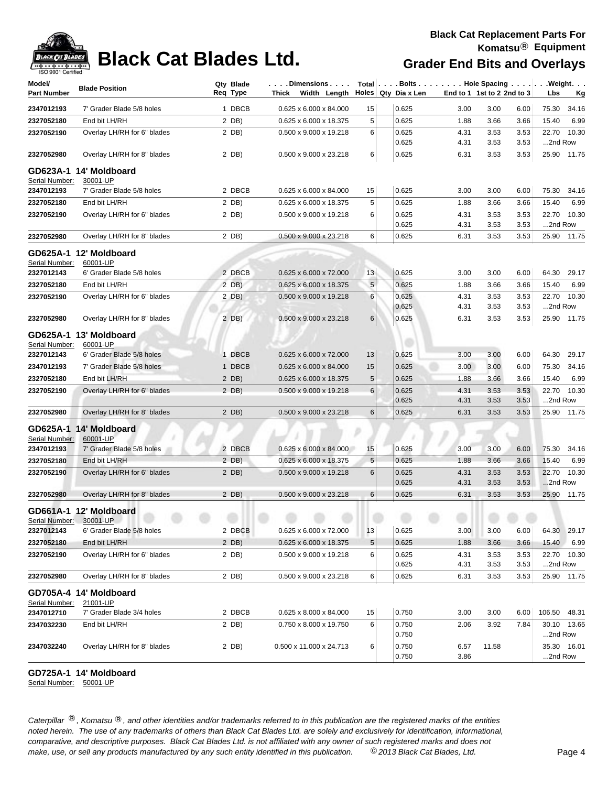

| Model/<br>Part Number      | <b>Blade Position</b>                 | Qty Blade<br>Req Type | . Dimensions<br>Width Length   Holes   Qty Dia x Len<br>Thick |                |                |              | End to 1 1st to 2 2nd to 3 |              | Total Bolts Hole Spacing Weight.<br>Lbs<br><u>Kg</u> |
|----------------------------|---------------------------------------|-----------------------|---------------------------------------------------------------|----------------|----------------|--------------|----------------------------|--------------|------------------------------------------------------|
| 2347012193                 | 7' Grader Blade 5/8 holes             | 1 DBCB                | 0.625 x 6.000 x 84.000                                        | 15             | 0.625          | 3.00         | 3.00                       | 6.00         | 75.30<br>34.16                                       |
| 2327052180                 | End bit LH/RH                         | 2 DB)                 | 0.625 x 6.000 x 18.375                                        | 5              | 0.625          | 1.88         | 3.66                       | 3.66         | 6.99<br>15.40                                        |
| 2327052190                 | Overlay LH/RH for 6" blades           | 2 DB)                 | 0.500 x 9.000 x 19.218                                        | 6              | 0.625          | 4.31         | 3.53                       | 3.53         | 22.70<br>10.30                                       |
|                            |                                       |                       |                                                               |                | 0.625          | 4.31         | 3.53                       | 3.53         | 2nd Row                                              |
| 2327052980                 | Overlay LH/RH for 8" blades           | 2 DB)                 | 0.500 x 9.000 x 23.218                                        | 6              | 0.625          | 6.31         | 3.53                       | 3.53         | 25.90 11.75                                          |
|                            | GD623A-1 14' Moldboard                |                       |                                                               |                |                |              |                            |              |                                                      |
| Serial Number:             | 30001-UP<br>7' Grader Blade 5/8 holes | 2 DBCB                |                                                               |                | 0.625          | 3.00         | 3.00                       | 6.00         | 75.30                                                |
| 2347012193                 | End bit LH/RH                         |                       | 0.625 x 6.000 x 84.000                                        | 15             |                |              |                            |              | 34.16                                                |
| 2327052180                 |                                       | 2 DB)                 | 0.625 x 6.000 x 18.375                                        | 5              | 0.625          | 1.88         | 3.66                       | 3.66         | 6.99<br>15.40                                        |
| 2327052190                 | Overlay LH/RH for 6" blades           | 2 DB)                 | 0.500 x 9.000 x 19.218                                        | 6              | 0.625<br>0.625 | 4.31<br>4.31 | 3.53<br>3.53               | 3.53<br>3.53 | 22.70 10.30<br>2nd Row                               |
| 2327052980                 | Overlay LH/RH for 8" blades           | 2 DB)                 | 0.500 x 9.000 x 23.218                                        | 6              | 0.625          | 6.31         | 3.53                       | 3.53         | 25.90<br>11.75                                       |
|                            | GD625A-1 12' Moldboard                |                       |                                                               |                |                |              |                            |              |                                                      |
| Serial Number:             | 60001-UP                              |                       |                                                               |                |                |              |                            |              |                                                      |
| 2327012143                 | 6' Grader Blade 5/8 holes             | 2 DBCB                | 0.625 x 6.000 x 72.000                                        | 13             | 0.625          | 3.00         | 3.00                       | 6.00         | 64.30<br>29.17                                       |
| 2327052180                 | End bit LH/RH                         | 2 DB)                 | 0.625 x 6.000 x 18.375                                        | $\overline{5}$ | 0.625          | 1.88         | 3.66                       | 3.66         | 15.40<br>6.99                                        |
| 2327052190                 | Overlay LH/RH for 6" blades           | 2 DB)                 | 0.500 x 9.000 x 19.218                                        | 6              | 0.625<br>0.625 | 4.31<br>4.31 | 3.53<br>3.53               | 3.53<br>3.53 | 10.30<br>22.70<br>2nd Row                            |
| 2327052980                 | Overlay LH/RH for 8" blades           | 2 DB)                 | 0.500 x 9.000 x 23.218                                        | 6              | 0.625          | 6.31         | 3.53                       | 3.53         | 25.90<br>11.75                                       |
|                            |                                       |                       |                                                               |                |                |              |                            |              |                                                      |
| GD625A-1<br>Serial Number: | 13' Moldboard<br>60001-UP             |                       |                                                               |                |                |              |                            |              |                                                      |
| 2327012143                 | 6' Grader Blade 5/8 holes             | 1 DBCB                | $0.625 \times 6.000 \times 72.000$                            | 13             | 0.625          | 3.00         | 3.00                       | 6.00         | 64.30<br>29.17                                       |
| 2347012193                 | 7' Grader Blade 5/8 holes             | 1 DBCB                | 0.625 x 6.000 x 84.000                                        | 15             | 0.625          | 3.00         | 3.00                       | 6.00         | 75.30<br>34.16                                       |
| 2327052180                 | End bit LH/RH                         | 2 DB)                 | 0.625 x 6.000 x 18.375                                        | 5              | 0.625          | 1.88         | 3.66                       | 3.66         | 6.99<br>15.40                                        |
| 2327052190                 | Overlay LH/RH for 6" blades           | 2 DB)                 | 0.500 x 9.000 x 19.218                                        | 6              | 0.625          | 4.31         | 3.53                       | 3.53         | 10.30<br>22.70                                       |
|                            |                                       |                       |                                                               |                | 0.625          | 4.31         | 3.53                       | 3.53         | 2nd Row                                              |
| 2327052980                 | Overlay LH/RH for 8" blades           | 2 DB)                 | 0.500 x 9.000 x 23.218                                        | 6              | 0.625          | 6.31         | 3.53                       | 3.53         | 11.75<br>25.90                                       |
|                            | GD625A-1 14' Moldboard                |                       |                                                               |                |                |              |                            |              |                                                      |
| Serial Number:             | 60001-UP<br>7' Grader Blade 5/8 holes | 2 DBCB                | $0.625 \times 6.000 \times 84.000$                            | 15             | 0.625          | 3.00         | 3.00                       | 6.00         | 75.30<br>34.16                                       |
| 2347012193<br>2327052180   | End bit LH/RH                         | 2 DB)                 | 0.625 x 6.000 x 18.375                                        | 5              | 0.625          | 1.88         | 3.66                       | 3.66         | 15.40<br>6.99                                        |
|                            | Overlay LH/RH for 6" blades           | 2 DB)                 | 0.500 x 9.000 x 19.218                                        | 6              | 0.625          | 4.31         | 3.53                       | 3.53         | 10.30<br>22.70                                       |
| 2327052190                 |                                       |                       |                                                               |                | 0.625          | 4.31         | 3.53                       | 3.53         | 2nd Row                                              |
| 2327052980                 | Overlay LH/RH for 8" blades           | 2 DB)                 | 0.500 x 9.000 x 23.218                                        | $6\phantom{1}$ | 0.625          | 6.31         | 3.53                       | 3.53         | 25.90 11.75                                          |
| Serial Number: 30001-UP    | GD661A-1 12' Moldboard                |                       |                                                               |                |                |              |                            |              |                                                      |
| 2327012143                 | 6' Grader Blade 5/8 holes             | 2 DBCB                | 0.625 x 6.000 x 72.000                                        | 13             | 0.625          | 3.00         | 3.00                       | 6.00         | 64.30 29.17                                          |
| 2327052180                 | End bit LH/RH                         | $2$ DB)               | 0.625 x 6.000 x 18.375                                        | 5              | 0.625          | 1.88         | 3.66                       | 3.66         | 15.40 6.99                                           |
| 2327052190                 | Overlay LH/RH for 6" blades           | 2 DB)                 | 0.500 x 9.000 x 19.218                                        | 6              | 0.625          | 4.31         | 3.53                       | 3.53         | 22.70 10.30                                          |
|                            |                                       |                       |                                                               |                | 0.625          | 4.31         | 3.53                       | 3.53         | 2nd Row                                              |
| 2327052980                 | Overlay LH/RH for 8" blades           | 2 DB)                 | 0.500 x 9.000 x 23.218                                        | 6              | 0.625          | 6.31         | 3.53                       | 3.53         | 25.90 11.75                                          |
|                            | GD705A-4 14' Moldboard                |                       |                                                               |                |                |              |                            |              |                                                      |
| Serial Number:             | 21001-UP                              |                       |                                                               |                |                |              |                            |              |                                                      |
| 2347012710                 | 7' Grader Blade 3/4 holes             | 2 DBCB                | 0.625 x 8.000 x 84.000                                        | 15             | 0.750          | 3.00         | 3.00                       | 6.00         | 106.50 48.31                                         |
| 2347032230                 | End bit LH/RH                         | 2 DB)                 | 0.750 x 8.000 x 19.750                                        | 6              | 0.750<br>0.750 | 2.06         | 3.92                       | 7.84         | 30.10 13.65<br>2nd Row                               |
| 2347032240                 | Overlay LH/RH for 8" blades           | 2 DB)                 | 0.500 x 11.000 x 24.713                                       | 6              | 0.750          | 6.57         | 11.58                      |              | 35.30 16.01                                          |
|                            |                                       |                       |                                                               |                | 0.750          | 3.86         |                            |              | 2nd Row                                              |

### **GD725A-1 14' Moldboard**

Serial Number: 50001-UP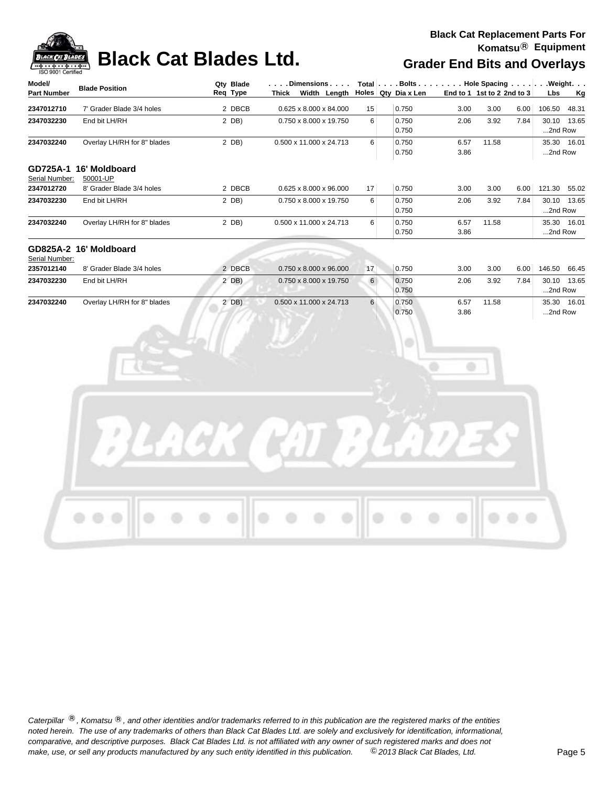

| Model/             | <b>Blade Position</b>       | Qty Blade<br>Req Type | $\ldots$ . Dimensions $\ldots$ .    |                 |                     |      |                               |      | Total $\vert \ldots$ Bolts $\ldots \vert \ldots$ Hole Spacing $\ldots \vert \ldots$ Weight. $\ldots$ |             |
|--------------------|-----------------------------|-----------------------|-------------------------------------|-----------------|---------------------|------|-------------------------------|------|------------------------------------------------------------------------------------------------------|-------------|
| <b>Part Number</b> |                             |                       | Width Length<br>Thick               |                 | Holes Qty Dia x Len |      | End to 1 1st to 2 2nd to $31$ |      | <b>Lbs</b>                                                                                           | <u>Kg</u>   |
| 2347012710         | 7' Grader Blade 3/4 holes   | 2 DBCB                | $0.625 \times 8.000 \times 84.000$  | 15              | 0.750               | 3.00 | 3.00                          | 6.00 | 106.50                                                                                               | 48.31       |
| 2347032230         | End bit LH/RH               | 2 DB)                 | $0.750 \times 8.000 \times 19.750$  | 6               | 0.750               | 2.06 | 3.92                          | 7.84 | 30.10                                                                                                | 13.65       |
|                    |                             |                       |                                     |                 | 0.750               |      |                               |      | 2nd Row                                                                                              |             |
| 2347032240         | Overlay LH/RH for 8" blades | 2 DB)                 | 0.500 x 11.000 x 24.713             | 6               | 0.750               | 6.57 | 11.58                         |      |                                                                                                      | 35.30 16.01 |
|                    |                             |                       |                                     |                 | 0.750               | 3.86 |                               |      | 2nd Row                                                                                              |             |
| GD725A-1           | 16' Moldboard               |                       |                                     |                 |                     |      |                               |      |                                                                                                      |             |
| Serial Number:     | 50001-UP                    |                       |                                     |                 |                     |      |                               |      |                                                                                                      |             |
| 2347012720         | 8' Grader Blade 3/4 holes   | 2 DBCB                | $0.625 \times 8.000 \times 96.000$  | 17 <sup>1</sup> | 0.750               | 3.00 | 3.00                          | 6.00 | 121.30 55.02                                                                                         |             |
| 2347032230         | End bit LH/RH               | 2 DB)                 | 0.750 x 8.000 x 19.750              | 6               | 0.750               | 2.06 | 3.92                          | 7.84 | 30.10                                                                                                | 13.65       |
|                    |                             |                       |                                     |                 | 0.750               |      |                               |      | 2nd Row                                                                                              |             |
| 2347032240         | Overlay LH/RH for 8" blades | 2 DB)                 | 0.500 x 11.000 x 24.713             | 6               | 0.750               | 6.57 | 11.58                         |      |                                                                                                      | 35.30 16.01 |
|                    |                             |                       |                                     |                 | 0.750               | 3.86 |                               |      | 2nd Row                                                                                              |             |
|                    | GD825A-2 16' Moldboard      |                       |                                     |                 |                     |      |                               |      |                                                                                                      |             |
| Serial Number:     |                             |                       |                                     |                 |                     |      |                               |      |                                                                                                      |             |
| 2357012140         | 8' Grader Blade 3/4 holes   | 2 DBCB                | $0.750 \times 8.000 \times 96.000$  | 17              | 0.750               | 3.00 | 3.00                          | 6.00 | 146.50                                                                                               | 66.45       |
| 2347032230         | End bit LH/RH               | 2 DB)                 | $0.750 \times 8.000 \times 19.750$  | 6               | 0.750               | 2.06 | 3.92                          | 7.84 | 30.10                                                                                                | 13.65       |
|                    |                             |                       |                                     |                 | 0.750               |      |                               |      | 2nd Row                                                                                              |             |
| 2347032240         | Overlay LH/RH for 8" blades | 2 DB)                 | $0.500 \times 11.000 \times 24.713$ | 6               | 0.750               | 6.57 | 11.58                         |      |                                                                                                      | 35.30 16.01 |
|                    |                             |                       |                                     |                 | 0.750               | 3.86 |                               |      | 2nd Row                                                                                              |             |